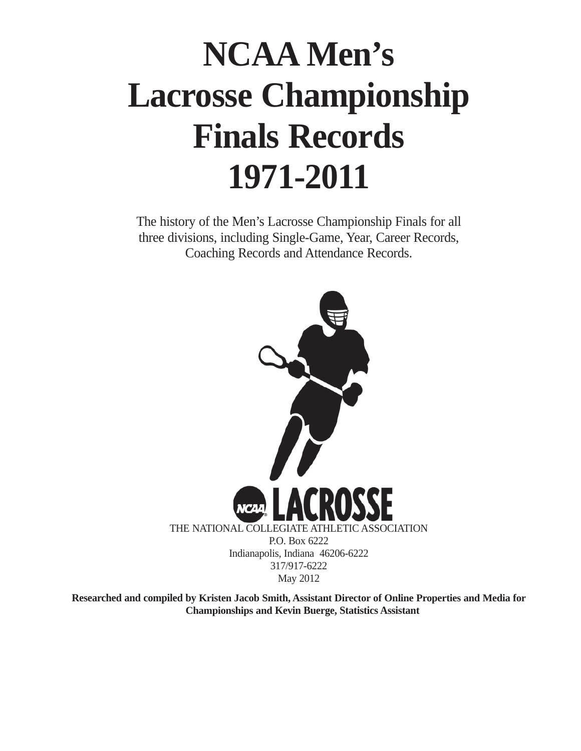# **NCAA Men's Lacrosse Championship Finals Records 1971-2011**

The history of the Men's Lacrosse Championship Finals for all three divisions, including Single-Game, Year, Career Records, Coaching Records and Attendance Records.



**Researched and compiled by Kristen Jacob Smith, Assistant Director of Online Properties and Media for Championships and Kevin Buerge, Statistics Assistant**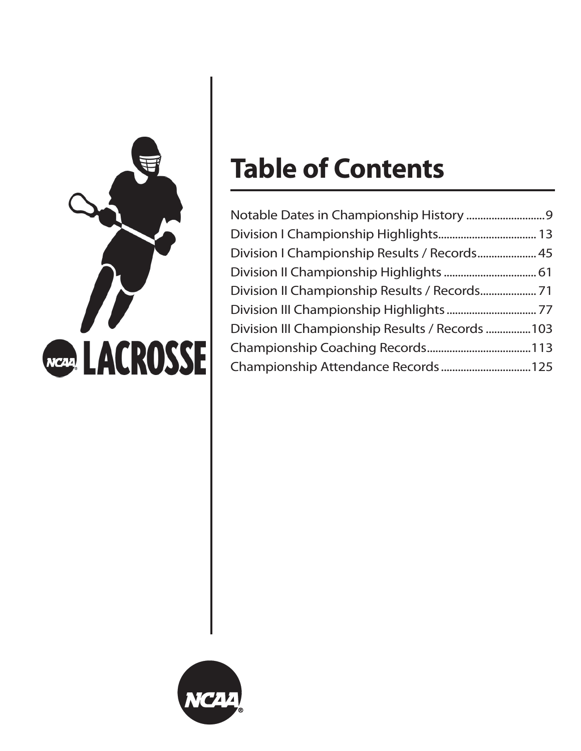

# **Table of Contents**

| Division I Championship Results / Records 45    |  |
|-------------------------------------------------|--|
|                                                 |  |
|                                                 |  |
|                                                 |  |
| Division III Championship Results / Records 103 |  |
|                                                 |  |
| Championship Attendance Records  125            |  |

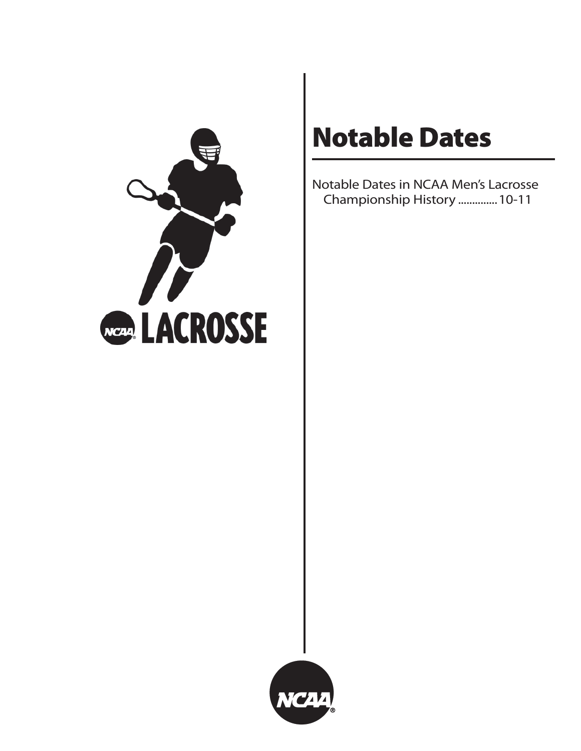

# **Notable Dates**

Notable Dates in NCAA Men's Lacrosse Championship History ..............10-11

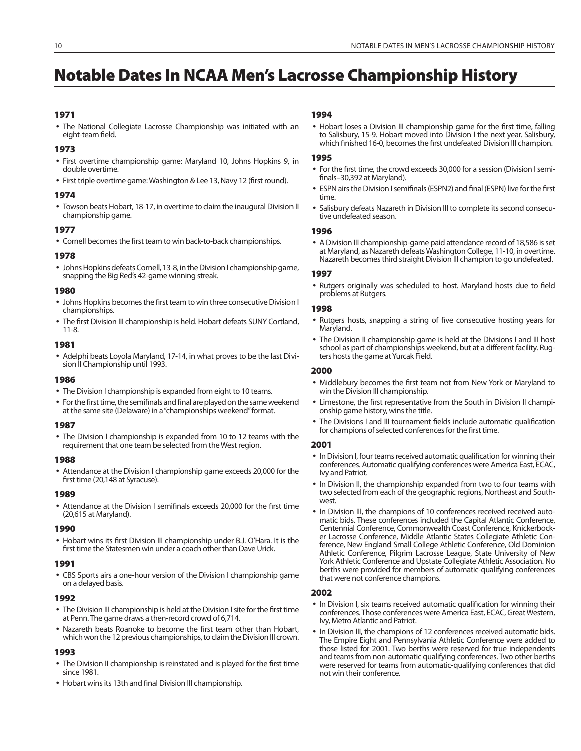# **Notable Dates In NCAA Men's Lacrosse Championship History**

#### **1971**

• The National Collegiate Lacrosse Championship was initiated with an eight-team field.

#### **1973**

- First overtime championship game: Maryland 10, Johns Hopkins 9, in double overtime.
- First triple overtime game: Washington & Lee 13, Navy 12 (first round).

#### **1974**

• Towson beats Hobart, 18-17, in overtime to claim the inaugural Division II championship game.

#### **1977**

• Cornell becomes the first team to win back-to-back championships.

#### **1978**

• Johns Hopkins defeats Cornell, 13-8, in the Division I championship game, snapping the Big Red's 42-game winning streak.

#### **1980**

- Johns Hopkins becomes the first team to win three consecutive Division I championships.
- The first Division III championship is held. Hobart defeats SUNY Cortland, 11-8.

#### **1981**

• Adelphi beats Loyola Maryland, 17-14, in what proves to be the last Division II Championship until 1993.

#### **1986**

- The Division I championship is expanded from eight to 10 teams.
- For the first time, the semifinals and final are played on the same weekend at the same site (Delaware) in a "championships weekend" format.

#### **1987**

• The Division I championship is expanded from 10 to 12 teams with the requirement that one team be selected from the West region.

#### **1988**

• Attendance at the Division I championship game exceeds 20,000 for the first time (20,148 at Syracuse).

#### **1989**

• Attendance at the Division I semifinals exceeds 20,000 for the first time (20,615 at Maryland).

#### **1990**

• Hobart wins its first Division III championship under B.J. O'Hara. It is the first time the Statesmen win under a coach other than Dave Urick.

#### **1991**

• CBS Sports airs a one-hour version of the Division I championship game on a delayed basis.

#### **1992**

- The Division III championship is held at the Division I site for the first time at Penn. The game draws a then-record crowd of 6,714.
- Nazareth beats Roanoke to become the first team other than Hobart, which won the 12 previous championships, to claim the Division III crown.

#### **1993**

- The Division II championship is reinstated and is played for the first time since 1981.
- Hobart wins its 13th and final Division III championship.

## **1994**

• Hobart loses a Division III championship game for the first time, falling to Salisbury, 15-9. Hobart moved into Division I the next year. Salisbury, which finished 16-0, becomes the first undefeated Division III champion.

#### **1995**

- For the first time, the crowd exceeds 30,000 for a session (Division I semifinals-30,392 at Maryland).
- ESPN airs the Division I semifinals (ESPN2) and final (ESPN) live for the first time.
- Salisbury defeats Nazareth in Division III to complete its second consecutive undefeated season.

#### **1996**

• A Division III championship-game paid attendance record of 18,586 is set at Maryland, as Nazareth defeats Washington College, 11-10, in overtime. Nazareth becomes third straight Division III champion to go undefeated.

#### **1997**

• Rutgers originally was scheduled to host. Maryland hosts due to field problems at Rutgers.

#### **1998**

- Rutgers hosts, snapping a string of five consecutive hosting years for Maryland.
- The Division II championship game is held at the Divisions I and III host school as part of championships weekend, but at a different facility. Rugters hosts the game at Yurcak Field.

#### **2000**

- Middlebury becomes the first team not from New York or Maryland to win the Division III championship.
- Limestone, the first representative from the South in Division II championship game history, wins the title.
- The Divisions I and III tournament fields include automatic qualification for champions of selected conferences for the first time.

#### **2001**

- In Division I, four teams received automatic qualification for winning their conferences. Automatic qualifying conferences were America East, ECAC, Ivy and Patriot.
- In Division II, the championship expanded from two to four teams with two selected from each of the geographic regions, Northeast and Southwest.
- In Division III, the champions of 10 conferences received received automatic bids. These conferences included the Capital Atlantic Conference, Centennial Conference, Commonwealth Coast Conference, Knickerbocker Lacrosse Conference, Middle Atlantic States Collegiate Athletic Conference, New England Small College Athletic Conference, Old Dominion Athletic Conference, Pilgrim Lacrosse League, State University of New York Athletic Conference and Upstate Collegiate Athletic Association. No berths were provided for members of automatic-qualifying conferences that were not conference champions.

#### **2002**

- In Division I, six teams received automatic qualification for winning their conferences. Those conferences were America East, ECAC, Great Western, Ivy, Metro Atlantic and Patriot.
- In Division III, the champions of 12 conferences received automatic bids. The Empire Eight and Pennsylvania Athletic Conference were added to those listed for 2001. Two berths were reserved for true independents and teams from non-automatic qualifying conferences. Two other berths were reserved for teams from automatic-qualifying conferences that did not win their conference.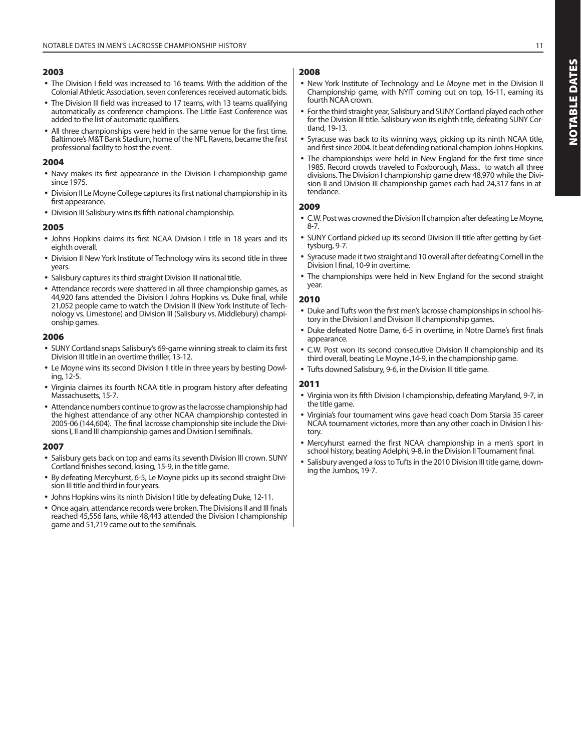- The Division I field was increased to 16 teams. With the addition of the Colonial Athletic Association, seven conferences received automatic bids.
- The Division III field was increased to 17 teams, with 13 teams qualifying automatically as conference champions. The Little East Conference was added to the list of automatic qualifiers.
- All three championships were held in the same venue for the first time. Baltimore's M&T Bank Stadium, home of the NFL Ravens, became the first professional facility to host the event.

#### **200 4**

- Navy makes its first appearance in the Division I championship game since 1975.
- Division II Le Moyne College captures its first national championship in its first appearance.
- Division III Salisbury wins its fifth national championship.

#### **2005**

- Johns Hopkins claims its first NCAA Division I title in 18 years and its eighth overall.
- Division II New York Institute of Technology wins its second title in three years.
- Salisbury captures its third straight Division III national title.
- Attendance records were shattered in all three championship games, as 44,920 fans attended the Division I Johns Hopkins vs. Duke final, while 21,052 people came to watch the Division II (New York Institute of Technology vs. Limestone) and Division III (Salisbury vs. Middlebury) championship games.

#### **2006**

- SUNY Cortland snaps Salisbury's 69-game winning streak to claim its first Division III title in an overtime thriller, 13-12.
- Le Moyne wins its second Division II title in three years by besting Dowling, 12-5.
- Virginia claimes its fourth NCAA title in program history after defeating Massachusetts, 15-7.
- Attendance numbers continue to grow as the lacrosse championship had the highest attendance of any other NCAA championship contested in 2005-06 (144,604). The final lacrosse championship site include the Divisions I, II and III championship games and Division I semifinals.

#### **2007**

- Salisbury gets back on top and earns its seventh Division III crown. SUNY Cortland finishes second, losing, 15-9, in the title game.
- By defeating Mercyhurst, 6-5, Le Moyne picks up its second straight Division III title and third in four years.
- Johns Hopkins wins its ninth Division I title by defeating Duke, 12-11.
- Once again, attendance records were broken. The Divisions II and III finals reached 45,556 fans, while 48,443 attended the Division I championship game and 51,719 came out to the semifinals.

# **2008**

- New York Institute of Technology and Le Moyne met in the Division II Championship game, with NYIT coming out on top, 16-11, earning its fourth NCAA crown.
- For the third straight year, Salisbury and SUNY Cortland played each other for the Division III title. Salisbury won its eighth title, defeating SUNY Cortland, 19-13.
- Syracuse was back to its winning ways, picking up its ninth NCAA title, and first since 2004. It beat defending national champion Johns Hopkins.
- The championships were held in New England for the first time since 1985. Record crowds traveled to Foxborough, Mass., to watch all three divisions. The Division I championship game drew 48,970 while the Division II and Division III championship games each had 24,317 fans in attendance.

#### **2009**

- C.W. Post was crowned the Division II champion after defeating Le Moyne, 8-7.
- SUNY Cortland picked up its second Division III title after getting by Gettysburg, 9-7.
- Syracuse made it two straight and 10 overall after defeating Cornell in the Division I final, 10-9 in overtime.
- The championships were held in New England for the second straight year.

#### **2010**

- Duke and Tufts won the first men's lacrosse championships in school history in the Division I and Division III championship games.
- Duke defeated Notre Dame, 6-5 in overtime, in Notre Dame's first finals appearance.
- C.W. Post won its second consecutive Division II championship and its third overall, beating Le Moyne ,14-9, in the championship game.
- Tufts downed Salisbury, 9-6, in the Division III title game.

# **2011**

- Virginia won its fifth Division I championship, defeating Maryland, 9-7, in the title game.
- Virginia's four tournament wins gave head coach Dom Starsia 35 career NCAA tournament victories, more than any other coach in Division I history.
- Mercyhurst earned the first NCAA championship in a men's sport in school history, beating Adelphi, 9-8, in the Division II Tournament final.
- Salisbury avenged a loss to Tufts in the 2010 Division III title game, downing the Jumbos, 19-7.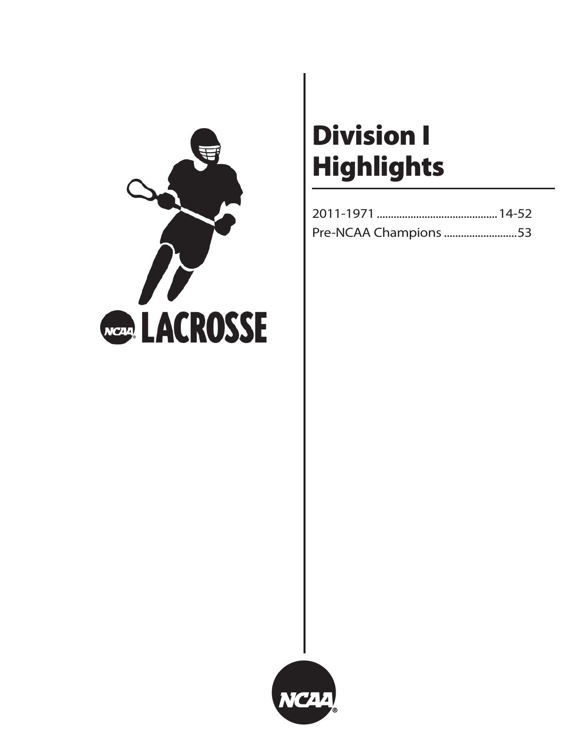

# **Division I Highlights**

| Pre-NCAA Champions 53 |  |
|-----------------------|--|

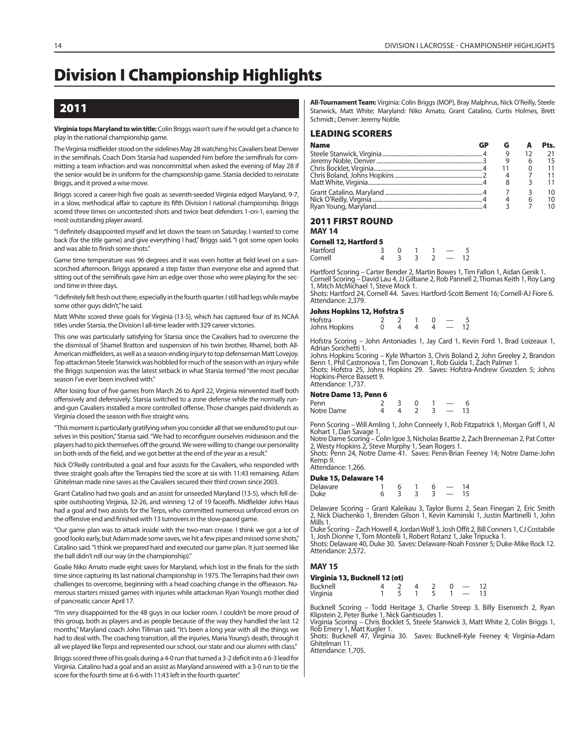# **Division I Championship Highlights**

# **2011**

#### **Virginia tops Maryland to win title:** Colin Briggs wasn't sure if he would get a chance to play in the national championship game.

The Virginia midfielder stood on the sidelines May 28 watching his Cavaliers beat Denver in the semifinals. Coach Dom Starsia had suspended him before the semifinals for committing a team infraction and was noncommittal when asked the evening of May 28 if the senior would be in uniform for the championship game. Starsia decided to reinstate Briggs, and it proved a wise move.

Briggs scored a career-high five goals as seventh-seeded Virginia edged Maryland, 9-7, in a slow, methodical affair to capture its fifth Division I national championship. Briggs scored three times on uncontested shots and twice beat defenders 1-on-1, earning the most outstanding player award.

"I definitely disappointed myself and let down the team on Saturday. I wanted to come back (for the title game) and give everything I had," Briggs said. "I got some open looks and was able to finish some shots."

Game time temperature was 96 degrees and it was even hotter at field level on a sunscorched afternoon. Briggs appeared a step faster than everyone else and agreed that sitting out of the semifinals gave him an edge over those who were playing for the second time in three days.

"I definitely felt fresh out there, especially in the fourth quarter. I still had legs while maybe some other guys didn't," he said.

Matt White scored three goals for Virginia (13-5), which has captured four of its NCAA titles under Starsia, the Division I all-time leader with 329 career victories.

This one was particularly satisfying for Starsia since the Cavaliers had to overcome the the dismissal of Shamel Bratton and suspension of his twin brother, Rhamel, both All-American midfielders, as well as a season-ending injury to top defenseman Matt Lovejoy. Top attackman Steele Stanwick was hobbled for much of the season with an injury while the Briggs suspension was the latest setback in what Starsia termed "the most peculiar season I've ever been involved with."

After losing four of five games from March 26 to April 22, Virginia reinvented itself both offensively and defensively. Starsia switched to a zone defense while the normally runand-gun Cavaliers installed a more controlled offense. Those changes paid dividends as Virginia closed the season with five straight wins.

"This moment is particularly gratifying when you consider all that we endured to put ourselves in this position," Starsia said. "We had to reconfigure ourselves midseason and the players had to pick themselves off the ground. We were willing to change our personality on both ends of the field, and we got better at the end of the year as a result."

Nick O'Reilly contributed a goal and four assists for the Cavaliers, who responded with three straight goals after the Terrapins tied the score at six with 11:43 remaining. Adam Ghitelman made nine saves as the Cavaliers secured their third crown since 2003.

Grant Catalino had two goals and an assist for unseeded Maryland (13-5), which fell despite outshooting Virginia, 32-26, and winning 12 of 19 faceoffs. Midfielder John Haus had a goal and two assists for the Terps, who committed numerous unforced errors on the offensive end and finished with 13 turnovers in the slow-paced game.

"Our game plan was to attack inside with the two-man crease. I think we got a lot of good looks early, but Adam made some saves, we hit a few pipes and missed some shots," Catalino said. "I think we prepared hard and executed our game plan. It just seemed like the ball didn't roll our way (in the championship)."

Goalie Niko Amato made eight saves for Maryland, which lost in the finals for the sixth time since capturing its last national championship in 1975. The Terrapins had their own challenges to overcome, beginning with a head coaching change in the offseason. Numerous starters missed games with injuries while attackman Ryan Young's mother died of pancreatic cancer April 17.

"I'm very disappointed for the 48 guys in our locker room. I couldn't be more proud of this group, both as players and as people because of the way they handled the last 12 months," Maryland coach John Tillman said. "It's been a long year with all the things we had to deal with. The coaching transition, all the injuries, Maria Young's death, through it all we played like Terps and represented our school, our state and our alumni with class."

Briggs scored three of his goals during a 4-0 run that turned a 3-2 deficit into a 6-3 lead for Virginia. Catalino had a goal and an assist as Maryland answered with a 3-0 run to tie the score for the fourth time at 6-6 with 11:43 left in the fourth quarter."

**All-Tournament Team:** Virginia: Colin Briggs (MOP), Bray Malphrus, Nick O'Reilly, Steele Stanwick, Matt White; Maryland: Niko Amato, Grant Catalino, Curtis Holmes, Brett Schmidt.; Denver: Jeremy Noble.

#### **LEADING SCORERS**

| <b>Name</b> |  |  |
|-------------|--|--|
|             |  |  |
|             |  |  |
|             |  |  |
|             |  |  |
|             |  |  |
|             |  |  |
|             |  |  |
|             |  |  |

#### **2011 FIRST ROUND MAY 14**

**Cornell 12, Hartford 5**

| ---------------------- |  |  |  |
|------------------------|--|--|--|
| Hartford               |  |  |  |
| Cornell                |  |  |  |

Hartford Scoring – Carter Bender 2, Martin Bowes 1, Tim Fallon 1, Aidan Genik 1. Cornell Scoring – David Lau 4, JJ Gilbane 2, Rob Pannell 2, Thomas Keith 1, Roy Lang 1, Mitch McMichael 1, Steve Mock 1. Shots: Hartford 24, Cornell 44. Saves: Hartford-Scott Bement 16; Cornell-AJ Fiore 6. Attendance: 2,379.

# **Johns Hopkins 12, Hofstra 5**

 $H$ ofstra  $\begin{array}{cccc} 2 & 2 & 1 & 0 & - \\ 1 & 0 & 4 & 4 & 4 \end{array}$ Johns Hopkins

Hofstra Scoring – John Antoniades 1, Jay Card 1, Kevin Ford 1, Brad Loizeaux 1, Adrian Sorichetti 1.

Johns Hopkins Scoring – Kyle Wharton 3, Chris Boland 2, John Greeley 2, Brandon Benn 1, Phil Castronova 1, Tim Donovan 1, Rob Guida 1, Zach Palmer 1. Shots: Hofstra 25, Johns Hopkins 29. Saves: Hofstra-Andrew Gvozden 5; Johns Hopkins-Pierce Bassett 9. Attendance: 1,737

#### **Notre Dame 13, Penn 6**

| Penn       |  |  |  |
|------------|--|--|--|
| Notre Dame |  |  |  |

Penn Scoring – Will Amling 1, John Conneely 1, Rob Fitzpatrick 1, Morgan Griff 1, Al Kohart 1, Dan Savage 1.

Notre Dame Scoring – Colin Igoe 3, Nicholas Beattie 2, Zach Brenneman 2, Pat Cotter<br>2, Westy Hopkins 2, Steve Murphy 1, Sean Rogers 1.<br>Shots: Penn 24, Notre Dame 41. Saves: Penn-Brian Feeney 14; Notre Dame-John

Kemp 9.

#### Attendance: 1,266. **Duke 15, Delaware 14**

| PUNE 13, PEIAWAIE 14 |  |  |    |
|----------------------|--|--|----|
| Delaware             |  |  | 14 |
| Duke                 |  |  | 15 |

Delaware Scoring – Grant Kaleikau 3, Taylor Burns 2, Sean Finegan 2, Eric Smith 2, Nick Diachenko 1, Brenden Gilson 1, Kevin Kaminski 1, Justin Martinelli 1, John Mills 1.

Duke Scoring – Zach Howell 4, Jordan Wolf 3, Josh Offit 2, Bill Conners 1, CJ Costabile 1, Josh Dionne 1, Tom Montelli 1, Robert Rotanz 1, Jake Tripucka 1. Shots: Delaware 40, Duke 30. Saves: Delaware-Noah Fossner 5; Duke-Mike Rock 12. Attendance: 2,572.

# **MAY 15**

# **Virginia 13, Bucknell 12 (ot)**

Bucknell 4 2 4 2 0 — 12 **Virginia** 

Bucknell Scoring – Todd Heritage 3, Charlie Streep 3, Billy Eisenreich 2, Ryan Klipstein 2, Peter Burke 1, Nick Gantsoudes 1.

Virginia Scoring – Chris Bocklet 5, Steele Stanwick 3, Matt White 2, Colin Briggs 1, Rob Emery 1, Matt Kugler 1.

Shots: Bucknell 47, Virginia 30. Saves: Bucknell-Kyle Feeney 4; Virginia-Adam Ghitelman 11. Attendance: 1,705.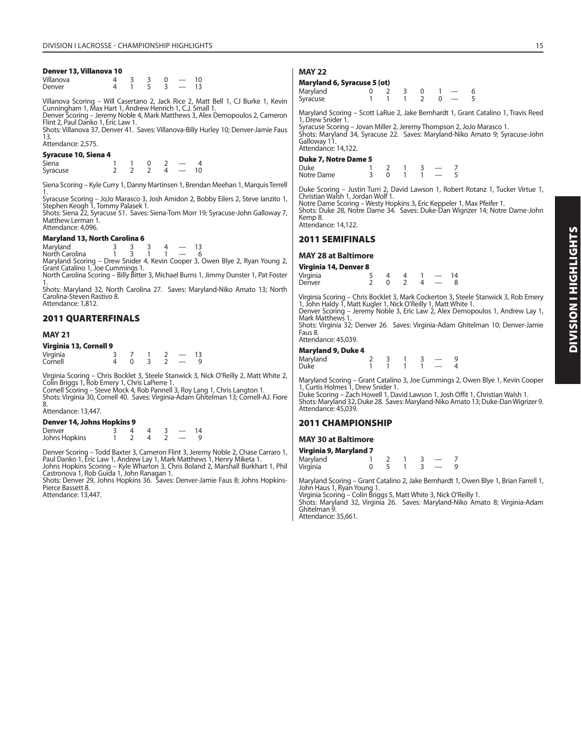#### **Denver 13, Villanova 10**

| Villanova |  |   |  |
|-----------|--|---|--|
| Denver    |  | - |  |

Villanova Scoring – Will Casertano 2, Jack Rice 2, Matt Bell 1, CJ Burke 1, Kevin Cunningham 1, Max Hart 1, Andrew Henrich 1, C.J. Small 1.

Denver Scoring – Jeremy Noble 4, Mark Matthews 3, Alex Demopoulos 2, Cameron Flint 2, Paul Danko 1, Eric Law 1.

Shots: Villanova 37, Denver 41. Saves: Villanova-Billy Hurley 10; Denver-Jamie Faus 13.

# Attendance: 2,575.

**Syracuse 10, Siena 4** Siena 1 1 0 2 — 4  $Syracuse$  2 2 2 4 — 10

Siena Scoring – Kyle Curry 1, Danny Martinsen 1, Brendan Meehan 1, Marquis Terrell

1. Syracuse Scoring – JoJo Marasco 3, Josh Amidon 2, Bobby Eilers 2, Steve Ianzito 1, Stephen Keogh 1, Tommy Palasek 1. Shots: Siena 22, Syracuse 51. Saves: Siena-Tom Morr 19; Syracuse-John Galloway 7,

Matthew Lerman<sup>1</sup>. Attendance: 4,096.

#### **Maryland 13, North Carolina 6**

Maryland 3 3 3 4 — 13<br>North Carolina 1 3 1 1 — 6 North Carolina 1 3 1

Maryland Scoring – Drew Snider 4, Kevin Cooper 3, Owen Blye 2, Ryan Young 2, Grant Catalino 1, Joe Cummings 1. North Carolina Scoring – Billy Bitter 3, Michael Burns 1, Jimmy Dunster 1, Pat Foster

1. Shots: Maryland 32, North Carolina 27. Saves: Maryland-Niko Amato 13; North

Carolina-Steven Rastivo 8. Attendance: 1,812.

#### **2011 QUARTERFINALS**

#### **MAY 21**

#### **Virginia 13, Cornell 9**

| -----    |  |   |  |   |
|----------|--|---|--|---|
| Virginia |  |   |  |   |
| Cornell  |  | - |  | u |

Virginia Scoring – Chris Bocklet 3, Steele Stanwick 3, Nick O'Reilly 2, Matt White 2, Colin Briggs 1, Rob Emery 1, Chris LaPierre 1. Cornell Scoring – Steve Mock 4, Rob Pannell 3, Roy Lang 1, Chris Langton 1.

Shots: Virginia 30, Cornell 40. Saves: Virginia-Adam Ghitelman 13; Cornell-AJ. Fiore 8.

#### Attendance: 13,447.

| <b>Denver 14, Johns Hopkins 9</b> |  |  |    |
|-----------------------------------|--|--|----|
| Denver                            |  |  | 14 |
| Johns Hopkins                     |  |  |    |

Denver Scoring – Todd Baxter 3, Cameron Flint 3, Jeremy Noble 2, Chase Carraro 1,<br>Paul Danko 1, Eric Law 1, Andrew Lay 1, Mark Matthews 1, Henry Miketa 1.<br>Johns Hopkins Scoring – Kyle Wharton 3, Chris Boland 2, Marshall Bu

Shots: Denver 29, Johns Hopkins 36. Saves: Denver-Jamie Faus 8; Johns Hopkins-Pierce Bassett 8.

Attendance: 13,447.

#### **MAY 22**

#### **Maryland 6, Syracuse 5 (ot)**

| <i>j</i> -, - j - - (- -, |  |  |                          |  |
|---------------------------|--|--|--------------------------|--|
| Maryland                  |  |  |                          |  |
| Syracuse                  |  |  | $\overline{\phantom{a}}$ |  |

Maryland Scoring – Scott LaRue 2, Jake Bernhardt 1, Grant Catalino 1, Travis Reed 1, Drew Snider 1.

Syracuse Scoring – Jovan Miller 2, Jeremy Thompson 2, JoJo Marasco 1. Shots: Maryland 34, Syracuse 22. Saves: Maryland-Niko Amato 9; Syracuse-John Galloway 11. Attendance: 14,122.

#### **Duke 7, Notre Dame 5**

| <b>Duke</b> |  |  |  |
|-------------|--|--|--|
| Notre Dame  |  |  |  |

Duke Scoring – Justin Turri 2, David Lawson 1, Robert Rotanz 1, Tucker Virtue 1, Christian Walsh 1, Jordan Wolf 1. Notre Dame Scoring – Westy Hopkins 3, Eric Keppeler 1, Max Pfeifer 1. Shots: Duke 28, Notre Dame 34. Saves: Duke-Dan Wigrizer 14; Notre Dame-John

Kemp 8.

Attendance: 14,122.

#### **2011 SEMIFINALS**

#### **MAY 28 at Baltimore**

| Virginia 14, Denver 8 |  |  |    |  |
|-----------------------|--|--|----|--|
| Virginia              |  |  | 14 |  |
| Denver                |  |  |    |  |

Virginia Scoring – Chris Bocklet 3, Mark Cockerton 3, Steele Stanwick 3, Rob Emery 1, John Haldy 1, Matt Kugler 1, Nick O'Reilly 1, Matt White 1. Denver Scoring – Jeremy Noble 3, Eric Law 2, Alex Demopoulos 1, Andrew Lay 1,

Mark Matthews 1. Shots: Virginia 32; Denver 26. Saves: Virginia-Adam Ghitelman 10; Denver-Jamie Faus 8.

Attendance: 45,039.

#### **Maryland 9, Duke 4**

| Maryland<br>Duke |  |  |  |
|------------------|--|--|--|
|                  |  |  |  |

Maryland Scoring – Grant Catalino 3, Joe Cummings 2, Owen Blye 1, Kevin Cooper 1, Curtis Holmes 1, Drew Snider 1.

Duke Scoring – Zach Howell 1, David Lawson 1, Josh Offit 1, Christian Walsh 1. Shots: Maryland 32, Duke 28. Saves: Maryland-Niko Amato 13; Duke-Dan Wigrizer 9. Attendance: 45,039.

#### **2011 CHAMPIONSHIP**

#### **MAY 30 at Baltimore**

| Virginia 9, Maryland 7 |  |  |  |
|------------------------|--|--|--|
| Maryland               |  |  |  |
| Virginia               |  |  |  |

Maryland Scoring – Grant Catalino 2, Jake Bernhardt 1, Owen Blye 1, Brian Farrell 1, John Haus 1, Ryan Young 1.

Virginia Scoring – Colin Briggs 5, Matt White 3, Nick O'Reilly 1.

Shots: Maryland 32, Virginia 26. Saves: Maryland-Niko Amato 8; Virginia-Adam Ghitelman 9.

Attendance: 35,661.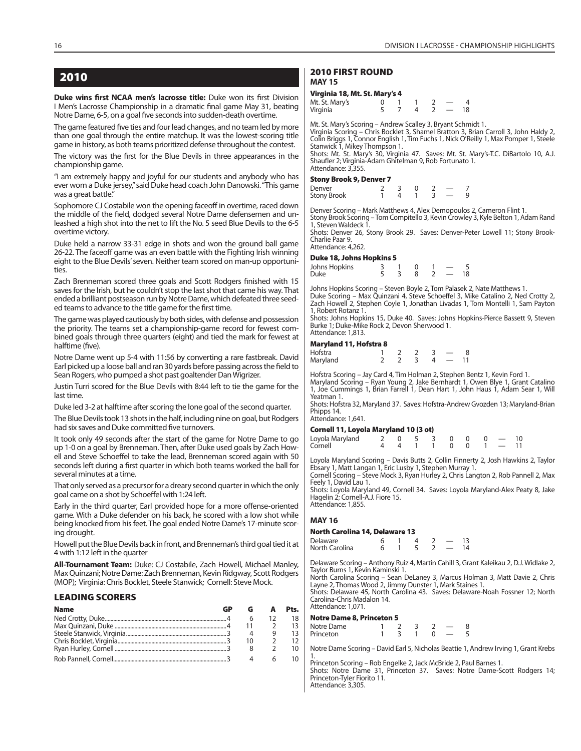**Duke wins first NCAA men's lacrosse title:** Duke won its first Division I Men's Lacrosse Championship in a dramatic final game May 31, beating Notre Dame, 6-5, on a goal five seconds into sudden-death overtime.

The game featured five ties and four lead changes, and no team led by more than one goal through the entire matchup. It was the lowest-scoring title game in history, as both teams prioritized defense throughout the contest.

The victory was the first for the Blue Devils in three appearances in the championship game.

"I am extremely happy and joyful for our students and anybody who has ever worn a Duke jersey," said Duke head coach John Danowski. "This game was a great battle."

Sophomore CJ Costabile won the opening faceoff in overtime, raced down the middle of the field, dodged several Notre Dame defensemen and unleashed a high shot into the net to lift the No. 5 seed Blue Devils to the 6-5 overtime victory.

Duke held a narrow 33-31 edge in shots and won the ground ball game 26-22. The faceoff game was an even battle with the Fighting Irish winning eight to the Blue Devils' seven. Neither team scored on man-up opportunities.

Zach Brenneman scored three goals and Scott Rodgers finished with 15 saves for the Irish, but he couldn't stop the last shot that came his way. That ended a brilliant postseason run by Notre Dame, which defeated three seeded teams to advance to the title game for the first time.

The game was played cautiously by both sides, with defense and possession the priority. The teams set a championship-game record for fewest combined goals through three quarters (eight) and tied the mark for fewest at halftime (five).

Notre Dame went up 5-4 with 11:56 by converting a rare fastbreak. David Earl picked up a loose ball and ran 30 yards before passing across the field to Sean Rogers, who pumped a shot past goaltender Dan Wigrizer.

Justin Turri scored for the Blue Devils with 8:44 left to tie the game for the last time.

Duke led 3-2 at halftime after scoring the lone goal of the second quarter.

The Blue Devils took 13 shots in the half, including nine on goal, but Rodgers had six saves and Duke committed five turnovers.

It took only 49 seconds after the start of the game for Notre Dame to go up 1-0 on a goal by Brenneman. Then, after Duke used goals by Zach Howell and Steve Schoeffel to take the lead, Brenneman scored again with 50 seconds left during a first quarter in which both teams worked the ball for several minutes at a time.

That only served as a precursor for a dreary second quarter in which the only goal came on a shot by Schoeffel with 1:24 left.

Early in the third quarter, Earl provided hope for a more offense-oriented game. With a Duke defender on his back, he scored with a low shot while being knocked from his feet. The goal ended Notre Dame's 17-minute scoring drought.

Howell put the Blue Devils back in front, and Brenneman's third goal tied it at 4 with 1:12 left in the quarter

**All-Tournament Team:** Duke: CJ Costabile, Zach Howell, Michael Manley, Max Quinzani; Notre Dame: Zach Brenneman, Kevin Ridgway, Scott Rodgers (MOP); Virginia: Chris Bocklet, Steele Stanwick; Cornell: Steve Mock.

#### **LEADING SCORERS**

| Name | GP |  | Pts. |
|------|----|--|------|
|      |    |  |      |
|      |    |  |      |
|      |    |  |      |
|      |    |  |      |
|      |    |  |      |
|      |    |  |      |

# **2010 FIRST ROUND**

**MAY 15**

# **Virginia 18, Mt. St. Mary's 4**

| Mt. St. Mary's |  |  |  |
|----------------|--|--|--|
| Virginia       |  |  |  |

Mt. St. Mary's Scoring – Andrew Scalley 3, Bryant Schmidt 1. Virginia Scoring – Chris Bocklet 3, Shamel Bratton 3, Brian Carroll 3, John Haldy 2, Colin Briggs 1, Connor English 1, Tim Fuchs 1, Nick O'Reilly 1, Max Pomper 1, Steele Stanwick 1, Mikey Thompson 1. Shots: Mt. St. Mary's 30, Virginia 47. Saves: Mt. St. Mary's-T.C. DiBartolo 10, A.J.

Shaufler 2; Virginia-Adam Ghitelman 9, Rob Fortunato 1. Attendance: 3,355.

#### **Stony Brook 9, Denver 7**

| ------      |  |  |  |
|-------------|--|--|--|
| Denver      |  |  |  |
| Stony Brook |  |  |  |

Denver Scoring – Mark Matthews 4, Alex Demopoulos 2, Cameron Flint 1. Stony Brook Scoring - Tom Compitello 3, Kevin Crowley 3, Kyle Belton 1, Adam Rand Steven Waldeck

Shots: Denver 26, Stony Brook 29. Saves: Denver-Peter Lowell 11; Stony Brook-Charlie Paar 9.

Attendance: 4,262.

#### **Duke 18, Johns Hopkins 5**

| Johns Hopkins |  |  |    |
|---------------|--|--|----|
| Duke          |  |  | 18 |

Johns Hopkins Scoring – Steven Boyle 2, Tom Palasek 2, Nate Matthews 1.<br>Duke Scoring – Max Quinzani 4, Steve Schoeffel 3, Mike Catalino 2, Ned Crotty 2,<br>Zach Howell 2, Stephen Coyle 1, Jonathan Livadas 1, Tom Montelli 1, S 1, Robert Rotanz 1.

Shots: Johns Hopkins 15, Duke 40. Saves: Johns Hopkins-Pierce Bassett 9, Steven Burke 1; Duke-Mike Rock 2, Devon Sherwood 1. Attendance: 1,813.

#### **Maryland 11, Hofstra 8**

| Hofstra  |  |  |        |  |
|----------|--|--|--------|--|
| Maryland |  |  | $\sim$ |  |

Hofstra Scoring – Jay Card 4, Tim Holman 2, Stephen Bentz 1, Kevin Ford 1. Maryland Scoring – Ryan Young 2, Jake Bernhardt 1, Owen Blye 1, Grant Catalino 1, Joe Cummings 1, Brian Farrell 1, Dean Hart 1, John Haus 1, Adam Sear 1, Will Yeatman 1.

Shots: Hofstra 32, Maryland 37. Saves: Hofstra-Andrew Gvozden 13; Maryland-Brian Phipps 14.

Attendance: 1,641. **Cornell 11, Loyola Maryland 10 (3 ot)**

| Cornell II, Loyola Maryland IV (3 Ot) |  |                    |  |  |  |
|---------------------------------------|--|--------------------|--|--|--|
|                                       |  |                    |  |  |  |
|                                       |  | 4 4 1 1 0 0 1 - 11 |  |  |  |

Loyola Maryland Scoring – Davis Butts 2, Collin Finnerty 2, Josh Hawkins 2, Taylor Ebsary 1, Matt Langan 1, Eric Lusby 1, Stephen Murray 1.

Cornell Scoring – Steve Mock 3, Ryan Hurley 2, Chris Langton 2, Rob Pannell 2, Max Feely 1, David Lau 1.

Shots: Loyola Maryland 49, Cornell 34. Saves: Loyola Maryland-Alex Peaty 8, Jake Hagelin 2; Cornell-A.J. Fiore 15. Attendance: 1,855.

#### **MAY 16**

#### **North Carolina 14, Delaware 13**

| Delaware       |  |  |  |
|----------------|--|--|--|
| North Carolina |  |  |  |

Delaware Scoring – Anthony Ruiz 4, Martin Cahill 3, Grant Kaleikau 2, D.J. Widlake 2, Taylor Burns 1, Kevin Kaminski 1.

North Carolina Scoring – Sean DeLaney 3, Marcus Holman 3, Matt Davie 2, Chris Layne 2, Thomas Wood 2, Jimmy Dunster 1, Mark Staines 1. Shots: Delaware 45, North Carolina 43. Saves: Delaware-Noah Fossner 12; North Carolina-Chris Madalon 14. Attendance: 1,071.

#### **Notre Dame 8, Princeton 5**

| Notre Dame |  |  |  |
|------------|--|--|--|
| Princeton  |  |  |  |

Notre Dame Scoring – David Earl 5, Nicholas Beattie 1, Andrew Irving 1, Grant Krebs 1. Princeton Scoring – Rob Engelke 2, Jack McBride 2, Paul Barnes 1.

Shots: Notre Dame 31, Princeton 37. Saves: Notre Dame-Scott Rodgers 14; Princeton-Tyler Fiorito 11. Attendance: 3,305.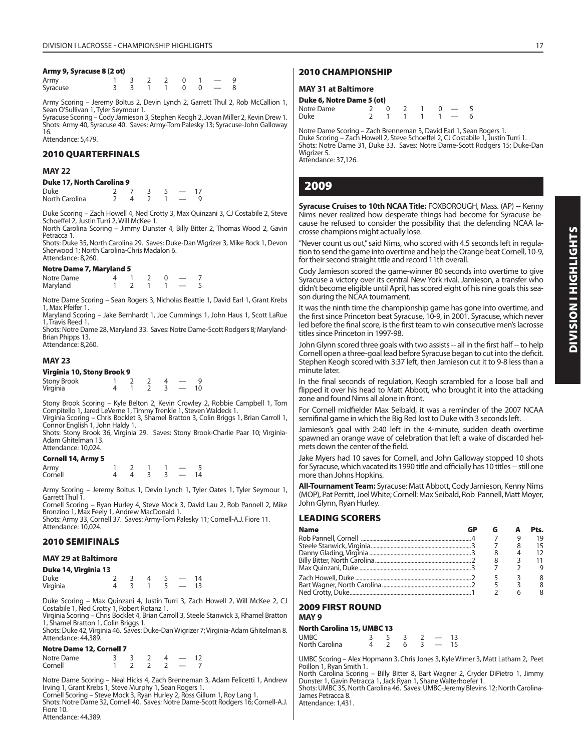#### **Army 9, Syracuse 8 (2 ot)**

| Army     |  |  |  | 1 3 2 2 0 1 -   | -9 |
|----------|--|--|--|-----------------|----|
| Syracuse |  |  |  | 3 3 1 1 0 0 - 8 |    |

Army Scoring – Jeremy Boltus 2, Devin Lynch 2, Garrett Thul 2, Rob McCallion 1, Sean O'Sullivan 1, Tyler Seymour 1. Syracuse Scoring – Cody Jamieson 3, Stephen Keogh 2, Jovan Miller 2, Kevin Drew 1.

Shots: Army 40, Syracuse 40. Saves: Army-Tom Palesky 13; Syracuse-John Galloway 16.

Attendance: 5,479.

#### **2010 QUARTERFINALS**

#### **MAY 22**

#### **Duke 17, North Carolina 9**

| Duke           |  |  |  |
|----------------|--|--|--|
| North Carolina |  |  |  |

Duke Scoring – Zach Howell 4, Ned Crotty 3, Max Quinzani 3, CJ Costabile 2, Steve Schoeffel 2, Justin Turri 2, Will McKee 1.

North Carolina Scoring – Jimmy Dunster 4, Billy Bitter 2, Thomas Wood 2, Gavin Petracca 1.

Shots: Duke 35, North Carolina 29. Saves: Duke-Dan Wigrizer 3, Mike Rock 1, Devon Sherwood 1; North Carolina-Chris Madalon 6. Attendance: 8,260.

#### **Notre Dame 7, Maryland 5**

| <i></i>    |  |  |  |  |
|------------|--|--|--|--|
| Notre Dame |  |  |  |  |
| Maryland   |  |  |  |  |

Notre Dame Scoring – Sean Rogers 3, Nicholas Beattie 1, David Earl 1, Grant Krebs 1, Max Pfeifer 1.

Maryland Scoring – Jake Bernhardt 1, Joe Cummings 1, John Haus 1, Scott LaRue 1, Travis Reed 1.

Shots: Notre Dame 28, Maryland 33. Saves: Notre Dame-Scott Rodgers 8; Maryland-Brian Phipps 13. Attendance: 8,260.

#### **MAY 23**

#### **Virginia 10, Stony Brook 9**

| <b>Stony Brook</b> |  |  |  |
|--------------------|--|--|--|
| Virginia           |  |  |  |

Stony Brook Scoring – Kyle Belton 2, Kevin Crowley 2, Robbie Campbell 1, Tom Compitello 1, Jared LeVerne 1, Timmy Trenkle 1, Steven Waldeck 1.

Virginia Scoring – Chris Bocklet 3, Shamel Bratton 3, Colin Briggs 1, Brian Carroll 1, Connor English 1, John Haldy 1.

Shots: Stony Brook 36, Virginia 29. Saves: Stony Brook-Charlie Paar 10; Virginia-Adam Ghitelman 13. Attendance: 10,024.

#### **Cornell 14, Army 5**

| Army<br>Cornell |  |        |  |  |
|-----------------|--|--------|--|--|
|                 |  | $\sim$ |  |  |

Army Scoring – Jeremy Boltus 1, Devin Lynch 1, Tyler Oates 1, Tyler Seymour 1, Garrett Thul 1.

Cornell Scoring – Ryan Hurley 4, Steve Mock 3, David Lau 2, Rob Pannell 2, Mike Bronzino 1, Max Feely 1, Andrew MacDonald 1.

Shots: Army 33, Cornell 37. Saves: Army-Tom Palesky 11; Cornell-A.J. Fiore 11. Attendance: 10,024.

# **2010 SEMIFINALS**

#### **MAY 29 at Baltimore**

#### **Duke 14, Virginia 13**

| Duke     |  |  |  |  |
|----------|--|--|--|--|
| Virginia |  |  |  |  |

Duke Scoring – Max Quinzani 4, Justin Turri 3, Zach Howell 2, Will McKee 2, CJ Costabile 1, Ned Crotty 1, Robert Rotanz 1.

Virginia Scoring – Chris Bocklet 4, Brian Carroll 3, Steele Stanwick 3, Rhamel Bratton 1, Shamel Bratton 1, Colin Briggs 1.

Shots: Duke 42, Virginia 46. Saves: Duke-Dan Wigrizer 7; Virginia-Adam Ghitelman 8. Attendance: 44,389.

#### **Notre Dame 12, Cornell 7**

| Notre Dame |  |  |  |
|------------|--|--|--|
| Cornell    |  |  |  |

Notre Dame Scoring – Neal Hicks 4, Zach Brenneman 3, Adam Felicetti 1, Andrew Irving 1, Grant Krebs 1, Steve Murphy 1, Sean Rogers 1.

Cornell Scoring – Steve Mock 3, Ryan Hurley 2, Ross Gillum 1, Roy Lang 1.

Shots: Notre Dame 32, Cornell 40. Saves: Notre Dame-Scott Rodgers 16; Cornell-A.J. Fiore 10.

Attendance: 44,389.

#### **2010 CHAMPIONSHIP**

#### **MAY 31 at Baltimore**

#### **Duke 6, Notre Dame 5 (ot)**

| Notre Dame |  |  | $2 \t0 \t2 \t1 \t0 \t- 5$ |  |
|------------|--|--|---------------------------|--|
| Duke       |  |  | 2 1 1 1 1 - 6             |  |

Notre Dame Scoring – Zach Brenneman 3, David Earl 1, Sean Rogers 1. Duke Scoring – Zach Howell 2, Steve Schoeffel 2, CJ Costabile 1, Justin Turri 1. Shots: Notre Dame 31, Duke 33. Saves: Notre Dame-Scott Rodgers 15; Duke-Dan Wigrizer 5. Attendance: 37,126.

# **2009**

**Syracuse Cruises to 10th NCAA Title: FOXBOROUGH, Mass. (AP) -- Kenny** Nims never realized how desperate things had become for Syracuse because he refused to consider the possibility that the defending NCAA lacrosse champions might actually lose.

"Never count us out," said Nims, who scored with 4.5 seconds left in regulation to send the game into overtime and help the Orange beat Cornell, 10-9, for their second straight title and record 11th overall.

Cody Jamieson scored the game-winner 80 seconds into overtime to give Syracuse a victory over its central New York rival. Jamieson, a transfer who didn't become eligible until April, has scored eight of his nine goals this season during the NCAA tournament.

It was the ninth time the championship game has gone into overtime, and the first since Princeton beat Syracuse, 10-9, in 2001. Syracuse, which never led before the final score, is the first team to win consecutive men's lacrosse titles since Princeton in 1997-98.

John Glynn scored three goals with two assists -- all in the first half -- to help Cornell open a three-goal lead before Syracuse began to cut into the deficit. Stephen Keogh scored with 3:37 left, then Jamieson cut it to 9-8 less than a minute later.

In the final seconds of regulation, Keogh scrambled for a loose ball and flipped it over his head to Matt Abbott, who brought it into the attacking zone and found Nims all alone in front.

For Cornell midfielder Max Seibald, it was a reminder of the 2007 NCAA semifinal game in which the Big Red lost to Duke with 3 seconds left.

Jamieson's goal with 2:40 left in the 4-minute, sudden death overtime spawned an orange wave of celebration that left a wake of discarded helmets down the center of the field.

Jake Myers had 10 saves for Cornell, and John Galloway stopped 10 shots for Syracuse, which vacated its 1990 title and officially has 10 titles -- still one more than Johns Hopkins.

**All-Tournament Team:** Syracuse: Matt Abbott, Cody Jamieson, Kenny Nims (MOP), Pat Perritt, Joel White; Cornell: Max Seibald, Rob Pannell, Matt Moyer, John Glynn, Ryan Hurley.

#### **LEADING SCORERS**

| <b>Name</b> | GP |  | Pts. |
|-------------|----|--|------|
|             |    |  | 19   |
|             |    |  | 15   |
|             |    |  | 12   |
|             |    |  | 11   |
|             |    |  | q    |
|             |    |  |      |
|             |    |  | 8    |
|             |    |  |      |

# **2009 FIRST ROUND**

**MAY 9**

#### **North Carolina 15, UMBC 13**

| <b>UMBC</b>    |  |   |  | 13 |
|----------------|--|---|--|----|
| North Carolina |  | 6 |  | 15 |

UMBC Scoring – Alex Hopmann 3, Chris Jones 3, Kyle Wimer 3, Matt Latham 2, Peet Poillon 1, Ryan Smith 1.

North Carolina Scoring – Billy Bitter 8, Bart Wagner 2, Cryder DiPietro 1, Jimmy Dunster 1, Gavin Petracca 1, Jack Ryan 1, Shane Walterhoefer 1.

Shots: UMBC 35, North Carolina 46. Saves: UMBC-Jeremy Blevins 12; North Carolina-James Petracca 8.

Attendance: 1,431.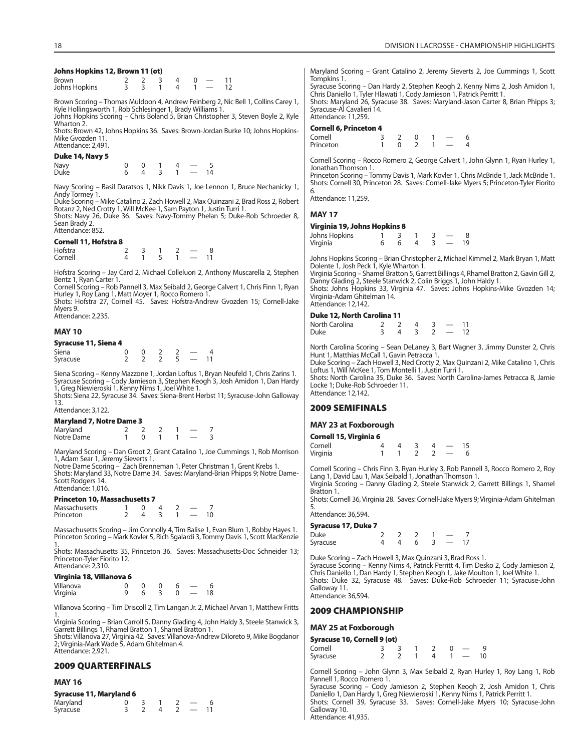#### **Johns Hopkins 12, Brown 11 (ot)**

| <b>Brown</b>  |  |  |  |  |
|---------------|--|--|--|--|
| Johns Hopkins |  |  |  |  |

Brown Scoring – Thomas Muldoon 4, Andrew Feinberg 2, Nic Bell 1, Collins Carey 1, Kyle Hollingsworth 1, Rob Schlesinger 1, Brady Williams 1. Johns Hopkins Scoring – Chris Boland 5, Brian Christopher 3, Steven Boyle 2, Kyle

Wharton 2.

Shots: Brown 42, Johns Hopkins 36. Saves: Brown-Jordan Burke 10; Johns Hopkins-Mike Gvozden 11. Attendance: 2,491.

#### **Duke 14, Navy 5**

Navy 0 0 1 4 — 5 Duke 6 4 3 1 — 14

Navy Scoring – Basil Daratsos 1, Nikk Davis 1, Joe Lennon 1, Bruce Nechanicky 1, Andy Tormey 1.

Duke Scoring – Mike Catalino 2, Zach Howell 2, Max Quinzani 2, Brad Ross 2, Robert Rotanz 2, Ned Crotty 1, Will McKee 1, Sam Payton 1, Justin Turri 1.

Shots: Navy 26, Duke 36. Saves: Navy-Tommy Phelan 5; Duke-Rob Schroeder 8, Sean Brady 2. Attendance: 852.

#### **Cornell 11, Hofstra 8**

| Hofstra |  |  |  |
|---------|--|--|--|
| Cornell |  |  |  |

Hofstra Scoring – Jay Card 2, Michael Colleluori 2, Anthony Muscarella 2, Stephen Bentz 1, Ryan Carter 1.

Cornell Scoring – Rob Pannell 3, Max Seibald 2, George Calvert 1, Chris Finn 1, Ryan Hurley 1, Roy Lang 1, Matt Moyer 1, Rocco Romero 1. Shots: Hofstra 27, Cornell 45. Saves: Hofstra-Andrew Gvozden 15; Cornell-Jake

Myers 9.

Attendance: 2,235.

#### **MAY 10**

# **Syracuse 11, Siena 4**

| Siena    |  |  |  |
|----------|--|--|--|
| Syracuse |  |  |  |

Siena Scoring – Kenny Mazzone 1, Jordan Loftus 1, Bryan Neufeld 1, Chris Zarins 1. Syracuse Scoring – Cody Jamieson 3, Stephen Keogh 3, Josh Amidon 1, Dan Hardy 1, Greg Niewieroski 1, Kenny Nims 1, Joel White 1.

Shots: Siena 22, Syracuse 34. Saves: Siena-Brent Herbst 11; Syracuse-John Galloway 13.

#### Attendance: 3,122. **Maryland 7, Notre Dame 3**

| Maryland 7, Notre Dame 3 |  |  |  |
|--------------------------|--|--|--|
| Maryland                 |  |  |  |
| Notre Dame               |  |  |  |

Maryland Scoring – Dan Groot 2, Grant Catalino 1, Joe Cummings 1, Rob Morrison<br>1, Adam Sear 1, Jeremy Sieverts 1.<br>Notre Dame Scoring – Zach Brenneman 1, Peter Christman 1, Grent Krebs 1.<br>Shots: Maryland 33, Notre Dame 34.

Scott Rodgers 14. Attendance: 1,016.

#### **Princeton 10, Massachusetts 7**

| Massachusetts |  |  |  |
|---------------|--|--|--|
| Princeton     |  |  |  |

Massachusetts Scoring – Jim Connolly 4, Tim Balise 1, Evan Blum 1, Bobby Hayes 1. Princeton Scoring – Mark Kovler 5, Rich Sgalardi 3, Tommy Davis 1, Scott MacKenzie 1.

Shots: Massachusetts 35, Princeton 36. Saves: Massachusetts-Doc Schneider 13; Princeton-Tyler Fiorito 12. Attendance: 2,310.

#### **Virginia 18, Villanova 6**

| $\frac{1}{2}$ |  |  |    |
|---------------|--|--|----|
| Villanova     |  |  |    |
| Virginia      |  |  | 18 |

Villanova Scoring – Tim Driscoll 2, Tim Langan Jr. 2, Michael Arvan 1, Matthew Fritts 1. Virginia Scoring – Brian Carroll 5, Danny Glading 4, John Haldy 3, Steele Stanwick 3,

Garrett Billings 1, Rhamel Bratton 1, Shamel Bratton 1.

Shots: Villanova 27, Virginia 42. Saves: Villanova-Andrew Diloreto 9, Mike Bogdanor 2; Virginia-Mark Wade 5, Adam Ghitelman 4. Attendance: 2,921.

#### **2009 QUARTERFINALS**

#### **MAY 16**

| <b>Syracuse 11, Maryland 6</b> |  |  |  |
|--------------------------------|--|--|--|
|--------------------------------|--|--|--|

| Maryland |  |  |  |
|----------|--|--|--|
| Syracuse |  |  |  |

Maryland Scoring – Grant Catalino 2, Jeremy Sieverts 2, Joe Cummings 1, Scott Tompkins 1. Syracuse Scoring – Dan Hardy 2, Stephen Keogh 2, Kenny Nims 2, Josh Amidon 1, Chris Daniello 1, Tyler Hlawati 1, Cody Jamieson 1, Patrick Perritt 1. Shots: Maryland 26, Syracuse 38. Saves: Maryland-Jason Carter 8, Brian Phipps 3; Syracuse-Al Cavalieri 14. Attendance: 11,259. **Cornell 6, Princeton 4** Cornell 3 2 0 1 — 6<br>Princeton 1 0 2 1 — 4 Princeton

Cornell Scoring – Rocco Romero 2, George Calvert 1, John Glynn 1, Ryan Hurley 1, Jonathan Thomson 1.

Princeton Scoring – Tommy Davis 1, Mark Kovler 1, Chris McBride 1, Jack McBride 1. Shots: Cornell 30, Princeton 28. Saves: Cornell-Jake Myers 5; Princeton-Tyler Fiorito 6.

Attendance: 11,259.

#### **MAY 17**

#### **Virginia 19, Johns Hopkins 8**

| Johns Hopkins |  |  |  |
|---------------|--|--|--|
| Virginia      |  |  |  |

Johns Hopkins Scoring – Brian Christopher 2, Michael Kimmel 2, Mark Bryan 1, Matt Dolente 1, Josh Peck 1, Kyle Wharton 1.

Virginia Scoring – Shamel Bratton 5, Garrett Billings 4, Rhamel Bratton 2, Gavin Gill 2, Danny Glading 2, Steele Stanwick 2, Colin Briggs 1, John Haldy 1. Shots: Johns Hopkins 33, Virginia 47. Saves: Johns Hopkins-Mike Gvozden 14; Virginia-Adam Ghitelman 14.

Attendance: 12,142.

#### **Duke 12, North Carolina 11**

| North Carolina |  |  |  |
|----------------|--|--|--|
| Duke           |  |  |  |

North Carolina Scoring – Sean DeLaney 3, Bart Wagner 3, Jimmy Dunster 2, Chris Hunt 1, Matthias McCall 1, Gavin Petracca 1.

Duke Scoring – Zach Howell 3, Ned Crotty 2, Max Quinzani 2, Mike Catalino 1, Chris Loftus 1, Will McKee 1, Tom Montelli 1, Justin Turri 1.

Shots: North Carolina 35, Duke 36. Saves: North Carolina-James Petracca 8, Jamie Locke 1; Duke-Rob Schroeder 11. Attendance: 12,142.

#### **2009 SEMIFINALS**

#### **MAY 23 at Foxborough**

| Cornell 15, Virginia 6 |  |  |                          |    |
|------------------------|--|--|--------------------------|----|
| Cornell                |  |  | $\overline{\phantom{a}}$ | 15 |
| Virginia               |  |  | $\overline{\phantom{a}}$ |    |

Cornell Scoring – Chris Finn 3, Ryan Hurley 3, Rob Pannell 3, Rocco Romero 2, Roy Lang 1, David Lau 1, Max Seibald 1, Jonathan Thomson 1. Virginia Scoring – Danny Glading 2, Steele Stanwick 2, Garrett Billings 1, Shamel

Bratton 1.

Shots: Cornell 36, Virginia 28. Saves: Cornell-Jake Myers 9; Virginia-Adam Ghitelman 5.

Attendance: 36,594.

| <b>Syracuse 17, Duke 7</b> |  |  |                          |  |
|----------------------------|--|--|--------------------------|--|
| Duke                       |  |  |                          |  |
| Syracuse                   |  |  | $\overline{\phantom{a}}$ |  |

Duke Scoring – Zach Howell 3, Max Quinzani 3, Brad Ross 1. Syracuse Scoring – Kenny Nims 4, Patrick Perritt 4, Tim Desko 2, Cody Jamieson 2, Chris Daniello 1, Dan Hardy 1, Stephen Keogh 1, Jake Moulton 1, Joel White 1. Shots: Duke 32, Syracuse 48. Saves: Duke-Rob Schroeder 11; Syracuse-John Galloway 11.

#### Attendance: 36,594.

#### **2009 CHAMPIONSHIP**

#### **MAY 25 at Foxborough**

| Syracuse 10, Cornell 9 (ot) |          |  |                              |  |
|-----------------------------|----------|--|------------------------------|--|
| Cornell                     | $\sim$ 3 |  | $\sim$ $\sim$ $\sim$         |  |
| Syracuse                    |          |  | $4 \quad 1 \quad - \quad 10$ |  |

Cornell Scoring – John Glynn 3, Max Seibald 2, Ryan Hurley 1, Roy Lang 1, Rob Pannell 1, Rocco Romero 1.

Syracuse Scoring - Cody Jamieson 2, Stephen Keogh 2, Josh Amidon 1, Chris Daniello 1, Dan Hardy 1, Greg Niewieroski 1, Kenny Nims 1, Patrick Perritt 1. Shots: Cornell 39, Syracuse 33. Saves: Cornell-Jake Myers 10; Syracuse-John Galloway 10.

Attendance: 41,935.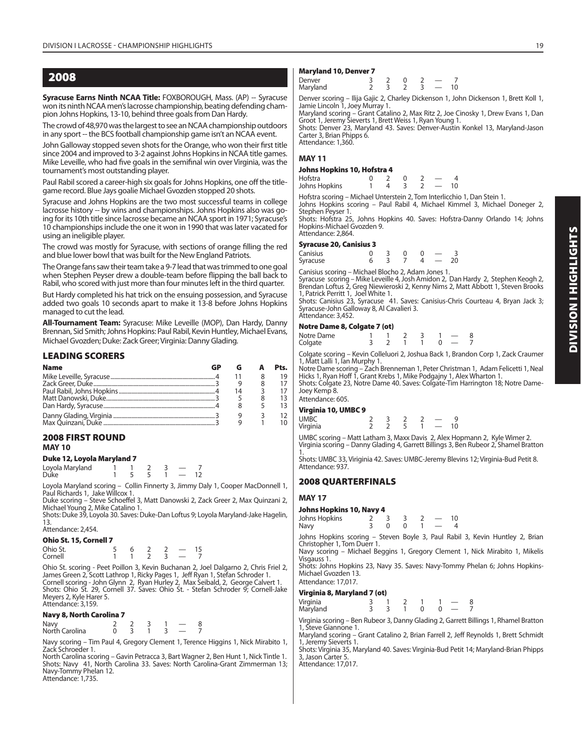**Syracuse Earns Ninth NCAA Title:** FOXBOROUGH, Mass. (AP) -- Syracuse won its ninth NCAA men's lacrosse championship, beating defending champion Johns Hopkins, 13-10, behind three goals from Dan Hardy.

The crowd of 48,970 was the largest to see an NCAA championship outdoors in any sport -- the BCS football championship game isn't an NCAA event.

John Galloway stopped seven shots for the Orange, who won their first title since 2004 and improved to 3-2 against Johns Hopkins in NCAA title games. Mike Leveille, who had five goals in the semifinal win over Virginia, was the tournament's most outstanding player.

Paul Rabil scored a career-high six goals for Johns Hopkins, one off the titlegame record. Blue Jays goalie Michael Gvozden stopped 20 shots.

Syracuse and Johns Hopkins are the two most successful teams in college lacrosse history -- by wins and championships. Johns Hopkins also was going for its 10th title since lacrosse became an NCAA sport in 1971; Syracuse's 10 championships include the one it won in 1990 that was later vacated for using an ineligible player.

The crowd was mostly for Syracuse, with sections of orange filling the red and blue lower bowl that was built for the New England Patriots.

The Orange fans saw their team take a 9-7 lead that was trimmed to one goal when Stephen Peyser drew a double-team before flipping the ball back to Rabil, who scored with just more than four minutes left in the third quarter.

But Hardy completed his hat trick on the ensuing possession, and Syracuse added two goals 10 seconds apart to make it 13-8 before Johns Hopkins managed to cut the lead.

**All-Tournament Team:** Syracuse: Mike Leveille (MOP), Dan Hardy, Danny Brennan, Sid Smith; Johns Hopkins: Paul Rabil, Kevin Huntley, Michael Evans, Michael Gvozden; Duke: Zack Greer; Virginia: Danny Glading.

#### **LEADING SCORERS**

| <b>Name</b> | GВ |    | Pts. |
|-------------|----|----|------|
|             |    |    | 19   |
|             |    |    |      |
|             |    | 14 |      |
|             |    |    |      |
|             |    |    |      |
|             |    |    |      |
|             |    |    |      |

#### **2008 FIRST ROUND MAY 10**

#### **Duke 12, Loyola Maryland 7**

Loyola Maryland 1 1 2 3 — 7 Duke 1 5 5 1 — 12

Loyola Maryland scoring – Collin Finnerty 3, Jimmy Daly 1, Cooper MacDonnell 1, Paul Richards 1, Jake Willcox 1.

Duke scoring – Steve Schoeffel 3, Matt Danowski 2, Zack Greer 2, Max Quinzani 2, Michael Young 2, Mike Catalino 1.

Shots: Duke 39, Loyola 30. Saves: Duke-Dan Loftus 9; Loyola Maryland-Jake Hagelin, 13. Attendance: 2,454.

# **Ohio St. 15, Cornell 7**

| -------<br>--------- |  |  |  |
|----------------------|--|--|--|
| Ohio St.             |  |  |  |
| Cornell              |  |  |  |

Ohio St. scoring - Peet Poillon 3, Kevin Buchanan 2, Joel Dalgarno 2, Chris Friel 2,<br>James Green 2, Scott Lathrop 1, Ricky Pages 1, Jeff Ryan 1, Stefan Schroder 1.<br>Cornell scoring - John Glynn 2, Ryan Hurley 2, Max Seibald Meyers 2, Kyle Harer 5. Attendance: 3,159.

#### **Navy 8, North Carolina 7**

Navy 2 2 3 1 — 8 Navy 2 2 3 1 - 8<br>North Carolina 0 3 1 3 - 7

Navy scoring – Tim Paul 4, Gregory Clement 1, Terence Higgins 1, Nick Mirabito 1, Zack Schroeder 1.

North Carolina scoring – Gavin Petracca 3, Bart Wagner 2, Ben Hunt 1, Nick Tintle 1. Shots: Navy 41, North Carolina 33. Saves: North Carolina-Grant Zimmerman 13; Navy-Tommy Phelan 12. Attendance: 1,735.

#### **Maryland 10, Denver 7**

| Denver   |  |  |    |
|----------|--|--|----|
| Maryland |  |  | 10 |

Denver scoring – Ilija Gajic 2, Charley Dickenson 1, John Dickenson 1, Brett Koll 1, Jamie Lincoln 1, Joey Murray 1.

Maryland scoring – Grant Catalino 2, Max Ritz 2, Joe Cinosky 1, Drew Evans 1, Dan<br>Groot 1, Jeremy Sieverts 1, Brett Weiss 1, Ryan Young 1.<br>Shots: Denver 23, Maryland 43. Saves: Denver-Austin Konkel 13, Maryland-Jason

Carter 3, Brian Phipps 6. Attendance: 1,360.

#### **MAY 11**

#### **Johns Hopkins 10, Hofstra 4**

| Hofstra       |  |  |  |
|---------------|--|--|--|
| Johns Hopkins |  |  |  |

Hofstra scoring – Michael Unterstein 2, Tom Interlicchio 1, Dan Stein 1. Johns Hopkins scoring – Paul Rabil 4, Michael Kimmel 3, Michael Doneger 2, Stephen Peyser 1.

Shots: Hofstra 25, Johns Hopkins 40. Saves: Hofstra-Danny Orlando 14; Johns Hopkins-Michael Gvozden 9. Attendance: 2,864.

#### **Syracuse 20, Canisius 3**

| Canisius |  |  |  |    |
|----------|--|--|--|----|
| Syracuse |  |  |  | 20 |
|          |  |  |  |    |

Canisius scoring – Michael Blocho 2, Adam Jones 1.<br>Syracuse scoring – Mike Leveille 4, Josh Amidon 2, Dan Hardy 2, Stephen Keogh 2,<br>Brendan Loftus 2, Greg Niewieroski 2, Kenny Nims 2, Matt Abbott 1, Steven Brooks 1, Patrick Perritt 1, Joel White 1.

Shots: Canisius 23, Syracuse 41. Saves: Canisius-Chris Courteau 4, Bryan Jack 3; Syracuse-John Galloway 8, Al Cavalieri 3. Attendance: 3,452.

#### **Notre Dame 8, Colgate 7 (ot)**

| Notre Dame |  |       | $1 \t1 \t2 \t3 \t1 - 8$ |  |  |
|------------|--|-------|-------------------------|--|--|
| Colgate    |  |       | 3 2 1 1 0 - 7           |  |  |
| $ -$       |  | - - - | .                       |  |  |

Colgate scoring – Kevin Colleluori 2, Joshua Back 1, Brandon Corp 1, Zack Craumer

1, Matt Lalli 1, län Murphy 1.<br>Notre Dame scoring – Zach Brenneman 1, Peter Christman 1, Adam Felicetti 1, Neal<br>Hicks 1, Ryan Hoff 1, Grant Krebs 1, Mike Podgajny 1, Alex Wharton 1. Shots: Colgate 23, Notre Dame 40. Saves: Colgate-Tim Harrington 18; Notre Dame-Joey Kemp 8.

Attendance: 605.

#### **Virginia 10, UMBC 9**

| *** 9***** ***/ ****** * |  |  |    |    |  |
|--------------------------|--|--|----|----|--|
| UMBC                     |  |  | __ |    |  |
| Virginia                 |  |  |    | 10 |  |

UMBC scoring – Matt Latham 3, Maxx Davis 2, Alex Hopmann 2, Kyle Wimer 2. Virginia scoring – Danny Glading 4, Garrett Billings 3, Ben Rubeor 2, Shamel Bratton 1.

Shots: UMBC 33, Viriginia 42. Saves: UMBC-Jeremy Blevins 12; Virginia-Bud Petit 8. Attendance: 937.

#### **2008 QUARTERFINALS**

#### **MAY 17**

| Johns Hopkins 10, Navy 4 |  |  |                          |    |
|--------------------------|--|--|--------------------------|----|
| Johns Hopkins            |  |  |                          | 10 |
| Navy                     |  |  | $\overline{\phantom{a}}$ |    |

Johns Hopkins scoring – Steven Boyle 3, Paul Rabil 3, Kevin Huntley 2, Brian Christopher 1, Tom Duerr 1.

Navy scoring – Michael Beggins 1, Gregory Clement 1, Nick Mirabito 1, Mikelis Visgauss 1.

Shots: Johns Hopkins 23, Navy 35. Saves: Navy-Tommy Phelan 6; Johns Hopkins-Michael Gvozden 13. Attendance: 17,017.

#### **Virginia 8, Maryland 7 (ot)**

Virginia 3 1 2 1 1 — 8 Maryland

Virginia scoring – Ben Rubeor 3, Danny Glading 2, Garrett Billings 1, Rhamel Bratton 1, Steve Giannone 1 Maryland scoring – Grant Catalino 2, Brian Farrell 2, Jeff Reynolds 1, Brett Schmidt

1, Jeremy Sieverts 1. Shots: Virginia 35, Maryland 40. Saves: Virginia-Bud Petit 14; Maryland-Brian Phipps

3, Jason Carter 5. Attendance: 17,017.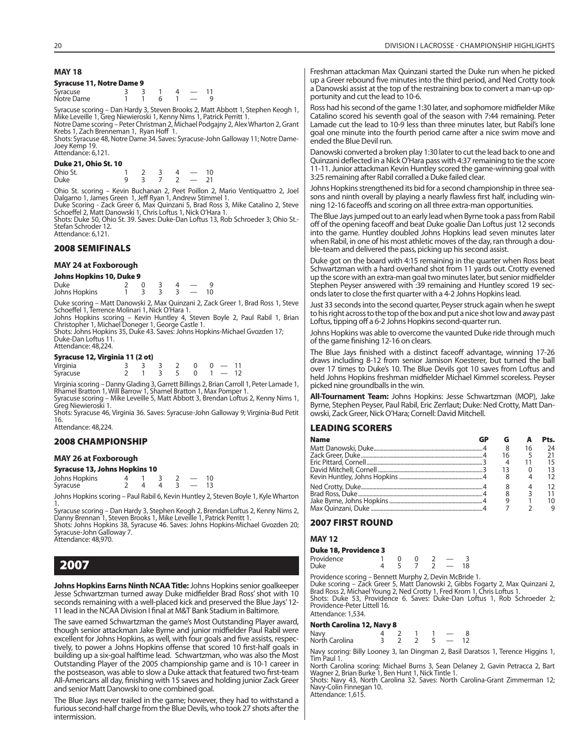#### **MAY 18**

#### **Syracuse 11, Notre Dame 9**

| Syracuse   |  |  |  |
|------------|--|--|--|
| Notre Dame |  |  |  |

Syracuse scoring – Dan Hardy 3, Steven Brooks 2, Matt Abbott 1, Stephen Keogh 1, Mike Leveille 1, Greg Niewieroski 1, Kenny Nims 1, Patrick Perritt 1. Notre Dame scoring – Peter Christman 2, Michael Podgajny 2, Alex Wharton 2, Grant

Krebs 1, Zach Brenneman 1, Ryan Hoff 1. Shots: Syracuse 48, Notre Dame 34. Saves: Syracuse-John Galloway 11; Notre Dame-

Joey Kemp 19. Attendance: 6,121.

#### **Duke 21, Ohio St. 10**

| Ohio St.    |  |  | $\overline{\phantom{a}}$ | 10 |
|-------------|--|--|--------------------------|----|
| <b>Duke</b> |  |  |                          |    |

Ohio St. scoring – Kevin Buchanan 2, Peet Poillon 2, Mario Ventiquattro 2, Joel<br>Dalgarno 1, James Green 1, Jeff Ryan 1, Andrew Stimmel 1.<br>Duke Scoring - Zack Greer 6, Max Quinzani 5, Brad Ross 3, Mike Catalino 2, Steve<br>Sch

Shots: Duke 50, Ohio St. 39. Saves: Duke-Dan Loftus 13, Rob Schroeder 3; Ohio St.- Stefan Schroder 12.

Attendance: 6,121.

#### **2008 SEMIFINALS**

#### **MAY 24 at Foxborough**

| Johns Hopkins 10, Duke 9 |  |  |  |  |  |    |  |  |  |
|--------------------------|--|--|--|--|--|----|--|--|--|
| Duke                     |  |  |  |  |  |    |  |  |  |
| Johns Hopkins            |  |  |  |  |  | 10 |  |  |  |

Duke scoring – Matt Danowski 2, Max Quinzani 2, Zack Greer 1, Brad Ross 1, Steve<br>Schoeffel 1, Terrence Molinari 1, Nick O'Hara 1.<br>Johns Hopkins scoring – Kevin Huntley 4, Steven Boyle 2, Paul Rabil 1, Brian<br>Christopher 1,

Duke-Dan Loftus 11. Attendance: 48,224.

#### **Syracuse 12, Virginia 11 (2 ot)**

| - - - - - - - |  |  |  |                  |          |  |
|---------------|--|--|--|------------------|----------|--|
| Virginia      |  |  |  | $0 \t 0 \t - 11$ |          |  |
| Syracuse      |  |  |  |                  | $1 - 12$ |  |

Virginia scoring – Danny Glading 3, Garrett Billings 2, Brian Carroll 1, Peter Lamade 1,<br>Rhamel Bratton 1, Will Barrow 1, Shamel Bratton 1, Max Pomper 1.<br>Syracuse scoring – Mike Leveille 5, Matt Abbott 3, Brendan Loftus 2,

Greg Niewieroski 1.

Shots: Syracuse 46, Virginia 36. Saves: Syracuse-John Galloway 9; Virginia-Bud Petit 16. Attendance: 48,224.

#### **2008 CHAMPIONSHIP**

#### **MAY 26 at Foxborough**

#### **Syracuse 13, Johns Hopkins 10**

| Johns Hopkins |  |  |  |
|---------------|--|--|--|
| Syracuse      |  |  |  |

Johns Hopkins scoring – Paul Rabil 6, Kevin Huntley 2, Steven Boyle 1, Kyle Wharton

1. Syracuse scoring – Dan Hardy 3, Stephen Keogh 2, Brendan Loftus 2, Kenny Nims 2, Danny Brennan 1, Steven Brooks 1, Mike Leveille 1, Patrick Perritt 1.

Shots: Johns Hopkins 38, Syracuse 46. Saves: Johns Hopkins-Michael Gvozden 20; Syracuse-John Galloway 7. Attendance: 48,970.

# **2007**

**Johns Hopkins Earns Ninth NCAA Title:** Johns Hopkins senior goalkeeper Jesse Schwartzman turned away Duke midfielder Brad Ross' shot with 10 seconds remaining with a well-placed kick and preserved the Blue Jays' 12- 11 lead in the NCAA Division I final at M&T Bank Stadium in Baltimore.

The save earned Schwartzman the game's Most Outstanding Player award, though senior attackman Jake Byrne and junior midfielder Paul Rabil were excellent for Johns Hopkins, as well, with four goals and five assists, respectively, to power a Johns Hopkins offense that scored 10 first-half goals in building up a six-goal halftime lead. Schwartzman, who was also the Most Outstanding Player of the 2005 championship game and is 10-1 career in the postseason, was able to slow a Duke attack that featured two first-team All-Americans all day, finishing with 15 saves and holding junior Zack Greer and senior Matt Danowski to one combined goal.

The Blue Jays never trailed in the game; however, they had to withstand a furious second-half charge from the Blue Devils, who took 27 shots after the intermission.

Freshman attackman Max Quinzani started the Duke run when he picked up a Greer rebound five minutes into the third period, and Ned Crotty took a Danowski assist at the top of the restraining box to convert a man-up opportunity and cut the lead to 10-6.

Ross had his second of the game 1:30 later, and sophomore midfielder Mike Catalino scored his seventh goal of the season with 7:44 remaining. Peter Lamade cut the lead to 10-9 less than three minutes later, but Rabil's lone goal one minute into the fourth period came after a nice swim move and ended the Blue Devil run.

Danowski converted a broken play 1:30 later to cut the lead back to one and Quinzani deflected in a Nick O'Hara pass with 4:37 remaining to tie the score 11-11. Junior attackman Kevin Huntley scored the game-winning goal with 3:25 remaining after Rabil corralled a Duke failed clear.

Johns Hopkins strengthened its bid for a second championship in three seasons and ninth overall by playing a nearly flawless first half, including winning 12-16 faceoffs and scoring on all three extra-man opportunities.

The Blue Jays jumped out to an early lead when Byrne took a pass from Rabil off of the opening faceoff and beat Duke goalie Dan Loftus just 12 seconds into the game. Huntley doubled Johns Hopkins lead seven minutes later when Rabil, in one of his most athletic moves of the day, ran through a double-team and delivered the pass, picking up his second assist.

Duke got on the board with 4:15 remaining in the quarter when Ross beat Schwartzman with a hard overhand shot from 11 yards out. Crotty evened up the score with an extra-man goal two minutes later, but senior midfielder Stephen Peyser answered with :39 remaining and Huntley scored 19 seconds later to close the first quarter with a 4-2 Johns Hopkins lead.

Just 33 seconds into the second quarter, Peyser struck again when he swept to his right across to the top of the box and put a nice shot low and away past Loftus, tipping off a 6-2 Johns Hopkins second-quarter run.

Johns Hopkins was able to overcome the vaunted Duke ride through much of the game finishing 12-16 on clears.

The Blue Jays finished with a distinct faceoff advantage, winning 17-26 draws including 8-12 from senior Jamison Koesterer, but turned the ball over 17 times to Duke's 10. The Blue Devils got 10 saves from Loftus and held Johns Hopkins freshman midfielder Michael Kimmel scoreless. Peyser picked nine groundballs in the win.

**All-Tournament Team:** Johns Hopkins: Jesse Schwartzman (MOP), Jake Byrne, Stephen Peyser, Paul Rabil, Eric Zerrlaut; Duke: Ned Crotty, Matt Danowski, Zack Greer, Nick O'Hara; Cornell: David Mitchell.

#### **LEADING SCORERS**

| <b>Name</b> |    |     | Pts. |
|-------------|----|-----|------|
|             | 8  | 16  | 24   |
|             | 16 | - 5 | 21   |
|             |    |     | 15   |
|             |    |     | 13   |
|             |    |     |      |
|             |    |     | 12   |
|             |    |     |      |
|             |    |     | 10   |
|             |    |     |      |

#### **2007 FIRST ROUND**

#### **MAY 12**

#### **Duke 18, Providence 3**

| Providence |  |  |    |
|------------|--|--|----|
| Duke       |  |  | 18 |

Providence scoring – Bennett Murphy 2, Devin McBride 1.<br>Duke scoring – Zack Greer 5, Matt Danowski 2, Gibbs Fogarty 2, Max Quinzani 2,<br>Brad Ross 2, Michael Young 2, Ned Crotty 1, Fred Krom 1, Chris Loftus 1.<br>Shots: Duke 53 Providence-Peter Littell 16. Attendance: 1,534.

# **North Carolina 12, Navy**

| North Carolina 12, Navy 8 |  |
|---------------------------|--|
| ، مرمل                    |  |

| Navy<br>North Carolina |  |  |  |
|------------------------|--|--|--|

Navy scoring: Billy Looney 3, Ian Dingman 2, Basil Daratsos 1, Terence Higgins 1, Tim Paul 1.

North Carolina scoring: Michael Burns 3, Sean Delaney 2, Gavin Petracca 2, Bart Wagner 2, Brian Burke 1, Ben Hunt 1, Nick Tintle 1. Shots: Navy 43, North Carolina 32. Saves: North Carolina-Grant Zimmerman 12;

Navy-Colin Finnegan 10. Attendance: 1,615.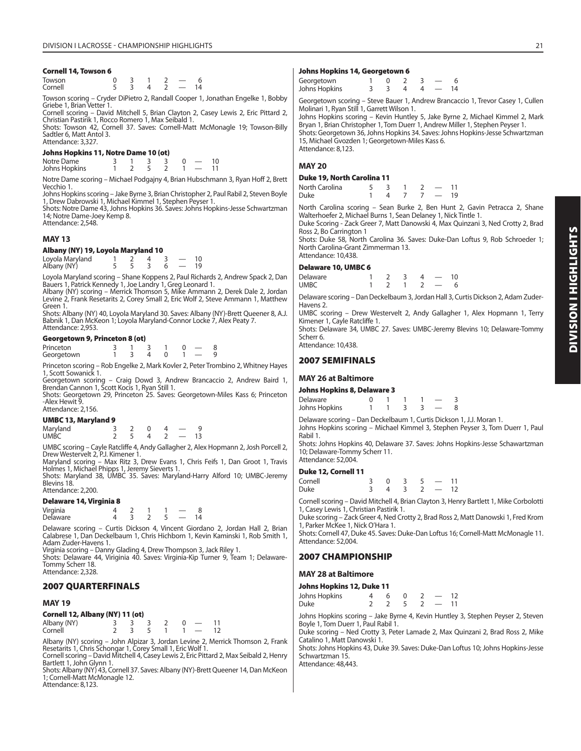#### **Cornell 14, Towson 6**

| Towson  |   | - |  |           |
|---------|---|---|--|-----------|
| Cornell | - | - |  | $\Lambda$ |

Towson scoring – Cryder DiPietro 2, Randall Cooper 1, Jonathan Engelke 1, Bobby Griebe 1, Brian Vetter 1.

Cornell scoring – David Mitchell 5, Brian Clayton 2, Casey Lewis 2, Eric Pittard 2, Christian Pastirik 1, Rocco Romero 1, Max Seibald 1.

Shots: Towson 42, Cornell 37. Saves: Cornell-Matt McMonagle 19; Towson-Billy Sadtler 6, Matt Antol 3. Attendance: 3,327.

#### **Johns Hopkins 11, Notre Dame 10 (ot)**

| Notre Dame    |  |  |  |  |
|---------------|--|--|--|--|
| Johns Hopkins |  |  |  |  |

Notre Dame scoring – Michael Podgajny 4, Brian Hubschmann 3, Ryan Hoff 2, Brett Vecchio 1.

Johns Hopkins scoring – Jake Byrne 3, Brian Christopher 2, Paul Rabil 2, Steven Boyle 1, Drew Dabrowski 1, Michael Kimmel 1, Stephen Peyser 1.

Shots: Notre Dame 43, Johns Hopkins 36. Saves: Johns Hopkins-Jesse Schwartzman 14; Notre Dame-Joey Kemp 8.

Attendance: 2,548.

#### **MAY 13**

#### **Albany (NY) 19, Loyola Maryland 10**

Loyola Maryland 1 2 4 3 — 10 Albany (NY) 5 5 3 6 — 19

Loyola Maryland scoring – Shane Koppens 2, Paul Richards 2, Andrew Spack 2, Dan

Bauers 1, Patrick Kennedy 1, Joe Landry 1, Greg Leonard 1. Albany (NY) scoring – Merrick Thomson 5, Mike Ammann 2, Derek Dale 2, Jordan Levine 2, Frank Resetarits 2, Corey Small 2, Eric Wolf 2, Steve Ammann 1, Matthew Green 1.

Shots: Albany (NY) 40, Loyola Maryland 30. Saves: Albany (NY)-Brett Queener 8, A.J. Babnik 1, Dan McKeon 1; Loyola Maryland-Connor Locke 7, Alex Peaty 7. Attendance: 2,953.

#### **Georgetown 9, Princeton 8 (ot)**

| _____      |  |  |  |  |
|------------|--|--|--|--|
| Princeton  |  |  |  |  |
| Georgetown |  |  |  |  |

Princeton scoring – Rob Engelke 2, Mark Kovler 2, Peter Trombino 2, Whitney Hayes 1, Scott Sowanick 1.

Georgetown scoring – Craig Dowd 3, Andrew Brancaccio 2, Andrew Baird 1, Brendan Cannon 1, Scott Kocis 1, Ryan Still 1.

Shots: Georgetown 29, Princeton 25. Saves: Georgetown-Miles Kass 6; Princeton -Alex Hewit 9. Attendance: 2,156.

#### **UMBC 13, Maryland 9**

| Maryland    |  |  |  |
|-------------|--|--|--|
| <b>UMBC</b> |  |  |  |

UMBC scoring – Cayle Ratcliffe 4, Andy Gallagher 2, Alex Hopmann 2, Josh Porcell 2, Drew Westervelt 2, P.J. Kimener 1.

Maryland scoring – Max Ritz 3, Drew Evans 1, Chris Feifs 1, Dan Groot 1, Travis Holmes 1, Michael Phipps 1, Jeremy Sieverts 1. Shots: Maryland 38, UMBC 35. Saves: Maryland-Harry Alford 10; UMBC-Jeremy

Blevins 18. Attendance: 2,200.

#### **Delaware 14, Virginia 8**

| Virginia |  |  |  |
|----------|--|--|--|
| Delaware |  |  |  |

Delaware scoring – Curtis Dickson 4, Vincent Giordano 2, Jordan Hall 2, Brian Calabrese 1, Dan Deckelbaum 1, Chris Hichborn 1, Kevin Kaminski 1, Rob Smith 1, Adam Zuder-Havens 1.

Virginia scoring – Danny Glading 4, Drew Thompson 3, Jack Riley 1.

Shots: Delaware 44, Viriginia 40. Saves: Virginia-Kip Turner 9, Team 1; Delaware-Tommy Scherr 18. Attendance: 2,328.

#### **2007 QUARTERFINALS**

#### **MAY 19**

#### **Cornell 12, Albany (NY) 11 (ot)**

| Albany (NY)<br>Cornell |  | 3 3 3 2 0 —                    |  |  |
|------------------------|--|--------------------------------|--|--|
|                        |  | $7 \times 5 \times 1 \times 1$ |  |  |

Albany (NY) scoring – John Alpizar 3, Jordan Levine 2, Merrick Thomson 2, Frank Resetarits 1, Chris Schongar 1, Corey Small 1, Eric Wolf 1.

Cornell scoring – David Mitchell 4, Casey Lewis 2, Eric Pittard 2, Max Seibald 2, Henry Bartlett 1, John Glynn 1.

Shots: Albany (NY) 43, Cornell 37. Saves: Albany (NY)-Brett Queener 14, Dan McKeon 1; Cornell-Matt McMonagle 12.

Attendance: 8,123.

#### **Johns Hopkins 14, Georgetown 6**

| Georgetown    |  |  |    |
|---------------|--|--|----|
| Johns Hopkins |  |  | 14 |

Georgetown scoring – Steve Bauer 1, Andrew Brancaccio 1, Trevor Casey 1, Cullen Molinari 1, Ryan Still 1, Garrett Wilson 1.

Johns Hopkins scoring – Kevin Huntley 5, Jake Byrne 2, Michael Kimmel 2, Mark Bryan 1, Brian Christopher 1, Tom Duerr 1, Andrew Miller 1, Stephen Peyser 1. Shots: Georgetown 36, Johns Hopkins 34. Saves: Johns Hopkins-Jesse Schwartzman

15, Michael Gvozden 1; Georgetown-Miles Kass 6. Attendance: 8,123.

#### **MAY 20**

#### **Duke 19, North Carolina 11**

| _______        |  |  |    |
|----------------|--|--|----|
| North Carolina |  |  |    |
| Duke           |  |  | 19 |

North Carolina scoring – Sean Burke 2, Ben Hunt 2, Gavin Petracca 2, Shane Walterhoefer 2, Michael Burns 1, Sean Delaney 1, Nick Tintle 1.

Duke Scoring - Zack Greer 7, Matt Danowski 4, Max Quinzani 3, Ned Crotty 2, Brad Ross 2, Bo Carrington 1

Shots: Duke 58, North Carolina 36. Saves: Duke-Dan Loftus 9, Rob Schroeder 1; North Carolina-Grant Zimmerman 13. Attendance: 10,438.

#### **Delaware 10, UMBC 6**

| . .<br>Delaware |  |  | $\sim$ $\sim$ | 10 |  |
|-----------------|--|--|---------------|----|--|
| UMBC            |  |  |               |    |  |

Delaware scoring – Dan Deckelbaum 3, Jordan Hall 3, Curtis Dickson 2, Adam Zuder-Havens 2.

UMBC scoring – Drew Westervelt 2, Andy Gallagher 1, Alex Hopmann 1, Terry Kimener 1, Cayle Ratcliffe 1.

Shots: Delaware 34, UMBC 27. Saves: UMBC-Jeremy Blevins 10; Delaware-Tommy Scherr 6.

#### Attendance: 10,438.

#### **2007 SEMIFINALS**

#### **MAY 26 at Baltimore**

#### **Johns Hopkins 8, Delaware 3**

| Delaware      |  |  |  |  |
|---------------|--|--|--|--|
| Johns Hopkins |  |  |  |  |

Delaware scoring – Dan Deckelbaum 1, Curtis Dickson 1, J.J. Moran 1. Johns Hopkins scoring – Michael Kimmel 3, Stephen Peyser 3, Tom Duerr 1, Paul Rabil 1.

Shots: Johns Hopkins 40, Delaware 37. Saves: Johns Hopkins-Jesse Schawartzman 10; Delaware-Tommy Scherr 11. Attendance: 52,004.

#### **Duke 12, Cornell 11**

| Cornell |  |  | $0 \quad 3 \quad 5 \quad - \quad 11$ |  |
|---------|--|--|--------------------------------------|--|
| Duke    |  |  | $4 \quad 3 \quad 2 \quad - \quad 12$ |  |

Cornell scoring – David Mitchell 4, Brian Clayton 3, Henry Bartlett 1, Mike Corbolotti 1, Casey Lewis 1, Christian Pastirik 1.

Duke scoring – Zack Greer 4, Ned Crotty 2, Brad Ross 2, Matt Danowski 1, Fred Krom 1, Parker McKee 1, Nick O'Hara 1.

Shots: Cornell 47, Duke 45. Saves: Duke-Dan Loftus 16; Cornell-Matt McMonagle 11. Attendance: 52,004.

#### **2007 CHAMPIONSHIP**

#### **MAY 28 at Baltimore**

#### **Johns Hopkins 12, Duke 11**

| Johns Hopkins | 6 |  | 12 |
|---------------|---|--|----|
| Duke          |   |  | 11 |

Johns Hopkins scoring – Jake Byrne 4, Kevin Huntley 3, Stephen Peyser 2, Steven Boyle 1, Tom Duerr 1, Paul Rabil 1.

Duke scoring – Ned Crotty 3, Peter Lamade 2, Max Quinzani 2, Brad Ross 2, Mike Catalino 1, Matt Danowski 1.

Shots: Johns Hopkins 43, Duke 39. Saves: Duke-Dan Loftus 10; Johns Hopkins-Jesse Schwartzman 15.

Attendance: 48,443.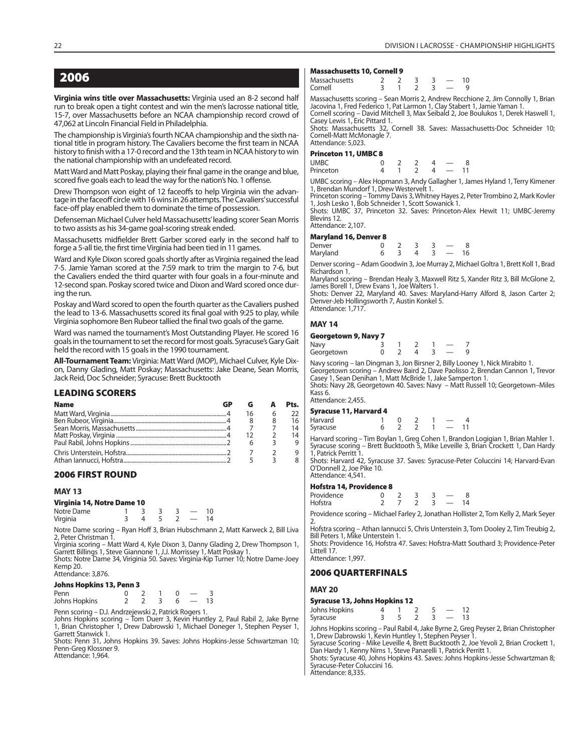**Virginia wins title over Massachusetts:** Virginia used an 8-2 second half run to break open a tight contest and win the men's lacrosse national title, 15-7, over Massachusetts before an NCAA championship record crowd of 47,062 at Lincoln Financial Field in Philadelphia.

The championship is Virginia's fourth NCAA championship and the sixth national title in program history. The Cavaliers become the first team in NCAA history to finish with a 17-0 record and the 13th team in NCAA history to win the national championship with an undefeated record.

Matt Ward and Matt Poskay, playing their final game in the orange and blue, scored five goals each to lead the way for the nation's No. 1 offense.

Drew Thompson won eight of 12 faceoffs to help Virginia win the advantage in the faceoff circle with 16 wins in 26 attempts. The Cavaliers' successful face-off play enabled them to dominate the time of possession.

Defenseman Michael Culver held Massachusetts' leading scorer Sean Morris to two assists as his 34-game goal-scoring streak ended.

Massachusetts midfielder Brett Garber scored early in the second half to forge a 5-all tie, the first time Virginia had been tied in 11 games.

Ward and Kyle Dixon scored goals shortly after as Virginia regained the lead 7-5. Jamie Yaman scored at the 7:59 mark to trim the margin to 7-6, but the Cavaliers ended the third quarter with four goals in a four-minute and 12-second span. Poskay scored twice and Dixon and Ward scored once during the run.

Poskay and Ward scored to open the fourth quarter as the Cavaliers pushed the lead to 13-6. Massachusetts scored its final goal with 9:25 to play, while Virginia sophomore Ben Rubeor tallied the final two goals of the game.

Ward was named the tournament's Most Outstanding Player. He scored 16 goals in the tournament to set the record for most goals. Syracuse's Gary Gait held the record with 15 goals in the 1990 tournament.

**All-Tournament Team:** Virginia: Matt Ward (MOP), Michael Culver, Kyle Dixon, Danny Glading, Matt Poskay; Massachusetts: Jake Deane, Sean Morris, Jack Reid, Doc Schneider; Syracuse: Brett Bucktooth

#### **LEADING SCORERS**

| <b>Name</b> |    | Pts. |
|-------------|----|------|
|             | 16 | 22   |
|             |    | 16   |
|             |    | 14   |
|             |    | 14   |
|             |    |      |
|             |    |      |
|             |    |      |

#### **2006 FIRST ROUND**

#### **MAY 13**

#### **Virginia 14, Notre Dame 10**

| $\ldots$ gives a $\ldots$ and $\ldots$ and $\ldots$ |  |  |    |
|-----------------------------------------------------|--|--|----|
| Notre Dame                                          |  |  | 10 |
| Virginia                                            |  |  | 14 |

Notre Dame scoring – Ryan Hoff 3, Brian Hubschmann 2, Matt Karweck 2, Bill Liva 2, Peter Christman T.<br>Virginia scoring – Matt Ward 4, Kyle Dixon 3, Danny Glading 2, Drew Thompson 1,

Garrett Billings 1, Steve Giannone 1, J.J. Morrissey 1, Matt Poskay 1.

Shots: Notre Dame 34, Viriginia 50. Saves: Virginia-Kip Turner 10; Notre Dame-Joey Kemp 20.

Attendance: 3,876.

#### **Johns Hopkins 13, Penn 3**

Penn 0 2 1 0 — 3 Johns Hopkins 2 2 3 6 — 13

Penn scoring – D.J. Andrzejewski 2, Patrick Rogers 1.

Johns Hopkins scoring - Tom Duerr 3, Kevin Huntley 2, Paul Rabil 2, Jake Bvrne 1, Brian Christopher 1, Drew Dabrowski 1, Michael Doneger 1, Stephen Peyser 1, Garrett Stanwick 1.

Shots: Penn 31, Johns Hopkins 39. Saves: Johns Hopkins-Jesse Schwartzman 10; Penn-Greg Klossner 9.

Attendance: 1,964.

#### **Massachusetts 10, Cornell 9**

| Massachusetts<br>Cornell |  |  |  |
|--------------------------|--|--|--|
|                          |  |  |  |

Massachusetts scoring – Sean Morris 2, Andrew Recchione 2, Jim Connolly 1, Brian Jacovina 1, Fred Federico 1, Pat Larmon 1, Clay Stabert 1, Jamie Yaman 1. Cornell scoring – David Mitchell 3, Max Seibald 2, Joe Boulukos 1, Derek Haswell 1,

Casey Lewis 1, Eric Pittard 1. Shots: Massachusetts 32, Cornell 38. Saves: Massachusetts-Doc Schneider 10; Cornell-Matt McMonagle 7. Attendance: 5,023.

#### **Princeton 11, UMBC 8**

| . <i>.,</i> . |  |  |  |
|---------------|--|--|--|
| <b>UMBC</b>   |  |  |  |
| Princeton     |  |  |  |

UMBC scoring – Alex Hopmann 3, Andy Gallagher 1, James Hyland 1, Terry Kimener 1, Brendan Mundorf 1, Drew Westervelt 1.

Princeton scoring – Tommy Davis 3, Whitney Hayes 2, Peter Trombino 2, Mark Kovler 1, Josh Lesko 1, Bob Schneider 1, Scott Sowanick 1. Shots: UMBC 37, Princeton 32. Saves: Princeton-Alex Hewit 11; UMBC-Jeremy

Blevins 12.

Attendance: 2,107.

| <b>Maryland 16, Denver 8</b> |  |   |  |    |
|------------------------------|--|---|--|----|
| Denver                       |  |   |  |    |
| Maryland                     |  | Δ |  | 16 |

Denver scoring – Adam Goodwin 3, Joe Murray 2, Michael Goltra 1, Brett Koll 1, Brad Richardson 1.

Maryland scoring – Brendan Healy 3, Maxwell Ritz 5, Xander Ritz 3, Bill McGlone 2, James Borell 1, Drew Evans 1, Joe Walters 1. Shots: Denver 22, Maryland 40. Saves: Maryland-Harry Alford 8, Jason Carter 2;

Denver-Jeb Hollingsworth 7, Austin Konkel 5. Attendance: 1,717.

#### **MAY 14**

#### **Georgetown 9, Navy 7**

| Navy       |  |  |  |
|------------|--|--|--|
| Georgetown |  |  |  |
|            |  |  |  |

Navy scoring – Ian Dingman 3, Jon Birsner 2, Billy Looney 1, Nick Mirabito 1.

Georgetown scoring – Andrew Baird 2, Dave Paolisso 2, Brendan Cannon 1, Trevor Casey 1, Sean Denihan 1, Matt McBride 1, Jake Samperton 1.

Shots: Navy 28, Georgetown 40. Saves: Navy – Matt Russell 10; Georgetown–Miles Kass 6.

Attendance: 2,455.

#### **Syracuse 11, Harvard 4**

| - - - - - - - |  |  |  |  |
|---------------|--|--|--|--|
| Harvard       |  |  |  |  |
| Syracuse      |  |  |  |  |

Harvard scoring – Tim Boylan 1, Greg Cohen 1, Brandon Logigian 1, Brian Mahler 1. Syracuse scoring - Brett Bucktooth 5, Mike Leveille 3, Brian Crockett 1, Dan Hardy 1, Patrick Perritt 1.

Shots: Harvard 42, Syracuse 37. Saves: Syracuse-Peter Coluccini 14; Harvard-Evan O'Donnell 2, Joe Pike 10. Attendance: 4,541.

#### **Hofstra 14, Providence 8**

| Providence<br>Hofstra |  |  | $\sim$ $\sim$ |    |
|-----------------------|--|--|---------------|----|
|                       |  |  |               | -- |

Providence scoring – Michael Farley 2, Jonathan Hollister 2, Tom Kelly 2, Mark Seyer

2. Hofstra scoring – Athan Iannucci 5, Chris Unterstein 3, Tom Dooley 2, Tim Treubig 2, Bill Peters 1, Mike Unterstein 1.

Shots: Providence 16, Hofstra 47. Saves: Hofstra-Matt Southard 3; Providence-Peter Littell 17. Attendance: 1,997.

#### **2006 QUARTERFINALS**

#### **MAY 20**

# **Syracuse 13, Johns Hopkins 12**

| Johns Hopkins |  |  |  |  |
|---------------|--|--|--|--|
| Syracuse      |  |  |  |  |

Johns Hopkins scoring – Paul Rabil 4, Jake Byrne 2, Greg Peyser 2, Brian Christopher 1, Drew Dabrowski 1, Kevin Huntley 1, Stephen Peyser 1. Syracuse Scoring - Mike Leveille 4, Brett Bucktooth 2, Joe Yevoli 2, Brian Crockett 1, Dan Hardy 1, Kenny Nims 1, Steve Panarelli 1, Patrick Perritt 1.

Shots: Syracuse 40, Johns Hopkins 43. Saves: Johns Hopkins-Jesse Schwartzman 8; Syracuse-Peter Coluccini 16.

Attendance: 8,335.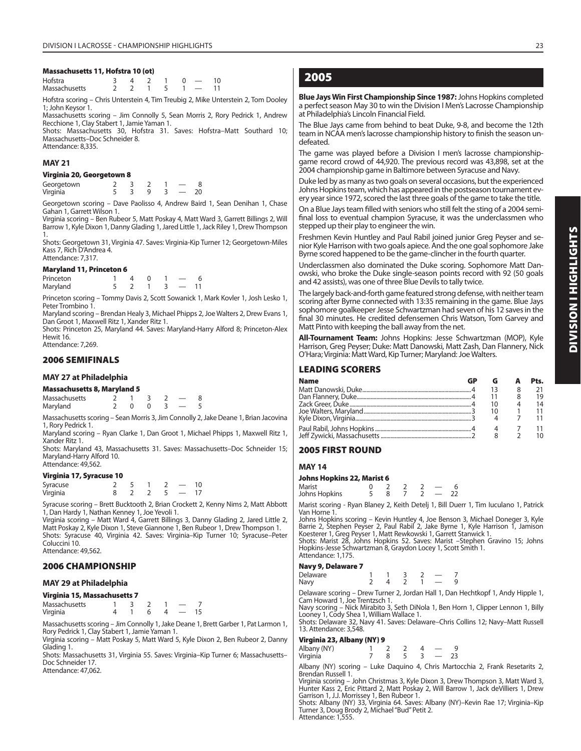#### **Massachusetts 11, Hofstra 10 (ot)**

| Hofstra       |  | 4 2 1 0 $-$                 |  | 10 |
|---------------|--|-----------------------------|--|----|
| Massachusetts |  | $1 \quad 5 \quad 1 \quad -$ |  |    |

Hofstra scoring – Chris Unterstein 4, Tim Treubig 2, Mike Unterstein 2, Tom Dooley 1; John Keysor 1.

Massachusetts scoring – Jim Connolly 5, Sean Morris 2, Rory Pedrick 1, Andrew Recchione 1, Clay Stabert 1, Jamie Yaman 1.

Shots: Massachusetts 30, Hofstra 31. Saves: Hofstra-Matt Southard 10; Massachusetts–Doc Schneider 8.

Attendance: 8,335.

#### **MAY 21**

#### **Virginia 20, Georgetown 8**

| Georgetown |  |  |  |
|------------|--|--|--|
| Virginia   |  |  |  |

Georgetown scoring – Dave Paolisso 4, Andrew Baird 1, Sean Denihan 1, Chase Gahan 1, Garrett Wilson 1.

Virginia scoring – Ben Rubeor 5, Matt Poskay 4, Matt Ward 3, Garrett Billings 2, Will Barrow 1, Kyle Dixon 1, Danny Glading 1, Jared Little 1, Jack Riley 1, Drew Thompson 1.

Shots: Georgetown 31, Virginia 47. Saves: Virginia-Kip Turner 12; Georgetown-Miles Kass 7, Rich D'Andrea 4. Attendance: 7,317.

#### **Maryland 11, Princeton 6**

| Princeton |  |  |  |
|-----------|--|--|--|
| Maryland  |  |  |  |

Princeton scoring – Tommy Davis 2, Scott Sowanick 1, Mark Kovler 1, Josh Lesko 1, Peter Trombino 1.

Maryland scoring – Brendan Healy 3, Michael Phipps 2, Joe Walters 2, Drew Evans 1, Dan Groot 1, Maxwell Ritz 1, Xander Ritz 1.

Shots: Princeton 25, Maryland 44. Saves: Maryland-Harry Alford 8; Princeton-Alex Hewit 16. Attendance: 7,269.

#### **2006 SEMIFINALS**

#### **MAY 27 at Philadelphia**

| <b>Massachusetts 8, Maryland 5</b> |  |              |  |  |  |  |  |  |
|------------------------------------|--|--------------|--|--|--|--|--|--|
| Massachusetts                      |  |              |  |  |  |  |  |  |
| Maryland                           |  | <sup>n</sup> |  |  |  |  |  |  |

Massachusetts scoring – Sean Morris 3, Jim Connolly 2, Jake Deane 1, Brian Jacovina 1, Rory Pedrick 1.

Maryland scoring – Ryan Clarke 1, Dan Groot 1, Michael Phipps 1, Maxwell Ritz 1, Xander Ritz 1.

Shots: Maryland 43, Massachusetts 31. Saves: Massachusetts–Doc Schneider 15; Maryland-Harry Alford 10. Attendance: 49,562

#### **Virginia 17, Syracuse 10**

| Syracuse |  |  |  |
|----------|--|--|--|
| Virginia |  |  |  |

Syracuse scoring – Brett Bucktooth 2, Brian Crockett 2, Kenny Nims 2, Matt Abbott 1, Dan Hardy 1, Nathan Kenney 1, Joe Yevoli 1.

Virginia scoring – Matt Ward 4, Garrett Billings 3, Danny Glading 2, Jared Little 2, Matt Poskay 2, Kyle Dixon 1, Steve Giannone 1, Ben Rubeor 1, Drew Thompson 1. Shots: Syracuse 40, Virginia 42. Saves: Virginia–Kip Turner 10; Syracuse–Peter Coluccini 10. Attendance: 49,562.

**2006 CHAMPIONSHIP**

#### **MAY 29 at Philadelphia**

#### **Virginia 15, Massachusetts 7**

| $\ldots$ gives $\ldots$ , increased and $\ldots$ |  |  |  |
|--------------------------------------------------|--|--|--|
| Massachusetts                                    |  |  |  |
| Virginia                                         |  |  |  |

Massachusetts scoring – Jim Connolly 1, Jake Deane 1, Brett Garber 1, Pat Larmon 1, Rory Pedrick 1, Clay Stabert 1, Jamie Yaman 1.

Virginia scoring – Matt Poskay 5, Matt Ward 5, Kyle Dixon 2, Ben Rubeor 2, Danny Glading 1.

Shots: Massachusetts 31, Virginia 55. Saves: Virginia–Kip Turner 6; Massachusetts– Doc Schneider 17.

Attendance: 47,062.

# **2005**

**Blue Jays Win First Championship Since 1987:** Johns Hopkins completed a perfect season May 30 to win the Division I Men's Lacrosse Championship at Philadelphia's Lincoln Financial Field.

The Blue Jays came from behind to beat Duke, 9-8, and become the 12th team in NCAA men's lacrosse championship history to finish the season undefeated.

The game was played before a Division I men's lacrosse championshipgame record crowd of 44,920. The previous record was 43,898, set at the 2004 championship game in Baltimore between Syracuse and Navy.

Duke led by as many as two goals on several occasions, but the experienced Johns Hopkins team, which has appeared in the postseason tournament every year since 1972, scored the last three goals of the game to take the title.

On a Blue Jays team filled with seniors who still felt the sting of a 2004 semifinal loss to eventual champion Syracuse, it was the underclassmen who stepped up their play to engineer the win.

Freshmen Kevin Huntley and Paul Rabil joined junior Greg Peyser and senior Kyle Harrison with two goals apiece. And the one goal sophomore Jake Byrne scored happened to be the game-clincher in the fourth quarter.

Underclassmen also dominated the Duke scoring. Sophomore Matt Danowski, who broke the Duke single-season points record with 92 (50 goals and 42 assists), was one of three Blue Devils to tally twice.

The largely back-and-forth game featured strong defense, with neither team scoring after Byrne connected with 13:35 remaining in the game. Blue Jays sophomore goalkeeper Jesse Schwartzman had seven of his 12 saves in the final 30 minutes. He credited defensemen Chris Watson, Tom Garvey and Matt Pinto with keeping the ball away from the net.

**All-Tournament Team:** Johns Hopkins: Jesse Schwartzman (MOP), Kyle Harrison, Greg Peyser; Duke: Matt Danowski, Matt Zash, Dan Flannery, Nick O'Hara; Virginia: Matt Ward, Kip Turner; Maryland: Joe Walters.

#### **LEADING SCORERS**

| <b>Name</b> | GP |    | Pts. |
|-------------|----|----|------|
|             |    |    | 21   |
|             |    |    | 19   |
|             |    | 10 | 14   |
|             |    |    | 11   |
|             |    |    |      |
|             |    |    |      |
|             |    |    | 10   |

#### **2005 FIRST ROUND**

#### **MAY 14**

**Johns Hopkins 22, Marist 6** Marist 0 2 2 2 — 6 Marist 0 2 2 2 - 6<br>Johns Hopkins 5 8 7 2 - 22

Marist scoring - Ryan Blaney 2, Keith Detelj 1, Bill Duerr 1, Tim Iuculano 1, Patrick

Van Horne 1. Johns Hopkins scoring – Kevin Huntley 4, Joe Benson 3, Michael Doneger 3, Kyle<br>Barrie 2, Stephen Peyser 2, Paul Rabil 2, Jake Byrne 1, Kyle Harrison 1, Jamison<br>Koesterer 1, Greg Peyser 1, Matt Rewkowski 1, Garrett Stanwick

Hopkins-Jesse Schwartzman 8, Graydon Locey 1, Scott Smith 1. Attendance: 1,175.

#### **Navy 9, Delaware 7**

| <br>Delaware |  |  |  |
|--------------|--|--|--|
| Navy         |  |  |  |

Delaware scoring – Drew Turner 2, Jordan Hall 1, Dan Hechtkopf 1, Andy Hipple 1, Cam Howard 1, Joe Trentzsch 1.

Navy scoring – Nick Mirabito 3, Seth DiNola 1, Ben Horn 1, Clipper Lennon 1, Billy Looney 1, Cody Shea 1, William Wallace 1.

Shots: Delaware 32, Navy 41. Saves: Delaware–Chris Collins 12; Navy–Matt Russell 13. Attendance: 3,548.

#### **Virginia 23, Albany (NY) 9**

| Albany (NY) |  |  |    |
|-------------|--|--|----|
| Virginia    |  |  | 23 |

Albany (NY) scoring – Luke Daquino 4, Chris Martocchia 2, Frank Resetarits 2, Brendan Russell 1.

Virginia scoring – John Christmas 3, Kyle Dixon 3, Drew Thompson 3, Matt Ward 3, Hunter Kass 2, Eric Pittard 2, Matt Poskay 2, Will Barrow 1, Jack deVilliers 1, Drew

Garrison 1, J.J. Morrissey 1, Ben Rubeor 1. Shots: Albany (NY) 33, Virginia 64. Saves: Albany (NY)–Kevin Rae 17; Virginia–Kip Turner 3, Doug Brody 2, Michael "Bud" Petit 2. Attendance: 1,555.

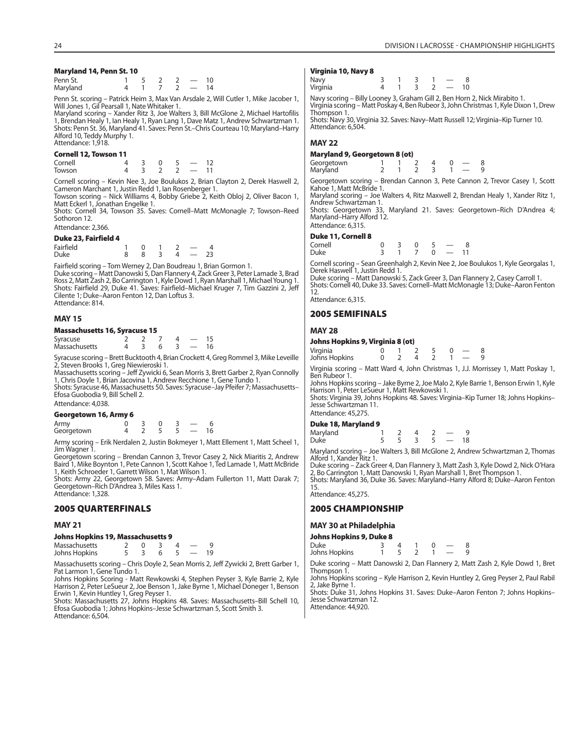#### **Maryland 14, Penn St. 10**

| Penn St. |  |  | 10 |
|----------|--|--|----|
| Maryland |  |  | 14 |

Penn St. scoring – Patrick Heim 3, Max Van Arsdale 2, Will Cutler 1, Mike Jacober 1, Will Jones 1, Gil Pearsall 1, Nate Whitaker 1.

Maryland scoring – Xander Ritz 3, Joe Walters 3, Bill McGlone 2, Michael Hartofilis 1, Brendan Healy 1, Ian Healy 1, Ryan Lang 1, Dave Matz 1, Andrew Schwartzman 1.<br>Shots: Penn St. 36, Maryland 41. Saves: Penn St.–Chris Courteau 10; Maryland–Harry Alford 10, Teddy Murphy 1. Attendance: 1,918.

#### **Cornell 12, Towson 11**

Cornell 4 3 0 5 – 12<br>Towson 4 3 2 2 – 11 Towson 4 3 2 2 — 11

Cornell scoring – Kevin Nee 3, Joe Boulukos 2, Brian Clayton 2, Derek Haswell 2, Cameron Marchant 1, Justin Redd 1, Ian Rosenberger 1.

Towson scoring – Nick Williams 4, Bobby Griebe 2, Keith Obloj 2, Oliver Bacon 1, Matt Eckerl 1, Jonathan Engelke 1.

Shots: Cornell 34, Towson 35. Saves: Cornell–Matt McMonagle 7; Towson–Reed Sothoron 12.

Attendance: 2,366.

#### **Duke 23, Fairfield 4**

| ______<br>___ |     |  |  |
|---------------|-----|--|--|
| Fairfield     | - 0 |  |  |
| <b>Duke</b>   |     |  |  |

Fairfield scoring – Tom Werney 2, Dan Boudreau 1, Brian Gormon 1.<br>Duke scoring – Matt Danowski 5, Dan Flannery 4, Zack Greer 3, Peter Lamade 3, Brad<br>Ross 2, Matt Zash 2, Bo Carrington 1, Kyle Dowd 1, Ryan Marshall 1, Micha Shots: Fairfield 29, Duke 41. Saves: Fairfield–Michael Kruger 7, Tim Gazzini 2, Jeff Cilente 1; Duke–Aaron Fenton 12, Dan Loftus 3. Attendance: 814.

#### **MAY 15**

#### **Massachusetts 16, Syracuse 15**

| Syracuse      |  |  |  |
|---------------|--|--|--|
| Massachusetts |  |  |  |

Syracuse scoring – Brett Bucktooth 4, Brian Crockett 4, Greg Rommel 3, Mike Leveille Steven Brooks 1, Greg Niewieroski 1.

Massachusetts scoring – Jeff Zywicki 6, Sean Morris 3, Brett Garber 2, Ryan Connolly 1, Chris Doyle 1, Brian Jacovina 1, Andrew Recchione 1, Gene Tundo 1. Shots: Syracuse 46, Massachusetts 50. Saves: Syracuse–Jay Pfeifer 7; Massachusetts– Efosa Guobodia 9, Bill Schell 2.

Attendance: 4,038.

#### **Georgetown 16, Army 6**

| Army       |  |  |  |
|------------|--|--|--|
| Georgetown |  |  |  |

Army scoring – Erik Nerdalen 2, Justin Bokmeyer 1, Matt Ellement 1, Matt Scheel 1, Jim Wagner 1.

Georgetown scoring – Brendan Cannon 3, Trevor Casey 2, Nick Miaritis 2, Andrew Baird 1, Mike Boynton 1, Pete Cannon 1, Scott Kahoe 1, Ted Lamade 1, Matt McBride 1, Keith Schroeder 1, Garrett Wilson 1, Mat Wilson 1.

Shots: Army 22, Georgetown 58. Saves: Army–Adam Fullerton 11, Matt Darak 7; Georgetown–Rich D'Andrea 3, Miles Kass 1. Attendance: 1,328.

#### **2005 QUARTERFINALS**

#### **MAY 21**

#### **Johns Hopkins 19, Massachusetts 9**

| Massachusetts |  |  |  |  |
|---------------|--|--|--|--|
| Johns Hopkins |  |  |  |  |

Massachusetts scoring – Chris Doyle 2, Sean Morris 2, Jeff Zywicki 2, Brett Garber 1, Pat Larmon 1, Gene Tundo 1.

Johns Hopkins Scoring - Matt Rewkowski 4, Stephen Peyser 3, Kyle Barrie 2, Kyle Harrison 2, Peter LeSueur 2, Joe Benson 1, Jake Byrne 1, Michael Doneger 1, Benson Erwin 1, Kevin Huntley 1, Greg Peyser 1.

Shots: Massachusetts 27, Johns Hopkins 48. Saves: Massachusetts–Bill Schell 10, Efosa Guobodia 1; Johns Hopkins–Jesse Schwartzman 5, Scott Smith 3. Attendance: 6,504.

#### **Virginia 10, Navy 8**

| Navy<br>Virginia |        |  |        |  |
|------------------|--------|--|--------|--|
|                  | $\sim$ |  | $\sim$ |  |

Navy scoring – Billy Looney 3, Graham Gill 2, Ben Horn 2, Nick Mirabito 1. Virginia scoring – Matt Poskay 4, Ben Rubeor 3, John Christmas 1, Kyle Dixon 1, Drew Thompson 1.

Shots: Navy 30, Virginia 32. Saves: Navy–Matt Russell 12; Virginia–Kip Turner 10. Attendance: 6,504.

## **MAY 22**

#### **Maryland 9, Georgetown 8 (ot)**

Georgetown 1 1 2 4 0 — 8<br>Maryland 2 1 2 3 1 — 9

Georgetown scoring – Brendan Cannon 3, Pete Cannon 2, Trevor Casey 1, Scott Kahoe 1, Matt McBride 1.

Andrew Schwartzman 1.

Maryland–Harry Alford 12. Attendance: 6,315.

#### **Duke 11, Cornell 8**

| Cornell<br>Duke |  | $\overline{0}$ | - 0 | $\sim$ $-$ |  |
|-----------------|--|----------------|-----|------------|--|
|                 |  |                |     |            |  |

Derek Haswell 1, Justin Redd 1.

Shots: Cornell 40, Duke 33. Saves: Cornell–Matt McMonagle 13; Duke–Aaron Fenton 12.

Attendance: 6,315.

#### **2005 SEMIFINALS**

# **MAY 28**

| Johns Hopkins 9, Virginia 8 (ot) |  |  |  |  |  |  |    |  |  |
|----------------------------------|--|--|--|--|--|--|----|--|--|
| Virginia                         |  |  |  |  |  |  | -8 |  |  |
| Johns Hopkins                    |  |  |  |  |  |  | 9  |  |  |

**Johns Hopkins 9, Virginia 8 (ot)** 

Virginia scoring – Matt Ward 4, John Christmas 1, J.J. Morrissey 1, Matt Poskay 1, Ben Rubeor 1.

Johns Hopkins scoring – Jake Byrne 2, Joe Malo 2, Kyle Barrie 1, Benson Erwin 1, Kyle Harrison 1, Peter LeSueur 1, Matt Rewkowski 1.

Shots: Virginia 39, Johns Hopkins 48. Saves: Virginia–Kip Turner 18; Johns Hopkins– Jesse Schwartzman 11. Attendance: 45,275.

#### **Duke 18, Maryland 9**

| Maryland |  |  |  |
|----------|--|--|--|
| Duke     |  |  |  |

Maryland scoring – Joe Walters 3, Bill McGlone 2, Andrew Schwartzman 2, Thomas Alford 1, Xander Ritz 1.

Duke scoring – Zack Greer 4, Dan Flannery 3, Matt Zash 3, Kyle Dowd 2, Nick O'Hara 2, Bo Carrington 1, Matt Danowski 1, Ryan Marshall 1, Bret Thompson 1. Shots: Maryland 36, Duke 36. Saves: Maryland–Harry Alford 8; Duke–Aaron Fenton

15. Attendance: 45,275.

#### **2005 CHAMPIONSHIP**

#### **MAY 30 at Philadelphia**

#### **Johns Hopkins 9, Duke 8**

| Duke          |  |  |  |  |
|---------------|--|--|--|--|
| Johns Hopkins |  |  |  |  |

Duke scoring – Matt Danowski 2, Dan Flannery 2, Matt Zash 2, Kyle Dowd 1, Bret Thompson 1.

Johns Hopkins scoring – Kyle Harrison 2, Kevin Huntley 2, Greg Peyser 2, Paul Rabil 2, Jake Byrne 1.

Shots: Duke 31, Johns Hopkins 31. Saves: Duke-Aaron Fenton 7; Johns Hopkins-Jesse Schwartzman 12. Attendance: 44,920.

Maryland

Maryland scoring – Joe Walters 4, Ritz Maxwell 2, Brendan Healy 1, Xander Ritz 1,

Shots: Georgetown 33, Maryland 21. Saves: Georgetown–Rich D'Andrea 4;

| ornell | $\mathcal{R}$ | $\overline{0}$ |     |    |
|--------|---------------|----------------|-----|----|
| uke    |               |                | - 0 | 11 |

Cornell scoring – Sean Greenhalgh 2, Kevin Nee 2, Joe Boulukos 1, Kyle Georgalas 1,

Duke scoring – Matt Danowski 5, Zack Greer 3, Dan Flannery 2, Casey Carroll 1.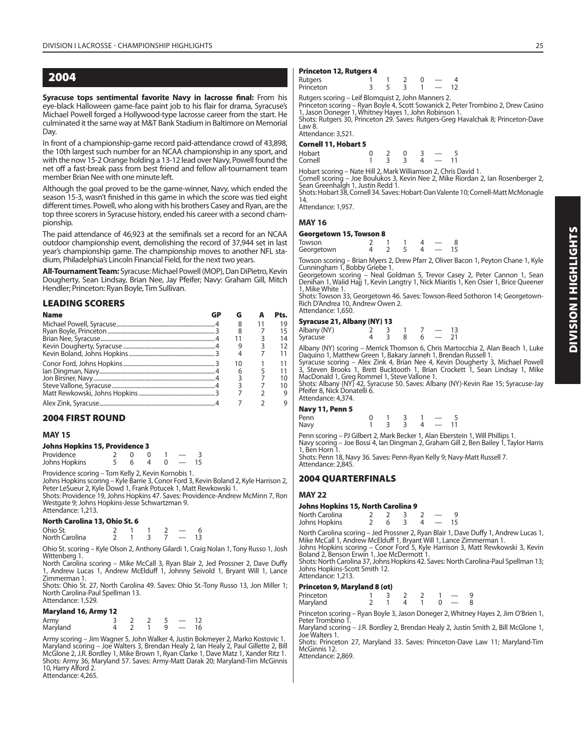**Syracuse tops sentimental favorite Navy in lacrosse final:** From his eye-black Halloween game-face paint job to his flair for drama, Syracuse's Michael Powell forged a Hollywood-type lacrosse career from the start. He culminated it the same way at M&T Bank Stadium in Baltimore on Memorial Day.

In front of a championship-game record paid-attendance crowd of 43,898, the 10th largest such number for an NCAA championship in any sport, and with the now 15-2 Orange holding a 13-12 lead over Navy, Powell found the net off a fast-break pass from best friend and fellow all-tournament team member Brian Nee with one minute left.

Although the goal proved to be the game-winner, Navy, which ended the season 15-3, wasn't finished in this game in which the score was tied eight different times. Powell, who along with his brothers Casey and Ryan, are the top three scorers in Syracuse history, ended his career with a second championship.

The paid attendance of 46,923 at the semifinals set a record for an NCAA outdoor championship event, demolishing the record of 37,944 set in last year's championship game. The championship moves to another NFL stadium, Philadelphia's Lincoln Financial Field, for the next two years.

**All-Tournament Team:** Syracuse: Michael Powell (MOP), Dan DiPietro, Kevin Dougherty, Sean Lindsay, Brian Nee, Jay Pfeifer; Navy: Graham Gill, Mitch Hendler; Princeton: Ryan Boyle, Tim Sullivan.

#### **LEADING SCORERS**

| <b>Name</b> |    | Pts. |
|-------------|----|------|
|             | 8  | 19   |
|             | 8  | 15   |
|             |    | 14   |
|             |    | 12   |
|             |    |      |
|             | 10 | 11   |
|             | 6  | 11   |
|             |    | 10   |
|             |    | 10   |
|             |    | 9    |
|             |    |      |

#### **2004 FIRST ROUND**

#### **MAY 15**

#### **Johns Hopkins 15, Providence 3**

| Providence    |  |  |  |
|---------------|--|--|--|
| Johns Hopkins |  |  |  |

Providence scoring – Tom Kelly 2, Kevin Kornobis 1.

Johns Hopkins scoring – Kyle Barrie 3, Conor Ford 3, Kevin Boland 2, Kyle Harrison 2, Peter LeSueur 2, Kyle Dowd 1, Frank Potucek 1, Matt Rewkowski 1.

Shots: Providence 19, Johns Hopkins 47. Saves: Providence-Andrew McMinn 7, Ron Westgate 9; Johns Hopkins-Jesse Schwartzman 9. Attendance: 1,213.

#### **North Carolina 13, Ohio St. 6**

| Ohio St.       |  |  |  |
|----------------|--|--|--|
| North Carolina |  |  |  |

Ohio St. scoring – Kyle Olson 2, Anthony Gilardi 1, Craig Nolan 1, Tony Russo 1, Josh Wittenberg 1.

North Carolina scoring – Mike McCall 3, Ryan Blair 2, Jed Prossner 2, Dave Duffy 1, Andrew Lucas 1, Andrew McElduff 1, Johnny Seivold 1, Bryant Will 1, Lance Zimmerman 1.

Shots: Ohio St. 27, North Carolina 49. Saves: Ohio St.-Tony Russo 13, Jon Miller 1; North Carolina-Paul Spellman 13.

# Attendance: 1,529.

#### **Maryland 16, Army 12**

| Army<br>Maryland |  |  | 16 |
|------------------|--|--|----|

Army scoring – Jim Wagner 5, John Walker 4, Justin Bokmeyer 2, Marko Kostovic 1. Maryland scoring – Joe Walters 3, Brendan Healy 2, Ian Healy 2, Paul Gillette 2, Bill McGlone 2, J.R. Bordley 1, Mike Brown 1, Ryan Clarke 1, Dave Matz 1, Xander Ritz 1. Shots: Army 36, Maryland 57. Saves: Army-Matt Darak 20; Maryland-Tim McGinnis 10, Harry Alford 2. Attendance: 4,265.

#### **Princeton 12, Rutgers 4**

| Rutgers<br>Princeton | -- |  |  |  |
|----------------------|----|--|--|--|
|                      |    |  |  |  |

Rutgers scoring – Leif Blomquist 2, John Manners 2. Princeton scoring – Ryan Boyle 4, Scott Sowanick 2, Peter Trombino 2, Drew Casino

1, Jason Doneger 1, Whitney Hayes 1, John Robinson 1.

Shots: Rutgers 30, Princeton 29. Saves: Rutgers-Greg Havalchak 8; Princeton-Dave Law 8.

Attendance: 3,521. **Cornell 11, Hobart 5**

| כטוווכוו וויווואט נושט |  |  |  |
|------------------------|--|--|--|
| Hobart                 |  |  |  |
| Cornell                |  |  |  |

Hobart scoring – Nate Hill 2, Mark Williamson 2, Chris David 1. Cornell scoring – Joe Boulukos 3, Kevin Nee 2, Mike Riordan 2, Ian Rosenberger 2,

Sean Greenhalgh 1, Justin Redd 1. Shots: Hobart 38, Cornell 34. Saves: Hobart-Dan Valente 10; Cornell-Matt McMonagle

14. Attendance: 1,957.

# **MAY 16**

#### **Georgetown 15, Towson 8**

| lowson     |  |  |  |
|------------|--|--|--|
| Georgetown |  |  |  |

Towson scoring – Brian Myers 2, Drew Pfarr 2, Oliver Bacon 1, Peyton Chane 1, Kyle

Cunningham 1, Bobby Griebe 1. Georgetown scoring – Neal Goldman 5, Trevor Casey 2, Peter Cannon 1, Sean Denihan 1, Walid Hajj 1, Kevin Langtry 1, Nick Miaritis 1, Ken Osier 1, Brice Queener 1, Mike White 1.

Shots: Towson 33, Georgetown 46. Saves: Towson-Reed Sothoron 14; Georgetown-Rich D'Andrea 10, Andrew Owen 2. Attendance: 1,650.

#### **Syracuse 21, Albany (NY) 13**

| Albany (NY) |  |  |  |
|-------------|--|--|--|
| Syracuse    |  |  |  |
|             |  |  |  |

Albany (NY) scoring – Merrick Thomson 6, Chris Martocchia 2, Alan Beach 1, Luke Daquino 1, Matthew Green 1, Bakary Janneh 1, Brendan Russell 1. Syracuse scoring – Alex Zink 4, Brian Nee 4, Kevin Dougherty 3, Michael Powell

3, Steven Brooks 1, Brett Bucktooth 1, Brian Crockett 1, Sean Lindsay 1, Mike MacDonald 1, Greg Rommel 1, Steve Vallone 1. Shots: Albany (NY) 42, Syracuse 50. Saves: Albany (NY)-Kevin Rae 15; Syracuse-Jay

Pfeifer 8, Nick Donatelli 6. Attendance: 4,374.

#### **Navy 11, Penn 5**

| Penn |  | 1 3 1 | $\sim$ $\sim$                                |  |
|------|--|-------|----------------------------------------------|--|
| Navy |  |       | $1 \quad 3 \quad 3 \quad 4 \quad - \quad 11$ |  |

Penn scoring – PJ Gilbert 2, Mark Becker 1, Alan Eberstein 1, Will Phillips 1. Navy scoring – Joe Bossi 4, Ian Dingman 2, Graham Gill 2, Ben Bailey 1, Taylor Harris 1, Ben Horn

Shots: Penn 18, Navy 36. Saves: Penn-Ryan Kelly 9; Navy-Matt Russell 7. Attendance: 2,845.

#### **2004 QUARTERFINALS**

#### **MAY 22**

#### **Johns Hopkins 15, North Carolina 9**

| North Carolina |  |  |  |  |
|----------------|--|--|--|--|
| Johns Hopkins  |  |  |  |  |

North Carolina scoring – Jed Prossner 2, Ryan Blair 1, Dave Duffy 1, Andrew Lucas 1, Mike McCall 1, Andrew McElduff 1, Bryant Will 1, Lance Zimmerman 1.

Johns Hopkins scoring – Conor Ford 5, Kyle Harrison 3, Matt Rewkowski 3, Kevin Boland 2, Benson Erwin 1, Joe McDermott 1.

Shots: North Carolina 37, Johns Hopkins 42. Saves: North Carolina-Paul Spellman 13; Johns Hopkins-Scott Smith 12. Attendance: 1,213.

#### **Princeton 9, Maryland 8 (ot)**

| Princeton |  |  |  |  |   |
|-----------|--|--|--|--|---|
| Maryland  |  |  |  |  | ጸ |

Princeton scoring – Ryan Boyle 3, Jason Doneger 2, Whitney Hayes 2, Jim O'Brien 1, Peter Trombino 1

Maryland scoring – J.R. Bordley 2, Brendan Healy 2, Justin Smith 2, Bill McGlone 1, Joe Walters 1.

Shots: Princeton 27, Maryland 33. Saves: Princeton-Dave Law 11; Maryland-Tim McGinnis 12.

Attendance: 2,869.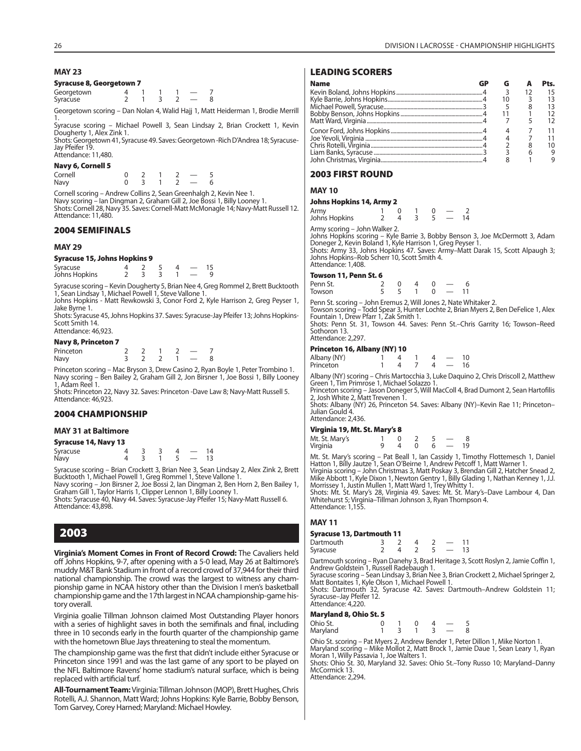#### **MAY 23**

#### **Syracuse 8, Georgetown 7**

| Georgetown |  |  |  |
|------------|--|--|--|
| Syracuse   |  |  |  |

Georgetown scoring – Dan Nolan 4, Walid Hajj 1, Matt Heiderman 1, Brodie Merrill 1. Syracuse scoring – Michael Powell 3, Sean Lindsay 2, Brian Crockett 1, Kevin

Dougherty 1, Alex Zink 1.

Shots: Georgetown 41, Syracuse 49. Saves: Georgetown -Rich D'Andrea 18; Syracuse-Jay Pfeifer 19 Attendance: 11,480.

#### **Navy 6, Cornell 5**

| Cornell |  |  |  |
|---------|--|--|--|
| Navy    |  |  |  |

Cornell scoring – Andrew Collins 2, Sean Greenhalgh 2, Kevin Nee 1.<br>Navy scoring – Ian Dingman 2, Graham Gill 2, Joe Bossi 1, Billy Looney 1.<br>Shots: Cornell 28, Navy 35. Saves: Cornell-Matt McMonagle 14; Navy-Matt Russell Attendance: 11,480.

#### **2004 SEMIFINALS**

#### **MAY 29**

#### **Syracuse 15, Johns Hopkins 9**

| Syracuse      |  |  |  |
|---------------|--|--|--|
| Johns Hopkins |  |  |  |

Syracuse scoring – Kevin Dougherty 5, Brian Nee 4, Greg Rommel 2, Brett Bucktooth 1, Sean Lindsay 1, Michael Powell 1, Steve Vallone 1. Johns Hopkins - Matt Rewkowski 3, Conor Ford 2, Kyle Harrison 2, Greg Peyser 1,

Jake Byrne 1.

Shots: Syracuse 45, Johns Hopkins 37. Saves: Syracuse-Jay Pfeifer 13; Johns Hopkins-Scott Smith 14. Attendance: 46,923.

#### **Navy 8, Princeton 7**

| <i>., ., .</i> |  |  |  |
|----------------|--|--|--|
| Princeton      |  |  |  |
| Navy           |  |  |  |

Princeton scoring – Mac Bryson 3, Drew Casino 2, Ryan Boyle 1, Peter Trombino 1. Navy scoring – Ben Bailey 2, Graham Gill 2, Jon Birsner 1, Joe Bossi 1, Billy Looney 1, Adam Reel 1.

Shots: Princeton 22, Navy 32. Saves: Princeton -Dave Law 8; Navy-Matt Russell 5. Attendance: 46,923.

#### **2004 CHAMPIONSHIP**

#### **MAY 31 at Baltimore**

#### **Syracuse 14, Navy 13**

| Syracuse |  |  |  |  |
|----------|--|--|--|--|
| Navy     |  |  |  |  |

Syracuse scoring – Brian Crockett 3, Brian Nee 3, Sean Lindsay 2, Alex Zink 2, Brett Bucktooth 1, Michael Powell 1, Greg Rommel 1, Steve Vallone 1.

Navy scoring – Jon Birsner 2, Joe Bossi 2, Ian Dingman 2, Ben Horn 2, Ben Bailey 1,<br>Graham Gill 1, Taylor Harris 1, Clipper Lennon 1, Billy Looney 1.<br>Shots: Syracuse 40, Navy 44. Saves: Syracuse-Jay Pfeifer 15; Navy-Matt R

Attendance: 43,898.

# **2003**

**Virginia's Moment Comes in Front of Record Crowd:** The Cavaliers held off Johns Hopkins, 9-7, after opening with a 5-0 lead, May 26 at Baltimore's muddy M&T Bank Stadium in front of a record crowd of 37,944 for their third national championship. The crowd was the largest to witness any championship game in NCAA history other than the Division I men's basketball championship game and the 17th largest in NCAA championship-game history overall.

Virginia goalie Tillman Johnson claimed Most Outstanding Player honors with a series of highlight saves in both the semifinals and final, including three in 10 seconds early in the fourth quarter of the championship game with the hometown Blue Jays threatening to steal the momentum.

The championship game was the first that didn't include either Syracuse or Princeton since 1991 and was the last game of any sport to be played on the NFL Baltimore Ravens' home stadium's natural surface, which is being replaced with artificial turf.

**All-Tournament Team:** Virginia: Tillman Johnson (MOP), Brett Hughes, Chris Rotelli, A.J. Shannon, Matt Ward; Johns Hopkins: Kyle Barrie, Bobby Benson, Tom Garvey, Corey Harned; Maryland: Michael Howley.

#### **LEADING SCORERS**

| <b>Name</b> |  |   | Pts. |
|-------------|--|---|------|
|             |  |   |      |
|             |  |   |      |
|             |  | 8 |      |
|             |  |   |      |
|             |  |   |      |
|             |  |   |      |
|             |  |   |      |
|             |  |   |      |
|             |  |   |      |
|             |  |   |      |

#### **2003 FIRST ROUND**

#### **MAY 10**

#### **Johns Hopkins 14, Army 2**

| Army<br>Johns Hopkins |  |  |  |
|-----------------------|--|--|--|

Army scoring – John Walker 2.

Johns Hopkins scoring – Kyle Barrie 3, Bobby Benson 3, Joe McDermott 3, Adam Doneger 2, Kevin Boland 1, Kyle Harrison 1, Greg Peyser 1. Shots: Army 33, Johns Hopkins 47. Saves: Army–Matt Darak 15, Scott Alpaugh 3;

Johns Hopkins–Rob Scherr 10, Scott Smith 4. Attendance: 1,408.

#### **Towson 11, Penn St. 6**

|               |  | $\overline{\phantom{0}}$ |  |
|---------------|--|--------------------------|--|
| ----- - - - - |  |                          |  |

Penn St. scoring – John Eremus 2, Will Jones 2, Nate Whitaker 2. Towson scoring – Todd Spear 3, Hunter Lochte 2, Brian Myers 2, Ben DeFelice 1, Alex Fountain 1, Drew Pfarr 1, Zak Smith 1.

Shots: Penn St. 31, Towson 44. Saves: Penn St.–Chris Garrity 16; Towson–Reed Sothoron 13. Attendance: 2,297.

#### **Princeton 16, Albany (NY) 10**

| Albany (NY) |  |  |  |  |
|-------------|--|--|--|--|
| Princeton   |  |  |  |  |

Albany (NY) scoring – Chris Martocchia 3, Luke Daquino 2, Chris Driscoll 2, Matthew Green 1, Tim Primrose 1, Michael Solazzo 1.

Princeton scoring – Jason Doneger 5, Will MacColl 4, Brad Dumont 2, Sean Hartofilis 2, Josh White 2, Matt Trevenen 1.

Shots: Albany (NY) 26, Princeton 54. Saves: Albany (NY)–Kevin Rae 11; Princeton– Julian Gould 4. Attendance: 2,436.

# **Virginia 19, Mt. St. Mary's 8**

| virgina 12, Mt. Jt. Maryso |  |  |    |
|----------------------------|--|--|----|
| Mt. St. Mary's             |  |  |    |
| Virginia                   |  |  | 19 |

Mt. St. Mary's scoring – Pat Beall 1, Ian Cassidy 1, Timothy Flottemesch 1, Daniel<br>Hatton 1, Billy Jautze 1, Sean O'Beirne 1, Andrew Petcoff 1, Matt Warner 1.<br>Virginia scoring – John Christmas 3, Matt Poskay 3, Brendan Gil Morrissey 1, Justin Mullen 1, Matt Ward 1, Trey Whitty 1.

Shots: Mt. St. Mary's 28, Virginia 49. Saves: Mt. St. Mary's–Dave Lambour 4, Dan Whitehurst 5; Virginia–Tillman Johnson 3, Ryan Thompson 4. Attendance: 1,155.

#### **MAY 11**

#### **Syracuse 13, Dartmouth 11**

| Dartmouth |  |  |  |
|-----------|--|--|--|
| Syracuse  |  |  |  |

Dartmouth scoring – Ryan Danehy 3, Brad Heritage 3, Scott Roslyn 2, Jamie Coffin 1, Andrew Goldstein 1, Russell Radebaugh 1.

Syracuse scoring – Sean Lindsay 3, Brian Nee 3, Brian Crockett 2, Michael Springer 2, Matt Bontaites 1, Kyle Olson 1, Michael Powell 1. Shots: Dartmouth 32, Syracuse 42. Saves: Dartmouth–Andrew Goldstein 11;

Syracuse–Jay Pfeifer 12. Attendance: 4,220.

**Maryland 8, Ohio St. 5**

| Ohio St. |  |  |  |
|----------|--|--|--|
| Maryland |  |  |  |

Ohio St. scoring – Pat Myers 2, Andrew Bender 1, Peter Dillon 1, Mike Norton 1. Maryland scoring – Mike Mollot 2, Matt Brock 1, Jamie Daue 1, Sean Leary 1, Ryan Moran 1, Willy Passavia 1, Joe Walters 1. Shots: Ohio St. 30, Maryland 32. Saves: Ohio St.–Tony Russo 10; Maryland–Danny

McCormick 13. Attendance: 2,294.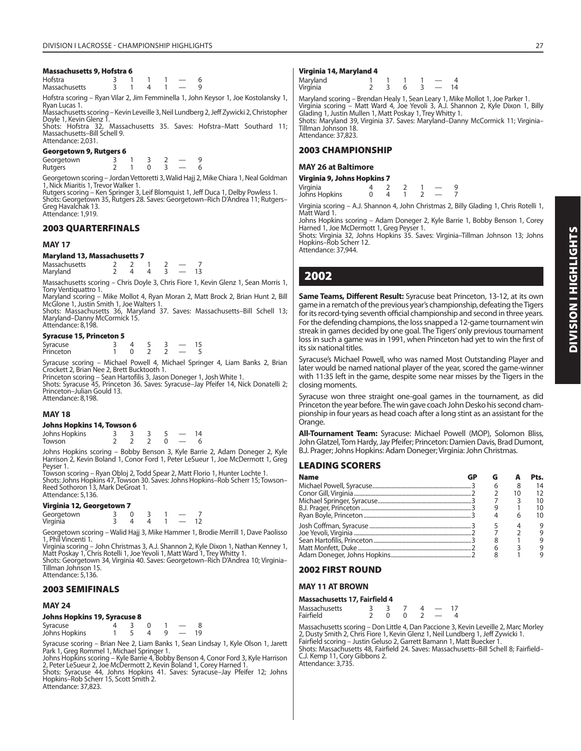#### **Massachusetts 9, Hofstra 6**

| Hofstra       |  |  |  |
|---------------|--|--|--|
| Massachusetts |  |  |  |

Hofstra scoring – Ryan Vilar 2, Jim Femminella 1, John Keysor 1, Joe Kostolansky 1, Ryan Lucas 1.

Massachusetts scoring – Kevin Leveille 3, Neil Lundberg 2, Jeff Zywicki 2, Christopher Doyle 1, Kevin Glenz 1.

Shots: Hofstra 32, Massachusetts 35. Saves: Hofstra–Matt Southard 11; Massachusetts–Bill Schell 9. Attendance: 2,031.

#### **Georgetown 9, Rutgers 6**

Georgetown 3 1 3 2 - 9<br>Rutgers 2 1 0 3 - 6 **Rutgers** 

Georgetown scoring – Jordan Vettoretti 3, Walid Hajj 2, Mike Chiara 1, Neal Goldman 1, Nick Miaritis 1, Trevor Walker 1.

Rutgers scoring – Ken Springer 3, Leif Blomquist 1, Jeff Duca 1, Delby Powless 1. Shots: Georgetown 35, Rutgers 28. Saves: Georgetown–Rich D'Andrea 11; Rutgers– Greg Havalchak 13. Attendance: 1,919.

#### **2003 QUARTERFINALS**

#### **MAY 17**

#### **Maryland 13, Massachusetts 7**

| Massachusetts |  |  |  |
|---------------|--|--|--|
| Maryland      |  |  |  |

Massachusetts scoring – Chris Doyle 3, Chris Fiore 1, Kevin Glenz 1, Sean Morris 1, Tony Ventiquattro 1.

Maryland scoring – Mike Mollot 4, Ryan Moran 2, Matt Brock 2, Brian Hunt 2, Bill

McGlone 1, Justin Smith 1, Joe Walters 1. Shots: Massachusetts 36, Maryland 37. Saves: Massachusetts–Bill Schell 13; Maryland–Danny McCormick 15. Attendance: 8,198.

#### **Syracuse 15, Princeton 5**

| Syracuse  |  |  |  |
|-----------|--|--|--|
| Princeton |  |  |  |

Syracuse scoring – Michael Powell 4, Michael Springer 4, Liam Banks 2, Brian Crockett 2, Brian Nee 2, Brett Bucktooth 1.

Princeton scoring – Sean Hartofilis 3, Jason Doneger 1, Josh White 1. Shots: Syracuse 45, Princeton 36. Saves: Syracuse–Jay Pfeifer 14, Nick Donatelli 2; Princeton–Julian Gould 13.

Attendance: 8,198.

#### **MAY 18**

#### **Johns Hopkins 14, Towson 6**

| Johns Hopkins |  |  |  |
|---------------|--|--|--|
| Towson        |  |  |  |

Johns Hopkins scoring – Bobby Benson 3, Kyle Barrie 2, Adam Doneger 2, Kyle Harrison 2, Kevin Boland 1, Conor Ford 1, Peter LeSueur 1, Joe McDermott 1, Greg Peyser 1.

Towson scoring – Ryan Obloj 2, Todd Spear 2, Matt Florio 1, Hunter Lochte 1. Shots: Johns Hopkins 47, Towson 30. Saves: Johns Hopkins–Rob Scherr 15; Towson– Reed Sothoron 13, Mark DeGroat 1. Attendance: 5,136.

#### **Virginia 12, Georgetown 7**

| Georgetown |  |  |  |
|------------|--|--|--|
| Virginia   |  |  |  |

Georgetown scoring – Walid Hajj 3, Mike Hammer 1, Brodie Merrill 1, Dave Paolisso 1, Phil Vincenti 1.

Virginia scoring – John Christmas 3, A.J. Shannon 2, Kyle Dixon 1, Nathan Kenney 1, Matt Poskay 1, Chris Rotelli 1, Joe Yevoli 1, Matt Ward 1, Trey Whitty 1. Shots: Georgetown 34, Virginia 40. Saves: Georgetown–Rich D'Andrea 10; Virginia–

Tillman Johnson 15. Attendance: 5,136.

#### **2003 SEMIFINALS**

#### **MAY 24**

#### **Johns Hopkins 19, Syracuse 8**

| Syracuse      |  |  |  |
|---------------|--|--|--|
| Johns Hopkins |  |  |  |

Syracuse scoring – Brian Nee 2, Liam Banks 1, Sean Lindsay 1, Kyle Olson 1, Jarett Park 1, Greg Rommel 1, Michael Springer 1.

Johns Hopkins scoring – Kyle Barrie 4, Bobby Benson 4, Conor Ford 3, Kyle Harrison 2, Peter LeSueur 2, Joe McDermott 2, Kevin Boland 1, Corey Harned 1

Shots: Syracuse 44, Johns Hopkins 41. Saves: Syracuse–Jay Pfeifer 12; Johns Hopkins–Rob Scherr 15, Scott Smith 2. Attendance: 37,823.

#### **Virginia 14, Maryland 4**

| Maryland<br>Virginia |  |  | 14 |
|----------------------|--|--|----|

Maryland scoring – Brendan Healy 1, Sean Leary 1, Mike Mollot 1, Joe Parker 1. Virginia scoring – Matt Ward 4, Joe Yevoli 3, A.J. Shannon 2, Kyle Dixon 1, Billy<br>Glading 1, Justin Mullen 1, Matt Poskay 1, Trey Whitty 1.<br>Shots: Maryland 39, Virginia 37. Saves: Maryland–Danny McCormick 11; Virginia–

Tillman Johnson 18. Attendance: 37,823.

#### **2003 CHAMPIONSHIP**

#### **MAY 26 at Baltimore**

|          | Virginia 9, Johns Hopkins 7 |  |  |
|----------|-----------------------------|--|--|
| Virginia |                             |  |  |

| Virginia      |  |  |  |
|---------------|--|--|--|
| Johns Hopkins |  |  |  |

Virginia scoring – A.J. Shannon 4, John Christmas 2, Billy Glading 1, Chris Rotelli 1, Matt Ward 1.

Johns Hopkins scoring – Adam Doneger 2, Kyle Barrie 1, Bobby Benson 1, Corey Harned 1, Joe McDermott 1, Greg Peyser 1.

Shots: Virginia 32, Johns Hopkins 35. Saves: Virginia–Tillman Johnson 13; Johns Hopkins–Rob Scherr 12.

Attendance: 37,944.

# **2002**

**Same Teams, Different Result:** Syracuse beat Princeton, 13-12, at its own game in a rematch of the previous year's championship, defeating the Tigers for its record-tying seventh official championship and second in three years. For the defending champions, the loss snapped a 12-game tournament win streak in games decided by one goal. The Tigers' only previous tournament loss in such a game was in 1991, when Princeton had yet to win the first of its six national titles.

Syracuse's Michael Powell, who was named Most Outstanding Player and later would be named national player of the year, scored the game-winner with 11:35 left in the game, despite some near misses by the Tigers in the closing moments.

Syracuse won three straight one-goal games in the tournament, as did Princeton the year before. The win gave coach John Desko his second championship in four years as head coach after a long stint as an assistant for the Orange.

**All-Tournament Team:** Syracuse: Michael Powell (MOP), Solomon Bliss, John Glatzel, Tom Hardy, Jay Pfeifer; Princeton: Damien Davis, Brad Dumont, B.J. Prager; Johns Hopkins: Adam Doneger; Virginia: John Christmas.

#### **LEADING SCORERS**

| <b>Name</b> |  |    | Pts. |
|-------------|--|----|------|
|             |  |    | 14   |
|             |  | 10 | 12   |
|             |  |    | 10   |
|             |  |    | 10   |
|             |  |    | 10   |
|             |  |    | 9    |
|             |  |    | 9    |
|             |  |    | q    |
|             |  |    | q    |
|             |  |    |      |

# **2002 FIRST ROUND**

#### **MAY 11 AT BROWN**

#### **Massachusetts 17, Fairfield 4**

| <b>Massachusetts</b> |  |  |  |
|----------------------|--|--|--|
| Fairfield            |  |  |  |

Massachusetts scoring – Don Little 4, Dan Paccione 3, Kevin Leveille 2, Marc Morley 2, Dusty Smith 2, Chris Fiore 1, Kevin Glenz 1, Neil Lundberg 1, Jeff Zywicki 1.

Fairfield scoring – Justin Geluso 2, Garrett Bamann 1, Matt Buecker 1. Shots: Massachusetts 48, Fairfield 24. Saves: Massachusetts–Bill Schell 8; Fairfield– C.J. Kemp 11, Cory Gibbons 2. Attendance: 3,735.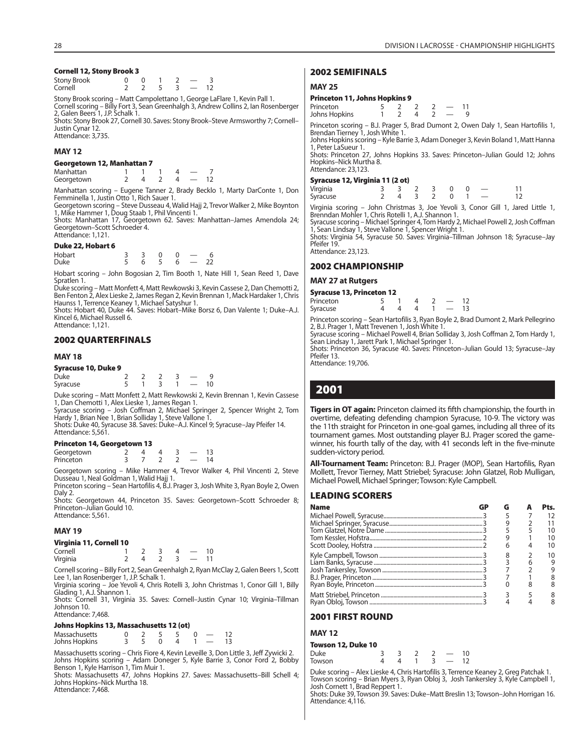#### **Cornell 12, Stony Brook 3**

| <b>Stony Brook</b> |  |  |  |
|--------------------|--|--|--|
| Cornell            |  |  |  |

Stony Brook scoring – Matt Campolettano 1, George LaFlare 1, Kevin Pall 1. Cornell scoring – Billy Fort 3, Sean Greenhalgh 3, Andrew Collins 2, Ian Rosenberger 2, Galen Beers 1, J.P. Schalk 1. Shots: Stony Brook 27, Cornell 30. Saves: Stony Brook–Steve Armsworthy 7; Cornell–

Justin Cynar 12. Attendance: 3,735.

#### **MAY 12**

#### **Georgetown 12, Manhattan 7**

| Manhattan  |  |  |  |
|------------|--|--|--|
| Georgetown |  |  |  |

Manhattan scoring – Eugene Tanner 2, Brady Becklo 1, Marty DarConte 1, Don Femminella 1, Justin Otto 1, Rich Sauer 1.

Georgetown scoring – Steve Dusseau 4, Walid Hajj 2, Trevor Walker 2, Mike Boynton

1, Mike Hammer 1, Doug Staab 1, Phil Vincenti 1. Shots: Manhattan 17, Georgetown 62. Saves: Manhattan–James Amendola 24; Georgetown–Scott Schroeder 4. Attendance: 1,121.

#### **Duke 22, Hobart 6**

| Hobart      |  | $\overline{0}$ |  |    |
|-------------|--|----------------|--|----|
| <b>Duke</b> |  | 6 5 6          |  | 22 |

Hobart scoring – John Bogosian 2, Tim Booth 1, Nate Hill 1, Sean Reed 1, Dave Spratlen 1.

Duke scoring – Matt Monfett 4, Matt Rewkowski 3, Kevin Cassese 2, Dan Chemotti 2, Ben Fenton 2, Alex Lieske 2, James Regan 2, Kevin Brennan 1, Mack Hardaker 1, Chris Haunss 1, Terrence Keaney 1, Michael Satyshur 1.

Shots: Hobart 40, Duke 44. Saves: Hobart–Mike Borsz 6, Dan Valente 1; Duke–A.J. Kincel 6, Michael Russell 6. Attendance: 1,121.

#### **2002 QUARTERFINALS**

#### **MAY 18**

#### **Syracuse 10, Duke 9**

| Duke     |  |  |    |
|----------|--|--|----|
| Syracuse |  |  | ١O |

Duke scoring – Matt Monfett 2, Matt Rewkowski 2, Kevin Brennan 1, Kevin Cassese 1, Dan Chemotti 1, Alex Lieske 1, James Regan 1.

Syracuse scoring – Josh Coffman 2, Michael Springer 2, Spencer Wright 2, Tom Hardy 1, Brian Nee 1, Brian Solliday 1, Steve Vallone 1

Shots: Duke 40, Syracuse 38. Saves: Duke–A.J. Kincel 9; Syracuse–Jay Pfeifer 14. Attendance: 5,561.

#### **Princeton 14, Georgetown 13**

| Georgetown |  |  |  |
|------------|--|--|--|
| Princeton  |  |  |  |

Georgetown scoring – Mike Hammer 4, Trevor Walker 4, Phil Vincenti 2, Steve Dusseau 1, Neal Goldman 1, Walid Hajj 1.

Princeton scoring – Sean Hartofilis 4, B.J. Prager 3, Josh White 3, Ryan Boyle 2, Owen Daly 2.

Shots: Georgetown 44, Princeton 35. Saves: Georgetown–Scott Schroeder 8; Princeton-Julian Gould 10. Attendance: 5,561.

#### **MAY 19**

#### **Virginia 11, Cornell 10**

| Cornell  |  |  |  |
|----------|--|--|--|
| Virginia |  |  |  |

Cornell scoring – Billy Fort 2, Sean Greenhalgh 2, Ryan McClay 2, Galen Beers 1, Scott Lee 1, Ian Rosenberger 1, J.P. Schalk 1.

Virginia scoring – Joe Yevoli 4, Chris Rotelli 3, John Christmas 1, Conor Gill 1, Billy Glading 1, A.J. Shannon 1.

Shots: Cornell 31, Virginia 35. Saves: Cornell–Justin Cynar 10; Virginia–Tillman Johnson 10. Attendance: 7,468.

#### **Johns Hopkins 13, Massachusetts 12 (ot)**

| JUILIS HUPRIIIS 13, MASSACHUSELLS 12 (UL) |  |          |          |               |    |
|-------------------------------------------|--|----------|----------|---------------|----|
| Massachusetts                             |  | $\sim$ 5 |          |               | 12 |
| Johns Hopkins                             |  |          | $\Delta$ | $\sim$ $\sim$ | 13 |

Massachusetts scoring – Chris Fiore 4, Kevin Leveille 3, Don Little 3, Jeff Zywicki 2. Johns Hopkins scoring – Adam Doneger 5, Kyle Barrie 3, Conor Ford 2, Bobby Benson 1, Kyle Harrison 1, Tim Muir 1.

Shots: Massachusetts 47, Johns Hopkins 27. Saves: Massachusetts–Bill Schell 4; Johns Hopkins–Nick Murtha 18. Attendance: 7,468.

#### **2002 SEMIFINALS**

#### **MAY 25**

#### **Princeton 11, Johns Hopkins 9**

| Princeton     |  |  |  |
|---------------|--|--|--|
| Johns Hopkins |  |  |  |

Princeton scoring – B.J. Prager 5, Brad Dumont 2, Owen Daly 1, Sean Hartofilis 1, Brendan Tierney 1, Josh White 1.

Johns Hopkins scoring – Kyle Barrie 3, Adam Doneger 3, Kevin Boland 1, Matt Hanna 1, Peter LaSueur 1.

Shots: Princeton 27, Johns Hopkins 33. Saves: Princeton–Julian Gould 12; Johns Hopkins–Nick Murtha 8. Attendance: 23,123.

#### **Syracuse 12, Virginia 11 (2 ot)**

| .        |  |             |  |  |    |
|----------|--|-------------|--|--|----|
| Virginia |  | 3 3 2 3 0 0 |  |  |    |
| Syracuse |  | 2 4 3 2 0 1 |  |  | 12 |

Virginia scoring – John Christmas 3, Joe Yevoli 3, Conor Gill 1, Jared Little 1, Brenndan Mohler 1, Chris Rotelli 1, A.J. Shannon 1.

Syracuse scoring – Michael Springer 4, Tom Hardy 2, Michael Powell 2, Josh Coffman 1, Sean Lindsay 1, Steve Vallone 1, Spencer Wright 1.

Shots: Virginia 54, Syracuse 50. Saves: Virginia–Tillman Johnson 18; Syracuse–Jay Pfeifer 19. Attendance: 23,123.

# **2002 CHAMPIONSHIP**

#### **MAY 27 at Rutgers**

| <b>Syracuse 13, Princeton 12</b> |  |  |  |  |      |      |  |  |  |
|----------------------------------|--|--|--|--|------|------|--|--|--|
| Princeton                        |  |  |  |  |      | - 12 |  |  |  |
| Syracuse                         |  |  |  |  | - 13 |      |  |  |  |

Princeton scoring – Sean Hartofilis 3, Ryan Boyle 2, Brad Dumont 2, Mark Pellegrino 2, B.J. Prager 1, Matt Trevenen 1, Josh White 1. Syracuse scoring – Michael Powell 4, Brian Solliday 3, Josh Coffman 2, Tom Hardy 1,

Sean Lindsay 1, Jarett Park 1, Michael Springer 1.

Shots: Princeton 36, Syracuse 40. Saves: Princeton–Julian Gould 13; Syracuse–Jay Pfeifer 13. Attendance: 19,706.

# **2001**

**Tigers in OT again:** Princeton claimed its fifth championship, the fourth in overtime, defeating defending champion Syracuse, 10-9. The victory was the 11th straight for Princeton in one-goal games, including all three of its tournament games. Most outstanding player B.J. Prager scored the gamewinner, his fourth tally of the day, with 41 seconds left in the five-minute sudden-victory period.

All-Tournament Team: Princeton: B.J. Prager (MOP), Sean Hartofilis, Ryan Mollett, Trevor Tierney, Matt Striebel; Syracuse: John Glatzel, Rob Mulligan, Michael Powell, Michael Springer; Towson: Kyle Campbell.

#### **LEADING SCORERS**

| <b>Name</b> | G | Pts. |
|-------------|---|------|
|             |   |      |
|             |   |      |
|             |   | 10   |
|             |   |      |
|             |   | 10   |
|             |   | 10   |
|             |   |      |
|             |   |      |
|             |   |      |
|             |   |      |
|             |   |      |
|             |   |      |

#### **2001 FIRST ROUND**

#### **MAY 12**

#### **Towson 12, Duke 10**

| Duke   |  |  | 10 <sup>°</sup> |
|--------|--|--|-----------------|
| Towson |  |  |                 |

Duke scoring – Alex Lieske 4, Chris Hartofilis 3, Terrence Keaney 2, Greg Patchak 1. Towson scoring – Brian Myers 3, Ryan Obloj 3, Josh Tankersley 3, Kyle Campbell 1,<br>Josh Cornett 1, Brad Reppert 1.<br>Shots: Duke 39, Towson 39. Saves: Duke–Matt Breslin 13; Towson–John Horrigan 16.

Attendance: 4,116.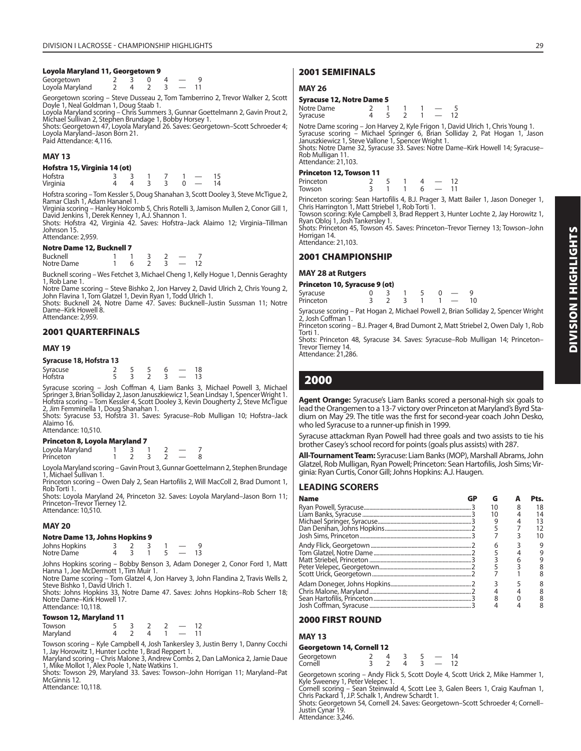#### **Loyola Maryland 11, Georgetown 9**

| Georgetown      |  |  |  |
|-----------------|--|--|--|
| Loyola Maryland |  |  |  |

Georgetown scoring – Steve Dusseau 2, Tom Tamberrino 2, Trevor Walker 2, Scott Doyle 1, Neal Goldman 1, Doug Staab 1.

Loyola Maryland scoring – Chris Summers 3, Gunnar Goettelmann 2, Gavin Prout 2, Michael Sullivan 2, Stephen Brundage 1, Bobby Horsey 1.

Shots: Georgetown 47, Loyola Maryland 26. Saves: Georgetown–Scott Schroeder 4; Loyola Maryland–Jason Born 21. Paid Attendance: 4,116.

#### **MAY 13**

#### **Hofstra 15, Virginia 14 (ot)**

| Hofstra  | र र            |         |                | $\overline{\phantom{0}}$ |    |
|----------|----------------|---------|----------------|--------------------------|----|
| Virginia | $\overline{a}$ | - 3 - 3 | $\overline{0}$ |                          | 14 |

Hofstra scoring – Tom Kessler 5, Doug Shanahan 3, Scott Dooley 3, Steve McTigue 2, Ramar Clash 1, Adam Hananel 1.

Virginia scoring – Hanley Holcomb 5, Chris Rotelli 3, Jamison Mullen 2, Conor Gill 1, David Jenkins 1, Derek Kenney 1, A.J. Shannon 1. Shots: Hofstra 42, Virginia 42. Saves: Hofstra–Jack Alaimo 12; Virginia–Tillman

Johnson 15. Attendance: 2,959.

#### **Notre Dame 12, Bucknell 7**

| <b><i>ROUTE DUILE 14, DUCKITER /</i></b> |  |  |  |  |                          |  |  |  |  |
|------------------------------------------|--|--|--|--|--------------------------|--|--|--|--|
| Bucknell                                 |  |  |  |  |                          |  |  |  |  |
| Notre Dame                               |  |  |  |  | $\overline{\phantom{a}}$ |  |  |  |  |

Bucknell scoring – Wes Fetchet 3, Michael Cheng 1, Kelly Hogue 1, Dennis Geraghty 1, Rob Lane 1.

Notre Dame scoring – Steve Bishko 2, Jon Harvey 2, David Ulrich 2, Chris Young 2, John Flavina 1, Tom Glatzel 1, Devin Ryan 1, Todd Ulrich 1. Shots: Bucknell 24, Notre Dame 47. Saves: Bucknell–Justin Sussman 11; Notre

Dame–Kirk Howell 8. Attendance: 2,959.

#### **2001 QUARTERFINALS**

#### **MAY 19**

| Syracuse 18, Hofstra 13 |  |  |                          |    |
|-------------------------|--|--|--------------------------|----|
|                         |  |  |                          | 18 |
| Syracuse<br>Hofstra     |  |  | $\overline{\phantom{a}}$ |    |

Syracuse scoring – Josh Coffman 4, Liam Banks 3, Michael Powell 3, Michael Springer 3, Brian Solliday 2, Jason Januszkiewicz 1, Sean Lindsay 1, Spencer Wright 1. Hofstra scoring – Tom Kessler 4, Scott Dooley 3, Kevin Dougherty 2, Steve McTigue 2, Jim Femminella 1, Doug Shanahan 1.

Shots: Syracuse 53, Hofstra 31. Saves: Syracuse–Rob Mulligan 10; Hofstra–Jack Alaimo 16.

Attendance: 10,510.

#### **Princeton 8, Loyola Maryland 7**

Loyola Maryland  $\begin{array}{cccc} 1 & 3 & 1 & 2 & -7 \\ 2 & 3 & 2 & -8 \\ 1 & 2 & 3 & 2 \end{array}$ Princeton

Loyola Maryland scoring – Gavin Prout 3, Gunnar Goettelmann 2, Stephen Brundage 1, Michael Sullivan 1.

Princeton scoring – Owen Daly 2, Sean Hartofilis 2, Will MacColl 2, Brad Dumont 1, Rob Torti 1.

Shots: Loyola Maryland 24, Princeton 32. Saves: Loyola Maryland–Jason Born 11; Princeton–Trevor Tierney 12. Attendance: 10,510.

#### **MAY 20**

#### **Notre Dame 13, Johns Hopkins 9**

| Johns Hopkins |  |  |  |  |
|---------------|--|--|--|--|
| Notre Dame    |  |  |  |  |

Johns Hopkins scoring – Bobby Benson 3, Adam Doneger 2, Conor Ford 1, Matt Hanna 1, Joe McDermott 1, Tim Muir 1. Notre Dame scoring – Tom Glatzel 4, Jon Harvey 3, John Flandina 2, Travis Wells 2,

Steve Bishko 1, David Ulrich 1.

Shots: Johns Hopkins 33, Notre Dame 47. Saves: Johns Hopkins–Rob Scherr 18; Notre Dame–Kirk Howell 17. Attendance: 10,118.

#### **Towson 12, Maryland 11**

| Towson   |  |  |  |
|----------|--|--|--|
| Maryland |  |  |  |

Towson scoring – Kyle Campbell 4, Josh Tankersley 3, Justin Berry 1, Danny Cocchi<br>1, Jay Horowitz 1, Hunter Lochte 1, Brad Reppert 1.<br>Maryland scoring – Chris Malone 3, Andrew Combs 2, Dan LaMonica 2, Jamie Daue<br>1, Mike Mo

Shots: Towson 29, Maryland 33. Saves: Towson–John Horrigan 11; Maryland–Pat McGinnis 12. Attendance: 10,118.

**2001 SEMIFINALS**

#### **MAY 26**

#### **Syracuse 12, Notre Dame 5**

| Notre Dame                                          |  | 2 1 1 1 - 5  |  |                                                                                  |
|-----------------------------------------------------|--|--------------|--|----------------------------------------------------------------------------------|
| Syracuse                                            |  | 4 5 2 1 - 12 |  |                                                                                  |
|                                                     |  |              |  | Notre Dame scoring – Jon Harvey 2, Kyle Frigon 1, David Ulrich 1, Chris Young 1. |
|                                                     |  |              |  | Syracuse scoring – Michael Springer 6, Brian Solliday 2, Pat Hogan 1, Jason      |
| Januszkiewicz 1, Steve Vallone 1, Spencer Wright 1. |  |              |  |                                                                                  |
|                                                     |  |              |  | Shots: Notre Dame 32, Syracuse 33. Saves: Notre Dame-Kirk Howell 14; Syracuse-   |
| Rob Mulligan 11.                                    |  |              |  |                                                                                  |
| Attendance: 21,103.                                 |  |              |  |                                                                                  |

#### **Princeton 12, Towson 11**

| .  ._,    |  |  |  |
|-----------|--|--|--|
| Princeton |  |  |  |
| Towson    |  |  |  |

Princeton scoring: Sean Hartofilis 4, B.J. Prager 3, Matt Bailer 1, Jason Doneger 1, Chris Harrington 1, Matt Striebel 1, Rob Torti 1. Towson scoring: Kyle Campbell 3, Brad Reppert 3, Hunter Lochte 2, Jay Horowitz 1,

Ryan Obloj 1, Josh Tankersley 1. Shots: Princeton 45, Towson 45. Saves: Princeton–Trevor Tierney 13; Towson–John Horrigan 14.

Attendance: 21,103.

#### **2001 CHAMPIONSHIP**

#### **MAY 28 at Rutgers**

| Princeton 10, Syracuse 9 (ot) |  |                     |          |  |
|-------------------------------|--|---------------------|----------|--|
| Syracuse<br>Princeton         |  | $3 \t1 \t5 \t0 \t-$ | $1 - 10$ |  |

Syracuse scoring – Pat Hogan 2, Michael Powell 2, Brian Solliday 2, Spencer Wright 2, Josh Coffman 1. Princeton scoring – B.J. Prager 4, Brad Dumont 2, Matt Striebel 2, Owen Daly 1, Rob

Torti 1. Shots: Princeton 48, Syracuse 34. Saves: Syracuse–Rob Mulligan 14; Princeton–

Trevor Tierney 14. Attendance: 21,286.

# **2000**

**Agent Orange:** Syracuse's Liam Banks scored a personal-high six goals to lead the Orangemen to a 13-7 victory over Princeton at Maryland's Byrd Stadium on May 29. The title was the first for second-year coach John Desko, who led Syracuse to a runner-up finish in 1999.

Syracuse attackman Ryan Powell had three goals and two assists to tie his brother Casey's school record for points (goals plus assists) with 287.

**All-Tournament Team:** Syracuse: Liam Banks (MOP), Marshall Abrams, John Glatzel, Rob Mulligan, Ryan Powell; Princeton: Sean Hartofilis, Josh Sims; Virginia: Ryan Curtis, Conor Gill; Johns Hopkins: A.J. Haugen.

#### **LEADING SCORERS**

| <b>Name</b> | G  | Pts. |
|-------------|----|------|
|             | 10 | 18   |
|             | 10 | 14   |
|             |    | 13   |
|             |    |      |
|             |    | I۵   |
|             | 6  |      |
|             |    |      |
|             |    |      |
|             |    |      |
|             |    |      |
|             |    |      |
|             |    |      |
|             |    |      |
|             |    |      |

#### **2000 FIRST ROUND**

#### **MAY 13**

#### **Georgetown 14, Cornell 12**

| Georgetown |  |  |  |  |
|------------|--|--|--|--|
| Cornell    |  |  |  |  |
|            |  |  |  |  |

Georgetown scoring – Andy Flick 5, Scott Doyle 4, Scott Urick 2, Mike Hammer 1,

Kyle Sweeney 1, Peter Velepec 1. Cornell scoring – Sean Steinwald 4, Scott Lee 3, Galen Beers 1, Craig Kaufman 1, Chris Packard 1, J.P. Schalk 1, Andrew Schardt 1.

Shots: Georgetown 54, Cornell 24. Saves: Georgetown–Scott Schroeder 4; Cornell– Justin Cynar 19. Attendance: 3,246.

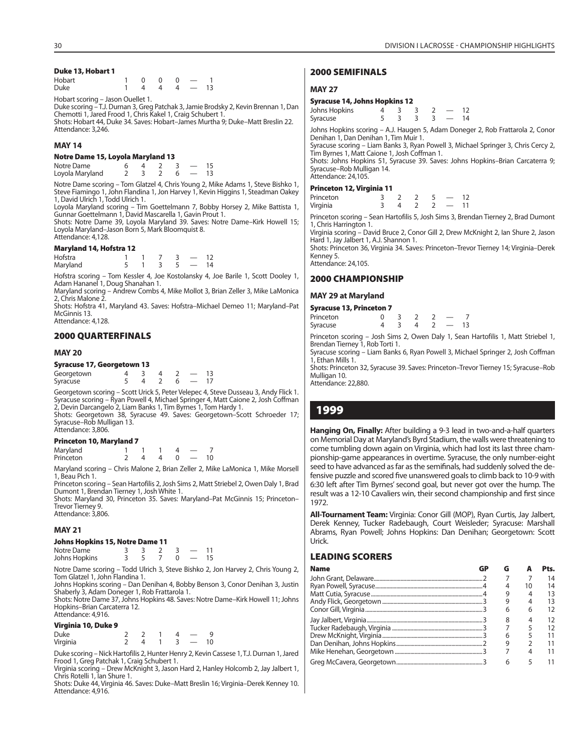#### **Duke 13, Hobart 1**

| Hobart      | $\begin{matrix}0&0&0\end{matrix}$ |  |     |
|-------------|-----------------------------------|--|-----|
| <b>Duke</b> | 4 4 4 —                           |  | -13 |

Hobart scoring – Jason Ouellet 1.

Duke scoring – T.J. Durnan 3, Greg Patchak 3, Jamie Brodsky 2, Kevin Brennan 1, Dan Chemotti 1, Jared Frood 1, Chris Kakel 1, Craig Schubert 1. Shots: Hobart 44, Duke 34. Saves: Hobart–James Murtha 9; Duke–Matt Breslin 22. Attendance: 3,246.

#### **MAY 14**

#### **Notre Dame 15, Loyola Maryland 13**

Notre Dame 6 4 2 3 — 15 Loyola Maryland

Notre Dame scoring – Tom Glatzel 4, Chris Young 2, Mike Adams 1, Steve Bishko 1, Steve Fiamingo 1, John Flandina 1, Jon Harvey 1, Kevin Higgins 1, Steadman Oakey 1, David Ulrich 1, Todd Ulrich 1.

Loyola Maryland scoring – Tim Goettelmann 7, Bobby Horsey 2, Mike Battista 1, Gunnar Goettelmann 1, David Mascarella 1, Gavin Prout 1.

Shots: Notre Dame 39, Loyola Maryland 39. Saves: Notre Dame–Kirk Howell 15; Loyola Maryland–Jason Born 5, Mark Bloomquist 8. Attendance: 4,128.

#### **Maryland 14, Hofstra 12**

| Hofstra  |  |  |  |
|----------|--|--|--|
| Maryland |  |  |  |

Hofstra scoring – Tom Kessler 4, Joe Kostolansky 4, Joe Barile 1, Scott Dooley 1, Adam Hananel 1, Doug Shanahan 1.

Maryland scoring – Andrew Combs 4, Mike Mollot 3, Brian Zeller 3, Mike LaMonica 2, Chris Malone 2.

Shots: Hofstra 41, Maryland 43. Saves: Hofstra–Michael Demeo 11; Maryland–Pat McGinnis 13.

Attendance: 4,128.

#### **2000 QUARTERFINALS**

#### **MAY 20**

#### **Syracuse 17, Georgetown 13**

| Georgetown |  |  |  |
|------------|--|--|--|
| Syracuse   |  |  |  |

Georgetown scoring – Scott Urick 5, Peter Velepec 4, Steve Dusseau 3, Andy Flick 1. Syracuse scoring – Ryan Powell 4, Michael Springer 4, Matt Caione 2, Josh Coffman 2, Devin Darcangelo 2, Liam Banks 1, Tim Byrnes 1, Tom Hardy 1.

Shots: Georgetown 38, Syracuse 49. Saves: Georgetown-Scott Schroeder 17; Syracuse–Rob Mulligan 13. Attendance: 3,806.

#### **Princeton 10, Maryland 7**

| $\ldots$  |  |  |                          |    |
|-----------|--|--|--------------------------|----|
| Maryland  |  |  |                          |    |
| Princeton |  |  | $\overline{\phantom{0}}$ | 10 |

Maryland scoring – Chris Malone 2, Brian Zeller 2, Mike LaMonica 1, Mike Morsell 1, Beau Pich 1.

Princeton scoring – Sean Hartofilis 2, Josh Sims 2, Matt Striebel 2, Owen Daly 1, Brad Dumont 1, Brendan Tierney 1, Josh White 1.

Shots: Maryland 30, Princeton 35. Saves: Maryland–Pat McGinnis 15; Princeton– Trevor Tierney 9. Attendance: 3,806.

#### **MAY 21**

#### **Johns Hopkins 15, Notre Dame 11**

| Notre Dame    |  |  |  |
|---------------|--|--|--|
| Johns Hopkins |  |  |  |

Notre Dame scoring – Todd Ulrich 3, Steve Bishko 2, Jon Harvey 2, Chris Young 2, Tom Glatzel 1, John Flandina 1.

Johns Hopkins scoring – Dan Denihan 4, Bobby Benson 3, Conor Denihan 3, Justin Shaberly 3, Adam Doneger 1, Rob Frattarola 1.

Shots: Notre Dame 37, Johns Hopkins 48. Saves: Notre Dame–Kirk Howell 11; Johns Hopkins–Brian Carcaterra 12. Attendance: 4,916.

#### **Virginia 10, Duke 9**

| Virginia TV, Duke y |  |  |                          |    |
|---------------------|--|--|--------------------------|----|
| <b>Duke</b>         |  |  |                          |    |
| Virginia            |  |  | $\overline{\phantom{0}}$ | 10 |

Duke scoring – Nick Hartofilis 2, Hunter Henry 2, Kevin Cassese 1, T.J. Durnan 1, Jared Frood 1, Greg Patchak 1, Craig Schubert 1.

Virginia scoring – Drew McKnight 3, Jason Hard 2, Hanley Holcomb 2, Jay Jalbert 1, Chris Rotelli 1, Ian Shure 1.

Shots: Duke 44, Virginia 46. Saves: Duke–Matt Breslin 16; Virginia–Derek Kenney 10. Attendance: 4,916.

#### **2000 SEMIFINALS**

#### **MAY 27**

| <b>Syracuse 14, Johns Hopkins 12</b>                                                                                                      |  |                        |  |                                                                                                                                                                                                                                                        |
|-------------------------------------------------------------------------------------------------------------------------------------------|--|------------------------|--|--------------------------------------------------------------------------------------------------------------------------------------------------------------------------------------------------------------------------------------------------------|
| Johns Hopkins                                                                                                                             |  | $4$ 3 3 2 - 12         |  |                                                                                                                                                                                                                                                        |
| Syracuse                                                                                                                                  |  | $5 \t3 \t3 \t3 \t- 14$ |  |                                                                                                                                                                                                                                                        |
| Denihan 1, Dan Denihan 1, Tim Muir 1.<br>Tim Byrnes 1, Matt Caione 1, Josh Coffman 1.<br>Syracuse-Rob Mulligan 14.<br>Attendance: 24,105. |  |                        |  | Johns Hopkins scoring – A.J. Haugen 5, Adam Doneger 2, Rob Frattarola 2, Conor<br>Syracuse scoring – Liam Banks 3, Ryan Powell 3, Michael Springer 3, Chris Cercy 2,<br>Shots: Johns Hopkins 51, Syracuse 39. Saves: Johns Hopkins–Brian Carcaterra 9; |
| <b>Princeton 12, Virginia 11</b>                                                                                                          |  |                        |  |                                                                                                                                                                                                                                                        |
|                                                                                                                                           |  |                        |  |                                                                                                                                                                                                                                                        |

| Princeton |  |  |  |
|-----------|--|--|--|
| Virginia  |  |  |  |

Princeton scoring – Sean Hartofilis 5, Josh Sims 3, Brendan Tierney 2, Brad Dumont 1, Chris Harrington 1.

Virginia scoring – David Bruce 2, Conor Gill 2, Drew McKnight 2, Ian Shure 2, Jason Hard 1, Jay Jalbert 1, A.J. Shannon 1. Shots: Princeton 36, Virginia 34. Saves: Princeton–Trevor Tierney 14; Virginia–Derek

Kenney 5. Attendance: 24,105.

#### **2000 CHAMPIONSHIP**

**MAY 29 at Maryland**

#### **Syracuse 13, Princeton 7**

| syrucuse 1971 miceton 7 |  |  |  |  |  |     |  |  |
|-------------------------|--|--|--|--|--|-----|--|--|
| Princeton               |  |  |  |  |  |     |  |  |
| Syracuse                |  |  |  |  |  | 13. |  |  |

Princeton scoring – Josh Sims 2, Owen Daly 1, Sean Hartofilis 1, Matt Striebel 1, Brendan Tierney 1, Rob Torti 1.

Syracuse scoring – Liam Banks 6, Ryan Powell 3, Michael Springer 2, Josh Coffman 1, Ethan Mills 1.

Shots: Princeton 32, Syracuse 39. Saves: Princeton–Trevor Tierney 15; Syracuse–Rob Mulligan 10.

Attendance: 22,880.

# **1999**

**Hanging On, Finally:** After building a 9-3 lead in two-and-a-half quarters on Memorial Day at Maryland's Byrd Stadium, the walls were threatening to come tumbling down again on Virginia, which had lost its last three championship-game appearances in overtime. Syracuse, the only number-eight seed to have advanced as far as the semifinals, had suddenly solved the defensive puzzle and scored five unanswered goals to climb back to 10-9 with 6:30 left after Tim Byrnes' second goal, but never got over the hump. The result was a 12-10 Cavaliers win, their second championship and first since 1972.

**All-Tournament Team:** Virginia: Conor Gill (MOP), Ryan Curtis, Jay Jalbert, Derek Kenney, Tucker Radebaugh, Court Weisleder; Syracuse: Marshall Abrams, Ryan Powell; Johns Hopkins: Dan Denihan; Georgetown: Scott Urick.

#### **LEADING SCORERS**

| <b>Name</b> | G |    | Pts. |
|-------------|---|----|------|
|             |   |    | 14   |
|             |   | 10 | 14   |
|             |   |    | 13   |
|             |   | 4  | 13   |
|             | 6 | 6  | 12   |
|             | 8 | 4  | 12   |
|             |   |    | 12   |
|             | 6 | 5  |      |
|             | 9 |    |      |
|             |   | 4  |      |
|             | 6 |    |      |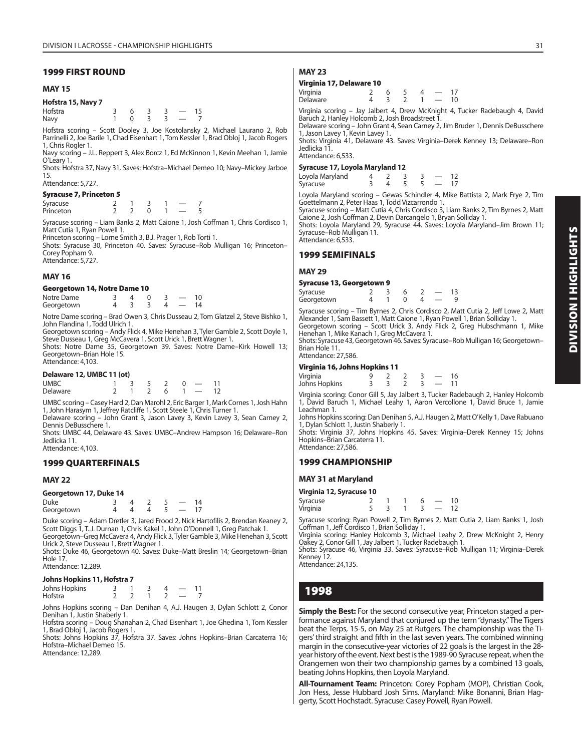#### **1999 FIRST ROUND**

#### **MAY 15**

#### **Hofstra 15, Navy 7**

Hofstra 3 6 3 3 - 15<br>Navy 1 0 3 3 - 7 Navy 1 0 3 3 — 7

Hofstra scoring – Scott Dooley 3, Joe Kostolansky 2, Michael Laurano 2, Rob Parrinelli 2, Joe Barile 1, Chad Eisenhart 1, Tom Kessler 1, Brad Obloj 1, Jacob Rogers 1, Chris Rogler 1.

Navy scoring – J.L. Reppert 3, Alex Borcz 1, Ed McKinnon 1, Kevin Meehan 1, Jamie O'Leary 1.

Shots: Hofstra 37, Navy 31. Saves: Hofstra–Michael Demeo 10; Navy–Mickey Jarboe 15.

Attendance: 5,727.

#### **Syracuse 7, Princeton 5**

| Syracuse  |  |  |  |
|-----------|--|--|--|
| Princeton |  |  |  |

Syracuse scoring – Liam Banks 2, Matt Caione 1, Josh Coffman 1, Chris Cordisco 1, Matt Cutia 1, Ryan Powell 1.

Princeton scoring – Lorne Smith 3, B.J. Prager 1, Rob Torti 1.

Shots: Syracuse 30, Princeton 40. Saves: Syracuse–Rob Mulligan 16; Princeton– Corey Popham 9. Attendance: 5,727.

#### **MAY 16**

#### **Georgetown 14, Notre Dame 10**

| Notre Dame |  |  |  |
|------------|--|--|--|
| Georgetown |  |  |  |

Notre Dame scoring – Brad Owen 3, Chris Dusseau 2, Tom Glatzel 2, Steve Bishko 1, John Flandina 1, Todd Ulrich 1.

Georgetown scoring – Andy Flick 4, Mike Henehan 3, Tyler Gamble 2, Scott Doyle 1, Steve Dusseau 1, Greg McCavera 1, Scott Urick 1, Brett Wagner 1.

Shots: Notre Dame 35, Georgetown 39. Saves: Notre Dame–Kirk Howell 13; Georgetown–Brian Hole 15. Attendance: 4,103.

#### **Delaware 12, UMBC 11 (ot)**

| <b>UMBC</b> |  |  |  | 1 3 5 2 0 |  | $\overline{\phantom{0}}$ |  |  |
|-------------|--|--|--|-----------|--|--------------------------|--|--|
| Delaware    |  |  |  |           |  | $1 \t2 \t6 \t1 -$        |  |  |

UMBC scoring – Casey Hard 2, Dan Marohl 2, Eric Barger 1, Mark Cornes 1, Josh Hahn 1, John Harasym 1, Jeffrey Ratcliffe 1, Scott Steele 1, Chris Turner 1. Delaware scoring – John Grant 3, Jason Lavey 3, Kevin Lavey 3, Sean Carney 2,

Dennis DeBusschere 1.

Shots: UMBC 44, Delaware 43. Saves: UMBC–Andrew Hampson 16; Delaware–Ron Jedlicka 11. Attendance: 4,103.

#### **1999 QUARTERFINALS**

#### **MAY 22**

#### **Georgetown 17, Duke 14**

| <b>Duke</b> |  |  |  |
|-------------|--|--|--|
| Georgetown  |  |  |  |

Duke scoring – Adam Dretler 3, Jared Frood 2, Nick Hartofilis 2, Brendan Keaney 2, Scott Diggs 1, T..J. Durnan 1, Chris Kakel 1, John O'Donnell 1, Greg Patchak 1. Georgetown–Greg McCavera 4, Andy Flick 3, Tyler Gamble 3, Mike Henehan 3, Scott Urick 2, Steve Dusseau 1, Brett Wagner 1.

Shots: Duke 46, Georgetown 40. Saves: Duke–Matt Breslin 14; Georgetown–Brian Hole 17.

# Attendance: 12,289

| Johns Hopkins 11, Hofstra 7 |  |  |                          |    |
|-----------------------------|--|--|--------------------------|----|
| Johns Hopkins               |  |  | $\overline{\phantom{a}}$ | 11 |
| Hofstra                     |  |  |                          |    |

Johns Hopkins scoring – Dan Denihan 4, A.J. Haugen 3, Dylan Schlott 2, Conor Denihan 1, Justin Shaberly 1.

Hofstra scoring – Doug Shanahan 2, Chad Eisenhart 1, Joe Ghedina 1, Tom Kessler 1, Brad Obloj 1, Jacob Rogers 1.

Shots: Johns Hopkins 37, Hofstra 37. Saves: Johns Hopkins–Brian Carcaterra 16; Hofstra–Michael Demeo 15.

Attendance: 12,289.

# **MAY 23**

#### **Virginia 17, Delaware 10**

| Virginia |  |  |    |
|----------|--|--|----|
| Delaware |  |  | 10 |

Virginia scoring – Jay Jalbert 4, Drew McKnight 4, Tucker Radebaugh 4, David Baruch 2, Hanley Holcomb 2, Josh Broadstreet 1.

Delaware scoring – John Grant 4, Sean Carney 2, Jim Bruder 1, Dennis DeBusschere 1, Jason Lavey 1, Kevin Lavey 1. Shots: Virginia 41, Delaware 43. Saves: Virginia–Derek Kenney 13; Delaware–Ron

Jedlicka 11. Attendance: 6,533.

#### **Syracuse 17, Loyola Maryland 12**

| Loyola Maryland |  |  |  |
|-----------------|--|--|--|
| Syracuse        |  |  |  |

Loyola Maryland scoring – Gewas Schindler 4, Mike Battista 2, Mark Frye 2, Tim Goettelmann 2, Peter Haas 1, Todd Vizcarrondo 1.

Syracuse scoring – Matt Cutia 4, Chris Cordisco 3, Liam Banks 2, Tim Byrnes 2, Matt Caione 2, Josh Coffman 2, Devin Darcangelo 1, Bryan Solliday 1. Shots: Loyola Maryland 29, Syracuse 44. Saves: Loyola Maryland–Jim Brown 11;

Syracuse–Rob Mulligan 11. Attendance: 6,533.

#### **1999 SEMIFINALS**

#### **MAY 29**

|  | Syracuse 13, Georgetown 9 |  |
|--|---------------------------|--|
|  |                           |  |

| Syracuse   |  |  |  |  |
|------------|--|--|--|--|
| Georgetown |  |  |  |  |

Syracuse scoring – Tim Byrnes 2, Chris Cordisco 2, Matt Cutia 2, Jeff Lowe 2, Matt Alexander 1, Sam Bassett 1, Matt Caione 1, Ryan Powell 1, Brian Solliday 1. Georgetown scoring – Scott Urick 3, Andy Flick 2, Greg Hubschmann 1, Mike Henehan 1, Mike Kanach 1, Greg McCavera 1.

Shots: Syracuse 43, Georgetown 46. Saves: Syracuse–Rob Mulligan 16; Georgetown– Brian Hole 11.

Attendance: 27,586.

#### **Virginia 16, Johns Hopkins 11**

| Virginia      |  |  | 16 |
|---------------|--|--|----|
| Johns Hopkins |  |  |    |

Virginia scoring: Conor Gill 5, Jay Jalbert 3, Tucker Radebaugh 2, Hanley Holcomb 1, David Baruch 1, Michael Leahy 1, Aaron Vercollone 1, David Bruce 1, Jamie Leachman 1.

Johns Hopkins scoring: Dan Denihan 5, A.J. Haugen 2, Matt O'Kelly 1, Dave Rabuano 1, Dylan Schlott 1, Justin Shaberly 1.

Shots: Virginia 37, Johns Hopkins 45. Saves: Virginia–Derek Kenney 15; Johns Hopkins–Brian Carcaterra 11. Attendance: 27,586.

#### **1999 CHAMPIONSHIP**

#### **MAY 31 at Maryland**

**Virginia 12, Syracuse 10**

| Syracuse |  |  |  |
|----------|--|--|--|
| Virginia |  |  |  |

Syracuse scoring: Ryan Powell 2, Tim Byrnes 2, Matt Cutia 2, Liam Banks 1, Josh Coffman 1, Jeff Cordisco 1, Brian Solliday 1.

Virginia scoring: Hanley Holcomb 3, Michael Leahy 2, Drew McKnight 2, Henry Oakey 2, Conor Gill 1, Jay Jalbert 1, Tucker Radebaugh 1.

Shots: Syracuse 46, Virginia 33. Saves: Syracuse–Rob Mulligan 11; Virginia–Derek Kenney 12.

Attendance: 24,135.

# **1998**

**Simply the Best:** For the second consecutive year, Princeton staged a performance against Maryland that conjured up the term "dynasty." The Tigers beat the Terps, 15-5, on May 25 at Rutgers. The championship was the Tigers' third straight and fifth in the last seven years. The combined winning margin in the consecutive-year victories of 22 goals is the largest in the 28 year history of the event. Next best is the 1989-90 Syracuse repeat, when the Orangemen won their two championship games by a combined 13 goals, beating Johns Hopkins, then Loyola Maryland.

**All-Tournament Team:** Princeton: Corey Popham (MOP), Christian Cook, Jon Hess, Jesse Hubbard Josh Sims. Maryland: Mike Bonanni, Brian Haggerty, Scott Hochstadt. Syracuse: Casey Powell, Ryan Powell.

# **DIVISION I HIGHLIGHTS DIVISION I HIGHLIGHTS**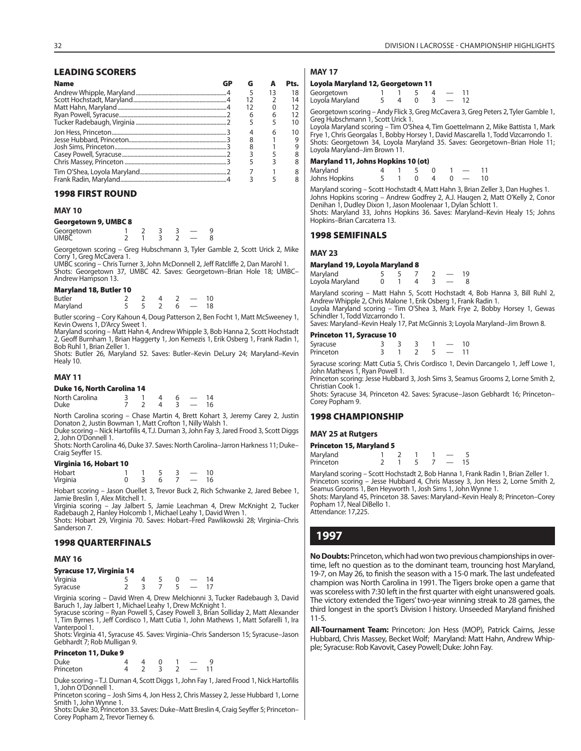#### **LEADING SCORERS**

| <b>Name</b> |    |    | Pts. |
|-------------|----|----|------|
|             | 5  | 13 | 18   |
|             | 12 |    | 14   |
|             |    |    | 12   |
|             | 6  |    | 12   |
|             |    |    | 10   |
|             |    | 6  | 10   |
|             |    |    | 9    |
|             |    |    |      |
|             |    |    |      |
|             |    |    |      |
|             |    |    |      |
|             |    |    |      |

#### **1998 FIRST ROUND**

#### **MAY 10**

#### **Georgetown 9, UMBC 8**

| Georgetown<br>UMBC |  |  |  |
|--------------------|--|--|--|
|                    |  |  |  |

Georgetown scoring – Greg Hubschmann 3, Tyler Gamble 2, Scott Urick 2, Mike Corry 1, Greg McCavera 1.

UMBC scoring – Chris Turner 3, John McDonnell 2, Jeff Ratcliffe 2, Dan Marohl 1. Shots: Georgetown 37, UMBC 42. Saves: Georgetown–Brian Hole 18; UMBC– Andrew Hampson 13.

#### **Maryland 18, Butler 10**

| <b>Butler</b> |  |  |    |
|---------------|--|--|----|
| Maryland      |  |  | 18 |

Butler scoring – Cory Kahoun 4, Doug Patterson 2, Ben Focht 1, Matt McSweeney 1, Kevin Owens 1, D'Arcy Sweet 1.

Maryland scoring – Matt Hahn 4, Andrew Whipple 3, Bob Hanna 2, Scott Hochstadt 2, Geoff Burnham 1, Brian Haggerty 1, Jon Kemezis 1, Erik Osberg 1, Frank Radin 1, Bob Ruhl 1, Brian Zeller 1.

Shots: Butler 26, Maryland 52. Saves: Butler–Kevin DeLury 24; Maryland–Kevin Healy 10.

#### **MAY 11**

|  |  |  | Duke 16, North Carolina 14 |  |
|--|--|--|----------------------------|--|
|--|--|--|----------------------------|--|

| North Carolina |  |  | $1\Lambda$ |
|----------------|--|--|------------|
| Duke           |  |  | 16         |

North Carolina scoring – Chase Martin 4, Brett Kohart 3, Jeremy Carey 2, Justin Donaton 2, Justin Bowman 1, Matt Crofton 1, Nilly Walsh 1.

Duke scoring – Nick Hartofilis 4, T.J. Durnan 3, John Fay 3, Jared Frood 3, Scott Diggs 2, John O'Donnell 1.

Shots: North Carolina 46, Duke 37. Saves: North Carolina–Jarron Harkness 11; Duke– Craig Seyffer 15.

#### **Virginia 16, Hobart 10**

| Hobart   |  |  |    |
|----------|--|--|----|
| Virginia |  |  | 16 |

Hobart scoring – Jason Ouellet 3, Trevor Buck 2, Rich Schwanke 2, Jared Bebee 1, Jamie Breslin 1, Alex Mitchell 1.

Virginia scoring – Jay Jalbert 5, Jamie Leachman 4, Drew McKnight 2, Tucker Radebaugh 2, Hanley Holcomb 1, Michael Leahy 1, David Wren 1. Shots: Hobart 29, Virginia 70. Saves: Hobart–Fred Pawlikowski 28; Virginia–Chris

Sanderson 7.

#### **1998 QUARTERFINALS**

#### **MAY 16**

#### **Syracuse 17, Virginia 14**

| Virginia |  |  |  |
|----------|--|--|--|
| Syracuse |  |  |  |

Virginia scoring – David Wren 4, Drew Melchionni 3, Tucker Radebaugh 3, David Baruch 1, Jay Jalbert 1, Michael Leahy 1, Drew McKnight 1.

Syracuse scoring – Ryan Powell 5, Casey Powell 3, Brian Solliday 2, Matt Alexander 1, Tim Byrnes 1, Jeff Cordisco 1, Matt Cutia 1, John Mathews 1, Matt Sofarelli 1, Ira Vanterpool 1.

Shots: Virginia 41, Syracuse 45. Saves: Virginia–Chris Sanderson 15; Syracuse–Jason Gebhardt 7; Rob Mulligan 9.

#### **Princeton 11, Duke 9**

| <b>Duke</b> |  |  |  |
|-------------|--|--|--|
| Princeton   |  |  |  |

Duke scoring – T.J. Durnan 4, Scott Diggs 1, John Fay 1, Jared Frood 1, Nick Hartofilis 1, John O'Donnell 1.

Princeton scoring – Josh Sims 4, Jon Hess 2, Chris Massey 2, Jesse Hubbard 1, Lorne Smith 1, John Wynne 1.

Shots: Duke 30, Princeton 33. Saves: Duke–Matt Breslin 4, Craig Seyffer 5; Princeton– Corey Popham 2, Trevor Tierney 6.

| Loyola Maryland 12, Georgetown 11                             |  |   |      |  |  |  |  |  |
|---------------------------------------------------------------|--|---|------|--|--|--|--|--|
| Georgetown                                                    |  |   | $-5$ |  |  |  |  |  |
| Loyola Maryland                                               |  | 4 |      |  |  |  |  |  |
| Georgetown scoring - Andy Flick 3, Grea McCavera 3, Grea Pete |  |   |      |  |  |  |  |  |

Georgetown scoring – Andy Flick 3, Greg McCavera 3, Greg Peters 2, Tyler Gamble 1, Greg Hubschmann 1, Scott Urick 1.

Loyola Maryland scoring – Tim O'Shea 4, Tim Goettelmann 2, Mike Battista 1, Mark Frye 1, Chris Georgalas 1, Bobby Horsey 1, David Mascarella 1, Todd Vizcarrondo 1. Shots: Georgetown 34, Loyola Maryland 35. Saves: Georgetown–Brian Hole 11; Loyola Maryland–Jim Brown 11.

#### **Maryland 11, Johns Hopkins 10 (ot)**

| Maryland      |  |  |  |  |
|---------------|--|--|--|--|
| Johns Hopkins |  |  |  |  |

Maryland scoring – Scott Hochstadt 4, Matt Hahn 3, Brian Zeller 3, Dan Hughes 1. Johns Hopkins scoring – Andrew Godfrey 2, A.J. Haugen 2, Matt O'Kelly 2, Conor Denihan 1, Dudley Dixon 1, Jason Moolenaar 1, Dylan Schlott 1. Shots: Maryland 33, Johns Hopkins 36. Saves: Maryland–Kevin Healy 15; Johns Hopkins–Brian Carcaterra 13.

#### **1998 SEMIFINALS**

#### **MAY 23**

#### **Maryland 19, Loyola Maryland 8**

| Maryland        |  |  |  |
|-----------------|--|--|--|
| Loyola Maryland |  |  |  |

Maryland scoring – Matt Hahn 5, Scott Hochstadt 4, Bob Hanna 3, Bill Ruhl 2, Andrew Whipple 2, Chris Malone 1, Erik Osberg 1, Frank Radin 1.

Loyola Maryland scoring – Tim O'Shea 3, Mark Frye 2, Bobby Horsey 1, Gewas Schindler 1, Todd Vizcarrondo 1.

Saves: Maryland–Kevin Healy 17, Pat McGinnis 3; Loyola Maryland–Jim Brown 8.

#### **Princeton 11, Syracuse 10**

| Syracuse<br>Princeton |  |  |  |
|-----------------------|--|--|--|
|                       |  |  |  |

Syracuse scoring: Matt Cutia 5, Chris Cordisco 1, Devin Darcangelo 1, Jeff Lowe 1, John Mathews 1, Ryan Powell 1.

Princeton scoring: Jesse Hubbard 3, Josh Sims 3, Seamus Grooms 2, Lorne Smith 2, Christian Cook 1.

Shots: Syracuse 34, Princeton 42. Saves: Syracuse–Jason Gebhardt 16; Princeton– Corey Popham 9.

#### **1998 CHAMPIONSHIP**

#### **MAY 25 at Rutgers**

#### **Princeton 15, Maryland 5**

Maryland 1 2 1 1<br>Princeton 2 1 5 7 Maryland 1 2 1 1 - 5<br>Princeton 2 1 5 7 - 15

Maryland scoring – Scott Hochstadt 2, Bob Hanna 1, Frank Radin 1, Brian Zeller 1. Princeton scoring – Jesse Hubbard 4, Chris Massey 3, Jon Hess 2, Lorne Smith 2, Seamus Grooms 1, Ben Heyworth 1, Josh Sims 1, John Wynne 1.

Shots: Maryland 45, Princeton 38. Saves: Maryland–Kevin Healy 8; Princeton–Corey Popham 17, Neal DiBello 1. Attendance: 17,225.

# **1997**

**No Doubts:** Princeton, which had won two previous championships in overtime, left no question as to the dominant team, trouncing host Maryland, 19-7, on May 26, to finish the season with a 15-0 mark. The last undefeated champion was North Carolina in 1991. The Tigers broke open a game that was scoreless with 7:30 left in the first quarter with eight unanswered goals. The victory extended the Tigers' two-year winning streak to 28 games, the third longest in the sport's Division I history. Unseeded Maryland finished 11-5.

**All-Tournament Team:** Princeton: Jon Hess (MOP), Patrick Cairns, Jesse Hubbard, Chris Massey, Becket Wolf; Maryland: Matt Hahn, Andrew Whipple; Syracuse: Rob Kavovit, Casey Powell; Duke: John Fay.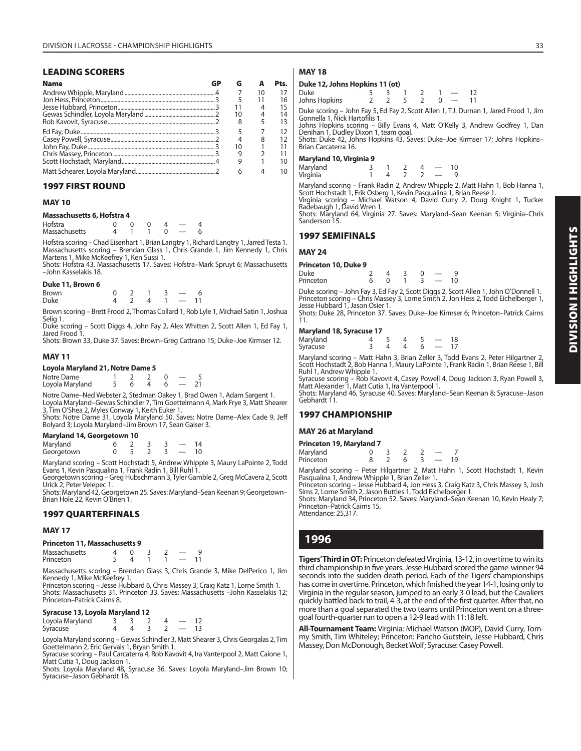#### **LEADING SCORERS**

| <b>Name</b> |    |    | Pts. |
|-------------|----|----|------|
|             |    | 10 |      |
|             |    |    | 16   |
|             |    |    | 15   |
|             | 10 | 4  | 14   |
|             | 8  | 5  | 13   |
|             |    |    |      |
|             |    | 8  |      |
|             |    |    |      |
|             |    |    |      |
|             |    |    | 10   |
|             | 6  |    |      |

#### **1997 FIRST ROUND**

#### **MAY 10**

#### **Massachusetts 6, Hofstra 4**

| -------------- |  |  |  |
|----------------|--|--|--|
| Hofstra        |  |  |  |
| Massachusetts  |  |  |  |

Hofstra scoring – Chad Eisenhart 1, Brian Langtry 1, Richard Langtry 1, Jarred Testa 1. Massachusetts scoring – Brendan Glass 1, Chris Grande 1, Jim Kennedy 1, Chris Martens 1, Mike McKeefrey 1, Ken Sussi 1.

Shots: Hofstra 43, Massachusetts 17. Saves: Hofstra–Mark Spruyt 6; Massachusetts –John Kasselakis 18.

#### **Duke 11, Brown 6**

| <b>Brown</b> |  |     |                                                                                                                                                                                                                                                                                                                                                                                                                                                            |  |
|--------------|--|-----|------------------------------------------------------------------------------------------------------------------------------------------------------------------------------------------------------------------------------------------------------------------------------------------------------------------------------------------------------------------------------------------------------------------------------------------------------------|--|
| Duke         |  | 4 1 | $\mathbf{1} \qquad \qquad \mathbf{1} \qquad \mathbf{1} \qquad \mathbf{1} \qquad \mathbf{1} \qquad \mathbf{1} \qquad \mathbf{1} \qquad \mathbf{1} \qquad \mathbf{1} \qquad \mathbf{1} \qquad \mathbf{1} \qquad \mathbf{1} \qquad \mathbf{1} \qquad \mathbf{1} \qquad \mathbf{1} \qquad \mathbf{1} \qquad \mathbf{1} \qquad \mathbf{1} \qquad \mathbf{1} \qquad \mathbf{1} \qquad \mathbf{1} \qquad \mathbf{1} \qquad \mathbf{1} \qquad \mathbf{1} \qquad \$ |  |

Brown scoring – Brett Frood 2, Thomas Collard 1, Rob Lyle 1, Michael Satin 1, Joshua Selig 1.

Duke scoring – Scott Diggs 4, John Fay 2, Alex Whitten 2, Scott Allen 1, Ed Fay 1, Jared Frood 1.

Shots: Brown 33, Duke 37. Saves: Brown–Greg Cattrano 15; Duke–Joe Kirmser 12.

#### **MAY 11**

#### **Loyola Maryland 21, Notre Dame 5**

| Notre Dame      |  |  |  |
|-----------------|--|--|--|
| Loyola Maryland |  |  |  |

Notre Dame–Ned Webster 2, Stedman Oakey 1, Brad Owen 1, Adam Sargent 1. Loyola Maryland–Gewas Schindler 7, Tim Goettelmann 4, Mark Frye 3, Matt Shearer 3, Tim O'Shea 2, Myles Conway 1, Keith Euker 1.

Shots: Notre Dame 31, Loyola Maryland 50. Saves: Notre Dame–Alex Cade 9, Jeff Bolyard 3; Loyola Maryland–Jim Brown 17, Sean Gaiser 3.

#### **Maryland 14, Georgetown 10**

| Maryland   |  |  |  |
|------------|--|--|--|
| Georgetown |  |  |  |

Maryland scoring – Scott Hochstadt 5, Andrew Whipple 3, Maury LaPointe 2, Todd Evans 1, Kevin Pasqualina 1, Frank Radin 1, Bill Ruhl 1.

Georgetown scoring – Greg Hubschmann 3, Tyler Gamble 2, Greg McCavera 2, Scott Urick 2, Peter Velepec 1.

Shots: Maryland 42, Georgetown 25. Saves: Maryland–Sean Keenan 9; Georgetown– Brian Hole 22, Kevin O'Brien 1.

#### **1997 QUARTERFINALS**

#### **MAY 17**

#### **Princeton 11, Massachusetts 9**

| Massachusetts |  |  |  |  |
|---------------|--|--|--|--|
| Princeton     |  |  |  |  |

Massachusetts scoring – Brendan Glass 3, Chris Grande 3, Mike DelPerico 1, Jim Kennedy 1, Mike McKeefrey 1.

Princeton scoring – Jesse Hubbard 6, Chris Massey 3, Craig Katz 1, Lorne Smith 1. Shots: Massachusetts 31, Princeton 33. Saves: Massachusetts –John Kasselakis 12; Princeton–Patrick Cairns 8.

# **Syracuse 13, Loyola Maryland 12**

Loyola Maryland 3 3 2 4 — 12 Syracuse

Loyola Maryland scoring – Gewas Schindler 3, Matt Shearer 3, Chris Georgalas 2, Tim Goettelmann 2, Eric Gervais 1, Bryan Smith 1.

Syracuse scoring – Paul Carcaterra 4, Rob Kavovit 4, Ira Vanterpool 2, Matt Caione 1, Matt Cutia 1, Doug Jackson 1. Shots: Loyola Maryland 48, Syracuse 36. Saves: Loyola Maryland–Jim Brown 10;

Syracuse–Jason Gebhardt 18.

#### **MAY 18**

#### **Duke 12, Johns Hopkins 11 (ot)**

| Duke<br>Johns Hopkins |  |  | $5 \quad 3 \quad 1 \quad 2 \quad 1 \quad - \quad 12$<br>$2 \t2 \t5 \t2 \t0 \t - 11$ |  |
|-----------------------|--|--|-------------------------------------------------------------------------------------|--|
|                       |  |  |                                                                                     |  |

Duke scoring – John Fay 5, Ed Fay 2, Scott Allen 1, T.J. Durnan 1, Jared Frood 1, Jim Gonnella 1, Nick Hartofilis 1.

Johns Hopkins scoring – Billy Evans 4, Matt O'Kelly 3, Andrew Godfrey 1, Dan Denihan 1, Dudley Dixon 1, team goal. Shots: Duke 42, Johns Hopkins 43. Saves: Duke–Joe Kirmser 17; Johns Hopkins–

#### Brian Carcaterra 16. **Maryland 10, Virginia 9**

| Maryland |  |  |  |
|----------|--|--|--|
| Virginia |  |  |  |

Maryland scoring – Frank Radin 2, Andrew Whipple 2, Matt Hahn 1, Bob Hanna 1,<br>Scott Hochstadt 1, Erik Osberg 1, Kevin Pasqualina 1, Brian Reese 1.<br>Virginia scoring – Michael Watson 4, David Curry 2, Doug Knight 1, Tucker<br>R

Shots: Maryland 64, Virginia 27. Saves: Maryland–Sean Keenan 5; Virginia–Chris Sanderson 15.

#### **1997 SEMIFINALS**

#### **MAY 24**

| Princeton 10, Duke 9 |           |  |                          |  |
|----------------------|-----------|--|--------------------------|--|
| Duke                 | $\Lambda$ |  |                          |  |
| Princeton            |           |  | $\overline{\phantom{a}}$ |  |

Duke scoring – John Fay 3, Ed Fay 2, Scott Diggs 2, Scott Allen 1, John O'Donnell 1. Princeton scoring – Chris Massey 3, Lorne Smith 2, Jon Hess 2, Todd Eichelberger 1, Jesse Hubbard 1, Jason Osier 1.

Shots: Duke 28, Princeton 37. Saves: Duke–Joe Kirmser 6; Princeton–Patrick Cairns 11.

#### **Maryland 18, Syracuse 17**

| Maryland<br>Syracuse |  |  | 18 |
|----------------------|--|--|----|
|                      |  |  |    |

Maryland scoring – Matt Hahn 3, Brian Zeller 3, Todd Evans 2, Peter Hilgartner 2, Scott Hochstadt 2, Bob Hanna 1, Maury LaPointe 1, Frank Radin 1, Brian Reese 1, Bill

Ruhl 1, Andrew Whipple 1. Syracuse scoring – Rob Kavovit 4, Casey Powell 4, Doug Jackson 3, Ryan Powell 3, Matt Alexander 1, Matt Cutia 1, Ira Vanterpool 1. Shots: Maryland 46, Syracuse 40. Saves: Maryland–Sean Keenan 8; Syracuse–Jason

Gebhardt 11.

#### **1997 CHAMPIONSHIP**

#### **MAY 26 at Maryland**

| Maryland  |  |  |  |  |
|-----------|--|--|--|--|
| Princeton |  |  |  |  |

Maryland scoring – Peter Hilgartner 2, Matt Hahn 1, Scott Hochstadt 1, Kevin Pasqualina 1, Andrew Whipple 1, Brian Zeller 1.

Princeton scoring – Jesse Hubbard 4, Jon Hess 3, Craig Katz 3, Chris Massey 3, Josh Sims 2, Lorne Smith 2, Jason Buttles 1, Todd Eichelberger 1.

Shots: Maryland 34, Princeton 52. Saves: Maryland–Sean Keenan 10, Kevin Healy 7; Princeton–Patrick Cairns 15. Attendance: 25,317.

# **1996**

**Tigers' Third in OT:** Princeton defeated Virginia, 13-12, in overtime to win its third championship in five years. Jesse Hubbard scored the game-winner 94 seconds into the sudden-death period. Each of the Tigers' championships has come in overtime. Princeton, which finished the year 14-1, losing only to Virginia in the regular season, jumped to an early 3-0 lead, but the Cavaliers quickly battled back to trail, 4-3, at the end of the first quarter. After that, no more than a goal separated the two teams until Princeton went on a threegoal fourth-quarter run to open a 12-9 lead with 11:18 left.

**All-Tournament Team:** Virginia: Michael Watson (MOP), David Curry, Tommy Smith, Tim Whiteley; Princeton: Pancho Gutstein, Jesse Hubbard, Chris Massey, Don McDonough, Becket Wolf; Syracuse: Casey Powell.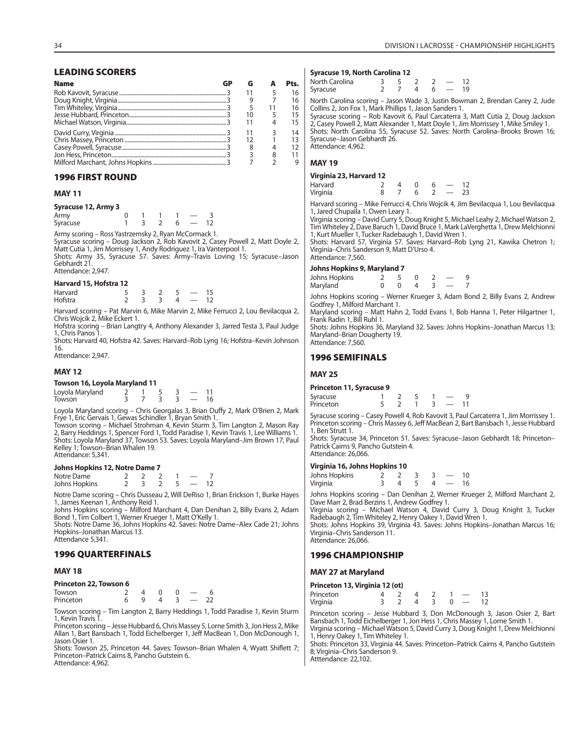#### **LEADING SCORERS**

| <b>Name</b> |    | Pts. |
|-------------|----|------|
|             |    | 16   |
|             |    | 16   |
|             |    | 16   |
|             | 10 |      |
|             |    |      |
|             |    | 14   |
|             | 12 |      |
|             |    |      |
|             |    |      |
|             |    |      |

#### **1996 FIRST ROUND**

#### **MAY 11**

#### **Syracuse 12, Army 3**

| Army     |  |  |  |
|----------|--|--|--|
| Syracuse |  |  |  |

Army scoring – Ross Yastrzemsky 2, Ryan McCormack 1. Syracuse scoring – Doug Jackson 2, Rob Kavovit 2, Casey Powell 2, Matt Doyle 2,

Matt Cutia 1, Jim Morrissey 1, Andy Rodriguez 1, Ira Vanterpool 1. Shots: Army 35, Syracuse 57. Saves: Army–Travis Loving 15; Syracuse–Jason Gebhardt 21.

Attendance: 2,947.

#### **Harvard 15, Hofstra 12**

| Harvard |  |  |  |
|---------|--|--|--|
| Hofstra |  |  |  |

Harvard scoring – Pat Marvin 6, Mike Marvin 2, Mike Ferrucci 2, Lou Bevilacqua 2, Chris Wojcik 2, Mike Eckert 1.

Hofstra scoring – Brian Langtry 4, Anthony Alexander 3, Jarred Testa 3, Paul Judge 1, Chris Panos 1. Shots: Harvard 40, Hofstra 42. Saves: Harvard–Rob Lyng 16; Hofstra–Kevin Johnson

16. Attendance: 2,947.

#### **MAY 12**

#### **Towson 16, Loyola Maryland 11**

| Loyola Maryland |  |  |  |
|-----------------|--|--|--|
| Towson          |  |  |  |

Loyola Maryland scoring – Chris Georgalas 3, Brian Duffy 2, Mark O'Brien 2, Mark Frye 1, Eric Gervais 1, Gewas Schindler 1, Bryan Smith 1. Towson scoring – Michael Strohman 4, Kevin Sturm 3, Tim Langton 2, Mason Ray

2, Barry Heddings 1, Spencer Ford 1, Todd Paradise 1, Kevin Travis 1, Lee Williams 1. Shots: Loyola Maryland 37, Towson 53. Saves: Loyola Maryland–Jim Brown 17, Paul Kelley 1; Towson-Brian Whalen 19. Attendance: 5,341.

#### **Johns Hopkins 12, Notre Dame 7**

| Notre Dame    |  |  |  |
|---------------|--|--|--|
| Johns Hopkins |  |  |  |

Notre Dame scoring – Chris Dusseau 2, Will DeRiso 1, Brian Erickson 1, Burke Hayes 1, James Keenan 1, Anthony Reid 1.

Johns Hopkins scoring – Milford Marchant 4, Dan Denihan 2, Billy Evans 2, Adam Bond 1, Tim Colbert 1, Werner Krueger 1, Matt O'Kelly 1.

Shots: Notre Dame 36, Johns Hopkins 42. Saves: Notre Dame–Alex Cade 21; Johns Hopkins–Jonathan Marcus 13. Attendance 5,341.

#### **1996 QUARTERFINALS**

#### **MAY 18**

| Princeton 22, Towson 6 |  |  |  |
|------------------------|--|--|--|
|------------------------|--|--|--|

| Towson    |  |  |  |
|-----------|--|--|--|
| Princeton |  |  |  |

Towson scoring – Tim Langton 2, Barry Heddings 1, Todd Paradise 1, Kevin Sturm 1, Kevin Travis 1.

Princeton scoring – Jesse Hubbard 6, Chris Massey 5, Lorne Smith 3, Jon Hess 2, Mike Allan 1, Bart Bansbach 1, Todd Eichelberger 1, Jeff MacBean 1, Don McDonough 1, Jason Osier 1.

Shots: Towson 25, Princeton 44. Saves: Towson–Brian Whalen 4, Wyatt Shiflett 7; Princeton–Patrick Cairns 8, Pancho Gutstein 6.

Attendance: 4,962.

#### **Syracuse 19, North Carolina 12**

| North Carolina |  |  |    |
|----------------|--|--|----|
| Syracuse       |  |  | 19 |

North Carolina scoring – Jason Wade 3, Justin Bowman 2, Brendan Carey 2, Jude Collins 2, Jon Fox 1, Mark Phillips 1, Jason Sanders 1.

Syracuse scoring – Rob Kavovit 6, Paul Carcaterra 3, Matt Cutia 2, Doug Jackson 2, Casey Powell 2, Matt Alexander 1, Matt Doyle 1, Jim Morrissey 1, Mike Smiley 1. Shots: North Carolina 55, Syracuse 52. Saves: North Carolina–Brooks Brown 16; Syracuse–Jason Gebhardt 26. Attendance: 4,962.

#### **MAY 19**

#### **Virginia 23, Harvard 12**

| Harvard  |  |  |    |
|----------|--|--|----|
| Virginia |  |  | 23 |

Harvard scoring – Mike Ferrucci 4, Chris Wojcik 4, Jim Bevilacqua 1, Lou Bevilacqua 1, Jared Chupaila 1, Owen Leary 1.

Virginia scoring – David Curry 5, Doug Knight 5, Michael Leahy 2, Michael Watson 2, Tim Whiteley 2, Dave Baruch 1, David Bruce 1, Mark LaVerghetta 1, Drew Melchionni 1, Kurt Mueller 1, Tucker Radebaugh 1, David Wren 1.

Shots: Harvard 57, Virginia 57. Saves: Harvard–Rob Lyng 21, Kawika Chetron 1; Virginia–Chris Sanderson 9, Matt D'Urso 4. Attendance: 7,560.

#### **Johns Hopkins 9, Maryland 7**

| Johns Hopkins |  |  |  |  |
|---------------|--|--|--|--|
| Maryland      |  |  |  |  |

Johns Hopkins scoring – Werner Krueger 3, Adam Bond 2, Billy Evans 2, Andrew Godfrey 1, Milford Marchant 1.

Maryland scoring – Matt Hahn 2, Todd Evans 1, Bob Hanna 1, Peter Hilgartner 1, Frank Radin 1, Bill Ruhl 1.

Shots: Johns Hopkins 36, Maryland 32. Saves: Johns Hopkins–Jonathan Marcus 13; Maryland–Brian Dougherty 19. Attendance: 7,560.

#### **1996 SEMIFINALS**

#### **MAY 25**

**Princeton 11, Syracuse 9**

| Syracuse  |  |  |  |  |
|-----------|--|--|--|--|
| Princeton |  |  |  |  |

Syracuse scoring – Casey Powell 4, Rob Kavovit 3, Paul Carcaterra 1, Jim Morrissey 1. Princeton scoring – Chris Massey 6, Jeff MacBean 2, Bart Bansbach 1, Jesse Hubbard 1, Ben Strutt 1.

Shots: Syracuse 34, Princeton 51. Saves: Syracuse–Jason Gebhardt 18; Princeton– Patrick Cairns 9, Pancho Gutstein 4. Attendance: 26,066.

#### **Virginia 16, Johns Hopkins 10**

| Johns Hopkins |  |  | 10. |
|---------------|--|--|-----|
| Virginia      |  |  | 16  |

Johns Hopkins scoring – Dan Denihan 2, Werner Krueger 2, Milford Marchant 2, Dave Marr 2, Brad Berzins 1, Andrew Godfrey 1.

Virginia scoring – Michael Watson 4, David Curry 3, Doug Knight 3, Tucker Radebaugh 2, Tim Whiteley 2, Henry Oakey 1, David Wren 1.

Shots: Johns Hopkins 39, Virginia 43. Saves: Johns Hopkins–Jonathan Marcus 16; Virginia–Chris Sanderson 11. Attendance: 26,066.

#### **1996 CHAMPIONSHIP**

#### **MAY 27 at Maryland**

| Princeton 13, Virginia 12 (ot) |  |   |    |            |      |
|--------------------------------|--|---|----|------------|------|
| Princeton                      |  |   | 47 | $1 \equiv$ | - 13 |
| Virginia                       |  | 4 | -3 | $0 - 12$   |      |

Princeton scoring – Jesse Hubbard 3, Don McDonough 3, Jason Osier 2, Bart Bansbach 1, Todd Eichelberger 1, Jon Hess 1, Chris Massey 1, Lorne Smith 1. Virginia scoring – Michael Watson 5, David Curry 3, Doug Knight 1, Drew Melchionni 1, Henry Oakey 1, Tim Whiteley 1.

Shots: Princeton 33, Virginia 44. Saves: Princeton–Patrick Cairns 4, Pancho Gutstein 8; Virginia–Chris Sanderson 9.

Atttendance: 22,102.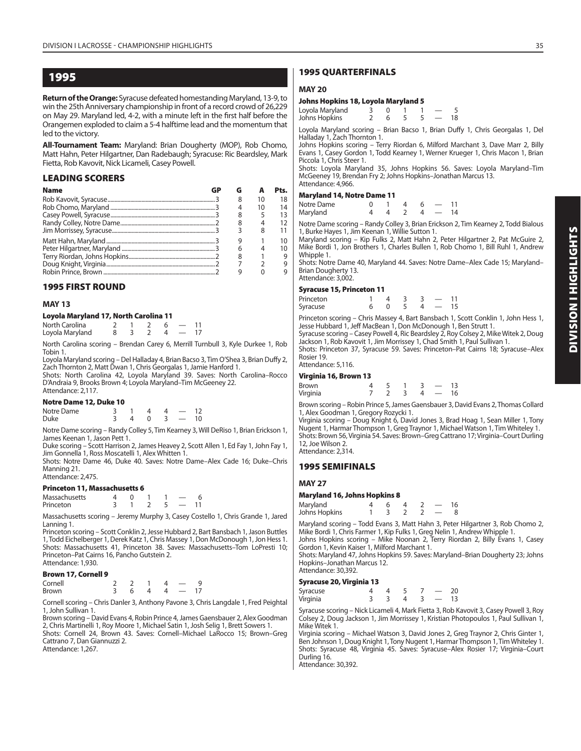**Return of the Orange:** Syracuse defeated homestanding Maryland, 13-9, to win the 25th Anniversary championship in front of a record crowd of 26,229 on May 29. Maryland led, 4-2, with a minute left in the first half before the Orangemen exploded to claim a 5-4 halftime lead and the momentum that led to the victory.

**All-Tournament Team:** Maryland: Brian Dougherty (MOP), Rob Chomo, Matt Hahn, Peter Hilgartner, Dan Radebaugh; Syracuse: Ric Beardsley, Mark Fietta, Rob Kavovit, Nick Licameli, Casey Powell.

#### **LEADING SCORERS**

| <b>Name</b> |   |    | Pts. |
|-------------|---|----|------|
|             | 8 | 10 | 18   |
|             |   | 10 | 14   |
|             | 8 |    | 13   |
|             | 8 |    | 12   |
|             |   |    | 11   |
|             |   |    | 10   |
|             | 6 |    | 10   |
|             | 8 |    | 9    |
|             |   |    | 9    |
|             |   |    |      |

#### **1995 FIRST ROUND**

#### **MAY 13**

#### **Loyola Maryland 17, North Carolina 11**

| North Carolina  |  |  |  |
|-----------------|--|--|--|
| Loyola Maryland |  |  |  |

North Carolina scoring – Brendan Carey 6, Merrill Turnbull 3, Kyle Durkee 1, Rob Tobin 1.

Loyola Maryland scoring – Del Halladay 4, Brian Bacso 3, Tim O'Shea 3, Brian Duffy 2, Zach Thornton 2, Matt Dwan 1, Chris Georgalas 1, Jamie Hanford 1.

Shots: North Carolina 42, Loyola Maryland 39. Saves: North Carolina–Rocco D'Andraia 9, Brooks Brown 4; Loyola Maryland–Tim McGeeney 22. Attendance: 2,117.

#### **Notre Dame 12, Duke 10**

| Notre Dame |                          | $\overline{4}$ | $\overline{4}$ $\overline{2}$ | 12 |
|------------|--------------------------|----------------|-------------------------------|----|
| Duke       | $4 \t 0 \t 3 \t - \t 10$ |                |                               |    |

Notre Dame scoring – Randy Colley 5, Tim Kearney 3, Will DeRiso 1, Brian Erickson 1, James Keenan 1, Jason Pett 1.

Duke scoring – Scott Harrison 2, James Heavey 2, Scott Allen 1, Ed Fay 1, John Fay 1, Jim Gonnella 1, Ross Moscatelli 1, Alex Whitten 1.

Shots: Notre Dame 46, Duke 40. Saves: Notre Dame–Alex Cade 16; Duke–Chris Manning 21.

Attendance: 2,475.

#### **Princeton 11, Massachusetts 6**

| Massachusetts |  |  |  |
|---------------|--|--|--|
| Princeton     |  |  |  |

Massachusetts scoring – Jeremy Murphy 3, Casey Costello 1, Chris Grande 1, Jared Lanning 1.

Princeton scoring – Scott Conklin 2, Jesse Hubbard 2, Bart Bansbach 1, Jason Buttles 1, Todd Eichelberger 1, Derek Katz 1, Chris Massey 1, Don McDonough 1, Jon Hess 1. Shots: Massachusetts 41, Princeton 38. Saves: Massachusetts–Tom LoPresti 10; Princeton–Pat Cairns 16, Pancho Gutstein 2. Attendance: 1,930.

#### **Brown 17, Cornell 9**

| Cornell      |  |  |    |
|--------------|--|--|----|
| <b>Brown</b> |  |  | 17 |

Cornell scoring – Chris Danler 3, Anthony Pavone 3, Chris Langdale 1, Fred Peightal 1, John Sullivan 1.

Brown scoring – David Evans 4, Robin Prince 4, James Gaensbauer 2, Alex Goodman 2, Chris Martinelli 1, Roy Moore 1, Michael Satin 1, Josh Selig 1, Brett Sowers 1. Shots: Cornell 24, Brown 43. Saves: Cornell–Michael LaRocco 15; Brown–Greg Cattrano 7, Dan Giannuzzi 2.

Attendance: 1,267.

#### **1995 QUARTERFINALS**

#### **MAY 20**

| Johns Hopkins 18, Loyola Maryland 5 |  |  |  |
|-------------------------------------|--|--|--|
| Loyola Maryland                     |  |  |  |

| Johns Hopkins |  |  | — 18 |  |
|---------------|--|--|------|--|
|               |  |  |      |  |

Loyola Maryland scoring – Brian Bacso 1, Brian Duffy 1, Chris Georgalas 1, Del Halladay 1, Zach Thornton 1.

Johns Hopkins scoring – Terry Riordan 6, Milford Marchant 3, Dave Marr 2, Billy Evans 1, Casey Gordon 1, Todd Kearney 1, Werner Krueger 1, Chris Macon 1, Brian Piccola 1, Chris Steer 1.

Shots: Loyola Maryland 35, Johns Hopkins 56. Saves: Loyola Maryland–Tim McGeeney 19, Brendan Fry 2; Johns Hopkins–Jonathan Marcus 13. Attendance: 4,966.

#### **Maryland 14, Notre Dame 11**

| Notre Dame |  |  |    |
|------------|--|--|----|
| Maryland   |  |  | 14 |

Notre Dame scoring – Randy Colley 3, Brian Erickson 2, Tim Kearney 2, Todd Bialous 1, Burke Hayes 1, Jim Keenan 1, Willie Sutton 1.

Maryland scoring – Kip Fulks 2, Matt Hahn 2, Peter Hilgartner 2, Pat McGuire 2, Mike Bordi 1, Jon Brothers 1, Charles Bullen 1, Rob Chomo 1, Bill Ruhl 1, Andrew Whipple 1.

Shots: Notre Dame 40, Maryland 44. Saves: Notre Dame–Alex Cade 15; Maryland– Brian Dougherty 13.

#### Attendance: 3,002. **Syracuse 15, Princeton 11**

| -,        |    |  |                          |    |
|-----------|----|--|--------------------------|----|
| Princeton |    |  | $\overline{\phantom{a}}$ | 11 |
| Syracuse  | -0 |  | $-15$                    |    |

Princeton scoring – Chris Massey 4, Bart Bansbach 1, Scott Conklin 1, John Hess 1, Jesse Hubbard 1, Jeff MacBean 1, Don McDonough 1, Ben Strutt 1.

Syracuse scoring – Casey Powell 4, Ric Beardsley 2, Roy Colsey 2, Mike Witek 2, Doug Jackson 1, Rob Kavovit 1, Jim Morrissey 1, Chad Smith 1, Paul Sullivan 1.

Shots: Princeton 37, Syracuse 59. Saves: Princeton–Pat Cairns 18; Syracuse–Alex Rosier 19.

#### Attendance: 5,116. **Virginia 16, Brown 13**

| Virginia 16, Brown 13 |  |  |                          |    |
|-----------------------|--|--|--------------------------|----|
| Brown                 |  |  |                          | 13 |
| Virginia              |  |  | $\overline{\phantom{a}}$ | 16 |

Brown scoring – Robin Prince 5, James Gaensbauer 3, David Evans 2, Thomas Collard 1, Alex Goodman 1, Gregory Rozycki 1.

Virginia scoring – Doug Knight 6, David Jones 3, Brad Hoag 1, Sean Miller 1, Tony Nugent 1, Harmar Thompson 1, Greg Traynor 1, Michael Watson 1, Tim Whiteley 1. Shots: Brown 56, Virginia 54. Saves: Brown–Greg Cattrano 17; Virginia–Court Durling 12, Joe Wilson 2.

Attendance: 2,314.

#### **1995 SEMIFINALS**

#### **MAY 27**

#### **Maryland 16, Johns Hopkins 8**

| Maryland      |  |  |  |
|---------------|--|--|--|
| Johns Hopkins |  |  |  |

Maryland scoring – Todd Evans 3, Matt Hahn 3, Peter Hilgartner 3, Rob Chomo 2, Mike Bordi 1, Chris Farmer 1, Kip Fulks 1, Greg Nelin 1, Andrew Whipple 1.

Johns Hopkins scoring – Mike Noonan 2, Terry Riordan 2, Billy Evans 1, Casey Gordon 1, Kevin Kaiser 1, Milford Marchant 1.

Shots: Maryland 47, Johns Hopkins 59. Saves: Maryland–Brian Dougherty 23; Johns Hopkins–Jonathan Marcus 12. Attendance: 30,392.

#### **Syracuse 20, Virginia 13**

| Syracuse |  |  |  |
|----------|--|--|--|
| Virginia |  |  |  |

Syracuse scoring – Nick Licameli 4, Mark Fietta 3, Rob Kavovit 3, Casey Powell 3, Roy Colsey 2, Doug Jackson 1, Jim Morrissey 1, Kristian Photopoulos 1, Paul Sullivan 1, Mike Witek 1.

Virginia scoring – Michael Watson 3, David Jones 2, Greg Traynor 2, Chris Ginter 1, Ben Johnson 1, Doug Knight 1, Tony Nugent 1, Harmar Thompson 1, Tim Whiteley 1. Shots: Syracuse 48, Virginia 45. Saves: Syracuse–Alex Rosier 17; Virginia–Court Durling 16

Attendance: 30,392.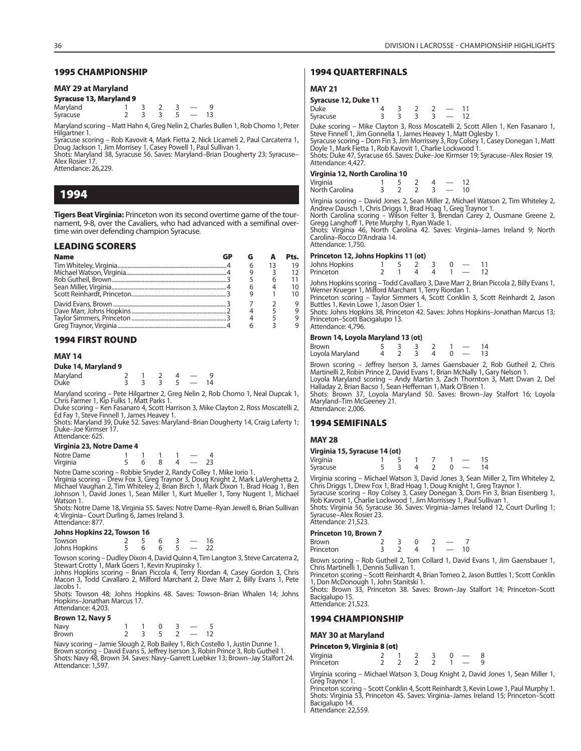#### **1995 CHAMPIONSHIP**

#### **MAY 29 at Maryland**

**Syracuse 13, Maryland 9**

Maryland 1 3 2 3 - 9<br>Syracuse 2 3 3 5 - 13 Syracuse

Maryland scoring – Matt Hahn 4, Greg Nelin 2, Charles Bullen 1, Rob Chomo 1, Peter Hilgartner 1.

Syracuse scoring – Rob Kavovit 4, Mark Fietta 2, Nick Licameli 2, Paul Carcaterra 1, Doug Jackson 1, Jim Morrisey 1, Casey Powell 1, Paul Sullivan 1.

Shots: Maryland 38, Syracuse 56. Saves: Maryland–Brian Dougherty 23; Syracuse– Alex Rosier 17. Attendance: 26,229.

**1994**

**Tigers Beat Virginia:** Princeton won its second overtime game of the tournament, 9-8, over the Cavaliers, who had advanced with a semifinal overtime win over defending champion Syracuse.

#### **LEADING SCORERS**

| <b>Name</b> |  | Pts. |
|-------------|--|------|
|             |  |      |
|             |  |      |
|             |  |      |
|             |  |      |
|             |  |      |
|             |  |      |
|             |  |      |
|             |  |      |
|             |  |      |

#### **1994 FIRST ROUND**

#### **MAY 14**

#### **Duke 14, Maryland 9**

| Maryland<br>Duke |  |  |  |  |
|------------------|--|--|--|--|
|                  |  |  |  |  |

Maryland scoring – Pete Hilgartner 2, Greg Nelin 2, Rob Chomo 1, Neal Dupcak 1, Chris Farmer 1, Kip Fulks 1, Matt Parks 1.

Duke scoring – Ken Fasanaro 4, Scott Harrison 3, Mike Clayton 2, Ross Moscatelli 2, Ed Fay 1, Steve Finnell 1, James Heavey 1.

Shots: Maryland 39, Duke 52. Saves: Maryland–Brian Dougherty 14, Craig Laferty 1; Duke–Joe Kirmser 17. Attendance: 625.

#### **Virginia 23, Notre Dame 4**

| Notre Dame |  |  |  |
|------------|--|--|--|
| Virginia   |  |  |  |

Notre Dame scoring – Robbie Snyder 2, Randy Colley 1, Mike Iorio 1.

Virginia scoring – Drew Fox 3, Greg Traynor 3, Doug Knight 2, Mark LaVerghetta 2,<br>Michael Vaughan 2, Tim Whiteley 2, Brian Birch 1, Mark Dixon 1, Brad Hoag 1, Ben<br>Johnson 1, David Jones 1, Sean Miller 1, Kurt Mueller 1, To Watson 1.

Shots: Notre Dame 18, Virginia 55. Saves: Notre Dame–Ryan Jewell 6, Brian Sullivan 4; Virginia– Court Durling 6, James Ireland 3. Attendance: 877.

#### **Johns Hopkins 22, Towson 16**

| J             |  |  |  |  |  |  |  |  |  |  |
|---------------|--|--|--|--|--|--|--|--|--|--|
| Towson        |  |  |  |  |  |  |  |  |  |  |
| Johns Hopkins |  |  |  |  |  |  |  |  |  |  |

Towson scoring – Dudley Dixon 4, David Quinn 4, Tim Langton 3, Steve Carcaterra 2, Stewart Crotty 1, Mark Goers 1, Kevin Krupinsky 1.

Johns Hopkins scoring – Brian Piccola 4, Terry Riordan 4, Casey Gordon 3, Chris Macon 3, Todd Cavallaro 2, Milford Marchant 2, Dave Marr 2, Billy Evans 1, Pete Jacobs 1.

Shots: Towson 48; Johns Hopkins 48. Saves: Towson–Brian Whalen 14; Johns Hopkins–Jonathan Marcus 17. Attendance: 4,203.

#### **Brown 12, Navy 5**

| Navy         |  |  |  |
|--------------|--|--|--|
| <b>Brown</b> |  |  |  |

Navy scoring – Jamie Slough 2, Rob Bailey 1, Rich Costello 1, Justin Dunne 1. Brown scoring – David Evans 5, Jeffrey Iserson 3, Robin Prince 3, Rob Gutheil 1. Shots: Navy 48, Brown 34. Saves: Navy–Garrett Luebker 13; Brown–Jay Stalfort 24. Attendance: 1,597.

#### **1994 QUARTERFINALS**

#### **MAY 21**

#### **Syracuse 12, Duke 11**

| Duke     | - |  |  |
|----------|---|--|--|
| Syracuse | - |  |  |

Duke scoring – Mike Clayton 3, Ross Moscatelli 2, Scott Allen 1, Ken Fasanaro 1, Steve Finnell 1, Jim Gonnella 1, James Heavey 1, Matt Oglesby 1. Syracuse scoring – Dom Fin 3, Jim Morrissey 3, Roy Colsey 1, Casey Donegan 1, Matt<br>Doyle 1, Mark Fietta 1, Rob Kavovit 1, Charlie Lockwood 1. Shots: Duke 47, Syracuse 65. Saves: Duke–Joe Kirmser 19; Syracuse–Alex Rosier 19.

Attendance: 4,427.

#### **Virginia 12, North Carolina 10**

| Virginia       |  |  |  |
|----------------|--|--|--|
| North Carolina |  |  |  |

Virginia scoring – David Jones 2, Sean Miller 2, Michael Watson 2, Tim Whiteley 2, Andrew Dausch 1, Chris Driggs 1, Brad Hoag 1, Greg Traynor 1.

North Carolina scoring – Wilson Felter 3, Brendan Carey 2, Ousmane Greene 2, Gregg Langhoff 1, Pete Murphy 1, Ryan Wade 1. Shots: Virginia 46, North Carolina 42. Saves: Virginia–James Ireland 9; North

Carolina–Rocco D'Andraia 14. Attendance: 1,750.

#### **Princeton 12, Johns Hopkins 11 (ot)**

| Johns Hopkins | - 5 2 3 |  |  |  |
|---------------|---------|--|--|--|
| Princeton     |         |  |  |  |

Johns Hopkins scoring – Todd Cavallaro 3, Dave Marr 2, Brian Piccola 2, Billy Evans 1, Werner Krueger 1, Milford Marchant 1, Terry Riordan 1.

Princeton scoring – Taylor Simmers 4, Scott Conklin 3, Scott Reinhardt 2, Jason Buttles 1, Kevin Lowe 1, Jason Osier 1.

Shots: Johns Hopkins 38, Princeton 42. Saves: Johns Hopkins–Jonathan Marcus 13; Princeton–Scott Bacigalupo 13. Attendance: 4,796.

# **Brown 14, Loyola Maryland 13 (ot)**

| ________        |  |                  |  |    |
|-----------------|--|------------------|--|----|
| Brown           |  | 5332             |  | 14 |
| Loyola Maryland |  | $4$ 2 3 4 0 - 13 |  |    |

Brown scoring – Jeffrey Iserson 3, James Gaensbauer 2, Rob Gutheil 2, Chris Martinelli 2, Robin Prince 2, David Evans 1, Brian McNally 1, Gary Nelson 1. Loyola Maryland scoring – Andy Martin 3, Zach Thornton 3, Matt Dwan 2, Del Halladay 2, Brian Bacso 1, Sean Heffernan 1, Mark O'Brien 1.

Shots: Brown 37, Loyola Maryland 50. Saves: Brown–Jay Stalfort 16; Loyola Maryland–Tim McGeeney 21. Attendance: 2,006.

#### **1994 SEMIFINALS**

#### **MAY 28**

# **Virginia 15, Syracuse 14 (ot)**

| Virginia |  |  |  |  |
|----------|--|--|--|--|
| Syracuse |  |  |  |  |

Virginia scoring – Michael Watson 3, David Jones 3, Sean Miller 2, Tim Whiteley 2, Chris Driggs 1, Drew Fox 1, Brad Hoag 1, Doug Knight 1, Greg Traynor 1.<br>Syracuse scoring – Roy Colsey 3, Casey Donegan 3, Dom Fin 3, Brian Eisenberg 1,<br>Rob Kavovit 1, Charlie Lockwood 1, Jim Morrissey 1, Paul Sullivan 1.

Shots: Virginia 56, Syracuse 36. Saves: Virginia–James Ireland 12, Court Durling 1; Syracuse–Alex Rosier 23.

Attendance: 21,523.

#### **Princeton 10, Brown 7**

| Brown     |   |  |  |  |
|-----------|---|--|--|--|
| Princeton | - |  |  |  |

Brown scoring – Rob Gutheil 2, Tom Collard 1, David Evans 1, Jim Gaensbauer 1, Chris Martinelli 1, Dennis Sullivan 1.

Princeton scoring – Scott Reinhardt 4, Brian Tomeo 2, Jason Buttles 1, Scott Conklin 1, Don McDonough 1, John Stanitski 1.

Shots: Brown 33, Princeton 38. Saves: Brown–Jay Stalfort 14; Princeton–Scott Bacigalupo 15.

Attendance: 21,523.

#### **1994 CHAMPIONSHIP**

#### **MAY 30 at Maryland**

#### **Princeton 9, Virginia 8 (ot)**

| Virginia<br>Princeton |  |  |  |  |  |
|-----------------------|--|--|--|--|--|
|                       |  |  |  |  |  |

Virginia scoring – Michael Watson 3, Doug Knight 2, David Jones 1, Sean Miller 1, Greg Traynor 1.

Princeton scoring - Scott Conklin 4, Scott Reinhardt 3, Kevin Lowe 1, Paul Murphy 1. Shots: Virginia 53, Princeton 45. Saves: Virginia–James Ireland 15; Princeton–Scott Bacigalupo 14.

Attendance: 22,559.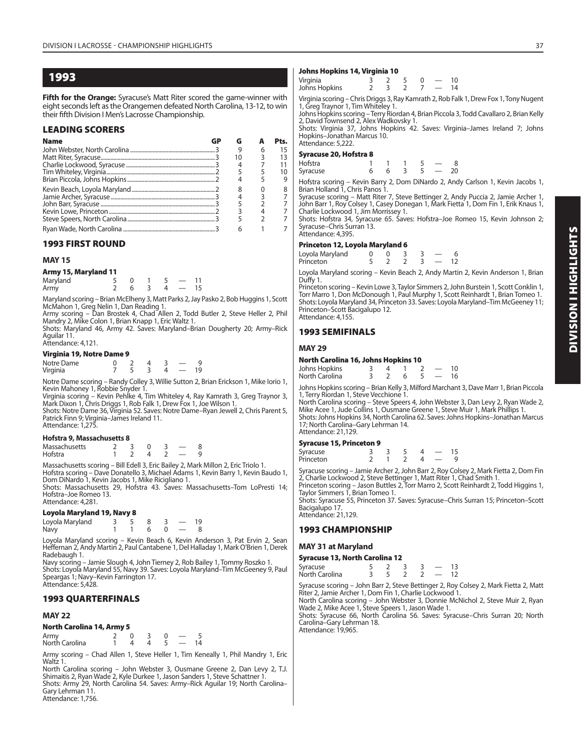**Fifth for the Orange:** Syracuse's Matt Riter scored the game-winner with eight seconds left as the Orangemen defeated North Carolina, 13-12, to win their fifth Division I Men's Lacrosse Championship.

#### **LEADING SCORERS**

| <b>Name</b> | GP | G  |   | Pts. |
|-------------|----|----|---|------|
|             |    | 9  | 6 | 15   |
|             |    | 10 |   | 13   |
|             |    |    |   | 11   |
|             |    |    |   | 10   |
|             |    |    |   | 9    |
|             |    |    |   | 8    |
|             |    |    |   |      |
|             |    |    |   |      |
|             |    |    |   |      |
|             |    |    |   |      |
|             |    |    |   |      |

#### **1993 FIRST ROUND**

#### **MAY 15**

|  |  | Army 15, Maryland 11 |  |  |
|--|--|----------------------|--|--|
|  |  |                      |  |  |

| Maryland |     |  |                          |  |
|----------|-----|--|--------------------------|--|
| Army     | 6 3 |  | $\overline{\phantom{0}}$ |  |

Maryland scoring – Brian McElheny 3, Matt Parks 2, Jay Pasko 2, Bob Huggins 1, Scott

McMahon 1, Greg Nelin 1, Dan Reading 1.<br>Army scoring – Dan Brostek 4, Chad Allen 2, Todd Butler 2, Steve Heller 2, Phil<br>Mandry 2, Mike Colon 1, Brian Knapp 1, Eric Waltz 1.<br>Shots: Maryland 46, Army 42. Saves: Maryland–Bria

Aguilar 11. Attendance: 4,121.

#### **Virginia 19, Notre Dame 9**

| <u> g ,</u> . |  |  |     |
|---------------|--|--|-----|
| Notre Dame    |  |  |     |
| Virginia      |  |  | 19. |

Notre Dame scoring – Randy Colley 3, Willie Sutton 2, Brian Erickson 1, Mike Iorio 1, Kevin Mahoney 1, Robbie Snyder 1.

Virginia scoring – Kevin Pehĺke 4, Tim Whiteley 4, Ray Kamrath 3, Greg Traynor 3,<br>Mark Dixon 1, Chris Driggs 1, Rob Falk 1, Drew Fox 1, Joe Wilson 1.<br>Shots: Notre Dame 36, Virginia 52. Saves: Notre Dame–Ryan Jewell 2, Chri

Patrick Finn 9; Virginia–James Ireland 11. Attendance: 1,275.

#### **Hofstra 9, Massachusetts 8**

| Massachusetts |  |  |  |
|---------------|--|--|--|
| Hofstra       |  |  |  |

Massachusetts scoring – Bill Edell 3, Eric Bailey 2, Mark Millon 2, Eric Triolo 1. Hofstra scoring – Dave Donatello 3, Michael Adams 1, Kevin Barry 1, Kevin Baudo 1, Dom DiNardo 1, Kevin Jacobs 1, Mike Ricigliano 1.

Shots: Massachusetts 29, Hofstra 43. Saves: Massachusetts–Tom LoPresti 14; Hofstra–Joe Romeo 13. Attendance: 4,281.

#### **Loyola Maryland 19, Navy 8**

| Loyola Maryland |  | -8 |  | -19 |
|-----------------|--|----|--|-----|
| Navy            |  | h  |  |     |

Loyola Maryland scoring – Kevin Beach 6, Kevin Anderson 3, Pat Ervin 2, Sean Heffernan 2, Andy Martin 2, Paul Cantabene 1, Del Halladay 1, Mark O'Brien 1, Derek Radebaugh 1.

Navy scoring – Jamie Slough 4, John Tierney 2, Rob Bailey 1, Tommy Roszko 1. Shots: Loyola Maryland 55, Navy 39. Saves: Loyola Maryland–Tim McGeeney 9, Paul Speargas 1; Navy–Kevin Farrington 17. Attendance: 5,428.

#### **1993 QUARTERFINALS**

#### **MAY 22**

#### **North Carolina 14, Army 5**

| Army<br>North Carolina |  |  |  |
|------------------------|--|--|--|

Army scoring – Chad Allen 1, Steve Heller 1, Tim Keneally 1, Phil Mandry 1, Eric Waltz 1.

North Carolina scoring – John Webster 3, Ousmane Greene 2, Dan Levy 2, T.J. Shimaitis 2, Ryan Wade 2, Kyle Durkee 1, Jason Sanders 1, Steve Schattner 1. Shots: Army 29, North Carolina 54. Saves: Army–Rick Aguilar 19; North Carolina– Gary Lehrman 11.

Attendance: 1,756.

#### **Johns Hopkins 14, Virginia 10**

| Virginia<br>Johns Hopkins | ____ |  |  |  |    |
|---------------------------|------|--|--|--|----|
|                           |      |  |  |  | 10 |
|                           |      |  |  |  | 14 |

Virginia scoring – Chris Driggs 3, Ray Kamrath 2, Rob Falk 1, Drew Fox 1, Tony Nugent 1, Greg Traynor 1, Tim Whiteley 1. Johns Hopkins scoring – Terry Riordan 4, Brian Piccola 3, Todd Cavallaro 2, Brian Kelly

2, David Townsend 2, Alex Wadkovsky 1. Shots: Virginia 37, Johns Hopkins 42. Saves: Virginia–James Ireland 7; Johns

Hopkins–Jonathan Marcus 10. Attendance: 5,222.

#### **Syracuse 20, Hofstra 8**

| Hofstra  |  |  |    |
|----------|--|--|----|
| Syracuse |  |  | 20 |

Hofstra scoring – Kevin Barry 2, Dom DiNardo 2, Andy Carlson 1, Kevin Jacobs 1, Brian Holland 1, Chris Panos 1.

Syracuse scoring – Matt Riter 7, Steve Bettinger 2, Andy Puccia 2, Jamie Archer 1, John Barr 1, Roy Colsey 1, Casey Donegan 1, Mark Fietta 1, Dom Fin 1, Erik Knaus 1, Charlie Lockwood 1, Jim Morrissey 1.

Shots: Hofstra 34, Syracuse 65. Saves: Hofstra–Joe Romeo 15, Kevin Johnson 2; Syracuse–Chris Surran 13. Attendance: 4,395.

#### **Princeton 12, Loyola Maryland 6**

| Loyola Maryland |  |  |  |
|-----------------|--|--|--|
| Princeton       |  |  |  |

Loyola Maryland scoring – Kevin Beach 2, Andy Martin 2, Kevin Anderson 1, Brian Duffy 1.

Princeton scoring – Kevin Lowe 3, Taylor Simmers 2, John Burstein 1, Scott Conklin 1, Torr Marro 1, Don McDonough 1, Paul Murphy 1, Scott Reinhardt 1, Brian Tomeo 1. Shots: Loyola Maryland 34, Princeton 33. Saves: Loyola Maryland–Tim McGeeney 11; Princeton–Scott Bacigalupo 12. Attendance: 4,155.

#### **1993 SEMIFINALS**

#### **MAY 29**

#### **North Carolina 16, Johns Hopkins 10**

| Johns Hopkins<br>North Carolina |  |  |  |  |
|---------------------------------|--|--|--|--|
|                                 |  |  |  |  |

|                                        | Johns Hopkins scoring – Brian Kelly 3, Milford Marchant 3, Dave Marr 1, Brian Piccola |  |
|----------------------------------------|---------------------------------------------------------------------------------------|--|
| 1, Terry Riordan 1, Steve Vecchione 1. |                                                                                       |  |

North Carolina scoring – Steve Speers 4, John Webster 3, Dan Levy 2, Ryan Wade 2, Mike Acee 1, Jude Collins 1, Ousmane Greene 1, Steve Muir 1, Mark Phillips 1. Shots: Johns Hopkins 34, North Carolina 62. Saves: Johns Hopkins–Jonathan Marcus 17; North Carolina–Gary Lehrman 14. Attendance: 21,129.

#### **Syracuse 15, Princeton 9**

| Syracuse  |  |  |  |
|-----------|--|--|--|
| Princeton |  |  |  |

Syracuse scoring – Jamie Archer 2, John Barr 2, Roy Colsey 2, Mark Fietta 2, Dom Fin 2, Charlie Lockwood 2, Steve Bettinger 1, Matt Riter 1, Chad Smith 1. Princeton scoring – Jason Buttles 2, Torr Marro 2, Scott Reinhardt 2, Todd Higgins 1,

Taylor Simmers 1, Brian Tomeo 1.

Shots: Syracuse 55, Princeton 37. Saves: Syracuse–Chris Surran 15; Princeton–Scott Bacigalupo 17. Attendance: 21,129.

#### **1993 CHAMPIONSHIP**

#### **MAY 31 at Maryland**

#### **Syracuse 13, North Carolina 12**

| Syracuse       |  |  |  |
|----------------|--|--|--|
| North Carolina |  |  |  |

Syracuse scoring – John Barr 2, Steve Bettinger 2, Roy Colsey 2, Mark Fietta 2, Matt Riter 2, Jamie Archer 1, Dom Fin 1, Charlie Lockwood 1.

North Carolina scoring – John Webster 3, Donnie McNichol 2, Steve Muir 2, Ryan Wade 2, Mike Acee 1, Steve Speers 1, Jason Wade 1.

Shots: Syracuse 66, North Carolina 56. Saves: Syracuse–Chris Surran 20; North Carolina–Gary Lehrman 18. Attendance: 19,965.

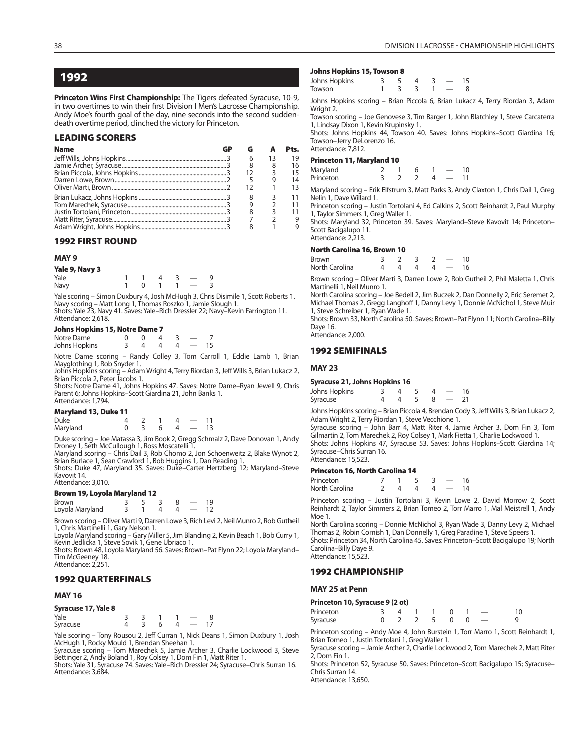**Princeton Wins First Championship:** The Tigers defeated Syracuse, 10-9, in two overtimes to win their first Division I Men's Lacrosse Championship. Andy Moe's fourth goal of the day, nine seconds into the second suddendeath overtime period, clinched the victory for Princeton.

#### **LEADING SCORERS**

| <b>Name</b> | GP |    | Pts. |
|-------------|----|----|------|
|             |    | 6  | 19   |
|             |    |    | 16   |
|             |    | 12 | 15   |
|             |    |    | 14   |
|             |    |    | 13   |
|             |    | 8  | 11   |
|             |    |    | 11   |
|             |    |    | 11   |
|             |    |    | 9    |
|             |    |    |      |

#### **1992 FIRST ROUND**

#### **MAY 9**

| Yale 9, Navy 3 |  |  |                          |  |
|----------------|--|--|--------------------------|--|
| Yale           |  |  |                          |  |
| Navy           |  |  | $\overline{\phantom{a}}$ |  |

Yale scoring – Simon Duxbury 4, Josh McHugh 3, Chris Disimile 1, Scott Roberts 1. Navy scoring – Matt Long 1, Thomas Roszko 1, Jamie Slough 1. Shots: Yale 23, Navy 41. Saves: Yale–Rich Dressler 22; Navy–Kevin Farrington 11. Attendance: 2.618.

**Johns Hopkins 15, Notre Dame 7** Notre Dame 0 0 0 4 3 - 7<br>Johns Hopkins 3 4 4 4 - 15 Johns Hopkins

Notre Dame scoring – Randy Colley 3, Tom Carroll 1, Eddie Lamb 1, Brian Mayglothing 1, Rob Snyder 1.

Johns Hopkins scoring – Adam Wright 4, Terry Riordan 3, Jeff Wills 3, Brian Lukacz 2, Brian Piccola 2, Peter Jacobs 1.

Shots: Notre Dame 41, Johns Hopkins 47. Saves: Notre Dame–Ryan Jewell 9, Chris Parent 6; Johns Hopkins–Scott Giardina 21, John Banks 1. Attendance: 1,794.

#### **Maryland 13, Duke 11**

| <b>Duke</b> |  |          |   |  |
|-------------|--|----------|---|--|
| Maryland    |  | <b>6</b> | Δ |  |

Duke scoring – Joe Matassa 3, Jim Book 2, Gregg Schmalz 2, Dave Donovan 1, Andy

Droney 1, Seth McCullough 1, Ross Moscatelli 1. Maryland scoring – Chris Dail 3, Rob Chomo 2, Jon Schoenweitz 2, Blake Wynot 2, Brian Burlace 1, Sean Crawford 1, Bob Huggins 1, Dan Reading 1.

Shots: Duke 47, Maryland 35. Saves: Duke–Carter Hertzberg 12; Maryland–Steve Kavovit 14. Attendance: 3,010.

#### **Brown 19, Loyola Maryland 12**

| <b>Brown</b>    |  |  | 19. |
|-----------------|--|--|-----|
| Loyola Maryland |  |  |     |

Brown scoring – Oliver Marti 9, Darren Lowe 3, Rich Levi 2, Neil Munro 2, Rob Gutheil 1, Chris Martinelli 1, Gary Nelson 1.

Loyola Maryland scoring – Gary Miller 5, Jim Blanding 2, Kevin Beach 1, Bob Curry 1, Kevin Jedlicka 1, Steve Sovik 1, Gene Ubriaco 1.

Shots: Brown 48, Loyola Maryland 56. Saves: Brown–Pat Flynn 22; Loyola Maryland– Tim McGeeney 18. Attendance: 2,251.

#### **1992 QUARTERFINALS**

#### **MAY 16**

| Syracuse 17, Yale 8 |  |  |    |
|---------------------|--|--|----|
| Yale                |  |  |    |
| Syracuse            |  |  | 17 |

Yale scoring – Tony Rousou 2, Jeff Curran 1, Nick Deans 1, Simon Duxbury 1, Josh McHugh 1, Rocky Mould 1, Brendan Sheehan 1.

Syracuse scoring – Tom Marechek 5, Jamie Archer 3, Charlie Lockwood 3, Steve Bettinger 2, Andy Boland 1, Roy Colsey 1, Dom Fin 1, Matt Riter 1.

Shots: Yale 31, Syracuse 74. Saves: Yale–Rich Dressler 24; Syracuse–Chris Surran 16. Attendance: 3,684.

#### **Johns Hopkins 15, Towson 8**

| Johns Hopkins |  |          | 4       |            | 15 |
|---------------|--|----------|---------|------------|----|
| Towson        |  | $\sim$ 3 | $\prec$ | $\sim$ $-$ |    |
| . .           |  |          |         |            |    |

Johns Hopkins scoring – Brian Piccola 6, Brian Lukacz 4, Terry Riordan 3, Adam Wright 2

Towson scoring – Joe Genovese 3, Tim Barger 1, John Blatchley 1, Steve Carcaterra 1, Lindsay Dixon 1, Kevin Krupinsky 1.

Shots: Johns Hopkins 44, Towson 40. Saves: Johns Hopkins–Scott Giardina 16; Towson–Jerry DeLorenzo 16. Attendance: 7,812.

#### **Princeton 11, Maryland 10**

| Maryland  |  |  | 10 |
|-----------|--|--|----|
| Princeton |  |  |    |

Maryland scoring – Erik Elfstrum 3, Matt Parks 3, Andy Claxton 1, Chris Dail 1, Greg Nelin 1, Dave Willard 1.

Princeton scoring – Justin Tortolani 4, Ed Calkins 2, Scott Reinhardt 2, Paul Murphy 1, Taylor Simmers 1, Greg Waller 1.

Shots: Maryland 32, Princeton 39. Saves: Maryland–Steve Kavovit 14; Princeton– Scott Bacigalupo 11. Attendance: 2,213.

#### **North Carolina 16, Brown 10**

| Brown          |  |  | 10 |  |
|----------------|--|--|----|--|
| North Carolina |  |  |    |  |

Brown scoring – Oliver Marti 3, Darren Lowe 2, Rob Gutheil 2, Phil Maletta 1, Chris Martinelli 1, Neil Munro 1.

North Carolina scoring – Joe Bedell 2, Jim Buczek 2, Dan Donnelly 2, Eric Seremet 2, Michael Thomas 2, Gregg Langhoff 1, Danny Levy 1, Donnie McNichol 1, Steve Muir 1, Steve Schreiber 1, Ryan Wade 1.

Shots: Brown 33, North Carolina 50. Saves: Brown–Pat Flynn 11; North Carolina–Billy Daye 16.

Attendance: 2,000.

#### **1992 SEMIFINALS**

#### **MAY 23**

#### **Syracuse 21, Johns Hopkins 16**

| Johns Hopkins |  |  |  |  |
|---------------|--|--|--|--|
| Syracuse      |  |  |  |  |

Johns Hopkins scoring – Brian Piccola 4, Brendan Cody 3, Jeff Wills 3, Brian Lukacz 2, Adam Wright 2, Terry Riordan 1, Steve Vecchione 1.

Syracuse scoring – John Barr 4, Matt Riter 4, Jamie Archer 3, Dom Fin 3, Tom Gilmartin 2, Tom Marechek 2, Roy Colsey 1, Mark Fietta 1, Charlie Lockwood 1. Shots: Johns Hopkins 47, Syracuse 53. Saves: Johns Hopkins–Scott Giardina 14; Syracuse–Chris Surran 16. Attendance: 15,523.

#### **Princeton 16, North Carolina 14**

| Princeton      |  |  |    |
|----------------|--|--|----|
| North Carolina |  |  | 14 |

Princeton scoring – Justin Tortolani 3, Kevin Lowe 2, David Morrow 2, Scott Reinhardt 2, Taylor Simmers 2, Brian Tomeo 2, Torr Marro 1, Mal Meistrell 1, Andy Moe 1.

North Carolina scoring – Donnie McNichol 3, Ryan Wade 3, Danny Levy 2, Michael Thomas 2, Robin Cornish 1, Dan Donnelly 1, Greg Paradine 1, Steve Speers 1. Shots: Princeton 34, North Carolina 45. Saves: Princeton–Scott Bacigalupo 19; North Carolina–Billy Daye 9. Attendance: 15,523.

#### **1992 CHAMPIONSHIP**

#### **MAY 25 at Penn**

#### **Princeton 10, Syracuse 9 (2 ot)**

| Princeton |  |             |  |  |
|-----------|--|-------------|--|--|
| Syracuse  |  | 0 2 2 5 0 0 |  |  |

Princeton scoring – Andy Moe 4, John Burstein 1, Torr Marro 1, Scott Reinhardt 1, Brian Tomeo 1, Justin Tortolani 1, Greg Waller 1.

Syracuse scoring – Jamie Archer 2, Charlie Lockwood 2, Tom Marechek 2, Matt Riter 2, Dom Fin 1.

Shots: Princeton 52, Syracuse 50. Saves: Princeton–Scott Bacigalupo 15; Syracuse– Chris Surran 14.

Attendance: 13,650.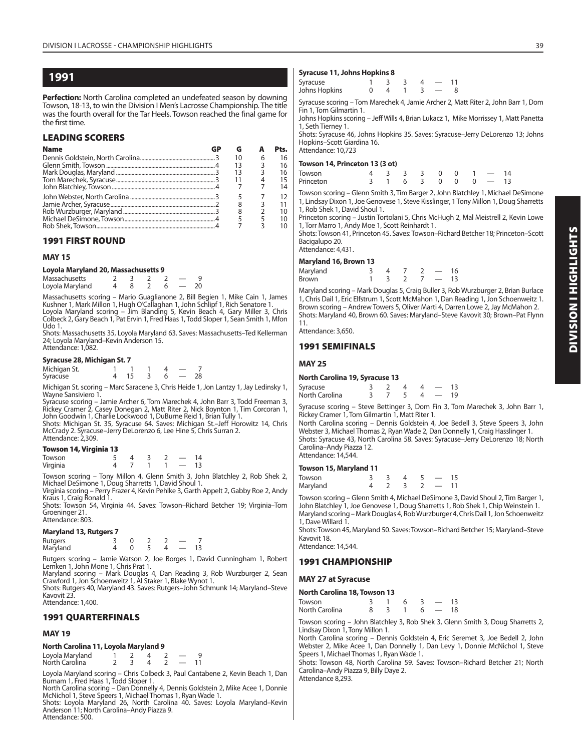**Perfection:** North Carolina completed an undefeated season by downing Towson, 18-13, to win the Division I Men's Lacrosse Championship. The title was the fourth overall for the Tar Heels. Towson reached the final game for the first time

#### **LEADING SCORERS**

| <b>Name</b> | GP | G  |   | Pts. |
|-------------|----|----|---|------|
|             |    | 10 | 6 | 16   |
|             |    | 13 | 3 | 16   |
|             |    |    | 3 | 16   |
|             |    |    |   | 15   |
|             |    |    |   | 14   |
|             |    |    |   | 12   |
|             |    |    |   | 11   |
|             |    |    |   | 10   |
|             |    |    |   | 10   |
|             |    |    |   | 10   |

#### **1991 FIRST ROUND**

#### **MAY 15**

#### **Loyola Maryland 20, Massachusetts 9**

| Massachusetts   |  |  |  |
|-----------------|--|--|--|
| Loyola Maryland |  |  |  |

Massachusetts scoring – Mario Guaglianone 2, Bill Begien 1, Mike Cain 1, James Kushner 1, Mark Millon 1, Hugh O'Callaghan 1, John Schlipf 1, Rich Senatore 1.<br>Loyola Maryland scoring – Jim Blanding 5, Kevin Beach 4, Gary Miller 3, Chris<br>Colbeck 2, Gary Beach 1, Pat Ervin 1, Fred Haas 1, Todd Sloper 1, Udo 1.

Shots: Massachusetts 35, Loyola Maryland 63. Saves: Massachusetts–Ted Kellerman 24; Loyola Maryland–Kevin Anderson 15. Attendance: 1,082.

#### **Syracuse 28, Michigan St. 7**

| - -          |  |  |  |
|--------------|--|--|--|
| Michigan St. |  |  |  |
| Syracuse     |  |  |  |

Michigan St. scoring – Marc Saracene 3, Chris Heide 1, Jon Lantzy 1, Jay Ledinsky 1, Wayne Sansiviero 1.

Syracuse scoring – Jamie Archer 6, Tom Marechek 4, John Barr 3, Todd Freeman 3,<br>Rickey Cramer 2, Casey Donegan 2, Matt Riter 2, Nick Boynton 1, Tim Corcoran 1,<br>John Goodwin 1, Charlie Lockwood 1, DuBurne Reid 1, Brian Tull

McCrady 2. Syracuse–Jerry DeLorenzo 6, Lee Hine 5, Chris Surran 2. Attendance: 2,309.

#### **Towson 14, Virginia 13**

| Towson   |  |  |  | $\Lambda$ |
|----------|--|--|--|-----------|
| Virginia |  |  |  |           |

Towson scoring – Tony Millon 4, Glenn Smith 3, John Blatchley 2, Rob Shek 2, Michael DeSimone 1, Doug Sharretts 1, David Shoul 1.

Virginia scoring – Perry Frazer 4, Kevin Pehlke 3, Garth Appelt 2, Gabby Roe 2, Andy Kraus 1, Craig Ronald 1.

Shots: Towson 54, Virginia 44. Saves: Towson–Richard Betcher 19; Virginia–Tom Groeninger 21. Attendance: 803.

#### **Maryland 13, Rutgers 7**

| Rutgers<br>Maryland |  |  |  |
|---------------------|--|--|--|

Rutgers scoring – Jamie Watson 2, Joe Borges 1, David Cunningham 1, Robert

Lemken 1, John Mone 1, Chris Prat 1. Maryland scoring – Mark Douglas 4, Dan Reading 3, Rob Wurzburger 2, Sean Crawford 1, Jon Schoenweitz 1, Al Staker 1, Blake Wynot 1.

Shots: Rutgers 40, Maryland 43. Saves: Rutgers-John Schmunk 14; Maryland-Steve Kavovit 23.

Attendance: 1,400.

#### **1991 QUARTERFINALS**

#### **MAY 19**

| North Carolina 11, Loyola Maryland 9 |  |  |
|--------------------------------------|--|--|
|--------------------------------------|--|--|

| Loyola Maryland |  |  |  |
|-----------------|--|--|--|
| North Carolina  |  |  |  |

Loyola Maryland scoring – Chris Colbeck 3, Paul Cantabene 2, Kevin Beach 1, Dan Burnam 1, Fred Haas 1, Todd Sloper 1.

North Carolina scoring – Dan Donnelly 4, Dennis Goldstein 2, Mike Acee 1, Donnie McNichol 1, Steve Speers 1, Michael Thomas 1, Ryan Wade 1.

Shots: Loyola Maryland 26, North Carolina 40. Saves: Loyola Maryland-Kevin Anderson 11; North Carolina–Andy Piazza 9. Attendance: 500.

#### **Syracuse 11, Johns Hopkins 8**

| ---------<br>___ |  |  |  |
|------------------|--|--|--|
| Syracuse         |  |  |  |
| Johns Hopkins    |  |  |  |

Syracuse scoring – Tom Marechek 4, Jamie Archer 2, Matt Riter 2, John Barr 1, Dom Fin 1, Tom Gilmartin 1.

Johns Hopkins scoring – Jeff Wills 4, Brian Lukacz 1, Mike Morrissey 1, Matt Panetta 1, Seth Tierney 1.

Shots: Syracuse 46, Johns Hopkins 35. Saves: Syracuse–Jerry DeLorenzo 13; Johns Hopkins–Scott Giardina 16. Attendance: 10,723

#### **Towson 14, Princeton 13 (3 ot)**

| Towson    |  | 4 3 3 3 0 0 1 - 14 |  |  |  |
|-----------|--|--------------------|--|--|--|
| Princeton |  | 3 1 6 3 0 0 0 - 13 |  |  |  |

Towson scoring – Glenn Smith 3, Tim Barger 2, John Blatchley 1, Michael DeSimone 1, Lindsay Dixon 1, Joe Genovese 1, Steve Kisslinger, 1 Tony Millon 1, Doug Sharretts 1, Rob Shek 1, David Shoul 1.

Princeton scoring – Justin Tortolani 5, Chris McHugh 2, Mal Meistrell 2, Kevin Lowe 1, Torr Marro 1, Andy Moe 1, Scott Reinhardt 1.

Shots: Towson 41, Princeton 45. Saves: Towson–Richard Betcher 18; Princeton–Scott Bacigalupo 20. Attendance: 4,431.

#### **Maryland 16, Brown 13**

| $m = 100$    |  |  |          |    |
|--------------|--|--|----------|----|
| Maryland     |  |  |          | 16 |
| <b>Brown</b> |  |  | $7 - 13$ |    |

Maryland scoring – Mark Douglas 5, Craig Buller 3, Rob Wurzburger 2, Brian Burlace 1, Chris Dail 1, Eric Elfstrum 1, Scott McMahon 1, Dan Reading 1, Jon Schoenweitz 1. Brown scoring – Andrew Towers 5, Oliver Marti 4, Darren Lowe 2, Jay McMahon 2. Shots: Maryland 40, Brown 60. Saves: Maryland–Steve Kavovit 30; Brown–Pat Flynn 11.

Attendance: 3,650.

#### **1991 SEMIFINALS**

#### **MAY 25**

#### **North Carolina 19, Syracuse 13**

| Syracuse       |  |  |    |
|----------------|--|--|----|
| North Carolina |  |  | 19 |

Syracuse scoring – Steve Bettinger 3, Dom Fin 3, Tom Marechek 3, John Barr 1, Rickey Cramer 1, Tom Gilmartin 1, Matt Riter 1.

North Carolina scoring – Dennis Goldstein 4, Joe Bedell 3, Steve Speers 3, John Webster 3, Michael Thomas 2, Ryan Wade 2, Dan Donnelly 1, Craig Hasslinger 1. Shots: Syracuse 43, North Carolina 58. Saves: Syracuse–Jerry DeLorenzo 18; North Carolina–Andy Piazza 12. Attendance: 14,544.

# **Towson 15, Maryland 11**

| $1000301113$ , $10101310110111$ |  |  |          |  |               |    |  |  |  |
|---------------------------------|--|--|----------|--|---------------|----|--|--|--|
| Towson                          |  |  | $\Delta$ |  | $\sim$ $\sim$ | 15 |  |  |  |
| Maryland                        |  |  |          |  | $-11$         |    |  |  |  |

Towson scoring – Glenn Smith 4, Michael DeSimone 3, David Shoul 2, Tim Barger 1, John Blatchley 1, Joe Genovese 1, Doug Sharretts 1, Rob Shek 1, Chip Weinstein 1. Maryland scoring – Mark Douglas 4, Rob Wurzburger 4, Chris Dail 1, Jon Schoenweitz 1, Dave Willard 1.

Shots: Towson 45, Maryland 50. Saves: Towson–Richard Betcher 15; Maryland–Steve Kavovit 18.

Attendance: 14,544.

#### **1991 CHAMPIONSHIP**

#### **MAY 27 at Syracuse**

| North Carolina 18, Towson 13 |  |    |   |      |       |      |  |  |
|------------------------------|--|----|---|------|-------|------|--|--|
| Towson                       |  |    | 6 | - 3. | 13 —  |      |  |  |
| North Carolina               |  | -3 |   |      | $6 -$ | - 18 |  |  |

Towson scoring – John Blatchley 3, Rob Shek 3, Glenn Smith 3, Doug Sharretts 2, Lindsay Dixon 1, Tony Millon 1.

North Carolina scoring – Dennis Goldstein 4, Eric Seremet 3, Joe Bedell 2, John Webster 2, Mike Acee 1, Dan Donnelly 1, Dan Levy 1, Donnie McNichol 1, Steve Speers 1, Michael Thomas 1, Ryan Wade 1.

Shots: Towson 48, North Carolina 59. Saves: Towson–Richard Betcher 21; North Carolina–Andy Piazza 9, Billy Daye 2. Attendance 8,293.

**DIVISION I HIGHLIGHTS DIVISION I HIGHLIGHTS**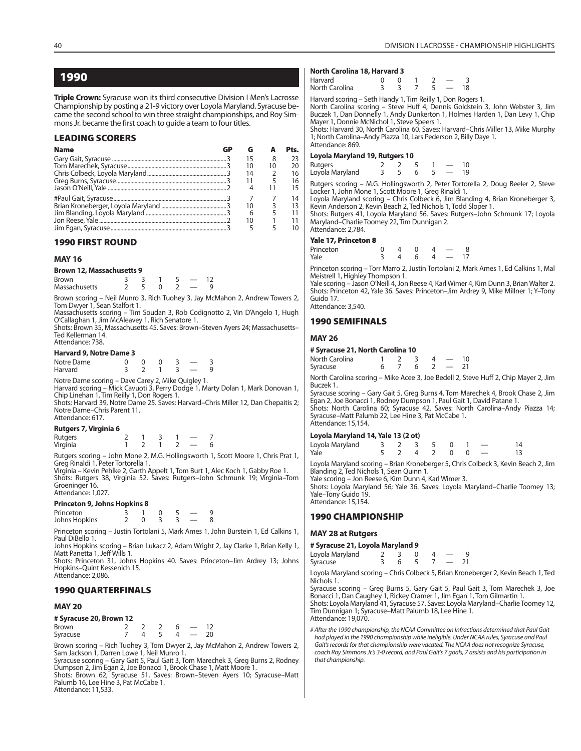**Triple Crown:** Syracuse won its third consecutive Division I Men's Lacrosse Championship by posting a 21-9 victory over Loyola Maryland. Syracuse became the second school to win three straight championships, and Roy Simmons Jr. became the first coach to quide a team to four titles.

#### **LEADING SCORERS**

| <b>Name</b> |    |    | Pts. |
|-------------|----|----|------|
|             | 15 | 8  | 23   |
|             |    | 10 | 20   |
|             | 14 |    | 16   |
|             |    |    | 16   |
|             |    |    | 15   |
|             |    |    | 14   |
|             | 10 |    | 13   |
|             | 6  |    | 11   |
|             | 10 |    |      |
|             |    |    | 10   |

#### **1990 FIRST ROUND**

#### **MAY 16**

#### **Brown 12, Massachusetts 9**

| <b>Brown</b>  |  |  |  |
|---------------|--|--|--|
| Massachusetts |  |  |  |

Brown scoring – Neil Munro 3, Rich Tuohey 3, Jay McMahon 2, Andrew Towers 2, Tom Dwyer 1, Sean Stalfort 1.

Massachusetts scoring – Tim Soudan 3, Rob Codignotto 2, Vin D'Angelo 1, Hugh O'Callaghan 1, Jim McAleavey 1, Rich Senatore 1.

Shots: Brown 35, Massachusetts 45. Saves: Brown–Steven Ayers 24; Massachusetts– Ted Kellerman 14. Attendance: 738.

#### **Harvard 9, Notre Dame 3**

| Notre Dame |  |  |  |
|------------|--|--|--|
| Harvard    |  |  |  |

Notre Dame scoring – Dave Carey 2, Mike Quigley 1. Harvard scoring – Mick Cavuoti 3, Perry Dodge 1, Marty Dolan 1, Mark Donovan 1, Chip Linehan 1, Tim Reilly 1, Don Rogers 1. Shots: Harvard 39, Notre Dame 25. Saves: Harvard–Chris Miller 12, Dan Chepaitis 2;

Notre Dame–Chris Parent 11. Attendance: 617.

#### **Rutgers 7, Virginia 6**

Rutgers 2 1 3 1 — 7<br>Virginia 1 2 1 2 — 6 **Virginia** 

Rutgers scoring – John Mone 2, M.G. Hollingsworth 1, Scott Moore 1, Chris Prat 1, Greg Rinaldi 1, Peter Tortorella 1.

Virginia – Kevin Pehlke 2, Garth Appelt 1, Tom Burt 1, Alec Koch 1, Gabby Roe 1. Shots: Rutgers 38, Virginia 52. Saves: Rutgers–John Schmunk 19; Virginia–Tom Groeninger 16. Attendance: 1,027.

#### **Princeton 9, Johns Hopkins 8**

| Princeton     |  |  |  |  |
|---------------|--|--|--|--|
| Johns Hopkins |  |  |  |  |

Princeton scoring – Justin Tortolani 5, Mark Ames 1, John Burstein 1, Ed Calkins 1, Paul DiBello 1. Johns Hopkins scoring – Brian Lukacz 2, Adam Wright 2, Jay Clarke 1, Brian Kelly 1,

Matt Panetta 1, Jeff Wills 1. Shots: Princeton 31, Johns Hopkins 40. Saves: Princeton–Jim Ardrey 13; Johns

Hopkins–Quint Kessenich 15. Attendance: 2,086.

#### **1990 QUARTERFINALS**

#### **MAY 20**

#### **# Syracuse 20, Brown 12**

| <b>Brown</b> |  |  |  |
|--------------|--|--|--|
| Syracuse     |  |  |  |

Brown scoring – Rich Tuohey 3, Tom Dwyer 2, Jay McMahon 2, Andrew Towers 2, Sam Jackson 1, Darren Lowe 1, Neil Munro 1. Syracuse scoring – Gary Gait 5, Paul Gait 3, Tom Marechek 3, Greg Burns 2, Rodney

Dumpson 2, Jim Egan 2, Joe Bonacci 1, Brook Chase 1, Matt Moore 1.

Shots: Brown 62, Syracuse 51. Saves: Brown–Steven Ayers 10; Syracuse–Matt Palumb 16, Lee Hine 3, Pat McCabe 1.

Attendance: 11,533.

#### **North Carolina 18, Harvard 3**

| Harvard        |  |  |    |
|----------------|--|--|----|
| North Carolina |  |  | 18 |

Harvard scoring – Seth Handy 1, Tim Reilly 1, Don Rogers 1.

North Carolina scoring – Steve Huff 4, Dennis Goldstein 3, John Webster 3, Jim Buczek 1, Dan Donnelly 1, Andy Dunkerton 1, Holmes Harden 1, Dan Levy 1, Chip Mayer 1, Donnie McNichol 1, Steve Speers 1.

Shots: Harvard 30, North Carolina 60. Saves: Harvard–Chris Miller 13, Mike Murphy 1; North Carolina–Andy Piazza 10, Lars Pederson 2, Billy Daye 1. Attendance: 869.

# **Loyola Maryland 19, Rutgers 10**

| Rutgers         |  |  |  |
|-----------------|--|--|--|
| Loyola Maryland |  |  |  |

Rutgers scoring – M.G. Hollingsworth 2, Peter Tortorella 2, Doug Beeler 2, Steve Locker 1, John Mone 1, Scott Moore 1, Greg Rinaldi 1.

Loyola Maryland scoring – Chris Colbeck 6, Jim Blanding 4, Brian Kroneberger 3, Kevin Anderson 2, Kevin Beach 2, Ted Nichols 1, Todd Sloper 1.

Shots: Rutgers 41, Loyola Maryland 56. Saves: Rutgers–John Schmunk 17; Loyola Maryland–Charlie Toomey 22, Tim Dunnigan 2.

#### Attendance: 2,784. **Yale 17, Princeton 8**

| Princeton | $\overline{A}$ |   |          |  |
|-----------|----------------|---|----------|--|
| Yale      | 4              | 6 | $4 - 17$ |  |

Princeton scoring – Torr Marro 2, Justin Tortolani 2, Mark Ames 1, Ed Calkins 1, Mal Meistrell 1, Highley Thompson 1.

Yale scoring – Jason O'Neill 4, Jon Reese 4, Karl Wimer 4, Kim Dunn 3, Brian Walter 2. Shots: Princeton 42, Yale 36. Saves: Princeton–Jim Ardrey 9, Mike Millner 1; Y–Tony Guido 17.

Attendance: 3,540.

#### **1990 SEMIFINALS**

#### **MAY 26**

#### **# Syracuse 21, North Carolina 10**

| North Carolina |  |  |  |  |
|----------------|--|--|--|--|
| Syracuse       |  |  |  |  |

North Carolina scoring – Mike Acee 3, Joe Bedell 2, Steve Huff 2, Chip Mayer 2, Jim Buczek 1.

Syracuse scoring – Gary Gait 5, Greg Burns 4, Tom Marechek 4, Brook Chase 2, Jim Egan 2, Joe Bonacci 1, Rodney Dumpson 1, Paul Gait 1, David Patane 1. Shots: North Carolina 60; Syracuse 42. Saves: North Carolina–Andy Piazza 14; Syracuse–Matt Palumb 22, Lee Hine 3, Pat McCabe 1. Attendance: 15,154.

#### **Loyola Maryland 14, Yale 13 (2 ot)**

| Loyola Maryland |  | 3 2 3 5 0 1 -   |  |  |
|-----------------|--|-----------------|--|--|
| Yale            |  | 5 2 4 2 0 0 $-$ |  |  |

Loyola Maryland scoring – Brian Kroneberger 5, Chris Colbeck 3, Kevin Beach 2, Jim Blanding 2, Ted Nichols 1, Sean Quinn 1.

Yale scoring – Jon Reese 6, Kim Dunn 4, Karl Wimer 3. Shots: Loyola Maryland 56; Yale 36. Saves: Loyola Maryland–Charlie Toomey 13; Yale–Tony Guido 19.

Attendance: 15,154.

## **1990 CHAMPIONSHIP**

#### **MAY 28 at Rutgers**

| # Syracuse 21, Loyola Maryland 9 |  |  |  |  |                          |  |  |  |
|----------------------------------|--|--|--|--|--------------------------|--|--|--|
| Loyola Maryland                  |  |  |  |  |                          |  |  |  |
| Syracuse                         |  |  |  |  | $\overline{\phantom{a}}$ |  |  |  |

Loyola Maryland scoring – Chris Colbeck 5, Brian Kroneberger 2, Kevin Beach 1, Ted Nichols 1.

Syracuse scoring – Greg Burns 5, Gary Gait 5, Paul Gait 3, Tom Marechek 3, Joe Bonacci 1, Dan Caughey 1, Rickey Cramer 1, Jim Egan 1, Tom Gilmartin 1. Shots: Loyola Maryland 41, Syracuse 57. Saves: Loyola Maryland–Charlie Toomey 12, Tim Dunnigan 1; Syracuse–Matt Palumb 18, Lee Hine 1. Attendance: 19,070.

# After the 1990 championship, the NCAA Committee on Infractions determined that Paul Gait had played in the 1990 championship while ineligible. Under NCAA rules, Syracuse and Paul Gait's records for that championship were vacated. The NCAA does not recognize Syracuse, coach Roy Simmons Jr.'s 3-0 record, and Paul Gait's 7 goals, 7 assists and his participation in that championship.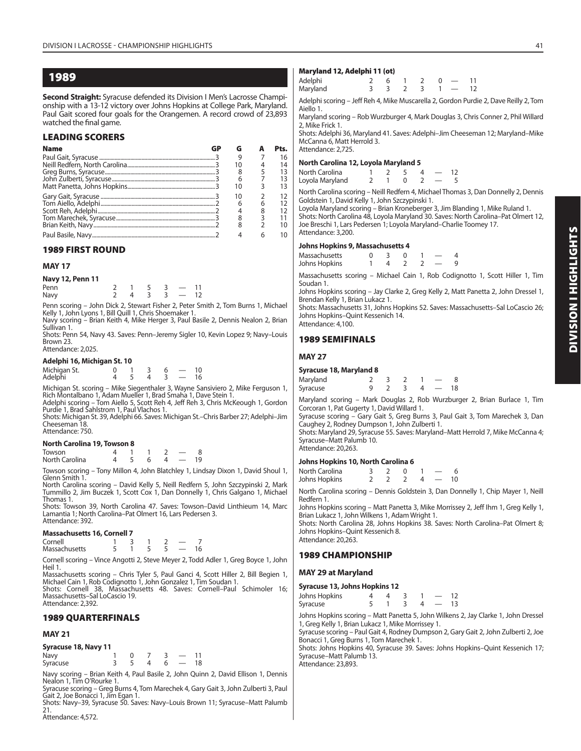**Second Straight:** Syracuse defended its Division I Men's Lacrosse Championship with a 13-12 victory over Johns Hopkins at College Park, Maryland. Paul Gait scored four goals for the Orangemen. A record crowd of 23,893 watched the final game.

#### **LEADING SCORERS**

| <b>Name</b> | GP | G  |   | Pts. |
|-------------|----|----|---|------|
|             |    | 9  |   | 16   |
|             |    | 10 |   | 14   |
|             |    |    |   | 13   |
|             |    | 6  |   | 13   |
|             |    | 10 |   | 13   |
|             |    | 10 | っ | 12   |
|             |    | 6  |   | 12   |
|             |    |    |   | 12   |
|             |    |    |   | 11   |
|             |    | 8  |   | 10   |
|             |    |    | 6 | 10   |

# **1989 FIRST ROUND**

#### **MAY 17**

| Navy 12, Penn 11 |  |  |                          |  |
|------------------|--|--|--------------------------|--|
| Penn             |  |  | $\overline{\phantom{0}}$ |  |
| Navy             |  |  | $\overline{\phantom{a}}$ |  |

Penn scoring – John Dick 2, Stewart Fisher 2, Peter Smith 2, Tom Burns 1, Michael Kelly 1, John Lyons 1, Bill Quill 1, Chris Shoemaker 1. Navy scoring – Brian Keith 4, Mike Herger 3, Paul Basile 2, Dennis Nealon 2, Brian

Sullivan 1.

Shots: Penn 54, Navy 43. Saves: Penn–Jeremy Sigler 10, Kevin Lopez 9; Navy–Louis Brown 23. Attendance: 2,025.

#### **Adelphi 16, Michigan St. 10**

| Michigan St.<br>Adelphi |  |  |  |
|-------------------------|--|--|--|

Michigan St. scoring – Mike Siegenthaler 3, Wayne Sansiviero 2, Mike Ferguson 1, Rich Montalbano 1, Adam Mueller 1, Brad Smaha 1, Dave Stein 1.

Adelphi scoring – Tom Aiello 5, Scott Reh 4, Jeff Reh 3, Chris McKeough 1, Gordon Purdie 1, Brad Sahlstrom 1, Paul Vlachos 1.

Shots: Michigan St. 39, Adelphi 66. Saves: Michigan St.–Chris Barber 27; Adelphi–Jim Cheeseman 18.

# Attendance: 750.

**North Carolina 19, Towson 8**

Towson 4 1 1 2 — 8 North Carolina

Towson scoring – Tony Millon 4, John Blatchley 1, Lindsay Dixon 1, David Shoul 1, Glenn Smith 1.

North Carolina scoring – David Kelly 5, Neill Redfern 5, John Szczypinski 2, Mark Tummillo 2, Jim Buczek 1, Scott Cox 1, Dan Donnelly 1, Chris Galgano 1, Michael Thomas 1.

Shots: Towson 39, North Carolina 47. Saves: Towson–David Linthieum 14, Marc Lamantia 1; North Carolina–Pat Olmert 16, Lars Pedersen 3. Attendance: 392.

#### **Massachusetts 16, Cornell 7**

| Cornell       |  |  |  |
|---------------|--|--|--|
| Massachusetts |  |  |  |

Cornell scoring – Vince Angotti 2, Steve Meyer 2, Todd Adler 1, Greg Boyce 1, John Heil 1.

Massachusetts scoring – Chris Tyler 5, Paul Ganci 4, Scott Hiller 2, Bill Begien 1, Michael Cain 1, Rob Codignotto 1, John Gonzalez 1, Tim Soudan 1. Shots: Cornell 38, Massachusetts 48. Saves: Cornell–Paul Schimoler 16;

Massachusetts–Sal LoCascio 19. Attendance: 2,392.

#### **1989 QUARTERFINALS**

#### **MAY 21**

| Syracuse 18, Navy 11 |  |  |  |
|----------------------|--|--|--|
|----------------------|--|--|--|

| Navy     |  |  |  |
|----------|--|--|--|
| Syracuse |  |  |  |

Navy scoring – Brian Keith 4, Paul Basile 2, John Quinn 2, David Ellison 1, Dennis Nealon 1, Tim O'Rourke 1.

Syracuse scoring – Greg Burns 4, Tom Marechek 4, Gary Gait 3, John Zulberti 3, Paul Gait 2, Joe Bonacci 1, Jim Egan 1.

Shots: Navy–39, Syracuse 50. Saves: Navy–Louis Brown 11; Syracuse–Matt Palumb 21.

#### **Maryland 12, Adelphi 11 (ot)**

| $1.141$ $1.414$ $1.47$ $1.44$ $1.47$ $1.47$ |    |                          |          |  |
|---------------------------------------------|----|--------------------------|----------|--|
| Adelphi                                     | 26 |                          | $0 - 11$ |  |
| Maryland                                    |    | $3 \t3 \t2 \t3 \t1 - 12$ |          |  |
|                                             |    |                          |          |  |

Adelphi scoring – Jeff Reh 4, Mike Muscarella 2, Gordon Purdie 2, Dave Reilly 2, Tom Aiello 1.

Maryland scoring – Rob Wurzburger 4, Mark Douglas 3, Chris Conner 2, Phil Willard 2, Mike Frick 1.

Shots: Adelphi 36, Maryland 41. Saves: Adelphi–Jim Cheeseman 12; Maryland–Mike McCanna 6, Matt Herrold 3. Attendance: 2,725.

#### **North Carolina 12, Loyola Maryland 5**

| North Carolina  |  |  | 12 |
|-----------------|--|--|----|
| Loyola Maryland |  |  |    |
|                 |  |  |    |

North Carolina scoring – Neill Redfern 4, Michael Thomas 3, Dan Donnelly 2, Dennis Goldstein 1, David Kelly 1, John Szczypinski 1.

Loyola Maryland scoring – Brian Kroneberger 3, Jim Blanding 1, Mike Ruland 1. Shots: North Carolina 48, Loyola Maryland 30. Saves: North Carolina–Pat Olmert 12, Joe Breschi 1, Lars Pedersen 1; Loyola Maryland–Charlie Toomey 17. Attendance: 3,200.

#### **Johns Hopkins 9, Massachusetts 4**

| <b>Massachusetts</b> |  |  |  |
|----------------------|--|--|--|
| Johns Hopkins        |  |  |  |

Massachusetts scoring – Michael Cain 1, Rob Codignotto 1, Scott Hiller 1, Tim Soudan 1.

Johns Hopkins scoring – Jay Clarke 2, Greg Kelly 2, Matt Panetta 2, John Dressel 1, Brendan Kelly 1, Brian Lukacz 1.

Shots: Massachusetts 31, Johns Hopkins 52. Saves: Massachusetts–Sal LoCascio 26; Johns Hopkins–Quint Kessenich 14. Attendance: 4,100.

#### **1989 SEMIFINALS**

#### **MAY 27**

#### **Syracuse 18, Maryland 8**

| Maryland |  |  |  |    |
|----------|--|--|--|----|
| Syracuse |  |  |  | 18 |

|                                             |  |  | Maryland scoring – Mark Douglas 2, Rob Wurzburger 2, Brian Burlace 1, Tim |  |  |  |
|---------------------------------------------|--|--|---------------------------------------------------------------------------|--|--|--|
| Corcoran 1, Pat Gugerty 1, David Willard 1. |  |  |                                                                           |  |  |  |

Syracuse scoring – Gary Gait 5, Greg Burns 3, Paul Gait 3, Tom Marechek 3, Dan Caughey 2, Rodney Dumpson 1, John Zulberti 1.

Shots: Maryland 29, Syracuse 55. Saves: Maryland–Matt Herrold 7, Mike McCanna 4; Syracuse–Matt Palumb 10. Attendance: 20,263.

**Johns Hopkins 10, North Carolina 6**

| North Carolina |  |   |    |
|----------------|--|---|----|
| Johns Hopkins  |  | Δ | 10 |

North Carolina scoring – Dennis Goldstein 3, Dan Donnelly 1, Chip Mayer 1, Neill Redfern 1.

Johns Hopkins scoring – Matt Panetta 3, Mike Morrissey 2, Jeff Ihm 1, Greg Kelly 1, Brian Lukacz 1, John Wilkens 1, Adam Wright 1.

Shots: North Carolina 28, Johns Hopkins 38. Saves: North Carolina–Pat Olmert 8; Johns Hopkins–Quint Kessenich 8. Attendance: 20,263.

# **1989 CHAMPIONSHIP**

#### **MAY 29 at Maryland**

#### **Syracuse 13, Johns Hopkins 12**

| Johns Hopkins |  |          | 12 |
|---------------|--|----------|----|
| Syracuse      |  | $\Delta$ | 13 |
|               |  |          |    |

Johns Hopkins scoring – Matt Panetta 5, John Wilkens 2, Jay Clarke 1, John Dressel 1, Greg Kelly 1, Brian Lukacz 1, Mike Morrissey 1.

Syracuse scoring – Paul Gait 4, Rodney Dumpson 2, Gary Gait 2, John Zulberti 2, Joe Bonacci 1, Greg Burns 1, Tom Marechek 1.

Shots: Johns Hopkins 40, Syracuse 39. Saves: Johns Hopkins–Quint Kessenich 17; Syracuse–Matt Palumb 13.

Attendance: 4,572.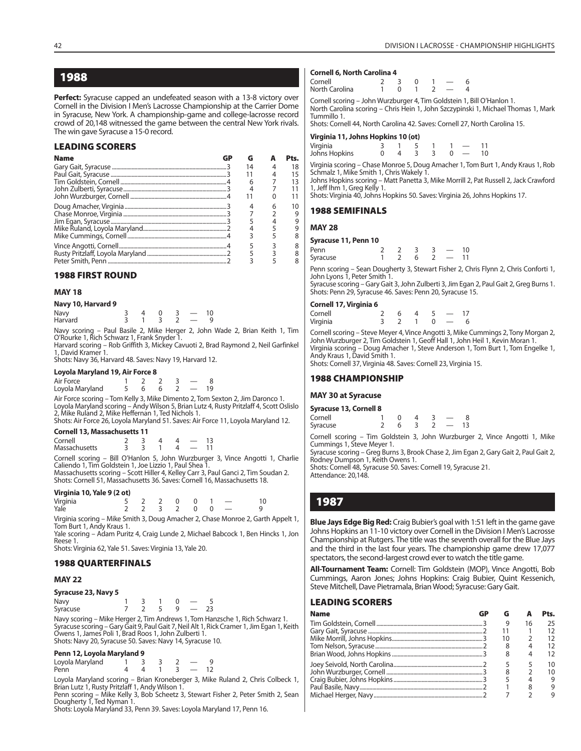**Perfect:** Syracuse capped an undefeated season with a 13-8 victory over Cornell in the Division I Men's Lacrosse Championship at the Carrier Dome in Syracuse, New York. A championship-game and college-lacrosse record crowd of 20,148 witnessed the game between the central New York rivals. The win gave Syracuse a 15-0 record.

#### **LEADING SCORERS**

| <b>Name</b> | GP | G  | Pts. |
|-------------|----|----|------|
|             |    | 14 | 18   |
|             |    |    | 15   |
|             |    | 6  | 13   |
|             |    |    |      |
|             |    |    |      |
|             |    |    | 10   |
|             |    |    |      |
|             |    |    |      |
|             |    |    |      |
|             |    |    |      |
|             |    |    |      |
|             |    |    |      |

#### **1988 FIRST ROUND**

#### **MAY 18**

| Navy 10, Harvard 9 |  |  |  |  |  |
|--------------------|--|--|--|--|--|
|--------------------|--|--|--|--|--|

| Navy    |  |  |  |
|---------|--|--|--|
| Harvard |  |  |  |

Navy scoring – Paul Basile 2, Mike Herger 2, John Wade 2, Brian Keith 1, Tim O'Rourke 1, Rich Schwarz 1, Frank Snyder 1.

Harvard scoring – Rob Griffith 3, Mickey Cavuoti 2, Brad Raymond 2, Neil Garfinkel 1, David Kramer 1.

Shots: Navy 36, Harvard 48. Saves: Navy 19, Harvard 12.

#### **Loyola Maryland 19, Air Force 8**

| Air Force       |  |  |      |
|-----------------|--|--|------|
| Loyola Maryland |  |  | - 19 |

Air Force scoring – Tom Kelly 3, Mike Dimento 2, Tom Sexton 2, Jim Daronco 1. Loyola Maryland scoring – Andy Wilson 5, Brian Lutz 4, Rusty Pritzlaff 4, Scott Oslislo 2, Mike Ruland 2, Mike Heffernan 1, Ted Nichols 1. Shots: Air Force 26, Loyola Maryland 51. Saves: Air Force 11, Loyola Maryland 12.

**Cornell 13, Massachusetts 11**

| Cornell              |  |  |  |
|----------------------|--|--|--|
| <b>Massachusetts</b> |  |  |  |

Cornell scoring – Bill O'Hanlon 5, John Wurzburger 3, Vince Angotti 1, Charlie Caliendo 1, Tim Goldstein 1, Joe Lizzio 1, Paul Shea 1. Massachusetts scoring – Scott Hiller 4, Kelley Carr 3, Paul Ganci 2, Tim Soudan 2.

Shots: Cornell 51, Massachusetts 36. Saves: Cornell 16, Massachusetts 18.  $V = \frac{1}{2}$ 

|     |  | virginia T0, Yale 9 (2 ot) |  |  |
|-----|--|----------------------------|--|--|
| . . |  |                            |  |  |

| Virginia<br>Yale |  | $5$ 2 2 0 0 1 $-$ |  |  |
|------------------|--|-------------------|--|--|
|                  |  | 2 2 3 2 0 0 $-$   |  |  |

Virginia scoring – Mike Smith 3, Doug Amacher 2, Chase Monroe 2, Garth Appelt 1, Tom Burt 1, Andy Kraus 1.

Yale scoring – Adam Puritz 4, Craig Lunde 2, Michael Babcock 1, Ben Hincks 1, Jon Reese 1.

Shots: Virginia 62, Yale 51. Saves: Virginia 13, Yale 20.

#### **1988 QUARTERFINALS**

#### **MAY 22**

| Syracuse 23, Navy 5 |  |  |  |
|---------------------|--|--|--|
| Navy                |  |  |  |
| Syracuse            |  |  |  |

Navy scoring – Mike Herger 2, Tim Andrews 1, Tom Hanzsche 1, Rich Schwarz 1. Syracuse scoring – Gary Gait 9, Paul Gait 7, Neil Alt 1, Rick Cramer 1, Jim Egan 1, Keith Owens 1, James Poli 1, Brad Roos 1, John Zulberti 1. Shots: Navy 20, Syracuse 50. Saves: Navy 14, Syracuse 10.

#### **Penn 12, Loyola Maryland 9**

| Loyola Maryland |  |  |  |
|-----------------|--|--|--|
| Penn            |  |  |  |

Loyola Maryland scoring – Brian Kroneberger 3, Mike Ruland 2, Chris Colbeck 1,<br>Brian Lutz 1, Rusty Pritzlaff 1, Andy Wilson 1.<br>Penn scoring – Mike Kelly 3, Bob Scheetz 3, Stewart Fisher 2, Peter Smith 2, Sean<br>Dougherty 1,

Shots: Loyola Maryland 33, Penn 39. Saves: Loyola Maryland 17, Penn 16.

#### **Cornell 6, North Carolina 4**

| Cornell<br>North Carolina |  | $\Omega$ |  |  |
|---------------------------|--|----------|--|--|
|                           |  |          |  |  |

Cornell scoring – John Wurzburger 4, Tim Goldstein 1, Bill O'Hanlon 1. North Carolina scoring – Chris Hein 1, John Szczypinski 1, Michael Thomas 1, Mark Tummillo 1.

Shots: Cornell 44, North Carolina 42. Saves: Cornell 27, North Carolina 15.

#### **Virginia 11, Johns Hopkins 10 (ot)**

| Virginia      |  |  |  |    |
|---------------|--|--|--|----|
| Johns Hopkins |  |  |  | 10 |

Virginia scoring – Chase Monroe 5, Doug Amacher 1, Tom Burt 1, Andy Kraus 1, Rob Schmalz 1, Mike Smith 1, Chris Wakely 1 Johns Hopkins scoring – Matt Panetta 3, Mike Morrill 2, Pat Russell 2, Jack Crawford

1, Jeff Ihm 1, Greg Kelly 1.

Shots: Virginia 40, Johns Hopkins 50. Saves: Virginia 26, Johns Hopkins 17.

#### **1988 SEMIFINALS**

#### **MAY 28**

#### **Syracuse 11, Penn 10**

| Penn     |  |  | 10 |
|----------|--|--|----|
| Syracuse |  |  |    |

Penn scoring – Sean Dougherty 3, Stewart Fisher 2, Chris Flynn 2, Chris Conforti 1, John Lyons 1, Peter Smith 1.

Syracuse scoring – Gary Gait 3, John Zulberti 3, Jim Egan 2, Paul Gait 2, Greg Burns 1. Shots: Penn 29, Syracuse 46. Saves: Penn 20, Syracuse 15.

#### **Cornell 17, Virginia 6**

| Cornell  |  |  |  |
|----------|--|--|--|
| Virginia |  |  |  |

John Wurzburger 2, Tim Goldstein 1, Geoff Hall 1, John Heil 1, Kevin Moran 1. Virginia scoring – Doug Amacher 1, Steve Anderson 1, Tom Burt 1, Tom Engelke 1, Andy Kraus 1, David Smith 1.

Shots: Cornell 37, Virginia 48. Saves: Cornell 23, Virginia 15.

#### **1988 CHAMPIONSHIP**

#### **MAY 30 at Syracuse**

| <b>Syracuse 13, Cornell 8</b> |  |  |                          |    |
|-------------------------------|--|--|--------------------------|----|
| Cornell                       |  |  |                          |    |
| Syracuse                      |  |  | $\overline{\phantom{a}}$ | 13 |

Cornell scoring – Tim Goldstein 3, John Wurzburger 2, Vince Angotti 1, Mike Cummings 1, Steve Meyer 1.

Syracuse scoring – Greg Burns 3, Brook Chase 2, Jim Egan 2, Gary Gait 2, Paul Gait 2, Rodney Dumpson 1, Keith Owens 1.

Shots: Cornell 48, Syracuse 50. Saves: Cornell 19, Syracuse 21. Attendance: 20,148.

# **1987**

**Blue Jays Edge Big Red:** Craig Bubier's goal with 1:51 left in the game gave Johns Hopkins an 11-10 victory over Cornell in the Division I Men's Lacrosse Championship at Rutgers. The title was the seventh overall for the Blue Jays and the third in the last four years. The championship game drew 17,077 spectators, the second-largest crowd ever to watch the title game.

**All-Tournament Team:** Cornell: Tim Goldstein (MOP), Vince Angotti, Bob Cummings, Aaron Jones; Johns Hopkins: Craig Bubier, Quint Kessenich, Steve Mitchell, Dave Pietramala, Brian Wood; Syracuse: Gary Gait.

#### **LEADING SCORERS**

| <b>Name</b> | G  |    | Pts. |
|-------------|----|----|------|
|             |    | 16 | 25   |
|             |    |    |      |
|             | 10 |    |      |
|             | 8  | 4  |      |
|             |    | 4  |      |
|             |    |    | 10   |
|             | 8  |    |      |
|             |    |    |      |
|             |    |    |      |
|             |    |    |      |

| Corneil 17, virginia o |  |  |  |
|------------------------|--|--|--|
| Cornell                |  |  |  |
| Virginia               |  |  |  |

Cornell scoring – Steve Meyer 4, Vince Angotti 3, Mike Cummings 2, Tony Morgan 2,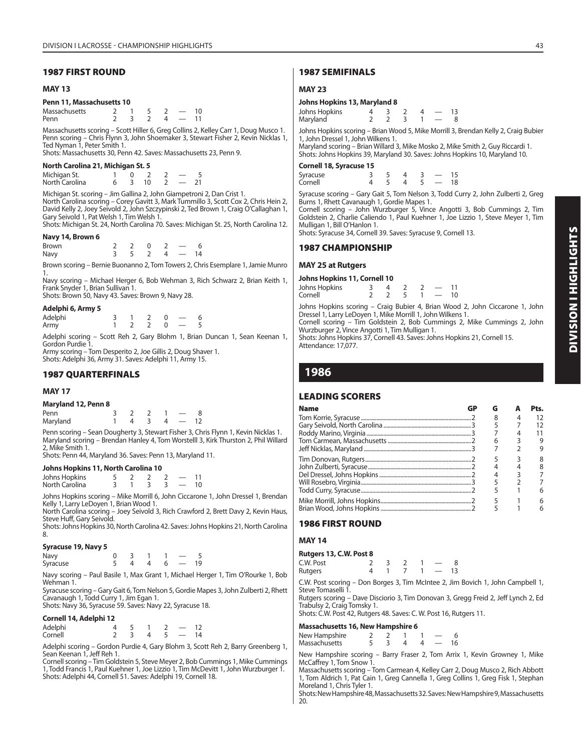#### **1987 FIRST ROUND**

#### **MAY 13**

#### **Penn 11, Massachusetts 10**

| Massachusetts |  |  |  |
|---------------|--|--|--|
| Penn          |  |  |  |

Massachusetts scoring – Scott Hiller 6, Greg Collins 2, Kelley Carr 1, Doug Musco 1. Penn scoring – Chris Flynn 3, John Shoemaker 3, Stewart Fisher 2, Kevin Nicklas 1, Ted Nyman 1, Peter Smith 1.

Shots: Massachusetts 30, Penn 42. Saves: Massachusetts 23, Penn 9.

#### **North Carolina 21, Michigan St. 5**

| Michigan St.   |  |  |  |
|----------------|--|--|--|
| North Carolina |  |  |  |

Michigan St. scoring – Jim Gallina 2, John Giampetroni 2, Dan Crist 1. North Carolina scoring – Corey Gavitt 3, Mark Tummillo 3, Scott Cox 2, Chris Hein 2, David Kelly 2, Joey Seivold 2, John Szczypinski 2, Ted Brown 1, Craig O'Callaghan 1, Gary Seivold 1, Pat Welsh 1, Tim Welsh 1.

Shots: Michigan St. 24, North Carolina 70. Saves: Michigan St. 25, North Carolina 12.

#### **Navy 14, Brown 6**

| <b>Brown</b> |                                              | 2 0 2 - |  |  |
|--------------|----------------------------------------------|---------|--|--|
| Navy         | $3 \quad 5 \quad 2 \quad 4 \quad - \quad 14$ |         |  |  |

Brown scoring – Bernie Buonanno 2, Tom Towers 2, Chris Esemplare 1, Jamie Munro 1.

Navy scoring – Michael Herger 6, Bob Wehman 3, Rich Schwarz 2, Brian Keith 1, Frank Snyder 1, Brian Sullivan 1.

Shots: Brown 50, Navy 43. Saves: Brown 9, Navy 28.

|  |  |  | Adelphi 6, Army 5 |  |
|--|--|--|-------------------|--|
|--|--|--|-------------------|--|

| Adelphi |  |  | 6 |
|---------|--|--|---|
| Army    |  |  |   |

Adelphi scoring – Scott Reh 2, Gary Blohm 1, Brian Duncan 1, Sean Keenan 1, Gordon Purdie 1.

Army scoring – Tom Desperito 2, Joe Gillis 2, Doug Shaver 1. Shots: Adelphi 36, Army 31. Saves: Adelphi 11, Army 15.

#### **1987 QUARTERFINALS**

#### **MAY 17**

**Maryland 12, Penn 8**

| Penn     |  |  |  |
|----------|--|--|--|
| Maryland |  |  |  |

Penn scoring – Sean Dougherty 3, Stewart Fisher 3, Chris Flynn 1, Kevin Nicklas 1. Maryland scoring – Brendan Hanley 4, Tom Worstelll 3, Kirk Thurston 2, Phil Willard 2, Mike Smith 1.

Shots: Penn 44, Maryland 36. Saves: Penn 13, Maryland 11.

#### **Johns Hopkins 11, North Carolina 10**

Johns Hopkins 5 2 2 2 — 11 North Carolina

Johns Hopkins scoring – Mike Morrill 6, John Ciccarone 1, John Dressel 1, Brendan Kelly 1, Larry LeDoyen 1, Brian Wood 1.

North Carolina scoring – Joey Seivold 3, Rich Crawford 2, Brett Davy 2, Kevin Haus, Steve Huff, Gary Seivold.

Shots: Johns Hopkins 30, North Carolina 42. Saves: Johns Hopkins 21, North Carolina 8.

#### **Syracuse 19, Navy 5**

| Navy     |  |  |   |  |  |
|----------|--|--|---|--|--|
| Syracuse |  |  | ᅭ |  |  |

Navy scoring – Paul Basile 1, Max Grant 1, Michael Herger 1, Tim O'Rourke 1, Bob Wehman 1.

Syracuse scoring – Gary Gait 6, Tom Nelson 5, Gordie Mapes 3, John Zulberti 2, Rhett Cavanaugh 1, Todd Curry 1, Jim Egan 1.

Shots: Navy 36, Syracuse 59. Saves: Navy 22, Syracuse 18.

#### **Cornell 14, Adelphi 12**

| Adelphi |  |  | 12 |
|---------|--|--|----|
| Cornell |  |  | 14 |

Adelphi scoring – Gordon Purdie 4, Gary Blohm 3, Scott Reh 2, Barry Greenberg 1, Sean Keenan 1, Jeff Reh 1.

Cornell scoring – Tim Goldstein 5, Steve Meyer 2, Bob Cummings 1, Mike Cummings 1, Todd Francis 1, Paul Kuehner 1, Joe Lizzio 1, Tim McDevitt 1, John Wurzburger 1. Shots: Adelphi 44, Cornell 51. Saves: Adelphi 19, Cornell 18.

#### **1987 SEMIFINALS**

#### **MAY 23**

#### **Johns Hopkins 13, Maryland 8**  $Johns$  Hopkins  $4 \times 3 \times 2 \times 4 = 13$

| <b>Cornell 18, Syracuse 15</b>                                                                                                                                 |  |             |  |  |  |  |
|----------------------------------------------------------------------------------------------------------------------------------------------------------------|--|-------------|--|--|--|--|
| Maryland scoring – Brian Willard 3, Mike Mosko 2, Mike Smith 2, Guy Riccardi 1.<br>Shots: Johns Hopkins 39, Maryland 30. Saves: Johns Hopkins 10, Maryland 10. |  |             |  |  |  |  |
| Johns Hopkins scoring – Brian Wood 5, Mike Morrill 3, Brendan Kelly 2, Craig Bubier<br>1. John Dressel 1, John Wilkens 1.                                      |  |             |  |  |  |  |
| Maryland                                                                                                                                                       |  | $2 2 3 1 -$ |  |  |  |  |
|                                                                                                                                                                |  |             |  |  |  |  |

| Syracuse |  |  | 15 |
|----------|--|--|----|
| Cornell  |  |  | 18 |

Syracuse scoring – Gary Gait 5, Tom Nelson 3, Todd Curry 2, John Zulberti 2, Greg Burns 1, Rhett Cavanaugh 1, Gordie Mapes 1.

Cornell scoring – John Wurzburger 5, Vince Angotti 3, Bob Cummings 2, Tim Goldstein 2, Charlie Caliendo 1, Paul Kuehner 1, Joe Lizzio 1, Steve Meyer 1, Tim Mulligan 1, Bill O'Hanlon 1.

Shots: Syracuse 34, Cornell 39. Saves: Syracuse 9, Cornell 13.

#### **1987 CHAMPIONSHIP**

#### **MAY 25 at Rutgers**

#### **Johns Hopkins 11, Cornell 10**

| Johns Hopkins |  |  |               | 11 |
|---------------|--|--|---------------|----|
| Cornell       |  |  | $\sim$ $\sim$ | 10 |
|               |  |  |               |    |

Johns Hopkins scoring – Craig Bubier 4, Brian Wood 2, John Ciccarone 1, John Dressel 1, Larry LeDoyen 1, Mike Morrill 1, John Wilkens 1.

Cornell scoring – Tim Goldstein 2, Bob Cummings 2, Mike Cummings 2, John Wurzburger 2, Vince Angotti 1, Tim Mulligan 1.

Shots: Johns Hopkins 37, Cornell 43. Saves: Johns Hopkins 21, Cornell 15. Attendance: 17,077.

## **1986**

#### **LEADING SCORERS**

| G |    | Pts. |
|---|----|------|
| 8 |    | 12   |
|   |    | 12   |
|   |    | 11   |
| 6 |    | 9    |
|   |    | 9    |
|   |    | 8    |
|   |    | 8    |
| 4 |    |      |
|   |    |      |
|   |    |      |
|   |    |      |
|   |    |      |
|   | GP |      |

## **1986 FIRST ROUND**

#### **MAY 14**

#### **Rutgers 13, C.W. Post 8**

| C.W. Post |  |  |  |
|-----------|--|--|--|
| Rutgers   |  |  |  |

C.W. Post scoring – Don Borges 3, Tim McIntee 2, Jim Bovich 1, John Campbell 1, Steve Tomaselli 1.

Rutgers scoring – Dave Disciorio 3, Tim Donovan 3, Gregg Freid 2, Jeff Lynch 2, Ed Trabulsy 2, Craig Tomsky 1. Shots: C.W. Post 42, Rutgers 48. Saves: C. W. Post 16, Rutgers 11.

## **Massachusetts 16, New Hampshire 6**

| ------------------ |  |  |               |    |  |
|--------------------|--|--|---------------|----|--|
| New Hampshire      |  |  |               |    |  |
| Massachusetts      |  |  | $\sim$ $\sim$ | 16 |  |

New Hampshire scoring – Barry Fraser 2, Tom Arrix 1, Kevin Growney 1, Mike McCaffrey 1, Tom Snow 1.

Massachusetts scoring – Tom Carmean 4, Kelley Carr 2, Doug Musco 2, Rich Abbott 1, Tom Aldrich 1, Pat Cain 1, Greg Cannella 1, Greg Collins 1, Greg Fisk 1, Stephan Moreland 1, Chris Tyler 1.

Shots: New Hampshire 48, Massachusetts 32. Saves: New Hampshire 9, Massachusetts 20.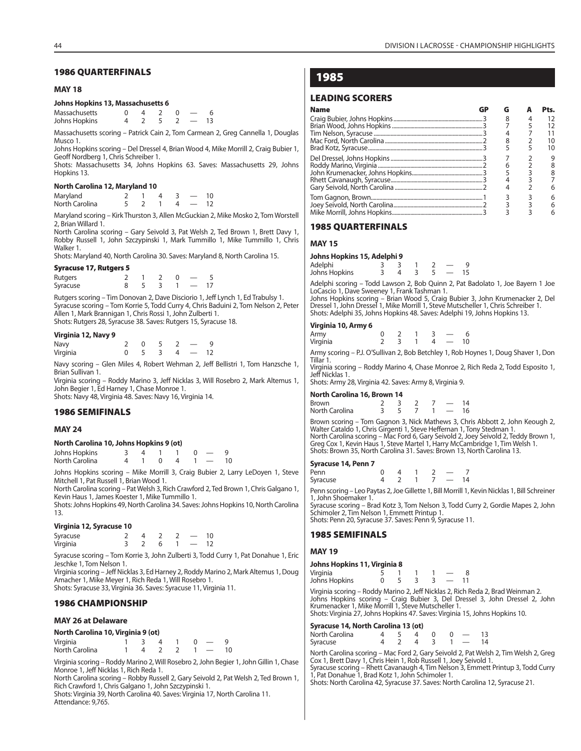#### **MAY 18**

#### **Johns Hopkins 13, Massachusetts 6**

| Massachusetts |  |  |  |  |
|---------------|--|--|--|--|
| Johns Hopkins |  |  |  |  |

Massachusetts scoring – Patrick Cain 2, Tom Carmean 2, Greg Cannella 1, Douglas Musco 1.

Johns Hopkins scoring – Del Dressel 4, Brian Wood 4, Mike Morrill 2, Craig Bubier 1, Geoff Nordberg 1, Chris Schreiber 1.

Shots: Massachusetts 34, Johns Hopkins 63. Saves: Massachusetts 29, Johns Hopkins 13.

#### **North Carolina 12, Maryland 10**

| Maryland       |  |  |  |
|----------------|--|--|--|
| North Carolina |  |  |  |

Maryland scoring – Kirk Thurston 3, Allen McGuckian 2, Mike Mosko 2, Tom Worstell 2, Brian Willard 1.

North Carolina scoring – Gary Seivold 3, Pat Welsh 2, Ted Brown 1, Brett Davy 1, Robby Russell 1, John Szczypinski 1, Mark Tummillo 1, Mike Tummillo 1, Chris Walker 1.

Shots: Maryland 40, North Carolina 30. Saves: Maryland 8, North Carolina 15.

#### **Syracuse 17, Rutgers 5**

| Rutgers  |  |  |  |
|----------|--|--|--|
| Syracuse |  |  |  |

Rutgers scoring – Tim Donovan 2, Dave Disciorio 1, Jeff Lynch 1, Ed Trabulsy 1. Syracuse scoring – Tom Korrie 5, Todd Curry 4, Chris Baduini 2, Tom Nelson 2, Peter Allen 1, Mark Brannigan 1, Chris Rossi 1, John Zulberti 1. Shots: Rutgers 28, Syracuse 38. Saves: Rutgers 15, Syracuse 18.

#### **Virginia 12, Navy 9**

| Navy     |  |   |  |
|----------|--|---|--|
| Virginia |  | 4 |  |

Navy scoring – Glen Miles 4, Robert Wehman 2, Jeff Bellistri 1, Tom Hanzsche 1, Brian Sullivan 1.

Virginia scoring – Roddy Marino 3, Jeff Nicklas 3, Will Rosebro 2, Mark Altemus 1, John Begier 1, Ed Harney 1, Chase Monroe 1. Shots: Navy 48, Virginia 48. Saves: Navy 16, Virginia 14.

## **1986 SEMIFINALS**

#### **MAY 24**

#### **North Carolina 10, Johns Hopkins 9 (ot)**

| Johns Hopkins  |  |  |  |  |
|----------------|--|--|--|--|
| North Carolina |  |  |  |  |

Johns Hopkins scoring – Mike Morrill 3, Craig Bubier 2, Larry LeDoyen 1, Steve Mitchell 1, Pat Russell 1, Brian Wood 1.

North Carolina scoring – Pat Welsh 3, Rich Crawford 2, Ted Brown 1, Chris Galgano 1, Kevin Haus 1, James Koester 1, Mike Tummillo 1.

Shots: Johns Hopkins 49, North Carolina 34. Saves: Johns Hopkins 10, North Carolina 13.

#### **Virginia 12, Syracuse 10**

| Syracuse |  |  |  |
|----------|--|--|--|
| Virginia |  |  |  |

Syracuse scoring – Tom Korrie 3, John Zulberti 3, Todd Curry 1, Pat Donahue 1, Eric Jeschke 1, Tom Nelson 1.

Virginia scoring – Jeff Nicklas 3, Ed Harney 2, Roddy Marino 2, Mark Altemus 1, Doug Amacher 1, Mike Meyer 1, Rich Reda 1, Will Rosebro 1. Shots: Syracuse 33, Virginia 36. Saves: Syracuse 11, Virginia 11.

#### **1986 CHAMPIONSHIP**

#### **MAY 26 at Delaware**

#### **North Carolina 10, Virginia 9 (ot)**

| Virginia       |  |  | $\overline{0}$ $\overline{-}$ |  |
|----------------|--|--|-------------------------------|--|
| North Carolina |  |  |                               |  |

Virginia scoring – Roddy Marino 2, Will Rosebro 2, John Begier 1, John Gillin 1, Chase Monroe 1, Jeff Nicklas 1, Rich Reda 1.

North Carolina scoring – Robby Russell 2, Gary Seivold 2, Pat Welsh 2, Ted Brown 1, Rich Crawford 1, Chris Galgano 1, John Szczypinski 1.

Shots: Virginia 39, North Carolina 40. Saves: Virginia 17, North Carolina 11. Attendance: 9,765.

## **1985**

#### **LEADING SCORERS**

| <b>Name</b> | G | Pts. |
|-------------|---|------|
|             |   |      |
|             |   |      |
|             |   |      |
|             |   |      |
|             |   | 10   |
|             |   |      |
|             |   |      |
|             |   |      |
|             |   |      |
|             |   |      |
|             |   |      |
|             |   |      |
|             |   |      |

#### **1985 QUARTERFINALS**

#### **MAY 15**

#### **Johns Hopkins 15, Adelphi 9**

| Adelphi       |  |  |  |
|---------------|--|--|--|
| Johns Hopkins |  |  |  |

Adelphi scoring – Todd Lawson 2, Bob Quinn 2, Pat Badolato 1, Joe Bayern 1 Joe LoCascio 1, Dave Sweeney 1, Frank Tashman 1. Johns Hopkins scoring – Brian Wood 5, Craig Bubier 3, John Krumenacker 2, Del Dressel 1, John Dressel 1, Mike Morrill 1, Steve Mutscheller 1, Chris Schreiber 1.

Shots: Adelphi 35, Johns Hopkins 48. Saves: Adelphi 19, Johns Hopkins 13.

#### **Virginia 10, Army 6**

| Army     |  |       |  |
|----------|--|-------|--|
| Virgínia |  | $\mu$ |  |
|          |  |       |  |

Army scoring – P.J. O'Sullivan 2, Bob Betchley 1, Rob Hoynes 1, Doug Shaver 1, Don Tillar 1. Virginia scoring – Roddy Marino 4, Chase Monroe 2, Rich Reda 2, Todd Esposito 1,

Jeff Nicklas 1.

Shots: Army 28, Virginia 42. Saves: Army 8, Virginia 9.

#### **North Carolina 16, Brown 14**

| Brown          |  |  | 14 |
|----------------|--|--|----|
| North Carolina |  |  | 16 |

Brown scoring – Tom Gagnon 3, Nick Mathews 3, Chris Abbott 2, John Keough 2, Walter Cataldo 1, Chris Girgenti 1, Steve Heffernan 1, Tony Stedman 1. North Carolina scoring – Mac Ford 6, Gary Seivold 2, Joey Seivold 2, Teddy Brown 1,<br>Greg Cox 1, Kevin Haus 1, Steve Martel 1, Harry McCambridge 1, Tim Welsh 1.<br>Shots: Brown 35, North Carolina 31. Saves: Brown 13, North Car

#### **Syracuse 14, Penn 7**

| Penn     |  |  |    |
|----------|--|--|----|
| Syracuse |  |  | 14 |
|          |  |  |    |

Penn scoring – Leo Paytas 2, Joe Gillette 1, Bill Morrill 1, Kevin Nicklas 1, Bill Schreiner 1, John Shoemaker 1.

Syracuse scoring – Brad Kotz 3, Tom Nelson 3, Todd Curry 2, Gordie Mapes 2, John Schimoler 2, Tim Nelson 1, Emmett Printup 1. Shots: Penn 20, Syracuse 37. Saves: Penn 9, Syracuse 11.

#### **1985 SEMIFINALS**

#### **MAY 19**

#### **Johns Hopkins 11, Virginia 8**

| Virginia      |  |  |  |
|---------------|--|--|--|
| Johns Hopkins |  |  |  |

Virginia scoring – Roddy Marino 2, Jeff Nicklas 2, Rich Reda 2, Brad Weinman 2. Johns Hopkins scoring – Craig Bubier 3, Del Dressel 3, John Dressel 2, John Krumenacker 1, Mike Morrill 1, Steve Mutscheller 1. Shots: Virginia 27, Johns Hopkins 47. Saves: Virginia 15, Johns Hopkins 10.

#### **Syracuse 14, North Carolina 13 (ot)**

| North Carolina |  |  | 4 5 4 0 0 $-$  |  |
|----------------|--|--|----------------|--|
| Syracuse       |  |  | 4 7 4 3 1 - 14 |  |

North Carolina scoring – Mac Ford 2, Gary Seivold 2, Pat Welsh 2, Tim Welsh 2, Greg Cox 1, Brett Davy 1, Chris Hein 1, Rob Russell 1, Joey Seivold 1. Syracuse scoring – Rhett Cavanaugh 4, Tim Nelson 3, Emmett Printup 3, Todd Curry 1, Pat Donahue 1, Brad Kotz 1, John Schimoler 1.

Shots: North Carolina 42, Syracuse 37. Saves: North Carolina 12, Syracuse 21.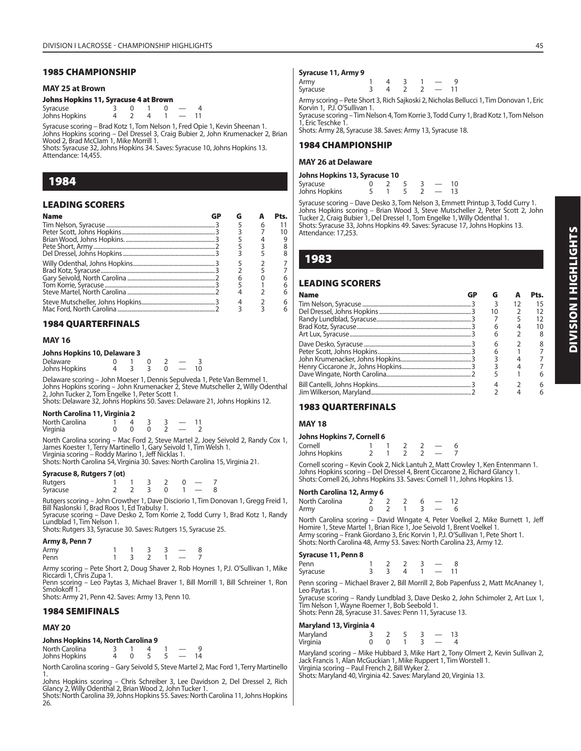#### **1985 CHAMPIONSHIP**

#### **MAY 25 at Brown**

#### **Johns Hopkins 11, Syracuse 4 at Brown**

| Syracuse      |  |  |  |
|---------------|--|--|--|
| Jóhns Hopkins |  |  |  |

Syracuse scoring – Brad Kotz 1, Tom Nelson 1, Fred Opie 1, Kevin Sheenan 1. Johns Hopkins scoring – Del Dressel 3, Craig Bubier 2, John Krumenacker 2, Brian Wood 2, Brad McClam 1, Mike Morrill 1. Shots: Syracuse 32, Johns Hopkins 34. Saves: Syracuse 10, Johns Hopkins 13.

Attendance: 14,455.

## **1984**

#### **LEADING SCORERS**

| <b>Name</b> |  |   |  |
|-------------|--|---|--|
|             |  | 6 |  |
|             |  |   |  |
|             |  |   |  |
|             |  |   |  |
|             |  |   |  |
|             |  |   |  |
|             |  |   |  |
|             |  |   |  |
|             |  |   |  |
|             |  |   |  |
|             |  |   |  |
|             |  |   |  |

#### **1984 QUARTERFINALS**

#### **MAY 16**

#### **Johns Hopkins 10, Delaware 3**

| Delaware      |  |  |  |
|---------------|--|--|--|
| Johns Hopkins |  |  |  |

Delaware scoring – John Moeser 1, Dennis Sepulveda 1, Pete Van Bemmel 1. Johns Hopkins scoring – John Krumenacker 2, Steve Mutscheller 2, Willy Odenthal 2, John Tucker 2, Tom Engelke 1, Peter Scott 1. Shots: Delaware 32, Johns Hopkins 50. Saves: Delaware 21, Johns Hopkins 12.

#### **North Carolina 11, Virginia 2**

| North Carolina |  |  |  |
|----------------|--|--|--|
| Virginia       |  |  |  |

North Carolina scoring – Mac Ford 2, Steve Martel 2, Joey Seivold 2, Randy Cox 1, James Koester 1, Terry Martinello 1, Gary Seivold 1, Tim Welsh 1. Virginia scoring – Roddy Marino 1, Jeff Nicklas 1. Shots: North Carolina 54, Virginia 30. Saves: North Carolina 15, Virginia 21.

#### **Syracuse 8, Rutgers 7 (ot)**

| Rutgers  |  |  |  |  |
|----------|--|--|--|--|
| Syracuse |  |  |  |  |

Rutgers scoring – John Crowther 1, Dave Disciorio 1, Tim Donovan 1, Gregg Freid 1, Bill Naslonski 1, Brad Roos 1, Ed Trabulsy 1. Syracuse scoring – Dave Desko 2, Tom Korrie 2, Todd Curry 1, Brad Kotz 1, Randy

Lundblad 1, Tim Nelson 1. Shots: Rutgers 33, Syracuse 30. Saves: Rutgers 15, Syracuse 25.

**Army 8, Penn 7**

| Army |   |  |  |
|------|---|--|--|
| Penn | - |  |  |

Army scoring - Pete Short 2, Doug Shaver 2, Rob Hoynes 1, P.J. O'Sullivan 1, Mike Riccardi 1, Chris Zupa 1.

Penn scoring – Leo Paytas 3, Michael Braver 1, Bill Morrill 1, Bill Schreiner 1, Ron Smolokoff 1. Shots: Army 21, Penn 42. Saves: Army 13, Penn 10.

## **1984 SEMIFINALS**

#### **MAY 20**

**Johns Hopkins 14, North Carolina 9**

North Carolina  $\begin{array}{cccc} 3 & 1 & 4 & 1 & -9 \\ 1 & 4 & 0 & 5 & 5 & -14 \end{array}$ Johns Hopkins

North Carolina scoring – Gary Seivold 5, Steve Martel 2, Mac Ford 1, Terry Martinello

1. Johns Hopkins scoring – Chris Schreiber 3, Lee Davidson 2, Del Dressel 2, Rich Glancy 2, Willy Odenthal 2, Brian Wood 2, John Tucker 1.

Shots: North Carolina 39, Johns Hopkins 55. Saves: North Carolina 11, Johns Hopkins 26.

#### **Syracuse 11, Army 9**

| --<br>.  | . |  |  |  |
|----------|---|--|--|--|
| Army     |   |  |  |  |
| Syracuse |   |  |  |  |
|          |   |  |  |  |

Army scoring – Pete Short 3, Rich Sajkoski 2, Nicholas Bellucci 1, Tim Donovan 1, Eric Korvin 1, P.J. O'Sullivan 1.

Syracuse scoring – Tim Nelson 4, Tom Korrie 3, Todd Curry 1, Brad Kotz 1, Tom Nelson 1, Eric Teschke 1.

Shots: Army 28, Syracuse 38. Saves: Army 13, Syracuse 18.

#### **1984 CHAMPIONSHIP**

#### **MAY 26 at Delaware**

#### **Johns Hopkins 13, Syracuse 10**

| - - - - - - - |  |  |  |
|---------------|--|--|--|
| Syracuse      |  |  |  |
| Johns Hopkins |  |  |  |

Syracuse scoring – Dave Desko 3, Tom Nelson 3, Emmett Printup 3, Todd Curry 1. Johns Hopkins scoring – Brian Wood 3, Steve Mutscheller 2, Peter Scott 2, John Tucker 2, Craig Bubier 1, Del Dressel 1, Tom Engelke 1, Willy Odenthal 1. Shots: Syracuse 33, Johns Hopkins 49. Saves: Syracuse 17, Johns Hopkins 13. Attendance: 17.253.

## **1983**

#### **LEADING SCORERS**

| <b>Name</b> | G  |    | Pts. |
|-------------|----|----|------|
|             | 3  | 12 | 15   |
|             | 10 |    | 12   |
|             |    |    | 12   |
|             | 6  |    | 10   |
|             | 6  |    | 8    |
|             | 6  |    | 8    |
|             | 6  |    |      |
|             |    |    |      |
|             |    |    |      |
|             |    |    | 6    |
|             |    |    |      |
|             |    |    |      |

## **1983 QUARTERFINALS**

#### **MAY 18**

| Johns Hopkins 7, Cornell 6 |  |  |  |  |  |  |  |  |
|----------------------------|--|--|--|--|--|--|--|--|
| Cornell                    |  |  |  |  |  |  |  |  |
| Johns Hopkins              |  |  |  |  |  |  |  |  |

Cornell scoring – Kevin Cook 2, Nick Lantuh 2, Matt Crowley 1, Ken Entenmann 1. Johns Hopkins scoring – Del Dressel 4, Brent Ciccarone 2, Richard Glancy 1. Shots: Cornell 26, Johns Hopkins 33. Saves: Cornell 11, Johns Hopkins 13.

#### **North Carolina 12, Army 6**

| North Carolina |  |  | $\sim$ |  |
|----------------|--|--|--------|--|
| Army           |  |  |        |  |

North Carolina scoring – David Wingate 4, Peter Voelkel 2, Mike Burnett 1, Jeff Homire 1, Steve Martel 1, Brian Rice 1, Joe Seivold 1, Brent Voelkel 1. Army scoring – Frank Giordano 3, Eric Korvin 1, P.J. O'Sullivan 1, Pete Short 1. Shots: North Carolina 48, Army 53. Saves: North Carolina 23, Army 12.

#### **Syracuse 11, Penn 8**

| Penn     |  | - |  |
|----------|--|---|--|
| Syracuse |  |   |  |

Penn scoring – Michael Braver 2, Bill Morrill 2, Bob Papenfuss 2, Matt McAnaney 1, Leo Paytas 1.

Syracuse scoring – Randy Lundblad 3, Dave Desko 2, John Schimoler 2, Art Lux 1, Tim Nelson 1, Wayne Roemer 1, Bob Seebold 1. Shots: Penn 28, Syracuse 31. Saves: Penn 11, Syracuse 13.

#### **Maryland 13, Virginia 4**

| Maryland |  |  |  |  |
|----------|--|--|--|--|
| Virginia |  |  |  |  |

Maryland scoring – Mike Hubbard 3, Mike Hart 2, Tony Olmert 2, Kevin Sullivan 2, Jack Francis 1, Alan McGuckian 1, Mike Ruppert 1, Tim Worstell 1. Virginia scoring – Paul French 2, Bill Wyker 2.

Shots: Maryland 40, Virginia 42. Saves: Maryland 20, Virginia 13.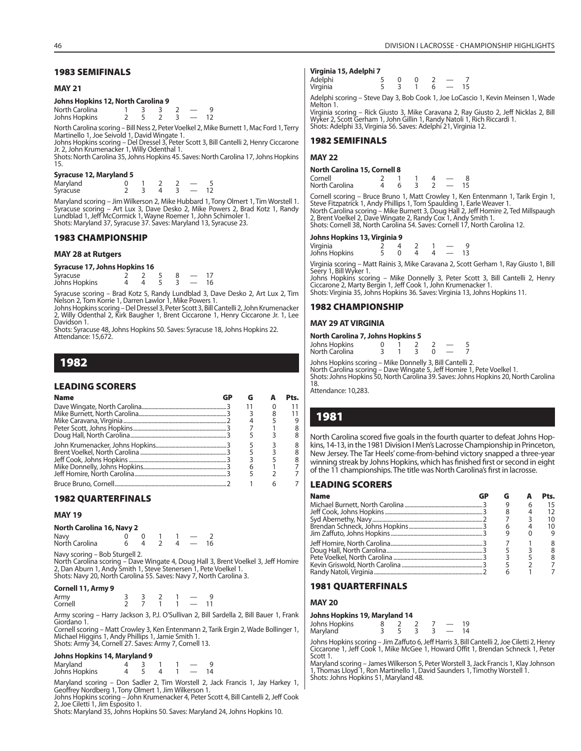#### **1983 SEMIFINALS**

#### **MAY 21**

#### **Johns Hopkins 12, North Carolina 9**

| North Carolina |  |  |  |
|----------------|--|--|--|
| Johns Hopkins  |  |  |  |

North Carolina scoring – Bill Ness 2, Peter Voelkel 2, Mike Burnett 1, Mac Ford 1, Terry Martinello 1, Joe Seivold 1, David Wingate 1.

Johns Hopkins scoring – Del Dressel 3, Peter Scott 3, Bill Cantelli 2, Henry Ciccarone Jr. 2, John Krumenacker 1, Willy Odenthal 1.

Shots: North Carolina 35, Johns Hopkins 45. Saves: North Carolina 17, Johns Hopkins 15.

#### **Syracuse 12, Maryland 5**

Maryland 0 1 2 2 - 5<br>Syracuse 2 3 4 3 - 12 Syracuse

Maryland scoring – Jim Wilkerson 2, Mike Hubbard 1, Tony Olmert 1, Tim Worstell 1.<br>Syracuse scoring – Art Lux 3, Dave Desko 2, Mike Powers 2, Brad Kotz 1, Randy<br>Lundblad 1, Jeff McCormick 1, Wayne Roemer 1, John Schimoler Shots: Maryland 37, Syracuse 37. Saves: Maryland 13, Syracuse 23.

#### **1983 CHAMPIONSHIP**

#### **MAY 28 at Rutgers**

**Syracuse 17, Johns Hopkins 16** Syracuse 2 2 2 5 8 - 17<br>Johns Hopkins 4 4 5 3 - 16 Johns Hopkins

Syracuse scoring – Brad Kotz 5, Randy Lundblad 3, Dave Desko 2, Art Lux 2, Tim Nelson 2, Tom Korrie 1, Darren Lawlor 1, Mike Powers 1.

Johns Hopkins scoring – Del Dressel 3, Peter Scott 3, Bill Cantelli 2, John Krumenacker 2, Willy Odenthal 2, Kirk Baugher 1, Brent Ciccarone 1, Henry Ciccarone Jr. 1, Lee Davidson 1.

Shots: Syracuse 48, Johns Hopkins 50. Saves: Syracuse 18, Johns Hopkins 22. Attendance: 15,672.

## **1982**

#### **LEADING SCORERS**

| <b>Name</b> |  | P <sub>ts.</sub> |
|-------------|--|------------------|
|             |  |                  |
|             |  |                  |
|             |  |                  |
|             |  |                  |
|             |  |                  |
|             |  |                  |
|             |  |                  |
|             |  |                  |
|             |  |                  |
|             |  |                  |
|             |  |                  |

#### **1982 QUARTERFINALS**

#### **MAY 19**

#### **North Carolina 16, Navy 2**

| Navy<br>North Carolina |  |  |    |
|------------------------|--|--|----|
|                        |  |  | 16 |

Navy scoring – Bob Sturgell 2.

North Carolina scoring – Dave Wingate 4, Doug Hall 3, Brent Voelkel 3, Jeff Homire 2, Dan Aburn 1, Andy Smith 1, Steve Stenersen 1, Pete Voelkel 1. Shots: Navy 20, North Carolina 55. Saves: Navy 7, North Carolina 3.

#### **Cornell 11, Army 9**

| Army    |  |  |  |  |
|---------|--|--|--|--|
| Cornell |  |  |  |  |

Army scoring – Harry Jackson 3, P.J. O'Sullivan 2, Bill Sardella 2, Bill Bauer 1, Frank Giordano 1.

Cornell scoring – Matt Crowley 3, Ken Entenmann 2, Tarik Ergin 2, Wade Bollinger 1, Michael Higgins 1, Andy Phillips 1, Jamie Smith 1. Shots: Army 34, Cornell 27. Saves: Army 7, Cornell 13.

#### **Johns Hopkins 14, Maryland 9**

| $5011115119$ profiles 1 1/1000 formation 5 |  |  |    |
|--------------------------------------------|--|--|----|
| Maryland                                   |  |  |    |
| Johns Hopkins                              |  |  | 14 |

Maryland scoring – Don Sadler 2, Tim Worstell 2, Jack Francis 1, Jay Harkey 1, Geoffrey Nordberg 1, Tony Olmert 1, Jim Wilkerson 1. Johns Hopkins scoring – John Krumenacker 4, Peter Scott 4, Bill Cantelli 2, Jeff Cook 2, Joe Ciletti 1, Jim Esposito 1.

Shots: Maryland 35, Johns Hopkins 50. Saves: Maryland 24, Johns Hopkins 10.

#### **Virginia 15, Adelphi 7**

| Adelphi<br>Virginia |  |  |  | 15 |
|---------------------|--|--|--|----|
| $-$                 |  |  |  |    |

Adelphi scoring – Steve Day 3, Bob Cook 1, Joe LoCascio 1, Kevin Meinsen 1, Wade Melton 1.

Virginia scoring – Rick Giusto 3, Mike Caravana 2, Ray Giusto 2, Jeff Nicklas 2, Bill Wyker 2, Scott Gerham 1, John Gillin 1, Randy Natoli 1, Rich Riccardi 1. Shots: Adelphi 33, Virginia 56. Saves: Adelphi 21, Virginia 12.

#### **1982 SEMIFINALS**

#### **MAY 22**

#### **North Carolina 15, Cornell 8**

| Cornell        |  |  |  |
|----------------|--|--|--|
| North Carolina |  |  |  |

Cornell scoring – Bruce Bruno 1, Matt Crowley 1, Ken Entenmann 1, Tarik Ergin 1,<br>Steve Fitzpatrick 1, Andy Phillips 1, Tom Spaulding 1, Earle Weaver 1.<br>North Carolina scoring – Mike Burnett 3, Doug Hall 2, Jeff Homire 2, T

Shots: Cornell 38, North Carolina 54. Saves: Cornell 17, North Carolina 12.

#### **Johns Hopkins 13, Virginia 9**

| Virginia<br>Johns Hopkins |  |
|---------------------------|--|
|---------------------------|--|

Virginia scoring – Matt Rainis 3, Mike Caravana 2, Scott Gerham 1, Ray Giusto 1, Bill Seery 1, Bill Wyker 1.

Johns Hopkins scoring – Mike Donnelly 3, Peter Scott 3, Bill Cantelli 2, Henry Ciccarone 2, Marty Bergin 1, Jeff Cook 1, John Krumenacker 1. Shots: Virginia 35, Johns Hopkins 36. Saves: Virginia 13, Johns Hopkins 11.

#### **1982 CHAMPIONSHIP**

#### **MAY 29 AT VIRGINIA**

#### **North Carolina 7, Johns Hopkins 5**

| Johns Hopkins  |  |  |  |
|----------------|--|--|--|
|                |  |  |  |
| North Carolina |  |  |  |

| Iohns Honkins scoring – Mike Donnelly 3. Bill Cantelli 2. |  |
|-----------------------------------------------------------|--|

Johns Hopkins scoring – Mike Donnelly 3, Bill Cantelli 2. North Carolina scoring – Dave Wingate 5, Jeff Homire 1, Pete Voelkel 1. Shots: Johns Hopkins 50, North Carolina 39. Saves: Johns Hopkins 20, North Carolina 18.

Attendance: 10,283.

## **1981**

North Carolina scored five goals in the fourth quarter to defeat Johns Hopkins, 14-13, in the 1981 Division I Men's Lacrosse Championship in Princeton, New Jersey. The Tar Heels' come-from-behind victory snapped a three-year winning streak by Johns Hopkins, which has finished first or second in eight of the 11 championships. The title was North Carolina's first in lacrosse.

#### **LEADING SCORERS**

| <b>Name</b> |  | Pts. |
|-------------|--|------|
|             |  |      |
|             |  |      |
|             |  |      |
|             |  | 10   |
|             |  |      |
|             |  |      |
|             |  |      |
|             |  |      |
|             |  |      |
|             |  |      |

#### **1981 QUARTERFINALS**

**MAY 20**

#### **Johns Hopkins 19, Maryland 14**

| Johns Hopkins |  |  | 19 |
|---------------|--|--|----|
| Maryland      |  |  |    |

Johns Hopkins scoring – Jim Zaffuto 6, Jeff Harris 3, Bill Cantelli 2, Joe Ciletti 2, Henry Ciccarone 1, Jeff Cook 1, Mike McGee 1, Howard Offit 1, Brendan Schneck 1, Peter Scott 1.

Maryland scoring – James Wilkerson 5, Peter Worstell 3, Jack Francis 1, Klay Johnson 1, Thomas Lloyd 1, Ron Martinello 1, David Saunders 1, Timothy Worstell 1. Shots: Johns Hopkins 51, Maryland 48.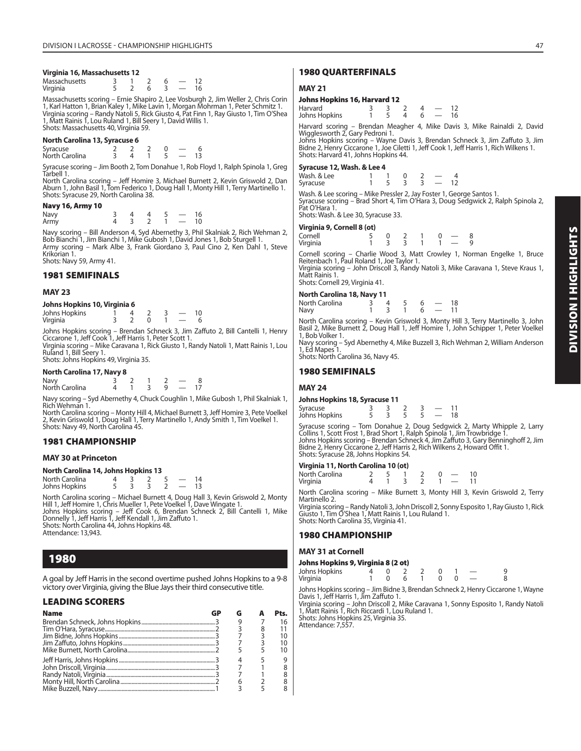#### **Virginia 16, Massachusetts 12**

| Massachusetts |  |  |  |
|---------------|--|--|--|
| Virginia      |  |  |  |

Massachusetts scoring – Ernie Shapiro 2, Lee Vosburgh 2, Jim Weller 2, Chris Corin 1, Karl Hatton 1, Brian Kaley 1, Mike Lavin 1, Morgan Mohrman 1, Peter Schmitz 1.<br>Virginia scoring – Randy Natoli 5, Rick Giusto 4, Pat Finn 1, Ray Giusto 1, Tim O'Shea<br>1, Matt Rainis 1, Lou Ruland 1, Bill Seery 1, David W Shots: Massachusetts 40, Virginia 59.

#### **North Carolina 13, Syracuse 6**

| Syracuse       |  |  |  |
|----------------|--|--|--|
| North Carolina |  |  |  |

Syracuse scoring – Jim Booth 2, Tom Donahue 1, Rob Floyd 1, Ralph Spinola 1, Greg Tarbell 1.

North Carolina scoring – Jeff Homire 3, Michael Burnett 2, Kevin Griswold 2, Dan Aburn 1, John Basil 1, Tom Federico 1, Doug Hall 1, Monty Hill 1, Terry Martinello 1. Shots: Syracuse 29, North Carolina 38.

#### **Navy 16, Army 10**

| Navy |  |  | 16 |
|------|--|--|----|
| Army |  |  | 10 |

Navy scoring – Bill Anderson 4, Syd Abernethy 3, Phil Skalniak 2, Rich Wehman 2, Bob Bianchi 1, Jim Bianchi 1, Mike Gubosh 1, David Jones 1, Bob Sturgell 1. Army scoring – Mark Albe 3, Frank Giordano 3, Paul Cino 2, Ken Dahl 1, Steve Krikorian 1. Shots: Navy 59, Army 41.

#### **1981 SEMIFINALS**

#### **MAY 23**

#### **Johns Hopkins 10, Virginia 6**

| Johns Hopkins |  |  | 10 |
|---------------|--|--|----|
| Virginia      |  |  |    |

Johns Hopkins scoring – Brendan Schneck 3, Jim Zaffuto 2, Bill Cantelli 1, Henry Ciccarone 1, Jeff Cook 1, Jeff Harris 1, Peter Scott 1. Virginia scoring – Mike Caravana 1, Rick Giusto 1, Randy Natoli 1, Matt Rainis 1, Lou

Ruland 1, Bill Seery 1. Shots: Johns Hopkins 49, Virginia 35.

#### **North Carolina 17, Navy 8**

| Navy<br>North Carolina |  |  |   |      |
|------------------------|--|--|---|------|
|                        |  |  | q | — 17 |
|                        |  |  |   |      |

Navy scoring – Syd Abernethy 4, Chuck Coughlin 1, Mike Gubosh 1, Phil Skalniak 1, Rich Wehman 1.

North Carolina scoring – Monty Hill 4, Michael Burnett 3, Jeff Homire 3, Pete Voelkel 2, Kevin Griswold 1, Doug Hall 1, Terry Martinello 1, Andy Smith 1, Tim Voelkel 1. Shots: Navy 49, North Carolina 45.

#### **1981 CHAMPIONSHIP**

#### **MAY 30 at Princeton**

#### **North Carolina 14, Johns Hopkins 13**

| North Carolina |  |  | 14 |  |
|----------------|--|--|----|--|
| Johns Hopkins  |  |  | 13 |  |

North Carolina scoring – Michael Burnett 4, Doug Hall 3, Kevin Griswold 2, Monty<br>Hill 1, Jeff Homire 1, Chris Mueller 1, Pete Voelkel 1, Dave Wingate 1.<br>Johns Hopkins scoring – Jeff Cook 6, Brendan Schneck 2, Bill Cantelli Shots: North Carolina 44, Johns Hopkins 48.

Attendance: 13,943.

## **1980**

A goal by Jeff Harris in the second overtime pushed Johns Hopkins to a 9-8 victory over Virginia, giving the Blue Jays their third consecutive title.

#### **LEADING SCORERS**

| <b>Name</b> |  |   | Pts. |
|-------------|--|---|------|
|             |  |   | 16   |
|             |  | 8 |      |
|             |  |   | 10   |
|             |  |   | 10   |
|             |  |   | 10   |
|             |  |   |      |
|             |  |   |      |
|             |  |   |      |
|             |  |   |      |
|             |  |   |      |

#### **1980 QUARTERFINALS**

#### **MAY 21**

#### **Johns Hopkins 16, Harvard 12**

| Harvard<br>Johns Hopkins                                                                                        | -5 | $\overline{3}$ 2 | $4 - 12$<br>$4\quad 6\quad -\quad 16$ |  |  |  |  |
|-----------------------------------------------------------------------------------------------------------------|----|------------------|---------------------------------------|--|--|--|--|
| Harvard scoring – Brendan Meagher 4, Mike Davis 3, Mike Rainaldi 2, David                                       |    |                  |                                       |  |  |  |  |
| Wigglesworth 2, Gary Pedroni 1.<br>Johns Honkins scoring - Wayne Davis 3, Brendan Schneck 3, Jim Zaffuto 3, Jim |    |                  |                                       |  |  |  |  |

Johns Hopkins scoring – Wayne Davis 3, Brendan Schneck 3, Jim Zaffuto 3, Jim<br>Bidne 2, Henry Ciccarone 1, Joe Ciletti 1, Jeff Cook 1, Jeff Harris 1, Rich Wilkens 1. Shots: Harvard 41, Johns Hopkins 44.

#### **Syracuse 12, Wash. & Lee 4**

| Wash. & Lee |  | $\overline{0}$ |                      |      |
|-------------|--|----------------|----------------------|------|
| Syracuse    |  | $\sim$ 3       | $\sim$ $\sim$ $\sim$ | - 12 |
| .<br>$\sim$ |  |                |                      |      |

Wash. & Lee scoring – Mike Pressler 2, Jay Foster 1, George Santos 1. Syracuse scoring – Brad Short 4, Tim O'Hara 3, Doug Sedgwick 2, Ralph Spinola 2, Pat O'Hara 1.

Shots: Wash. & Lee 30, Syracuse 33.

#### **Virginia 9, Cornell 8 (ot)**

| Cornell  |  |  |  |
|----------|--|--|--|
| Virginia |  |  |  |

Cornell scoring – Charlie Wood 3, Matt Crowley 1, Norman Engelke 1, Bruce Reitenbach 1, Paul Roland 1, Joe Taylor 1.

Virginia scoring – John Driscoll 3, Randy Natoli 3, Mike Caravana 1, Steve Kraus 1, Matt Rainis 1. Shots: Cornell 29, Virginia 41.

| North Carolina 18, Navy 11 |   |  |   |  |                        |  |  |
|----------------------------|---|--|---|--|------------------------|--|--|
|                            | 4 |  | 6 |  | 18                     |  |  |
|                            |   |  |   |  | $\sim$ $-$<br>$6 - 11$ |  |  |

North Carolina scoring – Kevin Griswold 3, Monty Hill 3, Terry Martinello 3, John Basil 2, Mike Burnett 2, Doug Hall 1, Jeff Homire 1, John Schipper 1, Peter Voelkel 1, Bob Volker 1.

Navy scoring – Syd Abernethy 4, Mike Buzzell 3, Rich Wehman 2, William Anderson 1, Ed Mapes 1.

Shots: North Carolina 36, Navy 45.

#### **1980 SEMIFINALS**

#### **MAY 24**

#### **Johns Hopkins 18, Syracuse 11**

| Syracuse<br>Johns Hopkins |  |  | 18 |
|---------------------------|--|--|----|

Syracuse scoring – Tom Donahue 2, Doug Sedgwick 2, Marty Whipple 2, Larry<br>Collins 1, Scott Frost 1, Brad Short 1, Ralph Spinola 1, Jim Trowbridge 1.<br>Johns Hopkins scoring – Brendan Schneck 4, Jim Zaffuto 3, Gary Benninghof Bidne 2, Henry Ciccarone 2, Jeff Harris 2, Rich Wilkens 2, Howard Offit 1. Shots: Syracuse 28, Johns Hopkins 54.

#### **Virginia 11, North Carolina 10 (ot)**

| $\mathbf{v}$ $\mathbf{v}$ $\mathbf{v}$ $\mathbf{v}$ $\mathbf{v}$ $\mathbf{v}$ $\mathbf{v}$ $\mathbf{v}$ $\mathbf{v}$ $\mathbf{v}$ $\mathbf{v}$ $\mathbf{v}$ $\mathbf{v}$ $\mathbf{v}$ $\mathbf{v}$ $\mathbf{v}$ $\mathbf{v}$ $\mathbf{v}$ $\mathbf{v}$ $\mathbf{v}$ $\mathbf{v}$ $\mathbf{v}$ $\mathbf{v}$ $\mathbf{v}$ $\mathbf{$ |    |  |     |               |    |
|------------------------------------------------------------------------------------------------------------------------------------------------------------------------------------------------------------------------------------------------------------------------------------------------------------------------------------|----|--|-----|---------------|----|
| North Carolina                                                                                                                                                                                                                                                                                                                     | 25 |  | - 0 | $\sim$ $\sim$ | 10 |
| Virginia                                                                                                                                                                                                                                                                                                                           |    |  |     | $1 - 11$      |    |

North Carolina scoring – Mike Burnett 3, Monty Hill 3, Kevin Griswold 2, Terry Martinello 2.

Virginia scoring – Randy Natoli 3, John Driscoll 2, Sonny Esposito 1, Ray Giusto 1, Rick Giusto 1, Tim O'Shea 1, Matt Rainis 1, Lou Ruland 1. Shots: North Carolina 35, Virginia 41.

#### **1980 CHAMPIONSHIP**

#### **MAY 31 at Cornell**

| Johns Hopkins 9, Virginia 8 (2 ot) |  |  |  |  |  |  |  |  |  |
|------------------------------------|--|--|--|--|--|--|--|--|--|
| Johns Hopkins                      |  |  |  |  |  |  |  |  |  |
| Virginia                           |  |  |  |  |  |  |  |  |  |

Johns Hopkins scoring – Jim Bidne 3, Brendan Schneck 2, Henry Ciccarone 1, Wayne

Davis 1, Jeff Harris 1, Jim Zaffuto 1. Virginia scoring – John Driscoll 2, Mike Caravana 1, Sonny Esposito 1, Randy Natoli 1, Matt Rainis 1, Rich Riccardi 1, Lou Ruland 1. Shots: Johns Hopkins 25, Virginia 35.

Attendance: 7,557.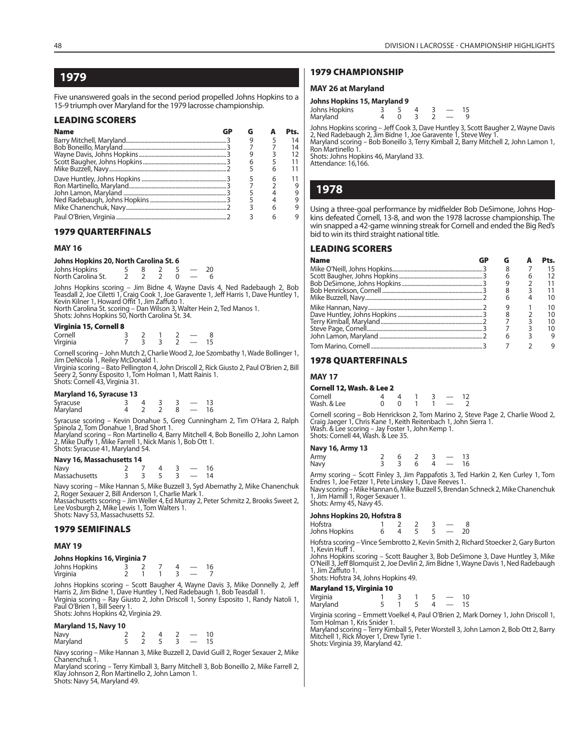## **1979**

Five unanswered goals in the second period propelled Johns Hopkins to a 15-9 triumph over Maryland for the 1979 lacrosse championship.

#### **LEADING SCORERS**

| <b>Name</b> |   |   | Pts. |
|-------------|---|---|------|
|             |   |   | 14   |
|             |   |   | 14   |
|             |   |   | 12   |
|             | 6 |   |      |
|             |   |   |      |
|             |   | 6 |      |
|             |   |   | 9    |
|             |   |   |      |
|             |   |   |      |
|             |   |   |      |
|             |   |   |      |

#### **1979 QUARTERFINALS**

#### **MAY 16**

| Johns Hopkins 20, North Carolina St. 6 |  |  |    |
|----------------------------------------|--|--|----|
| Johns Hopkins                          |  |  | 20 |

| .                  |  |  |  |
|--------------------|--|--|--|
| North Carolina St. |  |  |  |
|                    |  |  |  |

Johns Hopkins scoring – Jim Bidne 4, Wayne Davis 4, Ned Radebaugh 2, Bob Teasdall 2, Joe Ciletti 1, Craig Cook 1, Joe Garavente 1, Jeff Harris 1, Dave Huntley 1, Kevin Kilner 1, Howard Offit 1, Jim Zaffuto 1. North Carolina St. scoring – Dan Wilson 3, Walter Hein 2, Ted Manos 1. Shots: Johns Hopkins 50, North Carolina St. 34.

#### **Virginia 15, Cornell 8**

| <b>THE READ IS A COLLECTED</b> |  |  |  |
|--------------------------------|--|--|--|
| Cornell                        |  |  |  |
| Virginia                       |  |  |  |

Cornell scoring – John Mutch 2, Charlie Wood 2, Joe Szombathy 1, Wade Bollinger 1, Jim DeNicola 1, Reiley McDonald 1.

Virginia scoring – Bato Pellington 4, John Driscoll 2, Rick Giusto 2, Paul O'Brien 2, Bill Seery 2, Sonny Esposito 1, Tom Holman 1, Matt Rainis 1. Shots: Cornell 43, Virginia 31.

#### **Maryland 16, Syracuse 13**

| Syracuse<br>Maryland |  |  |  |
|----------------------|--|--|--|

Syracuse scoring – Kevin Donahue 5, Greg Cunningham 2, Tim O'Hara 2, Ralph Spinola 2, Tom Donahue 1, Brad Short 1.

Maryland scoring – Ron Martinello 4, Barry Mitchell 4, Bob Boneillo 2, John Lamon 2, Mike Duffy 1, Mike Farrell 1, Nick Manis 1, Bob Ott 1. Shots: Syracuse 41, Maryland 54.

#### **Navy 16, Massachusetts 14**

| Navy          |  |  |  |
|---------------|--|--|--|
| Massachusetts |  |  |  |

Navy scoring – Mike Hannan 5, Mike Buzzell 3, Syd Abernathy 2, Mike Chanenchuk 2, Roger Sexauer 2, Bill Anderson 1, Charlie Mark 1. Massachusetts scoring – Jim Weller 4, Ed Murray 2, Peter Schmitz 2, Brooks Sweet 2, Lee Vosburgh 2, Mike Lewis 1, Tom Walters 1.

Shots: Navy 53, Massachusetts 52.

#### **1979 SEMIFINALS**

#### **MAY 19**

#### **Johns Hopkins 16, Virginia 7**

| Johns Hopkins |  |  | 16 |
|---------------|--|--|----|
| Virginia      |  |  |    |

Johns Hopkins scoring – Scott Baugher 4, Wayne Davis 3, Mike Donnelly 2, Jeff Harris 2, Jim Bidne 1, Dave Huntley 1, Ned Radebaugh 1, Bob Teasdall 1. Virginia scoring – Ray Giusto 2, John Driscoll 1, Sonny Esposito 1, Randy Natoli 1, Paul O'Brien 1, Bill Seery 1. Shots: Johns Hopkins 42, Virginia 29.

#### **Maryland 15, Navy 10**

| Navy<br>Maryland |  |  |  |
|------------------|--|--|--|
|                  |  |  |  |

Navy scoring – Mike Hannan 3, Mike Buzzell 2, David Guill 2, Roger Sexauer 2, Mike Chanenchuk 1.

Maryland scoring – Terry Kimball 3, Barry Mitchell 3, Bob Boneillo 2, Mike Farrell 2, Klay Johnson 2, Ron Martinello 2, John Lamon 1. Shots: Navy 54, Maryland 49.

#### **1979 CHAMPIONSHIP**

#### **MAY 26 at Maryland**

#### **Johns Hopkins 15, Maryland 9**

| Johns Hopkins |  |  |  |
|---------------|--|--|--|
| Maryland      |  |  |  |

Johns Hopkins scoring – Jeff Cook 3, Dave Huntley 3, Scott Baugher 2, Wayne Davis 2, Ned Radebaugh 2, Jim Bidne 1, Joe Garavente 1, Steve Wey 1. Maryland scoring – Bob Boneillo 3, Terry Kimball 2, Barry Mitchell 2, John Lamon 1, Ron Martinello 1.

Shots: Johns Hopkins 46, Maryland 33.

Attendance: 16,166.

## **1978**

Using a three-goal performance by midfielder Bob DeSimone, Johns Hopkins defeated Cornell, 13-8, and won the 1978 lacrosse championship. The win snapped a 42-game winning streak for Cornell and ended the Big Red's bid to win its third straight national title.

#### **LEADING SCORERS**

| <b>Name</b> |  |   | P <sub>ts.</sub> |
|-------------|--|---|------------------|
|             |  |   |                  |
|             |  | 6 |                  |
|             |  |   |                  |
|             |  |   |                  |
|             |  |   |                  |
|             |  |   | 10               |
|             |  |   |                  |
|             |  |   |                  |
|             |  |   |                  |
|             |  |   |                  |
|             |  |   |                  |

#### **1978 QUARTERFINALS**

#### **MAY 17**

#### **Cornell 12, Wash. & Lee 2**

| Cornell     |  |  |  |
|-------------|--|--|--|
| Wash. & Lee |  |  |  |

Cornell scoring – Bob Henrickson 2, Tom Marino 2, Steve Page 2, Charlie Wood 2, Craig Jaeger 1, Chris Kane 1, Keith Reitenbach 1, John Sierra 1. Wash. & Lee scoring – Jay Foster 1, John Kemp 1. Shots: Cornell 44, Wash. & Lee 35.

#### **Navy 16, Army 13**

|              | __ |     |   |                |                                      |  |
|--------------|----|-----|---|----------------|--------------------------------------|--|
|              |    |     |   |                | $6 \quad 2 \quad 3 \quad - \quad 13$ |  |
| Army<br>Navy |    | 3 3 | 6 | $\overline{4}$ | $-16$                                |  |
|              |    |     |   |                |                                      |  |

Army scoring – Scott Finley 3, Jim Pappafotis 3, Ted Harkin 2, Ken Curley 1, Tom Endres 1, Joe Fetzer 1, Pete Linskey 1, Dave Reeves 1.<br>Navy scoring – Mike Hannan 6, Mike Buzzell 5, Brendan Schneck 2, Mike Chanenchuk 1, Jim Hamill 1, Roger Sexauer 1.

Shots: Army 45, Navy 45.

#### **Johns Hopkins 20, Hofstra 8**

| Hofstra       |  |  |    |
|---------------|--|--|----|
| Johns Hopkins |  |  | 20 |

Hofstra scoring – Vince Sembrotto 2, Kevin Smith 2, Richard Stoecker 2, Gary Burton 1, Kevin Huff 1.

Johns Hopkins scoring – Scott Baugher 3, Bob DeSimone 3, Dave Huntley 3, Mike O'Neill 3, Jeff Blomquist 2, Joe Devlin 2, Jim Bidne 1, Wayne Davis 1, Ned Radebaugh 1, Jim Zaffuto 1. Shots: Hofstra 34, Johns Hopkins 49.

## **Maryland 15, Virginia 10**

| maryianu 1 <i>3,</i> virginia rv |  |  |    |
|----------------------------------|--|--|----|
|                                  |  |  | 10 |
| Virginia<br>Maryland             |  |  | 15 |

Virginia scoring – Emmett Voelkel 4, Paul O'Brien 2, Mark Dorney 1, John Driscoll 1, Tom Holman 1, Kris Snider 1.

Maryland scoring – Terry Kimball 5, Peter Worstell 3, John Lamon 2, Bob Ott 2, Barry Mitchell 1, Rick Moyer 1, Drew Tyrie 1. Shots: Virginia 39, Maryland 42.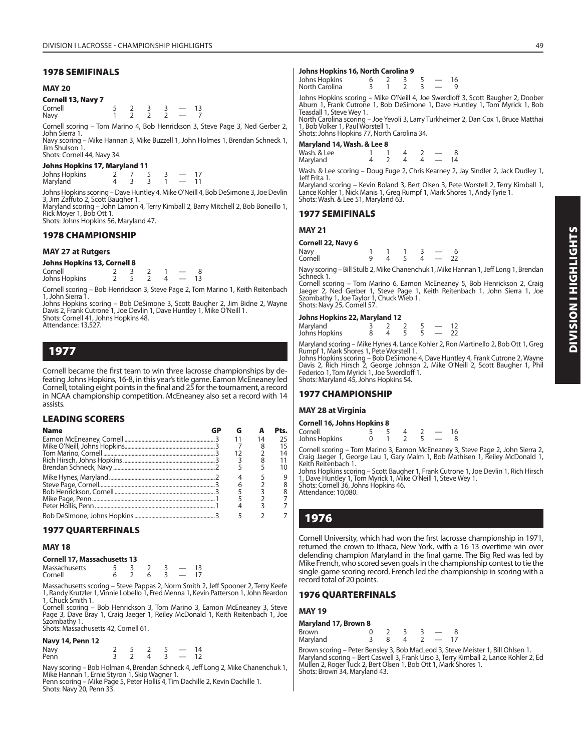#### **1978 SEMIFINALS**

#### **MAY 20**

**Cornell 13, Navy 7**

Cornell 5 2 3 3 — 13 Navy 1 2 2 2 — 7

Cornell scoring – Tom Marino 4, Bob Henrickson 3, Steve Page 3, Ned Gerber 2, John Sierra 1.

Navy scoring – Mike Hannan 3, Mike Buzzell 1, John Holmes 1, Brendan Schneck 1, Jim Shulson Shots: Cornell 44, Navy 34.

#### **Johns Hopkins 17, Maryland 11**

Johns Hopkins 2 7 5 3 — 17 Maryland

Johns Hopkins scoring – Dave Huntley 4, Mike O'Neill 4, Bob DeSimone 3, Joe Devlin 3, Jim Zaffuto 2, Scott Baugher 1.

Maryland scoring – John Lamon 4, Terry Kimball 2, Barry Mitchell 2, Bob Boneillo 1, Rick Moyer 1, Bob Ott 1. Shots: Johns Hopkins 56, Maryland 47.

## **1978 CHAMPIONSHIP**

#### **MAY 27 at Rutgers**

| <b>Johns Hopkins 13, Cornell 8</b> |  |  |    |
|------------------------------------|--|--|----|
| Cornell                            |  |  |    |
| Johns Hopkins                      |  |  | 13 |

Cornell scoring – Bob Henrickson 3, Steve Page 2, Tom Marino 1, Keith Reitenbach 1, John Sierra 1.

Johns Hopkins scoring – Bob DeSimone 3, Scott Baugher 2, Jim Bidne 2, Wayne Davis 2, Frank Cutrone 1, Joe Devlin 1, Dave Huntley 1, Mike O'Neill 1. Shots: Cornell 41, Johns Hopkins 48. Attendance: 13,527.

**1977**

Cornell became the first team to win three lacrosse championships by defeating Johns Hopkins, 16-8, in this year's title game. Eamon McEneaney led Cornell, totaling eight points in the final and 25 for the tournament, a record in NCAA championship competition. McEneaney also set a record with 14 assists.

#### **LEADING SCORERS**

| <b>Name</b> |  |    | ŀ٤. |
|-------------|--|----|-----|
|             |  | 14 | 25  |
|             |  |    | 15  |
|             |  |    | 14  |
|             |  |    |     |
|             |  |    | 1ດ  |
|             |  |    |     |
|             |  |    |     |
|             |  |    |     |
|             |  |    |     |
|             |  |    |     |
|             |  |    |     |

## **1977 QUARTERFINALS**

#### **MAY 18**

#### **Cornell 17, Massachusetts 13**

| Massachusetts |  |  |  |
|---------------|--|--|--|
| Cornell       |  |  |  |

Massachusetts scoring – Steve Pappas 2, Norm Smith 2, Jeff Spooner 2, Terry Keefe 1, Randy Krutzler 1, Vinnie Lobello 1, Fred Menna 1, Kevin Patterson 1, John Reardon 1, Chuck Smith 1.

Cornell scoring – Bob Henrickson 3, Tom Marino 3, Eamon McEneaney 3, Steve Page 3, Dave Bray 1, Craig Jaeger 1, Reiley McDonald 1, Keith Reitenbach 1, Joe Szombathy 1. Shots: Massachusetts 42, Cornell 61.

|  |  | Navy 14, Penn 12 |  |
|--|--|------------------|--|
|--|--|------------------|--|

| Navy<br>Penn | 5/2 |   |              | 14 |
|--------------|-----|---|--------------|----|
|              |     | 4 | $\sim$ 3 $-$ | 12 |

Navy scoring – Bob Holman 4, Brendan Schneck 4, Jeff Long 2, Mike Chanenchuk 1,

Mike Hannan 1, Ernie Styron 1, Skip Wagner 1. Penn scoring – Mike Page 5, Peter Hollis 4, Tim Dachille 2, Kevin Dachille 1. Shots: Navy 20, Penn 33.

#### **Johns Hopkins 16, North Carolina 9**

| Johns Hopkins<br>North Carolina |                               |  | $\sim$ $  -$ | 16<br>- 9 |
|---------------------------------|-------------------------------|--|--------------|-----------|
| Johne Honkine ceoring           | Miles O'Noill A Loo Currellof |  |              |           |

Swerdloff 3, Scott Baugher 2, Doober Aburn 1, Frank Cutrone 1, Bob DeSimone 1, Dave Huntley 1, Tom Myrick 1, Bob Teasdall 1, Steve Wey 1.

North Carolina scoring – Joe Yevoli 3, Larry Turkheimer 2, Dan Cox 1, Bruce Matthai 1, Bob Volker 1, Paul Worstell 1. Shots: Johns Hopkins 77, North Carolina 34.

**Maryland 14, Wash. & Lee 8**

| Wash. & Lee |  |              | $\sim$ |  |
|-------------|--|--------------|--------|--|
| Maryland    |  | $\mathbf{A}$ | - 14   |  |

Wash. & Lee scoring – Doug Fuge 2, Chris Kearney 2, Jay Sindler 2, Jack Dudley 1, Jeff Frita 1.

Maryland scoring – Kevin Boland 3, Bert Olsen 3, Pete Worstell 2, Terry Kimball 1, Lance Kohler 1, Nick Manis 1, Greg Rumpf 1, Mark Shores 1, Andy Tyrie 1. Shots: Wash. & Lee 51, Maryland 63.

#### **1977 SEMIFINALS**

| Cornell 22, Navy 6 |  |  |  |
|--------------------|--|--|--|
|--------------------|--|--|--|

| Navy<br>Cornell |  | $\mathbf{u}$ | 22 |
|-----------------|--|--------------|----|

Navy scoring – Bill Stulb 2, Mike Chanenchuk 1, Mike Hannan 1, Jeff Long 1, Brendan Schneck 1.

Cornell scoring – Tom Marino 6, Eamon McEneaney 5, Bob Henrickson 2, Craig Jaeger 2, Ned Gerber 1, Steve Page 1, Keith Reitenbach 1, John Sierra 1, Joe Szombathy 1, Joe Taylor 1, Chuck Wieb 1. Shots: Navy 25, Cornell 57.

#### **Johns Hopkins 22, Maryland 12**

| Maryland<br>Johns Hopkins |  |  |  |  |
|---------------------------|--|--|--|--|

Maryland scoring – Mike Hynes 4, Lance Kohler 2, Ron Martinello 2, Bob Ott 1, Greg Rumpf 1, Mark Shores 1, Pete Worstell 1.

Johns Hopkins scoring – Bob DeSimone 4, Dave Huntley 4, Frank Cutrone 2, Wayne Davis 2, Rich Hirsch 2, George Johnson 2, Mike O'Neill 2, Scott Baugher 1, Phil Federico 1, Tom Myrick 1, Joe Swerdloff 1. Shots: Maryland 45, Johns Hopkins 54.

#### **1977 CHAMPIONSHIP**

#### **MAY 28 at Virginia**

#### **Cornell 16, Johns Hopkins 8**

| Cornell       |  |  |  |
|---------------|--|--|--|
| Johns Hopkins |  |  |  |

Cornell scoring – Tom Marino 3, Eamon McEneaney 3, Steve Page 2, John Sierra 2, Craig Jaeger 1, George Lau 1, Gary Malm 1, Bob Mathisen 1, Reiley McDonald 1, Keith Reitenbach 1.

Johns Hopkins scoring – Scott Baugher 1, Frank Cutrone 1, Joe Devlin 1, Rich Hirsch 1, Dave Huntley 1, Tom Myrick 1, Mike O'Neill 1, Steve Wey 1. Shots: Cornell 36, Johns Hopkins 46.

Attendance: 10,080.

## **1976**

Cornell University, which had won the first lacrosse championship in 1971, returned the crown to Ithaca, New York, with a 16-13 overtime win over defending champion Maryland in the final game. The Big Red was led by Mike French, who scored seven goals in the championship contest to tie the single-game scoring record. French led the championship in scoring with a record total of 20 points.

#### **1976 QUARTERFINALS**

#### **MAY 19**

| <b>Maryland 17, Brown 8</b> |  |  |               |    |
|-----------------------------|--|--|---------------|----|
| Brown                       |  |  |               |    |
| Maryland                    |  |  | $\sim$ $\sim$ | 17 |

Brown scoring – Peter Bensley 3, Bob MacLeod 3, Steve Meister 1, Bill Ohlsen 1. Maryland scoring – Bert Caswell 3, Frank Urso 3, Terry Kimball 2, Lance Kohler 2, Ed Mullen 2, Roger Tuck 2, Bert Olsen 1, Bob Ott 1, Mark Shores 1. Shots: Brown 34, Maryland 43.

## **MAY 21**

| Corneil 22, ivavy o |  |  |  |
|---------------------|--|--|--|
| Navy                |  |  |  |
| Cornell             |  |  |  |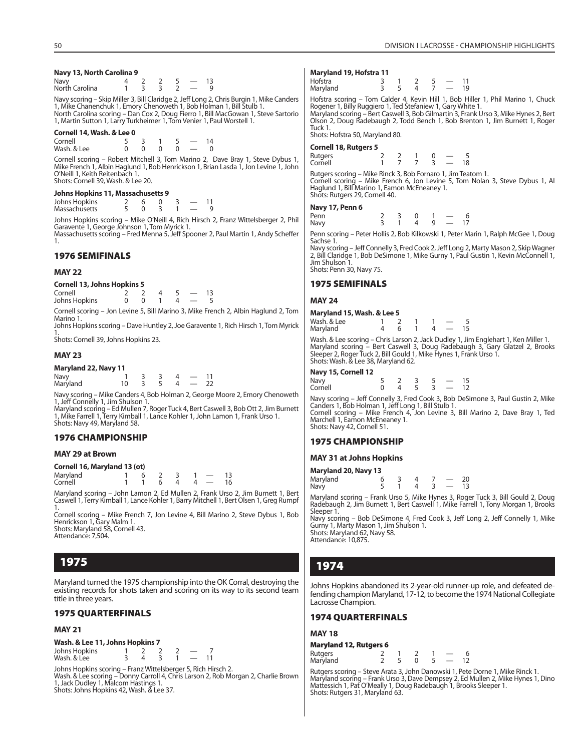#### **Navy 13, North Carolina 9**

| Navy<br>North Carolina |  |  |  |
|------------------------|--|--|--|
|                        |  |  |  |

Navy scoring – Skip Miller 3, Bill Claridge 2, Jeff Long 2, Chris Burgin 1, Mike Canders 1, Mike Chanenchuk 1, Emory Chenoweth 1, Bob Holman 1, Bill Stulb 1. North Carolina scoring – Dan Cox 2, Doug Fierro 1, Bill MacGowan 1, Steve Sartorio 1, Martin Sutton 1, Larry Turkheimer 1, Tom Venier 1, Paul Worstell 1.

#### **Cornell 14, Wash. & Lee 0**

| Cornell     |  |  | $1\Lambda$ |
|-------------|--|--|------------|
| Wash, & Lee |  |  |            |

Cornell scoring – Robert Mitchell 3, Tom Marino 2, Dave Bray 1, Steve Dybus 1, Mike French 1, Albin Haglund 1, Bob Henrickson 1, Brian Lasda 1, Jon Levine 1, John O'Neill 1, Keith Reitenbach 1. Shots: Cornell 39, Wash, & Lee 20.

#### **Johns Hopkins 11, Massachusetts 9**

| Johns Hopkins |  |  |  |  |
|---------------|--|--|--|--|
| Massachusetts |  |  |  |  |

Johns Hopkins scoring – Mike O'Neill 4, Rich Hirsch 2, Franz Wittelsberger 2, Phil Garavente 1, George Johnson 1, Tom Myrick 1. Massachusetts scoring – Fred Menna 5, Jeff Spooner 2, Paul Martin 1, Andy Scheffer 1.

#### **1976 SEMIFINALS**

#### **MAY 22**

|  | <b>Cornell 13, Johns Hopkins 5</b> |
|--|------------------------------------|
|  |                                    |

| Cornell 2 2 4 5 $-$ 13 |                          |                                                                                                                 |  |  |  |  |
|------------------------|--------------------------|-----------------------------------------------------------------------------------------------------------------|--|--|--|--|
| Johns Hopkins          | $0 \t 0 \t 1 \t 4 \t -5$ |                                                                                                                 |  |  |  |  |
|                        |                          | the contract of the contract of the contract of the contract of the contract of the contract of the contract of |  |  |  |  |

Cornell scoring – Jon Levine 5, Bill Marino 3, Mike French 2, Albin Haglund 2, Tom Marino 1. Johns Hopkins scoring – Dave Huntley 2, Joe Garavente 1, Rich Hirsch 1, Tom Myrick

1. Shots: Cornell 39, Johns Hopkins 23.

#### **MAY 23**

| Maryland 22, Navy 11 |  |  |    |
|----------------------|--|--|----|
| Navy                 |  |  |    |
| Maryland             |  |  | 22 |

Navy scoring – Mike Canders 4, Bob Holman 2, George Moore 2, Emory Chenoweth

1, Jeff Connelly 1, Jim Shulson 1. Maryland scoring – Ed Mullen 7, Roger Tuck 4, Bert Caswell 3, Bob Ott 2, Jim Burnett 1, Mike Farrell 1, Terry Kimball 1, Lance Kohler 1, John Lamon 1, Frank Urso 1. Shots: Navy 49, Maryland 58.

#### **1976 CHAMPIONSHIP**

#### **MAY 29 at Brown**

| Cornell 16, Maryland 13 (ot) |  |  |       |              |  |                               |      |  |  |  |
|------------------------------|--|--|-------|--------------|--|-------------------------------|------|--|--|--|
| Maryland                     |  |  | 6 2   | $\mathbf{R}$ |  | $1 \quad -$                   | - 13 |  |  |  |
| Cornell                      |  |  | - 6 - | 4            |  | $\overline{A}$ $\overline{A}$ | 16   |  |  |  |

Maryland scoring – John Lamon 2, Ed Mullen 2, Frank Urso 2, Jim Burnett 1, Bert Caswell 1, Terry Kimball 1, Lance Kohler 1, Barry Mitchell 1, Bert Olsen 1, Greg Rumpf

1. Cornell scoring – Mike French 7, Jon Levine 4, Bill Marino 2, Steve Dybus 1, Bob Henrickson 1, Gary Malm 1. Shots: Maryland 58, Cornell 43.

Attendance: 7,504.

## **1975**

Maryland turned the 1975 championship into the OK Corral, destroying the existing records for shots taken and scoring on its way to its second team title in three years.

#### **1975 QUARTERFINALS**

#### **MAY 21**

**Wash. & Lee 11, Johns Hopkins 7** Johns Hopkins 1 2 2 2 — 7 Wash. & Lee

Johns Hopkins scoring – Franz Wittelsberger 5, Rich Hirsch 2. Wash. & Lee scoring – Donny Carroll 4, Chris Larson 2, Rob Morgan 2, Charlie Brown 1, Jack Dudley 1, Malcom Hastings 1.

Shots: Johns Hopkins 42, Wash. & Lee 37.

#### **Maryland 19, Hofstra 11**

| Hofstra<br>Maryland |  |  | 19 |
|---------------------|--|--|----|
|                     |  |  |    |

Hofstra scoring – Tom Calder 4, Kevin Hill 1, Bob Hiller 1, Phil Marino 1, Chuck<br>Rogener 1, Billy Ruggiero 1, Ted Stefaniew 1, Gary White 1.<br>Maryland scoring – Bert Caswell 3, Bob Gilmartin 3, Frank Urso 3, Mike Hynes 2, B Olson 2, Doug Radebaugh 2, Todd Bench 1, Bob Brenton 1, Jim Burnett 1, Roger Tuck 1.

Shots: Hofstra 50, Maryland 80.

#### **Cornell 18, Rutgers 5**

Rutgers 2 2 1 0 — 5<br>Cornell 1 7 7 3 — 18 Cornell 1 Rutgers scoring – Mike Rinck 3, Bob Fornaro 1, Jim Teatom 1. Cornell scoring – Mike French 6, Jon Levine 5, Tom Nolan 3, Steve Dybus 1, Al Haglund 1, Bill Marino 1, Eamon McEneaney 1. Shots: Rutgers 29, Cornell 40.

#### **Navy 17, Penn 6**

| Penn | $\overline{3}$ 0 |  | $1 -$                                |  |
|------|------------------|--|--------------------------------------|--|
| Navy |                  |  | $1 \quad 4 \quad 9 \quad - \quad 17$ |  |

Penn scoring – Peter Hollis 2, Bob Kilkowski 1, Peter Marin 1, Ralph McGee 1, Doug Sachse 1.

Navy scoring – Jeff Connelly 3, Fred Cook 2, Jeff Long 2, Marty Mason 2, Skip Wagner 2, Bill Claridge 1, Bob DeSimone 1, Mike Gurny 1, Paul Gustin 1, Kevin McConnell 1, Jim Shulson<sup>1</sup>

Shots: Penn 30, Navy 75.

#### **1975 SEMIFINALS**

#### **MAY 24**

## **Maryland 15, Wash. & Lee 5**<br>Wash & Lee 1 2

| $\cdots$ |  |  |  |
|----------|--|--|--|
| Maryland |  |  |  |

Wash. & Lee scoring – Chris Larson 2, Jack Dudley 1, Jim Englehart 1, Ken Miller 1. Maryland scoring – Bert Caswell 3, Doug Radebaugh 3, Gary Glatzel 2, Brooks Sleeper 2, Roger Tuck 2, Bill Gould 1, Mike Hynes 1, Frank Urso 1. Shots: Wash. & Lee 38, Maryland 62.

#### **Navy 15, Cornell 12**

| Navy<br>Cornell |                      |                   |  | $5 \t2 \t3 \t5 \t- 15$<br>$0 \t 4 \t 5 \t 3 \t - 12$ |  |
|-----------------|----------------------|-------------------|--|------------------------------------------------------|--|
| . .             | $\sim$ $\sim$ $\sim$ | $\cdots$ $\cdots$ |  |                                                      |  |

Navy scoring – Jeff Connelly 3, Fred Cook 3, Bob DeSimone 3, Paul Gustin 2, Mike Canders 1, Bob Holman 1, Jeff Long 1, Bill Stulb 1. Cornell scoring – Mike French 4, Jon Levine 3, Bill Marino 2, Dave Bray 1, Ted Marchell 1, Eamon McEneaney 1. Shots: Navy 42, Cornell 51.

#### **1975 CHAMPIONSHIP**

#### **MAY 31 at Johns Hopkins**

**Maryland 20, Navy 13**

| Maryland |  |  |  |
|----------|--|--|--|
| Navy     |  |  |  |

Maryland scoring – Frank Urso 5, Mike Hynes 3, Roger Tuck 3, Bill Gould 2, Doug Radebaugh 2, Jim Burnett 1, Bert Caswell 1, Mike Farrell 1, Tony Morgan 1, Brooks Sleeper 1.

Navy scoring – Bob DeSimone 4, Fred Cook 3, Jeff Long 2, Jeff Connelly 1, Mike Gurny 1, Marty Mason 1, Jim Shulson 1. Shots: Maryland 62, Navy 58.

Attendance: 10,875.

## **1974**

Johns Hopkins abandoned its 2-year-old runner-up role, and defeated defending champion Maryland, 17-12, to become the 1974 National Collegiate Lacrosse Champion.

#### **1974 QUARTERFINALS**

#### **MAY 18**

| <b>Maryland 12, Rutgers 6</b> |  |  |  |
|-------------------------------|--|--|--|
| Rutgers                       |  |  |  |

| Rutgers<br>Maryland |  |  |  |  |
|---------------------|--|--|--|--|

Rutgers scoring – Steve Arata 3, John Danowski 1, Pete Dorne 1, Mike Rinck 1. Maryland scoring – Frank Urso 3, Dave Dempsey 2, Ed Mullen 2, Mike Hynes 1, Dino<br>Mattessich 1, Pat O'Meally 1, Doug Radebaugh 1, Brooks Sleeper 1. Shots: Rutgers 31, Maryland 63.

 $W = \begin{bmatrix} 1 & 2 & 1 & 1 \\ 1 & 2 & 1 & 1 \\ 1 & 1 & 1 & 1 \end{bmatrix}$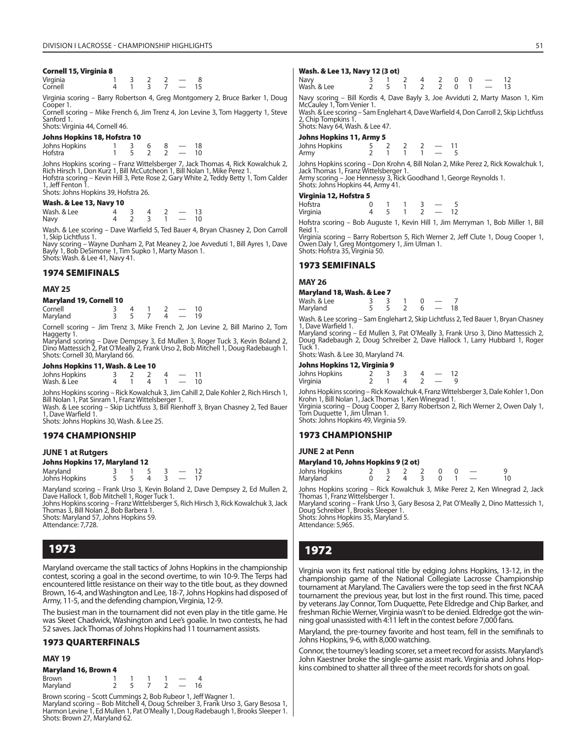#### **Cornell 15, Virginia 8**

Virginia 1 3 2 2 — 8 Cornell 4 1 3 7 — 15

Virginia scoring – Barry Robertson 4, Greg Montgomery 2, Bruce Barker 1, Doug Cooper 1.

Cornell scoring – Mike French 6, Jim Trenz 4, Jon Levine 3, Tom Haggerty 1, Steve Sanford 1.

#### Shots: Virginia 44, Cornell 46. **Johns Hopkins 18, Hofstra 10**

| JONNS MODKINS 18, MOTSTra 10 |  |  |  |  |               |    |  |  |  |
|------------------------------|--|--|--|--|---------------|----|--|--|--|
| Johns Hopkins                |  |  |  |  |               | 18 |  |  |  |
| Hofstra                      |  |  |  |  | $\sim$ $\sim$ | 10 |  |  |  |

Johns Hopkins scoring – Franz Wittelsberger 7, Jack Thomas 4, Rick Kowalchuk 2,<br>Rich Hirsch 1, Don Kurz 1, Bill McCutcheon 1, Bill Nolan 1, Mike Perez 1.<br>Hofstra scoring – Kevin Hill 3, Pete Rose 2, Gary White 2, Teddy Bet 1, Jeff Fenton 1.

Shots: Johns Hopkins 39, Hofstra 26.

#### **Wash. & Lee 13, Navy 10**

Wash. & Lee 4 3 4 2 — 13 Navy 4 2 3 1 — 10

Wash. & Lee scoring – Dave Warfield 5, Ted Bauer 4, Bryan Chasney 2, Don Carroll 1, Skip Lichtfuss 1.

Navy scoring – Wayne Dunham 2, Pat Meaney 2, Joe Avveduti 1, Bill Ayres 1, Dave Bayly 1, Bob DeSimone 1, Tim Supko 1, Marty Mason 1. Shots: Wash. & Lee 41, Navy 41.

#### **1974 SEMIFINALS**

#### **MAY 25**

| <b>Maryland 19, Cornell 10</b> |  |
|--------------------------------|--|
|                                |  |

| Cornell  |  |              |  |
|----------|--|--------------|--|
| Maryland |  | $\mathbf{u}$ |  |

Cornell scoring – Jim Trenz 3, Mike French 2, Jon Levine 2, Bill Marino 2, Tom Haggerty 1.

Maryland scoring – Dave Dempsey 3, Ed Mullen 3, Roger Tuck 3, Kevin Boland 2,<br>Dino Mattessich 2, Pat O'Meally 2, Frank Urso 2, Bob Mitchell 1, Doug Radebaugh 1. Shots: Cornell 30, Maryland 66.

#### **Johns Hopkins 11, Wash. & Lee 10**

| Johns Hopkins |  |  |  |
|---------------|--|--|--|
| Wash. & Lee   |  |  |  |

Johns Hopkins scoring – Rick Kowalchuk 3, Jim Cahill 2, Dale Kohler 2, Rich Hirsch 1, Bill Nolan 1, Pat Sinram 1, Franz Wittelsberger 1.

Wash. & Lee scoring – Skip Lichtfuss 3, Bill Rienhoff 3, Bryan Chasney 2, Ted Bauer 1, Dave Warfield 1. Shots: Johns Hopkins 30, Wash. & Lee 25.

#### **1974 CHAMPIONSHIP**

#### **JUNE 1 at Rutgers**

#### **Johns Hopkins 17, Maryland 12**

| Maryland<br>Johns Hopkins |  |  |  |
|---------------------------|--|--|--|

Maryland scoring – Frank Urso 3, Kevin Boland 2, Dave Dempsey 2, Ed Mullen 2, Dave Hallock 1, Bob Mitchell 1, Roger Tuck 1.

Johns Hopkins scoring – Franz Wittelsberger 5, Rich Hirsch 3, Rick Kowalchuk 3, Jack Thomas 3, Bill Nolan 2, Bob Barbera 1. Shots: Maryland 57, Johns Hopkins 59.

Attendance: 7,728

## **1973**

Maryland overcame the stall tactics of Johns Hopkins in the championship contest, scoring a goal in the second overtime, to win 10-9. The Terps had encountered little resistance on their way to the title bout, as they downed Brown, 16-4, and Washington and Lee, 18-7, Johns Hopkins had disposed of Army, 11-5, and the defending champion, Virginia, 12-9.

The busiest man in the tournament did not even play in the title game. He was Skeet Chadwick, Washington and Lee's goalie. In two contests, he had 52 saves. Jack Thomas of Johns Hopkins had 11 tournament assists.

#### **1973 QUARTERFINALS**

#### **MAY 19**

| <b>Maryland 16, Brown 4</b> |  |  |               |    |  |
|-----------------------------|--|--|---------------|----|--|
| Brown                       |  |  |               |    |  |
| Maryland                    |  |  | $\sim$ $\sim$ | 16 |  |

Brown scoring – Scott Cummings 2, Bob Rubeor 1, Jeff Wagner 1.<br>Maryland scoring – Bob Mitchell 4, Doug Schreiber 3, Frank Urso 3, Gary Besosa 1,<br>Harmon Levine 1, Ed Mullen 1, Pat O'Meally 1, Doug Radebaugh 1, Brooks Sleepe Shots: Brown 27, Maryland 62.

#### **Wash. & Lee 13, Navy 12 (3 ot)**

| Navy<br>Wash. & Lee |   | $3 \t1 \t2 \t4 \t2 \t0 \t0 \t- 12$ |  |  |  | 2 5 1 2 2 0 1 - 13 |  |
|---------------------|---|------------------------------------|--|--|--|--------------------|--|
|                     | _ |                                    |  |  |  |                    |  |

Navy scoring – Bill Kordis 4, Dave Bayly 3, Joe Avviduti 2, Marty Mason 1, Kim McCauley 1, Tom Venier 1. Wash. & Lee scoring – Sam Englehart 4, Dave Warfield 4, Don Carroll 2, Skip Lichtfuss

2, Chip Tompkins 1. Shots: Navy 64, Wash. & Lee 47.

#### **Johns Hopkins 11, Army 5**

| Johns Hopkins<br>Army |  |  |  |
|-----------------------|--|--|--|
|                       |  |  |  |

Johns Hopkins scoring – Don Krohn 4, Bill Nolan 2, Mike Perez 2, Rick Kowalchuk 1,<br>Jack Thomas 1, Franz Wittelsberger 1.<br>Army scoring – Joe Hennessy 3, Rick Goodhand 1, George Reynolds 1.

Shots: Johns Hopkins 44, Army 41.

#### **Virginia 12, Hofstra 5**

| $- - - -$ |  |  |  |
|-----------|--|--|--|
| Hofstra   |  |  |  |
| Virginia  |  |  |  |

Hofstra scoring – Bob Auguste 1, Kevin Hill 1, Jim Merryman 1, Bob Miller 1, Bill Reid 1.

Virginia scoring – Barry Robertson 5, Rich Werner 2, Jeff Clute 1, Doug Cooper 1, Owen Daly 1, Greg Montgomery 1, Jim Ulman 1. Shots: Hofstra 35, Virginia 50.

#### **1973 SEMIFINALS**

#### **MAY 26**

## **Maryland 18, Wash. & Lee 7**

| Wash, & Lee |  |                                                    |       |       |  |
|-------------|--|----------------------------------------------------|-------|-------|--|
| Maryland    |  | $\begin{array}{ccccccccc}\n5 & 5 & 2\n\end{array}$ |       | $6 -$ |  |
| $\cdots$    |  |                                                    | - - - |       |  |

Wash. & Lee scoring – Sam Englehart 2, Skip Lichtfuss 2, Ted Bauer 1, Bryan Chasney 1, Dave Warfield 1.

Maryland scoring – Ed Mullen 3, Pat O'Meally 3, Frank Urso 3, Dino Mattessich 2, Doug Radebaugh 2, Doug Schreiber 2, Dave Hallock 1, Larry Hubbard 1, Roger Tuck 1.

Shots: Wash. & Lee 30, Maryland 74.

#### **Johns Hopkins 12, Virginia 9**

| Johns Hopkins |  |  |  |
|---------------|--|--|--|
| Virginia      |  |  |  |

Johns Hopkins scoring – Rick Kowalchuk 4, Franz Wittelsberger 3, Dale Kohler 1, Don Krohn 1, Bill Nolan 1, Jack Thomas 1, Ken Winegrad 1. Virginia scoring – Doug Cooper 2, Barry Robertson 2, Rich Werner 2, Owen Daly 1, Tom Duquette 1, Jim Ulman 1.

Shots: Johns Hopkins 49, Virginia 59.

#### **1973 CHAMPIONSHIP**

**JUNE 2 at Penn**

#### **Maryland 10, Johns Hopkins 9 (2 ot)**

| Johns Hopkins |  | 2 3 2 2 0 0 $-$           |  |    |
|---------------|--|---------------------------|--|----|
| Maryland      |  | $0 \t2 \t4 \t3 \t0 \t1 -$ |  | 10 |

Johns Hopkins scoring – Rick Kowalchuk 3, Mike Perez 2, Ken Winegrad 2, Jack Thomas 1, Franz Wittelsberger 1.

Maryland scoring – Frank Urso 3, Gary Besosa 2, Pat O'Meally 2, Dino Mattessich 1, Doug Schreiber 1, Brooks Sleeper 1. Shots: Johns Hopkins 35, Maryland 5.

Attendance: 5,965.

## **1972**

Virginia won its first national title by edging Johns Hopkins, 13-12, in the championship game of the National Collegiate Lacrosse Championship tournament at Maryland. The Cavaliers were the top seed in the first NCAA tournament the previous year, but lost in the first round. This time, paced by veterans Jay Connor, Tom Duquette, Pete Eldredge and Chip Barker, and freshman Richie Werner, Virginia wasn't to be denied. Eldredge got the winning goal unassisted with 4:11 left in the contest before 7,000 fans.

Maryland, the pre-tourney favorite and host team, fell in the semifinals to Johns Hopkins, 9-6, with 8,000 watching.

Connor, the tourney's leading scorer, set a meet record for assists. Maryland's John Kaestner broke the single-game assist mark. Virginia and Johns Hopkins combined to shatter all three of the meet records for shots on goal.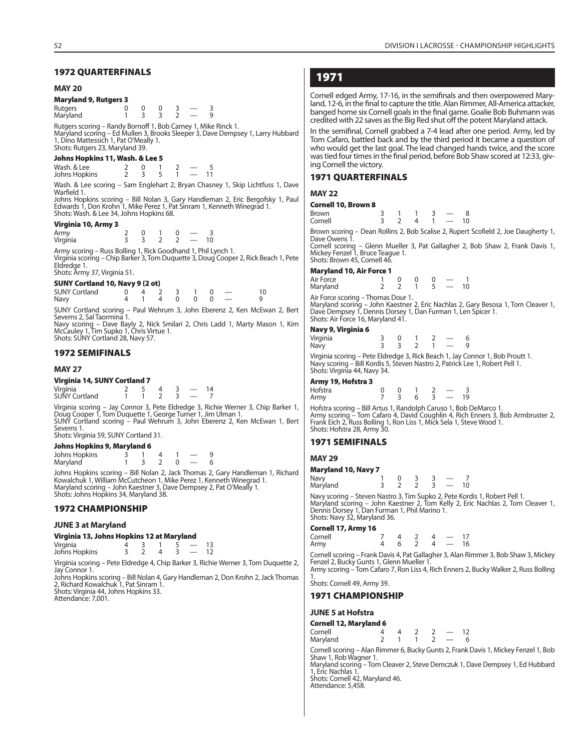#### **1972 QUARTERFINALS**

#### **MAY 20**

#### **Maryland 9, Rutgers 3**

| Rutgers<br>Maryland |  |  |  |
|---------------------|--|--|--|

Rutgers scoring – Randy Bornoff 1, Bob Carney 1, Mike Rinck 1. Maryland scoring – Ed Mullen 3, Brooks Sleeper 3, Dave Dempsey 1, Larry Hubbard 1, Dino Mattessich 1, Pat O'Meally 1. Shots: Rutgers 23, Maryland 39.

#### **Johns Hopkins 11, Wash. & Lee 5**

| Wash. & Lee   |  |  |  |
|---------------|--|--|--|
| Johns Hopkins |  |  |  |

Wash. & Lee scoring – Sam Englehart 2, Bryan Chasney 1, Skip Lichtfuss 1, Dave Warfield 1.

Johns Hopkins scoring – Bill Nolan 3, Gary Handleman 2, Eric Bergofsky 1, Paul Edwards 1, Don Krohn 1, Mike Perez 1, Pat Sinram 1, Kenneth Winegrad 1. Shots: Wash. & Lee 34, Johns Hopkins 68.

#### **Virginia 10, Army 3**

| Army     |  |   |  | υ | - |
|----------|--|---|--|---|---|
| Virginia |  | - |  |   |   |

Army scoring – Russ Bolling 1, Rick Goodhand 1, Phil Lynch 1. Virginia scoring – Chip Barker 3, Tom Duquette 3, Doug Cooper 2, Rick Beach 1, Pete Eldredge 1.

Shots: Army 37, Virginia 51.

#### **SUNY Cortland 10, Navy 9 (2 ot)**

| <b>SUNY Cortland</b> | $0 \t4 \t2 \t3 \t1 \t0 \t-$ |  |                 |  |  |  |
|----------------------|-----------------------------|--|-----------------|--|--|--|
| Navy                 |                             |  | 4 1 4 0 0 0 $-$ |  |  |  |

SUNY Cortland scoring – Paul Wehrum 3, John Eberenz 2, Ken McEwan 2, Bert Severns 2, Sal Taormina 1.

Navy scoring – Dave Bayly 2, Nick Smilari 2, Chris Ladd 1, Marty Mason 1, Kim McCauley 1, Tim Supko 1, Chris Virtue 1. Shots: SUNY Cortland 28, Navy 57.

#### **1972 SEMIFINALS**

#### **MAY 27**

#### **Virginia 14, SUNY Cortland 7**

| Virginia<br>SUNY Cortland |  |  |  |
|---------------------------|--|--|--|
|                           |  |  |  |

Virginia scoring – Jay Connor 3, Pete Eldredge 3, Richie Werner 3, Chip Barker 1,<br>Doug Cooper 1, Tom Duquette 1, George Turner 1, Jim Ulman 1.<br>SUNY Cortland scoring – Paul Wehrum 3, John Eberenz 2, Ken McEwan 1, Bert Severns 1. Shots: Virginia 59, SUNY Cortland 31.

#### **Johns Hopkins 9, Maryland 6**

| ------- <i>----------------------</i> -- |  |  |  |
|------------------------------------------|--|--|--|
| Johns Hopkins                            |  |  |  |
| Maryland                                 |  |  |  |

Johns Hopkins scoring – Bill Nolan 2, Jack Thomas 2, Gary Handleman 1, Richard Kowalchuk 1, William McCutcheon 1, Mike Perez 1, Kenneth Winegrad 1. Maryland scoring – John Kaestner 3, Dave Dempsey 2, Pat O'Meally 1. Shots: Johns Hopkins 34, Maryland 38.

#### **1972 CHAMPIONSHIP**

#### **JUNE 3 at Maryland**

#### **Virginia 13, Johns Hopkins 12 at Maryland**

| Virginia<br>Johns Hopkins |  |  |  |
|---------------------------|--|--|--|
|                           |  |  |  |

Virginia scoring – Pete Eldredge 4, Chip Barker 3, Richie Werner 3, Tom Duquette 2, Jay Connor 1.

Johns Hopkins scoring – Bill Nolan 4, Gary Handleman 2, Don Krohn 2, Jack Thomas 2, Richard Kowalchuk 1, Pat Sinram 1. Shots: Virginia 44, Johns Hopkins 33.

Attendance: 7,001.

## **1971**

Cornell edged Army, 17-16, in the semifinals and then overpowered Maryland, 12-6, in the final to capture the title. Alan Rimmer, All-America attacker, banged home six Cornell goals in the final game. Goalie Bob Buhmann was credited with 22 saves as the Big Red shut off the potent Maryland attack.

In the semifinal, Cornell grabbed a 7-4 lead after one period. Army, led by Tom Cafaro, battled back and by the third period it became a question of who would get the last goal. The lead changed hands twice, and the score was tied four times in the final period, before Bob Shaw scored at 12:33, giving Cornell the victory.

#### **1971 QUARTERFINALS**

#### **MAY 22**

#### **Cornell 10, Brown 8**

| <b>Brown</b><br>Cornell |  |    |                |                | $\sim$ $\sim$ | 10 |
|-------------------------|--|----|----------------|----------------|---------------|----|
|                         |  | -- | <b>COLLEGE</b> | <b>Service</b> |               |    |

Brown scoring – Dean Rollins 2, Bob Scalise 2, Rupert Scofield 2, Joe Daugherty 1, Dave Owens 1.

Cornell scoring – Glenn Mueller 3, Pat Gallagher 2, Bob Shaw 2, Frank Davis 1, Mickey Fenzel 1, Bruce Teague 1. Shots: Brown 45, Cornell 46.

#### **Maryland 10, Air Force 1**

| Air Force                         |  |  |     |  |
|-----------------------------------|--|--|-----|--|
| Maryland                          |  |  | 5 — |  |
| Air Force scoring - Thomas Dour 1 |  |  |     |  |

Air Force scoring – Thomas Dour 1. Maryland scoring – John Kaestner 2, Eric Nachlas 2, Gary Besosa 1, Tom Cleaver 1, Dave Dempsey 1, Dennis Dorsey 1, Dan Furman 1, Len Spicer 1. Shots: Air Force 16, Maryland 41.

#### **Navy 9, Virginia 6**

| Virginia |  |  |  |
|----------|--|--|--|
| Navy     |  |  |  |

Virginia scoring – Pete Eldredge 3, Rick Beach 1, Jay Connor 1, Bob Proutt 1. Navy scoring – Bill Kordis 5, Steven Nastro 2, Patrick Lee 1, Robert Pell 1. Shots: Virginia 44, Navy 34.

#### **Army 19, Hofstra 3**

| . .<br>Hofstra |              |     |  |    |
|----------------|--------------|-----|--|----|
| Army           | $\mathbf{3}$ | 6 3 |  | 19 |

Hofstra scoring – Bill Artus 1, Randolph Caruso 1, Bob DeMarco 1. Army scoring – Tom Cafaro 4, David Coughlin 4, Rich Enners 3, Bob Armbruster 2, Frank Eich 2, Russ Bolling 1, Ron Liss 1, Mick Sela 1, Steve Wood 1. Shots: Hofstra 28, Army 30.

#### **1971 SEMIFINALS**

#### **MAY 29**

| <b>Maryland 10, Navy 7</b> |  |  |  |
|----------------------------|--|--|--|
| Navy                       |  |  |  |

| Maryland |  |  | $-10$ |  |
|----------|--|--|-------|--|
|          |  |  |       |  |

Navy scoring – Steven Nastro 3, Tim Supko 2, Pete Kordis 1, Robert Pell 1. Maryland scoring – John Kaestner 2, Tom Kelly 2, Eric Nachlas 2, Tom Cleaver 1, Dennis Dorsey 1, Dan Furman 1, Phil Marino 1. Shots: Navy 32, Maryland 36.

#### **Cornell 17, Army 16**

| Cornell |  |  | $7 \t4 \t2 \t4 \t- 17$                  |  |
|---------|--|--|-----------------------------------------|--|
| Army    |  |  | $4\quad 6\quad 2\quad 4\quad -\quad 16$ |  |
|         |  |  |                                         |  |

Cornell scoring – Frank Davis 4, Pat Gallagher 3, Alan Rimmer 3, Bob Shaw 3, Mickey Fenzel 2, Bucky Gunts 1, Glenn Mueller 1. Army scoring – Tom Cafaro 7, Ron Liss 4, Rich Enners 2, Bucky Walker 2, Russ Bolling

1. Shots: Cornell 49, Army 39.

#### **1971 CHAMPIONSHIP**

#### **JUNE 5 at Hofstra**

| <b>Cornell 12, Maryland 6</b> |  |  |  |  |  |    |  |  |  |
|-------------------------------|--|--|--|--|--|----|--|--|--|
| Cornell                       |  |  |  |  |  | 12 |  |  |  |
| Maryland                      |  |  |  |  |  |    |  |  |  |

Cornell scoring – Alan Rimmer 6, Bucky Gunts 2, Frank Davis 1, Mickey Fenzel 1, Bob Shaw 1, Rob Wagner 1.

Maryland scoring – Tom Cleaver 2, Steve Demczuk 1, Dave Dempsey 1, Ed Hubbard 1, Eric Nachlas 1.

Shots: Cornell 42, Maryland 46. Attendance: 5,458.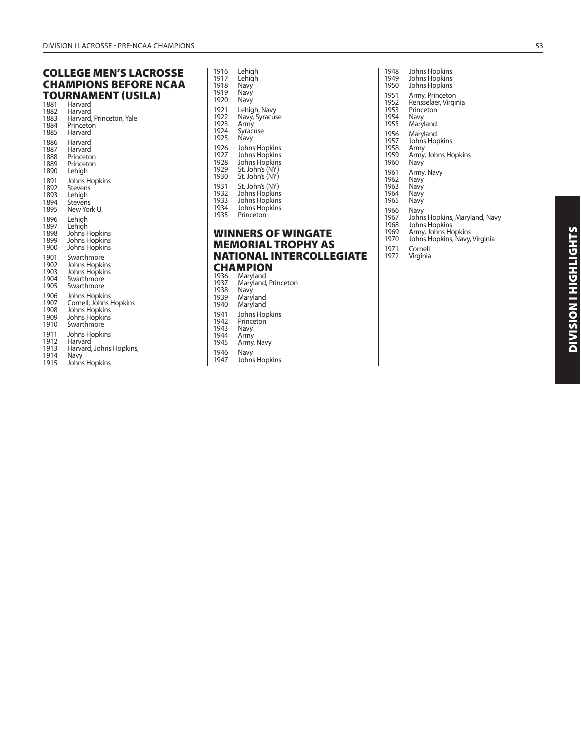## **COLLEGE MEN'S LACROSSE CHAMPIONS BEFORE NCAA TOURNAMENT (USILA)**<br><sup>1881</sup> Harvard

| 1001 | ⊓ai vaiu                 |
|------|--------------------------|
| 1882 | Harvard                  |
| 1883 | Harvard, Princeton, Yale |
| 1884 | Princeton                |
| 1885 | Harvard                  |
| 1886 | Harvard                  |
| 1887 | Harvard                  |
| 1888 | Princeton                |
| 1889 | Princeton                |
| 1890 | Lehigh                   |
| 1891 | Johns Hopkins            |
| 1892 | Stevens                  |
| 1893 | Lehigh                   |
| 1894 | Stevens                  |
| 1895 | New York U.              |
| 1896 | Lehigh                   |
| 1897 | Lehigh                   |
| 1898 | Johns Hopkins            |
| 1899 | Johns Hopkins            |
| 1900 | <b>Johns Hopkins</b>     |
| 1901 | Swarthmore               |
| 1902 | Johns Hopkins            |
| 1903 | <b>Johns Hopkins</b>     |
| 1904 | Swarthmore               |
| 1905 | Swarthmore               |
| 1906 | Johns Hopkins            |
| 1907 | Cornell, Johns Hopkins   |
| 1908 | Johns Hopkins            |
| 1909 | Johns Hopkins            |
| 1910 | Swarthmore               |
| 1911 | Johns Hopkins            |
| 1912 | Harvard                  |
| 1913 | Harvard, Johns Hopkins,  |
| 1914 | Navy                     |
| 1915 | Johns Hopkins            |

| 1916 | Lehigh                                                 |
|------|--------------------------------------------------------|
| 1917 | Lehigh                                                 |
| 1918 | Navy                                                   |
| 1919 | Navy                                                   |
| 1920 | Navy                                                   |
| 1921 | Lehigh, Navy                                           |
| 1922 | Navy, Syracuse                                         |
| 1923 | Army                                                   |
| 1924 | Syracuse                                               |
| 1925 | Navy                                                   |
| 1926 | Johns Hopkins                                          |
| 1927 | Johns Hopkins                                          |
| 1928 | Johns Hopkins                                          |
| 1929 | St. John's (NY)                                        |
| 1930 | St. John's (NY)                                        |
| 1931 | St. John's (NY)                                        |
| 1932 | Johns Hopkins                                          |
| 1933 | Johns Hopkins                                          |
| 1934 | Johns Hopkins                                          |
| 1935 | Princeton                                              |
|      | <b>WINNERS OF WINGATE</b><br><b>MEMORIAL TROPHY AS</b> |
|      | NATIONAL INTERCOLLEGIATE                               |
|      | CHAMPION                                               |
| 1936 | Maryland                                               |
| 1937 | Maryland, Princeton                                    |
| 1938 | Navy                                                   |
| 1939 | Maryland                                               |
| 1940 | Maryland                                               |

1941 Johns Hopkins 1942 Princeton 1943 Navy 1944 Army 1945 Army, Navy

1946 Navy 1947 Johns Hopkins

| 1948<br>1949<br>1950                         | Johns Hopkins<br>Johns Hopkins<br>Johns Hopkins                                                                           |
|----------------------------------------------|---------------------------------------------------------------------------------------------------------------------------|
| 1951<br>1952<br>1953<br>1954<br>1955         | Army, Princeton<br>Rensselaer, Virginia<br>Princeton<br>Navy<br>Maryland                                                  |
| 1956<br>1957<br>1958<br>1959<br>1960         | Maryland<br>Johns Hopkins<br>Army<br>Army, Johns Hopkins<br>Navy                                                          |
| 1961<br>1962<br>1963<br>1964<br>1965         | Army, Navy<br>Navy<br>Navy<br>Navy<br>Navy                                                                                |
| 1966<br>1967<br>1968<br>1969<br>1970<br>1971 | Navy<br>Johns Hopkins, Maryland, Navy<br>Johns Hopkins<br>Army, Johns Hopkins<br>Johns Hopkins, Navy, Virginia<br>Cornell |
| 1972                                         | Virginia                                                                                                                  |
|                                              |                                                                                                                           |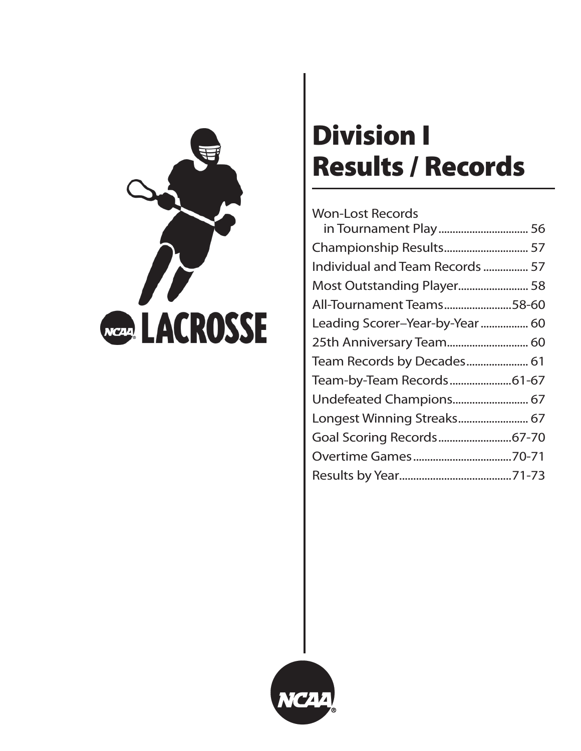

# **Division I Results / Records**

| <b>Won-Lost Records</b>         |  |
|---------------------------------|--|
|                                 |  |
|                                 |  |
| Individual and Team Records  57 |  |
| Most Outstanding Player 58      |  |
| All-Tournament Teams58-60       |  |
| Leading Scorer-Year-by-Year  60 |  |
| 25th Anniversary Team 60        |  |
| Team Records by Decades 61      |  |
| Team-by-Team Records61-67       |  |
| Undefeated Champions 67         |  |
| Longest Winning Streaks 67      |  |
|                                 |  |
|                                 |  |
|                                 |  |
|                                 |  |

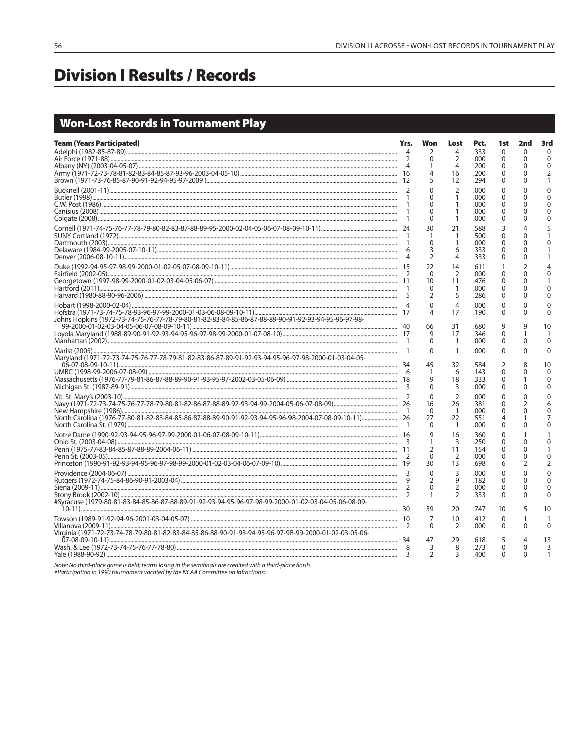## **Division I Results / Records**

## **Won-Lost Records in Tournament Play**

| <b>Team (Years Participated)</b>                                                                      | Yrs.           | Won<br>2<br>$\Omega$<br>1<br>4<br>5                   | Lost<br>4<br>$\overline{2}$<br>$\overline{4}$<br>16<br>12  | Pct.<br>.333<br>.000<br>.200<br>.200<br>.294 | 1st<br>$\Omega$<br>$\Omega$<br>0<br>$\Omega$<br>$\Omega$ | 2nd<br>$\Omega$<br>$\mathbf 0$<br>0<br>0<br>0 | 3rd<br>$\Omega$<br>$\Omega$<br>$\Omega$<br>$\overline{2}$    |
|-------------------------------------------------------------------------------------------------------|----------------|-------------------------------------------------------|------------------------------------------------------------|----------------------------------------------|----------------------------------------------------------|-----------------------------------------------|--------------------------------------------------------------|
|                                                                                                       | $\overline{1}$ | $\Omega$<br>$\Omega$<br>0<br>$\Omega$<br>$\mathbf 0$  | $\overline{2}$<br>1<br>$\mathbf{1}$<br>1<br>1              | .000<br>.000<br>.000<br>.000<br>.000         | $\Omega$<br>$\Omega$<br>$\Omega$<br>$\Omega$<br>0        | $\Omega$<br>$\Omega$<br>0<br>0<br>0           | $\Omega$<br>$\Omega$<br>$\mathbf{0}$<br>$\Omega$<br>$\Omega$ |
|                                                                                                       |                | 30<br>-1<br>$\Omega$<br>3<br>$\overline{2}$           | 21<br>$\mathbf{1}$<br>1<br>6<br>$\overline{4}$             | .588<br>.500<br>.000<br>.333<br>.333         | 3<br>$\Omega$<br>$\Omega$<br>$\Omega$<br>$\Omega$        | 4<br>0<br>$\Omega$<br>0<br>$\Omega$           | 0                                                            |
|                                                                                                       |                | 22<br>$\Omega$<br>10<br>0<br>2                        | 14<br>$\overline{2}$<br>11<br>1<br>5                       | .611<br>.000<br>.476<br>.000<br>.286         | $\mathbf{0}$<br>0<br>0<br>0                              | $\overline{2}$<br>$\Omega$<br>0<br>0<br>0     | $\Omega$<br>$\Omega$                                         |
| Johns Hopkins (1972-73-74-75-76-77-78-79-80-81-82-83-84-85-86-87-88-89-90-91-92-93-94-95-96-97-98-    |                | $\mathbf{0}$<br>4<br>66<br>9<br>$\mathbf 0$           | $\overline{4}$<br>17<br>31<br>17<br>$\mathbf{1}$           | .000<br>.190<br>.680<br>.346<br>.000         | $\mathbf{0}$<br>$\Omega$<br>9<br>$\Omega$<br>$\Omega$    | $\Omega$<br>0<br>9<br>1<br>0                  | $\Omega$<br>$\Omega$<br>10<br>$\Omega$                       |
| Maryland (1971-72-73-74-75-76-77-78-79-81-82-83-86-87-89-91-92-93-94-95-96-97-98-2000-01-03-04-05-    |                | 0<br>45<br>1<br>9<br>$\Omega$                         | $\mathbf{1}$<br>32<br>6<br>18<br>3                         | .000<br>.584<br>.143<br>.333<br>.000         | $\Omega$<br>2<br>$\Omega$<br>$\Omega$<br>0               | $\mathbf{0}$<br>8<br>0<br>0                   | $\Omega$<br>10<br>$\Omega$<br>$\Omega$<br>$\Omega$           |
|                                                                                                       |                | $\Omega$<br>16<br>$\Omega$<br>27<br>0                 | $\overline{2}$<br>26<br>$\mathbf{1}$<br>22<br>$\mathbf{1}$ | .000<br>.381<br>.000<br>.551<br>.000         | $\Omega$<br>$\Omega$<br>$\Omega$<br>4<br>$\Omega$        | $\Omega$<br>2<br>$\Omega$<br>0                | $\Omega$<br>6<br>$\Omega$<br>0                               |
|                                                                                                       |                | 9<br>1<br>2<br>$\Omega$<br>30                         | 16<br>3<br>11<br>2<br>13                                   | .360<br>.250<br>.154<br>.000<br>.698         | $\mathbf 0$<br>$\Omega$<br>$\Omega$<br>$\Omega$<br>6     | $\Omega$<br>0<br>$\Omega$<br>2                | $\Omega$<br>$\mathbf{0}$<br>$\overline{2}$                   |
| #Syracuse (1979-80-81-83-84-85-86-87-88-89-91-92-93-94-95-96-97-98-99-2000-01-02-03-04-05-06-08-09-   |                | $\Omega$<br>$\overline{2}$<br>$\mathbf{0}$<br>1<br>59 | 3<br>9<br>$\overline{2}$<br>$\overline{2}$<br>20           | .000<br>.182<br>.000<br>.333<br>.747         | $\mathbf{0}$<br>$\Omega$<br>$\Omega$<br>0<br>10          | $\Omega$<br>$\Omega$<br>$\Omega$<br>0<br>5    | $\Omega$<br>$\Omega$<br>$\Omega$<br>$\Omega$<br>10           |
| Virginia (1971-72-73-74-78-79-80-81-82-83-84-85-86-88-90-91-93-94-95-96-97-98-99-2000-01-02-03-05-06- | 2              | 7<br>$\Omega$                                         | 10<br>2                                                    | .412<br>.000                                 | $\Omega$<br>$\Omega$                                     | 1<br>$\Omega$                                 | $\Omega$                                                     |
|                                                                                                       | 8<br>3         | 47<br>3<br>$\overline{2}$                             | 29<br>8<br>3                                               | .618<br>.273<br>.400                         | 5<br>$\Omega$<br>$\Omega$                                | 4<br>$\Omega$<br>$\Omega$                     | 13<br>3<br>1                                                 |

Note: No third-place game is held; teams losing in the semifinals are credited with a third-place finish.<br>#Participation in 1990 tournament vacated by the NCAA Committee on Infractions:.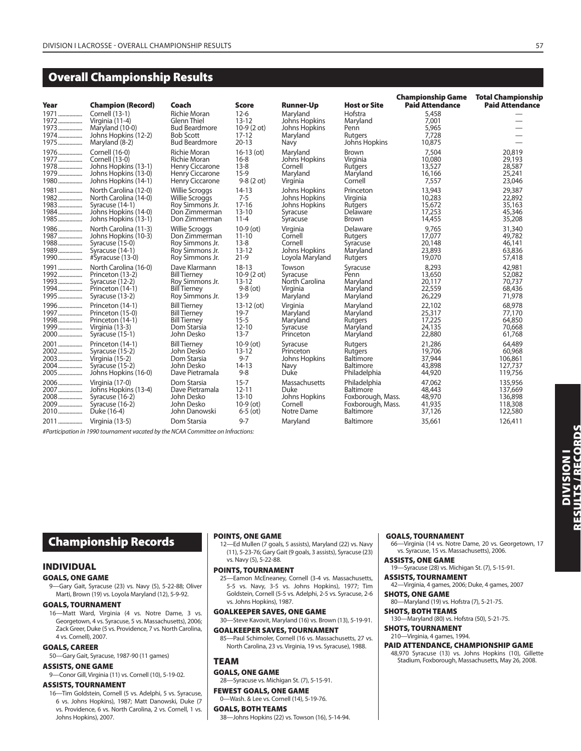## **Overall Championship Results**

| Year                                       | <b>Champion (Record)</b>                                                                       | Coach                                                                                                         | <b>Score</b>                                                   | <b>Runner-Up</b>                                               | <b>Host or Site</b>                                     | <b>Championship Game</b><br><b>Paid Attendance</b> | <b>Total Championship</b><br><b>Paid Attendance</b> |
|--------------------------------------------|------------------------------------------------------------------------------------------------|---------------------------------------------------------------------------------------------------------------|----------------------------------------------------------------|----------------------------------------------------------------|---------------------------------------------------------|----------------------------------------------------|-----------------------------------------------------|
| 1971<br>1972<br>1973<br>1974………………<br>1975 | Cornell (13-1)<br>Virginia (11-4)<br>Maryland (10-0)<br>Johns Hopkins (12-2)<br>Maryland (8-2) | <b>Richie Moran</b><br><b>Glenn Thiel</b><br><b>Bud Beardmore</b><br><b>Bob Scott</b><br><b>Bud Beardmore</b> | $12 - 6$<br>$13 - 12$<br>10-9 (2 ot)<br>$17 - 12$<br>$20 - 13$ | Maryland<br>Johns Hopkins<br>Johns Hopkins<br>Maryland<br>Navy | Hofstra<br>Maryland<br>Penn<br>Rutgers<br>Johns Hopkins | 5,458<br>7,001<br>5,965<br>7.728<br>10,875         | $\overline{\phantom{0}}$                            |
| 1976                                       | Cornell (16-0)                                                                                 | <b>Richie Moran</b>                                                                                           | $16-13$ (ot)                                                   | Maryland                                                       | <b>Brown</b>                                            | 7,504                                              | 20,819                                              |
| 1977                                       | Cornell (13-0)                                                                                 | <b>Richie Moran</b>                                                                                           | $16 - 8$                                                       | Johns Hopkins                                                  | Virginia                                                | 10,080                                             | 29,193                                              |
| 1978                                       | Johns Hopkins (13-1)                                                                           | <b>Henry Ciccarone</b>                                                                                        | $13 - 8$                                                       | Cornell                                                        | Rutgers                                                 | 13,527                                             | 28,587                                              |
| 1979                                       | Johns Hopkins (13-0)                                                                           | <b>Henry Ciccarone</b>                                                                                        | $15-9$                                                         | Maryland                                                       | Maryland                                                | 16,166                                             | 25,241                                              |
| 1980                                       | Johns Hopkins (14-1)                                                                           | Henry Ciccarone                                                                                               | $9-8(2 \text{ ot})$                                            | Virginia                                                       | Cornell                                                 | 7,557                                              | 23,046                                              |
| 1981                                       | North Carolina (12-0)                                                                          | <b>Willie Scroggs</b>                                                                                         | $14-13$                                                        | Johns Hopkins                                                  | Princeton                                               | 13,943                                             | 29,387                                              |
| 1982                                       | North Carolina (14-0)                                                                          | <b>Willie Scroggs</b>                                                                                         | $7 - 5$                                                        | Johns Hopkins                                                  | Virginia                                                | 10,283                                             | 22,892                                              |
| 1983                                       | Syracuse (14-1)                                                                                | Roy Simmons Jr.                                                                                               | $17 - 16$                                                      | Johns Hopkins                                                  | Rutgers                                                 | 15,672                                             | 35,163                                              |
| 1984                                       | Johns Hopkins (14-0)                                                                           | Don Zimmerman                                                                                                 | $13 - 10$                                                      | Syracuse                                                       | Delaware                                                | 17,253                                             | 45,346                                              |
| 1985                                       | Johns Hopkins (13-1)                                                                           | Don Zimmerman                                                                                                 | $11 - 4$                                                       | Syracuse                                                       | <b>Brown</b>                                            | 14,455                                             | 35,208                                              |
| 1986                                       | North Carolina (11-3)                                                                          | <b>Willie Scroggs</b>                                                                                         | $10-9$ (ot)                                                    | Virginia                                                       | Delaware                                                | 9.765                                              | 31,340                                              |
| 1987                                       | Johns Hopkins (10-3)                                                                           | Don Zimmerman                                                                                                 | $11 - 10$                                                      | Cornell                                                        | Rutgers                                                 | 17,077                                             | 49,782                                              |
| 1988                                       | Syracuse (15-0)                                                                                | Roy Simmons Jr.                                                                                               | $13 - 8$                                                       | Cornell                                                        | Syracuse                                                | 20,148                                             | 46,141                                              |
| 1989                                       | Syracuse (14-1)                                                                                | Roy Simmons Jr.                                                                                               | $13 - 12$                                                      | Johns Hopkins                                                  | Maryland                                                | 23,893                                             | 63,836                                              |
| 1990                                       | #Syracuse (13-0)                                                                               | Roy Simmons Jr.                                                                                               | $21-9$                                                         | Loyola Maryland                                                | Rutgers                                                 | 19,070                                             | 57,418                                              |
| 1991                                       | North Carolina (16-0)                                                                          | Dave Klarmann                                                                                                 | $18 - 13$                                                      | Towson                                                         | Syracuse                                                | 8,293                                              | 42,981                                              |
| 1992                                       | Princeton (13-2)                                                                               | <b>Bill Tierney</b>                                                                                           | $10-9(2 ot)$                                                   | Syracuse                                                       | Penn                                                    | 13,650                                             | 52,082                                              |
| 1993                                       | Syracuse (12-2)                                                                                | Roy Simmons Jr.                                                                                               | $13 - 12$                                                      | North Carolina                                                 | Maryland                                                | 20,117                                             | 70,737                                              |
| 1994                                       | Princeton (14-1)                                                                               | <b>Bill Tierney</b>                                                                                           | $9-8$ (ot)                                                     | Virginia                                                       | Maryland                                                | 22,559                                             | 68,436                                              |
| 1995                                       | Syracuse (13-2)                                                                                | Roy Simmons Jr.                                                                                               | $13-9$                                                         | Maryland                                                       | Maryland                                                | 26,229                                             | 71,978                                              |
| 1996                                       | Princeton (14-1)                                                                               | <b>Bill Tierney</b>                                                                                           | $13-12$ (ot)                                                   | Virginia                                                       | Maryland                                                | 22,102                                             | 68,978                                              |
| 1997                                       | Princeton (15-0)                                                                               | <b>Bill Tierney</b>                                                                                           | $19 - 7$                                                       | Maryland                                                       | Maryland                                                | 25,317                                             | 77,170                                              |
| 1998                                       | Princeton (14-1)                                                                               | <b>Bill Tierney</b>                                                                                           | $15 - 5$                                                       | Maryland                                                       | Rutgers                                                 | 17,225                                             | 64,850                                              |
| 1999                                       | Virginia (13-3)                                                                                | Dom Starsia                                                                                                   | $12 - 10$                                                      | Syracuse                                                       | Maryland                                                | 24,135                                             | 70,668                                              |
| 2000                                       | Syracuse (15-1)                                                                                | John Desko                                                                                                    | $13 - 7$                                                       | Princeton                                                      | Maryland                                                | 22,880                                             | 61,768                                              |
| 2001                                       | Princeton (14-1)                                                                               | <b>Bill Tierney</b>                                                                                           | $10-9$ (ot)                                                    | Syracuse                                                       | Rutgers                                                 | 21,286                                             | 64,489                                              |
| 2002                                       | Syracuse (15-2)                                                                                | John Desko                                                                                                    | $13 - 12$                                                      | Princeton                                                      | Rutgers                                                 | 19,706                                             | 60,968                                              |
| 2003                                       | Virginia (15-2)                                                                                | Dom Starsia                                                                                                   | $9 - 7$                                                        | Johns Hopkins                                                  | <b>Baltimore</b>                                        | 37,944                                             | 106,861                                             |
| 2004                                       | Syracuse (15-2)                                                                                | John Desko                                                                                                    | $14-13$                                                        | Navy                                                           | Baltimore                                               | 43,898                                             | 127,737                                             |
| 2005                                       | Johns Hopkins (16-0)                                                                           | Dave Pietramala                                                                                               | $9 - 8$                                                        | Duke                                                           | Philadelphia                                            | 44,920                                             | 119,756                                             |
| 2006                                       | Virginia (17-0)                                                                                | Dom Starsia                                                                                                   | $15 - 7$                                                       | Massachusetts                                                  | Philadelphia                                            | 47,062                                             | 135,956                                             |
| 2007                                       | Johns Hopkins (13-4)                                                                           | Dave Pietramala                                                                                               | $12 - 11$                                                      | Duke                                                           | Baltimore                                               | 48,443                                             | 137,669                                             |
| 2008                                       | Syracuse (16-2)                                                                                | John Desko                                                                                                    | $13 - 10$                                                      | Johns Hopkins                                                  | Foxborough, Mass.                                       | 48,970                                             | 136,898                                             |
| 2009                                       | Syracuse (16-2)                                                                                | John Desko                                                                                                    | $10-9$ (ot)                                                    | Cornell                                                        | Foxborough, Mass.                                       | 41,935                                             | 118,308                                             |
| 2010                                       | Duke (16-4)                                                                                    | John Danowski                                                                                                 | $6 - 5$ (ot)                                                   | Notre Dame                                                     | Baltimore                                               | 37,126                                             | 122,580                                             |
| 2011                                       | Virginia (13-5)                                                                                | Dom Starsia                                                                                                   | $9 - 7$                                                        | Maryland                                                       | Baltimore                                               | 35,661                                             | 126,411                                             |

#Participation in 1990 tournament vacated by the NCAA Committee on Infractions:

## **Championship Records**

#### **INDIVIDUAL**

#### **GOALS, ONE GAME**

9—Gary Gait, Syracuse (23) vs. Navy (5), 5-22-88; Oliver Marti, Brown (19) vs. Loyola Maryland (12), 5-9-92.

#### **GOALS, TOURNAMENT**

16—Matt Ward, Virginia (4 vs. Notre Dame, 3 vs. Georgetown, 4 vs. Syracuse, 5 vs. Massachusetts), 2006; Zack Greer, Duke (5 vs. Providence, 7 vs. North Carolina, 4 vs. Cornell), 2007.

#### **GOALS, CAREER**

50—Gary Gait, Syracuse, 1987-90 (11 games)

#### **ASSISTS, ONE GAME**

9—Conor Gill, Virginia (11) vs. Cornell (10), 5-19-02.

#### **ASSISTS, TOURNAMENT**

16—Tim Goldstein, Cornell (5 vs. Adelphi, 5 vs. Syracuse, 6 vs. Johns Hopkins), 1987; Matt Danowski, Duke (7 vs. Providence, 6 vs. North Carolina, 2 vs. Cornell, 1 vs. Johns Hopkins), 2007.

#### **POINTS, ONE GAME**

12—Ed Mullen (7 goals, 5 assists), Maryland (22) vs. Navy (11), 5-23-76; Gary Gait (9 goals, 3 assists), Syracuse (23) vs. Navy (5), 5-22-88.

#### **POINTS, TOURNAMENT**

25—Eamon McEneaney, Cornell (3-4 vs. Massachusetts, 5-5 vs. Navy, 3-5 vs. Johns Hopkins), 1977; Tim Goldstein, Cornell (5-5 vs. Adelphi, 2-5 vs. Syracuse, 2-6 vs. Johns Hopkins), 1987.

**GOALKEEPER SAVES, ONE GAME**

30—Steve Kavovit, Maryland (16) vs. Brown (13), 5-19-91. **GOALKEEPER SAVES, TOURNAMENT**

#### 85—Paul Schimoler, Cornell (16 vs. Massachusetts, 27 vs.

North Carolina, 23 vs. Virginia, 19 vs. Syracuse), 1988.

## **TEAM**

#### **GOALS, ONE GAME**

28—Syracuse vs. Michigan St. (7), 5-15-91.

#### **FEWEST GOALS, ONE GAME** 0—Wash. & Lee vs. Cornell (14), 5-19-76.

**GOALS, BOTH TEAMS**

38—Johns Hopkins (22) vs. Towson (16), 5-14-94.

#### **GOALS, TOURNAMENT**

66—Virginia (14 vs. Notre Dame, 20 vs. Georgetown, 17 vs. Syracuse, 15 vs. Massachusetts), 2006.

#### **ASSISTS, ONE GAME**

- 19—Syracuse (28) vs. Michigan St. (7), 5-15-91. **ASSISTS, TOURNAMENT**
- 42—Virginia, 4 games, 2006; Duke, 4 games, 2007
- **SHOTS, ONE GAME** 80—Maryland (19) vs. Hofstra (7), 5-21-75.
- **SHOTS, BOTH TEAMS**

## 130—Maryland (80) vs. Hofstra (50), 5-21-75.

**SHOTS, TOURNAMENT** 210—Virginia, 4 games, 1994.

#### **PAID ATTENDANCE, CHAMPIONSHIP GAME**

48,970 Syracuse (13) vs. Johns Hopkins (10), Gillette Stadium, Foxborough, Massachusetts, May 26, 2008.

**DIVISION I RESULTS / RECORDS**

**DIVISION I<br>Results/Records**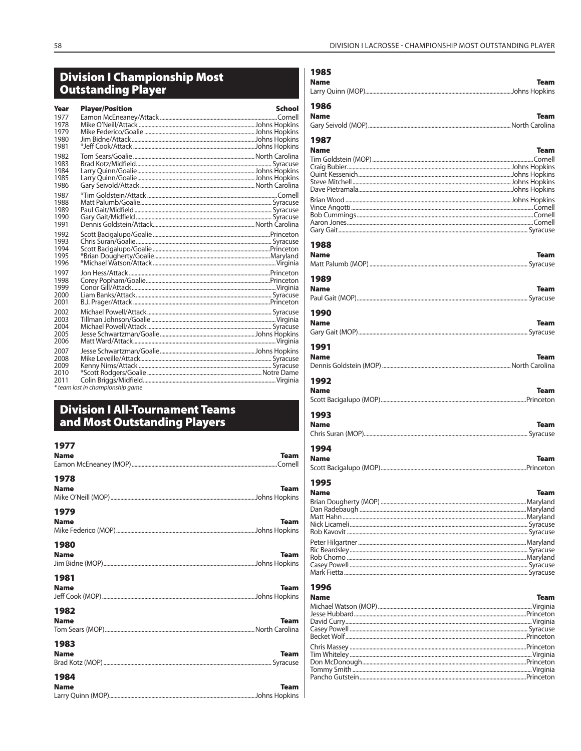# Division I Championship Most<br>Outstanding Player

| Year                                 | <b>Player/Position</b>           | School |
|--------------------------------------|----------------------------------|--------|
| 1977<br>1978<br>1979<br>1980<br>1981 |                                  |        |
| 1982<br>1983<br>1984<br>1985<br>1986 |                                  |        |
| 1987<br>1988<br>1989<br>1990<br>1991 |                                  |        |
| 1992<br>1993<br>1994<br>1995<br>1996 |                                  |        |
| 1997<br>1998<br>1999<br>2000<br>2001 |                                  |        |
| 2002<br>2003<br>2004<br>2005<br>2006 |                                  |        |
| 2007<br>2008<br>2009<br>2010<br>2011 | * team lost in championship game |        |

## **Division I All-Tournament Teams**<br>and Most Outstanding Players

| Team        |
|-------------|
| <b>Team</b> |
| <b>Team</b> |
| <b>Team</b> |
| <b>Team</b> |
| <b>Team</b> |
| <b>Team</b> |
| Team        |
|             |

| 1985<br><b>Name</b> | Team                |
|---------------------|---------------------|
|                     |                     |
| 1986                |                     |
| <b>Name</b>         | <b>Team</b>         |
|                     |                     |
| 1987                |                     |
| <b>Name</b>         | Team                |
|                     |                     |
|                     |                     |
|                     |                     |
|                     |                     |
|                     |                     |
|                     |                     |
|                     |                     |
|                     |                     |
|                     |                     |
| 1988<br><b>Name</b> | <b>Team</b>         |
|                     |                     |
|                     |                     |
| 1989                |                     |
| <b>Name</b>         | <b>Team</b>         |
|                     |                     |
| 1990                |                     |
| <b>Name</b>         | <b>Team</b>         |
|                     |                     |
| 1991                |                     |
| <b>Name</b>         | <b>Team</b>         |
|                     |                     |
|                     |                     |
| 1992                |                     |
| <b>Name</b>         | <b>Team</b>         |
|                     |                     |
| 1993                |                     |
| <b>Name</b>         |                     |
|                     |                     |
|                     | Team                |
| 1994                |                     |
|                     | <b>Team</b>         |
|                     |                     |
| <b>Name</b>         |                     |
| 1995                |                     |
| Name                |                     |
|                     |                     |
|                     |                     |
|                     |                     |
|                     |                     |
|                     |                     |
|                     |                     |
|                     |                     |
|                     |                     |
| 1996                |                     |
| <b>Name</b>         |                     |
|                     |                     |
|                     |                     |
|                     |                     |
|                     |                     |
|                     |                     |
|                     |                     |
|                     | Team<br><b>Team</b> |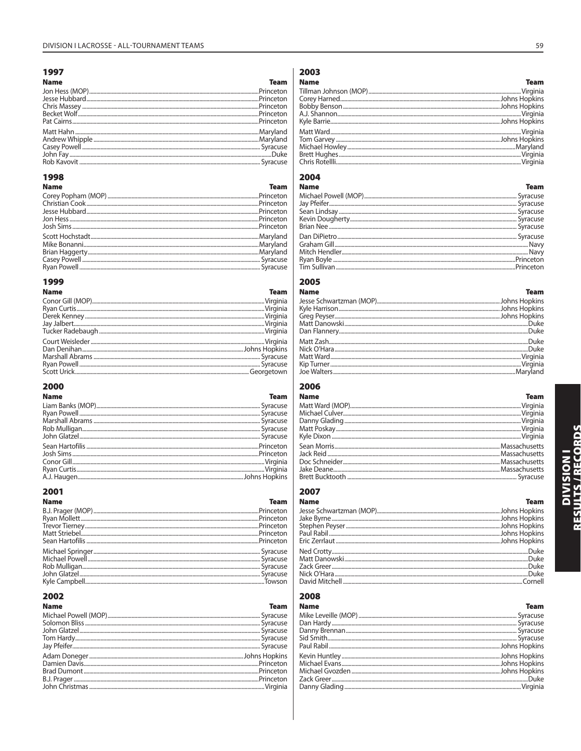#### 

#### **Name**

| 1901 I I I <del>I</del> |  |
|-------------------------|--|
|                         |  |
|                         |  |
|                         |  |
|                         |  |
|                         |  |
|                         |  |
|                         |  |
|                         |  |
|                         |  |
|                         |  |
|                         |  |

#### 

| <b>Name</b> | <b>Team</b> |
|-------------|-------------|
|             |             |
|             |             |
|             |             |
|             |             |
|             |             |
|             |             |
|             |             |
|             |             |
|             |             |
|             |             |

## 

| Name | <b>Team</b> Team |
|------|------------------|
|      |                  |
|      |                  |
|      |                  |
|      |                  |
|      |                  |
|      |                  |
|      |                  |
|      |                  |
|      |                  |
|      |                  |

## 

| <b>Name</b> | <b>Team</b> |
|-------------|-------------|
|             |             |
|             |             |
|             |             |
|             |             |
|             |             |
|             |             |
|             |             |
|             |             |
|             |             |
|             |             |

## 

| <b>Name</b> | <b>Team</b> |
|-------------|-------------|
|             |             |
|             |             |
|             |             |
|             |             |
|             |             |
|             |             |
|             |             |
|             |             |
|             |             |
|             |             |
|             |             |

## 

| Name | and the contract of the Team |
|------|------------------------------|
|      |                              |
|      |                              |
|      |                              |
|      |                              |
|      |                              |
|      |                              |
|      |                              |
|      |                              |
|      |                              |
|      |                              |
|      |                              |

## 

| Name | <b>Team</b> |
|------|-------------|
|      |             |
|      |             |
|      |             |
|      |             |
|      |             |
|      |             |
|      |             |
|      |             |
|      |             |
|      |             |
|      |             |

## 

| <b>Name</b> | leam |
|-------------|------|
|             |      |
|             |      |
|             |      |
|             |      |
|             |      |
|             |      |
|             |      |
|             |      |
|             |      |
|             |      |
|             |      |

## 

| Name | and the contract of the contract of the contract of the contract of the contract of the contract of the contract of the contract of the contract of the contract of the contract of the contract of the contract of the contra |
|------|--------------------------------------------------------------------------------------------------------------------------------------------------------------------------------------------------------------------------------|
|      |                                                                                                                                                                                                                                |
|      |                                                                                                                                                                                                                                |
|      |                                                                                                                                                                                                                                |
|      |                                                                                                                                                                                                                                |
|      |                                                                                                                                                                                                                                |
|      |                                                                                                                                                                                                                                |
|      |                                                                                                                                                                                                                                |
|      |                                                                                                                                                                                                                                |
|      |                                                                                                                                                                                                                                |
|      |                                                                                                                                                                                                                                |

## 

| Name           | Team                |
|----------------|---------------------|
|                |                     |
|                |                     |
|                |                     |
|                |                     |
|                |                     |
|                |                     |
|                |                     |
|                |                     |
|                |                     |
| David Mitchell | C <sub>orroll</sub> |

## 

| <b>Team</b> |
|-------------|
|             |
|             |
|             |
|             |
|             |
|             |
|             |
|             |
|             |
|             |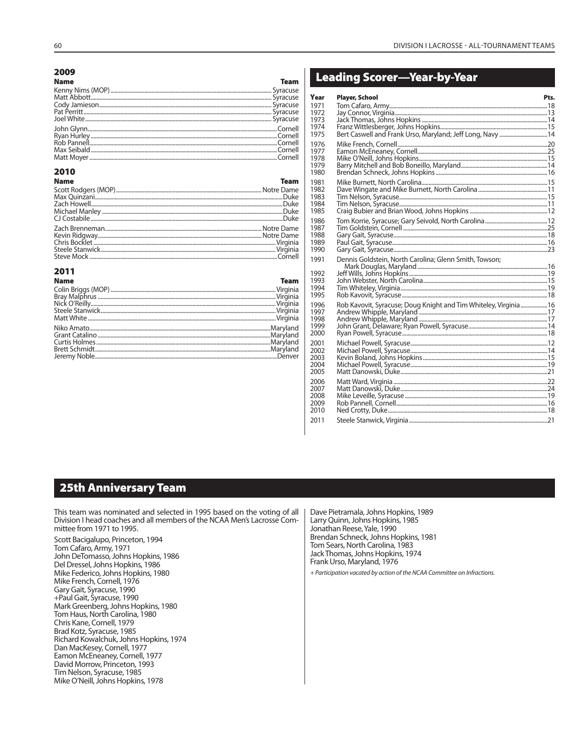#### 2009

| <b>Team</b> |
|-------------|
|             |
|             |
|             |
|             |
|             |
|             |
|             |
|             |
|             |
|             |
|             |

## 2010

| <b>Name</b>                                                                                                                                                                                                                          | <b>Team</b> |
|--------------------------------------------------------------------------------------------------------------------------------------------------------------------------------------------------------------------------------------|-------------|
|                                                                                                                                                                                                                                      |             |
|                                                                                                                                                                                                                                      |             |
|                                                                                                                                                                                                                                      |             |
|                                                                                                                                                                                                                                      |             |
|                                                                                                                                                                                                                                      |             |
|                                                                                                                                                                                                                                      |             |
|                                                                                                                                                                                                                                      |             |
|                                                                                                                                                                                                                                      |             |
|                                                                                                                                                                                                                                      |             |
| Exeric Hoffware<br>Chris Bocklet<br>Chris Bocklet (Sevin Ridgway (Sevin Ridgway (Sevin Ridgway (Sevin Ridgway (Sevin Ridgway (Sevin Ridgway (Sevin<br>Chris Secklet (Stanwick (Sevin Ridgway (Sevin Ridgway (Sevin Ridgway (Sevin Ri |             |

| 2011        |             |
|-------------|-------------|
| <b>Name</b> | <b>Team</b> |
|             |             |
|             |             |
|             |             |
|             |             |
|             |             |
|             |             |
|             |             |
|             |             |
|             |             |
|             |             |
|             |             |

## **Leading Scorer-Year-by-Year**

| Year         | <b>Player, School</b>                                            | Pts. |
|--------------|------------------------------------------------------------------|------|
| 1971         |                                                                  |      |
| 1972         |                                                                  |      |
| 1973<br>1974 |                                                                  |      |
| 1975         |                                                                  |      |
| 1976         |                                                                  |      |
| 1977         |                                                                  |      |
| 1978         |                                                                  |      |
| 1979         |                                                                  |      |
| 1980         |                                                                  |      |
| 1981<br>1982 |                                                                  |      |
| 1983         |                                                                  |      |
| 1984         |                                                                  |      |
| 1985         |                                                                  |      |
| 1986         |                                                                  |      |
| 1987<br>1988 |                                                                  |      |
| 1989         |                                                                  |      |
| 1990         |                                                                  |      |
| 1991         | Dennis Goldstein, North Carolina; Glenn Smith, Towson;           |      |
| 1992         |                                                                  |      |
| 1993         |                                                                  |      |
| 1994         |                                                                  |      |
| 1995         |                                                                  |      |
| 1996<br>1997 | Rob Kavovit, Syracuse; Doug Knight and Tim Whiteley, Virginia 16 |      |
| 1998         |                                                                  |      |
| 1999         |                                                                  |      |
| 2000         |                                                                  |      |
| 2001         |                                                                  |      |
| 2002         |                                                                  |      |
| 2003<br>2004 |                                                                  |      |
| 2005         |                                                                  |      |
| 2006         |                                                                  |      |
| 2007         |                                                                  |      |
| 2008         |                                                                  |      |
| 2009<br>2010 |                                                                  |      |
|              |                                                                  |      |
| 2011         |                                                                  |      |

## **25th Anniversary Team**

This team was nominated and selected in 1995 based on the voting of all Division I head coaches and all members of the NCAA Men's Lacrosse Committee from 1971 to 1995.

Scott Bacigalupo, Princeton, 1994 Tom Cafaro, Army, 1971<br>John DeTomasso, Johns Hopkins, 1986 Del Dressel, Johns Hopkins, 1986 Mike Federico, Johns Hopkins, 1980 Mike French, Cornell, 1976 Gary Gait, Syracuse, 1990 +Paul Gait, Syracuse, 1990 Mark Greenberg, Johns Hopkins, 1980<br>Tom Haus, North Carolina, 1980 Chris Kane, Cornell, 1979 Brad Kotz, Syracuse, 1985 Richard Kowalchuk, Johns Hopkins, 1974 Dan MacKesey, Cornell, 1977 Eamon McEneaney, Cornell, 1977 David Morrow, Princeton, 1993 Tim Nelson, Syracuse, 1985 Mike O'Neill, Johns Hopkins, 1978

Dave Pietramala, Johns Hopkins, 1989 Larry Quinn, Johns Hopkins, 1985 Jonathan Reese, Yale, 1990 Brendan Schneck, Johns Hopkins, 1981 Tom Sears, North Carolina, 1983 Jack Thomas, Johns Hopkins, 1974 Frank Urso, Maryland, 1976

+ Participation vacated by action of the NCAA Committee on Infractions.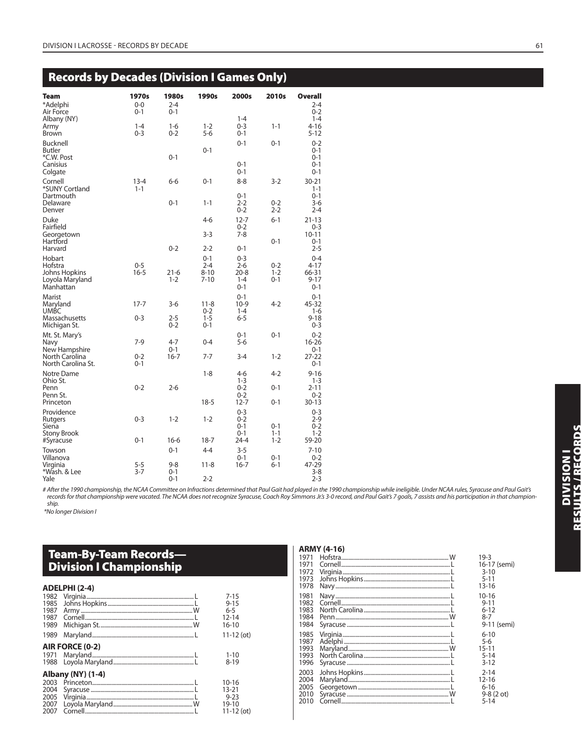## **Records by Decades (Division I Games Only)**

| Team<br>*Adelphi                                                          | 1970s<br>$0 - 0$    | 1980s<br>$2 - 4$   | 1990s                                      | 2000s                                                | 2010s                         | <b>Overall</b><br>$2 - 4$                           |
|---------------------------------------------------------------------------|---------------------|--------------------|--------------------------------------------|------------------------------------------------------|-------------------------------|-----------------------------------------------------|
| Air Force                                                                 | 0-1                 | $0 - 1$            |                                            |                                                      |                               | $0 - 2$                                             |
| Albany (NY)<br>Army<br><b>Brown</b>                                       | $1 - 4$<br>$0 - 3$  | $1 - 6$<br>$0 - 2$ | $1 - 2$<br>$5 - 6$                         | $1 - 4$<br>$0 - 3$<br>$0 - 1$                        | $1 - 1$                       | $1 - 4$<br>$4 - 16$<br>$5 - 12$                     |
| Bucknell<br>Butler<br>*C.W. Post                                          |                     | $0 - 1$            | $0 - 1$                                    | $0 - 1$                                              | $0 - 1$                       | $0 - 2$<br>$0 - 1$<br>$0 - 1$                       |
| Canisius<br>Colgate                                                       |                     |                    |                                            | $0 - 1$<br>$0 - 1$                                   |                               | $0 - 1$<br>$0 - 1$                                  |
| Cornell<br>*SUNY Cortland                                                 | $13 - 4$<br>$1 - 1$ | $6 - 6$            | $0 - 1$                                    | $8 - 8$                                              | $3-2$                         | $30 - 21$<br>$1 - 1$                                |
| Dartmouth<br>Delaware<br>Denver                                           |                     | $0 - 1$            | $1 - 1$                                    | $0 - 1$<br>$2 - 2$<br>$0 - 2$                        | $0 - 2$<br>$2 - 2$            | $0 - 1$<br>$3-6$<br>$2 - 4$                         |
| Duke<br>Fairfield                                                         |                     |                    | 4-6                                        | $12 - 7$<br>$0 - 2$                                  | $6 - 1$                       | $21 - 13$<br>$0 - 3$                                |
| Georgetown<br>Hartford                                                    |                     |                    | $3-3$                                      | $7 - 8$                                              | $0 - 1$                       | $10 - 11$<br>$0 - 1$                                |
| Harvard                                                                   |                     | $0 - 2$            | $2 - 2$                                    | $0 - 1$                                              |                               | $2 - 5$                                             |
| Hobart<br>Hofstra<br><b>Johns Hopkins</b><br>Loyola Maryland<br>Manhattan | $0 - 5$<br>$16 - 5$ | $21-6$<br>$1 - 2$  | $0 - 1$<br>$2 - 4$<br>$8 - 10$<br>$7 - 10$ | $0 - 3$<br>$2 - 6$<br>$20 - 8$<br>$1 - 4$<br>$0 - 1$ | $0 - 2$<br>$1 - 2$<br>$0 - 1$ | $0 - 4$<br>$4 - 17$<br>66-31<br>$9 - 17$<br>$0 - 1$ |
| Marist<br>Maryland<br><b>UMBC</b>                                         | $17 - 7$            | $3-6$              | $11 - 8$<br>$0 - 2$                        | $0 - 1$<br>10-9<br>$1 - 4$                           | $4 - 2$                       | $0 - 1$<br>45-32<br>$1-6$                           |
| Massachusetts<br>Michigan St.                                             | $0 - 3$             | $2 - 5$<br>$0 - 2$ | $1 - 5$<br>$0 - 1$                         | $6 - 5$                                              |                               | $9 - 18$<br>$0 - 3$                                 |
| Mt. St. Mary's<br>Navy<br>New Hampshire                                   | $7-9$               | $4 - 7$<br>$0 - 1$ | $0 - 4$                                    | $0 - 1$<br>$5 - 6$                                   | $0 - 1$                       | $0 - 2$<br>$16 - 26$<br>$0 - 1$                     |
| North Carolina<br>North Carolina St.                                      | $0 - 2$<br>$0 - 1$  | $16 - 7$           | $7 - 7$                                    | $3 - 4$                                              | $1 - 2$                       | $27 - 22$<br>$0 - 1$                                |
| Notre Dame<br>Ohio St.                                                    |                     |                    | $1 - 8$                                    | $4-6$<br>$1 - 3$                                     | $4 - 2$                       | $9 - 16$<br>$1 - 3$                                 |
| Penn<br>Penn St.                                                          | $0 - 2$             | $2 - 6$            |                                            | $0 - 2$<br>$0 - 2$                                   | $0 - 1$                       | $2 - 11$<br>$0 - 2$                                 |
| Princeton                                                                 |                     |                    | $18-5$                                     | $12 - 7$                                             | $0 - 1$                       | $30 - 13$                                           |
| Providence<br>Rutgers<br>Siena                                            | $0 - 3$             | $1 - 2$            | $1 - 2$                                    | $0 - 3$<br>$0 - 2$<br>$0 - 1$<br>$0 - 1$             | $0 - 1$<br>$1 - 1$            | $0 - 3$<br>$2-9$<br>$0 - 2$<br>$1 - 2$              |
| <b>Stony Brook</b><br>#Syracuse                                           | $0 - 1$             | $16-6$             | $18 - 7$                                   | 24-4                                                 | $1 - 2$                       | 59-20                                               |
| Towson                                                                    |                     | $0 - 1$            | $4 - 4$                                    | $3 - 5$                                              |                               | $7 - 10$                                            |
| Villanova<br>Virginia<br>*Wash. & Lee                                     | $5 - 5$<br>$3 - 7$  | $9 - 8$<br>$0 - 1$ | $11 - 8$                                   | $0 - 1$<br>$16 - 7$                                  | $0 - 1$<br>$6 - 1$            | $0 - 2$<br>47-29<br>$3-8$                           |
| Yale                                                                      |                     | $0 - 1$            | $2 - 2$                                    |                                                      |                               | $2 - 3$                                             |

# After the 1990 championship, the NCAA Committee on Infractions determined that Paul Gait had played in the 1990 championship while ineligible. Under NCAA rules, Syracuse and Paul Gait's records for that championship were vacated. The NCAA does not recognize Syracuse, Coach Roy Simmons Jr.'s 3-0 record, and Paul Gait's 7 goals, 7 assists and his participation in that championship.

\*No longer Division I

## **Team-By-Team Records— Division I Championship**

## **ADELPHI (2-4)**

| 1985<br>1987                         |                          | $7 - 15$<br>$9 - 15$<br>$6 - 5$                       |
|--------------------------------------|--------------------------|-------------------------------------------------------|
| 1987<br>1989                         |                          | $12 - 14$<br>$16 - 10$                                |
| 1989                                 |                          | $11 - 12$ (ot)                                        |
|                                      | AIR FORCE (0-2)          |                                                       |
|                                      |                          | $1 - 10$<br>$8 - 19$                                  |
|                                      | <b>Albany (NY) (1-4)</b> |                                                       |
| 2003<br>2004<br>2005<br>2007<br>2007 |                          | 10-16<br>13-21<br>$9 - 23$<br>19-10<br>$11 - 12$ (ot) |

|             | <b>ARMY (4-16)</b> |          |
|-------------|--------------------|----------|
|             |                    | $19-3$   |
|             |                    | $16-1$   |
|             |                    | $3-1$    |
|             |                    | $5 - 1$  |
| $1078$ Navy |                    | $12 - 1$ |

| 1971 | 16-17 (semi)    |
|------|-----------------|
| 1972 | $3 - 10$        |
| 1973 | 5-11            |
| 1978 | $13 - 16$       |
| 1981 | 10-16           |
| 1982 | $9 - 11$        |
| 1983 | $6-12$          |
| 1984 | $8-7$           |
| 1984 | 9-11 (semi)     |
| 1985 | $6 - 10$        |
| 1987 | 5-6             |
| 1993 | 15-11           |
| 1993 | $5 - 14$        |
| 1996 | $3 - 12$        |
| 2003 | $2 - 14$        |
| 2004 | $12 - 16$       |
| 2005 | $6 - 16$        |
| 2010 | $9-8(2^{\circ}$ |
| 2010 | $5 - 14$        |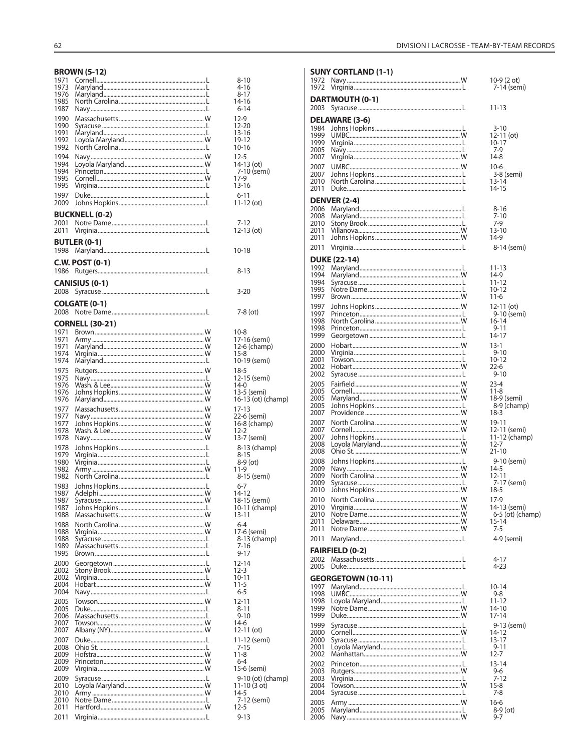#### **RROWN (5-12)**

| 1971<br>1973<br>1976<br>1985<br>1987<br>1990<br>1990<br>1991<br>1992<br>1992<br>1994<br>1994<br>1994<br>1995<br>1995<br>1997<br>2009<br>2001<br>2011 | DNUWIN (3-14)<br><b>BUCKNELL (0-2)</b> | 8-10<br>4-16<br>8-17<br>14-16<br>6-14<br>12-9<br>12-20<br>13-16<br>19-12<br>10-16<br>$12 - 5$<br>14-13 (ot)<br>7-10 (semi)<br>17-9<br>13-16<br>$6 - 11$<br>11-12 (ot)<br>7-12<br>12-13 (ot) |
|------------------------------------------------------------------------------------------------------------------------------------------------------|----------------------------------------|---------------------------------------------------------------------------------------------------------------------------------------------------------------------------------------------|
| 1998                                                                                                                                                 | <b>BUTLER (0-1)</b>                    | 10-18                                                                                                                                                                                       |
| 1986                                                                                                                                                 | <b>C.W. POST (0-1)</b>                 | 8-13                                                                                                                                                                                        |
| 2008                                                                                                                                                 | <b>CANISIUS (0-1)</b>                  | 3-20                                                                                                                                                                                        |
| 2008                                                                                                                                                 | <b>COLGATE (0-1)</b>                   | 7-8 (ot)                                                                                                                                                                                    |
| 1971<br>1971<br>1971<br>1974                                                                                                                         | <b>CORNELL (30-21)</b>                 | 10-8<br>17-16 (semi)<br>12-6 (champ)<br>$15 - 8$                                                                                                                                            |
| 1974                                                                                                                                                 |                                        | 10-19 (semi)                                                                                                                                                                                |
| 1975                                                                                                                                                 |                                        | $18-5$                                                                                                                                                                                      |
| 1975                                                                                                                                                 |                                        | 12-15 (semi)                                                                                                                                                                                |
| 1976                                                                                                                                                 |                                        | $14-0$                                                                                                                                                                                      |
| 1976                                                                                                                                                 |                                        | 13-5 (semi)                                                                                                                                                                                 |
| 1976                                                                                                                                                 |                                        | 16-13 (ot) (champ)                                                                                                                                                                          |
| 1977                                                                                                                                                 |                                        | 17-13                                                                                                                                                                                       |
| 1977                                                                                                                                                 |                                        | 22-6 (semi)                                                                                                                                                                                 |
| 1977                                                                                                                                                 |                                        | 16-8 (champ)                                                                                                                                                                                |
| 1978                                                                                                                                                 |                                        | $12 - 2$                                                                                                                                                                                    |
| 1978                                                                                                                                                 |                                        | 13-7 (semi)                                                                                                                                                                                 |
| 1978                                                                                                                                                 |                                        | 8-13 (champ)                                                                                                                                                                                |
| 1979                                                                                                                                                 |                                        | 8-15                                                                                                                                                                                        |
| 1980                                                                                                                                                 |                                        | $8-9$ (ot)                                                                                                                                                                                  |
| 1982                                                                                                                                                 |                                        | 11-9                                                                                                                                                                                        |
| 1982                                                                                                                                                 |                                        | 8-15 (semi)                                                                                                                                                                                 |
| 1983                                                                                                                                                 |                                        | $6 - 7$                                                                                                                                                                                     |
| 1987                                                                                                                                                 |                                        | 14-12                                                                                                                                                                                       |
| 1987                                                                                                                                                 |                                        | 18-15 (semi)                                                                                                                                                                                |
| 1987                                                                                                                                                 |                                        | 10-11 (champ)                                                                                                                                                                               |
| 1988                                                                                                                                                 |                                        | $13 - 11$                                                                                                                                                                                   |
| 1988                                                                                                                                                 |                                        | 6-4                                                                                                                                                                                         |
| 1988                                                                                                                                                 |                                        | 17-6 (semi)                                                                                                                                                                                 |
| 1988                                                                                                                                                 |                                        | 8-13 (champ)                                                                                                                                                                                |
| 1989                                                                                                                                                 |                                        | 7-16                                                                                                                                                                                        |
| 1995                                                                                                                                                 |                                        | 9-17                                                                                                                                                                                        |
| 2000                                                                                                                                                 |                                        | $12 - 14$                                                                                                                                                                                   |
| 2002                                                                                                                                                 |                                        | $12 - 3$                                                                                                                                                                                    |
| 2002                                                                                                                                                 |                                        | 10-11                                                                                                                                                                                       |
| 2004                                                                                                                                                 |                                        | 11-5                                                                                                                                                                                        |
| 2004                                                                                                                                                 |                                        | $6 - 5$                                                                                                                                                                                     |
| 2005                                                                                                                                                 |                                        | 12-11                                                                                                                                                                                       |
| 2005                                                                                                                                                 |                                        | 8-11                                                                                                                                                                                        |
| 2006                                                                                                                                                 |                                        | 9-10                                                                                                                                                                                        |
| 2007                                                                                                                                                 |                                        | 14-6                                                                                                                                                                                        |
| 2007                                                                                                                                                 |                                        | 12-11 (ot)                                                                                                                                                                                  |
| 2007                                                                                                                                                 |                                        | 11-12 (semi)                                                                                                                                                                                |
| 2008                                                                                                                                                 |                                        | 7-15                                                                                                                                                                                        |
| 2009                                                                                                                                                 |                                        | $11 - 8$                                                                                                                                                                                    |
| 2009                                                                                                                                                 |                                        | 6-4                                                                                                                                                                                         |
| 2009                                                                                                                                                 |                                        | 15-6 (semi)                                                                                                                                                                                 |
| 2009                                                                                                                                                 |                                        | 9-10 (ot) (champ)                                                                                                                                                                           |
| 2010                                                                                                                                                 |                                        | 11-10 (3 ot)                                                                                                                                                                                |
| 2010                                                                                                                                                 |                                        | 14-5                                                                                                                                                                                        |
| 2010                                                                                                                                                 |                                        | 7-12 (semi)                                                                                                                                                                                 |
| 2011                                                                                                                                                 |                                        | 12-5                                                                                                                                                                                        |
| 2011                                                                                                                                                 |                                        | $9 - 13$                                                                                                                                                                                    |

|              | <b>SUNY CORTLAND (1-1)</b> |                            |
|--------------|----------------------------|----------------------------|
| 1972<br>1972 |                            | 10-9 (2 ot)<br>7-14 (semi) |
| 2003         | DARTMOUTH (0-1)            | 11-13                      |
|              |                            |                            |
| 1984         | DELAWARE (3-6)             | $3 - 10$                   |
| 1999         |                            | 12-11 (ot)                 |
| 1999         |                            | 10-17                      |
| 2005         |                            | 7-9<br>14-8                |
| 2007<br>2007 |                            |                            |
| 2007         |                            | $10-6$<br>3-8 (semi)       |
| 2010         |                            | 13-14                      |
| 2011         |                            | 14-15                      |
|              | <b>DENVER (2-4)</b>        |                            |
| 2006         |                            | $8 - 16$                   |
| 2008         |                            | $7 - 10$                   |
| 2010<br>2011 |                            | 7-9<br>13-10               |
| 2011         |                            | 14-9                       |
| 2011         |                            | 8-14 (semi)                |
|              | <b>DUKE (22-14)</b>        |                            |
| 1992         |                            | 11-13                      |
| 1994         |                            | 14-9                       |
| 1994         |                            | 11-12                      |
| 1995<br>1997 |                            | $10 - 12$<br>11-6          |
| 1997         |                            | $12-11$ (ot)               |
| 1997         |                            | 9-10 (semi)                |
| 1998         |                            | 16-14                      |
| 1998         |                            | 9-11                       |
| 1999         |                            | 14-17                      |
| 2000<br>2000 |                            | $13-1$<br>$9 - 10$         |
| 2001         |                            | 10-12                      |
| 2002         |                            | $22 - 6$                   |
| 2002         |                            | $9 - 10$                   |
| 2005         |                            | $23 - 4$                   |
| 2005<br>2005 |                            | $11 - 8$<br>18-9 (semi)    |
| 2005         |                            | 8-9 (champ)                |
| 2007         |                            | $18-3$                     |
| 2007         |                            | 19-11                      |
| 2007         |                            | 12-11 (semi)               |
| 2007<br>2008 |                            | 11-12 (champ)<br>$12 - 7$  |
| 2008         |                            | 21-10                      |
| 2008         |                            | 9-10 (semi)                |
| 2009         |                            | $14-5$                     |
| 2009<br>2009 |                            | 12-11                      |
| 2010         |                            | 7-17 (semi)<br>18-5        |
| 2010         |                            | 17-9                       |
| 2010         |                            | 14-13 (semi)               |
| 2010         |                            | $6-5$ (ot) (champ)         |
| 2011<br>2011 |                            | 15-14<br>7-5               |
| 2011         |                            | 4-9 (semi)                 |
|              |                            |                            |
|              | <b>FAIRFIELD (0-2)</b>     |                            |
| 2002<br>2005 |                            | 4-17<br>4-23               |
|              |                            |                            |
| 1997         | <b>GEORGETOWN (10-11)</b>  | $10 - 14$                  |
| 1998         |                            | $9 - 8$                    |
| 1998         |                            | $11 - 12$                  |
| 1999         |                            | 14-10                      |
| 1999         |                            | 17-14                      |
| 1999<br>2000 |                            | 9-13 (semi)<br>14-12       |
| 2000         |                            | 13-17                      |
| 2001         |                            | $9 - 11$                   |
| 2002         |                            | $12 - 7$                   |
| 2002         |                            | $13 - 14$                  |
| 2003<br>2003 |                            | 9-6<br>7-12                |
| 2004         |                            | $15-8$                     |
| 2004         |                            | 7-8                        |
| 2005         |                            | $16-6$                     |
| 2005<br>2006 |                            | $8-9$ (ot)<br>$9 - 7$      |
|              |                            |                            |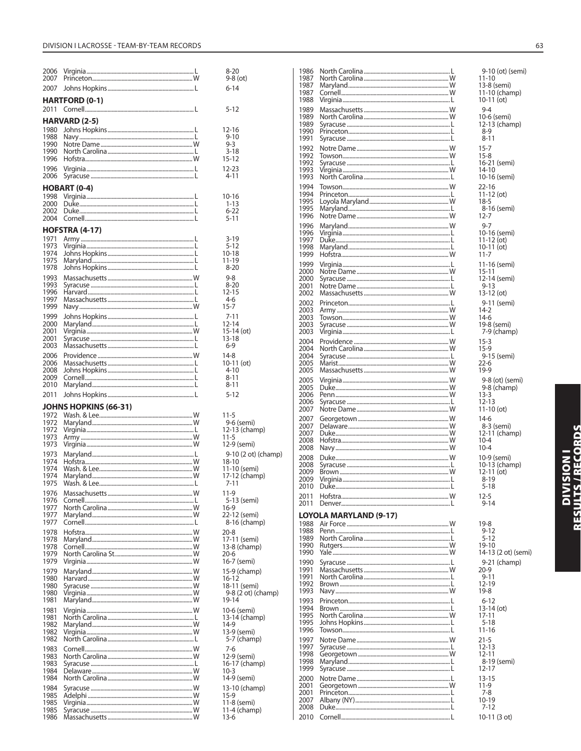| 2006<br>2007         |                       | $8 - 20$<br>$9-8$ (ot)                |
|----------------------|-----------------------|---------------------------------------|
| 2007                 |                       | 6-14                                  |
|                      | <b>HARTFORD (0-1)</b> |                                       |
| 2011                 |                       | 5-12                                  |
|                      | <b>HARVARD (2-5)</b>  |                                       |
| 1980                 |                       | $12 - 16$                             |
| 1988<br>1990         |                       | $9 - 10$<br>9-3                       |
| 1990                 |                       | 3-18                                  |
| 1996                 |                       | 15-12                                 |
| 1996<br>2006         |                       | 12-23<br>4-11                         |
|                      | <b>HOBART (0-4)</b>   |                                       |
| 1998                 |                       | $10 - 16$                             |
| 2000<br>2002         |                       | $1 - 13$<br>$6 - 22$                  |
| 2004                 |                       | $5 - 11$                              |
|                      | <b>HOFSTRA (4-17)</b> |                                       |
| 1971                 |                       | $3 - 19$                              |
| 1973<br>1974         |                       | $5 - 12$<br>$10 - 18$                 |
| 1975                 |                       | 11-19                                 |
| 1978                 |                       | $8 - 20$                              |
| 1993                 |                       | $9 - 8$<br>$8 - 20$                   |
| 1993<br>1996         |                       | $12 - 15$                             |
| 1997                 |                       | 4-6                                   |
| 1999                 |                       | $15 - 7$                              |
| 1999<br>2000         |                       | 7-11<br>$12 - 14$                     |
| 2001                 |                       | $15-14$ (ot)                          |
| 2001                 |                       | $13 - 18$                             |
| 2003                 |                       | $6 - 9$                               |
| 2006<br>2006         |                       | $14-8$<br>$10-11$ (ot)                |
| 2008                 |                       | 4-10                                  |
| 2009<br>2010         |                       | 8-11<br>8-11                          |
|                      |                       |                                       |
|                      |                       |                                       |
| 2011                 |                       | $5 - 12$                              |
| 1972                 | JOHNS HOPKINS (66-31) | $11 - 5$                              |
| 1972                 |                       | 9-6 (semi)                            |
| 1972                 |                       | 12-13 (champ)                         |
| 1973<br>1973         |                       | $11 - 5$<br>12-9 (semi)               |
| 1973                 |                       | 9-10 (2 ot) (champ)                   |
| 1974                 |                       | $18 - 10$                             |
| 1974<br>1974         |                       | 11-10 (semi)                          |
| 1975                 |                       | 17-12 (champ)<br>7-11                 |
| 1976                 | Massachusetts         | $11-9$                                |
| 1976<br>1977         |                       | 5-13 (semi)                           |
| 1977                 |                       | $16-9$<br>22-12 (semi)                |
| 1977                 |                       | 8-16 (champ)                          |
| 1978                 |                       | $20 - 8$                              |
| 1978<br>1978         |                       | 17-11 (semi)<br>$13-8$ (champ)        |
| 1979                 |                       | 20-6                                  |
| 1979                 |                       | 16-7 (semi)                           |
| 1979<br>1980         |                       | 15-9 (champ)                          |
| 1980                 |                       | $16 - 12$<br>18-11 (semi)             |
| 1980                 |                       | 9-8 (2 ot) (champ)                    |
| 1981                 |                       | 19-14                                 |
| 1981<br>1981         |                       | 10-6 (semi)                           |
| 1982                 |                       | 13-14 (champ)<br>14-9                 |
| 1982<br>1982         |                       | 13-9 (semi)                           |
| 1983                 |                       | 5-7 (champ)<br>7-6                    |
| 1983                 |                       | 12-9 (semi)                           |
| 1983<br>1984         |                       | 16-17 (champ)<br>$10 - 3$             |
| 1984                 |                       | 14-9 (semi)                           |
| 1984                 |                       | 13-10 (champ)                         |
| 1985                 |                       | $15-9$                                |
| 1985<br>1985<br>1986 |                       | 11-8 (semi)<br>$11-4$ (champ)<br>13-6 |

| 1986         |                               | 9-10 (ot) (semi)             |
|--------------|-------------------------------|------------------------------|
| 1987<br>1987 |                               | 11-10<br>13-8 (semi)         |
| 1987         |                               | 11-10 (champ)                |
| 1988         |                               | $10-11$ (ot)                 |
| 1989         |                               | 9-4                          |
| 1989<br>1989 |                               | 10-6 (semi)<br>12-13 (champ) |
| 1990         |                               | 8-9                          |
| 1991         |                               | $8 - 11$                     |
| 1992         |                               | $15 - 7$                     |
| 1992<br>1992 |                               | $15-8$                       |
| 1993         |                               | 16-21 (semi)<br>14-10        |
| 1993         |                               | 10-16 (semi)                 |
| 1994         |                               | 22-16                        |
| 1994<br>1995 |                               | $11-12$ (ot)                 |
| 1995         |                               | $18-5$<br>8-16 (semi)        |
| 1996         |                               | $12 - 7$                     |
| 1996         |                               | 9-7                          |
| 1996         |                               | 10-16 (semi)                 |
| 1997<br>1998 |                               | 11-12 (ot)<br>10-11 (ot)     |
| 1999         |                               | $11 - 7$                     |
| 1999         |                               | 11-16 (semi)                 |
| 2000         |                               | 15-11                        |
| 2000<br>2001 |                               | 12-14 (semi)<br>9-13         |
| 2002         |                               | 13-12 (ot)                   |
| 2002         |                               | 9-11 (semi)                  |
| 2003         |                               | 14-2                         |
| 2003<br>2003 |                               | $14-6$<br>19-8 (semi)        |
| 2003         |                               | 7-9 (champ)                  |
| 2004         |                               | $15 - 3$                     |
| 2004         |                               | 15-9                         |
| 2004         |                               | 9-15 (semi)                  |
| 2005<br>2005 |                               | $22 - 6$<br>19-9             |
| 2005         |                               | 9-8 (ot) (semi)              |
| 2005         |                               | 9-8 (champ)                  |
| 2006         |                               | $13 - 3$                     |
| 2006<br>2007 |                               | 12-13<br>$11-10$ (ot)        |
| 2007         |                               | 14-6                         |
| 2007         |                               | 8-3 (semi)                   |
| 2007         |                               | 12-11 (champ)                |
| 2008<br>2008 |                               | 10-4<br>$10 - 4$             |
| 2008         |                               | 10-9 (semi)                  |
| 2008         |                               | 10-13 (champ)                |
| 2009         |                               | 12-11 (ot)                   |
| 2009<br>2010 |                               | 8-19<br>$5 - 18$             |
| 2011         |                               | $12 - 5$                     |
| 2011         |                               | $9 - 14$                     |
|              | <b>LOYOLA MARYLAND (9-17)</b> |                              |
| 1988         |                               | $19-8$                       |
| 1988         |                               | $9 - 12$                     |
| 1989<br>1990 |                               | $5 - 12$<br>19-10            |
| 1990         |                               | 14-13 (2 ot) (semi)          |
| 1990         |                               | 9-21 (champ)                 |
| 1991         |                               | 20-9                         |
| 1991<br>1992 |                               | $9 - 11$<br>$12 - 19$        |
| 1993         |                               | 19-8                         |
| 1993         |                               | $6 - 12$                     |
| 1994         |                               | 13-14 (ot)                   |
| 1995<br>1995 |                               |                              |
| 1996         |                               | 17-11                        |
|              |                               | $5 - 18$<br>11-16            |
| 1997         |                               | 21-5                         |
| 1997         |                               | 12-13                        |
| 1998         |                               | $12 - 11$                    |
| 1998<br>1999 |                               | 8-19 (semi)<br>12-17         |
| 2000         |                               | $13 - 15$                    |
| 2001         |                               | 11-9                         |
| 2001         |                               | 7-8                          |
| 2007<br>2008 |                               | 10-19<br>7-12                |
| 2010         |                               | 10-11 (3 ot)                 |

**DIVISION I**<br>Results / Records

## $(3<sub>ot</sub>)$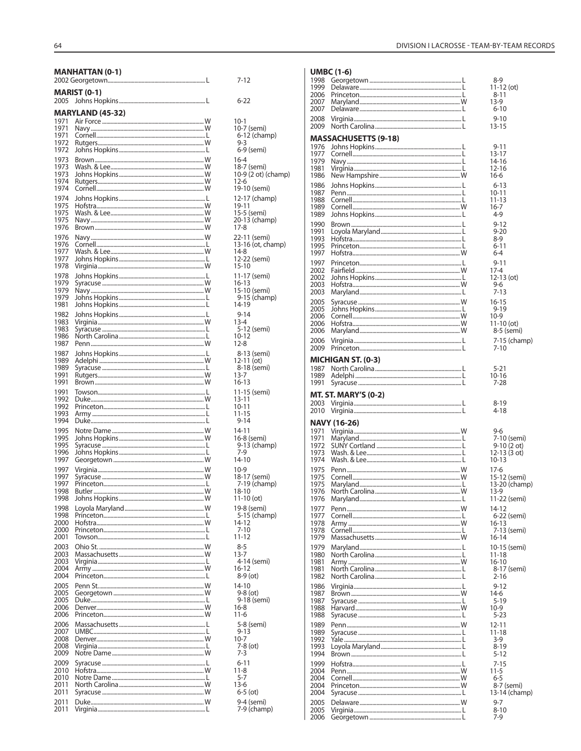1989

1991

1991

1992

 $1993$ 

1996

1987 Johns Hopkins.......

Syracuse..

Towson..

Duke...

1992 Princeton......

Army ...

1995 Notre Dame..

1995 Syracuse .....

1997 Virginia..

1998 Butler.. 1998 Johns Hopkins......

1997 Syracuse......<br>1997 Princeton.....

2000 Hofstra......

2001 Towson.....

2003 Virginia......

Army...

2005 Georgetown.....

Duke......

UMBC..

Virginia.

2009 Syracuse .......

2010 Notre Dame...

2011 Syracuse ......

2011 Duke.............<br>2011 Virginia........

North Carolina...

2010 Hofstra......

2009 Notre Dame........

2006 Massachusetts........

2004 Princeton.....

2005 Penn St .......

2006 Denver.

2008 Denver...

2006 Princeton.

2003 Ohio St.

2004

2005

2007

2008

2011

2000 Princeton.....

1997 Georgetown.....

1995 Johns Hopkins.......

Johns Hopkins........

1998 Loyola Maryland......... 1998 Princeton.......

2003 Massachusetts........

Rutgers........

1989 Adelphi...

1991 Brown...

1994 Duke..

| 64   |                         |              |
|------|-------------------------|--------------|
|      | <b>MANHATTAN (0-1)</b>  | $7 - 12$     |
|      | <b>MARIST (0-1)</b>     | $6 - 22$     |
|      | <b>MARYLAND (45-32)</b> |              |
| 1971 |                         | $10-1$       |
| 1971 |                         | $10 - 7$ (s) |
| 1971 |                         | $6 - 12$     |
| 1972 |                         | $9 - 3$      |
| 1972 |                         | $6 - 9$ (    |
| 1973 |                         | $16 - 4$     |
| 1973 |                         | $18 - 7$ (s) |
| 1973 |                         | $10 - 9(2)$  |
| 1974 |                         | $12-6$       |
| 1974 |                         | $19 - 10$    |
| 1974 |                         | $12 - 17$    |
| 1975 |                         | 19-11        |
| 1975 |                         | $15 - 5$ (s) |
| 1975 |                         | $20 - 13$    |
| 1976 |                         | $17 - 8$     |
| 1976 |                         | $22 - 11$    |
| 1976 |                         | $13 - 16$    |
| 1977 |                         | $14-8$       |
| 1977 |                         | $12 - 22$    |
| 1978 |                         | $15 - 10$    |
| 1978 |                         | $11 - 17$    |
| 1979 |                         | $16 - 13$    |
| 1979 |                         | $15 - 10$    |
| 1979 |                         | $9 - 15$     |
| 1981 |                         | 14-19        |
| 1982 |                         | $9 - 14$     |
| 1983 |                         | $13 - 4$     |
| 1983 |                         | $5 - 12$     |
| 1986 |                         | $10 - 12$    |
| 1987 |                         | $12 - 8$     |

| $10-1$<br>10-7 (semi)<br>6-12 (champ)              |
|----------------------------------------------------|
| 9-3<br>6-9 (semi)                                  |
| 16-4<br>18-7 (semi)<br>10-9 (2 ot) (champ)<br>12-6 |
| 19-10 (semi)                                       |
| 12-17 (champ)<br>19-11<br>15-5 (semi)              |
| رسیدي -<br>20-13 (champ)<br>17-8                   |
| 22-11 (semi)<br>13-16 (ot, champ)                  |
| 14-8<br>12-22 (semi)<br>15-10                      |
| 11-17 (semi)                                       |
| 16-13<br>15-10 (semi)<br>9-15 (champ)              |
| 14-19<br>$9 - 14$                                  |
| $13 - 4$<br>5-12 (semi)                            |
| $\overline{2}$<br>10-1<br>$12-8$                   |
| 8-13 (semi)<br>$12 - 11$ (ot)                      |
| 8-18 (semi)<br>13-7                                |
| 16-13<br>11-15 (semi)                              |
| $13 - 11$<br>$10 - 11$                             |
| 11-15<br>9-14<br>14-11                             |
| 16-8 (semi)<br>9-13 (champ)                        |
| 7-9<br>14-10                                       |
| 10-9<br>18-17 (semi)<br>7-19 (champ)               |
| 18-10                                              |
| 11-10 (ot)<br>19-8 (semi)                          |
| 5-15 (champ)<br>$\frac{14-12}{7-10}$               |
| $1 - 12$<br>$8 - 5$                                |
| $13-7$<br>4-14 (semi)                              |
| $16 - 12$<br>8-9 (ot)                              |
| 14-10<br>9-8 (ot)                                  |
| 9-18 (semi)<br>16-8<br>11-6                        |
|                                                    |
| 5-8 (semi)<br>9-13<br>10-7<br>7-8 (ot)<br>7-3      |
| $6 - 11$                                           |
| $11 - 8$<br>$\frac{5}{7}$<br>13-6                  |
| $6-5$ (ot)                                         |
| 9-4 (semi)<br>7-9 (champ)                          |
|                                                    |

.L

.w

W

W.

 $\mathbf{I}$ 

W

 $\mathbf{I}$ 

.L

L.

.W

.w

..L

 $\mathbf{I}$ 

.W

.W

 $W$ J. ...<br>.W

.w  $...W$ 

.L

W

L.

.L

.w

 $W$ 

J.

Ŵ

.L

.W

.w

.L

W

.W

J.

Л.

...<br>.W

L.

.W

 $\mathbf{I}$ 

 $W_{1}$ 

 $\mathbf{I}$ 

.W

.W

W .L

|                      | <b>UMBC (1-6)</b>           |                             |
|----------------------|-----------------------------|-----------------------------|
| 1998                 |                             | 8-9                         |
| 1999<br>2006         |                             | 11-12 (ot)<br>$8 - 11$      |
| 2007                 |                             | 13-9                        |
| 2007                 |                             | 6-10                        |
| 2008<br>2009         |                             | $9 - 10$<br>13-15           |
|                      |                             |                             |
| 1976                 | <b>MASSACHUSETTS (9-18)</b> | 9-11                        |
| 1977                 |                             | $13 - 17$                   |
| 1979<br>1981         |                             | 14-16                       |
| 1986                 |                             | 12-16<br>$16-6$             |
| 1986                 |                             | $6 - 13$                    |
| 1987                 |                             | 10-11                       |
| 1988<br>1989         |                             | 11-13<br>16-7               |
| 1989                 |                             | 4-9                         |
| 1990                 |                             | $9 - 12$                    |
| 1991<br>1993         |                             | $9 - 20$<br>$8-9$           |
| 1995                 |                             | $6 - 11$                    |
| 1997                 |                             | $6 - 4$                     |
| 1997<br>2002         |                             | $9 - 11$<br>$17 - 4$        |
| 2002                 |                             | 12-13 (ot)                  |
| 2003                 |                             | 9-6                         |
| 2003                 |                             | 7-13                        |
| 2005<br>2005         |                             | 16-15<br>9-19               |
| 2006                 |                             | $10-9$                      |
| 2006<br>2006         |                             | 11-10 (ot)<br>8-5 (semi)    |
| 2006                 |                             | 7-15 (champ)                |
| 2009                 |                             | $7 - 10$                    |
|                      | <b>MICHIGAN ST. (0-3)</b>   |                             |
| 1987                 |                             | $5 - 21$                    |
| 1989<br>1991         |                             | 10-16<br>7-28               |
|                      |                             |                             |
|                      |                             |                             |
|                      | <b>MT. ST. MARY'S (0-2)</b> |                             |
| 2003<br>2010         |                             | $8 - 19$<br>4-18            |
|                      |                             |                             |
| 1971                 | <b>NAVY (16-26)</b>         | 9-6                         |
| 1971                 |                             | 7-10 (semi)                 |
| 1972<br>1973         |                             | 9-10 (2 ot)<br>12-13 (3 ot) |
| 1974                 |                             | $10 - 13$                   |
| 1975                 |                             | $17-6$                      |
| 1975<br>1975         |                             | 15-12 (semi)                |
| 1976                 |                             | 13-20 (champ)<br>13-9       |
| 1976                 |                             | 11-22 (semi)                |
| 1977                 |                             | 14-12                       |
| 1977<br>1978         |                             | 6-22 (semi)<br>16-13        |
| 1978                 |                             | 7-13 (semi)                 |
| 1979                 |                             | 16-14                       |
| 1979<br>1980         |                             | 10-15 (semi)<br>$11 - 18$   |
| 1981                 |                             | 16-10                       |
| 1981                 |                             | 8-17 (semi)                 |
| 1982<br>1986         |                             | $2 - 16$<br>$9 - 12$        |
| 1987                 |                             | 14-6                        |
| 1987                 |                             | $5 - 19$                    |
| 1988<br>1988         |                             | $10-9$<br>$5 - 23$          |
| 1989                 |                             | $12 - 11$                   |
| 1989                 |                             | 11-18                       |
| 1992<br>1993         |                             | 3-9<br>$8 - 19$             |
| 1994                 |                             | $5 - 12$                    |
| 1999                 |                             | $7 - 15$                    |
| 2004<br>2004         |                             | 11-5<br>6-5                 |
| 2004                 |                             | 8-7 (semi)                  |
| 2004                 |                             | 13-14 (champ)               |
| 2005<br>2005<br>2006 |                             | $9 - 7$<br>$8 - 10$<br>7-9  |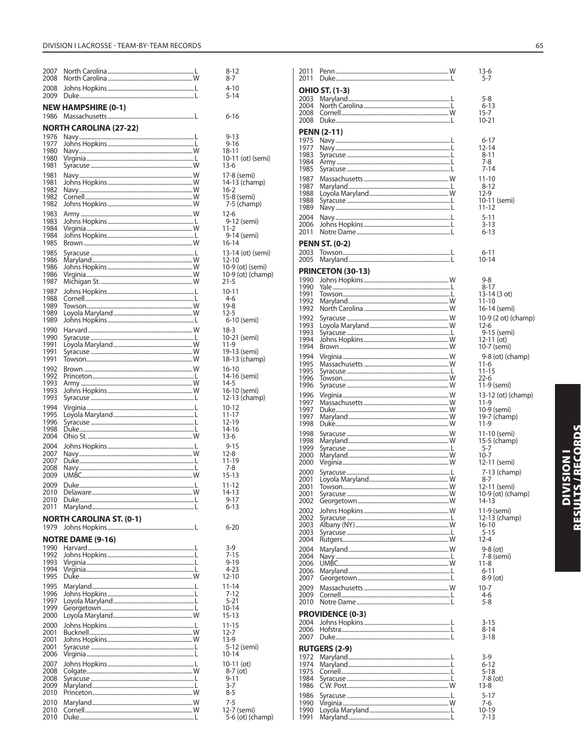| 2007<br>2008 |                                 |                      |
|--------------|---------------------------------|----------------------|
| 2008<br>2009 |                                 |                      |
| 1986         | <b>NEW HAMPSHIRE (0-1)</b>      |                      |
|              |                                 |                      |
| 1976         | <b>NORTH CAROLINA (27-22)</b>   |                      |
| 1977         |                                 |                      |
| 1980<br>1980 |                                 | 1:<br>1              |
| 1981         |                                 | 1.                   |
| 1981         |                                 | $\mathbf{1}$         |
| 1981<br>1982 |                                 | 1.<br>$\mathbf{1}$   |
| 1982         |                                 | 1.                   |
| 1982         |                                 |                      |
| 1983         |                                 | $\mathbf{1}$         |
| 1983<br>1984 |                                 | 1                    |
| 1984         |                                 |                      |
| 1985         |                                 | $\mathbf{1}$         |
| 1985<br>1986 |                                 | 1.<br>$\mathbf{1}$   |
| 1986         |                                 | $\mathbf{1}$         |
| 1986<br>1987 |                                 | $\mathbf{1}$<br>2    |
| 1987         |                                 | $\mathbf{1}$         |
| 1988         |                                 |                      |
| 1989         |                                 | $\mathbf{1}$         |
| 1989<br>1989 |                                 | 1.                   |
| 1990         |                                 | 1:                   |
| 1990         |                                 | 1                    |
| 1991<br>1991 |                                 | 1<br>1 <sup>1</sup>  |
| 1991         |                                 | 1:                   |
| 1992         |                                 | $\mathbf{1}$         |
| 1992<br>1993 |                                 | 1.<br>1.             |
| 1993         |                                 | 1                    |
| 1993         |                                 | 1.                   |
| 1994<br>1995 |                                 | $\mathbf{1}$<br>1    |
| 1996         |                                 | 1.                   |
| 1998         |                                 | 1.                   |
| 2004         |                                 | 1.                   |
| 2004<br>2007 |                                 | 1.                   |
| 2007         |                                 | 1                    |
| 2008<br>2009 |                                 | 1.                   |
| 2009         |                                 | 1                    |
| 20 I U       |                                 |                      |
| 2010<br>2011 |                                 |                      |
|              |                                 |                      |
| 1979         | <b>NORTH CAROLINA ST. (0-1)</b> |                      |
|              | <b>NOTRE DAME (9-16)</b>        |                      |
| 1990         |                                 |                      |
| 1992<br>1993 |                                 |                      |
| 1994         |                                 |                      |
| 1995         |                                 | 1.                   |
| 1995<br>1996 |                                 | 1                    |
| 1997         |                                 |                      |
| 1999<br>2000 |                                 | $\overline{1}$<br>1: |
| 2000         |                                 | 1                    |
| 2001         |                                 | 1.                   |
| 2001         |                                 | 1.                   |
| 2001<br>2006 |                                 | $\mathbf{1}$         |
| 2007         |                                 | $\mathbf{1}$         |
| 2008         |                                 |                      |
| 2008<br>2009 |                                 |                      |
| 2010         |                                 |                      |
| 2010         |                                 |                      |
| 2010<br>2010 |                                 |                      |
|              |                                 |                      |

| 2011<br>2011                                                                                                                                                                                                         |                          | $13-6$<br>$5 - 7$                                                                                                                                                                                                                                                                                               |
|----------------------------------------------------------------------------------------------------------------------------------------------------------------------------------------------------------------------|--------------------------|-----------------------------------------------------------------------------------------------------------------------------------------------------------------------------------------------------------------------------------------------------------------------------------------------------------------|
| 2003<br>2004<br>2008                                                                                                                                                                                                 | <b>OHIO ST. (1-3)</b>    | 5-8<br>$6 - 13$<br>15-7                                                                                                                                                                                                                                                                                         |
| 2008<br>1975<br>1977<br>1983<br>1984<br>1985<br>1987<br>1987<br>1988<br>1988<br>1989<br>2004<br>2006                                                                                                                 | <b>PENN (2-11)</b>       | 10-21<br>$6 - 17$<br>12-14<br>$8 - 11$<br>7-8<br>$7 - 14$<br>11-10<br>$8 - 12$<br>12-9<br>10-11 (sei<br>11-12<br>$5 - 11$<br>$3 - 13$                                                                                                                                                                           |
| 2011<br>2003<br>2005                                                                                                                                                                                                 | <b>PENN ST. (0-2)</b>    | $6 - 13$<br>$6 - 11$<br>10-14                                                                                                                                                                                                                                                                                   |
| 1990<br>1990<br>1991<br>1992<br>1992<br>1992<br>1993<br>1993<br>1994<br>1994<br>1994<br>1995<br>1995<br>1996<br>1996<br>1996<br>1997<br>1997<br>1997<br>1998<br>1998<br>1998<br>1999<br>2000<br>2000<br>2000<br>2001 | <b>PRINCETON (30-13)</b> | 9-8<br>$8 - 17$<br>13-14 (3 c<br>11-10<br>16-14 (sei<br>10-9 (2 ot<br>$12-6$<br>9-15 (sei<br>12-11 (ot)<br>10-7 (sem<br>9-8 (ot) (<br>11-6<br>11-15<br>22-6<br>11-9 (sem<br>13-12 (ot)<br>11-9<br>10-9 (sem<br>19-7 (cha<br>11-9<br>11-10 (sei<br>15-5 (cha<br>$5 - 7$<br>10-7<br>12-11 (sei<br>7-13 (ch<br>8-7 |
| 2001<br>2001<br>2002<br>2002<br>2002<br>2003<br>2003<br>2004<br>2004<br>2004<br>2006<br>2006<br>2007<br>2009<br>2009<br>2010                                                                                         |                          | 12-11 (sei<br>10-9 (ot) (<br>14-13<br>11-9 (sem<br>12-13 (ch<br>$16-10$<br>$5 - 15$<br>$12 - 4$<br>9-8 (ot)<br>7-8 (sem<br>$11 - 8$<br>6-11<br>$8-9$ (ot)<br>$10 - 7$<br>4-6<br>$5-8$                                                                                                                           |
| 2004<br>2006<br>2007                                                                                                                                                                                                 | <b>PROVIDENCE (0-3)</b>  | $3 - 15$<br>$8 - 14$<br>$3 - 18$                                                                                                                                                                                                                                                                                |
| 1972<br>1974<br>1975<br>1984<br>1986<br>1986<br>1990<br>1990                                                                                                                                                         | <b>RUTGERS (2-9)</b>     | 3-9<br>$6 - 12$<br>5-18<br>7-8 (ot)<br>$13-8$<br>$5 - 17$<br>7-6<br>10-19                                                                                                                                                                                                                                       |
| 1991                                                                                                                                                                                                                 |                          | 7-13                                                                                                                                                                                                                                                                                                            |

# mi) ot) mi) t) (champ) mi) ,<br>ni) (champ) ni) (champ) ni) (imp emi)<br>amp) mi) (amp mi)<br>(champ) ni)<br>hamp) ni)

# **DIVISION I<br>RESULTS / RECORDS**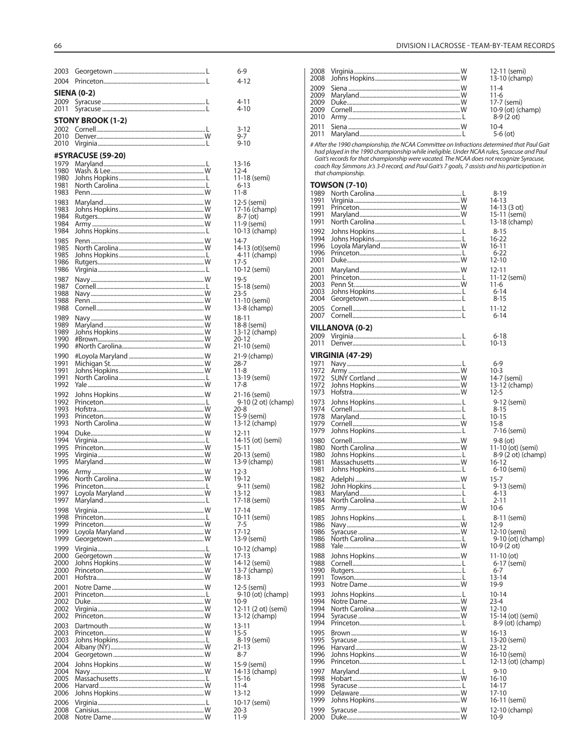| 2003               |                          |  |  |  |  |
|--------------------|--------------------------|--|--|--|--|
| 2004               |                          |  |  |  |  |
| <b>SIENA (0-2)</b> |                          |  |  |  |  |
| 2009               |                          |  |  |  |  |
| 2011               |                          |  |  |  |  |
|                    | <b>STONY BROOK (1-2)</b> |  |  |  |  |
| 2002               |                          |  |  |  |  |
| 2010               |                          |  |  |  |  |
| 2010               |                          |  |  |  |  |
|                    | <b>#SYRACUSE (59-20)</b> |  |  |  |  |
| 1979               |                          |  |  |  |  |
| 1980               |                          |  |  |  |  |
| 1980<br>1981       |                          |  |  |  |  |
| 1983               |                          |  |  |  |  |
| 1983               |                          |  |  |  |  |
| 1983               |                          |  |  |  |  |
| 1984<br>1984       |                          |  |  |  |  |
| 1984               |                          |  |  |  |  |
| 1985               |                          |  |  |  |  |
| 1985               |                          |  |  |  |  |
| 1985               |                          |  |  |  |  |
| 1986<br>1986       |                          |  |  |  |  |
| 1987               |                          |  |  |  |  |
| 1987               |                          |  |  |  |  |
| 1988               |                          |  |  |  |  |
| 1988               |                          |  |  |  |  |
| 1988               |                          |  |  |  |  |
| 1989<br>1989       |                          |  |  |  |  |
| 1989               |                          |  |  |  |  |
| 1990               |                          |  |  |  |  |
| 1990               |                          |  |  |  |  |
| 1990               |                          |  |  |  |  |
| 1991<br>1991       |                          |  |  |  |  |
| 1991               |                          |  |  |  |  |
| 1992               |                          |  |  |  |  |
| 1992               |                          |  |  |  |  |
| 1992               |                          |  |  |  |  |
| 1993<br>1993       |                          |  |  |  |  |
| 1993               |                          |  |  |  |  |
| 1994               |                          |  |  |  |  |
| 1994               |                          |  |  |  |  |
| 1995<br>1995       |                          |  |  |  |  |
| 1995               |                          |  |  |  |  |
| 1996               |                          |  |  |  |  |
| 1996               |                          |  |  |  |  |
| 1996               |                          |  |  |  |  |
| 1997<br>1997       |                          |  |  |  |  |
| 1998               |                          |  |  |  |  |
| 1998               |                          |  |  |  |  |
| 1999               |                          |  |  |  |  |
| 1999               |                          |  |  |  |  |
| 1999               |                          |  |  |  |  |
| 1999<br>2000       |                          |  |  |  |  |
| 2000               |                          |  |  |  |  |
| 2000               |                          |  |  |  |  |
| 2001               |                          |  |  |  |  |
| 2001<br>2001       |                          |  |  |  |  |
| 2002               |                          |  |  |  |  |
| 2002               |                          |  |  |  |  |
| 2002               |                          |  |  |  |  |
| 2003               |                          |  |  |  |  |
| 2003<br>2003       |                          |  |  |  |  |
| 2004               |                          |  |  |  |  |
| 2004               |                          |  |  |  |  |
| 2004               |                          |  |  |  |  |
| 2004               |                          |  |  |  |  |
| 2005<br>2006       |                          |  |  |  |  |
| 2006               |                          |  |  |  |  |
| 2006               |                          |  |  |  |  |
| 2008               |                          |  |  |  |  |
| 2008               |                          |  |  |  |  |

| $6-9$<br>$4 - 12$                                                        |
|--------------------------------------------------------------------------|
| 4-11<br>4-10                                                             |
| $3 - 12$<br>$9 - 7$<br>$9 - 10$                                          |
| $13 - 16$<br>$2-4$<br>1<br>11-18 (semi)<br>6-13<br>11-8                  |
| 12-5 (semi)<br>17-16 (champ)<br>8-7 (ot)                                 |
| 11-9 (semi)<br>10-13 (champ)<br>14-7                                     |
| 14-13 (ot)(semi)<br>-4-11 (champ)<br>17-5<br>10-12 (semi)                |
| 19-5<br>15-18 (semi)<br>23-5<br>$11-10$ (semi)<br>13-8 (champ)           |
| $18 - 11$<br>18-8 (semi)<br>13-12 (champ)<br>20-12<br>21-10 (semi)       |
| 21-9 (champ)<br>28-7<br>11-8                                             |
| 13-19 (semi)<br>$17-8$<br>$21-16$ (semi)<br>9-10 (2 ot) (champ)          |
| $20-8$<br>15-9 (semi)<br>13-12 (champ)<br>$12 - 11$<br>14-15 (ot) (semi) |
| 15-11<br>20-13 (semi)<br>13-9 (champ)<br>$12-3$                          |
| 14 -<br>19-12<br>9-11 (semi)<br>3-12<br>17-18 (semi)                     |
| 17-14<br>10-11 (semi)<br>$7-5$<br>$17 - 12$                              |
| 13-9 (semi)<br>10-12 (champ)<br>$17 - 13$<br>$14-1$<br>2 (semi)          |
| 13-7 (champ)<br>$18 - 13$<br>12-5 (semi)<br>9-10 (ot) (champ)            |
| $10-9$<br>12-11 (2 ot) (semi)<br>13-12 (champ)<br>13-11<br>$15 - 5$      |
| 8-19 (semi)<br>$21 - 13$<br>$8 - 7$                                      |
| 15-9 (semi)<br>14-13 (champ)<br>15-16<br>11-4<br>13-12                   |
| 10-17 (semi)<br>$20 - 3$<br>$11-9$                                       |

|  | $11 - 4$          |
|--|-------------------|
|  | $11-6$            |
|  | 17-7 (semi)       |
|  | 10-9 (ot) (champ) |
|  | $8-9(2^{\circ}$   |
|  | $10 - 4$          |
|  | $5-6$ (ot)        |
|  |                   |

# After the 1990 championship, the NCAA Committee on Infractions determined that Paul Gait<br>had played in the 1990 championship while ineligible. Under NCAA rules, Syracuse and Paul<br>Gait's records for that championship were

## **TOWSON (7-10)**

|              | <b>IUWSUN (7-TU)</b>    |                              |
|--------------|-------------------------|------------------------------|
| 1989         |                         | $8 - 19$                     |
| 1991<br>1991 |                         | 14-13                        |
| 1991         |                         | 14-13 (3 ot)<br>15-11 (semi) |
| 1991         |                         | 13-18 (champ)                |
|              |                         |                              |
| 1992         |                         | $8 - 15$                     |
| 1994         |                         | 16-22                        |
| 1996         |                         | 16-11                        |
| 1996         |                         | $6 - 22$                     |
| 2001         |                         | 12-10                        |
| 2001         |                         | 12-11                        |
| 2001         |                         | 11-12 (semi)                 |
| 2003         |                         | 11-6                         |
| 2003         |                         | $6 - 14$                     |
| 2004         |                         | $8 - 15$                     |
| 2005         |                         | 11-12                        |
| 2007         |                         | $6 - 14$                     |
|              |                         |                              |
|              | <b>VILLANOVA (0-2)</b>  |                              |
| 2009         |                         | 6-18                         |
| 2011         |                         | 10-13                        |
|              | <b>VIRGINIA (47-29)</b> |                              |
| 1971         |                         | $6-9$                        |
| 1972         |                         | $10-3$                       |
| 1972         |                         | 14-7 (semi)                  |
| 1972         |                         | 13-12 (champ)                |
| 1973         |                         | $12 - 5$                     |
|              |                         |                              |
| 1973         |                         | 9-12 (semi)                  |
| 1974         |                         | $8 - 15$                     |
| 1978         |                         | $10 - 15$                    |
| 1979         |                         | $15-8$                       |
| 1979         |                         | 7-16 (semi)                  |
| 1980         |                         | $9-8$ (ot)                   |
| 1980         |                         | 11-10 (ot) (semi)            |
| 1980         |                         | 8-9 (2 ot) (champ)           |
| 1981         |                         | 16-12                        |
| 1981         |                         | 6-10 (semi)                  |
| 1982         |                         | $15 - 7$                     |
| 1982         |                         | 9-13 (semi)                  |
| 1983         |                         | $4 - 13$                     |
| 1984         |                         | 2-11                         |
| 1985         |                         | 10-6                         |
| 1985         |                         | 8-11 (semi)                  |
| 1986         |                         | 12-9                         |
| 1986         |                         | 12-10 (semi)                 |
| 1986         |                         | 9-10 (ot) (champ)            |
| 1988         |                         | 10-9 (2 ot)                  |
| 1988         |                         | $11 - 10$ (ot)               |
| 1988         |                         | 6-17 (semi)                  |
| 1990         |                         | $6 - 7$                      |
| 1991         |                         | 13-14                        |
| 1993         |                         | 19-9                         |
| 1993         |                         | 10-14                        |
| 1994         |                         | $23 - 4$                     |
| 1994         |                         | 12-10                        |
| 1994         |                         | 15-14 (ot) (semi)            |
| 1994         |                         | 8-9 (ot) (champ)             |
|              |                         |                              |
| 1995         |                         | 16-13                        |
| 1995         |                         | 13-20 (semi)                 |
| 1996         |                         | $23 - 12$                    |
| 1996         |                         | 16-10 (semi)                 |
| 1996         |                         | 12-13 (ot) (champ)           |
| 1997         |                         | $9 - 10$                     |
| 1998         |                         | 16-10                        |
| 1998         |                         | 14-17                        |
| 1999         |                         | $17 - 10$                    |
| 1999         |                         | 16-11 (semi)                 |
| 1999         |                         | 12-10 (champ)                |
| 2000         |                         | $10-9$                       |
|              |                         |                              |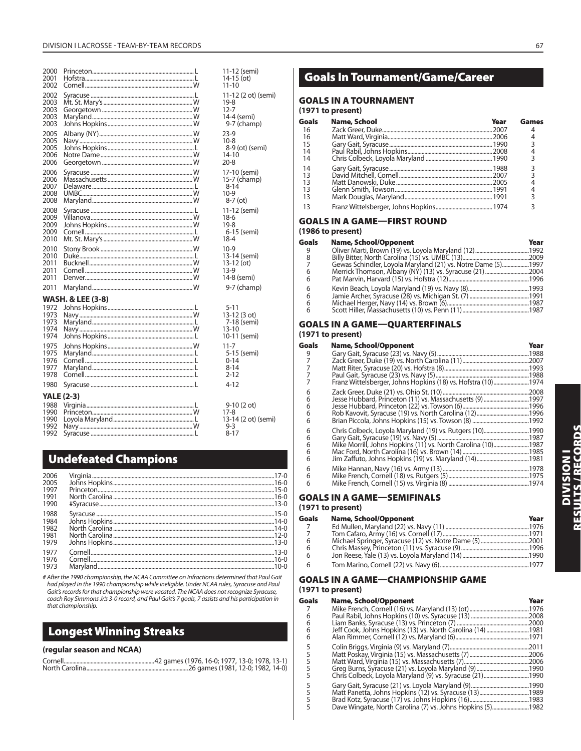| 2000<br>2001<br>2002                         |                              | $11 - 10$                                   | 11-12 (semi)<br>$14-15$ (ot)                      |
|----------------------------------------------|------------------------------|---------------------------------------------|---------------------------------------------------|
| 2002<br>2003<br>2003<br>2003<br>2003         |                              | 19-8<br>$12 - 7$                            | 11-12 (2 ot) (semi)<br>14-4 (semi)<br>9-7 (champ) |
| 2005<br>2005<br>2005<br>2006<br>2006         |                              | $23-9$<br>$10 - 8$<br>$14 - 10$<br>$20 - 8$ | 8-9 (ot) (semi)                                   |
| 2006<br>2006<br>2007<br>2008<br>2008         |                              | $8 - 14$<br>$10-9$                          | 17-10 (semi)<br>15-7 (champ)<br>$8-7$ (ot)        |
| 2008<br>2009<br>2009<br>2009<br>2010         |                              | 18-6<br>$19-8$<br>18-4                      | 11-12 (semi)<br>6-15 (semi)                       |
| 2010<br>2010<br>2011<br>2011<br>2011         |                              | $10-9$<br>$13-9$                            | 13-14 (semi)<br>13-12 (ot)<br>14-8 (semi)         |
| 2011                                         |                              |                                             | 9-7 (champ)                                       |
| 1972<br>1973<br>1973<br>1974<br>1974<br>1975 | <b>WASH. &amp; LEE (3-8)</b> | $5 - 11$<br>13-10<br>$11 - 7$               | 13-12 (3 ot)<br>7-18 (semi)<br>10-11 (semi)       |
| 1975<br>1976<br>1977<br>1978                 |                              | $0 - 14$<br>$8 - 14$<br>2-12                | 5-15 (semi)                                       |
| 1980                                         |                              | $4 - 12$                                    |                                                   |
| 1988<br>1990<br>1990<br>1992<br>1992         | <b>YALE (2-3)</b>            | $17-8$<br>$9 - 3$<br>$8 - 17$               | $9-10(2 ot)$<br>13-14 (2 ot) (semi)               |

## **Undefeated Champions**

| 2006<br>2005                         |  |
|--------------------------------------|--|
| 1997<br>1991<br>1990                 |  |
| 1988<br>1984<br>1982<br>1981<br>1979 |  |
| 1977<br>1976<br>1973                 |  |

# After the 1990 championship, the NCAA Committee on Infractions determined that Paul Gait had played in the 1990 championship while ineligible. Under NCAA rules, Syracuse and Paul Gait's records for that championship were vacated. The NCAA does not recognize Syracuse, coach Roy Simmons Jr.'s 3-0 record, and Paul Gait's 7 goals, 7 assists and his participation in that championship.

## **Longest Winning Streaks**

#### **(regular season and NCAA)**

## **Goals In Tournament/Game/Career**

#### **GOALS IN A TOURNAMENT**

#### **(1971 to present)**

| Goals | <b>Name, School</b> | Year | Games |
|-------|---------------------|------|-------|
| 16    |                     |      |       |
| 16    |                     |      |       |
| 15    |                     |      | 3     |
| 14    |                     |      |       |
| 14    |                     |      |       |
| 14    |                     |      |       |
| 13    |                     |      | 3     |
| 13    |                     |      |       |
| 13    |                     |      |       |
| 13    |                     |      |       |
| 13    |                     |      |       |

## **GOALS IN A GAME—FIRST ROUND**

## **(1986 to present)**

|                                                              | Year                         |
|--------------------------------------------------------------|------------------------------|
|                                                              |                              |
|                                                              |                              |
| Gewas Schindler, Loyola Maryland (21) vs. Notre Dame (5)1997 |                              |
|                                                              |                              |
|                                                              |                              |
|                                                              |                              |
|                                                              |                              |
|                                                              |                              |
|                                                              |                              |
|                                                              | <b>Name, School/Opponent</b> |

#### **GOALS IN A GAME—QUARTERFINALS (1971 to present)**

| <b>Name, School/Opponent</b> | Year                                                                                                                                                                                     |
|------------------------------|------------------------------------------------------------------------------------------------------------------------------------------------------------------------------------------|
|                              |                                                                                                                                                                                          |
|                              |                                                                                                                                                                                          |
|                              |                                                                                                                                                                                          |
|                              |                                                                                                                                                                                          |
|                              |                                                                                                                                                                                          |
|                              |                                                                                                                                                                                          |
|                              |                                                                                                                                                                                          |
|                              |                                                                                                                                                                                          |
|                              |                                                                                                                                                                                          |
|                              |                                                                                                                                                                                          |
|                              |                                                                                                                                                                                          |
|                              |                                                                                                                                                                                          |
|                              |                                                                                                                                                                                          |
|                              |                                                                                                                                                                                          |
|                              |                                                                                                                                                                                          |
|                              |                                                                                                                                                                                          |
|                              |                                                                                                                                                                                          |
|                              |                                                                                                                                                                                          |
|                              | Franz Wittelsberger, Johns Hopkins (18) vs. Hofstra (10)1974<br>Jesse Hubbard, Princeton (11) vs. Massachusetts (9) 1997<br>Mike Morrill, Johns Hopkins (11) vs. North Carolina (10)1987 |

## **GOALS IN A GAME—SEMIFINALS**

#### **(1971 to present)**

| Goals | <b>Name, School/Opponent</b> | Year |
|-------|------------------------------|------|
|       |                              |      |
|       |                              |      |
| 6     |                              |      |
| 6     |                              |      |
| 6     |                              |      |
| 6     |                              |      |

## **GOALS IN A GAME—CHAMPIONSHIP GAME**

## **(1971 to present)**

| Goals         | <b>Name, School/Opponent</b>                               | Year |
|---------------|------------------------------------------------------------|------|
|               |                                                            |      |
| 6             |                                                            |      |
| 6             |                                                            |      |
| 6             | Jeff Cook, Johns Hopkins (13) vs. North Carolina (14) 1981 |      |
| 6             |                                                            |      |
| 5             |                                                            |      |
|               |                                                            |      |
| $\frac{5}{5}$ |                                                            | 2006 |
| 5             |                                                            |      |
| 5             | Chris Colbeck, Loyola Maryland (9) vs. Syracuse (21)1990   |      |
| 5             |                                                            |      |
| 5             |                                                            |      |
| 5             |                                                            |      |
| 5             | Dave Wingate, North Carolina (7) vs. Johns Hopkins (5)1982 |      |
|               |                                                            |      |

# V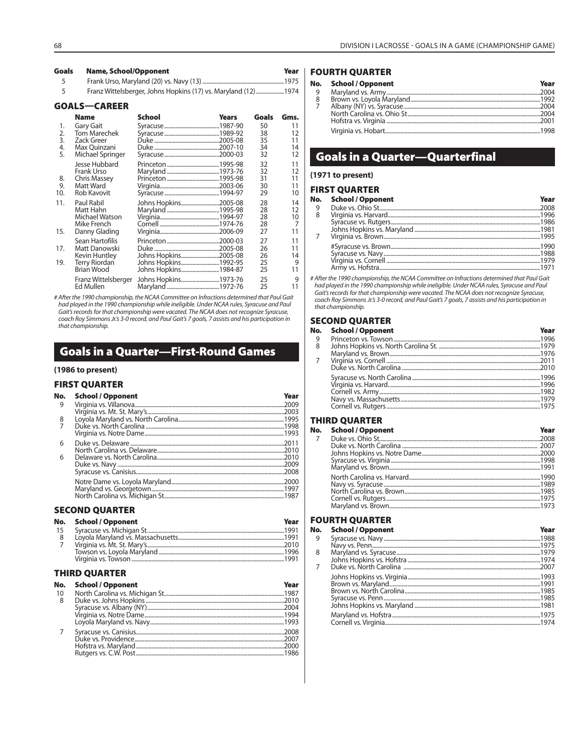Year

#### **Goals Name, School/Opponent** Frank Urso, Maryland (20) vs. Navy (13) ... 5

 $\overline{5}$ Franz Wittelsberger, Johns Hopkins (17) vs. Maryland (12) ........... ...1974

#### **GOALS-CAREER**

|     | <b>Name</b>         | School               | Years | Goals | Gms. |
|-----|---------------------|----------------------|-------|-------|------|
| 1.  | Gary Gait           |                      |       | 50    | 11   |
| 2.  | <b>Tom Marechek</b> |                      |       | 38    | 12   |
| 3.  | <b>Zack Greer</b>   |                      |       | 35    | 11   |
| 4.  | Max Quinzani        |                      |       | 34    | 14   |
| 5.  | Michael Springer    |                      |       | 32    | 12   |
|     | Jesse Hubbard       |                      |       | 32    | 11   |
|     | Frank Urso          |                      |       | 32    | 12   |
| 8.  | Chris Massey        |                      |       | 31    | 11   |
| 9.  | Matt Ward           |                      |       | 30    | 11   |
| 10. | Rob Kavovit         |                      |       | 29    | 10   |
| 11. | Paul Rabil          | Johns Hopkins2005-08 |       | 28    | 14   |
|     | Matt Hahn           |                      |       | 28    | 12   |
|     | Michael Watson      |                      |       | 28    | 10   |
|     | Mike French         |                      |       | 28    | 7    |
| 15. | Danny Glading       |                      |       | 27    | 11   |
|     | Sean Hartofilis     |                      |       | 27    | 11   |
| 17. | Matt Danowski       |                      |       | 26    | 11   |
|     | Kevin Huntley       | Johns Hopkins2005-08 |       | 26    | 14   |
| 19. | Terry Riordan       | Johns Hopkins1992-95 |       | 25    | 9    |
|     | <b>Brian Wood</b>   | Johns Hopkins1984-87 |       | 25    | 11   |
|     | Franz Wittelsberger | Johns Hopkins1973-76 |       | 25    | 9    |
|     | Ed Mullen           |                      |       | 25    | 11   |

# After the 1990 championship, the NCAA Committee on Infractions determined that Paul Gait had played in the 1990 championship while ineligible. Under NCAA rules, Syracuse and Paul Gait's records for that championship were vacated. The NCAA does not recognize Syracuse, coach Roy Simmons Jr.'s 3-0 record, and Pau that championship.

## **Goals in a Quarter-First-Round Games**

#### (1986 to present)

#### **FIRST QUARTER**

| No. | <b>School / Opponent</b> | Year |
|-----|--------------------------|------|
| 9   |                          |      |
|     |                          |      |
| 8   |                          |      |
|     |                          |      |
|     |                          |      |
| 6   |                          |      |
|     |                          |      |
| 6   |                          |      |
|     |                          |      |
|     |                          |      |
|     |                          |      |
|     |                          |      |
|     |                          |      |

#### **SECOND QUARTER**

|    | No. School / Opponent | Year |
|----|-----------------------|------|
| 15 |                       |      |
|    |                       |      |
|    |                       |      |
|    |                       |      |
|    |                       |      |

## **THIRD QUARTER**

| No. | <b>School / Opponent</b> | Year |
|-----|--------------------------|------|
| -10 |                          |      |
| 8   |                          |      |
|     |                          |      |
|     |                          |      |
|     |                          |      |
|     |                          |      |
|     |                          |      |
|     |                          |      |
|     |                          |      |

## **FOURTH QUARTER**

Year

.1975

#### **School / Opponent** No.

| 8 |  |
|---|--|
|   |  |
|   |  |
|   |  |
|   |  |

## **Goals in a Quarter-Quarterfinal**

#### (1971 to present)

#### **FIRST OUARTER**

|   | No. School / Opponent | Year |
|---|-----------------------|------|
|   |                       |      |
| 8 |                       |      |
|   |                       |      |
|   |                       |      |
|   |                       |      |
|   |                       |      |
|   |                       |      |
|   |                       |      |
|   |                       |      |
|   |                       |      |

# After the 1990 championship, the NCAA Committee on Infractions determined that Paul Gait had played in the 1990 championship while ineligible. Under NCAA rules, Syracuse and Paul Gait's records for that championship were vacated. The NCAA does not recognize Syracuse, coach Roy Simmons Jr.'s 3-0 record, and Paul Gait's 7 goals, 7 assists and his participation in that championship.

#### **SECOND QUARTER**

|   | No. School / Opponent | Year |
|---|-----------------------|------|
| 9 |                       |      |
| 8 |                       |      |
|   |                       |      |
|   |                       |      |
|   |                       |      |
|   |                       |      |
|   |                       |      |
|   |                       |      |
|   |                       |      |
|   |                       |      |

#### **THIRD QUARTER**

|                | No. School / Opponent | Year |
|----------------|-----------------------|------|
| $\overline{7}$ |                       |      |
|                |                       |      |
|                |                       |      |
|                |                       |      |
|                |                       |      |
|                |                       |      |
|                |                       |      |
|                |                       |      |
|                |                       |      |
|                |                       |      |
|                |                       |      |

## **FOURTH QUARTER**

| No. | <b>School / Opponent</b> | Year |
|-----|--------------------------|------|
| 9   |                          |      |
|     |                          |      |
| 8   |                          |      |
|     |                          |      |
| 7   |                          |      |
|     |                          |      |
|     |                          |      |
|     |                          |      |
|     |                          |      |
|     |                          |      |
|     |                          |      |
|     |                          |      |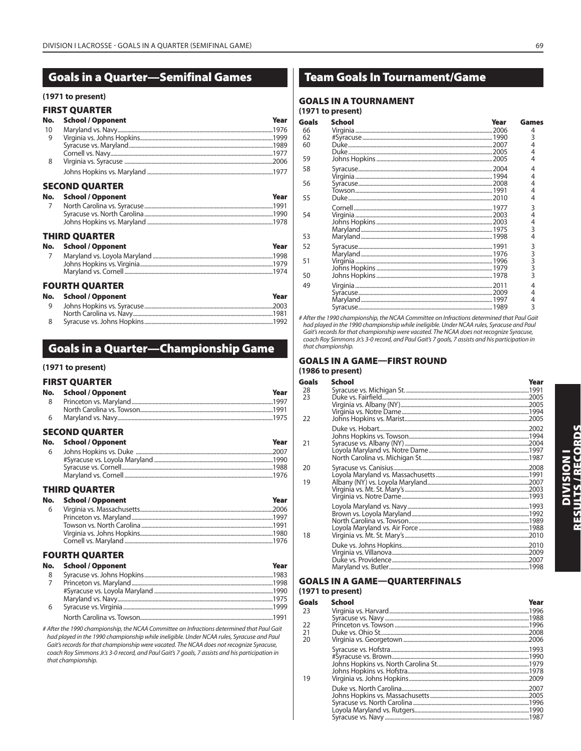#### 69

## **Goals in a Quarter—Semifinal Games**

#### (1971 to present)

#### **EIDCT OILADTED**

| No.            | School / Opponent            | Year |
|----------------|------------------------------|------|
| 10             |                              |      |
| 9              |                              |      |
|                |                              |      |
|                |                              |      |
| 8              |                              |      |
|                |                              |      |
|                | <b>SECOND QUARTER</b>        |      |
| No.            | <b>School / Opponent</b>     | Year |
| $\overline{7}$ |                              |      |
|                |                              |      |
|                |                              |      |
|                | <b>THIRD QUARTER</b>         |      |
|                | No. School / Opponent        | Year |
| 7              |                              |      |
|                |                              |      |
|                |                              |      |
|                | <b>FOURTH QUARTER</b>        |      |
|                | No. School / Opponent        | Year |
|                | 9 Iohns Honkins vs. Syracuse | 2003 |

| <u>COOS Sunname (COOS) = 20 US = 20 US = 20 US = 20 US = 20 US = 20 US = 20 US = 20 US = 20 US = 20 US = 20 US =</u> |  |
|----------------------------------------------------------------------------------------------------------------------|--|
|                                                                                                                      |  |
|                                                                                                                      |  |
|                                                                                                                      |  |

## **Goals in a Quarter-Championship Game**

#### (1971 to present)

#### **FIRST QUARTER**

| No. | <b>School / Opponent</b> | Year |
|-----|--------------------------|------|
| - 8 |                          |      |
|     |                          |      |
| 6   |                          |      |
|     | <b>SECOND QUARTER</b>    |      |
|     | No. School / Opponent    | Year |
| 6   |                          |      |

#### Maryland vs. Cornell. **THIRD OUARTER**

Syracuse vs. Cornell.

#Syracuse vs. Loyola Maryland ..

|     | No. School / Opponent | Year |
|-----|-----------------------|------|
| - 6 |                       |      |
|     |                       |      |
|     |                       |      |
|     |                       |      |
|     |                       |      |
|     |                       |      |

#### **FOURTH QUARTER**

|   | No. School / Opponent | Year |
|---|-----------------------|------|
| 8 |                       |      |
|   |                       |      |
|   |                       |      |
|   |                       |      |
| 6 |                       |      |
|   |                       |      |

# After the 1990 championship, the NCAA Committee on Infractions determined that Paul Gait had played in the 1990 championship while ineligible. Under NCAA rules, Syracuse and Paul Gait's records for that championship were vacated. The NCAA does not recognize Syracuse, coach Roy Simmons Jr's 3-0 record, and Paul Gait's 7 goals, 7 assists and his participation in that championship.

## **Team Goals In Tournament/Game**

#### **GOALS IN A TOURNAMENT**

#### (1971 to present)

| Goals | School                                                                                                                                                                                                                            | Year | Games |
|-------|-----------------------------------------------------------------------------------------------------------------------------------------------------------------------------------------------------------------------------------|------|-------|
| 66    |                                                                                                                                                                                                                                   |      | 4     |
| 62    |                                                                                                                                                                                                                                   |      | 3     |
| 60    |                                                                                                                                                                                                                                   |      | 4     |
|       |                                                                                                                                                                                                                                   |      | 4     |
| 59    |                                                                                                                                                                                                                                   |      |       |
| 58    |                                                                                                                                                                                                                                   |      | 4     |
|       |                                                                                                                                                                                                                                   |      | 4     |
| 56    |                                                                                                                                                                                                                                   |      | 4     |
|       |                                                                                                                                                                                                                                   |      |       |
| 55    |                                                                                                                                                                                                                                   |      | 4     |
|       |                                                                                                                                                                                                                                   |      | 3     |
| 54    |                                                                                                                                                                                                                                   |      | 4     |
|       |                                                                                                                                                                                                                                   |      | 4     |
|       |                                                                                                                                                                                                                                   |      | 3     |
| 53    |                                                                                                                                                                                                                                   |      | 4     |
| 52    |                                                                                                                                                                                                                                   |      |       |
|       |                                                                                                                                                                                                                                   |      | 3333  |
| 51    |                                                                                                                                                                                                                                   |      |       |
|       |                                                                                                                                                                                                                                   |      |       |
| 50    |                                                                                                                                                                                                                                   |      |       |
| 49    |                                                                                                                                                                                                                                   |      | 4     |
|       |                                                                                                                                                                                                                                   |      | 4     |
|       |                                                                                                                                                                                                                                   |      |       |
|       |                                                                                                                                                                                                                                   |      | 3     |
|       | $\frac{1}{2}$ . The contract of the contract of the contract of the contract of the contract of the contract of the contract of the contract of the contract of the contract of the contract of the contract of the contract of t |      |       |

# After the 1990 championship, the NCAA Committee on Infractions determined that Paul Gait had played in the 1990 championship while ineligible. Under NCAA rules, Syracuse and Paul Gait's records for that championship were vacated. The NCAA does not recognize Syracuse, coach Roy Simmons Jr.'s 3-0 record, and Paul Gait's 7 goals, 7 assists and his participation in that championship.

#### **GOALS IN A GAME-FIRST ROUND** (1986 to present)

#### **Goals School** Year 28 Syracuse vs. Michigan St... .1991  $23$ Duke vs. Fairfield. 2005 Virginia vs. Albany (NY). 2005 Virginia vs. Notre Dame. 1994. 22 Johns Hopkins vs. Marist. .2005 Duke vs. Hobart.. .2002 Johns Hopkins vs. Towson... 1994 Syracuse vs. Albany (NY). 21 .2004 Loyola Maryland vs. Notre Dame.... .1997 North Carolina vs. Michigan St...... .1987  $20$ Syracuse vs. Canisius .2008 Loyola Maryland vs. Massachusetts... .1991 19 Albany (NY) vs. Loyola Maryland..... .2007 Virginia vs. Mt. St. Mary's. 2003 Virginia vs. Notre Dame. .1993 .1993 Loyola Maryland vs. Navy. Brown vs. Loyola Maryland...... .1992 North Carolina vs. Towson... .1989 Loyola Maryland vs. Air Force..... .1988 18 Virginia vs. Mt. St. Mary's... .2010 Duke vs. Johns Hopkins.. .2010 Virginia vs. Villanova... .2009 Duke vs. Providence. .2007 Maryland vs. Butler.. .1998

#### **GOALS IN A GAME-QUARTERFINALS**

#### (1971 to present)

.1990

1988

.1976

| Goals | <b>School</b> | Year |
|-------|---------------|------|
| 23    |               |      |
|       |               |      |
| 22    |               |      |
| 21    |               |      |
| 20    |               |      |
|       |               |      |
|       |               |      |
|       |               |      |
|       |               |      |
| 19    |               |      |
|       |               |      |
|       |               |      |
|       |               |      |
|       |               |      |
|       |               |      |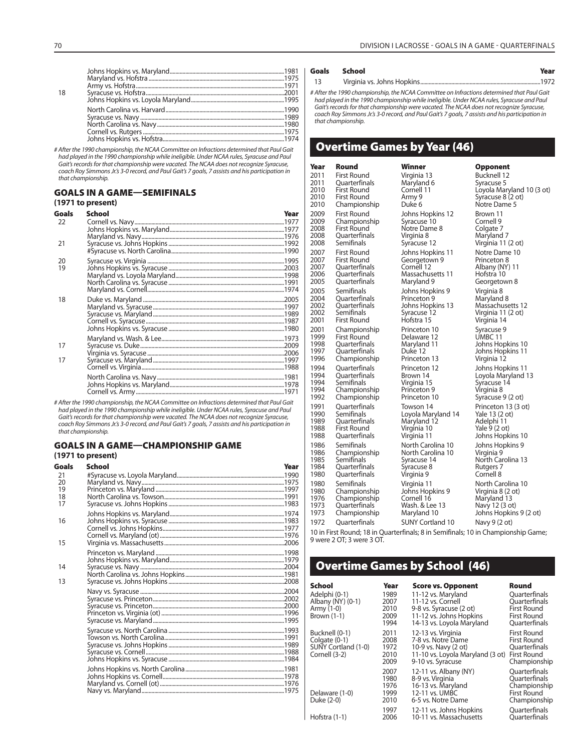| 18 |  |
|----|--|
|    |  |
|    |  |
|    |  |
|    |  |
|    |  |
|    |  |
|    |  |

# After the 1990 championship, the NCAA Committee on Infractions determined that Paul Gait had played in the 1990 championship while ineligible. Under NCAA rules, Syracuse and Paul Gait's records for that championship were vacated. The NCAA does not recognize Syracuse, coach Roy Simmons Jr.'s 3-0 record, and Paul Gait's 7 goals, 7 assists and his participation in that championship.

## **GOALS IN A GAME—SEMIFINALS**

## **(1971 to present)**

| Goals | School | Year |
|-------|--------|------|
| 22    |        |      |
|       |        |      |
|       |        |      |
| 21    |        |      |
|       |        |      |
| 20    |        |      |
| 19    |        |      |
|       |        |      |
|       |        |      |
|       |        |      |
| 18    |        |      |
|       |        |      |
|       |        |      |
|       |        |      |
|       |        |      |
|       |        |      |
| 17    |        |      |
|       |        |      |
| 17    |        |      |
|       |        |      |
|       |        |      |
|       |        |      |
|       |        |      |
|       |        |      |

# After the 1990 championship, the NCAA Committee on Infractions determined that Paul Gait had played in the 1990 championship while ineligible. Under NCAA rules, Syracuse and Paul Gait's records for that championship were vacated. The NCAA does not recognize Syracuse, coach Roy Simmons Jr.'s 3-0 record, and Paul Gait's 7 goals, 7 assists and his participation in that championship.

#### **GOALS IN A GAME—CHAMPIONSHIP GAME**

## **(1971 to present)**

| Goals    | School | Year |
|----------|--------|------|
| 21       |        |      |
| 20       |        |      |
| 19       |        |      |
| 18<br>17 |        |      |
|          |        |      |
| 16       |        |      |
|          |        |      |
| 15       |        |      |
|          |        |      |
| 14       |        |      |
|          |        |      |
| 13       |        |      |
|          |        |      |
|          |        |      |
|          |        |      |
|          |        |      |
|          |        |      |
|          |        |      |
|          |        |      |
|          |        |      |
|          |        |      |
|          |        |      |
|          |        |      |
|          |        |      |

#### **Goals School Year**

13 Virginia vs. Johns Hopkins .....................................................................................1972

# After the 1990 championship, the NCAA Committee on Infractions determined that Paul Gait had played in the 1990 championship while ineligible. Under NCAA rules, Syracuse and Paul

Gait's records for that championship were vacated. The NCAA does not recognize Syracuse, coach Roy Simmons Jr.'s 3-0 record, and Paul Gait's 7 goals, 7 assists and his participation in that championship.

## **Overtime Games by Year (46)**

| Year | Round              | Winner                  | Opponent            |
|------|--------------------|-------------------------|---------------------|
| 2011 | <b>First Round</b> | Virginia 13             | Bucknell 12         |
| 2011 | Quarterfinals      | Maryland 6              | Syracuse 5          |
| 2010 | First Round        | Cornell 11              | Loyola Maryland 10  |
| 2010 | First Round        | Army 9                  | Syracuse 8 (2 ot)   |
| 2010 | Championship       | Duke 6                  | Notre Dame 5        |
| 2009 | First Round        | Johns Hopkins 12        | Brown 11            |
| 2009 | Championship       | Syracuse 10             | Cornell 9           |
| 2008 | First Round        | Notre Dame 8            | Colgate 7           |
| 2008 | Ouarterfinals      | Virginia 8              | Maryland 7          |
| 2008 | Semifinals         | Syracuse 12             | Virginia 11 (2 ot)  |
| 2007 | First Round        | Johns Hopkins 11        | Notre Dame 10       |
| 2007 | First Round        | Georgetown 9            | Princeton 8         |
| 2007 | Ouarterfinals      | Cornell 12              | Albany (NY) 11      |
| 2006 | Quarterfinals      | Massachusetts 11        | Hofstra 10          |
| 2005 | Ouarterfinals      | Maryland 9              | Georgetown 8        |
| 2005 | Semifinals         | Johns Hopkins 9         | Virginia 8          |
| 2004 | Quarterfinals      | Princeton 9             | Maryland 8          |
| 2002 | Quarterfinals      | Johns Hopkins 13        | Massachusetts 12    |
| 2002 | Semifinals         | Syracuse 12             | Virginia 11 (2 ot)  |
| 2001 | <b>First Round</b> | Hofstra 15              | Virginia 14         |
| 2001 | Championship       | Princeton 10            | Syracuse 9          |
| 1999 | First Round        | Delaware 12             | UMBC 11             |
| 1998 | Ouarterfinals      | Maryland 11             | Johns Hopkins 10    |
| 1997 | Quarterfinals      | Duke 12                 | Johns Hopkins 11    |
| 1996 | Championship       | Princeton 13            | Virginia 12         |
| 1994 | Quarterfinals      | Princeton 12            | Johns Hopkins 11    |
| 1994 | Quarterfinals      | Brown 14                | Loyola Maryland 13  |
| 1994 | Semifinals         | Virginia 15             | Syracuse 14         |
| 1994 | Championship       | Princeton 9             | Virginia 8          |
| 1992 | Championship       | Princeton 10            | Syracuse 9 (2 ot)   |
| 1991 | Quarterfinals      | Towson 14               | Princeton 13 (3 ot) |
| 1990 | Semifinals         | Loyola Maryland 14      | Yale 13 (2 ot)      |
| 1989 | Quarterfinals      | Maryland 12             | Adelphi 11          |
| 1988 | First Round        | Virginia 10             | Yale 9 (2 ot)       |
| 1988 | Quarterfinals      | Virginia 11             | Johns Hopkins 10    |
| 1986 | Semifinals         | North Carolina 10       | Johns Hopkins 9     |
| 1986 | Championship       | North Carolina 10       | Virginia 9          |
| 1985 | Semifinals         | Syracuse 14             | North Carolina 13   |
| 1984 | Quarterfinals      | Syracuse 8              | Rutgers 7           |
| 1980 | Quarterfinals      | Virginia 9              | Cornell 8           |
| 1980 | Semifinals         | Virginia 11             | North Carolina 10   |
| 1980 | Championship       | Johns Hopkins 9         | Virginia 8 (2 ot)   |
| 1976 | Championship       | Cornell 16              | Maryland 13         |
| 1973 | Quarterfinals      | Wash. & Lee 13          | Navy 12 (3 ot)      |
| 1973 | Championship       | Maryland 10             | Johns Hopkins 9 (2) |
| 1972 | Ouarterfinals      | <b>SUNY Cortland 10</b> | Navy 9 (2 ot)       |

**Opponent** Syracuse 5 Loyola Maryland 10 (3 ot) Syracuse 8 (2 ot) Notre Dame 5 Cornell 9 Colgate 7 Maryland 7 Virginia 11 (2 ot) Princeton 8 Albany (NY) 11 Hofstra 10 Georgetown 8 Maryland 8 2002 Quarterfinals Johns Hopkins 13 Massachusetts 12 Virginia 11 (2 ot) Virginia 14 Virginia 8 Syracuse 9 (2 ot) Yale 13 (2 ot)  $Yale 9 (2 ot)$ Johns Hopkins 9 Virginia 9 North Carolina 10  $Virqinia 8 (2 ot)$ Maryland 13 Navy  $12$   $(3$  ot) Johns Hopkins 9 (2 ot) Navy 9 (2 ot)

10 in First Round; 18 in Quarterfinals; 8 in Semifinals; 10 in Championship Game; 9 were 2 OT; 3 were 3 OT.

## **Overtime Games by School (46)**

| School<br>Adelphi (0-1)<br>Albany (NY) (0-1)<br>Army (1-0)<br><b>Brown</b> (1-1) | Year<br>1989<br>2007<br>2010<br>2009<br>1994         | <b>Score vs. Opponent</b><br>11-12 vs. Maryland<br>11-12 vs. Cornell<br>9-8 vs. Syracuse (2 ot)<br>11-12 vs. Johns Hopkins<br>14-13 vs. Loyola Maryland       | Round<br>Ouarterfinals<br>Ouarterfinals<br><b>First Round</b><br>First Round<br>Ouarterfinals                          |
|----------------------------------------------------------------------------------|------------------------------------------------------|---------------------------------------------------------------------------------------------------------------------------------------------------------------|------------------------------------------------------------------------------------------------------------------------|
| Bucknell (0-1)<br>Colgate (0-1)<br>SUÑY Cortland (1-0)<br>Cornell (3-2)          | 2011<br>2008<br>1972<br>2010<br>2009                 | 12-13 vs. Virginia<br>7-8 vs. Notre Dame<br>10-9 vs. Navy (2 ot)<br>11-10 vs. Loyola Maryland (3 ot)<br>9-10 vs. Syracuse                                     | First Round<br><b>First Round</b><br>Ouarterfinals<br>First Round<br>Championship                                      |
| Delaware (1-0)<br>Duke (2-0)<br>Hofstra (1-1)                                    | 2007<br>1980<br>1976<br>1999<br>2010<br>1997<br>2006 | 12-11 vs. Albany (NY)<br>8-9 vs. Virginia<br>16-13 vs. Maryland<br>12-11 vs. UMBC<br>6-5 vs. Notre Dame<br>12-11 vs. Johns Hopkins<br>10-11 vs. Massachusetts | Ouarterfinals<br>Ouarterfinals<br>Championship<br><b>First Round</b><br>Championship<br>Ouarterfinals<br>Ouarterfinals |
|                                                                                  |                                                      |                                                                                                                                                               |                                                                                                                        |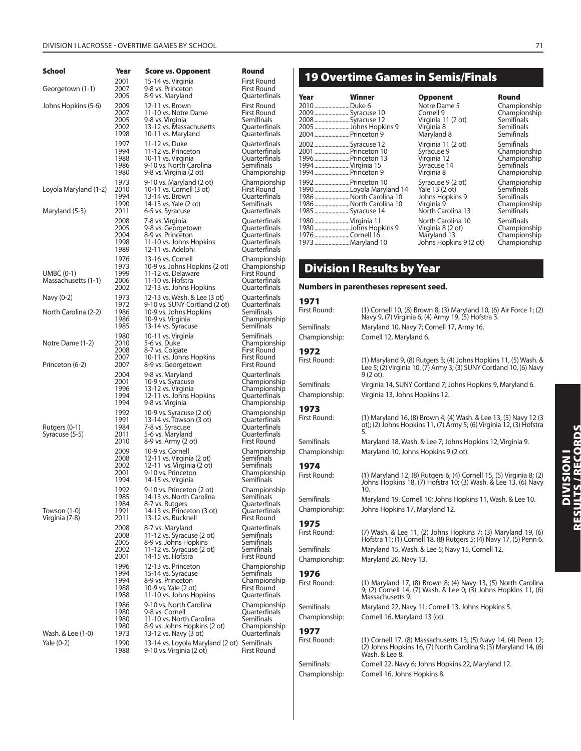| School                                  | Year                                 | <b>Score vs. Opponent</b>                                                                                                          | Round                                                                              |
|-----------------------------------------|--------------------------------------|------------------------------------------------------------------------------------------------------------------------------------|------------------------------------------------------------------------------------|
| Georgetown (1-1)                        | 2001                                 | 15-14 vs. Virginia                                                                                                                 | First Round                                                                        |
|                                         | 2007                                 | 9-8 vs. Princeton                                                                                                                  | First Round                                                                        |
|                                         | 2005                                 | 8-9 vs. Maryland                                                                                                                   | Quarterfinals                                                                      |
| Johns Hopkins (5-6)                     | 2009                                 | 12-11 vs. Brown                                                                                                                    | First Round                                                                        |
|                                         | 2007                                 | 11-10 vs. Notre Dame                                                                                                               | First Round                                                                        |
|                                         | 2005                                 | 9-8 vs. Virginia                                                                                                                   | Semifinals                                                                         |
|                                         | 2002                                 | 13-12 vs. Massachusetts                                                                                                            | Quarterfinals                                                                      |
|                                         | 1998                                 | 10-11 vs. Maryland                                                                                                                 | Quarterfinals                                                                      |
|                                         | 1997                                 | 11-12 vs. Duke                                                                                                                     | Quarterfinals                                                                      |
|                                         | 1994                                 | 11-12 vs. Princeton                                                                                                                | Quarterfinals                                                                      |
|                                         | 1988                                 | 10-11 vs. Virginia                                                                                                                 | Quarterfinals                                                                      |
|                                         | 1986                                 | 9-10 vs. North Carolina                                                                                                            | Semifinals                                                                         |
|                                         | 1980                                 | 9-8 vs. Virginia (2 ot)                                                                                                            | Championship                                                                       |
| Loyola Maryland (1-2)<br>Maryland (5-3) | 1973<br>2010<br>1994<br>1990<br>2011 | 9-10 vs. Maryland (2 ot)<br>10-11 vs. Cornell (3 ot)<br>13-14 vs. Brown<br>14-13 vs. Yale (2 ot)<br>6-5 vs. Syracuse               | Championship<br>First Round<br>Quarterfinals<br>Semifinals<br>Quarterfinals        |
|                                         | 2008                                 | 7-8 vs. Virginia                                                                                                                   | Quarterfinals                                                                      |
|                                         | 2005                                 | 9-8 vs. Georgetown                                                                                                                 | Quarterfinals                                                                      |
|                                         | 2004                                 | 8-9 vs. Princeton                                                                                                                  | Quarterfinals                                                                      |
|                                         | 1998                                 | 11-10 vs. Johns Hopkins                                                                                                            | Quarterfinals                                                                      |
|                                         | 1989                                 | 12-11 vs. Adelphi                                                                                                                  | Quarterfinals                                                                      |
| UMBC (0-1)<br>Massachusetts (1-1)       | 1976<br>1973<br>1999<br>2006<br>2002 | 13-16 vs. Cornell<br>10-9 vs. Johns Hopkins (2 ot)<br>11-12 vs. Delaware<br>11-10 vs. Hofstra<br>12-13 vs. Johns Hopkins           | Championship<br>Championship<br>First Round<br>Quarterfinals<br>Quarterfinals      |
| Navy (0-2)<br>North Carolina (2-2)      | 1973<br>1972<br>1986<br>1986<br>1985 | 12-13 vs. Wash. & Lee (3 ot)<br>9-10 vs. SUNY Cortland (2 ot)<br>10-9 vs. Johns Hopkins<br>10-9 vs. Virginia<br>13-14 vs. Syracuse | Quarterfinals<br>Quarterfinals<br>Semifinals<br>Championship<br>Semifinals         |
| Notre Dame (1-2)<br>Princeton (6-2)     | 1980<br>2010<br>2008<br>2007<br>2007 | 10-11 vs. Virginia<br>5-6 vs. Duke<br>8-7 vs. Colgate<br>10-11 vs. Johns Hopkins<br>8-9 vs. Georgetown                             | Semifinals<br>Championship<br>First Round<br>First Round<br>First Round            |
|                                         | 2004                                 | 9-8 vs. Maryland                                                                                                                   | Quarterfinals                                                                      |
|                                         | 2001                                 | 10-9 vs. Syracuse                                                                                                                  | Championship                                                                       |
|                                         | 1996                                 | 13-12 vs. Virginia                                                                                                                 | Championship                                                                       |
|                                         | 1994                                 | 12-11 vs. Johns Hopkins                                                                                                            | Quarterfinals                                                                      |
|                                         | 1994                                 | 9-8 vs. Virginia                                                                                                                   | Championship                                                                       |
| Rutgers (0-1)<br>Syracuse (5-5)         | 1992<br>1991<br>1984<br>2011<br>2010 | 10-9 vs. Syracuse (2 ot)<br>13-14 vs. Towson (3 ot)<br>7-8 vs. Syracuse<br>5-6 vs. Maryland<br>8-9 vs. Army (2 ot)                 | Championship<br>Quarterfinals<br>Quarterfinals<br>Quarterfinals<br>First Round     |
|                                         | 2009                                 | 10-9 vs. Cornell                                                                                                                   | Championship                                                                       |
|                                         | 2008                                 | 12-11 vs. Virginia (2 ot)                                                                                                          | Semifinals                                                                         |
|                                         | 2002                                 | 12-11 vs. Virginia (2 ot)                                                                                                          | Semifinals                                                                         |
|                                         | 2001                                 | 9-10 vs. Princeton                                                                                                                 | Championship                                                                       |
|                                         | 1994                                 | 14-15 vs. Virginia                                                                                                                 | Semifinals                                                                         |
| Towson (1-0)<br>Virginia (7-8)          | 1992<br>1985<br>1984<br>1991<br>2011 | 9-10 vs. Princeton (2 ot)<br>14-13 vs. North Carolina<br>8-7 vs. Rutgers<br>14-13 vs. Princeton (3 ot)<br>13-12 vs. Bucknell       | Championship<br>Semifinals<br>Quarterfinals<br>Quarterfinals<br><b>First Round</b> |
|                                         | 2008                                 | 8-7 vs. Maryland                                                                                                                   | Quarterfinals                                                                      |
|                                         | 2008                                 | 11-12 vs. Syracuse (2 ot)                                                                                                          | Semifinals                                                                         |
|                                         | 2005                                 | 8-9 vs. Johns Hopkins                                                                                                              | Semifinals                                                                         |
|                                         | 2002                                 | 11-12 vs. Syracuse (2 ot)                                                                                                          | Semifinals                                                                         |
|                                         | 2001                                 | 14-15 vs. Hofstra                                                                                                                  | First Round                                                                        |
|                                         | 1996                                 | 12-13 vs. Princeton                                                                                                                | Championship                                                                       |
|                                         | 1994                                 | 15-14 vs. Syracuse                                                                                                                 | Semifinals                                                                         |
|                                         | 1994                                 | 8-9 vs. Princeton                                                                                                                  | Championship                                                                       |
|                                         | 1988                                 | 10-9 vs. Yale (2 ot)                                                                                                               | First Round                                                                        |
|                                         | 1988                                 | 11-10 vs. Johns Hopkins                                                                                                            | Quarterfinals                                                                      |
| Wash. & Lee (1-0)                       | 1986                                 | 9-10 vs. North Carolina                                                                                                            | Championship                                                                       |
|                                         | 1980                                 | 9-8 vs. Cornell                                                                                                                    | Quarterfinals                                                                      |
|                                         | 1980                                 | 11-10 vs. North Carolina                                                                                                           | Semifinals                                                                         |
|                                         | 1980                                 | 8-9 vs. Johns Hopkins (2 ot)                                                                                                       | Championship                                                                       |
|                                         | 1973                                 | 13-12 vs. Navy (3 ot)                                                                                                              | Quarterfinals                                                                      |
| Yale (0-2)                              | 1990<br>1988                         | 13-14 vs. Loyola Maryland (2 ot) Semifinals<br>9-10 vs. Virginia (2 ot)                                                            | First Round                                                                        |

## **19 Overtime Games in Semis/Finals**

| Year                                                                                             | Winner                                                                   | <b>Opponent</b>                                                                           | Round                                                                         |
|--------------------------------------------------------------------------------------------------|--------------------------------------------------------------------------|-------------------------------------------------------------------------------------------|-------------------------------------------------------------------------------|
| 2010 Duke 6<br>2009Syracuse 10<br>2008Syracuse 12<br>2004  Princeton 9                           | 2005 Johns Hopkins 9                                                     | Notre Dame 5<br>Cornell 9<br>Virginia 11 (2 ot)<br>Virginia 8<br>Maryland 8               | Championship<br>Championship<br>Semifinals<br>Semifinals<br>Semifinals        |
| 2002Syracuse 12<br>2001  Princeton 10<br>1996Princeton 13<br>1994 Virginia 15<br>1994Princeton 9 |                                                                          | Virginia 11 (2 ot)<br>Syracuse 9<br>Virginia 12<br>Syracuse 14<br>Virginia 8              | Semifinals<br>Championship<br>Championship<br>Semifinals<br>Championship      |
| 1992Princeton 10<br>1985Syracuse 14                                                              | 1990Loyola Maryland 14<br>1986North Carolina 10<br>1986North Carolina 10 | Syracuse 9 (2 ot)<br>Yale 13 (2 ot)<br>Johns Hopkins 9<br>Virginia 9<br>North Carolina 13 | Championship<br>Semifinals<br>Semifinals<br>Championship<br><b>Semifinals</b> |
| 1980Virginia 11<br>1976Cornell 16<br>1973Maryland 10                                             | 1980Johns Hopkins 9                                                      | North Carolina 10<br>Virginia 8 (2 ot)<br>Maryland 13<br>Johns Hopkins 9 (2 ot)           | Semifinals<br>Championship<br>Championship<br>Championship                    |

| <b>Opponent</b>        | Round        |
|------------------------|--------------|
| Notre Dame 5           | Championship |
| Cornell 9              | Championship |
| Virginia 11 (2 ot)     | Semifinals   |
| Virginia 8             | Semifinals   |
| Maryland 8             | Semifinals   |
| Virginia 11 (2 ot)     | Semifinals   |
| Syracuse 9             | Championship |
| Virginia 12            | Championship |
| Syracuse 14            | Semifinals   |
| Virginia 8             | Championship |
| Syracuse 9 (2 ot)      | Championship |
| Yale 13 (2 ot)         | Semifinals   |
| Johns Hopkins 9        | Semifinals   |
| Virginia 9             | Championship |
| North Carolina 13      | Semifinals   |
| North Carolina 10      | Semifinals   |
| Virginia 8 (2 ot)      | Championship |
| Maryland 13            | Championship |
| Johns Hopkins 9 (2 ot) | Championship |

## **Round** 2009 .........................Syracuse 10 Cornell 9 Championship **Semifinals Semifinals** Semifinals Semifinals

## **Division I Results by Year**

#### **Numbers in parentheses represent seed.**

| 1971          |                                                                                                                                                               |
|---------------|---------------------------------------------------------------------------------------------------------------------------------------------------------------|
| First Round:  | (1) Cornell 10, (8) Brown 8; (3) Maryland 10, (6) Air Force 1; (2)<br>Navy 9, (7) Virginia 6; (4) Army 19, (5) Hofstra 3.                                     |
| Semifinals:   | Maryland 10, Navy 7; Cornell 17, Army 16.                                                                                                                     |
| Championship: | Cornell 12, Maryland 6.                                                                                                                                       |
| 1972          |                                                                                                                                                               |
| First Round:  | (1) Maryland 9, (8) Rutgers 3; (4) Johns Hopkins 11, (5) Wash. &<br>Lee 5; (2) Virginia 10, (7) Army 3; (3) SUNY Cortland 10, (6) Navy<br>9 (2 ot).           |
| Semifinals:   | Virginia 14, SUNY Cortland 7; Johns Hopkins 9, Maryland 6.                                                                                                    |
| Championship: | Virginia 13, Johns Hopkins 12.                                                                                                                                |
| 1973          |                                                                                                                                                               |
| First Round:  | (1) Maryland 16, (8) Brown 4; (4) Wash. & Lee 13, (5) Navy 12 (3<br>ot); (2) Johns Hopkins 11, (7) Army 5; (6) Virginia 12, (3) Hofstra<br>5.                 |
| Semifinals:   | Maryland 18, Wash. & Lee 7; Johns Hopkins 12, Virginia 9.                                                                                                     |
| Championship: | Maryland 10, Johns Hopkins 9 (2 ot).                                                                                                                          |
| 1974          |                                                                                                                                                               |
| First Round:  | (1) Maryland 12, (8) Rutgers 6; (4) Cornell 15, (5) Virginia 8; (2)<br>Johns Hopkins 18, (7) Hofstra 10; (3) Wash. & Lee 13, (6) Navy<br>10.                  |
| Semifinals:   | Maryland 19, Cornell 10; Johns Hopkins 11, Wash. & Lee 10.                                                                                                    |
| Championship: | Johns Hopkins 17, Maryland 12.                                                                                                                                |
| 1975          |                                                                                                                                                               |
| First Round:  | (7) Wash. & Lee 11, (2) Johns Hopkins 7; (3) Maryland 19, (6)<br>Hofstra 11; (1) Cornell 18, (8) Rutgers 5; (4) Navy 17, (5) Penn 6.                          |
| Semifinals:   | Maryland 15, Wash. & Lee 5; Navy 15, Cornell 12.                                                                                                              |
| Championship: | Maryland 20, Navy 13.                                                                                                                                         |
| 1976          |                                                                                                                                                               |
| First Round:  | (1) Maryland 17, (8) Brown 8; (4) Navy 13, (5) North Carolina<br>9; (2) Cornell 14, (7) Wash. & Lee 0; (3) Johns Hopkins 11, (6)<br>Massachusetts 9.          |
| Semifinals:   | Maryland 22, Navy 11; Cornell 13, Johns Hopkins 5.                                                                                                            |
| Championship: | Cornell 16, Maryland 13 (ot).                                                                                                                                 |
| 1977          |                                                                                                                                                               |
| First Round:  | (1) Cornell 17, (8) Massachusetts 13; (5) Navy 14, (4) Penn 12;<br>$(2)$ Johns Hopkins 16, $(7)$ North Carolina 9; $(3)$ Maryland 14, $(6)$<br>Wash. & Lee 8. |
| Semifinals:   | Cornell 22, Navy 6; Johns Hopkins 22, Maryland 12.                                                                                                            |
| Championship: | Cornell 16, Johns Hopkins 8.                                                                                                                                  |

# DIVISION I<br>Results / Records **RESULTS / RECORDS DIVISION I**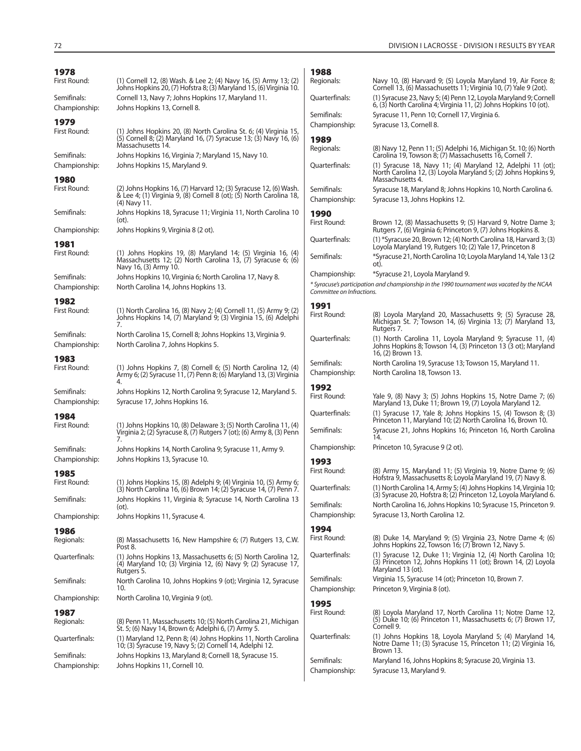| 1978                         |                                                                                                                                                              | 1988                         |                                                                                                                                                                |
|------------------------------|--------------------------------------------------------------------------------------------------------------------------------------------------------------|------------------------------|----------------------------------------------------------------------------------------------------------------------------------------------------------------|
| First Round:                 | (1) Cornell 12, (8) Wash. & Lee 2; (4) Navy 16, (5) Army 13; (2)<br>Johns Hopkins 20, (7) Hofstra 8; (3) Maryland 15, (6) Virginia 10.                       | Regionals:                   | Navy 10, (8) Harvard 9; (5) Loyola Maryland 19, Air Force 8;<br>Cornell 13, (6) Massachusetts 11; Virginia 10, (7) Yale 9 (2ot).                               |
| Semifinals:<br>Championship: | Cornell 13, Navy 7; Johns Hopkins 17, Maryland 11.<br>Johns Hopkins 13, Cornell 8.                                                                           | Quarterfinals:               | (1) Syracuse 23, Navy 5; (4) Penn 12, Loyola Maryland 9; Cornell<br>6, (3) North Carolina 4; Virginia 11, (2) Johns Hopkins 10 (ot).                           |
| 1979                         |                                                                                                                                                              | Semifinals:<br>Championship: | Syracuse 11, Penn 10; Cornell 17, Virginia 6.<br>Syracuse 13, Cornell 8.                                                                                       |
| First Round:                 | (1) Johns Hopkins 20, (8) North Carolina St. 6; (4) Virginia 15,<br>(5) Cornell 8; (2) Maryland 16, (7) Syracuse 13; (3) Navy 16, (6)                        | 1989                         |                                                                                                                                                                |
| Semifinals:                  | Massachusetts 14.<br>Johns Hopkins 16, Virginia 7; Maryland 15, Navy 10.                                                                                     | Regionals:                   | (8) Navy 12, Penn 11; (5) Adelphi 16, Michigan St. 10; (6) North<br>Carolina 19, Towson 8; (7) Massachusetts 16, Cornell 7.                                    |
| Championship:<br>1980        | Johns Hopkins 15, Maryland 9.                                                                                                                                | Quarterfinals:               | (1) Syracuse 18, Navy 11; (4) Maryland 12, Adelphi 11 (ot);<br>North Carolina 12, (3) Loyola Maryland 5; (2) Johns Hopkins 9,<br>Massachusetts 4.              |
| First Round:                 | (2) Johns Hopkins 16, (7) Harvard 12; (3) Syracuse 12, (6) Wash.<br>& Lee 4; (1) Virginia 9, (8) Cornell 8 (ot); (5) North Carolina 18,<br>(4) Navy 11.      | Semifinals:<br>Championship: | Syracuse 18, Maryland 8; Johns Hopkins 10, North Carolina 6.<br>Syracuse 13, Johns Hopkins 12.                                                                 |
| Semifinals:                  | Johns Hopkins 18, Syracuse 11; Virginia 11, North Carolina 10<br>(ot).                                                                                       | 1990<br>First Round:         | Brown 12, (8) Massachusetts 9; (5) Harvard 9, Notre Dame 3;                                                                                                    |
| Championship:                | Johns Hopkins 9, Virginia 8 (2 ot).                                                                                                                          |                              | Rutgers 7, (6) Virginia 6; Princeton 9, (7) Johns Hopkins 8.                                                                                                   |
| 1981                         |                                                                                                                                                              | Quarterfinals:               | (1) *Syracuse 20, Brown 12; (4) North Carolina 18, Harvard 3; (3)<br>Loyola Maryland 19, Rutgers 10; (2) Yale 17, Princeton 8                                  |
| First Round:                 | $(1)$ Johns Hopkins 19, $(8)$ Maryland 14; $(5)$ Virginia 16, $(4)$<br>Massachusetts 12; (2) North Carolina 13, (7) Syracuse 6; (6)<br>Navy 16, (3) Army 10. | Semifinals:                  | *Syracuse 21, North Carolina 10; Loyola Maryland 14, Yale 13 (2)<br>ot).                                                                                       |
| Semifinals:                  | Johns Hopkins 10, Virginia 6; North Carolina 17, Navy 8.                                                                                                     | Championship:                | *Syracuse 21, Loyola Maryland 9.                                                                                                                               |
| Championship:                | North Carolina 14, Johns Hopkins 13.                                                                                                                         | Committee on Infractions.    | * Syracuse's participation and championship in the 1990 tournament was vacated by the NCAA                                                                     |
| 1982<br>First Round:         | (1) North Carolina 16, (8) Navy 2; (4) Cornell 11, (5) Army 9; (2)<br>Johns Hopkins 14, (7) Maryland 9; (3) Virginia 15, (6) Adelphi<br>7.                   | 1991<br>First Round:         | (8) Loyola Maryland 20, Massachusetts 9; (5) Syracuse 28,<br>Michigan St. 7; Towson 14, (6) Virginia 13; (7) Maryland 13,                                      |
| Semifinals:<br>Championship: | North Carolina 15, Cornell 8; Johns Hopkins 13, Virginia 9.<br>North Carolina 7, Johns Hopkins 5.                                                            | Quarterfinals:               | Rutgers 7.<br>(1) North Carolina 11, Loyola Maryland 9; Syracuse 11, (4)<br>Johns Hopkins 8; Towson 14, (3) Princeton 13 (3 ot); Maryland<br>16, (2) Brown 13. |
| 1983<br>First Round:         | (1) Johns Hopkins 7, (8) Cornell 6; (5) North Carolina 12, (4)<br>Army 6; (2) Syracuse 11, (7) Penn 8; (6) Maryland 13, (3) Virginia                         | Semifinals:<br>Championship: | North Carolina 19, Syracuse 13; Towson 15, Maryland 11.<br>North Carolina 18, Towson 13.                                                                       |
| Semifinals:<br>Championship: | 4.<br>Johns Hopkins 12, North Carolina 9; Syracuse 12, Maryland 5.<br>Syracuse 17, Johns Hopkins 16.                                                         | 1992<br>First Round:         | Yale 9, (8) Navy 3; (5) Johns Hopkins 15, Notre Dame 7; (6)<br>Maryland 13, Duke 11; Brown 19, (7) Loyola Maryland 12.                                         |
| 1984                         |                                                                                                                                                              | Quarterfinals:               | (1) Syracuse 17, Yale 8; Johns Hopkins 15, (4) Towson 8; (3)                                                                                                   |
| First Round:                 | $(1)$ Johns Hopkins 10, $(8)$ Delaware 3; $(5)$ North Carolina 11, $(4)$<br>Virginia 2; (2) Syracuse 8, (7) Rutgers 7 (ot); (6) Army 8, (3) Penn<br>7.       | Semifinals:                  | Princeton 11, Maryland 10; (2) North Carolina 16, Brown 10.<br>Syracuse 21, Johns Hopkins 16; Princeton 16, North Carolina<br>14.                              |
| Semifinals:                  | Johns Hopkins 14, North Carolina 9; Syracuse 11, Army 9.                                                                                                     | Championship:                | Princeton 10, Syracuse 9 (2 ot).                                                                                                                               |
| Championship:                | Johns Hopkins 13, Syracuse 10.                                                                                                                               | 1993<br>First Round:         | (8) Army 15, Maryland 11; (5) Virginia 19, Notre Dame 9; (6)                                                                                                   |
| 1985<br>First Round:         | (1) Johns Hopkins 15, (8) Adelphi 9; (4) Virginia 10, (5) Army 6;                                                                                            | Quarterfinals:               | Hofstra 9, Massachusetts 8; Loyola Maryland 19, (7) Navy 8.<br>(1) North Carolina 14, Army 5: (4) Johns Hopkins 14, Virginia 10:                               |
| Semifinals:                  | (3) North Carolina 16, (6) Brown 14; (2) Syracuse 14, (7) Penn 7.<br>Johns Hopkins 11, Virginia 8; Syracuse 14, North Carolina 13                            | Semifinals:                  | (3) Syracuse 20, Hofstra 8; (2) Princeton 12, Loyola Maryland 6.<br>North Carolina 16, Johns Hopkins 10; Syracuse 15, Princeton 9.                             |
| Championship:                | (ot).<br>Johns Hopkins 11, Syracuse 4.                                                                                                                       | Championship:                | Syracuse 13, North Carolina 12.                                                                                                                                |
| 1986                         |                                                                                                                                                              | 1994                         |                                                                                                                                                                |
| Regionals:                   | (8) Massachusetts 16, New Hampshire 6; (7) Rutgers 13, C.W.<br>Post 8.                                                                                       | First Round:                 | (8) Duke 14, Maryland 9; (5) Virginia 23, Notre Dame 4; (6)<br>Johns Hopkins 22, Towson 16; (7) Brown 12, Navy 5.                                              |
| Quarterfinals:               | (1) Johns Hopkins 13, Massachusetts 6; (5) North Carolina 12,<br>(4) Maryland 10; (3) Virginia 12, (6) Navy 9; (2) Syracuse 17,<br>Rutgers 5.                | Ouarterfinals:               | (1) Syracuse 12, Duke 11; Virginia 12, (4) North Carolina 10;<br>(3) Princeton 12, Johns Hopkins 11 (ot); Brown 14, (2) Loyola<br>Maryland 13 (ot).            |
| Semifinals:                  | North Carolina 10, Johns Hopkins 9 (ot); Virginia 12, Syracuse<br>10.                                                                                        | Semifinals:<br>Championship: | Virginia 15, Syracuse 14 (ot); Princeton 10, Brown 7.<br>Princeton 9, Virginia 8 (ot).                                                                         |
| Championship:                | North Carolina 10, Virginia 9 (ot).                                                                                                                          | 1995                         |                                                                                                                                                                |
| 1987<br>Regionals:           | (8) Penn 11, Massachusetts 10; (5) North Carolina 21, Michigan<br>St. 5; (6) Navy 14, Brown 6; Adelphi 6, (7) Army 5.                                        | First Round:                 | (8) Loyola Maryland 17, North Carolina 11; Notre Dame 12,<br>(5) Duke 10; (6) Princeton 11, Massachusetts 6; (7) Brown 17,<br>Cornell 9.                       |
| Quarterfinals:               | (1) Maryland 12, Penn 8; (4) Johns Hopkins 11, North Carolina<br>10; (3) Syracuse 19, Navy 5; (2) Cornell 14, Adelphi 12.                                    | Quarterfinals:               | (1) Johns Hopkins 18, Loyola Maryland 5; (4) Maryland 14,<br>Notre Dame 11; (3) Syracuse 15, Princeton 11; (2) Virginia 16,                                    |
| Semifinals:<br>Championship: | Johns Hopkins 13, Maryland 8; Cornell 18, Syracuse 15.<br>Johns Hopkins 11, Cornell 10.                                                                      | Semifinals:<br>Championship: | Brown 13.<br>Maryland 16, Johns Hopkins 8; Syracuse 20, Virginia 13.<br>Syracuse 13, Maryland 9.                                                               |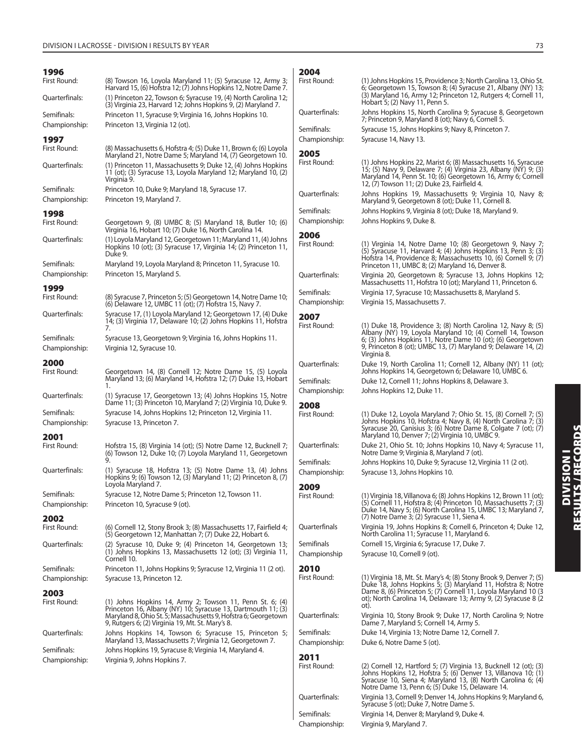| 1996                                 |                                                                                                                                                                                    | 2004                         |                                                                                                                                                                                                                                                         |
|--------------------------------------|------------------------------------------------------------------------------------------------------------------------------------------------------------------------------------|------------------------------|---------------------------------------------------------------------------------------------------------------------------------------------------------------------------------------------------------------------------------------------------------|
| First Round:                         | (8) Towson 16, Loyola Maryland 11; (5) Syracuse 12, Army 3;<br>Harvard 15, (6) Hofstra 12; (7) Johns Hopkins 12, Notre Dame 7.                                                     | First Round:                 | (1) Johns Hopkins 15, Providence 3; North Carolina 13, Ohio St.<br>6; Georgetown 15, Towson 8; (4) Syracuse 21, Albany (NY) 13;                                                                                                                         |
| Quarterfinals:                       | (1) Princeton 22, Towson 6; Syracuse 19, (4) North Carolina 12;<br>(3) Virginia 23, Harvard 12; Johns Hopkins 9, (2) Maryland 7.                                                   |                              | (3) Maryland 16, Army 12; Princeton 12, Rutgers 4; Cornell 11,<br>Hobart 5; (2) Navy 11, Penn 5.                                                                                                                                                        |
| Semifinals:<br>Championship:         | Princeton 11, Syracuse 9; Virginia 16, Johns Hopkins 10.<br>Princeton 13, Virginia 12 (ot).                                                                                        | Ouarterfinals:               | Johns Hopkins 15, North Carolina 9; Syracuse 8, Georgetown<br>7; Princeton 9, Maryland 8 (ot); Navy 6, Cornell 5.                                                                                                                                       |
|                                      |                                                                                                                                                                                    | Semifinals:                  | Syracuse 15, Johns Hopkins 9; Navy 8, Princeton 7.                                                                                                                                                                                                      |
| 1997<br>First Round:                 | (8) Massachusetts 6, Hofstra 4; (5) Duke 11, Brown 6; (6) Loyola                                                                                                                   | Championship:                | Syracuse 14, Navy 13.                                                                                                                                                                                                                                   |
|                                      | Maryland 21, Notre Dame 5; Maryland 14, (7) Georgetown 10.                                                                                                                         | 2005                         |                                                                                                                                                                                                                                                         |
| Ouarterfinals:                       | (1) Princeton 11, Massachusetts 9; Duke 12, (4) Johns Hopkins<br>11 (ot); (3) Syracuse 13, Loyola Maryland 12; Maryland 10, (2)<br>Virginia 9.                                     | First Round:                 | (1) Johns Hopkins 22, Marist 6; (8) Massachusetts 16, Syracuse<br>15; (5) Navy 9, Delaware 7; (4) Virginia 23, Albany (NY) 9; (3)<br>Maryland 14, Penn St. 10; (6) Georgetown 16, Army 6; Cornell<br>12, (7) Towson 11; (2) Duke 23, Fairfield 4.       |
| Semifinals:<br>Championship:         | Princeton 10, Duke 9; Maryland 18, Syracuse 17.<br>Princeton 19, Maryland 7.                                                                                                       | Quarterfinals:               | Johns Hopkins 19, Massachusetts 9; Virginia 10, Navy 8;<br>Maryland 9, Georgetown 8 (ot); Duke 11, Cornell 8.                                                                                                                                           |
|                                      |                                                                                                                                                                                    | Semifinals:                  | Johns Hopkins 9, Virginia 8 (ot); Duke 18, Maryland 9.                                                                                                                                                                                                  |
| 1998<br>First Round:                 | Georgetown 9, (8) UMBC 8; (5) Maryland 18, Butler 10; (6)                                                                                                                          | Championship:                | Johns Hopkins 9, Duke 8.                                                                                                                                                                                                                                |
| Quarterfinals:                       | Virginia 16, Hobart 10; (7) Duke 16, North Carolina 14.<br>(1) Loyola Maryland 12, Georgetown 11; Maryland 11, (4) Johns                                                           | 2006<br>First Round:         | (1) Virginia 14, Notre Dame 10; (8) Georgetown 9, Navy 7;                                                                                                                                                                                               |
|                                      | Hopkins 10 (ot); (3) Syracuse 17, Virginia 14; (2) Princeton 11,<br>Duke 9.                                                                                                        |                              | $(5)$ Syracuse 11, Harvard 4; (4) Johns Hopkins 13, Penn 3; (3)<br>Hofstra 14, Providence 8; Massachusetts 10, (6) Cornell 9; (7)                                                                                                                       |
| Semifinals:                          | Maryland 19, Loyola Maryland 8; Princeton 11, Syracuse 10.                                                                                                                         |                              | Princeton 11, UMBC 8; (2) Maryland 16, Denver 8.                                                                                                                                                                                                        |
| Championship:                        | Princeton 15, Maryland 5.                                                                                                                                                          | Ouarterfinals:               | Virginia 20, Georgetown 8; Syracuse 13, Johns Hopkins 12;<br>Massachusetts 11, Hofstra 10 (ot); Maryland 11, Princeton 6.                                                                                                                               |
| 1999<br>First Round:                 | (8) Syracuse 7, Princeton 5; (5) Georgetown 14, Notre Dame 10;                                                                                                                     | Semifinals:                  | Virginia 17, Syracuse 10; Massachusetts 8, Maryland 5.                                                                                                                                                                                                  |
|                                      | (6) Delaware 12, UMBC 11 (ot); (7) Hofstra 15, Navy 7.                                                                                                                             | Championship:                | Virginia 15, Massachusetts 7.                                                                                                                                                                                                                           |
| Quarterfinals:                       | Syracuse 17, (1) Loyola Maryland 12; Georgetown 17, (4) Duke                                                                                                                       | 2007                         |                                                                                                                                                                                                                                                         |
|                                      | 14; (3) Virginia 17, Delaware 10; (2) Johns Hopkins 11, Hofstra<br>7.                                                                                                              | First Round:                 | (1) Duke 18, Providence 3; (8) North Carolina 12, Navy 8; (5)                                                                                                                                                                                           |
| Semifinals:<br>Championship:         | Syracuse 13, Georgetown 9; Virginia 16, Johns Hopkins 11.<br>Virginia 12, Syracuse 10.                                                                                             |                              | Albany (NY) 19, Loyola Maryland 10; (4) Cornell 14, Towson<br>6; (3) Johns Hopkins 11, Notre Dame 10 (ot); (6) Georgetown<br>9, Princeton 8 (ot); UMBC 13, (7) Maryland 9; Delaware 14, (2)<br>Virginia 8.                                              |
| 2000<br>First Round:                 | Georgetown 14, (8) Cornell 12; Notre Dame 15, (5) Loyola                                                                                                                           | Quarterfinals:               | Duke 19, North Carolina 11; Cornell 12, Albany (NY) 11 (ot);<br>Johns Hopkins 14, Georgetown 6; Delaware 10, UMBC 6.                                                                                                                                    |
|                                      | Maryland 13; (6) Maryland 14, Hofstra 12; (7) Duke 13, Hobart                                                                                                                      | Semifinals:                  | Duke 12, Cornell 11; Johns Hopkins 8, Delaware 3.                                                                                                                                                                                                       |
| Quarterfinals:                       | 1.<br>(1) Syracuse 17, Georgetown 13; (4) Johns Hopkins 15, Notre                                                                                                                  | Championship:                | Johns Hopkins 12, Duke 11.                                                                                                                                                                                                                              |
|                                      | Dame 11; (3) Princeton 10, Maryland 7; (2) Virginia 10, Duke 9.                                                                                                                    | 2008                         |                                                                                                                                                                                                                                                         |
| Semifinals:<br>Championship:         | Syracuse 14, Johns Hopkins 12; Princeton 12, Virginia 11.<br>Syracuse 13, Princeton 7.                                                                                             | First Round:                 | (1) Duke 12, Loyola Maryland 7; Ohio St. 15, (8) Cornell 7; (5)<br>Johns Hopkins 10, Hofstra 4; Navy 8, (4) North Carolina 7; (3)<br>Syracuse 20, Canisius 3; (6) Notre Dame 8, Colgate 7 (ot); (7)<br>Maryland 10, Denver 7; (2) Virginia 10, UMBC 9.  |
| 2001<br>First Round:                 | Hofstra 15, (8) Virginia 14 (ot); (5) Notre Dame 12, Bucknell 7;                                                                                                                   | Quarterfinals:               | Duke 21, Ohio St. 10; Johns Hopkins 10, Navy 4; Syracuse 11,<br>Notre Dame 9; Virginia 8, Maryland 7 (ot).                                                                                                                                              |
|                                      | (6) Towson 12, Duke 10; (7) Loyola Maryland 11, Georgetown                                                                                                                         | Semifinals:                  | Johns Hopkins 10, Duke 9; Syracuse 12, Virginia 11 (2 ot).                                                                                                                                                                                              |
| Quarterfinals:                       | (1) Syracuse 18, Hofstra 13; (5) Notre Dame 13, (4) Johns<br>Hopkins 9; (6) Towson 12, (3) Maryland 11; (2) Princeton 8, (7)                                                       | Championship:                | Syracuse 13, Johns Hopkins 10.                                                                                                                                                                                                                          |
|                                      | Loyola Maryland 7.                                                                                                                                                                 | 2009                         |                                                                                                                                                                                                                                                         |
| Semifinals:<br>Championship:<br>2002 | Syracuse 12, Notre Dame 5; Princeton 12, Towson 11.<br>Princeton 10, Syracuse 9 (ot).                                                                                              | First Round:                 | (1) Virginia 18, Villanova 6; (8) Johns Hopkins 12, Brown 11 (ot);<br>(5) Cornell 11, Hofstra 8; (4) Princeton 10, Massachusetts 7; (3)<br>Duke 14, Navy 5; (6) North Carolina 15, UMBC 13; Maryland 7,<br>(7) Notre Dame 3; (2) Syracuse 11, Siena 4.  |
| First Round:                         | (6) Cornell 12, Stony Brook 3; (8) Massachusetts 17, Fairfield 4;<br>(5) Georgetown 12, Manhattan 7; (7) Duke 22, Hobart 6.                                                        | Quarterfinals                | Virginia 19, Johns Hopkins 8; Cornell 6, Princeton 4; Duke 12,<br>North Carolina 11; Syracuse 11, Maryland 6.                                                                                                                                           |
| Quarterfinals:                       | (2) Syracuse 10, Duke 9; (4) Princeton 14, Georgetown 13;                                                                                                                          | Semifinals                   | Cornell 15, Virginia 6; Syracuse 17, Duke 7.                                                                                                                                                                                                            |
|                                      | (1) Jóhns Hopkins 13, Massachusetts 12 (ot); (3) Virginia 11,<br>Cornell 10.                                                                                                       | Championship                 | Syracuse 10, Cornell 9 (ot).                                                                                                                                                                                                                            |
| Semifinals:                          | Princeton 11, Johns Hopkins 9; Syracuse 12, Virginia 11 (2 ot).                                                                                                                    | 2010                         |                                                                                                                                                                                                                                                         |
| Championship:                        | Syracuse 13, Princeton 12.                                                                                                                                                         | First Round:                 | (1) Virginia 18, Mt. St. Mary's 4; (8) Stony Brook 9, Denver 7; (5)                                                                                                                                                                                     |
| 2003                                 |                                                                                                                                                                                    |                              | Duke 18, Johns Hopkins 5; (3) Maryland 11, Hofstra 8; Notre<br>Dame 8, (6) Princeton 5; (7) Cornell 11, Loyola Maryland 10 (3                                                                                                                           |
| First Round:                         | $(1)$ Johns Hopkins 14, Army 2; Towson 11, Penn St. 6; $(4)$                                                                                                                       |                              | ot); North Carolina 14, Delaware 13; Army 9, (2) Syracuse 8 (2)<br>ot).                                                                                                                                                                                 |
|                                      | Princeton 16, Albany (NY) 10; Syracuse 13, Dartmouth 11; (3)<br>Maryland 8, Ohio St. 5; Massachusetts 9, Hofstra 6; Georgetown<br>9, Rutgers 6; (2) Virginia 19, Mt. St. Mary's 8. | Quarterfinals:               | Virginia 10, Stony Brook 9; Duke 17, North Carolina 9; Notre<br>Dame 7, Maryland 5; Cornell 14, Army 5.                                                                                                                                                 |
| Quarterfinals:                       | Johns Hopkins 14, Towson 6; Syracuse 15, Princeton 5;<br>Maryland 13, Massachusetts 7; Virginia 12, Georgetown 7.                                                                  | Semifinals:<br>Championship: | Duke 14, Virginia 13; Notre Dame 12, Cornell 7.<br>Duke 6, Notre Dame 5 (ot).                                                                                                                                                                           |
| Semifinals:                          | Johns Hopkins 19, Syracuse 8; Virginia 14, Maryland 4.                                                                                                                             |                              |                                                                                                                                                                                                                                                         |
| Championship:                        | Virginia 9, Johns Hopkins 7.                                                                                                                                                       | 2011                         |                                                                                                                                                                                                                                                         |
|                                      |                                                                                                                                                                                    | First Round:                 | (2) Cornell 12, Hartford 5; (7) Virginia 13, Bucknell 12 (ot); (3)<br>Johns Hopkins 12, Hofstra 5; (6) Denver 13, Villanova 10; (1)<br>Syracuse 10, Siena 4; Maryland 13, (8) North Carolina 6; (4)<br>Notre Dame 13, Penn 6; (5) Duke 15, Delaware 14. |
|                                      |                                                                                                                                                                                    | Quarterfinals:               | Virginia 13, Cornell 9; Denver 14, Johns Hopkins 9; Maryland 6,<br>Syracuse 5 (ot); Duke 7, Notre Dame 5.                                                                                                                                               |

Semifinals: Virginia 14, Denver 8; Maryland 9, Duke 4. Championship: Virginia 9, Maryland 7.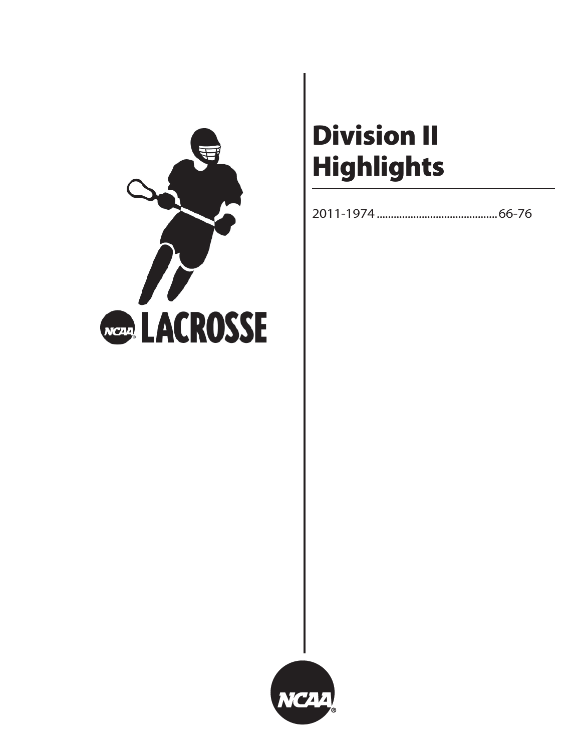

# **Division II Highlights**

2011-1974 ...........................................66-76

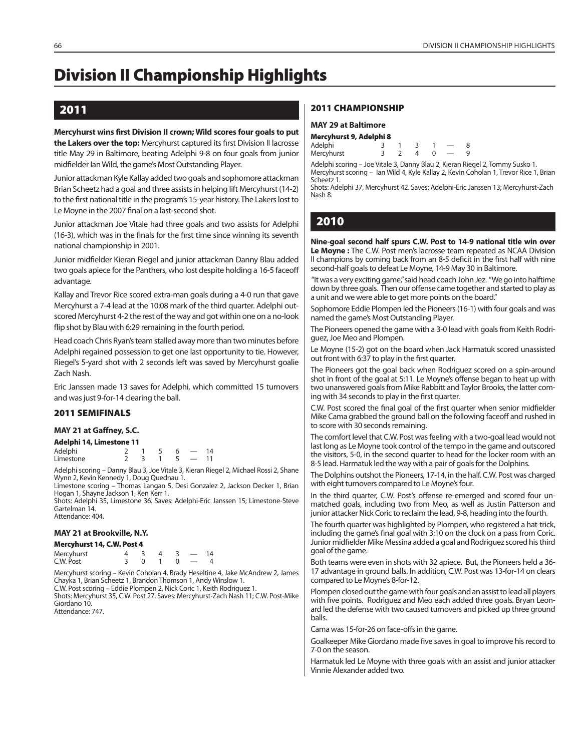## **Division II Championship Highlights**

## **2011**

**Mercyhurst wins first Division II crown; Wild scores four goals to put the Lakers over the top:** Mercyhurst captured its first Division II lacrosse title May 29 in Baltimore, beating Adelphi 9-8 on four goals from junior midfielder Ian Wild, the game's Most Outstanding Player.

Junior attackman Kyle Kallay added two goals and sophomore attackman Brian Scheetz had a goal and three assists in helping lift Mercyhurst (14-2) to the first national title in the program's 15-year history. The Lakers lost to Le Moyne in the 2007 final on a last-second shot.

Junior attackman Joe Vitale had three goals and two assists for Adelphi (16-3), which was in the finals for the first time since winning its seventh national championship in 2001.

Junior midfielder Kieran Riegel and junior attackman Danny Blau added two goals apiece for the Panthers, who lost despite holding a 16-5 faceoff advantage.

Kallay and Trevor Rice scored extra-man goals during a 4-0 run that gave Mercyhurst a 7-4 lead at the 10:08 mark of the third quarter. Adelphi outscored Mercyhurst 4-2 the rest of the way and got within one on a no-look flip shot by Blau with 6:29 remaining in the fourth period.

Head coach Chris Ryan's team stalled away more than two minutes before Adelphi regained possession to get one last opportunity to tie. However, Riegel's 5-yard shot with 2 seconds left was saved by Mercyhurst goalie Zach Nash.

Eric Janssen made 13 saves for Adelphi, which committed 15 turnovers and was just 9-for-14 clearing the ball.

#### **2011 SEMIFINALS**

#### **MAY 21 at Gaffney, S.C.**

| Adelphi 14, Limestone 11 |  |  |    |
|--------------------------|--|--|----|
| Adelphi                  |  |  | 14 |

| <b>Uncipility</b> |  |  |  |
|-------------------|--|--|--|
| Limestone         |  |  |  |

Adelphi scoring – Danny Blau 3, Joe Vitale 3, Kieran Riegel 2, Michael Rossi 2, Shane Wynn 2, Kevin Kennedy 1, Doug Quednau 1.

Limestone scoring – Thomas Langan 5, Desi Gonzalez 2, Jackson Decker 1, Brian Hogan 1, Shayne Jackson 1, Ken Kerr 1.

Shots: Adelphi 35, Limestone 36. Saves: Adelphi-Eric Janssen 15; Limestone-Steve Gartelman 14. Attendance: 404.

#### **MAY 21 at Brookville, N.Y.**

| Mercyhurst 14, C.W. Post 4 |  |  |    |
|----------------------------|--|--|----|
| Mercyhurst                 |  |  | 14 |
| C.W. Post                  |  |  |    |

Mercyhurst scoring – Kevin Coholan 4, Brady Heseltine 4, Jake McAndrew 2, James Chayka 1, Brian Scheetz 1, Brandon Thomson 1, Andy Winslow 1. C.W. Post scoring – Eddie Plompen 2, Nick Coric 1, Keith Rodriguez 1. Shots: Mercyhurst 35, C.W. Post 27. Saves: Mercyhurst-Zach Nash 11; C.W. Post-Mike

Giordano 10. Attendance: 747.

#### **2011 CHAMPIONSHIP**

#### **MAY 29 at Baltimore**

| Mercyhurst 9, Adelphi 8 |  |  |  |
|-------------------------|--|--|--|
| Adelphi                 |  |  |  |
| Mercyhurst              |  |  |  |

Adelphi scoring – Joe Vitale 3, Danny Blau 2, Kieran Riegel 2, Tommy Susko 1. Mercyhurst scoring – Ian Wild 4, Kyle Kallay 2, Kevin Coholan 1, Trevor Rice 1, Brian Scheetz 1.

Shots: Adelphi 37, Mercyhurst 42. Saves: Adelphi-Eric Janssen 13; Mercyhurst-Zach Nash 8.

## **2010**

**Nine-goal second half spurs C.W. Post to 14-9 national title win over Le Moyne :** The C.W. Post men's lacrosse team repeated as NCAA Division II champions by coming back from an 8-5 deficit in the first half with nine second-half goals to defeat Le Moyne, 14-9 May 30 in Baltimore.

 "It was a very exciting game," said head coach John Jez. "We go into halftime down by three goals. Then our offense came together and started to play as a unit and we were able to get more points on the board."

Sophomore Eddie Plompen led the Pioneers (16-1) with four goals and was named the game's Most Outstanding Player.

The Pioneers opened the game with a 3-0 lead with goals from Keith Rodriguez, Joe Meo and Plompen.

Le Moyne (15-2) got on the board when Jack Harmatuk scored unassisted out front with 6:37 to play in the first quarter.

The Pioneers got the goal back when Rodriguez scored on a spin-around shot in front of the goal at 5:11. Le Moyne's offense began to heat up with two unanswered goals from Mike Rabbitt and Taylor Brooks, the latter coming with 34 seconds to play in the first quarter.

C.W. Post scored the final goal of the first quarter when senior midfielder Mike Cama grabbed the ground ball on the following faceoff and rushed in to score with 30 seconds remaining.

The comfort level that C.W. Post was feeling with a two-goal lead would not last long as Le Moyne took control of the tempo in the game and outscored the visitors, 5-0, in the second quarter to head for the locker room with an 8-5 lead. Harmatuk led the way with a pair of goals for the Dolphins.

The Dolphins outshot the Pioneers, 17-14, in the half. C.W. Post was charged with eight turnovers compared to Le Moyne's four.

In the third quarter, C.W. Post's offense re-emerged and scored four unmatched goals, including two from Meo, as well as Justin Patterson and junior attacker Nick Coric to reclaim the lead, 9-8, heading into the fourth.

The fourth quarter was highlighted by Plompen, who registered a hat-trick, including the game's final goal with 3:10 on the clock on a pass from Coric. Junior midfielder Mike Messina added a goal and Rodriguez scored his third goal of the game.

Both teams were even in shots with 32 apiece. But, the Pioneers held a 36- 17 advantage in ground balls. In addition, C.W. Post was 13-for-14 on clears compared to Le Moyne's 8-for-12.

Plompen closed out the game with four goals and an assist to lead all players with five points. Rodriguez and Meo each added three goals. Bryan Leonard led the defense with two caused turnovers and picked up three ground balls.

Cama was 15-for-26 on face-offs in the game.

Goalkeeper Mike Giordano made five saves in goal to improve his record to 7-0 on the season.

Harmatuk led Le Moyne with three goals with an assist and junior attacker Vinnie Alexander added two.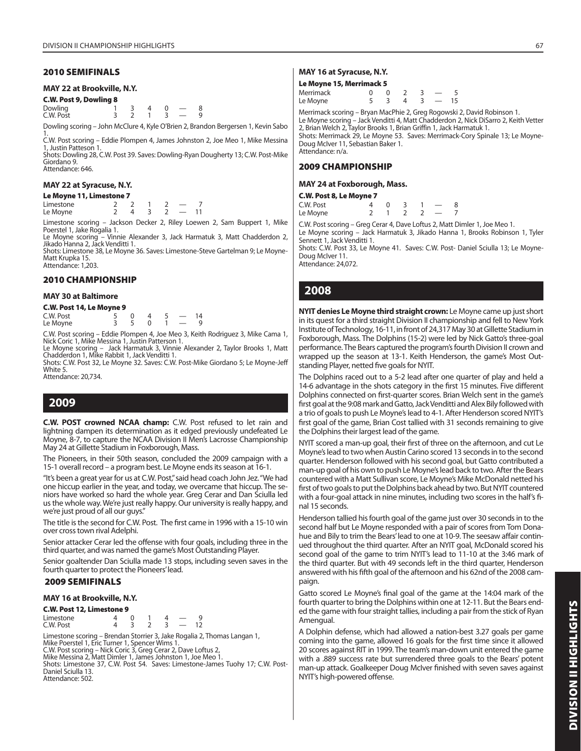#### **2010 SEMIFINALS**

#### **MAY 22 at Brookville, N.Y.**

**C.W. Post 9, Dowling 8** Dowling 1 3 4 0 — 8<br>C.W. Post 3 2 1 3 — 9 C.W. Post

Dowling scoring – John McClure 4, Kyle O'Brien 2, Brandon Bergersen 1, Kevin Sabo

1. C.W. Post scoring – Eddie Plompen 4, James Johnston 2, Joe Meo 1, Mike Messina 1, Justin Patteson 1.

Shots: Dowling 28, C.W. Post 39. Saves: Dowling-Ryan Dougherty 13; C.W. Post-Mike Giordano 9. Attendance: 646.

#### **MAY 22 at Syracuse, N.Y.**

|  | Le Moyne 11, Limestone 7 |  |
|--|--------------------------|--|
|--|--------------------------|--|

| Limestone |  |  |  |
|-----------|--|--|--|
| Le Moyne  |  |  |  |

Limestone scoring – Jackson Decker 2, Riley Loewen 2, Sam Buppert 1, Mike Poerstel 1, Jake Rogalia 1.

Le Moyne scoring – Vinnie Alexander 3, Jack Harmatuk 3, Matt Chadderdon 2, Jikado Hanna 2, Jack Venditti 1.

Shots: Limestone 38, Le Moyne 36. Saves: Limestone-Steve Gartelman 9; Le Moyne-Matt Krupka 15. Attendance: 1,203.

#### **2010 CHAMPIONSHIP**

#### **MAY 30 at Baltimore**

**C.W. Post 14, Le Moyne 9**

| C.W. Post |  |  |  |  |
|-----------|--|--|--|--|
| Le Moyne  |  |  |  |  |

C.W. Post scoring – Eddie Plompen 4, Joe Meo 3, Keith Rodriguez 3, Mike Cama 1, Nick Coric 1, Mike Messina 1, Justin Patterson 1.

Le Moyne scoring – Jack Harmatuk 3, Vinnie Alexander 2, Taylor Brooks 1, Matt Chadderdon 1, Mike Rabbit 1, Jack Venditti 1.

Shots: C.W. Post 32, Le Moyne 32. Saves: C.W. Post-Mike Giordano 5; Le Moyne-Jeff White 5

Attendance: 20,734.

## **2009**

**C.W. POST crowned NCAA champ:** C.W. Post refused to let rain and lightning dampen its determination as it edged previously undefeated Le Moyne, 8-7, to capture the NCAA Division II Men's Lacrosse Championship May 24 at Gillette Stadium in Foxborough, Mass.

The Pioneers, in their 50th season, concluded the 2009 campaign with a 15-1 overall record – a program best. Le Moyne ends its season at 16-1.

"It's been a great year for us at C.W. Post," said head coach John Jez. "We had one hiccup earlier in the year, and today, we overcame that hiccup. The seniors have worked so hard the whole year. Greg Cerar and Dan Sciulla led us the whole way. We're just really happy. Our university is really happy, and we're just proud of all our guys."

The title is the second for C.W. Post. The first came in 1996 with a 15-10 win over cross town rival Adelphi.

Senior attacker Cerar led the offense with four goals, including three in the third quarter, and was named the game's Most Outstanding Player.

Senior goaltender Dan Sciulla made 13 stops, including seven saves in the fourth quarter to protect the Pioneers' lead.

#### **2009 SEMIFINALS**

#### **MAY 16 at Brookville, N.Y.**

| C.W. Post 12, Limestone 9 |  |  |               |  |
|---------------------------|--|--|---------------|--|
| Limestone                 |  |  |               |  |
| C.W. Post                 |  |  | $\sim$ $\sim$ |  |

Limestone scoring – Brendan Storrier 3, Jake Rogalia 2, Thomas Langan 1, Mike Poerstel 1, Eric Turner 1, Spencer Wims 1. C.W. Post scoring – Nick Coric 3, Greg Cerar 2, Dave Loftus 2,

Mike Messina 2, Matt Dimler 1, James Johnston 1, Joe Meo 1.

Shots: Limestone 37, C.W. Post 54. Saves: Limestone-James Tuohy 17; C.W. Post-Daniel Sciulla 13.

Attendance: 502.

#### **MAY 16 at Syracuse, N.Y.**

#### **Le Moyne 15, Merrimack 5**

| Merrimack |  |          |  |    |
|-----------|--|----------|--|----|
| Le Moyne  |  | $\Delta$ |  | 15 |

Merrimack scoring – Bryan MacPhie 2, Greg Rogowski 2, David Robinson 1.

Le Moyne scoring – Jack Venditti 4, Matt Chadderdon 2, Nick DiSarro 2, Keith Vetter 2, Brian Welch 2, Taylor Brooks 1, Brian Griffin 1, Jack Harmatuk 1. Shots: Merrimack 29, Le Moyne 53. Saves: Merrimack-Cory Spinale 13; Le Moyne-

Doug McIver 11, Sebastian Baker 1. Attendance: n/a.

#### **2009 CHAMPIONSHIP**

#### **MAY 24 at Foxborough, Mass.**

#### **C.W. Post 8, Le Moyne 7**

| C.W. Post |  |  |  |
|-----------|--|--|--|
| Le Moyne  |  |  |  |

C.W. Post scoring – Greg Cerar 4, Dave Loftus 2, Matt Dimler 1, Joe Meo 1.

Le Moyne scoring – Jack Harmatuk 3, Jikado Hanna 1, Brooks Robinson 1, Tyler Sennett 1, Jack Venditti 1.

Shots: C.W. Post 33, Le Moyne 41. Saves: C.W. Post- Daniel Sciulla 13; Le Moyne-Doug McIver 11.

Attendance: 24,072.

## **2008**

**NYIT denies Le Moyne third straight crown:** Le Moyne came up just short in its quest for a third straight Division II championship and fell to New York Institute of Technology, 16-11, in front of 24,317 May 30 at Gillette Stadium in Foxborough, Mass. The Dolphins (15-2) were led by Nick Gatto's three-goal performance. The Bears captured the program's fourth Division II crown and wrapped up the season at 13-1. Keith Henderson, the game's Most Outstanding Player, netted five goals for NYIT.

The Dolphins raced out to a 5-2 lead after one quarter of play and held a 14-6 advantage in the shots category in the first 15 minutes. Five different Dolphins connected on first-quarter scores. Brian Welch sent in the game's first goal at the 9:08 mark and Gatto, Jack Venditti and Alex Bily followed with a trio of goals to push Le Moyne's lead to 4-1. After Henderson scored NYIT's first goal of the game, Brian Cost tallied with 31 seconds remaining to give the Dolphins their largest lead of the game.

NYIT scored a man-up goal, their first of three on the afternoon, and cut Le Moyne's lead to two when Austin Carino scored 13 seconds in to the second quarter. Henderson followed with his second goal, but Gatto contributed a man-up goal of his own to push Le Moyne's lead back to two. After the Bears countered with a Matt Sullivan score, Le Moyne's Mike McDonald netted his first of two goals to put the Dolphins back ahead by two. But NYIT countered with a four-goal attack in nine minutes, including two scores in the half's final 15 seconds.

Henderson tallied his fourth goal of the game just over 30 seconds in to the second half but Le Moyne responded with a pair of scores from Tom Donahue and Bily to trim the Bears' lead to one at 10-9. The seesaw affair continued throughout the third quarter. After an NYIT goal, McDonald scored his second goal of the game to trim NYIT's lead to 11-10 at the 3:46 mark of the third quarter. But with 49 seconds left in the third quarter, Henderson answered with his fifth goal of the afternoon and his 62nd of the 2008 campaign.

Gatto scored Le Moyne's final goal of the game at the 14:04 mark of the fourth quarter to bring the Dolphins within one at 12-11. But the Bears ended the game with four straight tallies, including a pair from the stick of Ryan Amengual.

A Dolphin defense, which had allowed a nation-best 3.27 goals per game coming into the game, allowed 16 goals for the first time since it allowed 20 scores against RIT in 1999. The team's man-down unit entered the game with a .889 success rate but surrendered three goals to the Bears' potent man-up attack. Goalkeeper Doug McIver finished with seven saves against NYIT's high-powered offense.

DIVISION II HIGHLIGHTS **DIVISION II HIGHLIGHTS**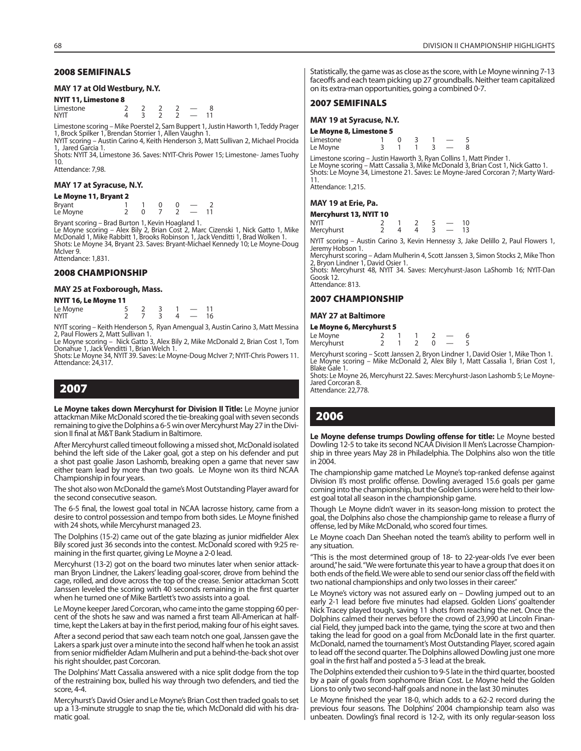#### **2008 SEMIFINALS**

#### **MAY 17 at Old Westbury, N.Y.**

#### **NYIT 11, Limestone 8**

| Limestone   |  |  |  |
|-------------|--|--|--|
| <b>NYIT</b> |  |  |  |

Limestone scoring – Mike Poerstel 2, Sam Buppert 1, Justin Haworth 1, Teddy Prager 1, Brock Spilker 1, Brendan Storrier 1, Allen Vaughn 1. NYIT scoring – Austin Carino 4, Keith Henderson 3, Matt Sullivan 2, Michael Procida

1, Jared Garcia 1. Shots: NYIT 34, Limestone 36. Saves: NYIT-Chris Power 15; Limestone- James Tuohy

10. Attendance: 7,98.

#### **MAY 17 at Syracuse, N.Y.**

#### **Le Moyne 11, Bryant 2**

| Bryant<br>Le Moyne |  |  |  |
|--------------------|--|--|--|

Bryant scoring – Brad Burton 1, Kevin Hoagland 1.

Le Moyne scoring – Alex Bily 2, Brian Cost 2, Marc Cizenski 1, Nick Gatto 1, Mike McDonald 1, Mike Rabbitt 1, Brooks Robinson 1, Jack Venditti 1, Brad Wolken 1. Shots: Le Moyne 34, Bryant 23. Saves: Bryant-Michael Kennedy 10; Le Moyne-Doug McIver 9. Attendance: 1,831.

#### **2008 CHAMPIONSHIP**

#### **MAY 25 at Foxborough, Mass.**

#### **NYIT 16, Le Moyne 11**

| Le Moyne    |  |  |  |
|-------------|--|--|--|
| <b>NYIT</b> |  |  |  |

NYIT scoring – Keith Henderson 5, Ryan Amengual 3, Austin Carino 3, Matt Messina 2, Paul Flowers 2, Matt Sullivan 1.

Le Moyne scoring – Nick Gatto 3, Alex Bily 2, Mike McDonald 2, Brian Cost 1, Tom Donahue 1, Jack Venditti 1, Brian Welch 1.

Shots: Le Moyne 34, NYIT 39. Saves: Le Moyne-Doug McIver 7; NYIT-Chris Powers 11. Attendance: 24,317.

## **2007**

**Le Moyne takes down Mercyhurst for Division II Title:** Le Moyne junior attackman Mike McDonald scored the tie-breaking goal with seven seconds remaining to give the Dolphins a 6-5 win over Mercyhurst May 27 in the Division II final at M&T Bank Stadium in Baltimore.

After Mercyhurst called timeout following a missed shot, McDonald isolated behind the left side of the Laker goal, got a step on his defender and put a shot past goalie Jason Lashomb, breaking open a game that never saw either team lead by more than two goals. Le Moyne won its third NCAA Championship in four years.

The shot also won McDonald the game's Most Outstanding Player award for the second consecutive season.

The 6-5 final, the lowest goal total in NCAA lacrosse history, came from a desire to control possession and tempo from both sides. Le Moyne finished with 24 shots, while Mercyhurst managed 23.

The Dolphins (15-2) came out of the gate blazing as junior midfielder Alex Bily scored just 36 seconds into the contest. McDonald scored with 9:25 remaining in the first quarter, giving Le Moyne a 2-0 lead.

Mercyhurst (13-2) got on the board two minutes later when senior attackman Bryon Lindner, the Lakers' leading goal-scorer, drove from behind the cage, rolled, and dove across the top of the crease. Senior attackman Scott Janssen leveled the scoring with 40 seconds remaining in the first quarter when he turned one of Mike Bartlett's two assists into a goal.

Le Moyne keeper Jared Corcoran, who came into the game stopping 60 percent of the shots he saw and was named a first team All-American at halftime, kept the Lakers at bay in the first period, making four of his eight saves.

After a second period that saw each team notch one goal, Janssen gave the Lakers a spark just over a minute into the second half when he took an assist from senior midfielder Adam Mulherin and put a behind-the-back shot over his right shoulder, past Corcoran.

The Dolphins' Matt Cassalia answered with a nice split dodge from the top of the restraining box, bulled his way through two defenders, and tied the score, 4-4.

Mercyhurst's David Osier and Le Moyne's Brian Cost then traded goals to set up a 13-minute struggle to snap the tie, which McDonald did with his dramatic goal.

Statistically, the game was as close as the score, with Le Moyne winning 7-13 faceoffs and each team picking up 27 groundballs. Neither team capitalized on its extra-man opportunities, going a combined 0-7.

#### **2007 SEMIFINALS**

#### **MAY 19 at Syracuse, N.Y.**

#### **Le Moyne 8, Limestone 5**

| Limestone |  |  |  |
|-----------|--|--|--|
| Le Moyne  |  |  |  |

Limestone scoring – Justin Haworth 3, Ryan Collins 1, Matt Pinder 1.<br>Le Moyne scoring – Matt Cassalia 3, Mike McDonald 3, Brian Cost 1, Nick Gatto 1.<br>Shots: Le Moyne 34, Limestone 21. Saves: Le Moyne-Jared Corcoran 7; Mart 11.

Attendance: 1,215.

#### **MAY 19 at Erie, Pa.**

| Mercyhurst 13, NYIT 10 |  |  |                          |    |
|------------------------|--|--|--------------------------|----|
| NYIT                   |  |  |                          | 10 |
| Mercyhurst             |  |  | $\overline{\phantom{a}}$ | 13 |

NYIT scoring – Austin Carino 3, Kevin Hennessy 3, Jake Delillo 2, Paul Flowers 1, Jeremy Hobson 1.

Mercyhurst scoring – Adam Mulherin 4, Scott Janssen 3, Simon Stocks 2, Mike Thon 2, Bryon Lindner 1, David Osier 1.

Shots: Mercyhurst 48, NYIT 34. Saves: Mercyhurst-Jason LaShomb 16; NYIT-Dan Goosk 12.

Attendance: 813.

#### **2007 CHAMPIONSHIP**

#### **MAY 27 at Baltimore**

| Le Moyne 6, Mercyhurst 5 |  |  |  |  |  |  |  |  |  |
|--------------------------|--|--|--|--|--|--|--|--|--|
| Le Moyne                 |  |  |  |  |  |  |  |  |  |
| Mercyhurst               |  |  |  |  |  |  |  |  |  |

Mercyhurst scoring – Scott Janssen 2, Bryon Lindner 1, David Osier 1, Mike Thon 1. Le Moyne scoring – Mike McDonald 2, Alex Bily 1, Matt Cassalia 1, Brian Cost 1, Blake Gale 1.

Shots: Le Moyne 26, Mercyhurst 22. Saves: Mercyhurst-Jason Lashomb 5; Le Moyne-Jared Corcoran 8. Attendance: 22,778.

## **2006**

Le Moyne defense trumps Dowling offense for title: Le Moyne bested Dowling 12-5 to take its second NCAA Division II Men's Lacrosse Championship in three years May 28 in Philadelphia. The Dolphins also won the title in 2004.

The championship game matched Le Moyne's top-ranked defense against Division II's most prolific offense. Dowling averaged 15.6 goals per game coming into the championship, but the Golden Lions were held to their lowest goal total all season in the championship game.

Though Le Moyne didn't waver in its season-long mission to protect the goal, the Dolphins also chose the championship game to release a flurry of offense, led by Mike McDonald, who scored four times.

Le Moyne coach Dan Sheehan noted the team's ability to perform well in any situation.

"This is the most determined group of 18- to 22-year-olds I've ever been around," he said. "We were fortunate this year to have a group that does it on both ends of the field. We were able to send our senior class off the field with two national championships and only two losses in their career."

Le Moyne's victory was not assured early on – Dowling jumped out to an early 2-1 lead before five minutes had elapsed. Golden Lions' goaltender Nick Tracey played tough, saving 11 shots from reaching the net. Once the Dolphins calmed their nerves before the crowd of 23,990 at Lincoln Financial Field, they jumped back into the game, tying the score at two and then taking the lead for good on a goal from McDonald late in the first quarter. McDonald, named the tournament's Most Outstanding Player, scored again to lead off the second quarter. The Dolphins allowed Dowling just one more goal in the first half and posted a 5-3 lead at the break.

The Dolphins extended their cushion to 9-5 late in the third quarter, boosted by a pair of goals from sophomore Brian Cost. Le Moyne held the Golden Lions to only two second-half goals and none in the last 30 minutes

Le Moyne finished the year 18-0, which adds to a 62-2 record during the previous four seasons. The Dolphins' 2004 championship team also was unbeaten. Dowling's final record is 12-2, with its only regular-season loss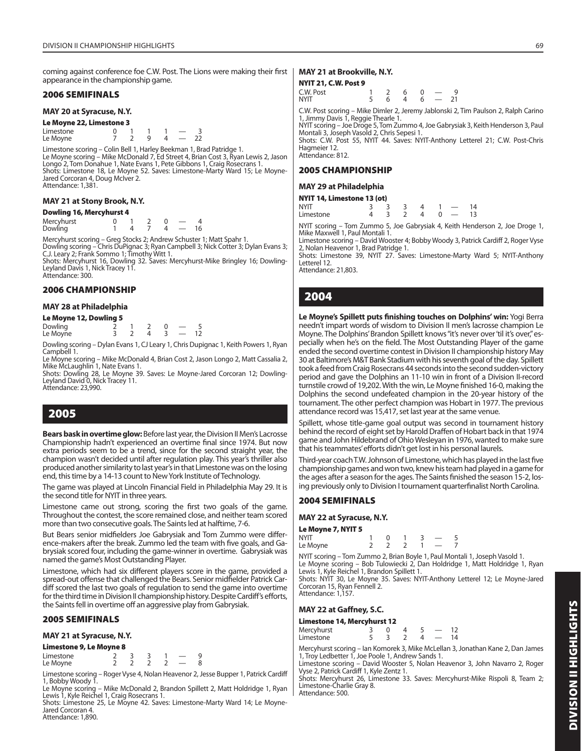coming against conference foe C.W. Post. The Lions were making their first appearance in the championship game.

#### **2006 SEMIFINALS**

#### **MAY 20 at Syracuse, N.Y.**

| Le Moyne 22, Limestone 3 |  |  |   |  |  |    |  |  |  |
|--------------------------|--|--|---|--|--|----|--|--|--|
| Limestone                |  |  |   |  |  |    |  |  |  |
| Le Moyne                 |  |  | a |  |  | フフ |  |  |  |

Limestone scoring – Colin Bell 1, Harley Beekman 1, Brad Patridge 1. Le Moyne scoring – Mike McDonald 7, Ed Street 4, Brian Cost 3, Ryan Lewis 2, Jason Longo 2, Tom Donahue 1, Nate Evans 1, Pete Gibbons 1, Craig Rosecrans 1. Shots: Limestone 18, Le Moyne 52. Saves: Limestone-Marty Ward 15; Le Moyne-Jared Corcoran 4, Doug McIver 2. Attendance: 1,381.

#### **MAY 21 at Stony Brook, N.Y.**

| <b>Dowling 16, Mercyhurst 4</b> |  |  |  |  |  |    |  |  |  |
|---------------------------------|--|--|--|--|--|----|--|--|--|
| Mercyhurst                      |  |  |  |  |  |    |  |  |  |
| Dowling                         |  |  |  |  |  | 16 |  |  |  |

Mercyhurst scoring – Greg Stocks 2; Andrew Schuster 1; Matt Spahr 1.

Dowling scoring – Chris DuPignac 3; Ryan Campbell 3; Nick Cotter 3; Dylan Evans 3; C.J. Leary 2; Frank Sommo 1; Timothy Witt 1. Shots: Mercyhurst 16, Dowling 32. Saves: Mercyhurst-Mike Bringley 16; Dowling-Leyland Davis 1, Nick Tracey 11.

Attendance: 300.

#### **2006 CHAMPIONSHIP**

#### **MAY 28 at Philadelphia**

#### **Le Moyne 12, Dowling 5**

| Dowling  |  |  |  |
|----------|--|--|--|
| Le Moyne |  |  |  |

Dowling scoring – Dylan Evans 1, CJ Leary 1, Chris Dupignac 1, Keith Powers 1, Ryan Campbell 1.

Le Moyne scoring – Mike McDonald 4, Brian Cost 2, Jason Longo 2, Matt Cassalia 2, Mike McLaughlin 1, Nate Evans 1.

Shots: Dowling 28, Le Moyne 39. Saves: Le Moyne-Jared Corcoran 12; Dowling-Leyland David 0, Nick Tracey 11. Attendance: 23,990.

## **2005**

**Bears bask in overtime glow:** Before last year, the Division II Men's Lacrosse Championship hadn't experienced an overtime final since 1974. But now extra periods seem to be a trend, since for the second straight year, the champion wasn't decided until after regulation play. This year's thriller also produced another similarity to last year's in that Limestone was on the losing end, this time by a 14-13 count to New York Institute of Technology.

The game was played at Lincoln Financial Field in Philadelphia May 29. It is the second title for NYIT in three years.

Limestone came out strong, scoring the first two goals of the game. Throughout the contest, the score remained close, and neither team scored more than two consecutive goals. The Saints led at halftime, 7-6.

But Bears senior midfielders Joe Gabrysiak and Tom Zummo were difference-makers after the break. Zummo led the team with five goals, and Gabrysiak scored four, including the game-winner in overtime. Gabrysiak was named the game's Most Outstanding Player.

Limestone, which had six different players score in the game, provided a spread-out offense that challenged the Bears. Senior midfielder Patrick Cardiff scored the last two goals of regulation to send the game into overtime for the third time in Division II championship history. Despite Cardiff's efforts, the Saints fell in overtime off an aggressive play from Gabrysiak.

#### **2005 SEMIFINALS**

#### **MAY 21 at Syracuse, N.Y.**

#### **Limestone 9, Le Moyne 8**

 $L$  imestone  $\begin{array}{ccccccccc} 2 & 3 & 3 & 1 & - & 9 \\ 2 & 2 & 2 & 2 & - & 8 \end{array}$ Le Moyne

Limestone scoring – Roger Vyse 4, Nolan Heavenor 2, Jesse Bupper 1, Patrick Cardiff 1, Bobby Woody 1.

Le Moyne scoring – Mike McDonald 2, Brandon Spillett 2, Matt Holdridge 1, Ryan Lewis 1, Kyle Reichel 1, Craig Rosecrans 1.

Shots: Limestone 25, Le Moyne 42. Saves: Limestone-Marty Ward 14; Le Moyne-Jared Corcoran 4. Attendance: 1,890.

#### **MAY 21 at Brookville, N.Y.**

#### **NYIT 21, C.W. Post 9**

| C.W. Post | 2 6 | $\overline{0}$ |                           | q |
|-----------|-----|----------------|---------------------------|---|
| NYIT      | 6   |                | $4\quad 6\quad -\quad 21$ |   |
|           |     |                |                           |   |

C.W. Post scoring – Mike Dimler 2, Jeremy Jablonski 2, Tim Paulson 2, Ralph Carino 1, Jimmy Davis 1, Reggie Thearle 1.

NYIT scoring – Joe Droge 5, Tom Zummo 4, Joe Gabrysiak 3, Keith Henderson 3, Paul Montali 3, Joseph Vasold 2, Chris Sepesi 1.

Shots: C.W. Post 55, NYIT 44. Saves: NYIT-Anthony L etterel 21; C.W. Post-Chris Hagmeier 12. Attendance: 812.

#### **2005 CHAMPIONSHIP**

#### **MAY 29 at Philadelphia**

| NYIT 14, Limestone 13 (ot) |  |                |              |      |
|----------------------------|--|----------------|--------------|------|
| NYIT                       |  |                |              | 14   |
| Limestone                  |  | $\overline{a}$ | $\Omega$ $-$ | - 13 |

NYIT scoring – Tom Zummo 5, Joe Gabrysiak 4, Keith Henderson 2, Joe Droge 1, Mike Maxwell 1, Paul Montali 1.

Limestone scoring – David Wooster 4; Bobby Woody 3, Patrick Cardiff 2, Roger Vyse 2, Nolan Heavenor 1, Brad Patridge 1.

Shots: Limestone 39, NYIT 27. Saves: Limestone-Marty Ward 5; NYIT-Anthony Letterel 12.

Attendance: 21,803.

## **2004**

Le Moyne's Spillett puts finishing touches on Dolphins' win: Yogi Berra needn't impart words of wisdom to Division II men's lacrosse champion Le Moyne. The Dolphins' Brandon Spillett knows "it's never over 'til it's over," especially when he's on the field. The Most Outstanding Player of the game ended the second overtime contest in Division II championship history May 30 at Baltimore's M&T Bank Stadium with his seventh goal of the day. Spillett took a feed from Craig Rosecrans 44 seconds into the second sudden-victory period and gave the Dolphins an 11-10 win in front of a Division II-record turnstile crowd of 19,202. With the win, Le Moyne finished 16-0, making the Dolphins the second undefeated champion in the 20-year history of the tournament. The other perfect champion was Hobart in 1977. The previous attendance record was 15,417, set last year at the same venue.

Spillett, whose title-game goal output was second in tournament history behind the record of eight set by Harold Draffen of Hobart back in that 1974 game and John Hildebrand of Ohio Wesleyan in 1976, wanted to make sure that his teammates' efforts didn't get lost in his personal laurels.

Third-year coach T.W. Johnson of Limestone, which has played in the last five championship games and won two, knew his team had played in a game for the ages after a season for the ages. The Saints finished the season 15-2, losing previously only to Division I tournament quarterfinalist North Carolina.

#### **2004 SEMIFINALS**

#### **MAY 22 at Syracuse, N.Y.**

| Le Moyne 7, NYIT 5 |  |  |  |
|--------------------|--|--|--|
| NYIT               |  |  |  |
| Le Moyne           |  |  |  |

NYIT scoring – Tom Zummo 2, Brian Boyle 1, Paul Montali 1, Joseph Vasold 1. Le Moyne scoring – Bob Tulowiecki 2, Dan Holdridge 1, Matt Holdridge 1, Ryan Lewis 1, Kyle Reichel 1, Brandon Spillett 1.

Shots: NYIT 30, Le Moyne 35. Saves: NYIT-Anthony Letterel 12; Le Moyne-Jared Corcoran 15, Ryan Fennell 2. Attendance: 1,157.

#### **MAY 22 at Gaffney, S.C.**

| Limestone 14, Mercyhurst 12 |  |  |          |    |                          |    |  |  |
|-----------------------------|--|--|----------|----|--------------------------|----|--|--|
| Mercyhurst                  |  |  | $\Delta$ |    |                          | 12 |  |  |
| Limestone                   |  |  |          | д. | $\overline{\phantom{a}}$ | 14 |  |  |

Mercyhurst scoring – Ian Komorek 3, Mike McLellan 3, Jonathan Kane 2, Dan James 1, Troy Ledbetter 1, Joe Poole 1, Andrew Sands 1. Limestone scoring – David Wooster 5, Nolan Heavenor 3, John Navarro 2, Roger

Vyse 2, Patrick Cardiff 1, Kyle Zentz 1.

Shots: Mercyhurst 26, Limestone 33. Saves: Mercyhurst-Mike Rispoli 8, Team 2; Limestone-Charlie Gray 8. Attendance: 500.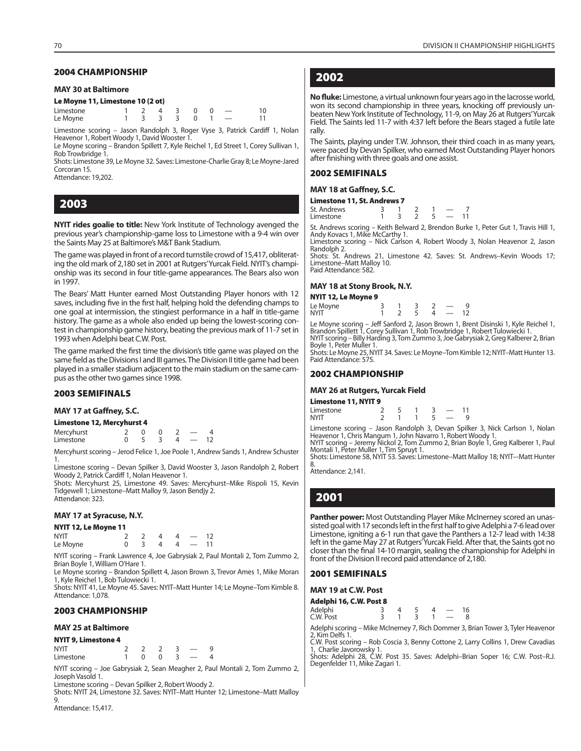#### **2004 CHAMPIONSHIP**

#### **MAY 30 at Baltimore**

#### **Le Moyne 11, Limestone 10 (2 ot)**

| Limestone |  | $1 \t2 \t4 \t3 \t0 \t0 \t-$ |  |  |
|-----------|--|-----------------------------|--|--|
| Le Moyne  |  | $1 \t3 \t3 \t3 \t0 \t1 -$   |  |  |

Limestone scoring – Jason Randolph 3, Roger Vyse 3, Patrick Cardiff 1, Nolan Heavenor 1, Robert Woody 1, David Wooster 1.

Le Moyne scoring – Brandon Spillett 7, Kyle Reichel 1, Ed Street 1, Corey Sullivan 1, Rob Trowbridge 1.

Shots: Limestone 39, Le Moyne 32. Saves: Limestone-Charlie Gray 8; Le Moyne-Jared Corcoran 15.

Attendance: 19,202.

**2003**

**NYIT rides goalie to title:** New York Institute of Technology avenged the previous year's championship-game loss to Limestone with a 9-4 win over the Saints May 25 at Baltimore's M&T Bank Stadium.

The game was played in front of a record turnstile crowd of 15,417, obliterating the old mark of 2,180 set in 2001 at Rutgers' Yurcak Field. NYIT's championship was its second in four title-game appearances. The Bears also won in 1997.

The Bears' Matt Hunter earned Most Outstanding Player honors with 12 saves, including five in the first half, helping hold the defending champs to one goal at intermission, the stingiest performance in a half in title-game history. The game as a whole also ended up being the lowest-scoring contest in championship game history, beating the previous mark of 11-7 set in 1993 when Adelphi beat C.W. Post.

The game marked the first time the division's title game was played on the same field as the Divisions I and III games. The Division II title game had been played in a smaller stadium adjacent to the main stadium on the same campus as the other two games since 1998.

#### **2003 SEMIFINALS**

#### **MAY 17 at Gaffney, S.C.**

| Limestone 12, Mercyhurst 4 |  |  |  |  |  |    |  |  |
|----------------------------|--|--|--|--|--|----|--|--|
| Mercyhurst                 |  |  |  |  |  | Δ  |  |  |
| Limestone                  |  |  |  |  |  | 12 |  |  |

Mercyhurst scoring – Jerod Felice 1, Joe Poole 1, Andrew Sands 1, Andrew Schuster 1.

Limestone scoring – Devan Spilker 3, David Wooster 3, Jason Randolph 2, Robert Woody 2, Patrick Cardiff 1, Nolan Heavenor 1.

Shots: Mercyhurst 25, Limestone 49. Saves: Mercyhurst–Mike Rispoli 15, Kevin Tidgewell 1; Limestone–Matt Malloy 9, Jason Bendjy 2. Attendance: 323.

#### **MAY 17 at Syracuse, N.Y.**

| NYIT 12, Le Moyne 11 |  |  |                          |    |
|----------------------|--|--|--------------------------|----|
| <b>NYIT</b>          |  |  | $\overline{\phantom{0}}$ | 12 |
| Le Moyne             |  |  | $\sim$ $\sim$            | 11 |

NYIT scoring – Frank Lawrence 4, Joe Gabrysiak 2, Paul Montali 2, Tom Zummo 2, Brian Boyle 1, William O'Hare 1.

Le Moyne scoring – Brandon Spillett 4, Jason Brown 3, Trevor Ames 1, Mike Moran 1, Kyle Reichel 1, Bob Tulowiecki 1.

Shots: NYIT 41, Le Moyne 45. Saves: NYIT–Matt Hunter 14; Le Moyne–Tom Kimble 8. Attendance: 1,078.

#### **2003 CHAMPIONSHIP**

#### **MAY 25 at Baltimore**

| <b>NYIT 9, Limestone 4</b> |  |  |  |  |  |  |  |  |
|----------------------------|--|--|--|--|--|--|--|--|
| <b>NYIT</b>                |  |  |  |  |  |  |  |  |
| Limestone                  |  |  |  |  |  |  |  |  |

NYIT scoring – Joe Gabrysiak 2, Sean Meagher 2, Paul Montali 2, Tom Zummo 2, Joseph Vasold 1.

Limestone scoring – Devan Spilker 2, Robert Woody 2.

Shots: NYIT 24, Limestone 32. Saves: NYIT–Matt Hunter 12; Limestone–Matt Malloy **g** 

Attendance: 15,417.

## **2002**

**No fluke:** Limestone, a virtual unknown four years ago in the lacrosse world, won its second championship in three years, knocking off previously unbeaten New York Institute of Technology, 11-9, on May 26 at Rutgers' Yurcak Field. The Saints led 11-7 with 4:37 left before the Bears staged a futile late rally.

The Saints, playing under T.W. Johnson, their third coach in as many years, were paced by Devan Spilker, who earned Most Outstanding Player honors after finishing with three goals and one assist.

#### **2002 SEMIFINALS**

#### **MAY 18 at Gaffney, S.C.**

| Limestone 11, St. Andrews 7 |  |  |  |  |               |      |  |  |
|-----------------------------|--|--|--|--|---------------|------|--|--|
| St. Andrews                 |  |  |  |  |               |      |  |  |
| Limestone                   |  |  |  |  | $\sim$ $\sim$ | - 11 |  |  |

St. Andrews scoring – Keith Belward 2, Brendon Burke 1, Peter Gut 1, Travis Hill 1, Andy Kovacs 1, Mike McCarthy 1.

Limestone scoring – Nick Carlson 4, Robert Woody 3, Nolan Heavenor 2, Jason Randolph 2.

Shots: St. Andrews 21, Limestone 42. Saves: St. Andrews–Kevin Woods 17; Limestone–Matt Malloy 10. Paid Attendance: 582.

#### **MAY 18 at Stony Brook, N.Y.**

#### **NYIT 12, Le Moyne 9**

| Le Moyne    |  |  |  |  |
|-------------|--|--|--|--|
| <b>NYIT</b> |  |  |  |  |

Le Moyne scoring – Jeff Sanford 2, Jason Brown 1, Brent Disinski 1, Kyle Reichel 1,<br>Brandon Spillett 1, Corey Sullivan 1, Rob Trowbridge 1, Robert Tulowiecki 1.<br>NYIT scoring – Billy Harding 3, Tom Zummo 3, Joe Gabrysiak 2,

Boyle 1, Peter Muller 1. Shots: Le Moyne 25, NYIT 34. Saves: Le Moyne–Tom Kimble 12; NYIT–Matt Hunter 13. Paid Attendance: 575.

#### **2002 CHAMPIONSHIP**

#### **MAY 26 at Rutgers, Yurcak Field**

| Limestone 11, NYIT 9 |  |  |  |  |  |  |  |
|----------------------|--|--|--|--|--|--|--|
| Limestone            |  |  |  |  |  |  |  |
| NYIT                 |  |  |  |  |  |  |  |

Limestone scoring – Jason Randolph 3, Devan Spilker 3, Nick Carlson 1, Nolan Heavenor 1, Chris Mangum 1, John Navarro 1, Robert Woody 1. NYIT scoring – Jeremy Nickol 2, Tom Zummo 2, Brian Boyle 1, Greg Kalberer 1, Paul

Montali 1, Peter Muller 1, Tim Spruyt 1. Shots: Limestone 58, NYIT 53. Saves: Limestone–Matt Malloy 18; NYIT–-Matt Hunter

8. Attendance: 2,141.

## **2001**

**Panther power:** Most Outstanding Player Mike McInerney scored an unassisted goal with 17 seconds left in the first half to give Adelphi a 7-6 lead over Limestone, igniting a 6-1 run that gave the Panthers a 12-7 lead with 14:38 left in the game May 27 at Rutgers' Yurcak Field. After that, the Saints got no closer than the final 14-10 margin, sealing the championship for Adelphi in front of the Division II record paid attendance of 2,180.

#### **2001 SEMIFINALS**

**MAY 19 at C.W. Post**

#### **Adelphi 16, C.W. Post 8**

| Adelphi   |  |  | 16 |  |
|-----------|--|--|----|--|
| C.W. Post |  |  |    |  |

Adelphi scoring – Mike McInerney 7, Rich Dommer 3, Brian Tower 3, Tyler Heavenor 2, Kim Delfs 1. C.W. Post scoring – Rob Coscia 3, Benny Cottone 2, Larry Collins 1, Drew Cavadias

1, Charlie Javorowsky 1. Shots: Adelphi 28, C.W. Post 35. Saves: Adelphi–Brian Soper 16; C.W. Post–R.J. Degenfelder 11, Mike Zagari 1.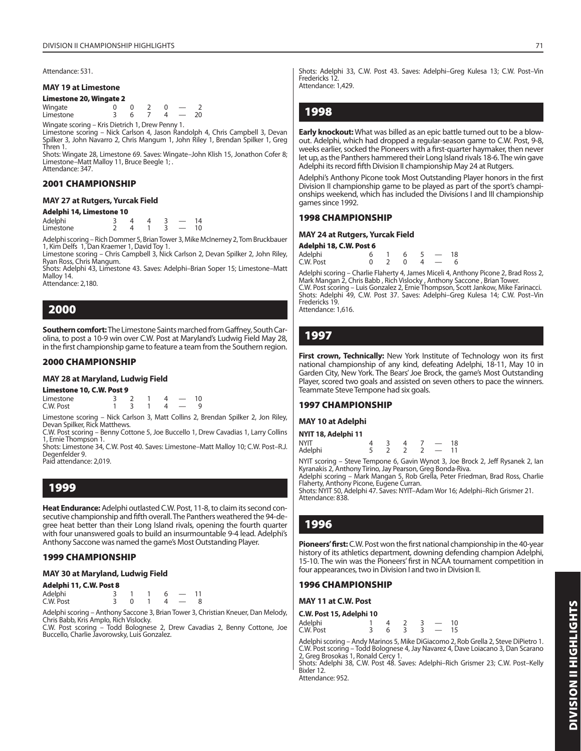Attendance: 531.

### **MAY 19 at Limestone**

**Limestone 20, Wingate 2**

 $Wingate$   $0$   $0$   $2$   $0$   $2$ <br> $Limes for$   $0$   $3$   $6$   $7$   $4$   $20$ **Limestone** 

Wingate scoring – Kris Dietrich 1, Drew Penny 1.

Limestone scoring – Nick Carlson 4, Jason Randolph 4, Chris Campbell 3, Devan Spilker 3, John Navarro 2, Chris Mangum 1, John Riley 1, Brendan Spilker 1, Greg Thren 1.

Shots: Wingate 28, Limestone 69. Saves: Wingate–John Klish 15, Jonathon Cofer 8; Limestone–Matt Malloy 11, Bruce Beegle 1; . Attendance: 347.

### **2001 CHAMPIONSHIP**

### **MAY 27 at Rutgers, Yurcak Field**

### **Adelphi 14, Limestone 10**

| Adelphi   |  |  |  |
|-----------|--|--|--|
| Limestone |  |  |  |

Adelphi scoring – Rich Dommer 5, Brian Tower 3, Mike McInerney 2, Tom Bruckbauer 1, Kim Delfs 1, Dan Kraemer 1, David Toy 1.

Limestone scoring – Chris Campbell 3, Nick Carlson 2, Devan Spilker 2, John Riley, Ryan Ross, Chris Mangum.

Shots: Adelphi 43, Limestone 43. Saves: Adelphi–Brian Soper 15; Limestone–Matt Malloy 14. Attendance: 2,180.

### **2000**

**Southern comfort:** The Limestone Saints marched from Gaffney, South Carolina, to post a 10-9 win over C.W. Post at Maryland's Ludwig Field May 28, in the first championship game to feature a team from the Southern region.

### **2000 CHAMPIONSHIP**

### **MAY 28 at Maryland, Ludwig Field**

**Limestone 10, C.W. Post 9**

Limestone 3 2 1 4 — 10  $CW$  Post  $1 \t3 \t1$ 

Limestone scoring – Nick Carlson 3, Matt Collins 2, Brendan Spilker 2, Jon Riley, Devan Spilker, Rick Matthews. C.W. Post scoring – Benny Cottone 5, Joe Buccello 1, Drew Cavadias 1, Larry Collins

1, Ernie Thompson 1. Shots: Limestone 34, C.W. Post 40. Saves: Limestone–Matt Malloy 10; C.W. Post–R.J.

Degenfelder 9.

Paid attendance: 2,019.

**1999**

**Heat Endurance:** Adelphi outlasted C.W. Post, 11-8, to claim its second consecutive championship and fifth overall. The Panthers weathered the 94-degree heat better than their Long Island rivals, opening the fourth quarter with four unanswered goals to build an insurmountable 9-4 lead. Adelphi's Anthony Saccone was named the game's Most Outstanding Player.

### **1999 CHAMPIONSHIP**

### **MAY 30 at Maryland, Ludwig Field**

### **Adelphi 11, C.W. Post 8**

| Adelphi   |  |  |  |
|-----------|--|--|--|
| C.W. Post |  |  |  |

Adelphi scoring – Anthony Saccone 3, Brian Tower 3, Christian Kneuer, Dan Melody, Chris Babb, Kris Amplo, Rich Vislocky.

C.W. Post scoring – Todd Bolognese 2, Drew Cavadias 2, Benny Cottone, Joe Buccello, Charlie Javorowsky, Luis Gonzalez.

Shots: Adelphi 33, C.W. Post 43. Saves: Adelphi–Greg Kulesa 13; C.W. Post–Vin Fredericks 12. Attendance: 1,429.

### **1998**

**Early knockout:** What was billed as an epic battle turned out to be a blowout. Adelphi, which had dropped a regular-season game to C.W. Post, 9-8, weeks earlier, socked the Pioneers with a first-quarter haymaker, then never let up, as the Panthers hammered their Long Island rivals 18-6. The win gave Adelphi its record fifth Division II championship May 24 at Rutgers.

Adelphi's Anthony Picone took Most Outstanding Player honors in the first Division II championship game to be played as part of the sport's championships weekend, which has included the Divisions I and III championship games since 1992.

### **1998 CHAMPIONSHIP**

| MAY 24 at Rutgers, Yurcak Field |    |  |              |    |  |    |  |  |  |
|---------------------------------|----|--|--------------|----|--|----|--|--|--|
| Adelphi 18, C.W. Post 6         |    |  |              |    |  |    |  |  |  |
| Adelphi                         | 6. |  | 6            | -5 |  | 18 |  |  |  |
| C.W. Post                       | ∩  |  | <sup>n</sup> |    |  | 6  |  |  |  |

Adelphi scoring – Charlie Flaherty 4, James Miceli 4, Anthony Picone 2, Brad Ross 2,<br>Mark Mangan 2, Chris Babb , Rich Vislocky , Anthony Saccone , Brian Tower.<br>C.W. Post scoring – Luis Gonzalez 2, Ernie Thompson, Scott Jan Shots: Adelphi 49, C.W. Post 37. Saves: Adelphi–Greg Kulesa 14; C.W. Post–Vin Fredericks 19. Attendance: 1,616.

### **1997**

First crown, Technically: New York Institute of Technology won its first national championship of any kind, defeating Adelphi, 18-11, May 10 in Garden City, New York. The Bears' Joe Brock, the game's Most Outstanding Player, scored two goals and assisted on seven others to pace the winners. Teammate Steve Tempone had six goals.

### **1997 CHAMPIONSHIP**

### **MAY 10 at Adelphi**

| NYIT 18, Adelphi 11 |  |  |               |    |
|---------------------|--|--|---------------|----|
| <b>NYIT</b>         |  |  |               | 18 |
| Adelphi             |  |  | $\sim$ $\sim$ | 11 |

NYIT scoring – Steve Tempone 6, Gavin Wynot 3, Joe Brock 2, Jeff Rysanek 2, Ian

Kyranakis 2, Anthony Tirino, Jay Pearson, Greg Bonda-Riva. Adelphi scoring – Mark Mangan 5, Rob Grella, Peter Friedman, Brad Ross, Charlie Flaherty, Anthony Picone, Eugene Curran.

Shots: NYIT 50, Adelphi 47. Saves: NYIT–Adam Wor 16; Adelphi–Rich Grismer 21. Attendance: 838.

### **1996**

**Pioneers' first:** C.W. Post won the first national championship in the 40-year history of its athletics department, downing defending champion Adelphi, 15-10. The win was the Pioneers' first in NCAA tournament competition in four appearances, two in Division I and two in Division II.

### **1996 CHAMPIONSHIP**

**MAY 11 at C.W. Post**

| C.W. Post 15, Adelphi 10 |  |  |               |    |
|--------------------------|--|--|---------------|----|
| Adelphi                  |  |  |               | 10 |
| C.W. Post                |  |  | $\sim$ $\sim$ |    |

Adelphi scoring – Andy Marinos 5, Mike DiGiacomo 2, Rob Grella 2, Steve DiPietro 1. C.W. Post scoring – Todd Bolognese 4, Jay Navarez 4, Dave Loiacano 3, Dan Scarano 2, Greg Brosokas 1, Ronald Cercy 1.

Shots: Adelphi 38, C.W. Post 48. Saves: Adelphi–Rich Grismer 23; C.W. Post–Kelly Bixler 12.

Attendance: 952.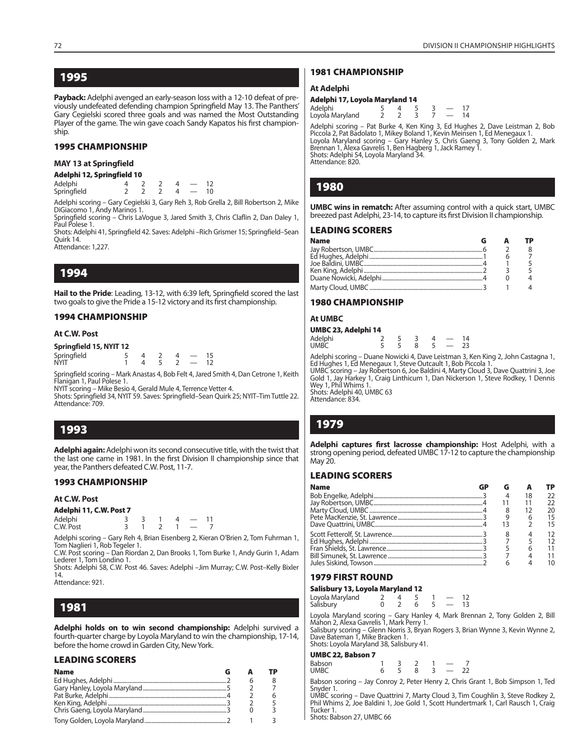**1995**

Payback: Adelphi avenged an early-season loss with a 12-10 defeat of previously undefeated defending champion Springfield May 13. The Panthers' Gary Cegielski scored three goals and was named the Most Outstanding Player of the game. The win gave coach Sandy Kapatos his first championship.

### **1995 CHAMPIONSHIP**

### **MAY 13 at Springfield**

### **Adelphi 12, Springfield 10**

Springfield

Adelphi 4 2 2 4 — 12

Adelphi scoring – Gary Cegielski 3, Gary Reh 3, Rob Grella 2, Bill Robertson 2, Mike DiGiacomo 1, Andy Marinos 1.

Springfield scoring – Chris LaVogue 3, Jared Smith 3, Chris Claflin 2, Dan Daley 1, Paul Polese 1.

Shots: Adelphi 41, Springfield 42. Saves: Adelphi –Rich Grismer 15; Springfield–Sean Quirk 14.

Attendance: 1,227.

### **1994**

Hail to the Pride: Leading, 13-12, with 6:39 left, Springfield scored the last two goals to give the Pride a 15-12 victory and its first championship.

### **1994 CHAMPIONSHIP**

### **At C.W. Post**

|  | Springfield 15, NYIT 12 |  |  |
|--|-------------------------|--|--|
|  |                         |  |  |

| Springfield |  |  |  |  |
|-------------|--|--|--|--|
| nyit        |  |  |  |  |

Springfield scoring – Mark Anastas 4, Bob Felt 4, Jared Smith 4, Dan Cetrone 1, Keith Flanigan 1, Paul Polese 1.

NYIT scoring – Mike Besio 4, Gerald Mule 4, Terrence Vetter 4.

Shots: Springfield 34, NYIT 59. Saves: Springfield–Sean Quirk 25; NYIT–Tim Tuttle 22. Attendance: 709.

### **1993**

**Adelphi again:** Adelphi won its second consecutive title, with the twist that the last one came in 1981. In the first Division II championship since that year, the Panthers defeated C.W. Post, 11-7.

### **1993 CHAMPIONSHIP**

**At C.W. Post**

### **Adelphi 11, C.W. Post 7**

| Adelphi   |  |  |  |
|-----------|--|--|--|
| C.W. Post |  |  |  |

Adelphi scoring – Gary Reh 4, Brian Eisenberg 2, Kieran O'Brien 2, Tom Fuhrman 1, Tom Naglieri 1, Rob Tegeler 1.

C.W. Post scoring – Dan Riordan 2, Dan Brooks 1, Tom Burke 1, Andy Gurin 1, Adam Lederer 1, Tom Londino 1.

Shots: Adelphi 58, C.W. Post 46. Saves: Adelphi –Jim Murray; C.W. Post–Kelly Bixler 14. Attendance: 921.

### **1981**

**Adelphi holds on to win second championship:** Adelphi survived a fourth-quarter charge by Loyola Maryland to win the championship, 17-14, before the home crowd in Garden City, New York.

### **LEADING SCORERS**

| <b>Name</b> |  |  |
|-------------|--|--|
|             |  |  |
|             |  |  |
|             |  |  |
|             |  |  |
|             |  |  |
|             |  |  |

### **1981 CHAMPIONSHIP**

### **At Adelphi**

| Adelphi 17, Loyola Maryland 14 |  |   |  |  |                          |          |
|--------------------------------|--|---|--|--|--------------------------|----------|
| Adelphi<br>Loyola Maryland     |  | ≖ |  |  | $\overline{\phantom{a}}$ | 17<br>14 |

Adelphi scoring – Pat Burke 4, Ken King 3, Ed Hughes 2, Dave Leistman 2, Bob Piccola 2, Pat Badolato 1, Mikey Boland 1, Kevin Meinsen 1, Ed Menegaux 1. Loyola Maryland scoring – Gary Hanley 5, Chris Gaeng 3, Tony Golden 2, Mark Brennan 1, Alexa Gavrelis 1, Ben Hagberg 1, Jack Ramey 1. Shots: Adelphi 54, Loyola Maryland 34. Attendance: 820.

### **1980**

**UMBC wins in rematch:** After assuming control with a quick start, UMBC breezed past Adelphi, 23-14, to capture its first Division II championship.

### **LEADING SCORERS**

| <b>Name</b> |  |  |
|-------------|--|--|
|             |  |  |
|             |  |  |
|             |  |  |
|             |  |  |
|             |  |  |
|             |  |  |

### **1980 CHAMPIONSHIP**

### **At UMBC**

| UMBC 23, Adelphi 14    |  |  |          |
|------------------------|--|--|----------|
| Adelphi<br><b>UMBC</b> |  |  | 14<br>つろ |

Adelphi scoring – Duane Nowicki 4, Dave Leistman 3, Ken King 2, John Castagna 1, Ed Hughes 1, Ed Menegaux 1, Steve Outcault 1, Bob Piccola 1.

UMBC scoring – Jay Robertson 6, Joe Baldini 4, Marty Cloud 3, Dave Quattrini 3, Joe Gold 1, Jay Harkey 1, Craig Linthicum 1, Dan Nickerson 1, Steve Rodkey, 1 Dennis Wey 1, Phil Whims 1

Shots: Adelphi 40, UMBC 63 Attendance: 834.

### **1979**

Adelphi captures first lacrosse championship: Host Adelphi, with a strong opening period, defeated UMBC 17-12 to capture the championship May 20.

### **LEADING SCORERS**

| <b>Name</b> |  |    | ГP |
|-------------|--|----|----|
|             |  | 18 | つつ |
|             |  |    |    |
|             |  |    |    |
|             |  |    | 15 |
|             |  |    | 15 |
|             |  |    | 12 |
|             |  |    |    |
|             |  |    |    |
|             |  |    |    |
|             |  |    |    |

### **1979 FIRST ROUND**

### **Salisbury 13, Loyola Maryland 12**

| Loyola Maryland<br>Salisbury |  |  |  |
|------------------------------|--|--|--|

Loyola Maryland scoring – Gary Hanley 4, Mark Brennan 2, Tony Golden 2, Bill Mahon 2, Alexa Gavrelis 1, Mark Perry 1.

Salisbury scoring – Glenn Norris 3, Bryan Rogers 3, Brian Wynne 3, Kevin Wynne 2, Dave Bateman 1, Mike Bracken 1. Shots: Loyola Maryland 38, Salisbury 41.

### **UMBC 22, Babson 7**

| <b>UMBC</b><br>8<br>- | Babson |  |  |  |  |  |  |  |
|-----------------------|--------|--|--|--|--|--|--|--|
|-----------------------|--------|--|--|--|--|--|--|--|

Babson scoring – Jay Conroy 2, Peter Henry 2, Chris Grant 1, Bob Simpson 1, Ted Snyder 1.

UMBC scoring – Dave Quattrini 7, Marty Cloud 3, Tim Coughlin 3, Steve Rodkey 2, Phil Whims 2, Joe Baldini 1, Joe Gold 1, Scott Hundertmark 1, Carl Rausch 1, Craig Tucker 1.

Shots: Babson 27, UMBC 66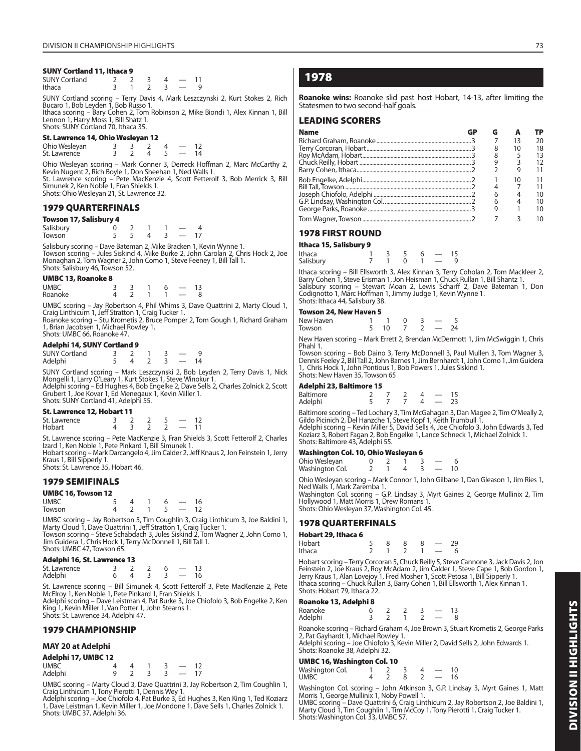### **SUNY Cortland 11, Ithaca 9**

| <b>SUNY Cortland</b> |  |  |  |
|----------------------|--|--|--|
| Ithaca               |  |  |  |

SUNY Cortland scoring – Terry Davis 4, Mark Leszczynski 2, Kurt Stokes 2, Rich Bucaro 1, Bob Leyden 1, Bob Russo 1.

Ithaca scoring – Bary Cohen 2, Tom Robinson 2, Mike Biondi 1, Alex Kinnan 1, Bill Lennon 1, Harry Moss 1, Bill Shatz 1. Shots: SUNY Cortland 70, Ithaca 35.

### **St. Lawrence 14, Ohio Wesleyan 12**

| <b>SUPPRISTLY</b> $\mathbf{F}$ $\mathbf{F}$ and $\mathbf{F}$ |  |  |  |  |  |    |  |  |
|--------------------------------------------------------------|--|--|--|--|--|----|--|--|
| Ohio Wesleyan                                                |  |  |  |  |  |    |  |  |
| St. Lawrence                                                 |  |  |  |  |  | 14 |  |  |

Ohio Wesleyan scoring – Mark Conner 3, Derreck Hoffman 2, Marc McCarthy 2, Kevin Nugent 2, Rich Boyle 1, Don Sheehan 1, Ned Walls 1. St. Lawrence scoring – Pete MacKenzie 4, Scott Fetterolf 3, Bob Merrick 3, Bill Simunek 2, Ken Noble 1, Fran Shields 1. Shots: Ohio Wesleyan 21, St. Lawrence 32.

### **1979 QUARTERFINALS**

### **Towson 17, Salisbury 4**

| Salisbury           |  |  |  |  |
|---------------------|--|--|--|--|
| Towson <sup>®</sup> |  |  |  |  |

Salisbury scoring – Dave Bateman 2, Mike Bracken 1, Kevin Wynne 1. Towson scoring – Jules Siskind 4, Mike Burke 2, John Carolan 2, Chris Hock 2, Joe Monaghan 2, Tom Wagner 2, John Como 1, Steve Feeney 1, Bill Tall 1. Shots: Salisbury 46, Towson 52.

### **UMBC 13, Roanoke 8**

| <b>UMBC</b> |  |  |  |
|-------------|--|--|--|
| Roanoke     |  |  |  |

UMBC scoring – Jay Robertson 4, Phil Whims 3, Dave Quattrini 2, Marty Cloud 1, Craig Linthicum 1, Jeff Stratton 1, Craig Tucker 1.

Roanoke scoring – Stu Krometis 2, Bruce Pomper 2, Tom Gough 1, Richard Graham 1, Brian Jacobsen 1, Michael Rowley 1. Shots: UMBC 66, Roanoke 47.

### **Adelphi 14, SUNY Cortland 9**

| <b>SUNY Cortland</b> |  |  |  |
|----------------------|--|--|--|
| Adelphi              |  |  |  |

SUNY Cortland scoring – Mark Leszczynski 2, Bob Leyden 2, Terry Davis 1, Nick Mongelli 1, Larry O'Leary 1, Kurt Stokes 1, Steve Winokur 1.<br>Adelphi scoring – Ed Hughes 4, Bob Engelke 2, Dave Sells 2, Charles Zolnick 2, Scott<br>Grubert 1, Joe Kovar 1, Ed Menegaux 1, Kevin Miller 1. Shots: SUNY Cortland 41, Adelphi 55.

### **St. Lawrence 12, Hobart 11**

| St. Lawrence |  |  |  |  |
|--------------|--|--|--|--|
| Hobart       |  |  |  |  |

St. Lawrence scoring – Pete MacKenzie 3, Fran Shields 3, Scott Fetterolf 2, Charles Izard 1, Ken Noble 1, Pete Pinkard 1, Bill Simunek 1.

Hobart scoring – Mark Darcangelo 4, Jim Calder 2, Jeff Knaus 2, Jon Feinstein 1, Jerry Kraus 1, Bill Sipperly 1.

Shots: St. Lawrence 35, Hobart 46.

### **1979 SEMIFINALS**

### **UMBC 16, Towson 12**

| <b>UMBC</b> |  | 6 |  |
|-------------|--|---|--|
| Towson      |  |   |  |

UMBC scoring – Jay Robertson 5, Tim Coughlin 3, Craig Linthicum 3, Joe Baldini 1, Marty Cloud 1, Dave Quattrini 1, Jeff Stratton 1, Craig Tucker 1.<br>Towson scoring – Steve Schabdach 3, Jules Siskind 2, Tom Wagner 2, John Como 1,<br>Jim Guidera 1, Chris Hock 1, Terry McDonnell 1, Bill Tall 1.<br>Shots: UMBC 47,

### **Adelphi 16, St. Lawrence 13**

| St. Lawrence |  |  |  |
|--------------|--|--|--|
| Adelphi      |  |  |  |

St. Lawrence scoring – Bill Simunek 4, Scott Fetterolf 3, Pete MacKenzie 2, Pete McElroy 1, Ken Noble 1, Pete Pinkard 1, Fran Shields 1.

Adelphi scoring – Dave Leistman 4, Pat Burke 3, Joe Chiofolo 3, Bob Engelke 2, Ken King 1, Kevin Miller 1, Van Potter 1, John Stearns 1. Shots: St. Lawrence 34, Adelphi 47.

### **1979 CHAMPIONSHIP**

### **MAY 20 at Adelphi**

| Adelphi 17, UMBC 12 |  |  |                          |    |
|---------------------|--|--|--------------------------|----|
| <b>UMBC</b>         |  |  |                          | 12 |
| Adelphi             |  |  | $\overline{\phantom{a}}$ | 17 |

UMBC scoring – Marty Cloud 3, Dave Quattrini 3, Jay Robertson 2, Tim Coughlin 1, Craig Linthicum 1, Tony Pierotti 1, Dennis Wey 1. Adelphi scoring – Joe Chiofolo 4, Pat Burke 3, Ed Hughes 3, Ken King 1, Ted Koziarz

1, Dave Leistman 1, Kevin Miller 1, Joe Mondone 1, Dave Sells 1, Charles Zolnick 1. Shots: UMBC 37, Adelphi 36.

### **1978**

**Roanoke wins:** Roanoke slid past host Hobart, 14-13, after limiting the Statesmen to two second-half goals.

### **LEADING SCORERS**

| <b>Name</b> |  |                |    |
|-------------|--|----------------|----|
|             |  | 13             | 20 |
|             |  | 10             | 18 |
|             |  |                |    |
|             |  |                |    |
|             |  |                |    |
|             |  |                |    |
|             |  |                |    |
|             |  |                |    |
|             |  | $\overline{4}$ |    |
|             |  |                |    |
|             |  |                |    |

### **1978 FIRST ROUND**

**Ithaca 15, Salisbury 9**

| ILIIULU I <i>JI</i> JUIIJIJUI Y <i>J</i>                      |  |          |          |  |
|---------------------------------------------------------------|--|----------|----------|--|
| Ithaca                                                        |  | -35      | $6 - 15$ |  |
| Salisbury                                                     |  | $\Omega$ | $1 - 9$  |  |
| Ithaca scoring - Rill Ellsworth 3 Alex Kinnan 3 Terry Coholar |  |          |          |  |

Ithaca scoring – Bill Ellsworth 3, Alex Kinnan 3, Terry Coholan 2, Tom Mackleer 2,<br>Barry Cohen 1, Steve Erisman 1, Jon Heisman 1, Chuck Rullan 1, Bill Shantz 1.<br>Salisbury scoring – Stewart Moan 2, Lewis Scharff 2, Dave Bat Shots: Ithaca 44, Salisbury 38.

### **Towson 24, New Haven 5**

| 10000011277135011485115 |  |  |  |
|-------------------------|--|--|--|
| New Haven               |  |  |  |
| Towson                  |  |  |  |

New Haven scoring – Mark Errett 2, Brendan McDermott 1, Jim McSwiggin 1, Chris Phahl 1.

Towson scoring – Bob Daino 3, Terry McDonnell 3, Paul Mullen 3, Tom Wagner 3, Dennis Feeley 2, Bill Tall 2, John Barnes 1, Jim Bernhardt 1, John Como 1, Jim Guidera 1, Chris Hock 1, John Pontious 1, Bob Powers 1, Jules Siskind 1. Shots: New Haven 35, Towson 65

### **Adelphi 23, Baltimore 15**

| Baltimore |  |  |  |
|-----------|--|--|--|
| Adelphi   |  |  |  |

Baltimore scoring – Ted Lochary 3, Tim McGahagan 3, Dan Magee 2, Tim O'Meally 2, Gildo Picinich 2, Del Hanzche 1, Steve Kopf 1, Keith Trumbull 1. Adelphi scoring – Kevin Miller 5, David Sells 4, Joe Chiofolo 3, John Edwards 3, Ted Koziarz 3, Robert Fagan 2, Bob Engelke 1, Lance Schneck 1, Michael Zolnick 1. Shots: Baltimore 43, Adelphi 55.

### **Washington Col. 10, Ohio Wesleyan 6**

| Ohio Wesleyan   |  |  |  |
|-----------------|--|--|--|
| Washington Col. |  |  |  |

Ohio Wesleyan scoring – Mark Connor 1, John Gilbane 1, Dan Gleason 1, Jim Ries 1, Ned Walls 1, Mark Zaremba 1.

Washington Col. scoring – G.P. Lindsay 3, Myrt Gaines 2, George Mullinix 2, Tim Hollywood 1, Matt Morris 1, Drew Romans 1. Shots: Ohio Wesleyan 37, Washington Col. 45.

### **1978 QUARTERFINALS**

### **Hobart 29, Ithaca 6**

| Hobart | -8 | -8 |  | 29 |
|--------|----|----|--|----|
| Ithaca |    |    |  |    |

Hobart scoring – Terry Corcoran 5, Chuck Reilly 5, Steve Cannone 3, Jack Davis 2, Jon<br>Feinstein 2, Joe Kraus 2, Roy McAdam 2, Jim Calder 1, Steve Cape 1, Bob Gordon 1,<br>Jerry Kraus 1, Alan Lovejoy 1, Fred Mosher 1, Scott Pe Shots: Hobart 79, Ithaca 22.

### **Roanoke 13, Adelphi 8**

| Roanoke |  |  |  |
|---------|--|--|--|
| Adelphi |  |  |  |

Roanoke scoring – Richard Graham 4, Joe Brown 3, Stuart Krometis 2, George Parks<br>2, Pat Gayhardt 1, Michael Rowley 1.<br>Adelphi scoring – Joe Chiofolo 3, Kevin Miller 2, David Sells 2, John Edwards 1.

Shots: Roanoke 38, Adelphi 32.

### **UMBC 16, Washington Col. 10**

| Washington Col. |  |  |    |
|-----------------|--|--|----|
| UMBC            |  |  | 16 |

Washington Col. scoring – John Atkinson 3, G.P. Lindsay 3, Myrt Gaines 1, Matt Morris 1, George Mullinix 1, Noby Powell 1.

UMBC scoring – Dave Quattrini 6, Craig Linthicum 2, Jay Robertson 2, Joe Baldini 1, Marty Cloud 1, Tim Coughlin 1, Tim McCoy 1, Tony Pierotti 1, Craig Tucker 1. Shots: Washington Col. 33, UMBC 57.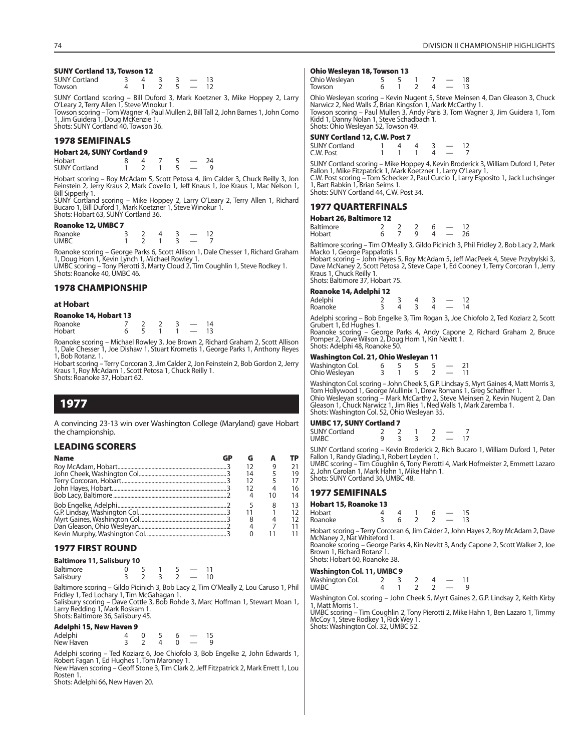### **SUNY Cortland 13, Towson 12**

| <b>SUNY Cortland</b> |  |  |  |
|----------------------|--|--|--|
| Towson               |  |  |  |

SUNY Cortland scoring – Bill Duford 3, Mark Koetzner 3, Mike Hoppey 2, Larry O'Leary 2, Terry Allen 1, Steve Winokur 1. Towson scoring – Tom Wagner 4, Paul Mullen 2, Bill Tall 2, John Barnes 1, John Como

1, Jim Guidera 1, Doug McKenzie 1. Shots: SUNY Cortland 40, Towson 36.

### **1978 SEMIFINALS**

**Hobart 24, SUNY Cortland 9** Hobart 8 4 7 5 — 24  $SUNY$  Cortland  $\overline{1}$   $\overline{2}$   $\overline{1}$   $\overline{5}$   $\overline{-}$   $\overline{9}$ 

Hobart scoring – Roy McAdam 5, Scott Petosa 4, Jim Calder 3, Chuck Reilly 3, Jon Feinstein 2, Jerry Kraus 2, Mark Covello 1, Jeff Knaus 1, Joe Kraus 1, Mac Nelson 1, Bill Sipperly 1.

SUNY Cortland scoring – Mike Hoppey 2, Larry O'Leary 2, Terry Allen 1, Richard Bucaro 1, Bill Duford 1, Mark Koetzner 1, Steve Winokur 1. Shots: Hobart 63, SUNY Cortland 36.

### **Roanoke 12, UMBC 7**

| Roanoke     |  | - |  |
|-------------|--|---|--|
| <b>UMBC</b> |  |   |  |

Roanoke scoring – George Parks 6, Scott Allison 1, Dale Chesser 1, Richard Graham<br>1, Doug Horn 1, Kevin Lynch 1, Michael Rowley 1.<br>UMBC scoring – Tony Pierotti 3, Marty Cloud 2, Tim Coughlin 1, Steve Rodkey 1.

Shots: Roanoke 40, UMBC 46.

### **1978 CHAMPIONSHIP**

#### **at Hobart**

| 100     |  |  |  |
|---------|--|--|--|
| Roanoke |  |  |  |
| Hobart  |  |  |  |

Roanoke scoring – Michael Rowley 3, Joe Brown 2, Richard Graham 2, Scott Allison 1, Dale Chesser 1, Joe Dishaw 1, Stuart Krometis 1, George Parks 1, Anthony Reyes 1, Bob Rotanz. 1.

Hobart scoring – Terry Corcoran 3, Jim Calder 2, Jon Feinstein 2, Bob Gordon 2, Jerry Kraus 1, Roy McAdam 1, Scott Petosa 1, Chuck Reilly 1. Shots: Roanoke 37, Hobart 62.

### **1977**

A convincing 23-13 win over Washington College (Maryland) gave Hobart the championship.

### **LEADING SCORERS**

| <b>Name</b> | GP |    |    | ТP |
|-------------|----|----|----|----|
|             |    |    |    | 21 |
|             |    | 14 |    | 19 |
|             |    |    |    | 17 |
|             |    |    |    | 16 |
|             |    |    | 10 | 14 |
|             |    |    |    | 13 |
|             |    |    |    | 12 |
|             |    |    |    | 12 |
|             |    |    |    | 11 |
|             |    |    |    |    |

### **1977 FIRST ROUND**

| <b>Baltimore 11, Salisbury 10</b>                           |  |    |  |     |  |
|-------------------------------------------------------------|--|----|--|-----|--|
| Baltimore                                                   |  |    |  |     |  |
| Salisbury                                                   |  | ્ર |  | 10. |  |
| Baltimore scoring - Gildo Picinich 3, Bob Lacy 2, Tim O'Mea |  |    |  |     |  |

ally 2, Lou Caruso 1, Phil Fridley 1, Ted Lochary 1, Tim McGahagan 1. Salisbury scoring – Dave Cottle 3, Bob Rohde 3, Marc Hoffman 1, Stewart Moan 1, Larry Redding 1, Mark Roskam 1.

Shots: Baltimore 36, Salisbury 45.

### **Adelphi 15, New Haven 9**

| ------ <b>--</b> |  |  |  |
|------------------|--|--|--|
| Adelphi          |  |  |  |
| New Haven        |  |  |  |

Adelphi scoring – Ted Koziarz 6, Joe Chiofolo 3, Bob Engelke 2, John Edwards 1, Robert Fagan 1, Ed Hughes 1, Tom Maroney 1. New Haven scoring - Geoff Stone 3, Tim Clark 2, Jeff Fitzpatrick 2, Mark Errett 1, Lou Rosten 1.

Shots: Adelphi 66, New Haven 20.

#### **Ohio Wesleyan 18, Towson 13**

| Ohio Wesleyan<br>Towson |  |  | 18<br>13 |
|-------------------------|--|--|----------|
|                         |  |  |          |

Ohio Wesleyan scoring – Kevin Nugent 5, Steve Meinsen 4, Dan Gleason 3, Chuck Narwicz 2, Ned Walls 2, Brian Kingston 1, Mark McCarthy 1. Towson scoring – Paul Mullen 3, Andy Paris 3, Tom Wagner 3, Jim Guidera 1, Tom Kidd 1, Danny Nolan 1, Steve Schadbach 1. Shots: Ohio Wesleyan 52, Towson 49.

### **SUNY Cortland 12, C.W. Post 7**

| <b>SUNY Cortland</b> |  |  |  |
|----------------------|--|--|--|
| C.W. Post            |  |  |  |
| -------              |  |  |  |

SUNY Cortland scoring – Mike Hoppey 4, Kevin Broderick 3, William Duford 1, Peter<br>Fallon 1, Mike Fitzpatrick 1, Mark Koetzner 1, Larry O'Leary 1.<br>C.W. Post scoring – Tom Schecker 2, Paul Curcio 1, Larry Esposito 1, Jack Lu Shots: SUNY Cortland 44, C.W. Post 34.

### **1977 QUARTERFINALS**

### **Hobart 26, Baltimore 12**

| Baltimore<br>Hobart |  |  |  |  |
|---------------------|--|--|--|--|
|                     |  |  |  |  |

Baltimore scoring – Tim O'Meally 3, Gildo Picinich 3, Phil Fridley 2, Bob Lacy 2, Mark Macko 1, George Pappafotis 1.

Hobart scoring – John Hayes 5, Roy McAdam 5, Jeff MacPeek 4, Steve Przybylski 3, Dave McNaney 2, Scott Petosa 2, Steve Cape 1, Ed Cooney 1, Terry Corcoran 1, Jerry Kraus 1, Chuck Reilly 1. Shots: Baltimore 37, Hobart 75.

#### **Roanoke 14, Adelphi 12**

| noanone : 1,10001pm := |  |  |               |      |
|------------------------|--|--|---------------|------|
| Adelphi                |  |  |               | 12   |
| Roanoke                |  |  | $\sim$ $\sim$ | - 14 |
|                        |  |  |               |      |

Adelphi scoring – Bob Engelke 3, Tim Rogan 3, Joe Chiofolo 2, Ted Koziarz 2, Scott Grubert 1, Ed Hughes 1.

Roanoke scoring – George Parks 4, Andy Capone 2, Richard Graham 2, Bruce Pomper 2, Dave Wilson 2, Doug Horn 1, Kin Nevitt 1. Shots: Adelphi 48, Roanoke 50.

### **Washington Col. 21, Ohio Wesleyan 11**

| Washington Col. |  |  |  |
|-----------------|--|--|--|
| Ohio Wesleyan   |  |  |  |

Washington Col. scoring – John Cheek 5, G.P. Lindsay 5, Myrt Gaines 4, Matt Morris 3, Tom Hollywood 1, George Mullinix 1, Drew Romans 1, Greg Schaffner 1. Ohio Wesleyan scoring – Mark McCarthy 2, Steve Meinsen 2, Kevin Nugent 2, Dan Gleason 1, Chuck Narwicz 1, Jim Ries 1, Ned Walls 1, Mark Zaremba 1. Shots: Washington Col. 52, Ohio Wesleyan 35.

### **UMBC 17, SUNY Cortland 7**

| <b>SUNY Cortland</b> |  |  |     |  |
|----------------------|--|--|-----|--|
| UMBC                 |  |  | -17 |  |
|                      |  |  |     |  |

SUNY Cortland scoring – Kevin Broderick 2, Rich Bucaro 1, William Duford 1, Peter Fallon 1, Randy Glading.1, Robert Leyden 1. UMBC scoring – Tim Coughlin 6, Tony Pierotti 4, Mark Hofmeister 2, Emmett Lazaro 2, John Carolan 1, Mark Hahn 1, Mike Hahn 1.

Shots: SUNY Cortland 36, UMBC 48.

### **1977 SEMIFINALS**

#### **Hobart 15, Roanoke 13**

| Hobart  |  |  |  |
|---------|--|--|--|
| Roanoke |  |  |  |

Hobart scoring – Terry Corcoran 6, Jim Calder 2, John Hayes 2, Roy McAdam 2, Dave McNaney 2, Nat Whiteford 1.

Roanoke scoring – George Parks 4, Kin Nevitt 3, Andy Capone 2, Scott Walker 2, Joe Brown 1, Richard Rotanz 1. Shots: Hobart 60, Roanoke 38.

#### **Washington Col. 11, UMBC 9**

| $1.451$ given son 1.1, only $\sim$ |  |  |  |
|------------------------------------|--|--|--|
| Washington Col.                    |  |  |  |
| <b>UMBC</b>                        |  |  |  |

Washington Col. scoring – John Cheek 5, Myrt Gaines 2, G.P. Lindsay 2, Keith Kirby 1, Matt Morris 1.

UMBC scoring – Tim Coughlin 2, Tony Pierotti 2, Mike Hahn 1, Ben Lazaro 1, Timmy McCoy 1, Steve Rodkey 1, Rick Wey 1. Shots: Washington Col. 32, UMBC 52.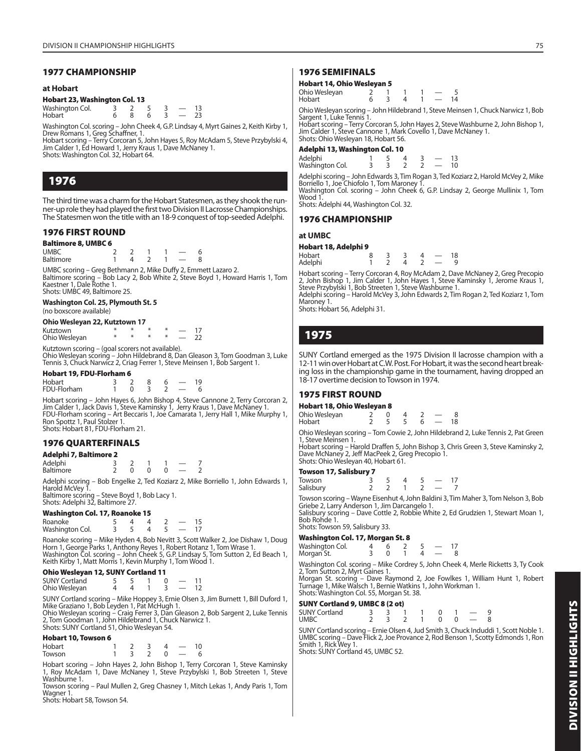### **1977 CHAMPIONSHIP**

### **at Hobart**

### **Hobart 23, Washington Col. 13**

| Washington Col. |  |  |  |
|-----------------|--|--|--|
| Hobart          |  |  |  |

Washington Col. scoring – John Cheek 4, G.P. Lindsay 4, Myrt Gaines 2, Keith Kirby 1,

Drew Romans 1, Greg Schaffner, 1.<br>Hobart scoring – Terry Corcoran 5, John Hayes 5, Roy McAdam 5, Steve Przybylski 4,<br>Jim Calder 1, Ed Howard 1, Jerry Kraus 1, Dave McNaney 1. Shots: Washington Col. 32, Hobart 64.

### **1976**

The third time was a charm for the Hobart Statesmen, as they shook the runner-up role they had played the first two Division II Lacrosse Championships. The Statesmen won the title with an 18-9 conquest of top-seeded Adelphi.

### **1976 FIRST ROUND**

| <b>Baltimore 8, UMBC 6</b> |  |  |  |
|----------------------------|--|--|--|
| <b>UMBC</b>                |  |  |  |
| Baltimore                  |  |  |  |

UMBC scoring – Greg Bethmann 2, Mike Duffy 2, Emmett Lazaro 2. Baltimore scoring – Bob Lacy 2, Bob White 2, Steve Boyd 1, Howard Harris 1, Tom Kaestner 1, Dale Rothe 1. Shots: UMBC 49, Baltimore 25.

### **Washington Col. 25, Plymouth St. 5**

(no boxscore available)

| Ohio Wesleyan 22, Kutztown 17 |  |  |
|-------------------------------|--|--|
|-------------------------------|--|--|

| Kutztown      |  |  |  |
|---------------|--|--|--|
| Ohio Wesleyan |  |  |  |

Kutztown scoring – (goal scorers not available). Ohio Wesleyan scoring – John Hildebrand 8, Dan Gleason 3, Tom Goodman 3, Luke Tennis 3, Chuck Narwicz 2, Criag Ferrer 1, Steve Meinsen 1, Bob Sargent 1.

### **Hobart 19, FDU-Florham 6**

| Hobart      |  |  | $\overline{\phantom{a}}$ | 19 |
|-------------|--|--|--------------------------|----|
| FDU-Florham |  |  |                          |    |

Hobart scoring – John Hayes 6, John Bishop 4, Steve Cannone 2, Terry Corcoran 2, Jim Calder 1, Jack Davis 1, Steve Kaminsky 1, Jerry Kraus 1, Dave McNaney 1. FDU-Florham scoring – Art Beccaris 1, Joe Camarata 1, Jerry Hall 1, Mike Murphy 1, Ron Spottz 1, Paul Stolzer 1. Shots: Hobart 81, FDU-Florham 21.

### **1976 QUARTERFINALS**

| Adelphi 7, Baltimore 2 |  |  |  |  |
|------------------------|--|--|--|--|
| Adelphi                |  |  |  |  |
| <b>Baltimore</b>       |  |  |  |  |

Adelphi scoring – Bob Engelke 2, Ted Koziarz 2, Mike Borriello 1, John Edwards 1, Harold McVey 1. Baltimore scoring – Steve Boyd 1, Bob Lacy 1. Shots: Adelphi 32, Baltimore 27.

### **Washington Col. 17, Roanoke 15**

| Roanoke<br>Washington Col. |  |  |  |
|----------------------------|--|--|--|
|                            |  |  |  |

Roanoke scoring – Mike Hyden 4, Bob Nevitt 3, Scott Walker 2, Joe Dishaw 1, Doug Horn 1, George Parks 1, Anthony Reyes 1, Robert Rotanz 1, Tom Wrase 1.<br>Washington Col. scoring – John Cheek 5, G.P. Lindsay 5, Tom Sutton 2, Ed Beach 1,<br>Keith Kirby 1, Matt Morris 1, Kevin Murphy 1, Tom Wood 1.

### **Ohio Wesleyan 12, SUNY Cortland 11**

| <b>SUNY Cortland</b> |  |  |  |
|----------------------|--|--|--|
| Ohio Wesleyan        |  |  |  |

SUNY Cortland scoring – Mike Hoppey 3, Ernie Olsen 3, Jim Burnett 1, Bill Duford 1,

Mike Graziano 1, Bob Leyden 1, Pat McHugh 1. Ohio Wesleyan scoring – Craig Ferrer 3, Dan Gleason 2, Bob Sargent 2, Luke Tennis 2, Tom Goodman 1, John Hildebrand 1, Chuck Narwicz 1. Shots: SUNY Cortland 51, Ohio Wesleyan 54.

### **Hobart 10, Towson 6**

| Hobart |  | 4 | 10 |
|--------|--|---|----|
| Towson |  |   |    |

Hobart scoring – John Hayes 2, John Bishop 1, Terry Corcoran 1, Steve Kaminsky 1, Roy McAdam 1, Dave McNaney 1, Steve Przybylski 1, Bob Streeten 1, Steve Washburne 1.

Towson scoring – Paul Mullen 2, Greg Chasney 1, Mitch Lekas 1, Andy Paris 1, Tom Wagner 1. Shots: Hobart 58, Towson 54.

### **1976 SEMIFINALS**

### **Hobart 14, Ohio Wesleyan 5**

| Ohio Wesleyan |  |  |    |
|---------------|--|--|----|
| Hobart        |  |  | 14 |
|               |  |  |    |

Ohio Wesleyan scoring – John Hildebrand 1, Steve Meinsen 1, Chuck Narwicz 1, Bob Sargent 1, Luke Tennis 1.

Hobart scoring – Terry Corcoran 5, John Hayes 2, Steve Washburne 2, John Bishop 1, Jim Calder 1, Steve Cannone 1, Mark Covello 1, Dave McNaney 1. Shots: Ohio Wesleyan 18, Hobart 56.

### **Adelphi 13, Washington Col. 10**

| Adelphi<br>Washington Col. |  |  |  |
|----------------------------|--|--|--|
|                            |  |  |  |

Adelphi scoring – John Edwards 3, Tim Rogan 3, Ted Koziarz 2, Harold McVey 2, Mike Borriello 1, Joe Chiofolo 1, Tom Maroney 1.

Washington Col. scoring – John Cheek 6, G.P. Lindsay 2, George Mullinix 1, Tom Wood 1 Shots: Adelphi 44, Washington Col. 32.

### **1976 CHAMPIONSHIP**

### **at UMBC**

| Hobart 18, Adelphi 9<br>Hobart<br>$\overline{\phantom{0}}$ |  |  |  |  |    |
|------------------------------------------------------------|--|--|--|--|----|
|                                                            |  |  |  |  | 18 |
| Adelphi                                                    |  |  |  |  |    |

Hobart scoring – Terry Corcoran 4, Roy McAdam 2, Dave McNaney 2, Greg Precopio<br>2, John Bishop 1, Jim Calder 1, John Hayes 1, Steve Kaminsky 1, Jerome Kraus 1,<br>Steve Przybylski 1, Bob Streeten 1, Steve Washburne 1.

Adelphi scoring – Harold McVey 3, John Edwards 2, Tim Rogan 2, Ted Koziarz 1, Tom Maroney 1.

Shots: Hobart 56, Adelphi 31.

### **1975**

SUNY Cortland emerged as the 1975 Division II lacrosse champion with a 12-11 win over Hobart at C.W. Post. For Hobart, it was the second heart breaking loss in the championship game in the tournament, having dropped an 18-17 overtime decision to Towson in 1974.

### **1975 FIRST ROUND**

| Hobart 18, Ohio Wesleyan 8 |  |  |  |
|----------------------------|--|--|--|
| Ohio Wesleyan              |  |  |  |

| Hobart |  |  | $2 \quad 5 \quad 5 \quad 6 \quad - \quad 18$ |  |
|--------|--|--|----------------------------------------------|--|
|        |  |  |                                              |  |

Ohio Wesleyan scoring – Tom Cowie 2, John Hildebrand 2, Luke Tennis 2, Pat Green 1, Steve Meinsen 1.

Hobart scoring – Harold Draffen 5, John Bishop 3, Chris Green 3, Steve Kaminsky 2, Dave McNaney 2, Jeff MacPeek 2, Greg Precopio 1. Shots: Ohio Wesleyan 40, Hobart 61.

### **Towson 17, Salisbury 7**

| Towson<br>Salisbury |  |  |  |
|---------------------|--|--|--|
|                     |  |  |  |

Towson scoring – Wayne Eisenhut 4, John Baldini 3, Tim Maher 3, Tom Nelson 3, Bob Griebe 2, Larry Anderson 1, Jim Darcangelo 1. Salisbury scoring – Dave Cottle 2, Robbie White 2, Ed Grudzien 1, Stewart Moan 1,

Bob Rohde 1. Shots: Towson 59, Salisbury 33.

### **Washington Col. 17, Morgan St. 8**

| Washington Col. |  |  |  |
|-----------------|--|--|--|
| Morgan St.      |  |  |  |

Washington Col. scoring – Mike Cordrey 5, John Cheek 4, Merle Ricketts 3, Ty Cook 2, Tom Sutton 2, Myrt Gaines 1.

Morgan St. scoring – Dave Raymond 2, Joe Fowlkes 1, William Hunt 1, Robert Turnage 1, Mike Walsch 1, Bernie Watkins 1, John Workman 1. Shots: Washington Col. 55, Morgan St. 38.

### **SUNY Cortland 9, UMBC 8 (2 ot)**

| <b>SUNY Cortland</b> |  |  | 3 3 1 1 0 1 - 9   |  |  |  |
|----------------------|--|--|-------------------|--|--|--|
| UMBC                 |  |  | 2 3 2 1 0 0 $-$ 8 |  |  |  |
|                      |  |  |                   |  |  |  |

SUNY Cortland scoring – Ernie Olsen 4, Jud Smith 3, Chuck Induddi 1, Scott Noble 1. UMBC scoring – Dave Flick 2, Joe Provance 2, Rod Benson 1, Scotty Edmonds 1, Ron Smith 1, Rick Wey 1. Shots: SUNY Cortland 45, UMBC 52.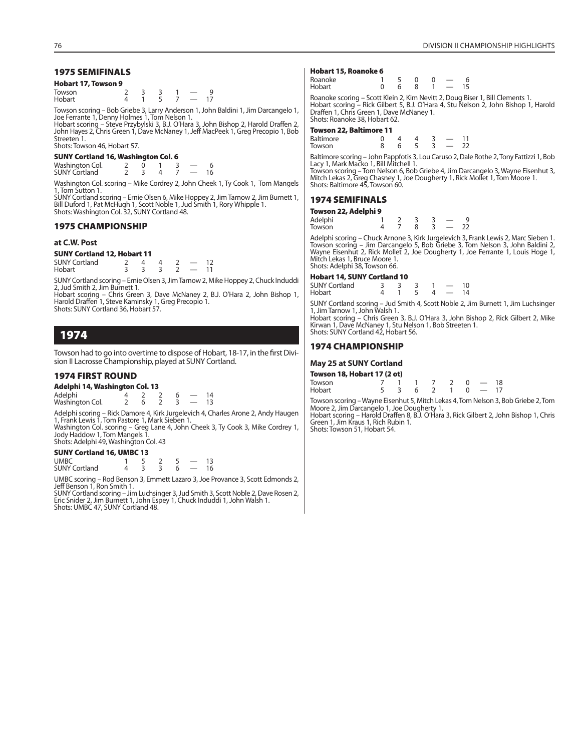### **Hobart 17, Towson 9**

| Towson |  | - |  |  |
|--------|--|---|--|--|
| Hobart |  |   |  |  |

Towson scoring – Bob Griebe 3, Larry Anderson 1, John Baldini 1, Jim Darcangelo 1, Joe Ferrante 1, Denny Holmes 1, Tom Nelson 1.

Hobart scoring – Steve Przybylski 3, B.J. O'Hara 3, John Bishop 2, Harold Draffen 2, John Hayes 2, Chris Green 1, Dave McNaney 1, Jeff MacPeek 1, Greg Precopio 1, Bob Streeten 1. Shots: Towson 46, Hobart 57.

| <b>SUNY Cortland 16, Washington Col. 6</b> |  |  |  |
|--------------------------------------------|--|--|--|
| Washington Col.<br>SUNY Cartland           |  |  |  |
|                                            |  |  |  |

SUNY Cortland 2 3 4 7 — 16

Washington Col. scoring – Mike Cordrey 2, John Cheek 1, Ty Cook 1, Tom Mangels 1, Tom Sutton 1.

SUNY Cortland scoring – Ernie Olsen 6, Mike Hoppey 2, Jim Tarnow 2, Jim Burnett 1, Bill Duford 1, Pat McHugh 1, Scott Noble 1, Jud Smith 1, Rory Whipple 1. Shots: Washington Col. 32, SUNY Cortland 48.

### **1975 CHAMPIONSHIP**

### **at C.W. Post**

#### **SUNY Cortland 12, Hobart 11**

| <b>SUNY Cortland</b> |  |  |  |
|----------------------|--|--|--|
| Hobart               |  |  |  |

SUNY Cortland scoring – Ernie Olsen 3, Jim Tarnow 2, Mike Hoppey 2, Chuck Induddi 2, Jud Smith 2, Jim Burnett 1.

Hobart scoring – Chris Green 3, Dave McNaney 2, B.J. O'Hara 2, John Bishop 1, Harold Draffen 1, Steve Kaminsky 1, Greg Precopio 1. Shots: SUNY Cortland 36, Hobart 57.

### **1974**

Towson had to go into overtime to dispose of Hobart, 18-17, in the first Division II Lacrosse Championship, played at SUNY Cortland.

### **1974 FIRST ROUND**

| Adelphi 14, Washington Col. 13 |  |  |  |  |                          |      |  |  |  |
|--------------------------------|--|--|--|--|--------------------------|------|--|--|--|
| Adelphi                        |  |  |  |  | $\overline{\phantom{a}}$ | 14   |  |  |  |
| Washington Col.                |  |  |  |  | $\sim$ $\sim$            | - 13 |  |  |  |

Adelphi scoring – Rick Damore 4, Kirk Jurgelevich 4, Charles Arone 2, Andy Haugen 1, Frank Lewis 1, Tom Pastore 1, Mark Sieben 1. Washington Col. scoring – Greg Lane 4, John Cheek 3, Ty Cook 3, Mike Cordrey 1,

Jody Haddow 1, Tom Mangels 1. Shots: Adelphi 49, Washington Col. 43

### **SUNY Cortland 16, UMBC 13**

UMBC 1 5 2 5 - 13<br>SUNY Cortland 4 3 3 6 - 16 SUNY Cortland

UMBC scoring – Rod Benson 3, Emmett Lazaro 3, Joe Provance 3, Scott Edmonds 2, Jeff Benson 1, Ron Smith 1.

SUNY Cortland scoring – Jim Luchsinger 3, Jud Smith 3, Scott Noble 2, Dave Rosen 2, Eric Snider 2, Jim Burnett 1, John Espey 1, Chuck Induddi 1, John Walsh 1. Shots: UMBC 47, SUNY Cortland 48.

#### **Hobart 15, Roanoke 6**

| Roanoke                                                               |  | $1 \quad 5 \quad 0 \quad 0 \quad -$ |  | - 6 |
|-----------------------------------------------------------------------|--|-------------------------------------|--|-----|
| Hobart                                                                |  | $0 \t6 \t8 \t1 - 15$                |  |     |
| <u> Descentra estado - Castal (de torno 1755 - Northerno Decen Di</u> |  |                                     |  |     |

Roanoke scoring – Scott Klein 2, Kim Nevitt 2, Doug Biser 1, Bill Clements 1. Hobart scoring – Rick Gilbert 5, B.J. O'Hara 4, Stu Nelson 2, John Bishop 1, Harold Draffen 1, Chris Green 1, Dave McNaney 1. Shots: Roanoke 38, Hobart 62.

#### **Towson 22, Baltimore 11**

| Baltimore |  |  |  |
|-----------|--|--|--|
| Towson    |  |  |  |

Baltimore scoring – John Pappfotis 3, Lou Caruso 2, Dale Rothe 2, Tony Fattizzi 1, Bob Lacy 1, Mark Macko 1, Bill Mitchell 1.

Towson scoring – Tom Nelson 6, Bob Griebe 4, Jim Darcangelo 3, Wayne Eisenhut 3, Mitch Lekas 2, Greg Chasney 1, Joe Dougherty 1, Rick Mollet 1, Tom Moore 1. Shots: Baltimore 45, Towson 60.

### **1974 SEMIFINALS**

#### **Towson 22, Adelphi 9**

| Adelphi<br>Towson |  |  |  | 22 |
|-------------------|--|--|--|----|
|                   |  |  |  |    |

Adelphi scoring – Chuck Arnone 3, Kirk Jurgelevich 3, Frank Lewis 2, Marc Sieben 1. Towson scoring – Jim Darcangelo 5, Bob Griebe 3, Tom Nelson 3, John Baldini 2, Wayne Eisenhut 2, Rick Mollet 2, Joe Dougherty 1, Joe Ferrante 1, Louis Hoge 1, Mitch Lekas 1, Bruce Moore 1. Shots: Adelphi 38, Towson 66.

### **Hobart 14, SUNY Cortland 10**

| <b>SUNY Cortland</b> |  |  |  |
|----------------------|--|--|--|
| Hobart               |  |  |  |

SUNY Cortland scoring – Jud Smith 4, Scott Noble 2, Jim Burnett 1, Jim Luchsinger 1, Jim Tarnow 1, John Walsh 1. Hobart scoring – Chris Green 3, B.J. O'Hara 3, John Bishop 2, Rick Gilbert 2, Mike

Kirwan 1, Dave McNaney 1, Stu Nelson 1, Bob Streeten 1. Shots: SUNY Cortland 42, Hobart 56.

### **1974 CHAMPIONSHIP**

### **May 25 at SUNY Cortland**

| Towson 18, Hobart 17 (2 ot) |  |                   |  |  |
|-----------------------------|--|-------------------|--|--|
| Towson                      |  | 7 1 1 7 2 0 $-18$ |  |  |
| Hobart                      |  | 5 3 6 2 1 0 - 17  |  |  |

Towson scoring – Wayne Eisenhut 5, Mitch Lekas 4, Tom Nelson 3, Bob Griebe 2, Tom Moore 2, Jim Darcangelo 1, Joe Dougherty 1. Hobart scoring – Harold Draffen 8, B.J. O'Hara 3, Rick Gilbert 2, John Bishop 1, Chris Green 1, Jim Kraus 1, Rich Rubin 1. Shots: Towson 51, Hobart 54.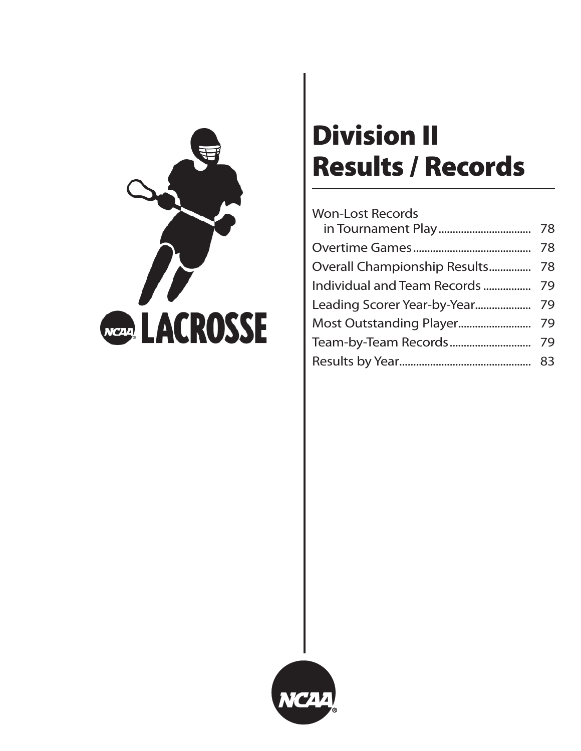

# **Division II Results / Records**

## Won-Lost Records in Tournament Play ................................. 78 Overtime Games .......................................... 78 Overall Championship Results ................. 78 Individual and Team Records ................. 79 Leading Scorer Year-by-Year.................... 79 Most Outstanding Player.......................... 79 Team-by-Team Records ............................. 79 Results by Year............................................... 83

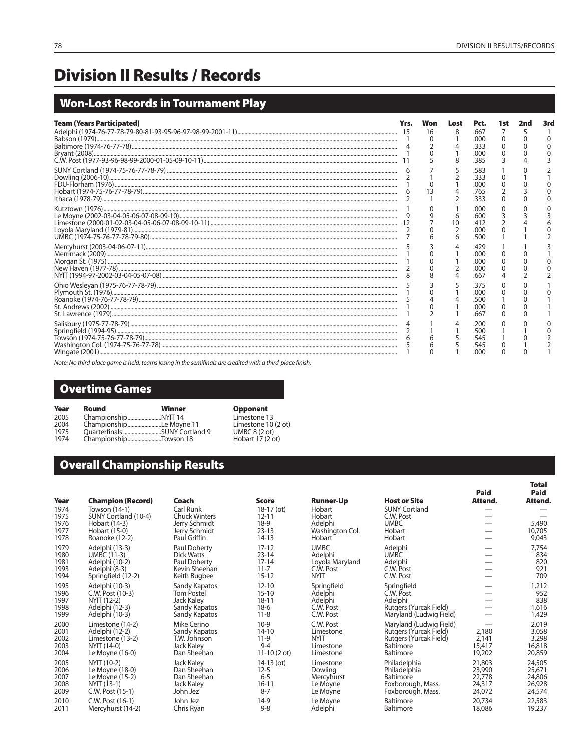**Total**

# **Division II Results / Records**

## **Won-Lost Records in Tournament Play**

| <b>Team (Years Participated)</b> | Won | Lost    | Pct.                                 | 1st | 2nd | 3rd |
|----------------------------------|-----|---------|--------------------------------------|-----|-----|-----|
|                                  | 16  |         | .667<br>.000                         |     |     |     |
|                                  | 5   |         | .333<br>.000<br>385                  |     |     |     |
|                                  |     |         | .583<br>റററ                          |     |     |     |
|                                  |     |         | .765<br>333                          |     |     |     |
|                                  |     | 6<br>10 | .oog<br>.600<br>.000<br>.500         |     |     |     |
|                                  |     |         | 429<br>.oog<br>.000<br>.000<br>.667  |     |     |     |
|                                  |     |         | .375<br>.റററ<br>.500<br>.000<br>.667 |     |     |     |
|                                  |     |         | 200<br>.000                          |     |     |     |

Note: No third-place game is held; teams losing in the semifinals are credited with a third-place finish.

### **Overtime Games**

| Year | Round                   | Winner                        | <b>Opponent</b>        |
|------|-------------------------|-------------------------------|------------------------|
| 2005 |                         |                               | Limestone 13           |
| 2004 | ChampionshipLe Moyne 11 |                               | Limestone 10 (2 ot)    |
| 1975 |                         | Ouarterfinals SUNY Cortland 9 | UMBC $8(2 \text{ ot})$ |
| 1974 | ChampionshipTowson 18   |                               | Hobart 17 (2 ot)       |

## **Overall Championship Results**

|              |                                           |                                |                            |                            |                                                   | <b>Paid</b>      | Paid             |
|--------------|-------------------------------------------|--------------------------------|----------------------------|----------------------------|---------------------------------------------------|------------------|------------------|
| Year<br>1974 | <b>Champion (Record)</b><br>Towson (14-1) | Coach<br>Carl Runk             | <b>Score</b><br>18-17 (ot) | <b>Runner-Up</b><br>Hobart | <b>Host or Site</b><br><b>SUNY Cortland</b>       | Attend.          | Attend.          |
| 1975         | SUNY Cortland (10-4)                      | <b>Chuck Winters</b>           | $12 - 11$                  | Hobart                     | C.W. Post                                         |                  |                  |
| 1976         | Hobart (14-3)                             | Jerry Schmidt                  | $18-9$                     | Adelphi                    | <b>UMBC</b>                                       |                  | 5,490            |
| 1977<br>1978 | Hobart (15-0)<br>Roanoke (12-2)           | Jerry Schmidt<br>Paul Griffin  | $23 - 13$<br>$14-13$       | Washington Col.<br>Hobart  | Hobart<br>Hobart                                  |                  | 10,705<br>9,043  |
| 1979         | Adelphi (13-3)                            | Paul Doherty                   | $17 - 12$                  | <b>UMBC</b>                | Adelphi                                           |                  | 7,754            |
| 1980         | <b>UMBC (11-3)</b>                        | Dick Watts                     | $23 - 14$                  | Adelphi                    | <b>UMBC</b>                                       |                  | 834              |
| 1981         | Adelphi (10-2)                            | Paul Doherty                   | $17 - 14$                  | Loyola Maryland            | Adelphi                                           |                  | 820              |
| 1993<br>1994 | Adelphi (8-3)<br>Springfield (12-2)       | Kevin Sheehan<br>Keith Bugbee  | $11 - 7$<br>$15 - 12$      | C.W. Post<br><b>NYIT</b>   | C.W. Post<br>C.W. Post                            |                  | 921<br>709       |
| 1995         | Adelphi (10-3)                            | Sandy Kapatos                  | $12 - 10$                  | Springfield                | Springfield                                       |                  | 1,212            |
| 1996         | C.W. Post (10-3)                          | <b>Tom Postel</b>              | $15 - 10$                  | Adelphi                    | C.W. Post                                         |                  | 952              |
| 1997         | NYIT (12-2)                               | Jack Kaley                     | $18 - 11$                  | Adelphi                    | Adelphi                                           |                  | 838              |
| 1998<br>1999 | Adelphi (12-3)<br>Adelphi (10-3)          | Sandy Kapatos<br>Sandy Kapatos | $18-6$<br>$11 - 8$         | C.W. Post<br>C.W. Post     | Rutgers (Yurcak Field)<br>Maryland (Ludwig Field) |                  | 1,616<br>1,429   |
| 2000         | Limestone (14-2)                          | Mike Cerino                    | $10-9$                     | C.W. Post                  | Maryland (Ludwig Field)                           |                  | 2,019            |
| 2001<br>2002 | Adelphi (12-2)                            | Sandy Kapatos                  | $14 - 10$<br>$11-9$        | Limestone<br><b>NYIT</b>   | Rutgers (Yurcak Field)                            | 2,180            | 3,058            |
| 2003         | Limestone (13-2)<br>NYIT (14-0)           | T.W. Johnson<br>Jack Kaley     | $9 - 4$                    | Limestone                  | Rutgers (Yurcak Field)<br><b>Baltimore</b>        | 2,141<br>15,417  | 3,298<br>16,818  |
| 2004         | Le Moyne (16-0)                           | Dan Sheehan                    | $11-10(2 \text{ ot})$      | Limestone                  | Baltimore                                         | 19,202           | 20,859           |
| 2005         | NYIT (10-2)                               | <b>Jack Kaley</b>              | $14-13$ (ot)               | Limestone                  | Philadelphia                                      | 21,803           | 24,505           |
| 2006         | Le Moyne (18-0)                           | Dan Sheehan<br>Dan Sheehan     | $12 - 5$<br>$6 - 5$        | Dowling                    | Philadelphia<br>Baltimore                         | 23,990           | 25,671           |
| 2007<br>2008 | Le Moyne (15-2)<br>NYIT (13-1)            | Jack Kaley                     | $16 - 11$                  | Mercyhurst<br>Le Moyne     | Foxborough, Mass.                                 | 22,778<br>24,317 | 24,806<br>26,928 |
| 2009         | C.W. Post (15-1)                          | John Jez                       | $8 - 7$                    | Le Moyne                   | Foxborough, Mass.                                 | 24,072           | 24,574           |
| 2010         | C.W. Post (16-1)                          | John Jez                       | $14-9$                     | Le Movne                   | Baltimore                                         | 20,734           | 22,583           |
| 2011         | Mercyhurst (14-2)                         | Chris Ryan                     | $9 - 8$                    | Adelphi                    | Baltimore                                         | 18,086           | 19,237           |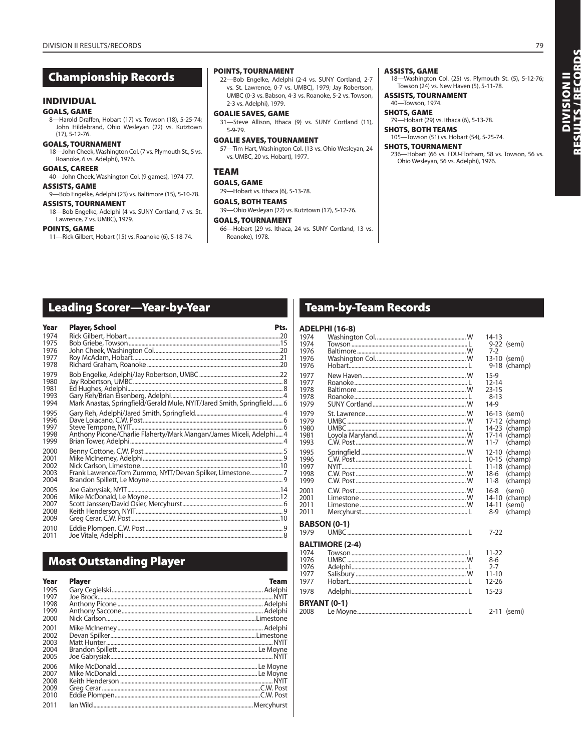### **Championship Records**

### **INDIVIDUAL**

### **GOALS, GAME**

8—Harold Draffen, Hobart (17) vs. Towson (18), 5-25-74; John Hildebrand, Ohio Wesleyan (22) vs. Kutztown (17), 5-12-76.

### **GOALS, TOURNAMENT**

18—John Cheek, Washington Col. (7 vs. Plymouth St., 5 vs. Roanoke, 6 vs. Adelphi), 1976.

### **GOALS, CAREER**

40—John Cheek, Washington Col. (9 games), 1974-77. **ASSISTS, GAME**

### 9—Bob Engelke, Adelphi (23) vs. Baltimore (15), 5-10-78.

- **ASSISTS, TOURNAMENT**
- 18—Bob Engelke, Adelphi (4 vs. SUNY Cortland, 7 vs. St. Lawrence, 7 vs. UMBC), 1979.

### **POINTS, GAME**

11—Rick Gilbert, Hobart (15) vs. Roanoke (6), 5-18-74.

### **POINTS, TOURNAMENT**

22—Bob Engelke, Adelphi (2-4 vs. SUNY Cortland, 2-7 vs. St. Lawrence, 0-7 vs. UMBC), 1979; Jay Robertson, UMBC (0-3 vs. Babson, 4-3 vs. Roanoke, 5-2 vs. Towson, 2-3 vs. Adelphi), 1979.

### **GOALIE SAVES, GAME** 31—Steve Allison, Ithaca (9) vs. SUNY Cortland (11),

5-9-79. **GOALIE SAVES, TOURNAMENT** 57—Tim Hart, Washington Col. (13 vs. Ohio Wesleyan, 24

vs. UMBC, 20 vs. Hobart), 1977.

### **TEAM**

**GOALS, GAME** 29—Hobart vs. Ithaca (6), 5-13-78.

### **GOALS, BOTH TEAMS**

39—Ohio Wesleyan (22) vs. Kutztown (17), 5-12-76.

### **GOALS, TOURNAMENT**

66—Hobart (29 vs. Ithaca, 24 vs. SUNY Cortland, 13 vs. Roanoke), 1978.

### **ASSISTS, GAME**

18—Washington Col. (25) vs. Plymouth St. (5), 5-12-76; Towson (24) vs. New Haven (5), 5-11-78.

### **ASSISTS, TOURNAMENT** 40—Towson, 1974.

**SHOTS, GAME** 79—Hobart (29) vs. Ithaca (6), 5-13-78.

**SHOTS, BOTH TEAMS** 105—Towson (51) vs. Hobart (54), 5-25-74.

**SHOTS, TOURNAMENT**

236—Hobart (66 vs. FDU-Florham, 58 vs. Towson, 56 vs. Ohio Wesleyan, 56 vs. Adelphi), 1976.

### **Leading Scorer—Year-by-Year**

| Year                                 | <b>Player, School</b>                                               | Pts. |
|--------------------------------------|---------------------------------------------------------------------|------|
| 1974<br>1975                         |                                                                     |      |
| 1976<br>1977<br>1978                 |                                                                     |      |
| 1979<br>1980<br>1981<br>1993<br>1994 |                                                                     |      |
| 1995<br>1996<br>1997<br>1998<br>1999 | Anthony Picone/Charlie Flaherty/Mark Mangan/James Miceli, Adelphi 4 |      |
| 2000<br>2001<br>2002<br>2003<br>2004 | Frank Lawrence/Tom Zummo, NYIT/Devan Spilker, Limestone7            |      |
| 2005<br>2006<br>2007<br>2008<br>2009 |                                                                     |      |
| 2010<br>2011                         |                                                                     |      |

### **Most Outstanding Player**

| Year                                 | <b>Plaver</b>                                                                                                                                                                                                                     | <b>Team</b> |
|--------------------------------------|-----------------------------------------------------------------------------------------------------------------------------------------------------------------------------------------------------------------------------------|-------------|
| 1995<br>1997<br>1998<br>1999<br>2000 |                                                                                                                                                                                                                                   |             |
| 2001<br>2002<br>2003<br>2004<br>2005 | Example of the Contract of the Contract of the Contract of the Contract of the Contract of the Contract of the<br>Matt Hunter Matt Hunter (1996) and the Contract of the Contract of the Contract of the Contract of the Contract |             |
| 2006<br>2007<br>2008<br>2009<br>2010 |                                                                                                                                                                                                                                   |             |
| 2011                                 |                                                                                                                                                                                                                                   |             |

### **Team-by-Team Records**

### **ADELPHI (16-8)**

|                                                                     | AVELF FII (10-0)       |                                                                      |                                                     |
|---------------------------------------------------------------------|------------------------|----------------------------------------------------------------------|-----------------------------------------------------|
| 1974<br>1974<br>1976                                                |                        | $14 - 13$<br>$7-2$                                                   | 9-22 (semi)                                         |
| 1976<br>1976                                                        |                        | $9 - 18$                                                             | 13-10 (semi)<br>(champ)                             |
| 1977<br>1977<br>1978<br>1978<br>1979                                |                        | $15-9$<br>$12 - 14$<br>$23 - 15$<br>$8 - 13$<br>$14-9$               |                                                     |
| 1979<br>1979<br>1980<br>1981<br>1993                                |                        | $16 - 13$<br>$17 - 12$<br>$14 - 23$<br>$17 - 14$<br>$11 - 7$         | (semi)<br>(champ)<br>(champ)<br>(champ)<br>(champ)  |
| 1995<br>1996<br>1997<br>1998<br>1999                                |                        | $12 - 10$<br>$10 - 15$<br>$11 - 18$<br>$18-6$<br>$11 - 8$            | (champ)<br>(champ)<br>(champ)<br>(champ)<br>(champ) |
| 2001<br>2001<br>2011<br>2011                                        |                        | $16 - 8$<br>$14 - 10$<br>$14 - 11$<br>$8-9$                          | (semi)<br>(champ)<br>(semi)<br>(champ)              |
| <b>BABSON (0-1)</b>                                                 |                        |                                                                      |                                                     |
| 1979                                                                |                        | $7-22$                                                               |                                                     |
| 1974<br>1976<br>1976<br>1977<br>1977<br>1978<br><b>BRYANT (0-1)</b> | <b>BALTIMORE (2-4)</b> | $11 - 22$<br>$8-6$<br>$2 - 7$<br>$11 - 10$<br>$12 - 26$<br>$15 - 23$ |                                                     |
| 2008                                                                |                        |                                                                      | 2-11 (semi)                                         |

DIVISION II<br>Results / Records **RESULTS / RECORDS DIVISION II**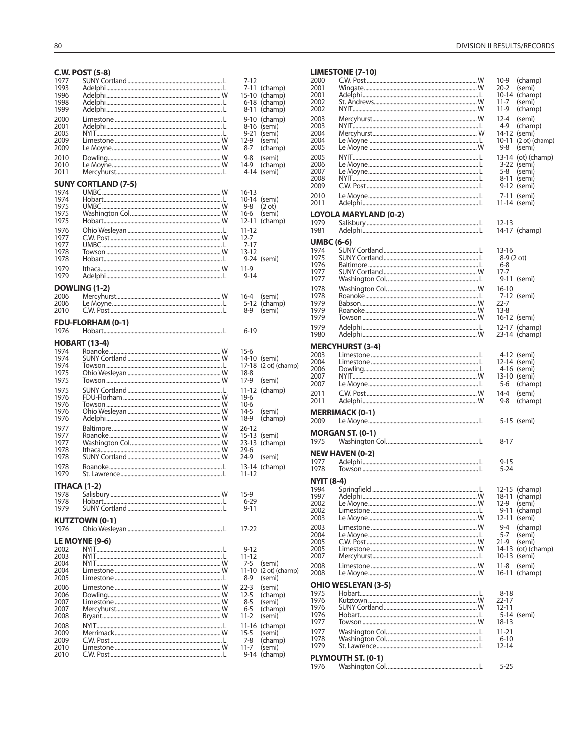|              | <b>C.W. POST (5-8)</b>             |                       |                            |
|--------------|------------------------------------|-----------------------|----------------------------|
| 1977         |                                    | 7-12                  |                            |
| 1993         |                                    | 7-11                  | (champ)                    |
| 1996         |                                    |                       | 15-10 (champ)              |
| 1998<br>1999 |                                    | 6-18<br>8-11          | (champ)<br>(champ)         |
| 2000         |                                    |                       | 9-10 (champ)               |
| 2001         |                                    |                       | 8-16 (semi)                |
| 2005         |                                    | $9 - 21$              | (semi)                     |
| 2009<br>2009 |                                    | $12-9$<br>$8 - 7$     | (semi)                     |
|              |                                    |                       | (champ)                    |
| 2010<br>2010 |                                    | 9-8<br>14-9           | (semi)<br>(champ)          |
| 2011         |                                    |                       | 4-14 (semi)                |
|              | <b>SUNY CORTLAND (7-5)</b>         |                       |                            |
| 1974         |                                    | $16 - 13$             |                            |
| 1974         |                                    |                       | 10-14 (semi)               |
| 1975<br>1975 |                                    | 9-8<br>16-6           | (2 ot)<br>(semi)           |
| 1975         |                                    | $12 - 11$             | (champ)                    |
| 1976         |                                    | 11-12                 |                            |
| 1977         |                                    | $12 - 7$              |                            |
| 1977<br>1978 |                                    | $7 - 17$<br>$13 - 12$ |                            |
| 1978         |                                    |                       | 9-24 (semi)                |
| 1979         |                                    | 11-9                  |                            |
| 1979         |                                    | $9 - 14$              |                            |
|              | <b>DOWLING (1-2)</b>               |                       |                            |
| 2006         |                                    | $16 - 4$              | (semi)                     |
| 2006         |                                    |                       | 5-12 (champ)               |
| 2010         |                                    | 8-9                   | (semi)                     |
| 1976         | <b>FDU-FLORHAM (0-1)</b>           | $6 - 19$              |                            |
|              |                                    |                       |                            |
| 1974         | <b>HOBART (13-4)</b>               | $15-6$                |                            |
| 1974         |                                    |                       | 14-10 (semi)               |
| 1974         |                                    |                       | 17-18 (2 ot) (champ)       |
| 1975         |                                    | $18 - 8$              |                            |
| 1975         |                                    | 17-9                  | (semi)                     |
| 1975<br>1976 |                                    | $19-6$                | 11-12 (champ)              |
| 1976         |                                    | $10-6$                |                            |
| 1976         |                                    | $14-5$                | (semi)                     |
| 1976         |                                    |                       |                            |
|              |                                    | $18-9$                | (champ)                    |
| 1977         |                                    | $26 - 12$             |                            |
| 1977         |                                    | $15 - 13$             | (semi)                     |
| 1977<br>1978 |                                    | $23-13$<br>$29-6$     | (champ)                    |
| 1978         |                                    | $24-9$                | (semi)                     |
| 1978         |                                    | 13-14                 | (champ)                    |
| 1979         |                                    | $11 - 12$             |                            |
| ITHACA (1-2) |                                    |                       |                            |
| 1978         |                                    | $15-9$                |                            |
| 1978<br>1979 |                                    | $6 - 29$<br>$9 - 11$  |                            |
|              |                                    |                       |                            |
| 1976         | <b>KUTZTOWN (0-1)</b>              | 17-22                 |                            |
|              |                                    |                       |                            |
| 2002         | LE MOYNE (9-6)                     | 9-12                  |                            |
| 2003         |                                    | 11-12                 |                            |
| 2004         | NYIT………………………………………………………………………… W | $7 - 5$               | (semi)                     |
| 2004<br>2005 |                                    | $11 - 10$<br>8-9      | $(2 ot)$ (champ)<br>(semi) |
| 2006         |                                    | $22 - 3$              | (semi)                     |
| 2006         |                                    | $12 - 5$              | (champ)                    |
| 2007         |                                    | $8 - 5$               | (semi)                     |
| 2007<br>2008 |                                    | $6 - 5$<br>$11 - 2$   | (champ)<br>(semi)          |
| 2008         |                                    |                       |                            |
| 2009         |                                    | $15 - 5$              | 11-16 (champ)<br>(semi)    |
| 2009         |                                    | 7-8                   | (champ)                    |
| 2010<br>2010 |                                    | $11 - 7$              | (semi)<br>9-14 (champ)     |

### DIVISION II RESULTS/RECORDS

### **LIMESTONE (7-10)**

| 2000              |                                     | 10-9              | (champ)                    |
|-------------------|-------------------------------------|-------------------|----------------------------|
| 2001<br>2001      |                                     | $20 - 2$          | (semi)<br>10-14 (champ)    |
| 2002              |                                     | $11 - 7$          | (semi)                     |
| 2002              |                                     | $11-9$            | (champ)                    |
| 2003              |                                     | $12 - 4$          | (semi)                     |
| 2003              |                                     | $4-9$             | (champ)                    |
| 2004              |                                     | 14-12 (semi)      |                            |
| 2004              |                                     |                   | 10-11 (2 ot) (champ)       |
| 2005              |                                     | $9 - 8$           | (semi)                     |
| 2005              |                                     |                   | 13-14 (ot) (champ)         |
| 2006              |                                     |                   | 3-22 (semi)                |
| 2007              |                                     | 5-8               | (semi)                     |
| 2008<br>2009      |                                     |                   | 8-11 (semi)<br>9-12 (semi) |
|                   |                                     |                   |                            |
| 2010<br>2011      |                                     | 11-14 (semi)      | 7-11 (semi)                |
|                   |                                     |                   |                            |
|                   | <b>LOYOLA MARYLAND (0-2)</b>        |                   |                            |
| 1979              |                                     | 12-13             |                            |
| 1981              |                                     |                   | 14-17 (champ)              |
| <b>UMBC (6-6)</b> |                                     |                   |                            |
| 1974              |                                     | 13-16             |                            |
| 1975              |                                     | 8-9 (2 ot)        |                            |
| 1976              |                                     | 6-8               |                            |
| 1977<br>1977      |                                     | $17 - 7$          |                            |
|                   |                                     |                   | 9-11 (semi)                |
| 1978              |                                     | $16 - 10$         |                            |
| 1978<br>1979      |                                     | $22 - 7$          | 7-12 (semi)                |
| 1979              |                                     | $13 - 8$          |                            |
| 1979              |                                     | 16-12 (semi)      |                            |
| 1979              |                                     |                   | 12-17 (champ)              |
| 1980              |                                     |                   | 23-14 (champ)              |
|                   | <b>MERCYHURST (3-4)</b>             |                   |                            |
| 2003              |                                     |                   | 4-12 (semi)                |
| 2004              |                                     | 12-14 (semi)      |                            |
| 2006              |                                     |                   | 4-16 (semi)                |
|                   |                                     |                   |                            |
| 2007              | NYIT…………………………………………………………………………… W | 13-10 (semi)      |                            |
| 2007              |                                     | 5-6               | (champ)                    |
| 2011              |                                     | $14 - 4$          | (semi)                     |
| 2011              |                                     | 9-8               | (champ)                    |
|                   | <b>MERRIMACK (0-1)</b>              |                   |                            |
| 2009              |                                     |                   | 5-15 (semi)                |
|                   |                                     |                   |                            |
|                   | <b>MORGAN ST. (0-1)</b>             |                   |                            |
| 1975              |                                     | 8-17              |                            |
|                   | <b>NEW HAVEN (0-2)</b>              |                   |                            |
| 1977              |                                     | 9-15              |                            |
| 1978              |                                     | 5-24              |                            |
| <b>NYIT (8-4)</b> |                                     |                   |                            |
| 1994              |                                     |                   | 12-15 (champ)              |
| 1997              |                                     |                   | 18-11 (champ)              |
| 2002              |                                     |                   | 12-9 (semi)                |
| 2002              |                                     |                   | 9-11 (champ)               |
| 2003              |                                     | 12-11 (semi)      |                            |
| 2003              |                                     | $9 - 4$           | (champ)                    |
| 2004              |                                     | $5 - 7$           | (semi)                     |
| 2005<br>2005      |                                     | $21-9$<br>14-13   | (semi)                     |
| 2007              |                                     | 10-13 (semi)      | (ot) (champ)               |
| 2008              |                                     | $11 - 8$          | (semi)                     |
| 2008              |                                     |                   | 16-11 (champ)              |
|                   |                                     |                   |                            |
|                   | <b>OHIO WESLEYAN (3-5)</b>          |                   |                            |
| 1975<br>1976      |                                     | $8 - 18$<br>22-17 |                            |
| 1976              |                                     | $12 - 11$         |                            |
| 1976              |                                     |                   | 5-14 (semi)                |
| 1977              |                                     | 18-13             |                            |
| 1977              |                                     | $11 - 21$         |                            |
| 1978              |                                     | $6 - 10$          |                            |
| 1979              |                                     | 12-14             |                            |
| 1976              | PLYMOUTH ST. (0-1)                  | 5-25              |                            |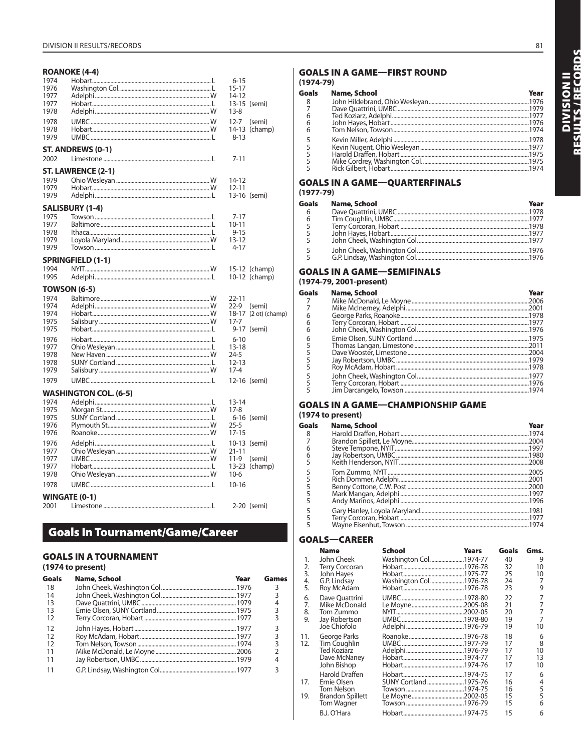### ROANOKE (4-4)

| 1974<br>1976<br>1977<br>1977<br>1978 |                              | $6 - 15$<br>$15 - 17$<br>14-12<br>$13 - 8$ | 13-15 (semi)            |
|--------------------------------------|------------------------------|--------------------------------------------|-------------------------|
| 1978<br>1978<br>1979                 |                              | $12 - 7$<br>$8 - 13$                       | (semi)<br>14-13 (champ) |
| 2002                                 | ST. ANDREWS (0-1)            | $7 - 11$                                   |                         |
|                                      | ST. LAWRENCE (2-1)           |                                            |                         |
| 1979                                 |                              | 14-12                                      |                         |
| 1979                                 |                              | $12 - 11$                                  |                         |
| 1979                                 |                              |                                            | 13-16 (semi)            |
|                                      | SALISBURY (1-4)              |                                            |                         |
| 1975                                 |                              | 7-17                                       |                         |
| 1977                                 |                              | 10-11                                      |                         |
| 1978<br>1979                         |                              | $9 - 15$<br>$13 - 12$                      |                         |
| 1979                                 |                              | 4-17                                       |                         |
|                                      |                              |                                            |                         |
| 1994                                 | <b>SPRINGFIELD (1-1)</b>     |                                            | 15-12 (champ)           |
| 1995                                 |                              |                                            | 10-12 (champ)           |
|                                      | <b>TOWSON (6-5)</b>          |                                            |                         |
| 1974                                 |                              | $22 - 11$                                  |                         |
| 1974                                 |                              | $22-9$                                     | (semi)                  |
| 1974                                 |                              |                                            | 18-17 (2 ot) (champ)    |
| 1975                                 |                              | $17 - 7$                                   |                         |
| 1975                                 |                              |                                            | 9-17 (semi)             |
| 1976                                 |                              | $6 - 10$                                   |                         |
| 1977                                 |                              | $13 - 18$                                  |                         |
| 1978                                 |                              | $24 - 5$                                   |                         |
| 1978<br>1979                         |                              | $12 - 13$<br>$17 - 4$                      |                         |
| 1979                                 |                              |                                            | 12-16 (semi)            |
|                                      |                              |                                            |                         |
| 1974                                 | <b>WASHINGTON COL. (6-5)</b> |                                            |                         |
| 1975                                 |                              | 13-14<br>$17-8$                            |                         |
| 1975                                 |                              |                                            | 6-16 (semi)             |
| 1976                                 |                              | $25 - 5$                                   |                         |
| 1976                                 |                              | 17-15                                      |                         |
| 1976                                 |                              |                                            | 10-13 (semi)            |
| 1977                                 |                              | $21 - 11$                                  |                         |
| 1977                                 |                              | $11-9$                                     | (semi)                  |
| 1977<br>1978                         |                              | $10-6$                                     | 13-23 (champ)           |
| 1978                                 |                              | $10 - 16$                                  |                         |
|                                      |                              |                                            |                         |
|                                      | <b>WINGATE (0-1)</b>         |                                            |                         |
| 2001                                 |                              |                                            | 2-20 (semi)             |

### **Goals In Tournament/Game/Career**

### **GOALS IN A TOURNAMENT**

### (1974 to present)

| Goals | <b>Name, School</b> | Year | Games |
|-------|---------------------|------|-------|
| 18    |                     |      | 3     |
| 14    |                     |      |       |
| 13    |                     |      |       |
| 13    |                     |      | 3     |
| 12    |                     |      |       |
| 12    |                     |      |       |
| 12    |                     |      |       |
| 12    |                     |      | 3     |
| 11    |                     |      |       |
| 11    |                     |      |       |
| 11    |                     |      |       |

### **GOALS IN A GAME-FIRST ROUND**  $(1974 - 79)$

#### **Goals** Name, School Year  $\frac{8}{7}$ ..1976<br>..1979 Ted Koziarz, Adelphi.... ...*...*<br>.1977  $\overline{6}$  $\overline{6}$ John Hayes, Hobart... .1976  $\overline{6}$ Tom Nelson, Towson.........  $.1974$ Kevin Miller, Adelphi. .1978 55555 .1977 .1975 ...*...*<br>.1975 ...*...*<br>.1974

### **GOALS IN A GAME-QUARTERFINALS**  $(1977-79)$

| Goals          | <b>Name, School</b> | Year |
|----------------|---------------------|------|
| 6              |                     |      |
| 6              |                     |      |
| $\overline{5}$ |                     |      |
|                |                     |      |
|                |                     |      |
|                |                     |      |
|                |                     |      |

### **GOALS IN A GAME-SEMIFINALS**

### (1974-79, 2001-present)

| Goals | Name, School | Year |
|-------|--------------|------|
|       |              |      |
|       |              |      |
| 6     |              |      |
| 6     |              |      |
| 6     |              |      |
| 6     |              |      |
| 5     |              |      |
|       |              |      |
|       |              |      |
|       |              |      |
|       |              |      |
|       |              |      |
|       |              |      |

### **GOALS IN A GAME-CHAMPIONSHIP GAME** (1974 to present)

| Goals | Name, School | Year |
|-------|--------------|------|
| 8     |              |      |
|       |              |      |
| 6     |              |      |
| 6     |              |      |
|       |              |      |
|       |              |      |
|       |              |      |
|       |              |      |
|       |              |      |
|       |              |      |
|       |              |      |
|       |              |      |
|       |              |      |

### **GOALS-CAREER**

|     | <b>Name</b>           | School                | <b>Years</b> | Goals | Gms.           |
|-----|-----------------------|-----------------------|--------------|-------|----------------|
| 1.  | John Cheek            | Washington Col1974-77 |              | 40    | 9              |
| 2.  | <b>Terry Corcoran</b> |                       |              | 32    | 10             |
| 3.  | John Hayes            |                       |              | 25    | 10             |
| 4.  | G.P. Lindsay          | Washington Col1976-78 |              | 24    | 7              |
| 5.  | Roy McAdam            |                       |              | 23    | 9              |
| 6.  | Dave Ouattrini        |                       |              | 22    | 7              |
| 7.  | Mike McDonald         |                       |              | 21    | $\overline{7}$ |
| 8.  | Tom Zummo             |                       |              | 20    | $\overline{7}$ |
| 9.  | Jay Robertson         |                       |              | 19    | $\overline{7}$ |
|     | Joe Chiofolo          |                       |              | 19    | 10             |
| 11. | George Parks          |                       |              | 18    | 6              |
| 12. | Tim Coughlin          |                       |              | 17    | 8              |
|     | <b>Ted Koziarz</b>    |                       |              | 17    | 10             |
|     | Dave McNaney          |                       |              | 17    | 13             |
|     | John Bishop           |                       |              | 17    | 10             |
|     | Harold Draffen        |                       |              | 17    | 6              |
| 17. | Ernie Olsen           | SUNY Cortland 1975-76 |              | 16    | 4              |
|     | Tom Nelson            |                       |              | 16    | 5              |
| 19. | Brandon Spillett      |                       |              | 15    | 5              |
|     | Tom Wagner            |                       |              | 15    | 6              |
|     | B.J. O'Hara           |                       |              | 15    | 6              |

81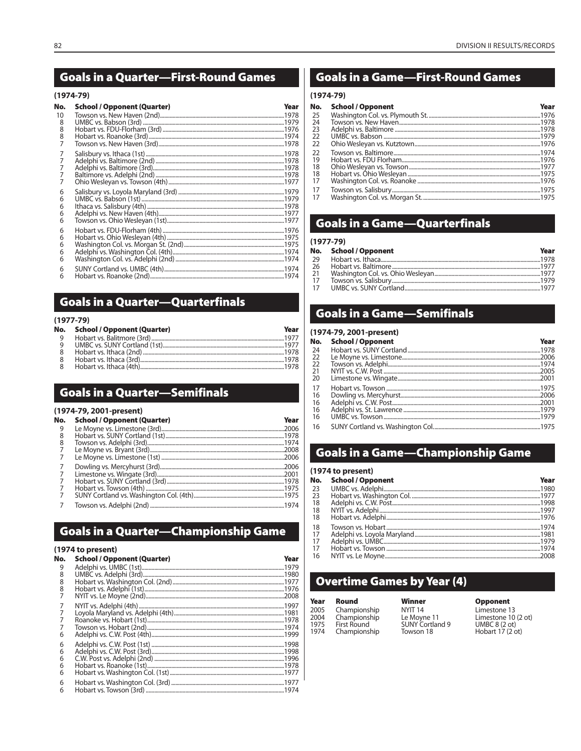### **Goals in a Quarter-First-Round Games**

### $(1974 - 79)$

| No.            | <b>School / Opponent (Quarter)</b> | Year             |
|----------------|------------------------------------|------------------|
| 10             |                                    |                  |
| 8<br>8         |                                    |                  |
| 8              |                                    |                  |
| $\overline{7}$ |                                    |                  |
| 7              |                                    |                  |
| 7              |                                    |                  |
| 7<br>7         |                                    |                  |
| 7              |                                    |                  |
| 6              |                                    |                  |
| 6              |                                    |                  |
| 6              |                                    |                  |
| 6<br>6         |                                    |                  |
|                |                                    |                  |
| 6<br>6         |                                    |                  |
| 6              |                                    |                  |
| 6              |                                    |                  |
| 6              |                                    |                  |
| 6              |                                    |                  |
| а              | Hobart vs. Roanoke (2nd)           | 107 <sub>A</sub> |

### **Goals in a Quarter-Quarterfinals**

### $(1977 - 79)$

| No.      | <b>School / Opponent (Quarter)</b> | Year |
|----------|------------------------------------|------|
| <b>Q</b> |                                    |      |
|          |                                    |      |
|          |                                    |      |
| - 8      |                                    |      |
|          |                                    |      |

### **Goals in a Quarter-Semifinals**

### (1974-79, 2001-present)

| No. | <b>School / Opponent (Quarter)</b> | Year |
|-----|------------------------------------|------|
| 9   |                                    |      |
| 8   |                                    |      |
| 8   |                                    |      |
|     |                                    |      |
|     |                                    |      |
|     |                                    |      |
| 7   |                                    |      |
|     |                                    |      |
|     |                                    |      |
|     |                                    |      |
|     |                                    |      |

### **Goals in a Quarter-Championship Game**

### (1974 to present)

| No. | <b>School / Opponent (Quarter)</b> | Year |
|-----|------------------------------------|------|
| 9   |                                    |      |
| 8   |                                    |      |
| 8   |                                    |      |
| 8   |                                    |      |
| 7   |                                    |      |
|     |                                    |      |
|     |                                    |      |
|     |                                    |      |
|     |                                    |      |
| 6   |                                    |      |
| 6   |                                    |      |
| 6   |                                    |      |
| 6   |                                    |      |
| 6   |                                    |      |
| 6   |                                    |      |
| 6   |                                    |      |
| 6   |                                    |      |

### **Goals in a Game-First-Round Games**

### $(1974 - 79)$

| No. | <b>School / Opponent</b> | Year |
|-----|--------------------------|------|
| 25  |                          |      |
| 24  |                          |      |
| 23  |                          |      |
| 22  |                          |      |
| 22  |                          |      |
| 22  |                          |      |
| 19  |                          |      |
| 18  |                          |      |
| -18 |                          |      |
| 17  |                          |      |
| 17  |                          |      |
| 17  |                          |      |
|     |                          |      |

### **Goals in a Game-Quarterfinals**

### $(1977 - 79)$

|    | No. School / Opponent | Year |
|----|-----------------------|------|
| 29 |                       |      |
| 26 |                       |      |
| 21 |                       |      |
| 17 |                       |      |
|    |                       |      |

### **Goals in a Game-Semifinals**

### (1974-79, 2001-present)

| <b>School / Opponent</b> | Year |
|--------------------------|------|
|                          |      |
|                          |      |
|                          |      |
|                          |      |
|                          |      |
|                          |      |
|                          |      |
|                          |      |
|                          |      |
|                          |      |
|                          |      |
|                          |      |

### **Goals in a Game-Championship Game**

### (1974 to present)

|      | No. School / Opponent | Year |
|------|-----------------------|------|
| - 23 |                       |      |
| 73   |                       |      |
| 18   |                       |      |
| 18   |                       |      |
| 18   |                       |      |
| 18   |                       |      |
| 17   |                       |      |
| 17   |                       |      |
| -17  |                       |      |
| 16   |                       |      |

### **Overtime Games by Year (4)**

| Year | Round              | Winner             |
|------|--------------------|--------------------|
| 2005 | Championship       | NYIT <sub>14</sub> |
| 2004 | Championship       | Le Moyn            |
| 1975 | <b>First Round</b> | SUNY Co            |
| 1974 | Championship       | Towson             |

 $\overline{4}$  $y$ ne 11 Cortland 9 n 18

### **Opponent**

Limestone 13 Limestone 10 (2 ot)<br>UMBC 8 (2 ot)<br>Hobart 17 (2 ot)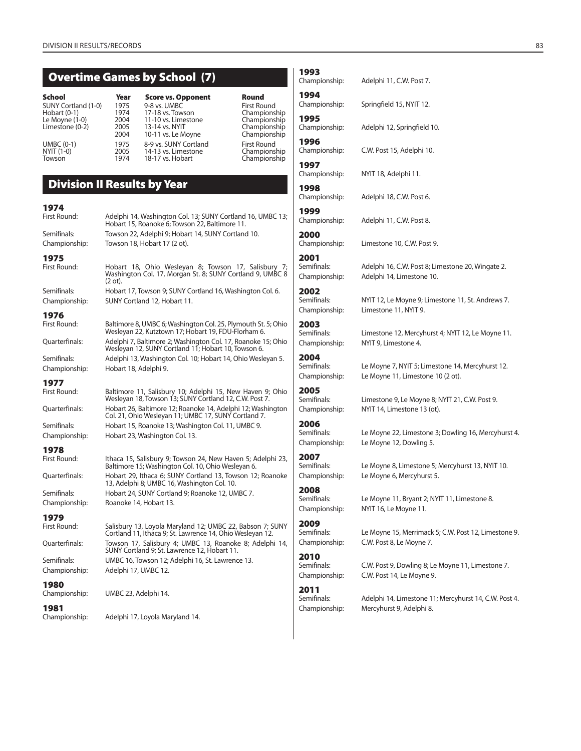### **Overtime Games by School (7)**

| School<br><b>SUNY Cortland (1-0)</b><br>-lobart (0-1)<br>e Moyne (1-0).<br>.imestone (0-2) |  |
|--------------------------------------------------------------------------------------------|--|
| JMBC (0-1)<br>(1-0) VYIT<br>lowson                                                         |  |

### **Year Score vs. Opponent Round<br>1975 9-8 vs. UMBC First Round** 1975 9-8 vs. UMBC The State of First Round<br>1974 17-18 vs. Towson The Championship Hobart (0-1) 1974 17-18 vs. Towson Championship 2004 11-10 vs. Limestone<br>2005 13-14 vs. NYIT 2005 13-14 vs. NYIT<br>2004 10-11 vs. Le Moyne Championship 10-11 vs. Le Moyne 1975 8-9 vs. SUNY Cortland First Round<br>2005 14-13 vs. Limestone Champions 2005 14-13 vs. Limestone<br>1974 18-17 vs. Hobart

Adelphi 14, Washington Col. 13; SUNY Cortland 16, UMBC 13;

Hobart 15, Roanoke 6; Towson 22, Baltimore 11.

## **Division II Results by Year**

# **1974**

Semifinals: Towson 22, Adelphi 9; Hobart 14, SUNY Cortland 10. Championship: Towson 18, Hobart 17 (2 ot). **1975** Hobart 18, Ohio Wesleyan 8; Towson 17, Salisbury Washington Col. 17, Morgan St. 8; SUNY Cortland 9, UMBC 8 (2 ot). Semifinals: Hobart 17, Towson 9; SUNY Cortland 16, Washington Col. 6. Championship: SUNY Cortland 12, Hobart 11. **1976** First Round: Baltimore 8, UMBC 6; Washington Col. 25, Plymouth St. 5; Ohio Wesleyan 22, Kutztown 17; Hobart 19, FDU-Florham 6. Quarterfinals: Adelphi 7, Baltimore 2; Washington Col. 17, Roanoke 15; Ohio Wesleyan 12, SUNY Cortland 11; Hobart 10, Towson 6. Semifinals: Adelphi 13, Washington Col. 10; Hobart 14, Ohio Wesleyan 5. Championship: Hobart 18, Adelphi 9. **1977** First Round: Baltimore 11, Salisbury 10; Adelphi 15, New Haven 9; Ohio Wesleyan 18, Towson 13; SUNY Cortland 12, C.W. Post 7. Quarterfinals: Hobart 26, Baltimore 12; Roanoke 14, Adelphi 12; Washington Col. 21, Ohio Wesleyan 11; UMBC 17, SUNY Cortland 7. Semifinals: Hobart 15, Roanoke 13; Washington Col. 11, UMBC 9. Championship: Hobart 23, Washington Col. 13. **1978** Ithaca 15, Salisbury 9; Towson 24, New Haven 5; Adelphi 23, Baltimore 15; Washington Col. 10, Ohio Wesleyan 6. Quarterfinals: Hobart 29, Ithaca 6; SUNY Cortland 13, Towson 12; Roanoke 13, Adelphi 8; UMBC 16, Washington Col. 10.

Semifinals: Hobart 24, SUNY Cortland 9; Roanoke 12, UMBC 7. Championship: Roanoke 14, Hobart 13.

## **1979**

### First Round: Salisbury 13, Loyola Maryland 12; UMBC 22, Babson 7; SUNY Cortland 11, Ithaca 9; St. Lawrence 14, Ohio Wesleyan 12. Quarterfinals: Towson 17, Salisbury 4; UMBC 13, Roanoke 8; Adelphi 14, SUNY Cortland 9; St. Lawrence 12, Hobart 11. Semifinals: UMBC 16, Towson 12; Adelphi 16, St. Lawrence 13. Championship: Adelphi 17, UMBC 12.

**1980**

### UMBC 23, Adelphi 14.

**1981**

Adelphi 17, Loyola Maryland 14.

## **1993**

**1995**

**1997**

Championship<br>Championship

Adelphi 11, C.W. Post 7.

**1994** Springfield 15, NYIT 12.

Championship: Adelphi 12, Springfield 10.

**1996** C.W. Post 15, Adelphi 10.

Championship: NYIT 18, Adelphi 11.

**1998** Adelphi 18, C.W. Post 6.

**1999**

Adelphi 11, C.W. Post 8.

2000<br>Championship: Limestone 10, C.W. Post 9.

**2001** Semifinals: Adelphi 16, C.W. Post 8; Limestone 20, Wingate 2.

Championship: Adelphi 14, Limestone 10. **2002**

Championship: Limestone 11, NYIT 9.

**2003**

Championship: NYIT 9, Limestone 4. **2004**

Semifinals: Le Moyne 7, NYIT 5; Limestone 14, Mercyhurst 12. Championship: Le Moyne 11, Limestone 10 (2 ot).

**2005**<br>Semifinals:

**2006**<br>Semifinals:

**2007**

**2008**<br>Semifinals:

**2009**

**2010**

Championship: C.W. Post 14, Le Moyne 9.

Adelphi 14, Limestone 11; Mercyhurst 14, C.W. Post 4. Championship: Mercyhurst 9, Adelphi 8.

# Limestone 9, Le Moyne 8; NYIT 21, C.W. Post 9. Championship: NYIT 14, Limestone 13 (ot). Le Moyne 22, Limestone 3; Dowling 16, Mercyhurst 4. Championship: Le Moyne 12, Dowling 5. Le Moyne 8, Limestone 5; Mercyhurst 13, NYIT 10. Championship: Le Moyne 6, Mercyhurst 5. Championship: NYIT 16, Le Moyne 11. Championship: C.W. Post 8, Le Moyne 7.

**2011**

Le Moyne 11, Bryant 2; NYIT 11, Limestone 8.

NYIT 12, Le Moyne 9; Limestone 11, St. Andrews 7.

Limestone 12, Mercyhurst 4; NYIT 12, Le Moyne 11.

Le Moyne 15, Merrimack 5; C.W. Post 12, Limestone 9.

Semifinals: C.W. Post 9, Dowling 8; Le Moyne 11, Limestone 7.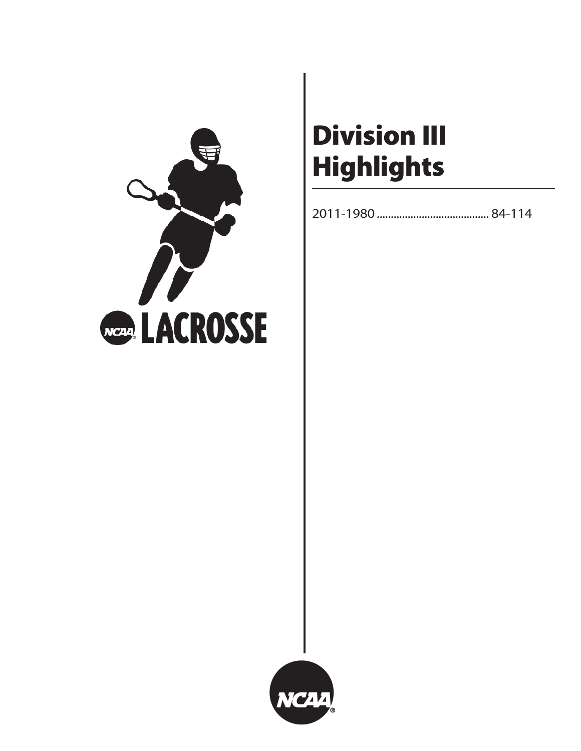

# **Division III Highlights**

2011-1980 ........................................ 84-114

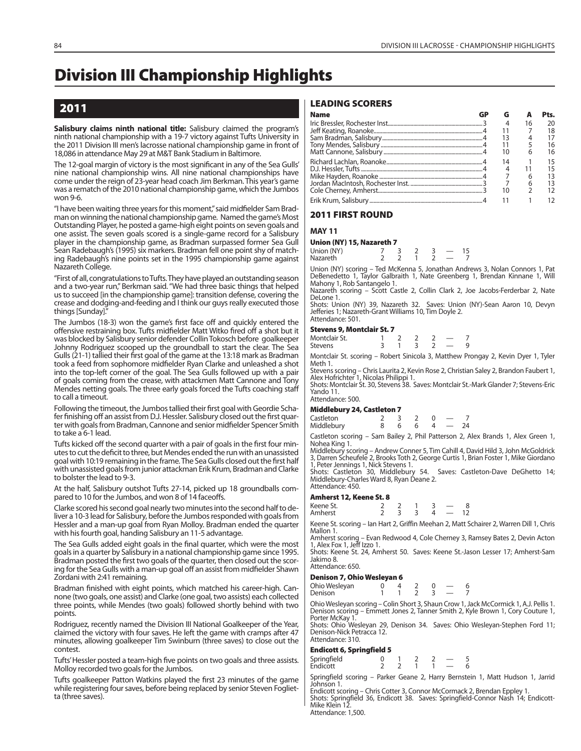# **Division III Championship Highlights**

### **2011**

**Salisbury claims ninth national title:** Salisbury claimed the program's ninth national championship with a 19-7 victory against Tufts University in the 2011 Division III men's lacrosse national championship game in front of 18,086 in attendance May 29 at M&T Bank Stadium in Baltimore.

The 12-goal margin of victory is the most significant in any of the Sea Gulls' nine national championship wins. All nine national championships have come under the reign of 23-year head coach Jim Berkman. This year's game was a rematch of the 2010 national championship game, which the Jumbos won 9-6.

"I have been waiting three years for this moment," said midfielder Sam Bradman on winning the national championship game. Named the game's Most Outstanding Player, he posted a game-high eight points on seven goals and one assist. The seven goals scored is a single-game record for a Salisbury player in the championship game, as Bradman surpassed former Sea Gull Sean Radebaugh's (1995) six markers. Bradman fell one point shy of matching Radebaugh's nine points set in the 1995 championship game against Nazareth College.

"First of all, congratulations to Tufts. They have played an outstanding season and a two-year run," Berkman said. "We had three basic things that helped us to succeed [in the championship game]: transition defense, covering the crease and dodging-and-feeding and I think our guys really executed those things [Sunday]."

The Jumbos (18-3) won the game's first face off and quickly entered the offensive restraining box. Tufts midfielder Matt Witko fired off a shot but it was blocked by Salisbury senior defender Collin Tokosch before goalkeeper Johnny Rodriguez scooped up the groundball to start the clear. The Sea Gulls (21-1) tallied their first goal of the game at the 13:18 mark as Bradman took a feed from sophomore midfielder Ryan Clarke and unleashed a shot into the top-left corner of the goal. The Sea Gulls followed up with a pair of goals coming from the crease, with attackmen Matt Cannone and Tony Mendes netting goals. The three early goals forced the Tufts coaching staff to call a timeout.

Following the timeout, the Jumbos tallied their first goal with Geordie Schafer finishing off an assist from D.J. Hessler. Salisbury closed out the first quarter with goals from Bradman, Cannone and senior midfielder Spencer Smith to take a 6-1 lead.

Tufts kicked off the second quarter with a pair of goals in the first four minutes to cut the deficit to three, but Mendes ended the run with an unassisted goal with 10:19 remaining in the frame. The Sea Gulls closed out the first half with unassisted goals from junior attackman Erik Krum, Bradman and Clarke to bolster the lead to 9-3.

At the half, Salisbury outshot Tufts 27-14, picked up 18 groundballs compared to 10 for the Jumbos, and won 8 of 14 faceoffs.

Clarke scored his second goal nearly two minutes into the second half to deliver a 10-3 lead for Salisbury, before the Jumbos responded with goals from Hessler and a man-up goal from Ryan Molloy. Bradman ended the quarter with his fourth goal, handing Salisbury an 11-5 advantage.

The Sea Gulls added eight goals in the final quarter, which were the most goals in a quarter by Salisbury in a national championship game since 1995. Bradman posted the first two goals of the quarter, then closed out the scoring for the Sea Gulls with a man-up goal off an assist from midfielder Shawn Zordani with 2:41 remaining.

Bradman finished with eight points, which matched his career-high. Cannone (two goals, one assist) and Clarke (one goal, two assists) each collected three points, while Mendes (two goals) followed shortly behind with two points.

Rodriguez, recently named the Division III National Goalkeeper of the Year, claimed the victory with four saves. He left the game with cramps after 47 minutes, allowing goalkeeper Tim Swinburn (three saves) to close out the contest.

Tufts' Hessler posted a team-high five points on two goals and three assists. Molloy recorded two goals for the Jumbos.

Tufts goalkeeper Patton Watkins played the first 23 minutes of the game while registering four saves, before being replaced by senior Steven Foglietta (three saves).

### **LEADING SCORERS**

| Name |    |                | Pts. |
|------|----|----------------|------|
|      |    |                |      |
|      |    |                | 18   |
|      |    |                |      |
|      |    |                | 16   |
|      | 10 | 6              | 16   |
|      | 14 | $\overline{1}$ | 15   |
|      |    |                |      |
|      |    |                |      |
|      |    |                |      |
|      | 10 |                |      |
|      |    |                |      |

### **2011 FIRST ROUND**

**MAY 11**

### **Union (NY) 15, Nazareth 7**

| Union (NY) |  |  |  |
|------------|--|--|--|
| Nazareth   |  |  |  |
|            |  |  |  |

Union (NY) scoring – Ted McKenna 5, Jonathan Andrews 3, Nolan Connors 1, Pat DeBenedetto 1, Taylor Galbraith 1, Nate Greenberg 1, Brendan Kinnane 1, Will Mahony 1, Rob Santangelo 1.

Nazareth scoring – Scott Castle 2, Collin Clark 2, Joe Jacobs-Ferderbar 2, Nate DeLone 1.

Shots: Union (NY) 39, Nazareth 32. Saves: Union (NY)-Sean Aaron 10, Devyn Jefferies 1; Nazareth-Grant Williams 10, Tim Doyle 2. Attendance: 501.

### **Stevens 9, Montclair St. 7**

| Montclair St.<br><b>Stevens</b> |  |  |  |
|---------------------------------|--|--|--|
|                                 |  |  |  |

Montclair St. scoring – Robert Sinicola 3, Matthew Prongay 2, Kevin Dyer 1, Tyler Meth 1.

Stevens scoring – Chris Laurita 2, Kevin Rose 2, Christian Saley 2, Brandon Faubert 1, Alex Hofrichter 1, Nicolas Philippi 1.

Shots: Montclair St. 30, Stevens 38. Saves: Montclair St.-Mark Glander 7; Stevens-Eric Yando 11. Attendance: 500.

### **Middlebury 24, Castleton 7**

| Castleton<br>Middlebury | h | 6 | $\overline{\phantom{a}}$<br>- 24 |  |
|-------------------------|---|---|----------------------------------|--|
|                         |   |   |                                  |  |

Castleton scoring – Sam Bailey 2, Phil Patterson 2, Alex Brands 1, Alex Green 1, Nohea King 1.

Middlebury scoring – Andrew Conner 5, Tim Cahill 4, David Hild 3, John McGoldrick 3, Darren Scheufele 2, Brooks Toth 2, George Curtis 1, Brian Foster 1, Mike Giordano Peter Jennings 1, Nick Stevens 1.

Shots: Castleton 30, Middlebury 54. Saves: Castleton-Dave DeGhetto 14; Middlebury-Charles Ward 8, Ryan Deane 2. Attendance: 450.

### **Amherst 12, Keene St. 8**

| Keene St.<br>Amherst |  |  |  |
|----------------------|--|--|--|
|                      |  |  |  |

Keene St. scoring – Ian Hart 2, Griffin Meehan 2, Matt Schairer 2, Warren Dill 1, Chris Mallon 1.

Amherst scoring – Evan Redwood 4, Cole Cherney 3, Ramsey Bates 2, Devin Acton 1, Alex Fox 1, Jeff Izzo 1.

Shots: Keene St. 24, Amherst 50. Saves: Keene St.-Jason Lesser 17; Amherst-Sam Jakimo 8. Attendance: 650.

### **Denison 7, Ohio Wesleyan 6**

Ohio Wesleyan  $0 \t 4 \t 2 \t 0 \t - \t 6$ <br>Denison  $1 \t 1 \t 2 \t 3 \t - \t 7$ Denison

Ohio Wesleyan scoring – Colin Short 3, Shaun Crow 1, Jack McCormick 1, A.J. Pellis 1. Denison scoring – Emmett Jones 2, Tanner Smith 2, Kyle Brown 1, Cory Couture 1, Porter McKay 1. Shots: Ohio Wesleyan 29, Denison 34. Saves: Ohio Wesleyan-Stephen Ford 11;

Denison-Nick Petracca 12. Attendance: 310.

### **Endicott 6, Springfield 5**

| Springfield<br>Endicott |  |  |  |  |
|-------------------------|--|--|--|--|
|                         |  |  |  |  |

Springfield scoring – Parker Geane 2, Harry Bernstein 1, Matt Hudson 1, Jarrid Johnson 1.

Endicott scoring – Chris Cotter 3, Connor McCormack 2, Brendan Eppley 1. Shots: Springfield 36, Endicott 38. Saves: Springfield-Connor Nash 14; Endicott-Mike Klein 12 Attendance: 1,500.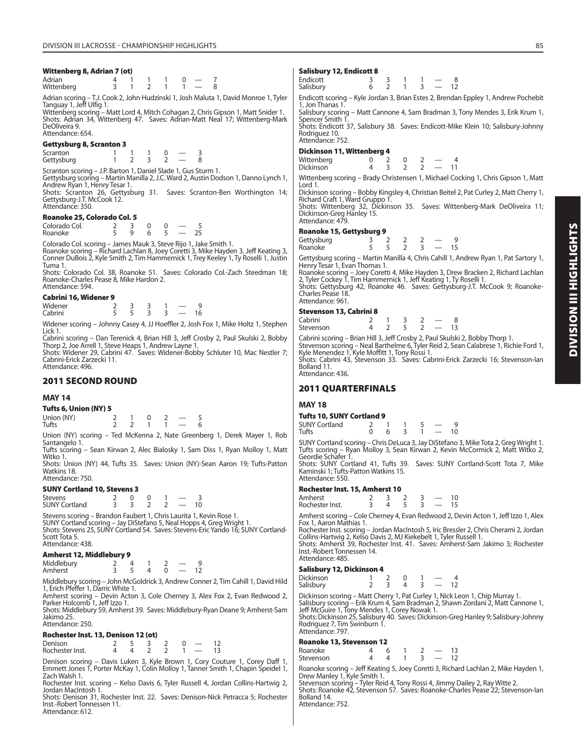### **Wittenberg 8, Adrian 7 (ot)**

| Adrian     |  |  |  |  |
|------------|--|--|--|--|
| Wittenberg |  |  |  |  |

Adrian scoring – T.J. Cook 2, John Hudzinski 1, Josh Maluta 1, David Monroe 1, Tyler Tanguay 1, Jeff Ulfig 1.

Wittenberg scoring – Matt Lord 4, Mitch Cohagan 2, Chris Gipson 1, Matt Snider 1. Shots: Adrian 34, Wittenberg 47. Saves: Adrian-Matt Neal 17; Wittenberg-Mark DeOliveira 9. Attendance: 654.

### **Gettysburg 8, Scranton 3**

Scranton 1 1 1 0 — 3<br>Gettysburg 1 2 3 2 — 8 Gettysburg

Scranton scoring – J.P. Barton 1, Daniel Slade 1, Gus Sturm 1.

Gettysburg scoring – Martin Manilla 2, J.C. Ward 2, Austin Dodson 1, Danno Lynch 1, Andrew Ryan 1, Henry Tesar 1. Shots: Scranton 26, Gettysburg 31. Saves: Scranton-Ben Worthington 14;

Gettysburg-J.T. McCook 12. Attendance: 350.

### **Roanoke 25, Colorado Col. 5**

 $\begin{array}{ccccccccc}\n\text{Colorado Col.} & & 2 & 3 & 0 & 0 & - & 5 \\
\text{Roanoke} & & 5 & 9 & 6 & 5 & - & 25\n\end{array}$ Roanoke

Colorado Col. scoring – James Mauk 3, Steve Rijo 1, Jake Smith 1.<br>Roanoke scoring – Richard Lachlan 8, Joey Coretti 3, Mike Hayden 3, Jeff Keating 3,<br>Conner DuBois 2, Kyle Smith 2, Tim Hammernick 1, Trey Keeley 1, Ty Rosel Tuma 1.

Shots: Colorado Col. 38, Roanoke 51. Saves: Colorado Col.-Zach Steedman 18; Roanoke-Charles Pease 8, Mike Hardon 2. Attendance: 594.

### **Cabrini 16, Widener 9**

| Widener | - |  |  |
|---------|---|--|--|
| Cabrini | - |  |  |

Widener scoring – Johnny Casey 4, JJ Hoeffler 2, Josh Fox 1, Mike Holtz 1, Stephen Lick 1.

Cabrini scoring – Dan Terenick 4, Brian Hill 3, Jeff Crosby 2, Paul Skulski 2, Bobby Thorp 2, Joe Arrell 1, Steve Heaps 1, Andrew Layne 1.

Shots: Widener 29, Cabrini 47. Saves: Widener-Bobby Schluter 10, Mac Nestler 7; Cabrini-Erick Zarzecki 11. Attendance: 496.

### **2011 SECOND ROUND**

### **MAY 14**

### **Tufts 6, Union (NY) 5**

| Union (NY)<br>Tufts |  | $\overline{0}$ | $\sim$ $\sim$ |  |
|---------------------|--|----------------|---------------|--|
|                     |  |                |               |  |

Union (NY) scoring – Ted McKenna 2, Nate Greenberg 1, Derek Mayer 1, Rob Santangelo 1. Tufts scoring – Sean Kirwan 2, Alec Bialosky 1, Sam Diss 1, Ryan Molloy 1, Matt

Witko 1 Shots: Union (NY) 44, Tufts 35. Saves: Union (NY)-Sean Aaron 19; Tufts-Patton Watkins 18.

Attendance: 750.

### **SUNY Cortland 10, Stevens 3**

| <b>Stevens</b>       |  |  |  |
|----------------------|--|--|--|
| <b>SUNY Cortland</b> |  |  |  |

Stevens scoring – Brandon Faubert 1, Chris Laurita 1, Kevin Rose 1. SUNY Cortland scoring – Jay DiStefano 5, Neal Hopps 4, Greg Wright 1. Shots: Stevens 25, SUNY Cortland 54. Saves: Stevens-Eric Yando 16; SUNY Cortland-Scott Tota 5. Attendance: 438.

### **Amherst 12, Middlebury 9**

| Middlebury |  |  |  |
|------------|--|--|--|
| Amherst    |  |  |  |

Middlebury scoring – John McGoldrick 3, Andrew Conner 2, Tim Cahill 1, David Hild 1, Erich Pfeffer 1, Darric White 1.

Amherst scoring – Devin Acton 3, Cole Cherney 3, Alex Fox 2, Evan Redwood 2, Parker Holcomb<sup>1</sup>, Jeff Izzo 1.

Shots: Middlebury 59, Amherst 39. Saves: Middlebury-Ryan Deane 9; Amherst-Sam Jakimo 25. Attendance: 250.

### **Rochester Inst. 13, Denison 12 (ot)**

| Denison         |  |  |  |  |
|-----------------|--|--|--|--|
| Rochester Inst. |  |  |  |  |

Denison scoring – Davis Luken 3, Kyle Brown 1, Cory Couture 1, Corey Daff 1, Emmett Jones 1, Porter McKay 1, Colin Molloy 1, Tanner Smith 1, Chapin Speidel 1, Zach Walsh 1.

Rochester Inst. scoring – Kelso Davis 6, Tyler Russell 4, Jordan Collins-Hartwig 2, Jordan MacIntosh 1.

Shots: Denison 31, Rochester Inst. 22. Saves: Denison-Nick Petracca 5; Rochester Inst.-Robert Tonnessen 11. Attendance: 612.

### **Salisbury 12, Endicott 8**

| Endicott<br>Salisbury |  |  |  | 12 |
|-----------------------|--|--|--|----|
|                       |  |  |  |    |

Endicott scoring – Kyle Jordan 3, Brian Estes 2, Brendan Eppley 1, Andrew Pochebit 1, Jon Thanas 1.

Salisbury scoring – Matt Cannone 4, Sam Bradman 3, Tony Mendes 3, Erik Krum 1, Spencer Smith 1.

Shots: Endicott 37, Salisbury 38. Saves: Endicott-Mike Klein 10; Salisbury-Johnny Rodriguez 10 Attendance: 752.

### **Dickinson 11, Wittenberg 4**

| Wittenberg                         |                                     |                       |  |  |
|------------------------------------|-------------------------------------|-----------------------|--|--|
| Dickinson                          |                                     | $3 \t 7 \t 7 \t - 11$ |  |  |
| المعاشر والمساوي والمستقط فالمنافذ | Duadu Chuistenean 1 Michael Caeldin |                       |  |  |

Wittenberg scoring – Brady Christensen 1, Michael Cocking 1, Chris Gipson 1, Matt Lord 1.

Dickinson scoring – Bobby Kingsley 4, Christian Beitel 2, Pat Curley 2, Matt Cherry 1, Richard Craft 1, Ward Gruppo 1.

Shots: Wittenberg 32, Dickinson 35. Saves: Wittenberg-Mark DeOliveira 11; Dickinson-Greg Hanley 15. Attendance: 479.

### **Roanoke 15, Gettysburg 9**

| Gettysburg |  |  |  |
|------------|--|--|--|
| Roanoke    |  |  |  |

Gettysburg scoring – Martin Manilla 4, Chris Cahill 1, Andrew Ryan 1, Pat Sartory 1, Henry Tesar 1, Evan Thomas 1.

Roanoke scoring – Joey Coretti 4, Mike Hayden 3, Drew Bracken 2, Richard Lachlan 2, Tyler Cockey 1, Tim Hammernick 1, Jeff Keating 1, Ty Roselli 1. Shots: Gettysburg 42, Roanoke 46. Saves: Gettysburg-J.T. McCook 9; Roanoke-Charles Pease 18. Attendance: 961.

### **Stevenson 13, Cabrini 8**

| 50010115011157500111115 |  |  |  |
|-------------------------|--|--|--|
| Cabrini                 |  |  |  |
| Stevenson               |  |  |  |

Cabrini scoring – Brian Hill 3, Jeff Crosby 2, Paul Skulski 2, Bobby Thorp 1. Stevenson scoring – Neal Barthelme 6, Tyler Reid 2, Sean Calabrese 1, Richie Ford 1, Kyle Menendez 1, Kyle Moffitt 1, Tony Rossi 1. Shots: Cabrini 43, Stevenson 33. Saves: Cabrini-Erick Zarzecki 16; Stevenson-Ian Bolland 11.

Attendance: 436.

### **2011 QUARTERFINALS**

### **MAY 18**

### **Tufts 10, SUNY Cortland 9**

| SUNY Cortland |  |  |  |  |
|---------------|--|--|--|--|
| Tufts         |  |  |  |  |

SUNY Cortland scoring – Chris DeLuca 3, Jay DiStefano 3, Mike Tota 2, Greg Wright 1. Tufts scoring – Ryan Molloy 3, Sean Kirwan 2, Kevin McCormick 2, Matt Witko 2,

Geordie Schafer 1. Shots: SUNY Cortland 41, Tufts 39. Saves: SUNY Cortland-Scott Tota 7, Mike Kaminski 1; Tufts-Patton Watkins 15. Attendance: 550.

### **Rochester Inst. 15, Amherst 10**

| Amherst         |  |  |  |  |
|-----------------|--|--|--|--|
| Rochester Inst. |  |  |  |  |

Amherst scoring – Cole Cherney 4, Evan Redwood 2, Devin Acton 1, Jeff Izzo 1, Alex Fox 1, Aaron Mathias 1.

Rochester Inst. scoring – Jordan MacIntosh 5, Iric Bressler 2, Chris Cherami 2, Jordan Collins-Hartwig 2, Kelso Davis 2, MJ Kiekebelt 1, Tyler Russell 1. Shots: Amherst 39, Rochester Inst. 41. Saves: Amherst-Sam Jakimo 3; Rochester Inst.-Robert Tonnessen 14.

### Attendance: 485. **Salisbury 12, Dickinson 4**

| <b>Dickinson</b> |  |  |  |
|------------------|--|--|--|
| Salisbury        |  |  |  |

Dickinson scoring – Matt Cherry 1, Pat Curley 1, Nick Leon 1, Chip Murray 1. Salisbury scoring – Erik Krum 4, Sam Bradman 2, Shawn Zordani 2, Matt Cannone 1,

Jeff McGuire 1, Tony Mendes 1, Corey Nowak 1. Shots: Dickinson 25, Salisbury 40. Saves: Dickinson-Greg Hanley 9; Salisbury-Johnny Rodriguez 7, Tim Swinburn 1. Attendance: 797.

### **Roanoke 13, Stevenson 12**

| Roanoke   |  |  |  |  |
|-----------|--|--|--|--|
| Stevenson |  |  |  |  |
|           |  |  |  |  |

| Roanoke scoring – Jeff Keating 5, Joey Coretti 3, Richard Lachlan 2, Mike Hayden 1, |  |
|-------------------------------------------------------------------------------------|--|
| Drew Manley 1, Kyle Smith 1.                                                        |  |
| Stevenson scoring - Tyler Reid 4, Tony Rossi 4, Jimmy Dailey 2, Ray Witte 2.        |  |

Shots: Roanoke 42, Stevenson 57. Saves: Roanoke-Charles Pease 22; Stevenson-Ian Bolland 14.

Attendance: 752.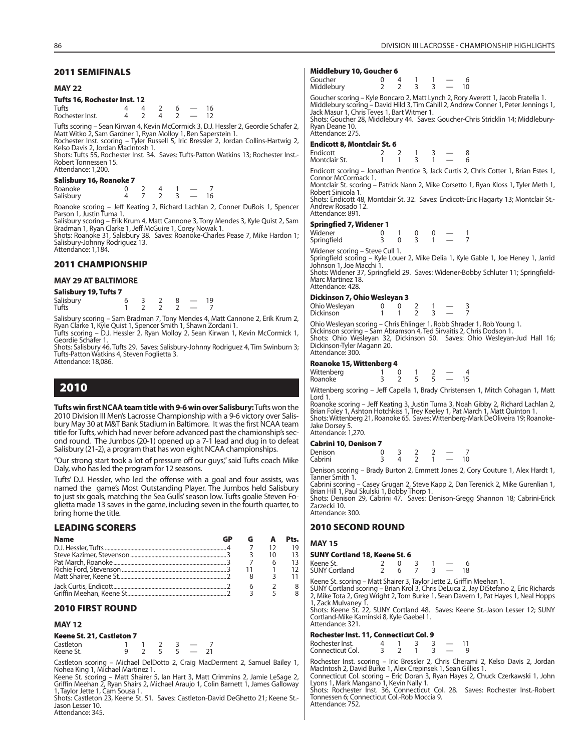#### **MAY 22**

### **Tufts 16, Rochester Inst. 12**

| <b>Tufts</b>    |  |  |  |
|-----------------|--|--|--|
| Rochester Inst. |  |  |  |

Tufts scoring – Sean Kirwan 4, Kevin McCormick 3, D.J. Hessler 2, Geordie Schafer 2,<br>Matt Witko 2, Sam Gardner 1, Ryan Molloy 1, Ben Saperstein 1.<br>Rochester Inst. scoring – Tyler Russell 5, Iric Bressler 2, Jordan Collins-

Shots: Tufts 55, Rochester Inst. 34. Saves: Tufts-Patton Watkins 13; Rochester Inst.- Robert Tonnessen 15. Attendance: 1,200.

#### **Salisbury 16, Roanoke 7**

| Roanoke   |  |  |  |
|-----------|--|--|--|
| Salisbury |  |  |  |

Roanoke scoring – Jeff Keating 2, Richard Lachlan 2, Conner DuBois 1, Spencer Parson 1, Justin Tuma 1.

Salisbury scoring – Erik Krum 4, Matt Cannone 3, Tony Mendes 3, Kyle Quist 2, Sam Bradman 1, Ryan Clarke 1, Jeff McGuire 1, Corey Nowak 1. Shots: Roanoke 31, Salisbury 38. Saves: Roanoke-Charles Pease 7, Mike Hardon 1;

Salisbury-Johnny Rodriguez 13. Attendance: 1,184.

### **2011 CHAMPIONSHIP**

### **MAY 29 AT BALTIMORE**

|  | Salisbury 19, Tufts 7 |  |
|--|-----------------------|--|
|--|-----------------------|--|

| Salisbury |  |  |  |
|-----------|--|--|--|
| Tufts     |  |  |  |

Salisbury scoring – Sam Bradman 7, Tony Mendes 4, Matt Cannone 2, Erik Krum 2,<br>Ryan Clarke 1, Kyle Quist 1, Spencer Smith 1, Shawn Zordani 1.<br>Tufts scoring – D.J. Hessler 2, Ryan Molloy 2, Sean Kirwan 1, Kevin McCormick 1,

Geordie Schafer 1. Shots: Salisbury 46, Tufts 29. Saves: Salisbury-Johnny Rodriguez 4, Tim Swinburn 3; Tufts-Patton Watkins 4, Steven Foglietta 3.

Attendance: 18,086.

### **2010**

**Tufts win first NCAA team title with 9-6 win over Salisbury:** Tufts won the 2010 Division III Men's Lacrosse Championship with a 9-6 victory over Salisbury May 30 at M&T Bank Stadium in Baltimore. It was the first NCAA team title for Tufts, which had never before advanced past the chamionship's second round. The Jumbos (20-1) opened up a 7-1 lead and dug in to defeat Salisbury (21-2), a program that has won eight NCAA championships.

"Our strong start took a lot of pressure off our guys," said Tufts coach Mike Daly, who has led the program for 12 seasons.

Tufts' D.J. Hessler, who led the offense with a goal and four assists, was named the game's Most Outstanding Player. The Jumbos held Salisbury to just six goals, matching the Sea Gulls' season low. Tufts goalie Steven Foglietta made 13 saves in the game, including seven in the fourth quarter, to bring home the title.

### **LEADING SCORERS**

| <b>Name</b> |  | Pts. |
|-------------|--|------|
|             |  | 19   |
|             |  | 13   |
|             |  | 13   |
|             |  | 12   |
|             |  |      |
|             |  |      |
|             |  |      |

### **2010 FIRST ROUND**

### **MAY 12**

### **Keene St. 21, Castleton 7**

| -------   |  |  |  |
|-----------|--|--|--|
| Castleton |  |  |  |
| Keene St. |  |  |  |

Castleton scoring – Michael DelDotto 2, Craig MacDerment 2, Samuel Bailey 1,

Nohea King 1, Michael Martinez 1. Keene St. scoring – Matt Shairer 5, Ian Hart 3, Matt Crimmins 2, Jamie LeSage 2, Griffin Meehan 2, Ryan Shairs 2, Michael Araujo 1, Colin Barnett 1, James Galloway 1, Taylor Jette 1, Cam Sousa 1.

Shots: Castleton 23, Keene St. 51. Saves: Castleton-David DeGhetto 21; Keene St.- Jason Lesser 10. Attendance: 345.

#### **Middlebury 10, Goucher 6**

| Goucher<br>Middlebury |  |  |  |  |  |  | 10 |
|-----------------------|--|--|--|--|--|--|----|
|                       |  |  |  |  |  |  |    |

Goucher scoring – Kyle Boncaro 2, Matt Lynch 2, Rory Averett 1, Jacob Fratella 1. Middlebury scoring – David Hild 3, Tim Cahill 2, Andrew Conner 1, Peter Jennings 1, Jack Masur 1, Chris Teves 1, Bart Witmer 1. Shots: Goucher 28, Middlebury 44. Saves: Goucher-Chris Stricklin 14; Middlebury-

Ryan Deane 10. Attendance: 275.

#### **Endicott 8, Montclair St. 6**

| Endicott      |  |  |  |
|---------------|--|--|--|
| Montclair St. |  |  |  |

Endicott scoring – Jonathan Prentice 3, Jack Curtis 2, Chris Cotter 1, Brian Estes 1, Connor McCormack 1.

Montclair St. scoring – Patrick Nann 2, Mike Corsetto 1, Ryan Kloss 1, Tyler Meth 1, Robert Sinicola 1.

Shots: Endicott 48, Montclair St. 32. Saves: Endicott-Eric Hagarty 13; Montclair St.- Andrew Rosado 12. Attendance: 891.

#### **Springfied 7, Widener 1**

| Widener     |  |  |  |
|-------------|--|--|--|
| Springfield |  |  |  |

Widener scoring – Steve Cull 1. Springfield scoring – Kyle Louer 2, Mike Delia 1, Kyle Gable 1, Joe Heney 1, Jarrid Johnson 1, Joe Macchi 1. Shots: Widener 37, Springfield 29. Saves: Widener-Bobby Schluter 11; Springfield-

Marc Martinez 18. Attendance: 428.

#### **Dickinson 7, Ohio Wesleyan 3**

| Ohio Wesleyan |  |  |  |  |
|---------------|--|--|--|--|
| Dickinson     |  |  |  |  |

Ohio Wesleyan scoring – Chris Ehlinger 1, Robb Shrader 1, Rob Young 1. Dickinson scoring – Sam Abramson 4, Ted Sirvaitis 2, Chris Dodson 1. Shots: Ohio Wesleyan 32, Dickinson 50. Saves: Ohio Wesleyan-Jud Hall 16; Dickinson-Tyler Magann 20. Attendance: 300.

#### **Roanoke 15, Wittenberg 4**

| Wittenberg |  |  |  |
|------------|--|--|--|
| Roanoke    |  |  |  |

Wittenberg scoring – Jeff Capella 1, Brady Christensen 1, Mitch Cohagan 1, Matt Lord 1.

Roanoke scoring – Jeff Keating 3, Justin Tuma 3, Noah Gibby 2, Richard Lachlan 2,<br>Brian Foley 1, Ashton Hotchkiss 1, Trey Keeley 1, Pat March 1, Matt Quinton 1.<br>Shots: Wittenberg 21, Roanoke 65. Saves: Wittenberg-Mark DeO Jake Dorsey 5.

Attendance: 1,270.

### **Cabrini 10, Denison 7**

| Denison |  |  |    |
|---------|--|--|----|
| Cabrini |  |  | 10 |

Denison scoring – Brady Burton 2, Emmett Jones 2, Cory Couture 1, Alex Hardt 1, Tanner Smith 1.

Cabrini scoring – Casey Grugan 2, Steve Kapp 2, Dan Terenick 2, Mike Gurenlian 1, Brian Hill 1, Paul Skulski 1, Bobby Thorp 1. Shots: Denison 29, Cabrini 47. Saves: Denison-Gregg Shannon 18; Cabrini-Erick

Zarzecki 10. Attendance: 300.

### **2010 SECOND ROUND**

#### **MAY 15**

#### **SUNY Cortland 18, Keene St. 6**

| Keene St.            |  |  |  |  |
|----------------------|--|--|--|--|
| <b>SUNY Cortland</b> |  |  |  |  |

Keene St. scoring – Matt Shairer 3, Taylor Jette 2, Griffin Meehan 1.

SUNY Cortland scoring – Brian Krol 3, Chris DeLuca 2, Jay DiStefano 2, Eric Richards 2, Mike Tota 2, Greg Wright 2, Tom Burke 1, Sean Davern 1, Pat Hayes 1, Neal Hopps 1, Zack Mulvaney 1.

Shots: Keene St. 22, SUNY Cortland 48. Saves: Keene St.-Jason Lesser 12; SUNY Cortland-Mike Kaminski 8, Kyle Gaebel 1. Attendance: 321.

#### **Rochester Inst. 11, Connecticut Col. 9**

| Rochester Inst.  |  |  |  |
|------------------|--|--|--|
| Connecticut Col. |  |  |  |

Rochester Inst. scoring – Iric Bressler 2, Chris Cherami 2, Kelso Davis 2, Jordan<br>MacIntosh 2, David Burke 1, Alex Crepinsek 1, Sean Gillies 1.<br>Connecticut Col. scoring – Eric Doran 3, Ryan Hayes 2, Chuck Czerkawski 1, Joh

Shots: Rochester Inst. 36, Connecticut Col. 28. Saves: Rochester Inst.-Robert

Tonnessen 6; Connecticut Col.-Rob Moccia 9. Attendance: 752.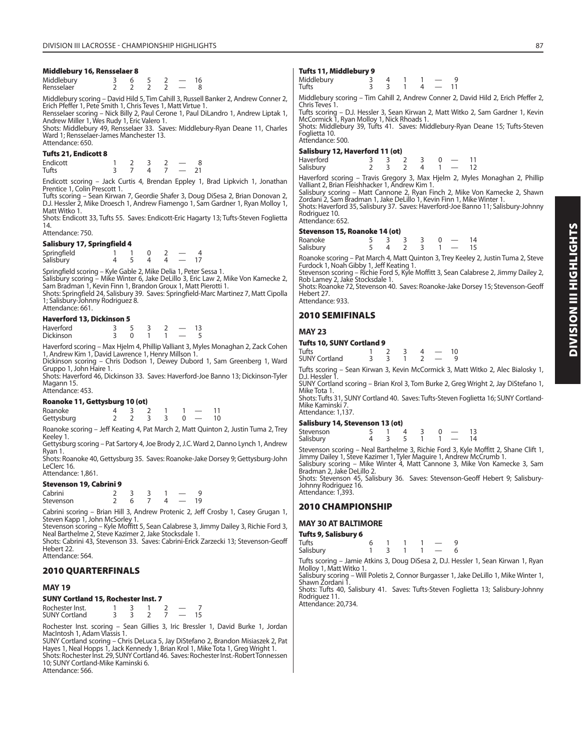### **Middlebury 16, Rensselaer 8**

| Middlebury |  |  |  |
|------------|--|--|--|
| Rensselaer |  |  |  |

Middlebury scoring – David Hild 5, Tim Cahill 3, Russell Banker 2, Andrew Conner 2,

Erich Pfeffer 1, Pete Smith 1, Chris Teves 1, Matt Virtue 1.<br>Rensselaer scoring – Nick Billy 2, Paul Cerone 1, Paul DiLandro 1, Andrew Liptak 1,<br>Andrew Miller 1, Wes Rudy 1, Eric Valero 1.

Shots: Middlebury 49, Rensselaer 33. Saves: Middlebury-Ryan Deane 11, Charles Ward 1; Rensselaer-James Manchester 13. Attendance: 650.

### **Tufts 21, Endicott 8**

Endicott 1 2 3 2 — 8 Tufts 3 7 4 7 — 21

Endicott scoring – Jack Curtis 4, Brendan Eppley 1, Brad Lipkvich 1, Jonathan Prentice 1, Colin Prescott 1.

Tufts scoring – Sean Kirwan 7, Geordie Shafer 3, Doug DiSesa 2, Brian Donovan 2, D.J. Hessler 2, Mike Droesch 1, Andrew Fiamengo 1, Sam Gardner 1, Ryan Molloy 1, Matt Witko 1.

Shots: Endicott 33, Tufts 55. Saves: Endicott-Eric Hagarty 13; Tufts-Steven Foglietta 14. Attendance: 750.

| Salisbury 17, Springfield 4 |  |  |  |  |                          |  |  |  |
|-----------------------------|--|--|--|--|--------------------------|--|--|--|
| Springfield                 |  |  |  |  |                          |  |  |  |
| Salisbury                   |  |  |  |  | $\overline{\phantom{a}}$ |  |  |  |

Springfield scoring – Kyle Gable 2, Mike Delia 1, Peter Sessa 1. Salisbury scoring – Mike Winter 6, Jake DeLillo 3, Eric Law 2, Mike Von Kamecke 2, Sam Bradman 1, Kevin Finn 1, Brandon Groux 1, Matt Pierotti 1.

Shots: Springfield 24, Salisbury 39. Saves: Springfield-Marc Martinez 7, Matt Cipolla 1; Salisbury-Johnny Rodriguez 8. Attendance: 661.

### **Haverford 13, Dickinson 5**

| Haverford        |  |  |  |
|------------------|--|--|--|
| <b>Dickinson</b> |  |  |  |

Haverford scoring – Max Hjelm 4, Phillip Valliant 3, Myles Monaghan 2, Zack Cohen 1, Andrew Kim 1, David Lawrence 1, Henry Millson 1.

Dickinson scoring – Chris Dodson 1, Dewey Dubord 1, Sam Greenberg 1, Ward Gruppo 1, John Haire 1.

Shots: Haverford 46, Dickinson 33. Saves: Haverford-Joe Banno 13; Dickinson-Tyler Magann 15. Attendance: 453.

### **Roanoke 11, Gettysburg 10 (ot)**

| Roanoke    |  | 4 3 2 |           | $1 \quad 1 \quad -$ |    |
|------------|--|-------|-----------|---------------------|----|
| Gettysburg |  |       | 2 2 3 3 0 |                     | 10 |

Roanoke scoring – Jeff Keating 4, Pat March 2, Matt Quinton 2, Justin Tuma 2, Trey Keeley<sub>1</sub>.

Gettysburg scoring – Pat Sartory 4, Joe Brody 2, J.C. Ward 2, Danno Lynch 1, Andrew Ryan 1.

Shots: Roanoke 40, Gettysburg 35. Saves: Roanoke-Jake Dorsey 9; Gettysburg-John LeClerc 16. Attendance: 1,861.

### **Stevenson 19, Cabrini 9**

| Cabrini   |  |  |  |
|-----------|--|--|--|
| Stevenson |  |  |  |

Cabrini scoring – Brian Hill 3, Andrew Protenic 2, Jeff Crosby 1, Casey Grugan 1, Steven Kapp 1, John McSorley 1.

Stevenson scoring – Kyle Moffitt 5, Sean Calabrese 3, Jimmy Dailey 3, Richie Ford 3, Neal Barthelme 2, Steve Kazimer 2, Jake Stocksdale 1.

Shots: Cabrini 43, Stevenson 33. Saves: Cabrini-Erick Zarzecki 13; Stevenson-Geoff Hebert 22.

Attendance: 564.

### **2010 QUARTERFINALS**

### **MAY 19**

### **SUNY Cortland 15, Rochester Inst. 7**

| Rochester Inst.      |  |  |  |
|----------------------|--|--|--|
| <b>SUNY Cortland</b> |  |  |  |

Rochester Inst. scoring – Sean Gillies 3, Iric Bressler 1, David Burke 1, Jordan MacIntosh 1, Adam Vlassis 1.

SUNY Cortland scoring – Chris DeLuca 5, Jay DiStefano 2, Brandon Misiaszek 2, Pat Hayes 1, Neal Hopps 1, Jack Kennedy 1, Brian Krol 1, Mike Tota 1, Greg Wright 1. Shots: Rochester Inst. 29, SUNY Cortland 46. Saves: Rochester Inst.-Robert Tonnessen

10; SUNY Cortland-Mike Kaminski 6. Attendance: 566.

### **Tufts 11, Middlebury 9**

| Middlebury |  |  |    |
|------------|--|--|----|
| Tufts      |  |  | 11 |
|            |  |  |    |

Middlebury scoring – Tim Cahill 2, Andrew Conner 2, David Hild 2, Erich Pfeffer 2, Chris Teves 1.

Tufts scoring – D.J. Hessler 3, Sean Kirwan 2, Matt Witko 2, Sam Gardner 1, Kevin McCormick 1, Ryan Molloy 1, Nick Rhoads 1. Shots: Middlebury 39, Tufts 41. Saves: Middlebury-Ryan Deane 15; Tufts-Steven Foglietta 10. Attendance: 500.

### **Salisbury 12, Haverford 11 (ot)**

| Haverford | 3 3 2 3 |  |          | $0 - 11$ |  |
|-----------|---------|--|----------|----------|--|
| Salisbury |         |  | 4 1 - 12 |          |  |

Haverford scoring – Travis Gregory 3, Max Hjelm 2, Myles Monaghan 2, Phillip Valliant 2, Brian Fleishhacker 1, Andrew Kim 1.

Salisbury scoring – Matt Cannone 2, Ryan Finch 2, Mike Von Kamecke 2, Shawn Zordani 2, Sam Bradman 1, Jake DeLillo 1, Kevin Finn 1, Mike Winter 1. Shots: Haverford 35, Salisbury 37. Saves: Haverford-Joe Banno 11; Salisbury-Johnny Rodriguez 10. Attendance: 652.

### **Stevenson 15, Roanoke 14 (ot)**

| <b>SLEVERSON 13, RUGHURE 17 (UL)</b> |  |                            |          |  |
|--------------------------------------|--|----------------------------|----------|--|
| Roanoke                              |  | $5 \t3 \t3 \t3 \t0 \t- 14$ |          |  |
| Salisbury                            |  | 54 23                      | $1 - 15$ |  |

Roanoke scoring – Pat March 4, Matt Quinton 3, Trey Keeley 2, Justin Tuma 2, Steve Furdock 1, Noah Gibby 1, Jeff Keating 1.

Stevenson scoring – Richie Ford 5, Kyle Moffitt 3, Sean Calabrese 2, Jimmy Dailey 2, Rob Lamey 2, Jake Stocksdale 1. Shots: Roanoke 72, Stevenson 40. Saves: Roanoke-Jake Dorsey 15; Stevenson-Geoff

Hebert 27. Attendance: 933.

### **2010 SEMIFINALS**

### **MAY 23**

| Tufts 10, SUNY Cortland 9 |  |  |  |  |               |    |  |  |  |  |
|---------------------------|--|--|--|--|---------------|----|--|--|--|--|
| Tufts                     |  |  |  |  | $\sim$ $\sim$ | 10 |  |  |  |  |
| SUNY Cortland             |  |  |  |  |               |    |  |  |  |  |

Tufts scoring – Sean Kirwan 3, Kevin McCormick 3, Matt Witko 2, Alec Bialosky 1, D.J. Hessler 1.

SUNY Cortland scoring – Brian Krol 3, Tom Burke 2, Greg Wright 2, Jay DiStefano 1, Mike Tota 1.

Shots: Tufts 31, SUNY Cortland 40. Saves: Tufts-Steven Foglietta 16; SUNY Cortland-Mike Kaminski 7 Attendance: 1,137.

### **Salisbury 14, Stevenson 13 (ot)**

| Stevenson |  |  |  |  |
|-----------|--|--|--|--|
| Salisbury |  |  |  |  |

Stevenson scoring – Neal Barthelme 3, Richie Ford 3, Kyle Moffitt 2, Shane Clift 1, Jimmy Dailey 1, Steve Kazimer 1, Tyler Maguire 1, Andrew McCrumb 1. Salisbury scoring – Mike Winter 4, Matt Cannone 3, Mike Von Kamecke 3, Sam Bradman 2, Jake DeLillo 2.

Shots: Stevenson 45, Salisbury 36. Saves: Stevenson-Geoff Hebert 9; Salisbury-Johnny Rodriguez 16. Attendance: 1,393.

### **2010 CHAMPIONSHIP**

### **MAY 30 AT BALTIMORE**

| Tufts 9, Salisbury 6 |  |  |                          |  |
|----------------------|--|--|--------------------------|--|
| Tufts                |  |  |                          |  |
| Salisbury            |  |  | $\overline{\phantom{a}}$ |  |

Tufts scoring – Jamie Atkins 3, Doug DiSesa 2, D.J. Hessler 1, Sean Kirwan 1, Ryan Molloy 1, Matt Witko 1. Salisbury scoring – Will Poletis 2, Connor Burgasser 1, Jake DeLillo 1, Mike Winter 1,

Shawn Zordani 1 Shots: Tufts 40, Salisbury 41. Saves: Tufts-Steven Foglietta 13; Salisbury-Johnny Rodriguez 11.

Attendance: 20,734.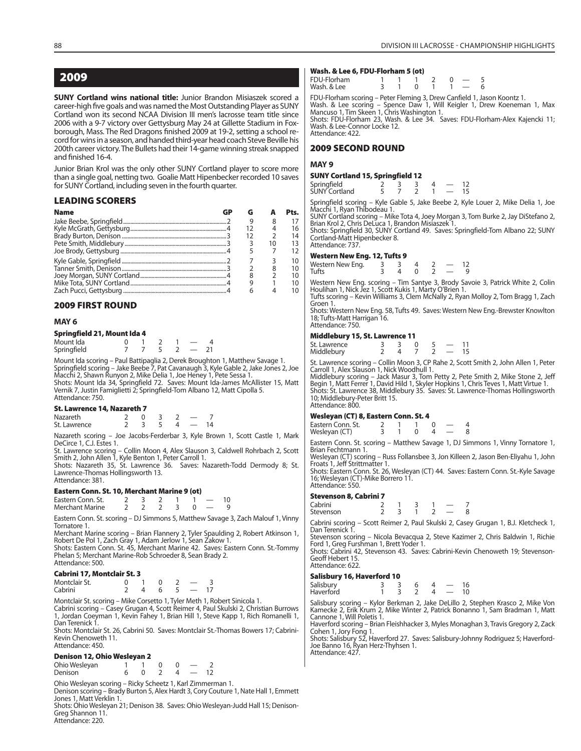### **2009**

**SUNY Cortland wins national title:** Junior Brandon Misiaszek scored a career-high five goals and was named the Most Outstanding Player as SUNY Cortland won its second NCAA Division III men's lacrosse team title since 2006 with a 9-7 victory over Gettysburg May 24 at Gillette Stadium in Foxborough, Mass. The Red Dragons finished 2009 at 19-2, setting a school record for wins in a season, and handed third-year head coach Steve Beville his 200th career victory. The Bullets had their 14-game winning streak snapped and finished 16-4.

Junior Brian Krol was the only other SUNY Cortland player to score more than a single goal, netting two. Goalie Matt Hipenbecker recorded 10 saves for SUNY Cortland, including seven in the fourth quarter.

### **LEADING SCORERS**

| <b>Name</b> |  |   | Pts. |
|-------------|--|---|------|
|             |  | 8 |      |
|             |  |   | 16   |
|             |  |   | 14   |
|             |  |   | 13   |
|             |  |   |      |
|             |  |   | 10   |
|             |  |   | 10   |
|             |  |   | 10   |
|             |  |   |      |
|             |  |   |      |

### **2009 FIRST ROUND**

### **MAY 6**

| Springfield 21, Mount Ida 4 |  |  |  |
|-----------------------------|--|--|--|
|-----------------------------|--|--|--|

| Mount Ida   |  |  |  |
|-------------|--|--|--|
| Springfield |  |  |  |

Mount Ida scoring – Paul Battipaglia 2, Derek Broughton 1, Matthew Savage 1. Springfield scoring – Jake Beebe 7, Pat Cavanaugh 3, Kyle Gable 2, Jake Jones 2, Joe

Macchi 2, Shawn Runyon 2, Mike Delia 1, Joe Heney 1, Pete Sessa 1. Shots: Mount Ida 34, Springfield 72. Saves: Mount Ida-James McAllister 15, Matt Vernik 7, Justin Famiglietti 2; Springfield-Tom Albano 12, Matt Cipolla 5. Attendance: 750.

#### **St. Lawrence 14, Nazareth 7**

| <b>Nazareth</b> |  |  |  |
|-----------------|--|--|--|
| St. Lawrence    |  |  |  |

Nazareth scoring – Joe Jacobs-Ferderbar 3, Kyle Brown 1, Scott Castle 1, Mark DeCirce 1, C.J. Estes 1.

St. Lawrence scoring – Collin Moon 4, Alex Slauson 3, Caldwell Rohrbach 2, Scott Smith 2, John Allen 1, Kyle Benton 1, Peter Carroll 1. Shots: Nazareth 35, St. Lawrence 36. Saves: Nazareth-Todd Dermody 8; St.

Lawrence-Thomas Hollingsworth 13. Attendance: 381.

### **Eastern Conn. St. 10, Merchant Marine 9 (ot)**

| Eastern Conn. St. |  |  |  |  |
|-------------------|--|--|--|--|
| Merchant Marine   |  |  |  |  |

Eastern Conn. St. scoring – DJ Simmons 5, Matthew Savage 3, Zach Malouf 1, Vinny Tornatore 1.

Merchant Marine scoring – Brian Flannery 2, Tyler Spaulding 2, Robert Atkinson 1, Robert De Pol 1, Zach Gray 1, Adam Jerlow 1, Sean Zakow 1. Shots: Eastern Conn. St. 45, Merchant Marine 42. Saves: Eastern Conn. St.-Tommy

Phelan 5; Merchant Marine-Rob Schroeder 8, Sean Brady 2. Attendance: 500.

### **Cabrini 17, Montclair St. 3**

| Montclair St. |  |  |  |
|---------------|--|--|--|
| Cabrini       |  |  |  |

Montclair St. scoring – Mike Corsetto 1, Tyler Meth 1, Robert Sinicola 1. Cabrini scoring – Casey Grugan 4, Scott Reimer 4, Paul Skulski 2, Christian Burrows 1, Jordan Coeyman 1, Kevin Fahey 1, Brian Hill 1, Steve Kapp 1, Rich Romanelli 1, Dan Terenick 1.

Shots: Montclair St. 26, Cabrini 50. Saves: Montclair St.-Thomas Bowers 17; Cabrini-Kevin Chenoweth 11. Attendance: 450.

### **Denison 12, Ohio Wesleyan 2**

Ohio Wesleyan  $1 \t 1 \t 0 \t 0 \t -2$ <br>Denison  $6 \t 0 \t 2 \t 4 \t -12$ **Denison** 

Ohio Wesleyan scoring – Ricky Scheetz 1, Karl Zimmerman 1. Denison scoring – Brady Burton 5, Alex Hardt 3, Cory Couture 1, Nate Hall 1, Emmett Jones 1, Matt Verklin 1.

Shots: Ohio Wesleyan 21; Denison 38. Saves: Ohio Wesleyan-Judd Hall 15; Denison-Greg Shannon 11. Attendance: 220.

### **Wash. & Lee 6, FDU-Florham 5 (ot)**

| FDU-Florham |  |                                        |  |       |  |
|-------------|--|----------------------------------------|--|-------|--|
| Wash. & Lee |  | $\begin{array}{ccc} 0 & 1 \end{array}$ |  | $1 -$ |  |

FDU-Florham scoring – Peter Fleming 3, Drew Canfield 1, Jason Koontz 1. Wash. & Lee scoring – Spence Daw 1, Will Keigler 1, Drew Koeneman 1, Max Mancuso 1, Tim Skeen 1, Chris Washington 1. Shots: FDU-Florham 23, Wash. & Lee 34. Saves: FDU-Florham-Alex Kajencki 11; Wash. & Lee-Connor Locke 12. Attendance: 422.

### **2009 SECOND ROUND**

#### **MAY 9**

#### **SUNY Cortland 15, Springfield 12**

| Springfield<br>SUNY Cortland |  |  |  |
|------------------------------|--|--|--|
|                              |  |  |  |

Springfield scoring – Kyle Gable 5, Jake Beebe 2, Kyle Louer 2, Mike Delia 1, Joe Macchi 1, Ryan Thibodeau 1.

SUNY Cortland scoring – Mike Tota 4, Joey Morgan 3, Tom Burke 2, Jay DiStefano 2, Brian Krol 2, Chris DeLuca 1, Brandon Misiaszek 1. Shots: Springfield 30, SUNY Cortland 49. Saves: Springfield-Tom Albano 22; SUNY

Cortland-Matt Hipenbecker 8. Attendance: 737.

#### **Western New Eng. 12, Tufts 9**

| Western New Eng. |  |  |  |
|------------------|--|--|--|
| Tufts            |  |  |  |

Western New Eng. scoring – Tim Santye 3, Brody Savoie 3, Patrick White 2, Colin Houlihan 1, Nick Jez 1, Scott Kukis 1, Marty O'Brien 1. Tufts scoring – Kevin Williams 3, Clem McNally 2, Ryan Molloy 2, Tom Bragg 1, Zach

Groen 1.

Shots: Western New Eng. 58, Tufts 49. Saves: Western New Eng.-Brewster Knowlton 18; Tufts-Matt Harrigan 16. Attendance: 750.

### **Middlebury 15, St. Lawrence 11**

| St. Lawrence |  |  |  |
|--------------|--|--|--|
| Middlebury   |  |  |  |

St. Lawrence scoring – Collin Moon 3, CP Rahe 2, Scott Smith 2, John Allen 1, Peter Carroll 1, Alex Slauson 1, Nick Woodhull 1.

Middlebury scoring – Jack Masur 3, Tom Petty 2, Pete Smith 2, Mike Stone 2, Jeff Begin 1, Matt Ferrer 1, David Hild 1, Skyler Hopkins 1, Chris Teves 1, Matt Virtue 1. Shots: St. Lawrence 38, Middlebury 35. Saves: St. Lawrence-Thomas Hollingsworth 10; Middlebury-Peter Britt 15. Attendance: 800.

### **Wesleyan (CT) 8, Eastern Conn. St. 4**

| Eastern Conn. St. |  |  |  |
|-------------------|--|--|--|
| Wesleyan (CT)     |  |  |  |

Eastern Conn. St. scoring – Matthew Savage 1, DJ Simmons 1, Vinny Tornatore 1, Brian Fechtmann 1.

Wesleyan (CT) scoring – Russ Follansbee 3, Jon Killeen 2, Jason Ben-Eliyahu 1, John Froats 1, Jeff Strittmatter 1.

Shots: Eastern Conn. St. 26, Wesleyan (CT) 44. Saves: Eastern Conn. St.-Kyle Savage 16; Wesleyan (CT)-Mike Borrero 11. Attendance: 550.

### **Stevenson 8, Cabrini 7**

| Cabrini   |  |  |  |
|-----------|--|--|--|
| Stevenson |  |  |  |
|           |  |  |  |

Cabrini scoring – Scott Reimer 2, Paul Skulski 2, Casey Grugan 1, B.J. Kletcheck 1, Dan Terenick 1.

Stevenson scoring – Nicola Bevacqua 2, Steve Kazimer 2, Chris Baldwin 1, Richie Ford 1, Greg Furshman 1, Brett Yoder 1.

Shots: Cabrini 42, Stevenson 43. Saves: Cabrini-Kevin Chenoweth 19; Stevenson-Geoff Hebert 15. Attendance: 622.

### **Salisbury 16, Haverford 10**

| Salisbury |  |  |  |
|-----------|--|--|--|
| Haverford |  |  |  |

Salisbury scoring – Kylor Berkman 2, Jake DeLillo 2, Stephen Krasco 2, Mike Von Kamecke 2, Erik Krum 2, Mike Winter 2, Patrick Bonanno 1, Sam Bradman 1, Matt Cannone 1, Will Poletis 1.

Haverford scoring – Brian Fleishhacker 3, Myles Monaghan 3, Travis Gregory 2, Zack

Cohen 1, Jory Fong 1. Shots: Salisbury 52, Haverford 27. Saves: Salisbury-Johnny Rodriguez 5; Haverford-Joe Banno 16, Ryan Herz-Thyhsen 1. Attendance: 427.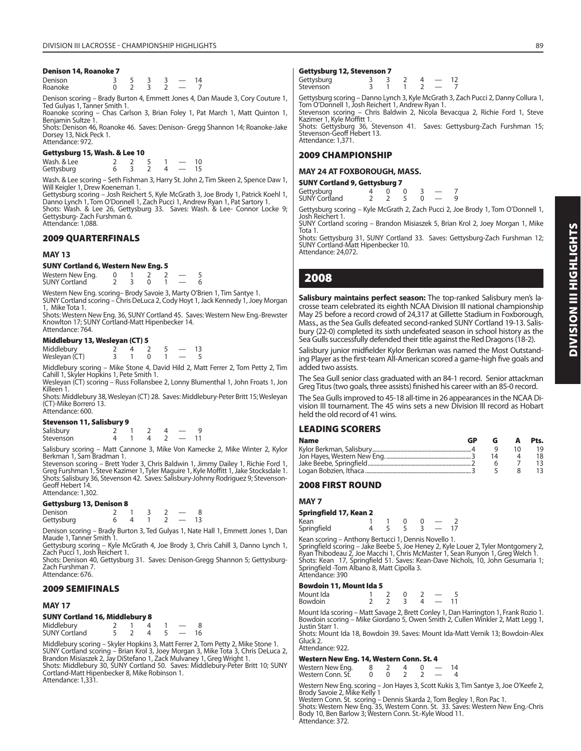### **Denison 14, Roanoke 7**

| Denison |  |  | $\overline{A}$ |
|---------|--|--|----------------|
| Roanoke |  |  |                |

Denison scoring – Brady Burton 4, Emmett Jones 4, Dan Maude 3, Cory Couture 1, Ted Gulyas 1, Tanner Smith 1.

Roanoke scoring – Chas Carlson 3, Brian Foley 1, Pat March 1, Matt Quinton 1, Benjamin Sultze 1.

Shots: Denison 46, Roanoke 46. Saves: Denison- Gregg Shannon 14; Roanoke-Jake Dorsey 13, Nick Peck 1. Attendance: 972.

### **Gettysburg 15, Wash. & Lee 10**

Wash. & Lee  $\begin{array}{cccc} 2 & 2 & 5 & 1 & -10 \\ 2 & 6 & 3 & 2 & 4 & -15 \end{array}$ Gettysburg 6 3 2 4 – 15

Wash. & Lee scoring – Seth Fishman 3, Harry St. John 2, Tim Skeen 2, Spence Daw 1, Will Keigler 1, Drew Koeneman 1.

Gettysburg scoring – Josh Reichert 5, Kyle McGrath 3, Joe Brody 1, Patrick Koehl 1, Danno Lynch 1, Tom O'Donnell 1, Zach Pucci 1, Andrew Ryan 1, Pat Sartory 1. Shots: Wash. & Lee 26, Gettysburg 33. Saves: Wash. & Lee- Connor Locke 9; Gettysburg- Zach Furshman 6. Attendance: 1,088.

### **2009 QUARTERFINALS**

### **MAY 13**

**SUNY Cortland 6, Western New Eng. 5**

Western New Eng.  $\begin{array}{cccccc} 0 & 1 & 2 & 2 & -5 \\ 1 & 0 & 1 & 2 & 3 \\ 2 & 3 & 0 & 1 & -6 \end{array}$ **SUNY Cortland** 

Western New Eng. scoring– Brody Savoie 3, Marty O'Brien 1, Tim Santye 1.

SUNY Cortland scoring – Chris DeLuca 2, Cody Hoyt 1, Jack Kennedy 1, Joey Morgan 1, Mike Tota 1.

Shots: Western New Eng. 36, SUNY Cortland 45. Saves: Western New Eng.-Brewster Knowlton 17; SUNY Cortland-Matt Hipenbecker 14. Attendance: 764.

### **Middlebury 13, Wesleyan (CT) 5**

| Middlebury    |  |  |  |
|---------------|--|--|--|
| Wesleyan (CT) |  |  |  |

Middlebury scoring – Mike Stone 4, David Hild 2, Matt Ferrer 2, Tom Petty 2, Tim Cahill 1, Skyler Hopkins 1, Pete Smith 1.

Wesleyan (CT) scoring – Russ Follansbee 2, Lonny Blumenthal 1, John Froats 1, Jon Killeen 1.

Shots: Middlebury 38, Wesleyan (CT) 28. Saves: Middlebury-Peter Britt 15; Wesleyan (CT)-Mike Borrero 13. Attendance: 600.

### **Stevenson 11, Salisbury 9**

| Salisbury |  |  |  |
|-----------|--|--|--|
| Stevenson |  |  |  |

Salisbury scoring – Matt Cannone 3, Mike Von Kamecke 2, Mike Winter 2, Kylor Berkman 1, Sam Bradman 1.

Stevenson scoring – Brett Yoder 3, Chris Baldwin 1, Jimmy Dailey 1, Richie Ford 1,<br>Greg Furshman 1, Steve Kazimer 1, Tyler Maguire 1, Kyle Moffitt 1, Jake Stocksdale 1.<br>Shots: Salisbury 36, Stevenson 42. Saves: Salisbury-Geoff Hebert 14. Attendance: 1,302.

### **Gettysburg 13, Denison 8**

| Denison    |  |  |  |
|------------|--|--|--|
| Gettysburg |  |  |  |

Denison scoring – Brady Burton 3, Ted Gulyas 1, Nate Hall 1, Emmett Jones 1, Dan Maude 1, Tanner Smith 1.

Gettysburg scoring – Kyle McGrath 4, Joe Brody 3, Chris Cahill 3, Danno Lynch 1, Zach Pucci 1, Josh Reichert 1.

Shots: Denison 40, Gettysburg 31. Saves: Denison-Gregg Shannon 5; Gettysburg-Zach Furshman 7. Attendance: 676.

### **2009 SEMIFINALS**

### **MAY 17**

### **SUNY Cortland 16, Middlebury 8**

| Middlebury           |  |  |  |
|----------------------|--|--|--|
| <b>SUNY Cortland</b> |  |  |  |

Middlebury scoring – Skyler Hopkins 3, Matt Ferrer 2, Tom Petty 2, Mike Stone 1.<br>SUNY Cortland scoring – Brian Krol 3, Joey Morgan 3, Mike Tota 3, Chris DeLuca 2,<br>Brandon Misiaszek 2, Jay DiStefano 1, Zack Mulvaney 1, Greg Shots: Middlebury 30, SUNY Cortland 50. Saves: Middlebury-Peter Britt 10; SUNY Cortland-Matt Hipenbecker 8, Mike Robinson 1. Attendance: 1,331.

### **Gettysburg 12, Stevenson 7**

| Gettysburg |  |  |  |
|------------|--|--|--|
| Stevenson  |  |  |  |
|            |  |  |  |

Gettysburg scoring – Danno Lynch 3, Kyle McGrath 3, Zach Pucci 2, Danny Collura 1, Tom O'Donnell 1, Josh Reichert 1, Andrew Ryan 1. Stevenson scoring – Chris Baldwin 2, Nicola Bevacqua 2, Richie Ford 1, Steve Kazimer 1, Kyle Moffitt 1.

Shots: Gettysburg 36, Stevenson 41. Saves: Gettysburg-Zach Furshman 15; Stevenson-Geoff Hebert 13. Attendance: 1,371.

### **2009 CHAMPIONSHIP**

### **MAY 24 AT FOXBOROUGH, MASS.**

| <b>SUNY Cortland 9, Gettysburg 7</b> |          |  |  |  |  |  |  |
|--------------------------------------|----------|--|--|--|--|--|--|
| Gettysburg<br>SUNY Cortland          | $\Delta$ |  |  |  |  |  |  |
|                                      |          |  |  |  |  |  |  |

Gettysburg scoring – Kyle McGrath 2, Zach Pucci 2, Joe Brody 1, Tom O'Donnell 1, Josh Reichert 1.

SUNY Cortland scoring – Brandon Misiaszek 5, Brian Krol 2, Joey Morgan 1, Mike Tota 1.

Shots: Gettysburg 31, SUNY Cortland 33. Saves: Gettysburg-Zach Furshman 12; SUNY Cortland-Matt Hipenbecker 10. Attendance: 24,072.

### **2008**

**Salisbury maintains perfect season:** The top-ranked Salisbury men's lacrosse team celebrated its eighth NCAA Division III national championship May 25 before a record crowd of 24,317 at Gillette Stadium in Foxborough, Mass., as the Sea Gulls defeated second-ranked SUNY Cortland 19-13. Salisbury (22-0) completed its sixth undefeated season in school history as the Sea Gulls successfully defended their title against the Red Dragons (18-2).

Salisbury junior midfielder Kylor Berkman was named the Most Outstanding Player as the first-team All-American scored a game-high five goals and added two assists.

The Sea Gull senior class graduated with an 84-1 record. Senior attackman Greg Titus (two goals, three assists) finished his career with an 85-0 record.

The Sea Gulls improved to 45-18 all-time in 26 appearances in the NCAA Division III tournament. The 45 wins sets a new Division III record as Hobart held the old record of 41 wins.

### **LEADING SCORERS**

| <b>Name</b> | GP |  | Pts. |
|-------------|----|--|------|
|             |    |  | 19   |
|             |    |  | 18   |
|             |    |  |      |
|             |    |  |      |

### **2008 FIRST ROUND**

### **MAY 7**

| Springfield 17, Kean 2 |  |  |  |
|------------------------|--|--|--|
| Kean                   |  |  |  |
| Springfield            |  |  |  |

| <i><b>Springfield</b></i>                          | $\rightarrow$ $\rightarrow$ $\rightarrow$ $\rightarrow$ |  |  |
|----------------------------------------------------|---------------------------------------------------------|--|--|
| Kean scoring - Anthony Bertucci 1 Dennis Novello 1 |                                                         |  |  |

Kean scoring – Anthony Bertucci 1, Dennis Novello 1.<br>Springfield scoring – Jake Beebe 5, Joe Heney 2, Kyle Louer 2, Tyler Montgomery 2,<br>Ryan Thibodeau 2, Joe Macchi 1, Chris McMaster 1, Sean Runyon 1, Greg Welch 1.<br>Shots: Attendance: 390

### **Bowdoin 11, Mount Ida 5**

| Mount Ida |  |   |  |
|-----------|--|---|--|
| Bowdoin   |  | 4 |  |

Mount Ida scoring – Matt Savage 2, Brett Conley 1, Dan Harrington 1, Frank Rozio 1. Bowdoin scoring – Mike Giordano 5, Owen Smith 2, Cullen Winkler 2, Matt Legg 1, Justin Starr 1.

Shots: Mount Ida 18, Bowdoin 39. Saves: Mount Ida-Matt Vernik 13; Bowdoin-Alex Gluck 2. Attendance: 922.

### **Western New Eng. 14, Western Conn. St. 4**

| Western New Eng.  |  |  |  |
|-------------------|--|--|--|
| Western Conn. St. |  |  |  |

Western New Eng. scoring – Jon Hayes 3, Scott Kukis 3, Tim Santye 3, Joe O'Keefe 2, Brody Savoie 2, Mike Kelly 1

Western Conn. St. scoring – Dennis Skarda 2, Tom Begley 1, Ron Pac 1. Shots: Western New Eng. 35, Western Conn. St. 33. Saves: Western New Eng.-Chris Body 10, Ben Barlow 3; Western Conn. St.-Kyle Wood 11. Attendance: 372.

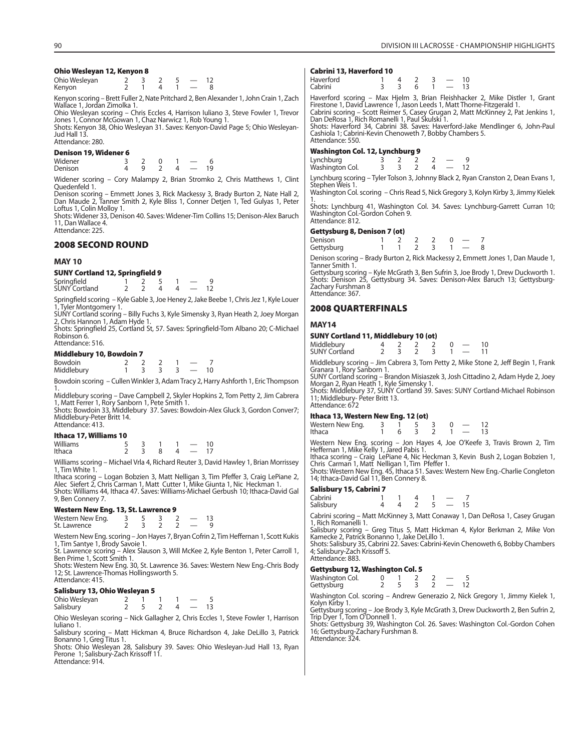#### **Ohio Wesleyan 12, Kenyon 8**

| Ohio Wesleyan |  |  |  |
|---------------|--|--|--|
| Kenyon        |  |  |  |

Kenyon scoring – Brett Fuller 2, Nate Pritchard 2, Ben Alexander 1, John Crain 1, Zach Wallace 1, Jordan Zimolka 1.

Ohio Wesleyan scoring – Chris Eccles 4, Harrison Iuliano 3, Steve Fowler 1, Trevor Jones 1, Connor McGowan 1, Chaz Narwicz 1, Rob Young 1.

Shots: Kenyon 38, Ohio Wesleyan 31. Saves: Kenyon-David Page 5; Ohio Wesleyan-Jud Hall 13. Attendance: 280.

#### **Denison 19, Widener 6**

| Widener |  |  |    |
|---------|--|--|----|
|         |  |  |    |
| Denison |  |  | 19 |

Widener scoring – Cory Malampy 2, Brian Stromko 2, Chris Matthews 1, Clint Quedenfeld 1.

Denison scoring – Emmett Jones 3, Rick Mackessy 3, Brady Burton 2, Nate Hall 2, Dan Maude 2, Tanner Smith 2, Kyle Bliss 1, Conner Detjen 1, Ted Gulyas 1, Peter Loftus 1, Colin Molloy 1.

Shots: Widener 33, Denison 40. Saves: Widener-Tim Collins 15; Denison-Alex Baruch 11, Dan Wallace 4. Attendance: 225.

### **2008 SECOND ROUND**

#### **MAY 10**

### **SUNY Cortland 12, Springfield 9**

| Springfield<br>SUNY Cortland |  |  |  |  |
|------------------------------|--|--|--|--|
|                              |  |  |  |  |

Springfield scoring – Kyle Gable 3, Joe Heney 2, Jake Beebe 1, Chris Jez 1, Kyle Louer 1, Tyler Montgomery 1.

SUNY Cortland scoring – Billy Fuchs 3, Kyle Simensky 3, Ryan Heath 2, Joey Morgan 2, Chris Hannon 1, Adam Hyde 1.

Shots: Springfield 25, Cortland St, 57. Saves: Springfield-Tom Albano 20; C-Michael Robinson 6. Attendance: 516.

#### **Middlebury 10, Bowdoin 7**

| Bowdoin    |  |  |  |
|------------|--|--|--|
| Middlebury |  |  |  |

Bowdoin scoring – Cullen Winkler 3, Adam Tracy 2, Harry Ashforth 1, Eric Thompson 1. Middlebury scoring – Dave Campbell 2, Skyler Hopkins 2, Tom Petty 2, Jim Cabrera

1, Matt Ferrer 1, Rory Sanborn 1, Pete Smith 1.

Shots: Bowdoin 33, Middlebury 37. Saves: Bowdoin-Alex Gluck 3, Gordon Conver7; Middlebury-Peter Britt 14. Attendance: 413.

### **Ithaca 17, Williams 10**

| Williams |  |   |  |
|----------|--|---|--|
| Ithaca   |  | 4 |  |

Williams scoring – Michael Vrla 4, Richard Reuter 3, David Hawley 1, Brian Morrissey 1, Tim White 1.

Ithaca scoring – Logan Bobzien 3, Matt Nelligan 3, Tim Pfeffer 3, Craig LePiane 2, Alec Siefert 2, Chris Carman 1, Matt Cutter 1, Mike Giunta 1, Nic Heckman 1. Shots: Williams 44, Ithaca 47. Saves: Williams-Michael Gerbush 10; Ithaca-David Gal 9, Ben Connery 7.

#### **Western New Eng. 13, St. Lawrence 9**

| Western New Eng. |  |  |  |
|------------------|--|--|--|
| St. Lawrence     |  |  |  |

Western New Eng. scoring – Jon Hayes 7, Bryan Cofrin 2, Tim Heffernan 1, Scott Kukis 1, Tim Santye 1, Brody Savoie 1.

St. Lawrence scoring – Alex Slauson 3, Will McKee 2, Kyle Benton 1, Peter Carroll 1, Ben Prime 1, Scott Smith 1.

Shots: Western New Eng. 30, St. Lawrence 36. Saves: Western New Eng.-Chris Body 12; St. Lawrence-Thomas Hollingsworth 5. Attendance: 415.

### **Salisbury 13, Ohio Wesleyan 5**

| Ohio Wesleyan |  |  |    |
|---------------|--|--|----|
| Salisbury     |  |  | 13 |

Ohio Wesleyan scoring – Nick Gallagher 2, Chris Eccles 1, Steve Fowler 1, Harrison Iuliano 1.

Salisbury scoring – Matt Hickman 4, Bruce Richardson 4, Jake DeLillo 3, Patrick Bonanno 1, Greg Titus 1. Shots: Ohio Wesleyan 28, Salisbury 39. Saves: Ohio Wesleyan-Jud Hall 13, Ryan

Perone 1; Salisbury-Zach Krissoff 11. Attendance: 914.

#### **Cabrini 13, Haverford 10**

| Haverford<br>Cabrini<br>13 |
|----------------------------|
|----------------------------|

Haverford scoring – Max Hjelm 3, Brian Fleishhacker 2, Mike Distler 1, Grant Firestone 1, David Lawrence 1, Jason Leeds 1, Matt Thorne-Fitzgerald 1. Cabrini scoring – Scott Reimer 5, Casey Grugan 2, Matt McKinney 2, Pat Jenkins 1, Dan DeRosa 1, Rich Romanelli 1, Paul Skulski 1.

Shots: Haverford 34, Cabrini 38. Saves: Haverford-Jake Mendlinger 6, John-Paul Cashiola 1; Cabrini-Kevin Chenoweth 7, Bobby Chambers 5. Attendance: 550.

#### **Washington Col. 12, Lynchburg 9**

| Lynchburg<br>Washington Col. |  |  |  |
|------------------------------|--|--|--|

Lynchburg scoring – Tyler Tolson 3, Johnny Black 2, Ryan Cranston 2, Dean Evans 1, Stephen Weis 1.

Washington Col. scoring – Chris Read 5, Nick Gregory 3, Kolyn Kirby 3, Jimmy Kielek 1. Shots: Lynchburg 41, Washington Col. 34. Saves: Lynchburg-Garrett Curran 10;

Washington Col.-Gordon Cohen 9. Attendance: 812.

### **Gettysburg 8, Denison 7 (ot)**

| Denison    |  |  |  |  |
|------------|--|--|--|--|
| Gettysburg |  |  |  |  |

Denison scoring – Brady Burton 2, Rick Mackessy 2, Emmett Jones 1, Dan Maude 1, Tanner Smith 1.

Gettysburg scoring – Kyle McGrath 3, Ben Sufrin 3, Joe Brody 1, Drew Duckworth 1. Shots: Denison 25, Gettysburg 34. Saves: Denison-Alex Baruch 13; Gettysburg-Zachary Furshman 8 Attendance: 367.

### **2008 QUARTERFINALS**

### **MAY14**

| SUNY Cortland 11, Middlebury 10 (ot) |  |  |  |
|--------------------------------------|--|--|--|
| Middlabury                           |  |  |  |

| Middlebury<br><b>SUNY Cortland</b> |  |  |  | 10 |
|------------------------------------|--|--|--|----|
|                                    |  |  |  |    |

Middlebury scoring – Jim Cabrera 3, Tom Petty 2, Mike Stone 2, Jeff Begin 1, Frank Granara 1, Rory Sanborn 1.

SUNY Cortland scoring – Brandon Misiaszek 3, Josh Cittadino 2, Adam Hyde 2, Joey Morgan 2, Ryan Heath 1, Kyle Simensky 1. Shots: Middlebury 37, SUNY Cortland 39. Saves: SUNY Cortland-Michael Robinson

11; Middlebury- Peter Britt 13. Attendance: 672

### **Ithaca 13, Western New Eng. 12 (ot)**

Western New Eng. scoring – Jon Hayes 4, Joe O'Keefe 3, Travis Brown 2, Tim Heffernan 1, Mike Kelly 1, Jared Pabis 1.

Ithaca scoring – Craig LePiane 4, Nic Heckman 3, Kevin Bush 2, Logan Bobzien 1, Chris Carman 1, Matt Nelligan 1, Tim Pfeffer 1.

Shots: Western New Eng. 45, Ithaca 51. Saves: Western New Eng.-Charlie Congleton 14; Ithaca-David Gal 11, Ben Connery 8.

### **Salisbury 15, Cabrini 7**

| Cabrini   |  |  |          |  |
|-----------|--|--|----------|--|
| Salisbury |  |  | $\sim$ 5 |  |
|           |  |  |          |  |

Cabrini scoring – Matt McKinney 3, Matt Conaway 1, Dan DeRosa 1, Casey Grugan 1, Rich Romanelli 1.

Salisbury scoring – Greg Titus 5, Matt Hickman 4, Kylor Berkman 2, Mike Von Kamecke 2, Patrick Bonanno 1, Jake DeLillo 1. Shots: Salisbury 35, Cabrini 22. Saves: Cabrini-Kevin Chenoweth 6, Bobby Chambers

4; Salisbury-Zach Krissoff 5. Attendance: 883.

### **Gettysburg 12, Washington Col. 5**

| _______         |  |  |  |
|-----------------|--|--|--|
| Washington Col. |  |  |  |
| Gettysburg      |  |  |  |

Washington Col. scoring – Andrew Generazio 2, Nick Gregory 1, Jimmy Kielek 1, Kolyn Kirby 1.

Gettysburg scoring – Joe Brody 3, Kyle McGrath 3, Drew Duckworth 2, Ben Sufrin 2, Trip Dyer 1, Tom O'Donnell 1.

Shots: Gettysburg 39, Washington Col. 26. Saves: Washington Col.-Gordon Cohen 16; Gettysburg-Zachary Furshman 8. Attendance: 324.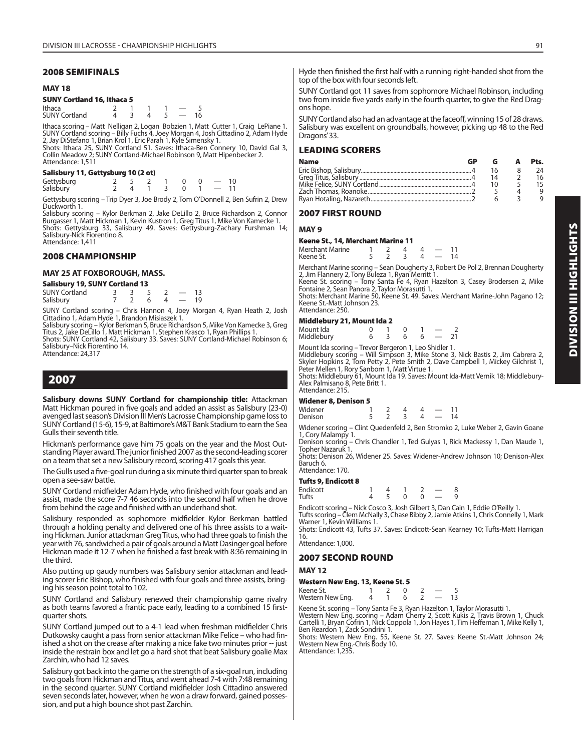### **MAY 18**

### **SUNY Cortland 16, Ithaca 5**

| Ithaca               |  |  |  |
|----------------------|--|--|--|
| <b>SUNY Cortland</b> |  |  |  |

Ithaca scoring – Matt Nelligan 2, Logan Bobzien 1, Matt Cutter 1, Craig LePiane 1.<br>SUNY Cortland scoring – Billy Fuchs 4, Joey Morgan 4, Josh Cittadino 2, Adam Hyde<br>2, Jay DiStefano 1, Brian Krol 1, Eric Parah 1, Kyle Sime

Collin Meadow 2; SUNY Cortland-Michael Robinson 9, Matt Hipenbecker 2. Attendance: 1,511

### **Salisbury 11, Gettysburg 10 (2 ot)**

|                         |  | $2 \t 5 \t 2 \t 1 \t 0 \t 0 \t -10$ |  |  |
|-------------------------|--|-------------------------------------|--|--|
| Gettysburg<br>Salisbury |  | $2$ 4 1 3 0 1 - 11                  |  |  |

Gettysburg scoring – Trip Dyer 3, Joe Brody 2, Tom O'Donnell 2, Ben Sufrin 2, Drew

Duckworth 1. Salisbury scoring – Kylor Berkman 2, Jake DeLillo 2, Bruce Richardson 2, Connor Burgasser 1, Matt Hickman 1, Kevin Kustron 1, Greg Titus 1, Mike Von Kamecke 1. Shotsury Souring - Kylon Detwinan 2, Jake Detilio 2, Diruce Musiamecke 1.<br>Burgasser 1, Matt Hickman 1, Kevin Kustron 1, Greg Titus 1, Mike Von Kamecke 1.<br>Shots: Gettysburg 33, Salisbury 49. Saves: Gettysburg-Zachary Furshm Salisbury-Nick Fiorentino 8. Attendance: 1,411

**2008 CHAMPIONSHIP**

### **MAY 25 AT FOXBOROUGH, MASS.**

### **Salisbury 19, SUNY Cortland 13**

| <b>SUNY Cortland</b> |  |  |  |  |
|----------------------|--|--|--|--|
| Salisbury            |  |  |  |  |

SUNY Cortland scoring – Chris Hannon 4, Joey Morgan 4, Ryan Heath 2, Josh Cittadino 1, Adam Hyde 1, Brandon Misiaszek 1.

Salisbury scoring – Kylor Berkman 5, Bruce Richardson 5, Mike Von Kamecke 3, Greg Titus 2, Jake DeLillo 1, Matt Hickman 1, Stephen Krasco 1, Ryan Phillips 1. Shots: SUNY Cortland 42, Salisbury 33. Saves: SUNY Cortland-Michael Robinson 6;

Salisbury–Nick Fiorentino 14. Attendance: 24,317

### **2007**

**Salisbury downs SUNY Cortland for championship title:** Attackman Matt Hickman poured in five goals and added an assist as Salisbury (23-0) avenged last season's Division III Men's Lacrosse Championship game loss to SUNY Cortland (15-6), 15-9, at Baltimore's M&T Bank Stadium to earn the Sea Gulls their seventh title.

Hickman's performance gave him 75 goals on the year and the Most Outstanding Player award. The junior finished 2007 as the second-leading scorer on a team that set a new Salisbury record, scoring 417 goals this year.

The Gulls used a five-goal run during a six minute third quarter span to break open a see-saw battle.

SUNY Cortland midfielder Adam Hyde, who finished with four goals and an assist, made the score 7-7 46 seconds into the second half when he drove from behind the cage and finished with an underhand shot.

Salisbury responded as sophomore midfielder Kylor Berkman battled through a holding penalty and delivered one of his three assists to a waiting Hickman. Junior attackman Greg Titus, who had three goals to finish the year with 76, sandwiched a pair of goals around a Matt Dasinger goal before Hickman made it 12-7 when he finished a fast break with 8:36 remaining in the third.

Also putting up gaudy numbers was Salisbury senior attackman and leading scorer Eric Bishop, who finished with four goals and three assists, bringing his season point total to 102.

SUNY Cortland and Salisbury renewed their championship game rivalry as both teams favored a frantic pace early, leading to a combined 15 firstquarter shots.

SUNY Cortland jumped out to a 4-1 lead when freshman midfielder Chris Dutkowsky caught a pass from senior attackman Mike Felice – who had finished a shot on the crease after making a nice fake two minutes prior -- just inside the restrain box and let go a hard shot that beat Salisbury goalie Max Zarchin, who had 12 saves.

Salisbury got back into the game on the strength of a six-goal run, including two goals from Hickman and Titus, and went ahead 7-4 with 7:48 remaining in the second quarter. SUNY Cortland midfielder Josh Cittadino answered seven seconds later, however, when he won a draw forward, gained possession, and put a high bounce shot past Zarchin.

Hyde then finished the first half with a running right-handed shot from the top of the box with four seconds left.

SUNY Cortland got 11 saves from sophomore Michael Robinson, including two from inside five yards early in the fourth quarter, to give the Red Dragons hope.

SUNY Cortland also had an advantage at the faceoff, winning 15 of 28 draws. Salisbury was excellent on groundballs, however, picking up 48 to the Red Dragons' 33.

### **LEADING SCORERS**

| <b>Name</b> |    | Pts. |
|-------------|----|------|
|             | 16 | 24   |
|             | ۱Δ | 16   |
|             |    | 15   |
|             |    | q    |
|             |    | a    |

### **2007 FIRST ROUND**

**MAY 9**

### **Keene St., 14, Merchant Marine 11**

| Merchant Marine |  |   |    |
|-----------------|--|---|----|
| Keene St.       |  | Δ | 14 |

Merchant Marine scoring – Sean Dougherty 3, Robert De Pol 2, Brennan Dougherty 2, Jim Flannery 2, Tony Buleza 1, Ryan Merritt 1.

Keene St. scoring – Tony Santa Fe 4, Ryan Hazelton 3, Casey Brodersen 2, Mike Fontaine 2, Sean Panora 2, Taylor Morasutti 1. Shots: Merchant Marine 50, Keene St. 49. Saves: Merchant Marine-John Pagano 12;

Keene St.-Matt Johnson 23. Attendance: 250.

### **Middlebury 21, Mount Ida 2**

| Mount Ida  |  |  |    |
|------------|--|--|----|
| Middlebury |  |  | 21 |

Mount Ida scoring – Trevor Bergeron 1, Leo Shidler 1.

Middlebury scoring – Will Simpson 3, Mike Stone 3, Nick Bastis 2, Jim Cabrera 2,<br>Skyler Hopkins 2, Tom Petty 2, Pete Smith 2, Dave Campbell 1, Mickey Gilchrist 1,<br>Peter Mellen 1, Rory Sanborn 1, Matt Virtue 1.

Shots: Middlebury 61, Mount Ida 19. Saves: Mount Ida-Matt Vernik 18; Middlebury-Alex Palmisano 8, Pete Britt 1. Attendance: 215.

### **Widener 8, Denison 5**

| --------- |  |  |  |
|-----------|--|--|--|
| Widener   |  |  |  |
| Denison   |  |  |  |

Widener scoring – Clint Quedenfeld 2, Ben Stromko 2, Luke Weber 2, Gavin Goane 1, Cory Malampy 1.

Denison scoring – Chris Chandler 1, Ted Gulyas 1, Rick Mackessy 1, Dan Maude 1, Topher Nazaruk 1.

Shots: Denison 26, Widener 25. Saves: Widener-Andrew Johnson 10; Denison-Alex Baruch 6. Attendance: 170.

### **Tufts 9, Endicott 8**

| ------------------ |  |                |  |  |
|--------------------|--|----------------|--|--|
| Endicott           |  |                |  |  |
| Tufts              |  | $\overline{0}$ |  |  |

Endicott scoring – Nick Cosco 3, Josh Gilbert 3, Dan Cain 1, Eddie O'Reilly 1. Tufts scoring – Clem McNally 3, Chase Bibby 2, Jamie Atkins 1, Chris Connelly 1, Mark Warner 1, Kevin Williams 1.

Shots: Endicott 43, Tufts 37. Saves: Endicott-Sean Kearney 10; Tufts-Matt Harrigan 16.

Attendance: 1,000.

### **2007 SECOND ROUND**

**MAY 12**

### **Western New Eng. 13, Keene St. 5**

| Keene St.        |  |  |  |  |
|------------------|--|--|--|--|
| Western New Eng. |  |  |  |  |

Keene St. scoring – Tony Santa Fe 3, Ryan Hazelton 1, Taylor Morasutti 1. Western New Eng. scoring – Adam Cherry 2, Scott Kukis 2, Travis Brown 1, Chuck Cartelli 1, Bryan Cofrin 1, Nick Coppola 1, Jon Hayes 1, Tim Heffernan 1, Mike Kelly 1,

Ben Reardon 1, Zack Sondrini 1. Shots: Western New Eng. 55, Keene St. 27. Saves: Keene St.-Matt Johnson 24; Western New Eng.-Chris Body 10. Attendance: 1,235.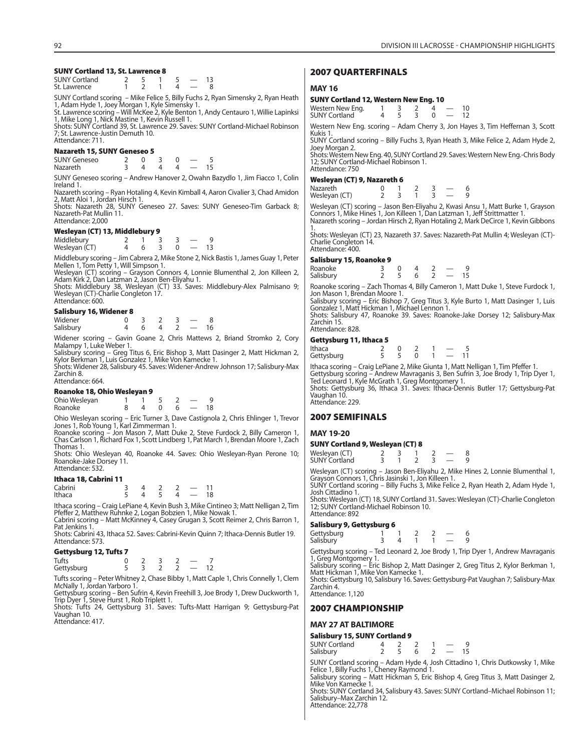### **SUNY Cortland 13, St. Lawrence 8**

| <b>SUNY Cortland</b> |  |  |  |
|----------------------|--|--|--|
| St. Lawrence         |  |  |  |

SUNY Cortland scoring – Mike Felice 5, Billy Fuchs 2, Ryan Simensky 2, Ryan Heath 1, Adam Hyde 1, Joey Morgan 1, Kyle Simensky 1.

St. Lawrence scoring – Will McKee 2, Kyle Benton 1, Andy Centauro 1, Willie Lapinksi

1, Mike Long 1, Nick Mastine 1, Kevin Russell 1. Shots: SUNY Cortland 39, St. Lawrence 29. Saves: SUNY Cortland-Michael Robinson 7; St. Lawrence-Justin Demuth 10. Attendance: 711.

### **Nazareth 15, SUNY Geneseo 5**

| <b>SUNY Geneseo</b> |  |  |  |
|---------------------|--|--|--|
| <b>Nazareth</b>     |  |  |  |

SUNY Geneseo scoring – Andrew Hanover 2, Owahn Bazydlo 1, Jim Fiacco 1, Colin Ireland 1.

Nazareth scoring – Ryan Hotaling 4, Kevin Kimball 4, Aaron Civalier 3, Chad Amidon 2, Matt Aloi 1, Jordan Hirsch 1.

Shots: Nazareth 28, SUNY Geneseo 27. Saves: SUNY Geneseo-Tim Garback 8; Nazareth-Pat Mullin 11. Attendance: 2,000

#### **Wesleyan (CT) 13, Middlebury 9**

| Middlebury<br>Wesleyan (CT) |  |  |  |
|-----------------------------|--|--|--|

Middlebury scoring – Jim Cabrera 2, Mike Stone 2, Nick Bastis 1, James Guay 1, Peter Mellen 1, Tom Petty 1, Will Simpson 1.

Wesleyan (CT) scoring – Grayson Connors 4, Lonnie Blumenthal 2, Jon Killeen 2, Adam Kirk 2, Dan Latzman 2, Jason Ben-Eliyahu 1.

Shots: Middlebury 38, Wesleyan (CT) 33. Saves: Middlebury-Alex Palmisano 9; Wesleyan (CT)-Charlie Congleton 17. Attendance: 600.

### **Salisbury 16, Widener 8**

| ס ואוואנין עו נואטנווט |  |  |  |
|------------------------|--|--|--|
| Widener                |  |  |  |

| Salisbury |  |  |  |
|-----------|--|--|--|

Widener scoring – Gavin Goane 2, Chris Mattews 2, Briand Stromko 2, Cory Malampy 1, Luke Weber 1.

Salisbury scoring – Greg Titus 6, Eric Bishop 3, Matt Dasinger 2, Matt Hickman 2, Kylor Berkman 1, Luis Gonzalez 1, Mike Von Kamecke 1.

Shots: Widener 28, Salisbury 45. Saves: Widener-Andrew Johnson 17; Salisbury-Max Zarchin 8.

### Attendance: 664.

### **Roanoke 18, Ohio Wesleyan 9**

| Ohio Wesleyan |  |  |  |  |
|---------------|--|--|--|--|
| Roanoke       |  |  |  |  |

Ohio Wesleyan scoring – Eric Turner 3, Dave Castignola 2, Chris Ehlinger 1, Trevor Jones 1, Rob Young 1, Karl Zimmerman 1. Roanoke scoring – Jon Mason 7, Matt Duke 2, Steve Furdock 2, Billy Cameron 1,

Chas Carlson 1, Richard Fox 1, Scott Lindberg 1, Pat March 1, Brendan Moore 1, Zach Thomas 1.

Shots: Ohio Wesleyan 40, Roanoke 44. Saves: Ohio Wesleyan-Ryan Perone 10; Roanoke-Jake Dorsey 11. Attendance: 532.

#### **Ithaca 18, Cabrini 11**

| __      |  |  |    |
|---------|--|--|----|
| Cabrini |  |  |    |
| Ithaca  |  |  | 18 |

Ithaca scoring – Craig LePiane 4, Kevin Bush 3, Mike Cintineo 3; Matt Nelligan 2, Tim Pfeffer 2, Matthew Ruhnke 2, Logan Bobzien 1, Mike Nowak 1.

Cabrini scoring – Matt McKinney 4, Casey Grugan 3, Scott Reimer 2, Chris Barron 1, Pat Jenkins 1.

Shots: Cabrini 43, Ithaca 52. Saves: Cabrini-Kevin Quinn 7; Ithaca-Dennis Butler 19. Attendance: 573.

#### **Gettysburg 12, Tufts 7**

| Tufts      |  |  |  |
|------------|--|--|--|
| Gettysburg |  |  |  |

Tufts scoring – Peter Whitney 2, Chase Bibby 1, Matt Caple 1, Chris Connelly 1, Clem McNally 1, Jordan Yarboro 1.

Gettysburg scoring – Ben Sufrin 4, Kevin Freehill 3, Joe Brody 1, Drew Duckworth 1, Trip Dyer 1, Steve Hurst 1, Rob Triplett 1.

Shots: Tufts 24, Gettysburg 31. Saves: Tufts-Matt Harrigan 9; Gettysburg-Pat Vaughan 10. Attendance: 417.

### **2007 QUARTERFINALS**

### **MAY 16**

### **SUNY Cortland 12, Western New Eng. 10**

| Western New Eng.     |  |  |  |
|----------------------|--|--|--|
| <b>SUNY Cortland</b> |  |  |  |

Western New Eng. scoring – Adam Cherry 3, Jon Hayes 3, Tim Heffernan 3, Scott Kukis 1.

SUNY Cortland scoring – Billy Fuchs 3, Ryan Heath 3, Mike Felice 2, Adam Hyde 2, Joey Morgan 2.

Shots: Western New Eng. 40, SUNY Cortland 29. Saves: Western New Eng.-Chris Body 12; SUNY Cortland-Michael Robinson 1. Attendance: 750

#### **Wesleyan (CT) 9, Nazareth 6**

| Nazareth      |  |  |  |
|---------------|--|--|--|
| Wesleyan (CT) |  |  |  |

Wesleyan (CT) scoring – Jason Ben-Eliyahu 2, Kwasi Ansu 1, Matt Burke 1, Grayson Connors 1, Mike Hines 1, Jon Killeen 1, Dan Latzman 1, Jeff Strittmatter 1. Nazareth scoring – Jordan Hirsch 2, Ryan Hotaling 2, Mark DeCirce 1, Kevin Gibbons

1. Shots: Wesleyan (CT) 23, Nazareth 37. Saves: Nazareth-Pat Mullin 4; Wesleyan (CT)- Charlie Congleton 14. Attendance: 400.

#### **Salisbury 15, Roanoke 9**

| 54.5554.77154.764.7675 |  |  |  |
|------------------------|--|--|--|
| Roanoke                |  |  |  |
| Salisbury              |  |  |  |

Roanoke scoring – Zach Thomas 4, Billy Cameron 1, Matt Duke 1, Steve Furdock 1, Jon Mason 1, Brendan Moore 1.

Salisbury scoring – Eric Bishop 7, Greg Titus 3, Kyle Burto 1, Matt Dasinger 1, Luis Gonzalez 1, Matt Hickman 1, Michael Lennon 1. Shots: Salisbury 47, Roanoke 39. Saves: Roanoke-Jake Dorsey 12; Salisbury-Max

Zarchin 15. Attendance: 828.

### **Gettysburg 11, Ithaca 5**

| .<br>__<br>Ithaca<br>Gettysburg | ______ | $\overline{0}$<br>$\sim$ 5 |  | - 11 |  |
|---------------------------------|--------|----------------------------|--|------|--|
|                                 |        |                            |  |      |  |

lthaca scoring – Craig LePiane 2, Mike Giunta 1, Matt Nelligan 1, Tim Pfeffer 1.<br>Gettysburg scoring – Andrew Mavraganis 3, Ben Sufrin 3, Joe Brody 1, Trip Dyer 1,<br>Ted Leonard 1, Kyle McGrath 1, Greg Montgomery 1.<br>Shots: Ge

Vaughan 10 Attendance: 229.

### **2007 SEMIFINALS**

#### **MAY 19-20**

### **SUNY Cortland 9, Wesleyan (CT) 8**

| Wesleyan (CT) |  |  |  |
|---------------|--|--|--|
| SUNY Cortland |  |  |  |

Wesleyan (CT) scoring – Jason Ben-Eliyahu 2, Mike Hines 2, Lonnie Blumenthal 1, Grayson Connors 1, Chris Jasinski 1, Jon Killeen 1.

SUNY Cortland scoring – Billy Fuchs 3, Mike Felice 2, Ryan Heath 2, Adam Hyde 1, Josh Cittadino 1.

Shots: Wesleyan (CT) 18, SUNY Cortland 31. Saves: Wesleyan (CT)-Charlie Congleton 12; SUNY Cortland-Michael Robinson 10. Attendance: 892

#### **Salisbury 9, Gettysburg 6**

| Gettysburg<br>Salisbury |  |  |  |  |
|-------------------------|--|--|--|--|

Gettysburg scoring – Ted Leonard 2, Joe Brody 1, Trip Dyer 1, Andrew Mavraganis 1, Greg Montgomery 1. Salisbury scoring – Eric Bishop 2, Matt Dasinger 2, Greg Titus 2, Kylor Berkman 1,

Matt Hickman 1, Mike Von Kamecke 1.

Shots: Gettysburg 10, Salisbury 16. Saves: Gettysburg-Pat Vaughan 7; Salisbury-Max Zarchin 4. Attendance: 1,120

### **2007 CHAMPIONSHIP**

### **MAY 27 AT BALTIMORE**

| Salisbury 15, SUNY Cortland 9 |  |  |
|-------------------------------|--|--|
|                               |  |  |

 $SUNY$  Cortland  $\begin{array}{cccc} 4 & 2 & 2 & 1 & -9 \\ 5 & 6 & 2 & -15 \end{array}$ Salisbury

SUNY Cortland scoring – Adam Hyde 4, Josh Cittadino 1, Chris Dutkowsky 1, Mike<br>Felice 1, Billy Fuchs 1, Cheney Raymond 1.<br>Salisbury scoring – Matt Hickman 5, Eric Bishop 4, Greg Titus 3, Matt Dasinger 2,<br>Mike Von Kamecke 1

Shots: SUNY Cortland 34, Salisbury 43. Saves: SUNY Cortland–Michael Robinson 11; Salisbury–Max Zarchin 12. Attendance: 22,778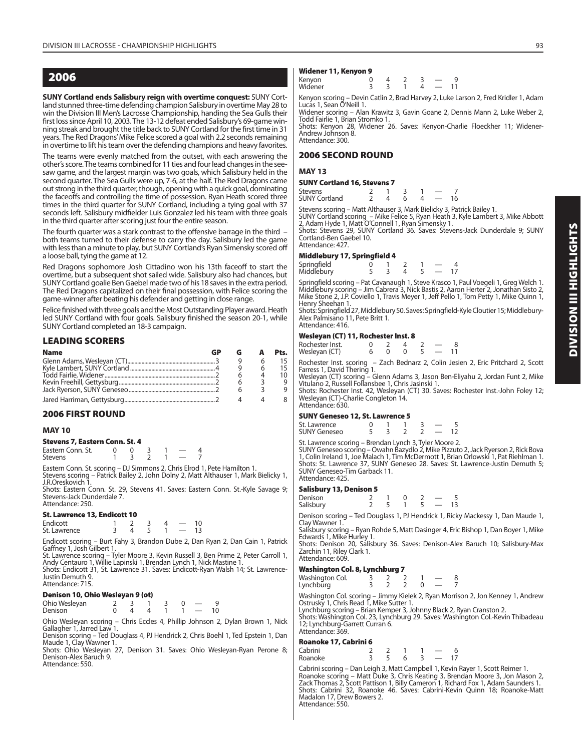### **2006**

**SUNY Cortland ends Salisbury reign with overtime conquest:** SUNY Cortland stunned three-time defending champion Salisbury in overtime May 28 to win the Division III Men's Lacrosse Championship, handing the Sea Gulls their first loss since April 10, 2003. The 13-12 defeat ended Salisbury's 69-game winning streak and brought the title back to SUNY Cortland for the first time in 31 years. The Red Dragons' Mike Felice scored a goal with 2.2 seconds remaining in overtime to lift his team over the defending champions and heavy favorites.

The teams were evenly matched from the outset, with each answering the other's score. The teams combined for 11 ties and four lead changes in the seesaw game, and the largest margin was two goals, which Salisbury held in the second quarter. The Sea Gulls were up, 7-6, at the half. The Red Dragons came out strong in the third quarter, though, opening with a quick goal, dominating the faceoffs and controlling the time of possession. Ryan Heath scored three times in the third quarter for SUNY Cortland, including a tying goal with 37 seconds left. Salisbury midfielder Luis Gonzalez led his team with three goals in the third quarter after scoring just four the entire season.

The fourth quarter was a stark contrast to the offensive barrage in the third  $$ both teams turned to their defense to carry the day. Salisbury led the game with less than a minute to play, but SUNY Cortland's Ryan Simensky scored off a loose ball, tying the game at 12.

Red Dragons sophomore Josh Cittadino won his 13th faceoff to start the overtime, but a subsequent shot sailed wide. Salisbury also had chances, but SUNY Cortland goalie Ben Gaebel made two of his 18 saves in the extra period. The Red Dragons capitalized on their final possession, with Felice scoring the game-winner after beating his defender and getting in close range.

Felice finished with three goals and the Most Outstanding Player award. Heath led SUNY Cortland with four goals. Salisbury finished the season 20-1, while SUNY Cortland completed an 18-3 campaign.

### **LEADING SCORERS**

| <b>Name</b> | æ |  | Pts. |
|-------------|---|--|------|
|             |   |  |      |
|             |   |  |      |
|             |   |  |      |
|             |   |  |      |
|             |   |  |      |
|             |   |  |      |

### **2006 FIRST ROUND**

### **MAY 10**

#### **Stevens 7, Eastern Conn. St. 4**

| Eastern Conn. St. |  |  |  |
|-------------------|--|--|--|
| <b>Stevens</b>    |  |  |  |

Eastern Conn. St. scoring – DJ Simmons 2, Chris Elrod 1, Pete Hamilton 1. Stevens scoring – Patrick Bailey 2, John Dolny 2, Matt Althauser 1, Mark Bielicky 1, J.R.Oreskovich 1.

Shots: Eastern Conn. St. 29, Stevens 41. Saves: Eastern Conn. St.-Kyle Savage 9; Stevens-Jack Dunderdale 7. Attendance: 250.

### **St. Lawrence 13, Endicott 10**

| Endicott     |  |  | 10. |
|--------------|--|--|-----|
| St. Lawrence |  |  |     |

Endicott scoring – Burt Fahy 3, Brandon Dube 2, Dan Ryan 2, Dan Cain 1, Patrick Gaffney 1, Josh Gilbert 1.

St. Lawrence scoring – Tyler Moore 3, Kevin Russell 3, Ben Prime 2, Peter Carroll 1, Andy Centauro 1, Willie Lapinski 1, Brendan Lynch 1, Nick Mastine 1.

Shots: Endicott 31, St. Lawrence 31. Saves: Endicott-Ryan Walsh 14; St. Lawrence-Justin Demuth 9. Attendance: 715.

### **Denison 10, Ohio Wesleyan 9 (ot)**

Ohio Wesleyan 2 3 1 3 0 — 9 **Denison** 

Ohio Wesleyan scoring – Chris Eccles 4, Phillip Johnson 2, Dylan Brown 1, Nick Gallagher 1, Jarred Law 1.

Denison scoring – Ted Douglass 4, PJ Hendrick 2, Chris Boehl 1, Ted Epstein 1, Dan Maude 1, Clay Wawner 1.

Shots: Ohio Wesleyan 27, Denison 31. Saves: Ohio Wesleyan-Ryan Perone 8; Denison-Alex Baruch 9. Attendance: 550.

### **Widener 11, Kenyon 9**

| Kenyon<br>Widener | . . |  |  |  |
|-------------------|-----|--|--|--|
|                   |     |  |  |  |

Kenyon scoring – Devin Catlin 2, Brad Harvey 2, Luke Larson 2, Fred Kridler 1, Adam Lucas 1, Sean O'Neill 1.

Widener scoring – Alan Krawitz 3, Gavin Goane 2, Dennis Mann 2, Luke Weber 2, Todd Fairlie 1, Brian Stromko 1.

Shots: Kenyon 28, Widener 26. Saves: Kenyon-Charlie Floeckher 11; Widener-Andrew Johnson 8. Attendance: 300.

### **2006 SECOND ROUND**

### **MAY 13**

| <b>SUNY Cortland 16, Stevens 7</b> |  |   |          |   |            |    |  |
|------------------------------------|--|---|----------|---|------------|----|--|
| Stevens<br><b>SUNY Cortland</b>    |  | Δ | -3<br>6. | 4 | $\sim$ $-$ | 16 |  |

| <b>JUIT CURTIUL</b>                                                                                                                                                                                                                                                                               |  |  | $\sim$ |
|---------------------------------------------------------------------------------------------------------------------------------------------------------------------------------------------------------------------------------------------------------------------------------------------------|--|--|--------|
| Stevens scoring - Matt Althauser 3, Mark Bielicky 3, Patrick Ba<br>$C(1)$ $\cup$ $C_1$ and $C_2$ and $C_3$ is the set of $C_3$ is the set of $C_4$ is the set of $C_5$ is the set of $C_5$ is the set of $C_5$ is the set of $C_5$ is the set of $C_5$ is the set of $C_5$ is the set of $C_5$ is |  |  |        |

Stevens scoring – Matt Althauser 3, Mark Bielicky 3, Patrick Bailey 1.<br>SUNY Cortland scoring – Mike Felice 5, Ryan Heath 3, Kyle Lambert 3, Mike Abbott<br>2, Adam Hyde 1, Matt O'Connell 1, Ryan Simensky 1.<br>Shots: Stevens 29

Cortland-Ben Gaebel 10. Attendance: 427.

### **Middlebury 17, Springfield 4**

| Springfield<br>Middlebury |  |  |  |
|---------------------------|--|--|--|

Springfield scoring – Pat Cavanaugh 1, Steve Krasco 1, Paul Voegeli 1, Greg Welch 1. Middlebury scoring – Jim Cabrera 3, Nick Bastis 2, Aaron Herter 2, Jonathan Sisto 2, Mike Stone 2, J.P. Coviello 1, Travis Meyer 1, Jeff Pello 1, Tom Petty 1, Mike Quinn 1, Henry Sheehan 1.

Shots: Springfield 27, Middlebury 50. Saves: Springfield-Kyle Cloutier 15; Middlebury-Alex Palmisano 11, Pete Britt 1. Attendance: 416.

### **Wesleyan (CT) 11, Rochester Inst. 8**

| Rochester Inst. |  |  |  |
|-----------------|--|--|--|
| Wesleyan (CT)   |  |  |  |

Rochester Inst. scoring – Zach Bednarz 2, Colin Jesien 2, Eric Pritchard 2, Scott Farress 1, David Thering 1.

Wesleyan (CT) scoring – Glenn Adams 3, Jason Ben-Eliyahu 2, Jordan Funt 2, Mike<br>Vitulano 2, Russell Follansbee 1, Chris Jasinski 1.

Shots: Rochester Inst. 42, Wesleyan (CT) 30. Saves: Rochester Inst.-John Foley 12; Wesleyan (CT)-Charlie Congleton 14. Attendance: 630.

### **SUNY Geneseo 12, St. Lawrence 5**

| St. Lawrence<br><b>SUNY Geneseo</b> |  |  |  |
|-------------------------------------|--|--|--|
|                                     |  |  |  |

St. Lawrence scoring – Brendan Lynch 3, Tyler Moore 2.

SUNY Geneseo scoring – Owahn Bazydlo 2, Mike Pizzuto 2, Jack Ryerson 2, Rick Bova 1, Colin Ireland 1, Joe Malach 1, Tim McDermott 1, Brian Orlowski 1, Pat Riehlman 1. Shots: St. Lawrence 37, SUNY Geneseo 28. Saves: St. Lawrence-Justin Demuth 5; SUNY Geneseo-Tim Garback 11. Attendance: 425.

### **Salisbury 13, Denison 5**

| Denison<br>Salisbury |  |  |  |  |
|----------------------|--|--|--|--|
|                      |  |  |  |  |

Denison scoring – Ted Douglass 1, PJ Hendrick 1, Ricky Mackessy 1, Dan Maude 1, Clay Wawner 1.

Salisbury scoring – Ryan Rohde 5, Matt Dasinger 4, Eric Bishop 1, Dan Boyer 1, Mike Edwards 1, Mike Hurley 1.

Shots: Denison 20, Salisbury 36. Saves: Denison-Alex Baruch 10; Salisbury-Max Zarchin 11, Riley Clark 1. Attendance: 609.

### **Washington Col. 8, Lynchburg 7**

| Washington Col. |  |  |  |
|-----------------|--|--|--|
| Lynchburg       |  |  |  |

Washington Col. scoring – Jimmy Kielek 2, Ryan Morrison 2, Jon Kenney 1, Andrew Ostrusky 1, Chris Read 1, Mike Sutter 1.

Lynchburg scoring – Brian Kemper 3, Johnny Black 2, Ryan Cranston 2. Shots: Washington Col. 23, Lynchburg 29. Saves: Washington Col.-Kevin Thibadeau 12; Lynchburg-Garrett Curran 6. Attendance: 369.

### **Roanoke 17, Cabrini 6**

| Cabrini |  |   |  |  |
|---------|--|---|--|--|
| Roanoke |  | ь |  |  |

Cabrini scoring – Dan Leigh 3, Matt Campbell 1, Kevin Rayer 1, Scott Reimer 1. Roanoke scoring – Matt Duke 3, Chris Keating 3, Brendan Moore 3, Jon Mason 2, Zack Thomas 2, Scott Pattison 1, Billy Cameron 1, Richard Fox 1, Adam Saunders 1. Shots: Cabrini 32, Roanoke 46. Saves: Cabrini-Kevin Quinn 18; Roanoke-Matt Madalon 17, Drew Bowers 2. Attendance: 550.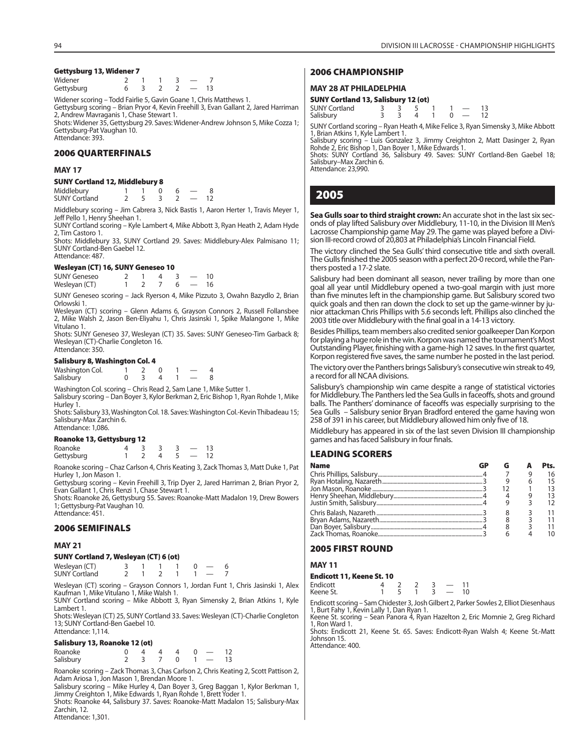### **Gettysburg 13, Widener 7**

| Widener    |  |  |  |
|------------|--|--|--|
| Gettysburg |  |  |  |

Widener scoring – Todd Fairlie 5, Gavin Goane 1, Chris Matthews 1. Gettysburg scoring – Brian Pryor 4, Kevin Freehill 3, Evan Gallant 2, Jared Harriman 2, Andrew Mavraganis 1, Chase Stewart 1. Shots: Widener 35, Gettysburg 29. Saves: Widener-Andrew Johnson 5, Mike Cozza 1;

Gettysburg-Pat Vaughan 10. Attendance: 393.

### **2006 QUARTERFINALS**

### **MAY 17**

### **SUNY Cortland 12, Middlebury 8**

| Middlebury           |  |  |  |
|----------------------|--|--|--|
| <b>SUNY Cortland</b> |  |  |  |

Middlebury scoring – Jim Cabrera 3, Nick Bastis 1, Aaron Herter 1, Travis Meyer 1, Jeff Pello 1, Henry Sheehan 1.

SUNY Cortland scoring – Kyle Lambert 4, Mike Abbott 3, Ryan Heath 2, Adam Hyde 2, Tim Castoro 1.

Shots: Middlebury 33, SUNY Cortland 29. Saves: Middlebury-Alex Palmisano 11; SUNY Cortland-Ben Gaebel 12. Attendance: 487.

### **Wesleyan (CT) 16, SUNY Geneseo 10**

| <b>SUNY Geneseo</b> |  |  |  |
|---------------------|--|--|--|
| Wesleyan (CT)       |  |  |  |

SUNY Geneseo scoring – Jack Ryerson 4, Mike Pizzuto 3, Owahn Bazydlo 2, Brian Orlowski 1.

Wesleyan (CT) scoring – Glenn Adams 6, Grayson Connors 2, Russell Follansbee 2, Mike Walsh 2, Jason Ben-Eliyahu 1, Chris Jasinski 1, Spike Malangone 1, Mike Vitulano 1.

Shots: SUNY Geneseo 37, Wesleyan (CT) 35. Saves: SUNY Geneseo-Tim Garback 8; Wesleyan (CT)-Charlie Congleton 16. Attendance: 350.

### **Salisbury 8, Washington Col. 4**

| Washington Col. |  |  |  |
|-----------------|--|--|--|
| Salisbury       |  |  |  |

Washington Col. scoring – Chris Read 2, Sam Lane 1, Mike Sutter 1. Salisbury scoring – Dan Boyer 3, Kylor Berkman 2, Eric Bishop 1, Ryan Rohde 1, Mike Hurley 1.

Shots: Salisbury 33, Washington Col. 18. Saves: Washington Col.-Kevin Thibadeau 15; Salisbury-Max Zarchin 6.

#### Attendance: 1,086. **Roanoke 13, Gettysburg 12**

| Roanoke 13, Gettysburg 12 |  |  |   |  |       |     |  |  |  |
|---------------------------|--|--|---|--|-------|-----|--|--|--|
| Roanoke                   |  |  |   |  |       | -13 |  |  |  |
| Gettysburg                |  |  | 4 |  | $-12$ |     |  |  |  |

Roanoke scoring – Chaz Carlson 4, Chris Keating 3, Zack Thomas 3, Matt Duke 1, Pat Hurley 1, Jon Mason 1.

Gettysburg scoring – Kevin Freehill 3, Trip Dyer 2, Jared Harriman 2, Brian Pryor 2, Evan Gallant 1, Chris Renzi 1, Chase Stewart 1.

Shots: Roanoke 26, Gettysburg 55. Saves: Roanoke-Matt Madalon 19, Drew Bowers 1; Gettysburg-Pat Vaughan 10. Attendance: 451.

### **2006 SEMIFINALS**

### **MAY 21**

### **SUNY Cortland 7, Wesleyan (CT) 6 (ot)**

|                      |  | . |  |  |
|----------------------|--|---|--|--|
| Wesleyan (CT)        |  |   |  |  |
| <b>SUNY Cortland</b> |  |   |  |  |

Wesleyan (CT) scoring – Grayson Connors 1, Jordan Funt 1, Chris Jasinski 1, Alex Kaufman 1, Mike Vitulano 1, Mike Walsh 1.

SUNY Cortland scoring – Mike Abbott 3, Ryan Simensky 2, Brian Atkins 1, Kyle Lambert 1.

Shots: Wesleyan (CT) 25, SUNY Cortland 33. Saves: Wesleyan (CT)-Charlie Congleton 13; SUNY Cortland-Ben Gaebel 10. Attendance: 1,114.

### **Salisbury 13, Roanoke 12 (ot)**

| Roanoke   |  |         | 4440 |          | -12 |
|-----------|--|---------|------|----------|-----|
| Salisbury |  | 2 3 7 0 |      | $1 - 13$ |     |

Roanoke scoring – Zack Thomas 3, Chas Carlson 2, Chris Keating 2, Scott Pattison 2, Adam Ariosa 1, Jon Mason 1, Brendan Moore 1.

Salisbury scoring – Mike Hurley 4, Dan Boyer 3, Greg Baggan 1, Kylor Berkman 1, Jimmy Creighton 1, Mike Edwards 1, Ryan Rohde 1, Brett Yoder 1.

Shots: Roanoke 44, Salisbury 37. Saves: Roanoke-Matt Madalon 15; Salisbury-Max Zarchin, 12.

Attendance: 1,301.

### **2006 CHAMPIONSHIP**

### **MAY 28 AT PHILADELPHIA**

### **SUNY Cortland 13, Salisbury 12 (ot)**

| <b>SUNY Cortland</b> |  |  |  |  |
|----------------------|--|--|--|--|
| Salisbury            |  |  |  |  |

SUNY Cortland scoring – Ryan Heath 4, Mike Felice 3, Ryan Simensky 3, Mike Abbott 1, Brian Atkins 1, Kyle Lambert 1.

Salisbury scoring – Luis Gonzalez 3, Jimmy Creighton 2, Matt Dasinger 2, Ryan Rohde 2, Eric Bishop 1, Dan Boyer 1, Mike Edwards 1.

Shots: SUNY Cortland 36, Salisbury 49. Saves: SUNY Cortland-Ben Gaebel 18; Salisbury–Max Zarchin 6. Attendance: 23,990.

### **2005**

**Sea Gulls soar to third straight crown:** An accurate shot in the last six seconds of play lifted Salisbury over Middlebury, 11-10, in the Division III Men's Lacrosse Championship game May 29. The game was played before a Division III-record crowd of 20,803 at Philadelphia's Lincoln Financial Field.

The victory clinched the Sea Gulls' third consecutive title and sixth overall. The Gulls finished the 2005 season with a perfect 20-0 record, while the Panthers posted a 17-2 slate.

Salisbury had been dominant all season, never trailing by more than one goal all year until Middlebury opened a two-goal margin with just more than five minutes left in the championship game. But Salisbury scored two quick goals and then ran down the clock to set up the game-winner by junior attackman Chris Phillips with 5.6 seconds left. Phillips also clinched the 2003 title over Middlebury with the final goal in a 14-13 victory.

Besides Phillips, team members also credited senior goalkeeper Dan Korpon for playing a huge role in the win. Korpon was named the tournament's Most Outstanding Player, finishing with a game-high 12 saves. In the first quarter, Korpon registered five saves, the same number he posted in the last period.

The victory over the Panthers brings Salisbury's consecutive win streak to 49, a record for all NCAA divisions.

Salisbury's championship win came despite a range of statistical victories for Middlebury. The Panthers led the Sea Gulls in faceoffs, shots and ground balls. The Panthers' dominance of faceoffs was especially surprising to the Sea Gulls – Salisbury senior Bryan Bradford entered the game having won 258 of 391 in his career, but Middlebury allowed him only five of 18.

Middlebury has appeared in six of the last seven Division III championship games and has faced Salisbury in four finals.

### **LEADING SCORERS**

| <b>Name</b> | GP |  | Pts. |
|-------------|----|--|------|
|             |    |  | 16   |
|             |    |  | 15   |
|             |    |  | 13   |
|             |    |  | 13   |
|             |    |  | 12   |
|             |    |  |      |
|             |    |  |      |
|             |    |  |      |
|             |    |  | 10   |

### **2005 FIRST ROUND**

### **MAY 11**

| Endicott 11, Keene St. 10 |  |  |                          |  |
|---------------------------|--|--|--------------------------|--|
| Endicott                  |  |  | $\overline{\phantom{a}}$ |  |
| $\cdot$                   |  |  |                          |  |

Keene St.  $\begin{array}{ccccccccc}\n & & & & & \rightarrow & \angle & \angle & 3 & \text{---} & 11 \\
\end{array}$ Endicott scoring – Sam Chidester 3, Josh Gilbert 2, Parker Sowles 2, Elliot Diesenhaus 1, Burt Fahy 1, Kevin Lally 1, Dan Ryan 1.

Keene St. scoring – Sean Panora 4, Ryan Hazelton 2, Eric Momnie 2, Greg Richard 1, Ron Ward 1.

Shots: Endicott 21, Keene St. 65. Saves: Endicott-Ryan Walsh 4; Keene St.-Matt Johnson 15. Attendance: 400.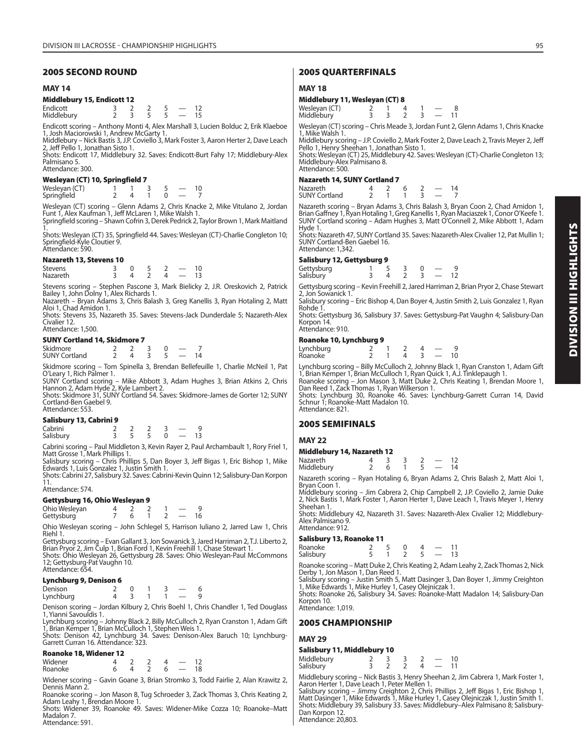### **2005 SECOND ROUND**

### **MAY 14**

### **Middlebury 15, Endicott 12**

| Endicott   |  |  |  |
|------------|--|--|--|
| Middlebury |  |  |  |

Endicott scoring – Anthony Monti 4, Alex Marshall 3, Lucien Bolduc 2, Erik Klaeboe 1, Josh Maciorowski 1, Andrew McGarty 1.

Middlebury – Nick Bastis 3, J.P. Coviello 3, Mark Foster 3, Aaron Herter 2, Dave Leach 2, Jeff Pello 1, Jonathan Sisto 1.

Shots: Endicott 17, Middlebury 32. Saves: Endicott-Burt Fahy 17; Middlebury-Alex Palmisano 5. Attendance: 300.

### **Wesleyan (CT) 10, Springfield 7**

| Wesleyan (CT) |  |  |  |
|---------------|--|--|--|
| Springfield   |  |  |  |

Wesleyan (CT) scoring – Glenn Adams 2, Chris Knacke 2, Mike Vitulano 2, Jordan Funt 1, Alex Kaufman 1, Jeff McLaren 1, Mike Walsh 1. Springfield scoring – Shawn Cofrin 3, Derek Pedrick 2, Taylor Brown 1, Mark Maitland

1.

Shots: Wesleyan (CT) 35, Springfield 44. Saves: Wesleyan (CT)-Charlie Congleton 10; Springfield-Kyle Cloutier 9. Attendance: 590.

### **Nazareth 13, Stevens 10**

| <b>Stevens</b>  |  |  | 10 |
|-----------------|--|--|----|
| <b>Nazareth</b> |  |  |    |

Stevens scoring – Stephen Pascone 3, Mark Bielicky 2, J.R. Oreskovich 2, Patrick Bailey 1, John Dolny 1, Alex Richards 1. Nazareth – Bryan Adams 3, Chris Balash 3, Greg Kanellis 3, Ryan Hotaling 2, Matt

Aloi 1, Chad Amidon 1.

Shots: Stevens 35, Nazareth 35. Saves: Stevens-Jack Dunderdale 5; Nazareth-Alex Civalier 12. Attendance: 1,500.

### **SUNY Cortland 14, Skidmore 7**

| Skidmore             |  |  |    |
|----------------------|--|--|----|
| <b>SUNY Cortland</b> |  |  | 14 |

Skidmore scoring – Tom Spinella 3, Brendan Bellefeuille 1, Charlie McNeil 1, Pat O'Leary 1, Rich Palmer 1.

SUNY Cortland scoring – Mike Abbott 3, Adam Hughes 3, Brian Atkins 2, Chris Hannon 2, Adam Hyde 2, Kyle Lambert 2.

Shots: Skidmore 31, SUNY Cortland 54. Saves: Skidmore-James de Gorter 12; SUNY Cortland-Ben Gaebel 9. Attendance: 553.

### **Salisbury 13, Cabrini 9**

| Cabrini   |  |  |  |
|-----------|--|--|--|
| Salisbury |  |  |  |

Cabrini scoring – Paul Middleton 3, Kevin Rayer 2, Paul Archambault 1, Rory Friel 1,

Matt Grosse 1, Mark Phillips 1. Salisbury scoring – Chris Phillips 5, Dan Boyer 3, Jeff Bigas 1, Eric Bishop 1, Mike Edwards 1, Luis Gonzalez 1, Justin Smith 1.

Shots: Cabrini 27, Salisbury 32. Saves: Cabrini-Kevin Quinn 12; Salisbury-Dan Korpon 11. Attendance: 574.

#### **Gettysburg 16, Ohio Wesleyan 9** Ohio Wesleyan  $4 \times 2 \times 2 \times 1 = 9$

| <b>UTIO WESIEYALI</b> |  |  |    |
|-----------------------|--|--|----|
| Gettysburg            |  |  | 16 |

Ohio Wesleyan scoring – John Schlegel 5, Harrison Iuliano 2, Jarred Law 1, Chris Riehl 1.

Gettysburg scoring – Evan Gallant 3, Jon Sowanick 3, Jared Harriman 2, T.J. Liberto 2, Brian Pryor 2, Jim Culp 1, Brian Ford 1, Kevin Freehill 1, Chase Stewart 1.

Shots: Ohio Wesleyan 26, Gettysburg 28. Saves: Ohio Wesleyan-Paul McCommons 12; Gettysburg-Pat Vaughn 10. Attendance: 654.

### **Lynchburg 9, Denison 6**

Denison 2 0 1 3 - 6<br>
Lynchburg 4 3 1 1 - 9 Lynchburg

Denison scoring – Jordan Kilbury 2, Chris Boehl 1, Chris Chandler 1, Ted Douglass 1, Yianni Savouldis 1.

Lynchburg scoring – Johnny Black 2, Billy McCulloch 2, Ryan Cranston 1, Adam Gift 1, Brian Kemper 1, Brian McCulloch 1, Stephen Weis 1.

Shots: Denison 42, Lynchburg 34. Saves: Denison-Alex Baruch 10; Lynchburg-Garrett Curran 16. Attendance: 323.

### **Roanoke 18, Widener 12**

| Widener |  |   |    |
|---------|--|---|----|
| Roanoke |  | ь | 18 |

Widener scoring – Gavin Goane 3, Brian Stromko 3, Todd Fairlie 2, Alan Krawitz 2, Dennis Mann 2.

Roanoke scoring – Jon Mason 8, Tug Schroeder 3, Zack Thomas 3, Chris Keating 2, Adam Leahy 1, Brendan Moore 1.

Shots: Widener 39, Roanoke 49. Saves: Widener-Mike Cozza 10; Roanoke–Matt Madalon 7. Attendance: 591.

### **2005 QUARTERFINALS**

### **MAY 18**

| Middlebury 11, Wesleyan (CT) 8 |  |  |                          |    |
|--------------------------------|--|--|--------------------------|----|
|                                |  |  |                          |    |
| Wesleyan (CT)<br>Middlebury    |  |  | $\overline{\phantom{a}}$ | 11 |

Wesleyan (CT) scoring – Chris Meade 3, Jordan Funt 2, Glenn Adams 1, Chris Knacke 1, Mike Walsh 1.

Middlebury scoring – J.P. Coviello 2, Mark Foster 2, Dave Leach 2, Travis Meyer 2, Jeff Pello 1, Henry Sheehan 1, Jonathan Sisto 1.

Shots: Wesleyan (CT) 25, Middlebury 42. Saves: Wesleyan (CT)-Charlie Congleton 13; Middlebury-Alex Palmisano 8. Attendance: 500.

### **Nazareth 14, SUNY Cortland 7**

| Nazareth             |  |  |  |
|----------------------|--|--|--|
| <b>SUNY Cortland</b> |  |  |  |

Nazareth scoring – Bryan Adams 3, Chris Balash 3, Bryan Coon 2, Chad Amidon 1,<br>Brian Gaffney 1, Ryan Hotaling 1, Greg Kanellis 1, Ryan Maciaszek 1, Conor O'Keefe 1.<br>SUNY Cortland scoring – Adam Hughes 3, Matt O'Connell 2, Hyde 1.

Shots: Nazareth 47, SUNY Cortland 35. Saves: Nazareth-Alex Civalier 12, Pat Mullin 1; SUNY Cortland-Ben Gaebel 16. Attendance: 1,342.

### **Salisbury 12, Gettysburg 9**

| Janspary rzy Jettyspary S |  |  |                                     |    |
|---------------------------|--|--|-------------------------------------|----|
| Gettysburg<br>Salisbury   |  |  | and the contract of the contract of | 12 |
|                           |  |  |                                     |    |

Gettysburg scoring – Kevin Freehill 2, Jared Harriman 2, Brian Pryor 2, Chase Stewart 2, Jon Sowanick 1.

Salisbury scoring – Eric Bishop 4, Dan Boyer 4, Justin Smith 2, Luis Gonzalez 1, Ryan Rohde 1.

Shots: Gettysburg 36, Salisbury 37. Saves: Gettysburg-Pat Vaughn 4; Salisbury-Dan Korpon 14. Attendance: 910.

### **Roanoke 10, Lynchburg 9**

| normaling            |  |  |    |    |
|----------------------|--|--|----|----|
| Lynchburg<br>Roanoke |  |  | __ | 10 |
|                      |  |  |    |    |

Lynchburg scoring – Billy McCulloch 2, Johnny Black 1, Ryan Cranston 1, Adam Gift<br>1, Brian Kemper 1, Brian McCulloch 1, Ryan Quick 1, A.J. Tinklepaugh 1.<br>Roanoke scoring – Jon Mason 3, Matt Duke 2, Chris Keating 1, Brendan

Shots: Lynchburg 30, Roanoke 46. Saves: Lynchburg-Garrett Curran 14, David

Schnur 1; Roanoke-Matt Madalon 10. Attendance: 821.

### **2005 SEMIFINALS**

### **MAY 22**

### **Middlebury 14, Nazareth 12**

| Nazareth   |  |  |  |
|------------|--|--|--|
| Middlebury |  |  |  |

Nazareth scoring – Ryan Hotaling 6, Bryan Adams 2, Chris Balash 2, Matt Aloi 1, Bryan Coon 1.

Middlebury scoring – Jim Cabrera 2, Chip Campbell 2, J.P. Coviello 2, Jamie Duke 2, Nick Bastis 1, Mark Foster 1, Aaron Herter 1, Dave Leach 1, Travis Meyer 1, Henry Sheehan 1.

Shots: Middlebury 42, Nazareth 31. Saves: Nazareth-Alex Civalier 12; Middlebury-Alex Palmisano 9. Attendance: 912.

### **Salisbury 13, Roanoke 11**

| Roanoke   |  |  | 11 |
|-----------|--|--|----|
|           |  |  |    |
| Salisbury |  |  | 13 |

Roanoke scoring – Matt Duke 2, Chris Keating 2, Adam Leahy 2, Zack Thomas 2, Nick Derby 1, Jon Mason 1, Dan Reed 1.

Salisbury scoring – Justin Smith 5, Matt Dasinger 3, Dan Boyer 1, Jimmy Creighton 1, Mike Edwards 1, Mike Hurley 1, Casey Olejniczak 1. Shots: Roanoke 26, Salisb ury 34. Saves: Roanoke-Matt Madalon 14; Salisbury-Dan

Korpon 10.

Attendance: 1,019.

### **2005 CHAMPIONSHIP**

### **MAY 29**

### **Salisbury 11, Middlebury 10**

| Middlebury |  |  |  |
|------------|--|--|--|
| Salisbury  |  |  |  |

Middlebury scoring – Nick Bastis 3, Henry Sheehan 2, Jim Cabrera 1, Mark Foster 1, Aaron Herter 1, Dave Leach 1, Peter Mellen 1.

Salisbury scoring – Jimmy Creighton 2, Chris Phillips 2, Jeff Bigas 1, Eric Bishop 1, Matt Dasinger 1, Mike Edwards 1, Mike Hurley 1, Casey Olejniczak 1, Justin Smith 1. Shots: Middlebury 39, Salisbury 33. Saves: Middlebury–Alex Palmisano 8; Salisbury-Dan Korpon 12. Attendance: 20,803.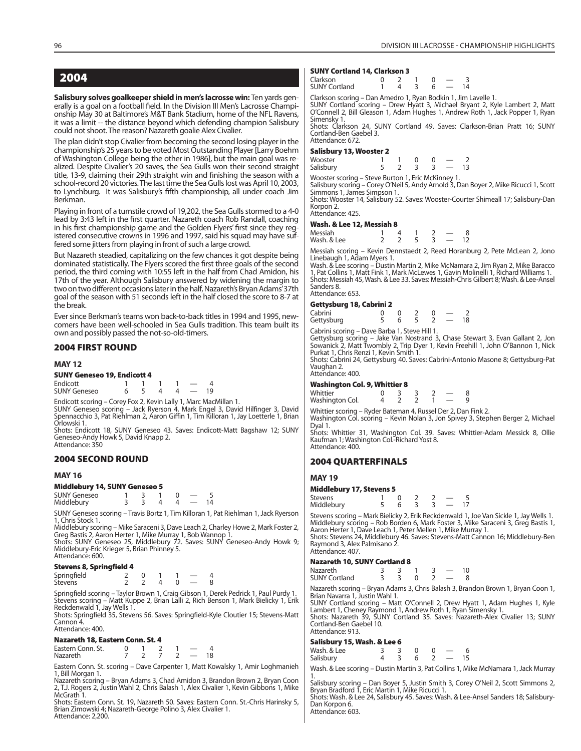### **2004**

**Salisbury solves goalkeeper shield in men's lacrosse win:** Ten yards generally is a goal on a football field. In the Division III Men's Lacrosse Championship May 30 at Baltimore's M&T Bank Stadium, home of the NFL Ravens, it was a limit -- the distance beyond which defending champion Salisbury could not shoot. The reason? Nazareth goalie Alex Civalier.

The plan didn't stop Civalier from becoming the second losing player in the championship's 25 years to be voted Most Outstanding Player [Larry Boehm of Washington College being the other in 1986], but the main goal was realized. Despite Civalier's 20 saves, the Sea Gulls won their second straight title, 13-9, claiming their 29th straight win and finishing the season with a school-record 20 victories. The last time the Sea Gulls lost was April 10, 2003, to Lynchburg. It was Salisbury's fifth championship, all under coach Jim Berkman.

Playing in front of a turnstile crowd of 19,202, the Sea Gulls stormed to a 4-0 lead by 3:43 left in the first quarter. Nazareth coach Rob Randall, coaching in his first championship game and the Golden Flyers' first since they registered consecutive crowns in 1996 and 1997, said his squad may have suffered some jitters from playing in front of such a large crowd.

But Nazareth steadied, capitalizing on the few chances it got despite being dominated statistically. The Flyers scored the first three goals of the second period, the third coming with 10:55 left in the half from Chad Amidon, his 17th of the year. Although Salisbury answered by widening the margin to two on two different occasions later in the half, Nazareth's Bryan Adams' 37th goal of the season with 51 seconds left in the half closed the score to 8-7 at the break.

Ever since Berkman's teams won back-to-back titles in 1994 and 1995, newcomers have been well-schooled in Sea Gulls tradition. This team built its own and possibly passed the not-so-old-timers.

### **2004 FIRST ROUND**

#### **MAY 12**

**SUNY Geneseo 19, Endicott 4**  $\begin{array}{ccccccccc}\n \text{Endicott} & & 1 & 1 & 1 & 1 & - & 4 \\
 \text{SUNY Geneseo} & & 6 & 5 & 4 & 4 & - & 19\n \end{array}$ SUNY Geneseo

Endicott scoring – Corey Fox 2, Kevin Lally 1, Marc MacMillan 1.<br>SUNY Geneseo scoring – Jack Ryerson 4, Mark Engel 3, David Hilfinger 3, David<br>Spennacchio 3, Pat Riehlman 2, Aaron Giffin 1, Tim Killoran 1, Jay Loetterle 1, Orlowski 1.

Shots: Endicott 18, SUNY Geneseo 43. Saves: Endicott-Matt Bagshaw 12; SUNY Geneseo-Andy Howk 5, David Knapp 2. Attendance: 350

### **2004 SECOND ROUND**

### **MAY 16**

|  |  | <b>Middlebury 14, SUNY Geneseo 5</b> |
|--|--|--------------------------------------|
|--|--|--------------------------------------|

SUNY Geneseo 1 3 1 0 - 5<br>Middlebury 3 3 4 4 - 14 **Middlebury** 

SUNY Geneseo scoring – Travis Bortz 1, Tim Killoran 1, Pat Riehlman 1, Jack Ryerson 1, Chris Stock 1.

Middlebury scoring – Mike Saraceni 3, Dave Leach 2, Charley Howe 2, Mark Foster 2, Greg Bastis 2, Aaron Herter 1, Mike Murray 1, Bob Wannop 1.<br>Shots: SUNY Geneseo 25, Middlebury 72. Saves: SUNY Geneseo-Andy Howk 9;<br>Middlebury-Eric Krieger 5, Brian Phinney 5.

Attendance: 600.

#### **Stevens 8, Springfield 4**

| Springfield    |  |  |  |
|----------------|--|--|--|
| <b>Stevens</b> |  |  |  |

Springfield scoring – Taylor Brown 1, Craig Gibson 1, Derek Pedrick 1, Paul Purdy 1. Stevens scoring – Matt Kuppe 2, Brian Lalli 2, Rich Benson 1, Mark Bielicky 1, Erik Reckdenwald 1, Jay Wells 1.

Shots: Springfield 35, Stevens 56. Saves: Springfield-Kyle Cloutier 15; Stevens-Matt Cannon 4. Attendance: 400.

#### **Nazareth 18, Eastern Conn. St. 4**

| Eastern Conn. St. |  |  |    |
|-------------------|--|--|----|
| <b>Nazareth</b>   |  |  | 18 |

Eastern Conn. St. scoring – Dave Carpenter 1, Matt Kowalsky 1, Amir Loghmanieh 1, Bill Morgan 1.

Nazareth scoring – Bryan Adams 3, Chad Amidon 3, Brandon Brown 2, Bryan Coon 2, T.J. Rogers 2, Justin Wahl 2, Chris Balash 1, Alex Civalier 1, Kevin Gibbons 1, Mike McGrath<sup>7</sup>1.

Shots: Eastern Conn. St. 19, Nazareth 50. Saves: Eastern Conn. St.-Chris Harinsky 5, Brian Zimowski 4; Nazareth-George Polino 3, Alex Civalier 1. Attendance: 2,200.

#### **SUNY Cortland 14, Clarkson 3**

| Clarkson<br><b>SUNY Cortland</b> |  |  | 14 |
|----------------------------------|--|--|----|
|                                  |  |  |    |

Clarkson scoring – Dan Amedro 1, Ryan Bodkin 1, Jim Lavelle 1. SUNY Cortland scoring – Drew Hyatt 3, Michael Bryant 2, Kyle Lambert 2, Matt O'Connell 2, Bill Gleason 1, Adam Hughes 1, Andrew Roth 1, Jack Popper 1, Ryan Simensky 1.

Shots: Clarkson 24, SUNY Cortland 49. Saves: Clarkson-Brian Pratt 16; SUNY Cortland-Ben Gaebel 3. Attendance: 672.

#### **Salisbury 13, Wooster 2**

| Wooster                                            |  |  |                          |     |
|----------------------------------------------------|--|--|--------------------------|-----|
| Salisbury                                          |  |  | $\overline{\phantom{a}}$ | 13. |
| Wooster scoring – Steve Burton 1, Eric McKinney 1. |  |  |                          |     |

Salisbury scoring – Corey O'Neil 5, Andy Arnold 3, Dan Boyer 2, Mike Ricucci 1, Scott Simmons 1, James Simpson 1.

Shots: Wooster 14, Salisbury 52. Saves: Wooster-Courter Shimeall 17; Salisbury-Dan Korpon 2.

Attendance: 425.

#### **Wash. & Lee 12, Messiah 8**

| Messiah     |  |  |  |
|-------------|--|--|--|
| Wash. & Lee |  |  |  |

Messiah scoring – Kevin Dennstaedt 2, Reed Horanburg 2, Pete McLean 2, Jono<br>Linebaugh 1, Adam Myers 1.<br>Wash. & Lee scoring – Dustin Martin 2, Mike McNamara 2, Jim Ryan 2, Mike Baracco<br>1, Pat Collins 1, Matt Fink 1, Mark Mc

Shots: Messiah 45, Wash. & Lee 33. Saves: Messiah-Chris Gilbert 8; Wash. & Lee-Ansel Sanders 8.

Attendance: 653.

#### **Gettysburg 18, Cabrini 2**

| Cabrini    |  |  |    |
|------------|--|--|----|
| Gettysburg |  |  | 18 |

Cabrini scoring – Dave Barba 1, Steve Hill 1.

Gettysburg scoring – Jake Van Nostrand 3, Chase Stewart 3, Evan Gallant 2, Jon Sowanick 2, Matt Twombly 2, Trip Dyer 1, Kevin Freehill 1, John O'Bannon 1, Nick Purkat 1, Chris Renzi 1, Kevin Smith 1.

Shots: Cabrini 24, Gettysburg 40. Saves: Cabrini-Antonio Masone 8; Gettysburg-Pat Vaughan 2.

Attendance: 400.

#### **Washington Col. 9, Whittier 8**

| Whittier        |  |  |  |
|-----------------|--|--|--|
| Washington Col. |  |  |  |

Whittier scoring – Ryder Bateman 4, Russel Der 2, Dan Fink 2. Washington Col. scoring – Kevin Nolan 3, Jon Spivey 3, Stephen Berger 2, Michael

Dyal 1.

Shots: Whittier 31, Washington Col. 39. Saves: Whittier-Adam Messick 8, Ollie Kaufman 1; Washington Col.-Richard Yost 8. Attendance: 400.

### **2004 QUARTERFINALS**

**MAY 19**

Attendance: 407.

### **Middlebury 17, Stevens 5**

| Stevens    |  |  |  |
|------------|--|--|--|
| Middlebury |  |  |  |

Stevens scoring – Mark Bielicky 2, Erik Reckdenwald 1, Joe Van Sickle 1, Jay Wells 1. Middlebury scoring – Rob Borden 6, Mark Foster 3, Mike Saraceni 3, Greg Bastis 1, Aaron Herter 1, Dave Leach 1, Peter Mellen 1, Mike Murray 1. Shots: Stevens 24, Middlebury 46. Saves: Stevens-Matt Cannon 16; Middlebury-Ben Raymond 3, Alex Palmisano 2.

### **Nazareth 10, SUNY Cortland 8**

Nazareth 3 3 1 3 — 10 SUNY Cortland

Nazareth scoring – Bryan Adams 3, Chris Balash 3, Brandon Brown 1, Bryan Coon 1, Brian Navarra 1, Justin Wahl 1.

SUNY Cortland scoring – Matt O'Connell 2, Drew Hyatt 1, Adam Hughes 1, Kyle Lambert 1, Cheney Raymond 1, Andrew Roth 1, Ryan Simensky 1. Shots: Nazareth 39, SUNY Cortland 35. Saves: Nazareth-Alex Civalier 13; SUNY Cortland-Ben Gaebel 10. Attendance: 913.

#### **Salisbury 15, Wash. & Lee 6**

| ______<br>Wash, & Lee<br>Salisbury |  | $\cap$<br>6 <sup>h</sup> | $\overline{\phantom{0}}$<br>$\sim$ $\sim$ | - 15 |
|------------------------------------|--|--------------------------|-------------------------------------------|------|
|                                    |  |                          |                                           |      |

Wash. & Lee scoring – Dustin Martin 3, Pat Collins 1, Mike McNamara 1, Jack Murray

1. Salisbury scoring – Dan Boyer 5, Justin Smith 3, Corey O'Neil 2, Scott Simmons 2, Bryan Bradford 1, Eric Martin 1, Mike Ricucci 1.

Shots: Wash. & Lee 24, Salisbury 45. Saves: Wash. & Lee-Ansel Sanders 18; Salisbury-Dan Korpon 6.

Attendance: 603.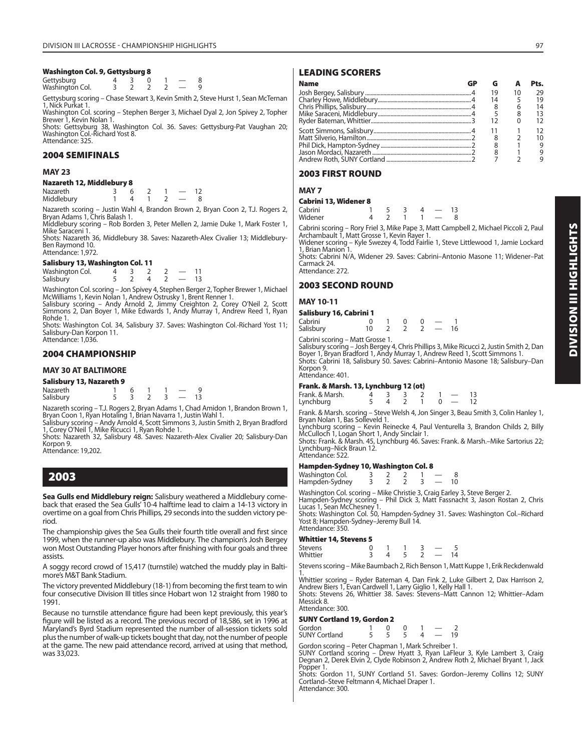### **Washington Col. 9, Gettysburg 8**

Gettysburg  $\begin{array}{ccc} 4 & 3 & 0 & 1 & -8 \\ \hline 4 & 3 & 2 & 2 & 2 & -8 \\ \end{array}$ Washington Col.

Gettysburg scoring – Chase Stewart 3, Kevin Smith 2, Steve Hurst 1, Sean McTernan 1, Nick Purkat 1.

Washington Col. scoring – Stephen Berger 3, Michael Dyal 2, Jon Spivey 2, Topher Brewer 1, Kevin Nolan 1.

Shots: Gettsyburg 38, Washington Col. 36. Saves: Gettysburg-Pat Vaughan 20; Washington Col.-Richard Yost 8. Attendance: 325.

### **2004 SEMIFINALS**

### **MAY 23**

### **Nazareth 12, Middlebury 8**

Nazareth 3 6 2 1 — 12<br>Middlebury 1 4 1 2 — 8 Middleburv

Nazareth scoring – Justin Wahl 4, Brandon Brown 2, Bryan Coon 2, T.J. Rogers 2,<br>Bryan Adams 1, Chris Balash 1.<br>Middlebury scoring – Rob Borden 3, Peter Mellen 2, Jamie Duke 1, Mark Foster 1,

Mike Saraceni 1.

Shots: Nazareth 36, Middlebury 38. Saves: Nazareth-Alex Civalier 13; Middlebury-Ben Raymond 10. Attendance: 1,972.

### **Salisbury 13, Washington Col. 11**

| Washington Col. |  |  |    |
|-----------------|--|--|----|
| Salisbury       |  |  | 13 |

Washington Col. scoring – Jon Spivey 4, Stephen Berger 2, Topher Brewer 1, Michael

McWilliams 1, Kevin Nolan 1, Andrew Ostrusky 1, Brent Renner 1.<br>Salisbury scoring – Andy Arnold 2, Jimmy Creighton 2, Corey O'Neil 2, Scott<br>Simmons 2, Dan Boyer 1, Mike Edwards 1, Andy Murray 1, Andrew Reed 1, Rohde 1.

Shots: Washington Col. 34, Salisbury 37. Saves: Washington Col.-Richard Yost 11; Salisbury-Dan Korpon 11. Attendance: 1,036.

### **2004 CHAMPIONSHIP**

### **MAY 30 AT BALTIMORE**

### **Salisbury 13, Nazareth 9**

| <b>Nazareth</b> |  |  |  |
|-----------------|--|--|--|
| Salisbury       |  |  |  |

Nazareth scoring – T.J. Rogers 2, Bryan Adams 1, Chad Amidon 1, Brandon Brown 1, Bryan Coon 1, Ryan Hotaling 1, Brian Navarra 1, Justin Wahl 1.

Salisbury scoring – Andy Arnold 4, Scott Simmons 3, Justin Smith 2, Bryan Bradford 1, Corey O'Neil 1, Mike Ricucci 1, Ryan Rohde 1.

Shots: Nazareth 32, Salisbury 48. Saves: Nazareth-Alex Civalier 20; Salisbury-Dan Korpon 9.

Attendance: 19,202.

**2003** 

**Sea Gulls end Middlebury reign:** Salisbury weathered a Middlebury comeback that erased the Sea Gulls' 10-4 halftime lead to claim a 14-13 victory in overtime on a goal from Chris Phillips, 29 seconds into the sudden victory period.

The championship gives the Sea Gulls their fourth title overall and first since 1999, when the runner-up also was Middlebury. The champion's Josh Bergey won Most Outstanding Player honors after finishing with four goals and three assists.

A soggy record crowd of 15,417 (turnstile) watched the muddy play in Baltimore's M&T Bank Stadium.

The victory prevented Middlebury (18-1) from becoming the first team to win four consecutive Division III titles since Hobart won 12 straight from 1980 to 1991.

Because no turnstile attendance figure had been kept previously, this year's figure will be listed as a record. The previous record of 18,586, set in 1996 at Maryland's Byrd Stadium represented the number of all-session tickets sold plus the number of walk-up tickets bought that day, not the number of people at the game. The new paid attendance record, arrived at using that method, was 33,023.

### **LEADING SCORERS**

| <b>Name</b> |    |    | Pts. |
|-------------|----|----|------|
|             | 19 | 10 | 29   |
|             | 14 |    | 19   |
|             |    |    | 14   |
|             |    |    | 13   |
|             |    |    | 12   |
|             |    |    | 12   |
|             |    |    | 10   |
|             |    |    | 9    |
|             |    |    | 9    |
|             |    |    |      |

### **2003 FIRST ROUND**

### **MAY 7**

|         | <b>Cabrini 13, Widener 8</b> |  |  |    |
|---------|------------------------------|--|--|----|
| Cabrini |                              |  |  | 13 |
| Widener |                              |  |  |    |

Cabrini scoring – Rory Friel 3, Mike Pape 3, Matt Campbell 2, Michael Piccoli 2, Paul Archambault 1, Matt Grosse 1, Kevin Rayer 1.

Widener scoring – Kyle Swezey 4, Todd Fairlie 1, Steve Littlewood 1, Jamie Lockard 1, Brian Manion 1. Shots: Cabrini N/A, Widener 29. Saves: Cabrini–Antonio Masone 11; Widener–Pat

Carmack 24. Attendance: 272.

### **2003 SECOND ROUND**

### **MAY 10-11**

### **Salisbury 16, Cabrini 1**

| Cabrini                          |    |  |                          |    |
|----------------------------------|----|--|--------------------------|----|
| Salisbury                        | 10 |  | $\overline{\phantom{a}}$ | 16 |
| Cabrini scoring – Matt Grosse 1. |    |  |                          |    |

Salisbury scoring – Josh Bergey 4, Chris Phillips 3, Mike Ricucci 2, Justin Smith 2, Dan<br>Boyer 1, Bryan Bradford 1, Andy Murray 1, Andrew Reed 1, Scott Simmons 1.<br>Shots: Cabrini 18, Salisbury 50. Saves: Cabrini–Antonio Mas Korpon 9. Attendance: 401.

### **Frank. & Marsh. 13, Lynchburg 12 (ot)**

| Frank. & Marsh. |                |  |  |      |
|-----------------|----------------|--|--|------|
| Lynchburg       | $\overline{a}$ |  |  | - 12 |

Frank. & Marsh. scoring – Steve Welsh 4, Jon Singer 3, Beau Smith 3, Colin Hanley 1, Bryan Nolan 1, Bas Solleveld 1.

Lynchburg scoring – Kevin Reinecke 4, Paul Venturella 3, Brandon Childs 2, Billy<br>McCulloch 1, Logan Short 1, Andy Sinclair 1.<br>Shots: Frank. & Marsh. 45, Lynchburg 46. Saves: Frank. & Marsh.–Mike Sartorius 22;

Lynchburg–Nick Braun 12. Attendance: 522.

### **Hampden-Sydney 10, Washington Col. 8**

| Washington Col. |  |  |  |  |
|-----------------|--|--|--|--|
| Hampden-Sydney  |  |  |  |  |

Washington Col. scoring – Mike Christie 3, Craig Earley 3, Steve Berger 2.

Hampden-Sydney scoring - Phil Dick 3, Matt Fassnacht 3, Jason Rostan 2, Chris Lucas 1, Sean McChesney 1. Shots: Washington Col. 50, Hampden-Sydney 31. Saves: Washington Col.–Richard

Yost 8; Hampden-Sydney–Jeremy Bull 14. Attendance: 350.

### **Whittier 14, Stevens 5**

|                | __ |  |  |  |
|----------------|----|--|--|--|
| <b>Stevens</b> |    |  |  |  |
| Whittier       |    |  |  |  |
|                |    |  |  |  |

Stevens scoring – Mike Baumbach 2, Rich Benson 1, Matt Kuppe 1, Erik Reckdenwald

1. Whittier scoring – Ryder Bateman 4, Dan Fink 2, Luke Gilbert 2, Dax Harrison 2, Andrew Biers 1, Evan Cardwell 1, Larry Giglio 1, Kelly Hall 1.<br>Shots: Stevens 26, Whittier 38. Saves: Stevens–Matt Cannon 12; Whittier–Adam Messick 8.

### Attendance: 300.

### **SUNY Cortland 19, Gordon 2**

| Gordon               |  |  |    |
|----------------------|--|--|----|
| <b>SUNY Cortland</b> |  |  | 19 |

Gordon scoring – Peter Chapman 1, Mark Schreiber 1. SUNY Cortland scoring – Drew Hyatt 3, Ryan LaFleur 3, Kyle Lambert 3, Craig Degnan 2, Derek Elvin 2, Clyde Robinson 2, Andrew Roth 2, Michael Bryant 1, Jack Popper 1.

Shots: Gordon 11, SUNY Cortland 51. Saves: Gordon–Jeremy Collins 12; SUNY Cortland–Steve Feltmann 4, Michael Draper 1. Attendance: 300.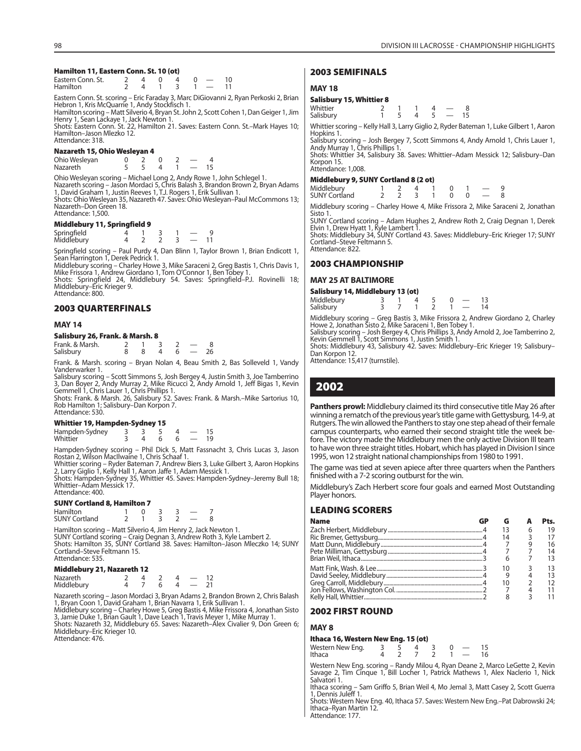### **Hamilton 11, Eastern Conn. St. 10 (ot)**

| Eastern Conn. St. |  |  |  |  |
|-------------------|--|--|--|--|
| <b>Hamilton</b>   |  |  |  |  |

Eastern Conn. St. scoring – Eric Faraday 3, Marc DiGiovanni 2, Ryan Perkoski 2, Brian<br>Hebron 1, Kris McQuarrie 1, Andy Stockfisch 1.

Hamilton scoring – Matt Silverio 4, Bryan St. John 2, Scott Cohen 1, Dan Geiger 1, Jim Henry 1, Sean Lackaye 1, Jack Newton 1.

Shots: Eastern Conn. St. 22, Hamilton 21. Saves: Eastern Conn. St.–Mark Hayes 10; Hamilton–Jason Mlezko 12. Attendance: 318.

### **Nazareth 15, Ohio Wesleyan 4**

Ohio Wesleyan 0 2 0 2 — 4 Nazareth

Ohio Wesleyan scoring – Michael Long 2, Andy Rowe 1, John Schlegel 1. Nazareth scoring – Jason Mordaci 5, Chris Balash 3, Brandon Brown 2, Bryan Adams 1, David Graham 1, Justin Reeves 1, T.J. Rogers 1, Erik Sullivan 1.

Shots: Ohio Wesleyan 35, Nazareth 47. Saves: Ohio Wesleyan–Paul McCommons 13; Nazareth–Don Green 18. Attendance: 1,500.

### **Middlebury 11, Springfield 9**

| Springfield<br>Middlebury |  |  |  |  |
|---------------------------|--|--|--|--|
|                           |  |  |  |  |

Springfield scoring – Paul Purdy 4, Dan Blinn 1, Taylor Brown 1, Brian Endicott 1, Sean Harrington 1, Derek Pedrick 1.

Middlebury scoring – Charley Howe 3, Mike Saraceni 2, Greg Bastis 1, Chris Davis 1, Mike Frissora 1, Andrew Giordano 1, Tom O'Connor 1, Ben Tobey 1. Shots: Springfield 24, Middlebury 54. Saves: Springfield–P.J. Rovinelli 18;

Middlebury–Eric Krieger 9. Attendance: 800.

### **2003 QUARTERFINALS**

#### **MAY 14**

### **Salisbury 26, Frank. & Marsh. 8**

| Frank. & Marsh. |  |  |  |
|-----------------|--|--|--|
| Salisbury       |  |  |  |

Frank. & Marsh. scoring – Bryan Nolan 4, Beau Smith 2, Bas Solleveld 1, Vandy Vanderwarker 1.

Salisbury scoring – Scott Simmons 5, Josh Bergey 4, Justin Smith 3, Joe Tamberrino 3, Dan Boyer 2, Andy Murray 2, Mike Ricucci 2, Andy Arnold 1, Jeff Bigas 1, Kevin Gemmell 1, Chris Lauer 1, Chris Phillips 1.

Shots: Frank. & Marsh. 26, Salisbury 52. Saves: Frank. & Marsh.–Mike Sartorius 10, Rob Hamilton 1; Salisbury–Dan Korpon 7. Attendance: 530.

### **Whittier 19, Hampden-Sydney 15**

| Hampden-Sydney |  |  |  |
|----------------|--|--|--|
| Whittier       |  |  |  |

Hampden-Sydney scoring – Phil Dick 5, Matt Fassnacht 3, Chris Lucas 3, Jason

Rostan 2, Wilson MacIlwaine 1, Chris Schaaf 1.<br>Whittier scoring – Ryder Bateman 7, Andrew Biers 3, Luke Gilbert 3, Aaron Hopkins<br>2, Larry Giglio 1, Kelly Hall 1, Aaron Jaffe 1, Adam Messick 1.<br>Shots: Hampden-Sydney 35, Whi Whittier–Adam Messick 17.

Attendance: 400.

#### **SUNY Cortland 8, Hamilton 7**

| Hamilton             |  |  |  |
|----------------------|--|--|--|
| <b>SUNY Cortland</b> |  |  |  |

Hamilton scoring – Matt Silverio 4, Jim Henry 2, Jack Newton 1. SUNY Cortland scoring – Craig Degnan 3, Andrew Roth 3, Kyle Lambert 2. Shots: Hamilton 35, SUNY Cortland 38. Saves: Hamilton–Jason Mleczko 14; SUNY Cortland–Steve Feltmann 15. Attendance: 535.

#### **Middlebury 21, Nazareth 12**

| <b>Nazareth</b> |  |  |  |
|-----------------|--|--|--|
| Middlebury      |  |  |  |

Nazareth scoring – Jason Mordaci 3, Bryan Adams 2, Brandon Brown 2, Chris Balash 1, Bryan Coon 1, David Graham 1, Brian Navarra 1, Erik Sullivan 1. Middlebury scoring – Charley Howe 5, Greg Bastis 4, Mike Frissora 4, Jonathan Sisto 3, Jamie Duke 1, Brian Gault 1, Dave Leach 1, Travis Meyer 1, Mike Murray 1. Shots: Nazareth 32, Middlebury 65. Saves: Nazareth–Alex Civalier 9, Don Green 6; Middlebury–Eric Krieger 10. Attendance: 476.

### **2003 SEMIFINALS**

### **MAY 18**

### **Salisbury 15, Whittier 8**

| Whittier  |  |  |  |
|-----------|--|--|--|
| Salisbury |  |  |  |

Whittier scoring – Kelly Hall 3, Larry Giglio 2, Ryder Bateman 1, Luke Gilbert 1, Aaron Hopkins 1.

Salisbury scoring – Josh Bergey 7, Scott Simmons 4, Andy Arnold 1, Chris Lauer 1, Andy Murray 1, Chris Phillips 1.

Shots: Whittier 34, Salisbury 38. Saves: Whittier–Adam Messick 12; Salisbury–Dan Korpon 15. Attendance: 1,008.

**Middlebury 9, SUNY Cortland 8 (2 ot)**

| Middlebury 9, SONT Cortialid 6 (2 OC) |  |  |  |                                            |  |
|---------------------------------------|--|--|--|--------------------------------------------|--|
| Middlebury<br>SUNY Cortland           |  |  |  | <b>Contract Contract Contract Contract</b> |  |
|                                       |  |  |  | 2 2 3 1 0 0 $-$ 8                          |  |

Middlebury scoring – Charley Howe 4, Mike Frissora 2, Mike Saraceni 2, Jonathan Sisto 1.

SUNY Cortland scoring – Adam Hughes 2, Andrew Roth 2, Craig Degnan 1, Derek Elvin 1, Drew Hyatt 1, Kyle Lambert 1. Shots: Middlebury 34, SUNY Cortland 43. Saves: Middlebury–Eric Krieger 17; SUNY

Cortland–Steve Feltmann 5. Attendance: 822.

### **2003 CHAMPIONSHIP**

### **MAY 25 AT BALTIMORE**

| Salisbury 14, Middlebury 13 (ot) |  |  |                           |    |
|----------------------------------|--|--|---------------------------|----|
| Middlebury                       |  |  |                           | 13 |
| Salisbury                        |  |  | $\mathbf{1}$ $\mathbf{1}$ | 14 |

Middlebury scoring – Greg Bastis 3, Mike Frissora 2, Andrew Giordano 2, Charley Howe 2, Jonathan Sisto 2, Mike Saraceni 1, Ben Tobey 1. Salisbury scoring – Josh Bergey 4, Chris Phillips 3, Andy Arnold 2, Joe Tamberrino 2, Kevin Gemmell 1, Scott Simmons 1, Justin Smith 1.

Shots: Middlebury 43, Salisbury 42. Saves: Middlebury–Eric Krieger 19; Salisbury– Dan Korpon 12.

Attendance: 15,417 (turnstile).

### **2002**

**Panthers prowl:** Middlebury claimed its third consecutive title May 26 after winning a rematch of the previous year's title game with Gettysburg, 14-9, at Rutgers. The win allowed the Panthers to stay one step ahead of their female campus counterparts, who earned their second straight title the week before. The victory made the Middlebury men the only active Division III team to have won three straight titles. Hobart, which has played in Division I since 1995, won 12 straight national championships from 1980 to 1991.

The game was tied at seven apiece after three quarters when the Panthers finished with a 7-2 scoring outburst for the win.

Middlebury's Zach Herbert score four goals and earned Most Outstanding Player honors.

### **LEADING SCORERS**

| <b>Name</b> |    |   | Pts. |
|-------------|----|---|------|
|             |    | 6 | 19   |
|             | 14 |   |      |
|             |    |   | 16   |
|             |    |   | 14   |
|             |    |   |      |
|             | 10 |   |      |
|             |    |   |      |
|             |    |   |      |
|             |    |   |      |
|             |    |   |      |

### **2002 FIRST ROUND**

### **MAY 8**

#### **Ithaca 16, Western New Eng. 15 (ot)** Western New Eng. 3 5 4 3 0 — 15

| <b>INCORDITIONS</b> EIG. |  | - 7 - 7 - 7 | $\mathbf{u}$ | $\overline{\phantom{a}}$ |
|--------------------------|--|-------------|--------------|--------------------------|
| Ithaca                   |  |             |              | 16                       |
|                          |  |             |              |                          |

Western New Eng. scoring – Randy Milou 4, Ryan Deane 2, Marco LeGette 2, Kevin Savage 2, Tim Cinque 1, Bill Locher 1, Patrick Mathews 1, Alex Naclerio 1, Nick Salvatori 1.

Ithaca scoring – Sam Griffo 5, Brian Weil 4, Mo Jemal 3, Matt Casey 2, Scott Guerra 1, Dennis Juleff 1.

Shots: Western New Eng. 40, Ithaca 57. Saves: Western New Eng.–Pat Dabrowski 24; Ithaca–Ryan Martin 12. Attendance: 177.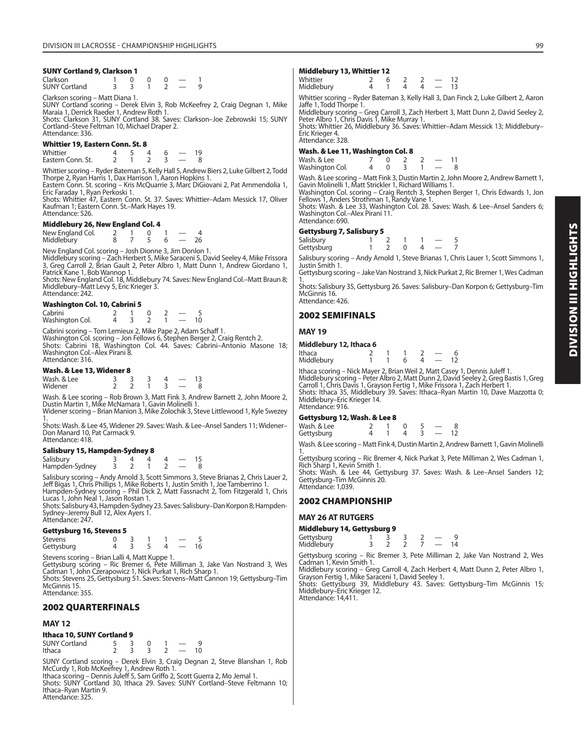### **SUNY Cortland 9, Clarkson 1**

| Clarkson             |  |  |  |
|----------------------|--|--|--|
| <b>SUNY Cortland</b> |  |  |  |

Clarkson scoring – Matt Diana 1.

SUNY Cortland scoring – Derek Elvin 3, Rob McKeefrey 2, Craig Degnan 1, Mike Maraia 1, Derrick Raeder 1, Andrew Roth 1. Shots: Clarkson 31, SUNY Cortland 38. Saves: Clarkson–Joe Zebrowski 15; SUNY

Cortland–Steve Feltman 10, Michael Draper 2. Attendance: 336.

### **Whittier 19, Eastern Conn. St. 8**

Whittier 4 5 4 6 — 19 Eastern Conn. St.

Whittier scoring – Ryder Bateman 5, Kelly Hall 5, Andrew Biers 2, Luke Gilbert 2, Todd Thorpe 2, Ryan Harris 1, Dax Harrison 1, Aaron Hopkins 1. Eastern Conn. St. scoring – Kris McQuarrie 3, Marc DiGiovani 2, Pat Ammendolia 1,

Eric Faraday 1, Ryan Perkoski 1.

Shots: Whittier 47, Eastern Conn. St. 37. Saves: Whittier–Adam Messick 17, Oliver Kaufman 1; Eastern Conn. St.–Mark Hayes 19. Attendance: 526.

### **Middlebury 26, New England Col. 4**

| New England Col. |  |  |    |
|------------------|--|--|----|
| Middlebury       |  |  | 26 |

New England Col. scoring – Josh Dionne 3, Jim Donlon 1. Middlebury scoring – Zach Herbert 5, Mike Saraceni 5, David Seeley 4, Mike Frissora 3, Greg Carroll 2, Brian Gault 2, Peter Albro 1, Matt Dunn 1, Andrew Giordano 1, Patrick Kane 1, Bob Wannop 1.

Shots: New England Col. 18, Middlebury 74. Saves: New England Col.–Matt Braun 8; Middlebury–Matt Levy 5, Eric Krieger 3. Attendance: 242.

### **Washington Col. 10, Cabrini 5**

| Cabrini         |  |  |  |
|-----------------|--|--|--|
| Washington Col. |  |  |  |

Cabrini scoring – Tom Lemieux 2, Mike Pape 2, Adam Schaff 1. Washington Col. scoring – Jon Fellows 6, Stephen Berger 2, Craig Rentch 2. Shots: Cabrini 18, Washington Col. 44. Saves: Cabrini–Antonio Masone 18; Washington Col.–Alex Pirani 8. Attendance: 316.

### **Wash. & Lee 13, Widener 8**

| Wash, & Lee |  |  |  |
|-------------|--|--|--|
| Widener     |  |  |  |

Wash. & Lee scoring – Rob Brown 3, Matt Fink 3, Andrew Barnett 2, John Moore 2, Dustin Martin 1, Mike McNamara 1, Gavin Molinelli 1. Widener scoring – Brian Manion 3, Mike Zolochik 3, Steve Littlewood 1, Kyle Swezey

1. Shots: Wash. & Lee 45, Widener 29. Saves: Wash. & Lee–Ansel Sanders 11; Widener– Don Manard 10, Pat Carmack 9. Attendance: 418.

### **Salisbury 15, Hampden-Sydney 8**

| Salisbury      |  |  |  |
|----------------|--|--|--|
| Hampden-Sydney |  |  |  |

Salisbury scoring – Andy Arnold 3, Scott Simmons 3, Steve Brianas 2, Chris Lauer 2,<br>Jeff Bigas 1, Chris Phillips 1, Mike Roberts 1, Justin Smith 1, Joe Tamberrino 1.<br>Hampden-Sydney scoring – Phil Dick 2, Matt Fassnacht 2,

Shots: Salisbury 43, Hampden-Sydney 23. Saves: Salisbury–Dan Korpon 8; Hampden-Sydney–Jeremy Bull 12, Alex Ayers 1.

### Attendance: 247.

| <b>Gettysburg 16, Stevens 5</b> |  |  |    |
|---------------------------------|--|--|----|
| Stevens                         |  |  |    |
| Gettysburg                      |  |  | 16 |

Stevens scoring – Brian Lalli 4, Matt Kuppe 1.<br>Gettysburg scoring – Ric Bremer 6, Pete Milliman 3, Jake Van Nostrand 3, Wes<br>Cadman 1, John Czerapowicz 1, Nick Purkat 1, Rich Sharp 1.<br>Shots: Stevens 25, Gettysburg 51. Saves

McGinnis 15. Attendance: 355.

### **2002 QUARTERFINALS**

### **MAY 12**

### **Ithaca 10, SUNY Cortland 9**

| <b>SUNY Cortland</b> |  |  |  |
|----------------------|--|--|--|
| Ithaca               |  |  |  |

SUNY Cortland scoring – Derek Elvin 3, Craig Degnan 2, Steve Blanshan 1, Rob McCurdy 1, Rob McKeefrey 1, Andrew Roth 1. Ithaca scoring – Dennis Juleff 5, Sam Griffo 2, Scott Guerra 2, Mo Jemal 1.

Shots: SUNY Cortland 30, Ithaca 29. Saves: SUNY Cortland–Steve Feltmann 10; Ithaca–Ryan Martin 9. Attendance: 325.

### **Middlebury 13, Whittier 12**

| Whittier<br>Middlebury |  | $\Delta$ | д | 12<br>13 |
|------------------------|--|----------|---|----------|
|                        |  |          |   |          |

Whittier scoring – Ryder Bateman 3, Kelly Hall 3, Dan Finck 2, Luke Gilbert 2, Aaron Jaffe 1, Todd Thorpe<sup>1</sup>.

Middlebury scoring – Greg Carroll 3, Zach Herbert 3, Matt Dunn 2, David Seeley 2,<br>Peter Albro 1, Chris Davis 1, Mike Murray 1.<br>Shots: Whittier 26, Middlebury 36. Saves: Whittier–Adam Messick 13; Middlebury–

Eric Krieger 4. Attendance: 328.

### **Wash. & Lee 11, Washington Col. 8**

| Wash. & Lee     |  |  |  |  |
|-----------------|--|--|--|--|
| Washington Col. |  |  |  |  |

Wash. & Lee scoring – Matt Fink 3, Dustin Martin 2, John Moore 2, Andrew Barnett 1, Gavin Molinelli 1, Matt Strickler 1, Richard Williams 1.

Washington Col. scoring – Craig Rentch 3, Stephen Berger 1, Chris Edwards 1, Jon Fellows 1, Anders Strothman 1, Randy Vane 1.

Shots: Wash. & Lee 33, Washington Col. 28. Saves: Wash. & Lee–Ansel Sanders 6; Washington Col.–Alex Pirani 11. Attendance: 690.

### **Gettysburg 7, Salisbury 5**

| Salisbury  |  |  |    |  |
|------------|--|--|----|--|
| Gettysburg |  |  | __ |  |

Salisbury scoring – Andy Arnold 1, Steve Brianas 1, Chris Lauer 1, Scott Simmons 1, Justin Smith 1.

Gettysburg scoring – Jake Van Nostrand 3, Nick Purkat 2, Ric Bremer 1, Wes Cadman 1.

Shots: Salisbury 35, Gettysburg 26. Saves: Salisbury–Dan Korpon 6; Gettysburg–Tim McGinnis 16. Attendance: 426.

### **2002 SEMIFINALS**

### **MAY 19**

| Middlebury 12, Ithaca 6 |  |  |   |  |            |  |  |
|-------------------------|--|--|---|--|------------|--|--|
| Ithaca                  |  |  |   |  |            |  |  |
| Middlebury              |  |  | h |  | $\sim$ $-$ |  |  |

Ithaca scoring – Nick Mayer 2, Brian Weil 2, Matt Casey 1, Dennis Juleff 1. Middlebury scoring – Peter Albro 2, Matt Dunn 2, David Seeley 2, Greg Bastis 1, Greg

Carroll 1, Chris Davis 1, Grayson Fertig 1, Mike Frissora 1, Zach Herbert 1. Shots: Ithaca 35, Middlebury 39. Saves: Ithaca-Ryan Martin 10, Dave Mazzotta 0; Middlebury–Eric Krieger 14. Attendance: 916.

### **Gettysburg 12, Wash. & Lee 8**

| Wash, & Lee<br>Gettysburg |  |  | $4 \quad 3 \quad - \quad 12$ |  |
|---------------------------|--|--|------------------------------|--|
|                           |  |  |                              |  |

Wash. & Lee scoring – Matt Fink 4, Dustin Martin 2, Andrew Barnett 1, Gavin Molinelli

1. Gettysburg scoring – Ric Bremer 4, Nick Purkat 3, Pete Milliman 2, Wes Cadman 1, Rich Sharp 1, Kevin Smith 1.

Shots: Wash. & Lee 44, Gettysburg 37. Saves: Wash. & Lee–Ansel Sanders 12; Gettysburg–Tim McGinnis 20. Attendance: 1,039.

### **2002 CHAMPIONSHIP**

### **MAY 26 AT RUTGERS**

### **Middlebury 14, Gettysburg 9**

| miaalendi kuulu labaa kuni kuulu kuulu kuni kuni kuulu kuni kuni kuni kuni kuulu kuni kuni kuni kuni kuni kuni |  |  |    |
|----------------------------------------------------------------------------------------------------------------|--|--|----|
|                                                                                                                |  |  |    |
| Gettysburg<br>Middlebury                                                                                       |  |  | 14 |

Gettysburg scoring – Ric Bremer 3, Pete Milliman 2, Jake Van Nostrand 2, Wes Cadman 1, Kevin Smith 1.

Middlebury scoring – Greg Carroll 4, Zach Herbert 4, Matt Dunn 2, Peter Albro 1,<br>Grayson Fertig 1, Mike Saraceni 1, David Seeley 1.<br>Shots: Gettysburg 39, Middlebury 43. Saves: Gettysburg–Tim McGinnis 15;<br>Middlebury–Eric

Attendance: 14,411.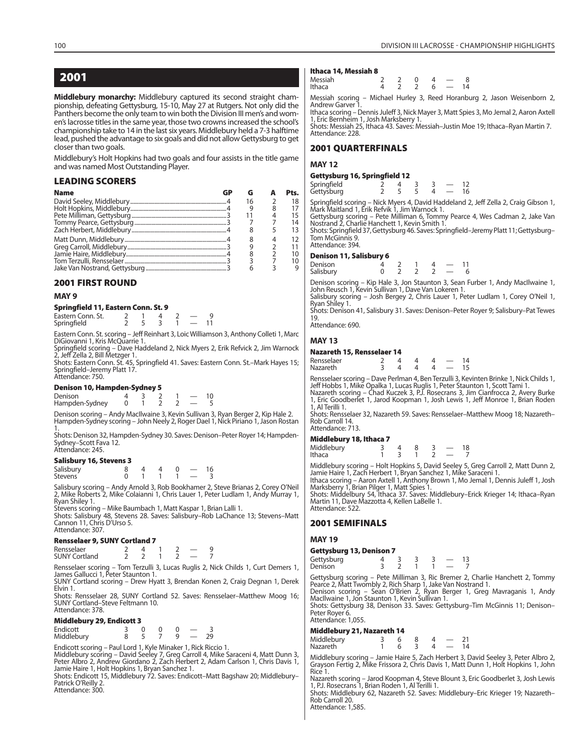### **2001**

**Middlebury monarchy:** Middlebury captured its second straight championship, defeating Gettysburg, 15-10, May 27 at Rutgers. Not only did the Panthers become the only team to win both the Division III men's and women's lacrosse titles in the same year, those two crowns increased the school's championship take to 14 in the last six years. Middlebury held a 7-3 halftime lead, pushed the advantage to six goals and did not allow Gettysburg to get closer than two goals.

Middlebury's Holt Hopkins had two goals and four assists in the title game and was named Most Outstanding Player.

### **LEADING SCORERS**

| <b>Name</b> |    |               | Pts. |
|-------------|----|---------------|------|
|             | 16 | $\mathcal{P}$ | 18   |
|             |    |               | 17   |
|             |    |               | 15   |
|             |    |               | 14   |
|             |    |               | 13   |
|             |    |               | 12   |
|             |    |               | 11   |
|             |    |               | 10   |
|             |    |               | 10   |
|             |    |               |      |

### **2001 FIRST ROUND**

#### **MAY 9**

### **Springfield 11, Eastern Conn. St. 9**

| Eastern Conn. St. |  |  |  |
|-------------------|--|--|--|
| Springfield       |  |  |  |

Eastern Conn. St. scoring – Jeff Reinhart 3, Loic Williamson 3, Anthony Colleti 1, Marc DiGiovanni 1, Kris McQuarrie 1.

Springfield scoring – Dave Haddeland 2, Nick Myers 2, Erik Refvick 2, Jim Warnock<br>2, Jeff Zella 2, Bill Metzger 1.

Shots: Eastern Conn. St. 45, Springfield 41. Saves: Eastern Conn. St.–Mark Hayes 15; Springfield–Jeremy Platt 17. Attendance: 750.

### **Denison 10, Hampden-Sydney 5**

| Denison        |  |  |  |
|----------------|--|--|--|
| Hampden-Sydney |  |  |  |

Denison scoring – Andy MacIlwaine 3, Kevin Sullivan 3, Ryan Berger 2, Kip Hale 2. Hampden-Sydney scoring – John Neely 2, Roger Dael 1, Nick Piriano 1, Jason Rostan 1.

Shots: Denison 32, Hampden-Sydney 30. Saves: Denison–Peter Royer 14; Hampden-Sydney–Scott Fava 12. Attendance: 245.

### **Salisbury 16, Stevens 3**

| Salisbury            |  |  | 16 |
|----------------------|--|--|----|
| Stevens <sup>®</sup> |  |  |    |

Salisbury scoring – Andy Arnold 3, Rob Bookhamer 2, Steve Brianas 2, Corey O'Neil 2, Mike Roberts 2, Mike Colaianni 1, Chris Lauer 1, Peter Ludlam 1, Andy Murray 1, Ryan Shiley 1.

Stevens scoring – Mike Baumbach 1, Matt Kaspar 1, Brian Lalli 1.

Shots: Salisbury 48, Stevens 28. Saves: Salisbury–Rob LaChance 13; Stevens–Matt Cannon 11, Chris D'Urso 5. Attendance: 307.

### **Rensselaer 9, SUNY Cortland 7**

| Rensselaer           |  |  |  |
|----------------------|--|--|--|
| <b>SUNY Cortland</b> |  |  |  |

Rensselaer scoring – Tom Terzulli 3, Lucas Ruglis 2, Nick Childs 1, Curt Demers 1, James Gallucci 1, Peter Staunton 1.

SUNY Cortland scoring – Drew Hyatt 3, Brendan Konen 2, Craig Degnan 1, Derek Elvin 1.

Shots: Rensselaer 28, SUNY Cortland 52. Saves: Rensselaer–Matthew Moog 16; SUNY Cortland–Steve Feltmann 10. Attendance: 378.

### **Middlebury 29, Endicott 3**

| Endicott   |  |  |    |
|------------|--|--|----|
| Middlebury |  |  | 29 |

Endicott scoring – Paul Lord 1, Kyle Minaker 1, Rick Riccio 1.

Middlebury scoring – David Seeley 7, Greg Carroll 4, Mike Saraceni 4, Matt Dunn 3,<br>Peter Albro 2, Andrew Giordano 2, Zach Herbert 2, Adam Carlson 1, Chris Davis 1,<br>Jamie Haire 1, Holt Hopkins 1, Bryan Sanchez 1.

Shots: Endicott 15, Middlebury 72. Saves: Endicott–Matt Bagshaw 20; Middlebury– Patrick O'Reilly 2. Attendance: 300.

#### **Ithaca 14, Messiah 8**

| Messiah<br>Ithaca |  | -6 | 14 |
|-------------------|--|----|----|
|                   |  |    |    |

Messiah scoring – Michael Hurley 3, Reed Horanburg 2, Jason Weisenborn 2, Andrew Garver

Ithaca scoring – Dennis Juleff 3, Nick Mayer 3, Matt Spies 3, Mo Jemal 2, Aaron Axtell 1, Eric Bernheim 1, Josh Marksberry 1. Shots: Messiah 25, Ithaca 43. Saves: Messiah–Justin Moe 19; Ithaca–Ryan Martin 7.

Attendance: 228.

### **2001 QUARTERFINALS**

### **MAY 12**

### **Gettysburg 16, Springfield 12**

| Springfield<br>Gettysburg |  |  |  |  |
|---------------------------|--|--|--|--|

Springfield scoring – Nick Myers 4, David Haddeland 2, Jeff Zella 2, Craig Gibson 1, Mark Maitland 1, Erik Refvik 1, Jim Warnock 1.

Gettysburg scoring – Pete Milliman 6, Tommy Pearce 4, Wes Cadman 2, Jake Van Nostrand 2, Charlie Hanchett 1, Kevin Smith 1.

Shots: Springfield 37, Gettysburg 46. Saves: Springfield–Jeremy Platt 11; Gettysburg– Tom McGinnis 9. Attendance: 394.

### **Denison 11, Salisbury 6**

| Denison   |  |  |  |  |
|-----------|--|--|--|--|
| Salisbury |  |  |  |  |

Denison scoring – Kip Hale 3, Jon Staunton 3, Sean Furber 1, Andy MacIlwaine 1, John Reusch 1, Kevin Sullivan 1, Dave Van Lokeren 1. Salisbury scoring – Josh Bergey 2, Chris Lauer 1, Peter Ludlam 1, Corey O'Neil 1,

Ryan Shiley 1.

Shots: Denison 41, Salisbury 31. Saves: Denison–Peter Royer 9; Salisbury–Pat Tewes 19. Attendance: 690.

### **MAY 13**

### **Nazareth 15, Rensselaer 14**

| Rensselaer |  |  |  |  |
|------------|--|--|--|--|
| Nazareth   |  |  |  |  |

Rensselaer scoring – Dave Perlman 4, Ben Terzulli 3, Kevinten Brinke 1, Nick Childs 1,

Jeff Hobbs 1, Mike Opalka 1, Lucas Ruglis 1, Peter Staunton 1, Scott Tami 1. Nazareth scoring – Chad Kuczek 3, P.J. Rosecrans 3, Jim Cianfrocca 2, Avery Burke 1, Eric Goodberlet 1, Jarod Koopman 1, Josh Lewis 1, Jeff Monroe 1, Brian Roden 1, Al Terilli 1.

Shots: Rensselaer 32, Nazareth 59. Saves: Rensselaer–Matthew Moog 18; Nazareth– Rob Carroll 14. Attendance: 713.

### **Middlebury 18, Ithaca 7**

| <b>MIQQIEDUTY 18, KNACA</b> / |  |  |    |
|-------------------------------|--|--|----|
| Middlebury                    |  |  | 18 |
| Ithaca                        |  |  |    |

Middlebury scoring – Holt Hopkins 5, David Seeley 5, Greg Carroll 2, Matt Dunn 2, Jamie Haire 1, Zach Herbert 1, Bryan Sanchez 1, Mike Saraceni 1.

Ithaca scoring – Aaron Axtell 1, Anthony Brown 1, Mo Jemal 1, Dennis Juleff 1, Josh Marksberry 1, Brian Pilger 1, Matt Spies 1.

Shots: Middelbury 54, Ithaca 37. Saves: Middlebury–Erick Krieger 14; Ithaca–Ryan Martin 11, Dave Mazzotta 4, Kellen LaBelle 1. Attendance: 522.

### **2001 SEMIFINALS**

### **MAY 19**

#### **Gettysburg 13, Denison 7**

| Gettysburg |  |  |  |
|------------|--|--|--|
| Denison    |  |  |  |

Gettysburg scoring – Pete Milliman 3, Ric Bremer 2, Charlie Hanchett 2, Tommy Pearce 2, Matt Twombly 2, Rich Sharp 1, Jake Van Nostrand 1. Denison scoring – Sean O'Brien 2, Ryan Berger 1, Greg Mavraganis 1, Andy MacIlwaine 1, Jon Staunton 1, Kevin Sullivan 1.

Shots: Gettysburg 38, Denison 33. Saves: Gettysburg–Tim McGinnis 11; Denison–

Peter Royer 6. Attendance: 1,055.

### **Middlebury 21, Nazareth 14**

| Middlebury<br>Nazareth |  |  | 14 |
|------------------------|--|--|----|
|                        |  |  |    |

Middlebury scoring – Jamie Haire 5, Zach Herbert 3, David Seeley 3, Peter Albro 2, Grayson Fertig 2, Mike Frissora 2, Chris Davis 1, Matt Dunn 1, Holt Hopkins 1, John Rice 1.

Nazareth scoring – Jarod Koopman 4, Steve Blount 3, Eric Goodberlet 3, Josh Lewis 1, P.J. Rosecrans 1, Brian Roden 1, Al Terilli 1.

Shots: Middlebury 62, Nazareth 52. Saves: Middlebury–Eric Krieger 19; Nazareth– Rob Carroll 20.

Attendance: 1,585.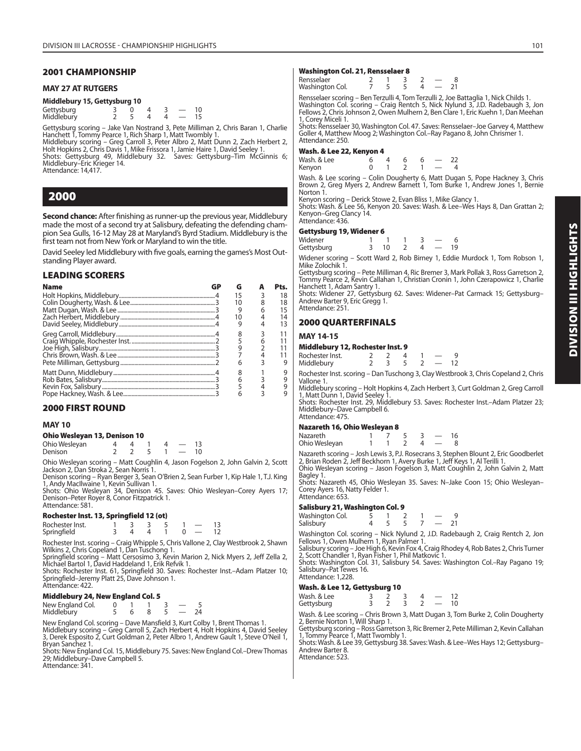### **2001 CHAMPIONSHIP**

### **MAY 27 AT RUTGERS**

| Middlebury 15, Gettysburg 10 |  |
|------------------------------|--|
|                              |  |

| Gettysburg<br>Middlebury |  |  |  |
|--------------------------|--|--|--|

Gettysburg scoring – Jake Van Nostrand 3, Pete Milliman 2, Chris Baran 1, Charlie Hanchett 1, Tommy Pearce 1, Rich Sharp 1, Matt Twombly 1.

Middlebury scoring – Greg Carroll 3, Peter Albro 2, Matt Dunn 2, Zach Herbert 2, Holt Hopkins 2, Chris Davis 1, Mike Frissora 1, Jamie Haire 1, David Seeley 1.

Shots: Gettysburg 49, Middlebury 32. Saves: Gettysburg–Tim McGinnis 6; Middlebury–Eric Krieger 14.

Attendance: 14,417.

### **2000**

**Second chance:** After finishing as runner-up the previous year, Middlebury made the most of a second try at Salisbury, defeating the defending champion Sea Gulls, 16-12 May 28 at Maryland's Byrd Stadium. Middlebury is the first team not from New York or Maryland to win the title.

David Seeley led Middlebury with five goals, earning the games's Most Outstanding Player award.

### **LEADING SCORERS**

| <b>Name</b> | G  | Pts. |
|-------------|----|------|
|             | 15 | 18   |
|             | 10 | 18   |
|             |    | 15   |
|             | 10 | 14   |
|             |    | 13   |
|             | 8  |      |
|             |    |      |
|             |    |      |
|             |    |      |
|             | 6  |      |
|             |    |      |
|             | 6  |      |
|             |    |      |
|             |    |      |

### **2000 FIRST ROUND**

### **MAY 10**

### **Ohio Wesleyan 13, Denison 10**

| Ohio Wesleyan |  |  |  |
|---------------|--|--|--|
| Denison       |  |  |  |

Ohio Wesleyan scoring – Matt Coughlin 4, Jason Fogelson 2, John Galvin 2, Scott Jackson 2, Dan Stroka 2, Sean Norris 1.

Denison scoring – Ryan Berger 3, Sean O'Brien 2, Sean Furber 1, Kip Hale 1, T.J. King 1, Andy MacIlwaine 1, Kevin Sullivan 1.

Shots: Ohio Wesleyan 34, Denison 45. Saves: Ohio Wesleyan–Corey Ayers 17; Denison–Peter Royer 8, Conor Fitzpatrick 1. Attendance: 581.

### **Rochester Inst. 13, Springfield 12 (ot)**

| Rochester Inst. |  |  |  |  |
|-----------------|--|--|--|--|
| Springfield     |  |  |  |  |

Rochester Inst. scoring – Craig Whipple 5, Chris Vallone 2, Clay Westbrook 2, Shawn Wilkins 2, Chris Copeland 1, Dan Tuschong 1.

Springfield scoring – Matt Cersosimo 3, Kevin Marion 2, Nick Myers 2, Jeff Zella 2,<br>Michael Bartol 1, David Haddeland 1, Erik Refvik 1.<br>Shots: Rochester Inst. 61, Springfield 30. Saves: Rochester Inst.–Adam Platzer 10;<br>Spr

### Attendance: 422.

**Middlebury 24, New England Col. 5**

New England Col. 0 1 1 3 — 5 Middlebury

New England Col. scoring – Dave Mansfield 3, Kurt Colby 1, Brent Thomas 1. Middlebury scoring – Greg Carroll 5, Zach Herbert 4, Holt Hopkins 4, David Seeley<br>3, Derek Esposito 2, Curt Goldman 2, Peter Albro 1, Andrew Gault 1, Steve O'Neil 1,<br>Bryan Sanchez 1.

Shots: New England Col. 15, Middlebury 75. Saves: New England Col.–Drew Thomas 29; Middlebury–Dave Campbell 5. Attendance: 341.

### **Washington Col. 21, Rensselaer 8**

| Rensselaer      |  |  |  |
|-----------------|--|--|--|
| Washington Col. |  |  |  |

Rensselaer scoring – Ben Terzulli 4, Tom Terzulli 2, Joe Battaglia 1, Nick Childs 1. Washington Col. scoring – Craig Rentch 5, Nick Nylund 3, J.D. Radebaugh 3, Jon Fellows 2, Chris Johnson 2, Owen Mulhern 2, Ben Clare 1, Eric Kuehn 1, Dan Meehan 1, Corey Miceli 1.

Shots: Rensselaer 30, Washington Col. 47. Saves: Rensselaer–Joe Garvey 4, Matthew Goller 4, Matthew Moog 2; Washington Col.–Ray Pagano 8, John Chrismer 1. Attendance: 250.

### **Wash. & Lee 22, Kenyon 4**

| Wash. & Lee                                                 |  | 6 |         |  |  |
|-------------------------------------------------------------|--|---|---------|--|--|
| Kenyon                                                      |  |   | $1 - 4$ |  |  |
| Wash, & Lee scoring – Colin Dougherty 6, Matt Dugan 5, Pope |  |   |         |  |  |

Wash. & Lee scoring – Colin Dougherty 6, Matt Dugan 5, Pope Hackney 3, Chris Brown 2, Greg Myers 2, Andrew Barnett 1, Tom Burke 1, Andrew Jones 1, Bernie Norton 1. Kenyon scoring – Derick Stowe 2, Evan Bliss 1, Mike Glancy 1.

Shots: Wash. & Lee 56, Kenyon 20. Saves: Wash. & Lee–Wes Hays 8, Dan Grattan 2;

Kenyon–Greg Clancy 14. Attendance: 436.

### **Gettysburg 19, Widener 6**

| Widener    |    |  |  |
|------------|----|--|--|
| Gettysburg | 10 |  |  |

Widener scoring – Scott Ward 2, Rob Birney 1, Eddie Murdock 1, Tom Robson 1, Mike Zolochik 1.

Gettysburg scoring – Pete Milliman 4, Ric Bremer 3, Mark Pollak 3, Ross Garretson 2, Tommy Pearce 2, Kevin Callahan 1, Christian Cronin 1, John Czerapowicz 1, Charlie Hanchett 1, Adam Santry 1.

Shots: Widener 27, Gettysburg 62. Saves: Widener–Pat Carmack 15; Gettysburg– Andrew Barter 9, Eric Gregg 1. Attendance: 251.

### **2000 QUARTERFINALS**

### **MAY 14-15**

### **Middlebury 12, Rochester Inst. 9**

| Rochester Inst. |  |  |  |
|-----------------|--|--|--|
| Middlebury      |  |  |  |

Rochester Inst. scoring – Dan Tuschong 3, Clay Westbrook 3, Chris Copeland 2, Chris Vallone 1.

Middlebury scoring – Holt Hopkins 4, Zach Herbert 3, Curt Goldman 2, Greg Carroll 1, Matt Dunn 1, David Seeley 1. Shots: Rochester Inst. 29, Middlebury 53. Saves: Rochester Inst.–Adam Platzer 23;

Middlebury–Dave Campbell 6. Attendance: 475

### **Nazareth 16, Ohio Wesleyan 8**

| Nazareth      |  |  |  |
|---------------|--|--|--|
| Ohio Wesleyan |  |  |  |

Nazareth scoring – Josh Lewis 3, P.J. Rosecrans 3, Stephen Blount 2, Eric Goodberlet<br>2, Brian Roden 2, Jeff Beckhorn 1, Avery Burke 1, Jeff Keys 1, Al Terilli 1. Ohio Wesleyan scoring – Jason Fogelson 3, Matt Coughlin 2, John Galvin 2, Matt

Bagley 1. Shots: Nazareth 45, Ohio Wesleyan 35. Saves: N–Jake Coon 15; Ohio Wesleyan– Corey Ayers 16, Natty Felder 1. Attendance: 653.

### **Salisbury 21, Washington Col. 9**

| Washington Col. |  |  |  |
|-----------------|--|--|--|
| Salisbury       |  |  |  |

Washington Col. scoring - Nick Nylund 2, J.D. Radebaugh 2, Craig Rentch 2, Jon Fellows 1, Owen Mulhern 1, Ryan Palmer 1.

Salisbury scoring – Joe High 6, Kevin Fox 4, Craig Rhodey 4, Rob Bates 2, Chris Turner 2, Scott Chandler 1, Ryan Fisher 1, Phil Matkovic 1.

Shots: Washington Col. 31, Salisbury 54. Saves: Washington Col.–Ray Pagano 19; Salisbury–Pat Tewes 16. Attendance: 1,228.

### **Wash. & Lee 12, Gettysburg 10**

| Wash. & Lee |  |  |  |    |
|-------------|--|--|--|----|
| Gettysburg  |  |  |  | 10 |

Wash. & Lee scoring – Chris Brown 3, Matt Dugan 3, Tom Burke 2, Colin Dougherty 2, Bernie Norton 1, Will Sharp 1.

Gettysburg scoring – Ross Garretson 3, Ric Bremer 2, Pete Milliman 2, Kevin Callahan 1, Tommy Pearce 1, Matt Twombly 1.

Shots: Wash. & Lee 39, Gettysburg 38. Saves: Wash. & Lee–Wes Hays 12; Gettysburg– Andrew Barter 8. Attendance: 523.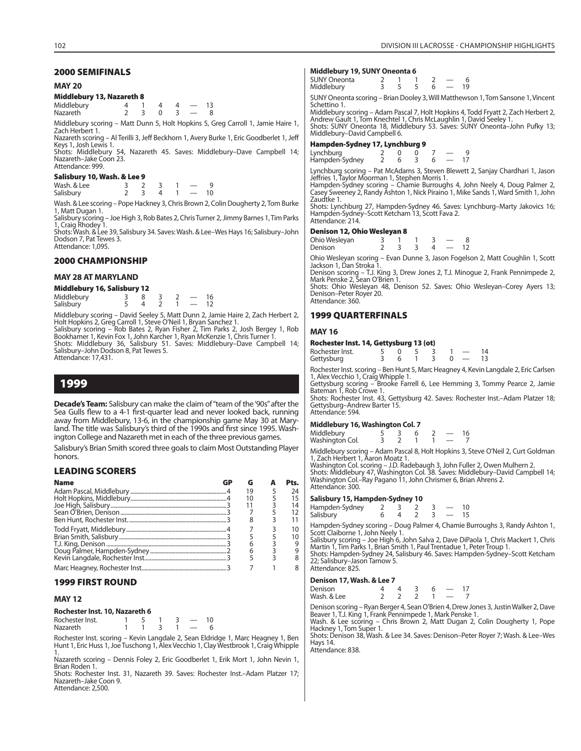### **MAY 20**

### **Middlebury 13, Nazareth 8**

| Middlebury |  |  |  |
|------------|--|--|--|
| Nazareth   |  |  |  |

Middlebury scoring – Matt Dunn 5, Holt Hopkins 5, Greg Carroll 1, Jamie Haire 1, Zach Herbert 1.

Nazareth scoring – Al Terilli 3, Jeff Beckhorn 1, Avery Burke 1, Eric Goodberlet 1, Jeff Keys 1, Josh Lewis 1. Shots: Middlebury 54, Nazareth 45. Saves: Middlebury–Dave Campbell 14;

Nazareth–Jake Coon 23. Attendance: 999.

### **Salisbury 10, Wash. & Lee 9**

| Wash, & Lee |  |  |    |
|-------------|--|--|----|
| Salisbury   |  |  | 10 |

Wash. & Lee scoring – Pope Hackney 3, Chris Brown 2, Colin Dougherty 2, Tom Burke 1, Matt Dugan 1.

Salisbury scoring – Joe High 3, Rob Bates 2, Chris Turner 2, Jimmy Barnes 1, Tim Parks 1, Craig Rhodey 1.

Shots: Wash. & Lee 39, Salisbury 34. Saves: Wash. & Lee–Wes Hays 16; Salisbury–John Dodson 7, Pat Tewes 3. Attendance: 1,095.

### **2000 CHAMPIONSHIP**

### **MAY 28 AT MARYLAND**

#### **Middlebury 16, Salisbury 12**

| Middlebury |  |  |  |
|------------|--|--|--|
| Salisbury  |  |  |  |

Middlebury scoring – David Seeley 5, Matt Dunn 2, Jamie Haire 2, Zach Herbert 2, Holt Hopkins 2, Greg Carroll 1, Steve O'Neil 1, Bryan Sanchez 1.<br>Salisbury scoring – Rob Bates 2, Ryan Fisher 2, Tim Parks 2, Josh Bergey 1, Rob<br>Bookhamer 1, Kevin Fox 1, John Karcher 1, Ryan McKenzie 1, Chris Turner 1.<br>Sh Attendance: 17,431.

### **1999**

**Decade's Team:** Salisbury can make the claim of "team of the '90s" after the Sea Gulls flew to a 4-1 first-quarter lead and never looked back, running away from Middlebury, 13-6, in the championship game May 30 at Maryland. The title was Salisbury's third of the 1990s and first since 1995. Washington College and Nazareth met in each of the three previous games.

Salisbury's Brian Smith scored three goals to claim Most Outstanding Player honors.

### **LEADING SCORERS**

| <b>Name</b> | G  | Pts. |
|-------------|----|------|
|             | 19 | 24   |
|             |    | 15   |
|             |    | 14   |
|             |    |      |
|             | 8  |      |
|             |    | 10   |
|             |    | 10   |
|             |    |      |
|             | 6  |      |
|             |    |      |
|             |    |      |

### **1999 FIRST ROUND**

### **MAY 12**

#### **Rochester Inst. 10, Nazareth 6**

Rochester Inst. 1 5 1 3 - 10<br>Nazareth 1 1 3 1 - 6 Nazareth 1 1

Rochester Inst. scoring – Kevin Langdale 2, Sean Eldridge 1, Marc Heagney 1, Ben Hunt 1, Eric Huss 1, Joe Tuschong 1, Alex Vecchio 1, Clay Westbrook 1, Craig Whipple 1.

Nazareth scoring – Dennis Foley 2, Eric Goodberlet 1, Erik Mort 1, John Nevin 1, Brian Roden 1.

Shots: Rochester Inst. 31, Nazareth 39. Saves: Rochester Inst.–Adam Platzer 17; Nazareth–Jake Coon 9. Attendance: 2,500.

### **Middlebury 19, SUNY Oneonta 6**

| SUNY Oneonta<br>Middlebury |  |  | 19 |
|----------------------------|--|--|----|
|                            |  |  |    |

SUNY Oneonta scoring – Brian Dooley 3, Will Matthewson 1, Tom Sansone 1, Vincent Schettino 1.

Middlebury scoring – Adam Pascal 7, Holt Hopkins 4, Todd Fryatt 2, Zach Herbert 2, Andrew Gault 1, Tom Knechtel 1, Chris McLaughlin 1, David Seeley 1. Shots: SUNY Oneonta 18, Middlebury 53. Saves: SUNY Oneonta–John Pufky 13; Middlebury–David Campbell 6.

### **Hampden-Sydney 17, Lynchburg 9**

| Lynchburg<br>Hampden-Sydney |  |  |  |
|-----------------------------|--|--|--|

Lynchburg scoring – Pat McAdams 3, Steven Blewett 2, Sanjay Chardhari 1, Jason<br>Jeffries 1, Taylor Moorman 1, Stephen Morris 1.<br>Hampden-Sydney scoring – Chamie Burroughs 4, John Neely 4, Doug Palmer 2,<br>Casey Sweeney 2, Rand

Zaudtke 1.

Shots: Lynchburg 27, Hampden-Sydney 46. Saves: Lynchburg–Marty Jakovics 16; Hampden-Sydney–Scott Ketcham 13, Scott Fava 2. Attendance: 214.

#### **Denison 12, Ohio Wesleyan 8**

| Ohio Wesleyan |  |  |  |
|---------------|--|--|--|
| Denison       |  |  |  |

Ohio Wesleyan scoring – Evan Dunne 3, Jason Fogelson 2, Matt Coughlin 1, Scott Jackson 1, Dan Stroka 1.

Denison scoring – T.J. King 3, Drew Jones 2, T.J. Minogue 2, Frank Pennimpede 2, Mark Penske 2, Sean O'Brien 1.

Shots: Ohio Wesleyan 48, Denison 52. Saves: Ohio Wesleyan–Corey Ayers 13; Denison–Peter Royer 20. Attendance: 360.

### **1999 QUARTERFINALS**

### **MAY 16**

| Rochester Inst. 14, Gettysburg 13 (ot) |  |  |  |
|----------------------------------------|--|--|--|
| القمما برمقمم ماممال                   |  |  |  |

| Rochester Inst. |  |  |  |  |
|-----------------|--|--|--|--|
| Gettysburg      |  |  |  |  |

Rochester Inst. scoring – Ben Hunt 5, Marc Heagney 4, Kevin Langdale 2, Eric Carlsen 1, Alex Vecchio 1, Craig Whipple 1. Gettysburg scoring – Brooke Farrell 6, Lee Hemming 3, Tommy Pearce 2, Jamie

Bateman 1, Rob Crowe 1.

Shots: Rochester Inst. 43, Gettysburg 42. Saves: Rochester Inst.–Adam Platzer 18; Gettysburg–Andrew Barter 15. Attendance: 594.

### **Middlebury 16, Washington Col. 7**

| Middlebury<br>Washington Col. |  |  |  |
|-------------------------------|--|--|--|

Middlebury scoring – Adam Pascal 8, Holt Hopkins 3, Steve O'Neil 2, Curt Goldman 1, Zach Herbert 1, Aaron Moatz 1.

Washington Col. scoring – J.D. Radebaugh 3, John Fuller 2, Owen Mulhern 2. Shots: Middlebury 47, Washington Col. 38. Saves: Middlebury–David Campbell 14;

Washington Col.–Ray Pagano 11, John Chrismer 6, Brian Ahrens 2. Attendance: 300.

### **Salisbury 15, Hampden-Sydney 10**

| Hampden-Sydney |  |  |  |  |
|----------------|--|--|--|--|
| Salisbury      |  |  |  |  |
|                |  |  |  |  |

Hampden-Sydney scoring – Doug Palmer 4, Chamie Burroughs 3, Randy Ashton 1, Scott Claiborne 1, John Neely 1.

Salisbury scoring – Joe High 6, John Salva 2, Dave DiPaola 1, Chris Mackert 1, Chris Martin 1, Tim Parks 1, Brian Smith 1, Paul Trentadue 1, Peter Troup 1.

Shots: Hampden-Sydney 24, Salisbury 46. Saves: Hampden-Sydney–Scott Ketcham 22; Salisbury–Jason Tarnow 5. Attendance: 825.

### **Denison 17, Wash. & Lee 7**

| Denison     |  |  |  |
|-------------|--|--|--|
| Wash, & Lee |  |  |  |

Denison scoring – Ryan Berger 4, Sean O'Brien 4, Drew Jones 3, Justin Walker 2, Dave Beaver 1, T.J. King 1, Frank Pennimpede 1, Mark Penske 1. Wash. & Lee scoring – Chris Brown 2, Matt Dugan 2, Colin Dougherty 1, Pope Hackney 1, Tom Super 1.

Shots: Denison 38, Wash. & Lee 34. Saves: Denison–Peter Royer 7; Wash. & Lee–Wes Hays 14.

Attendance: 838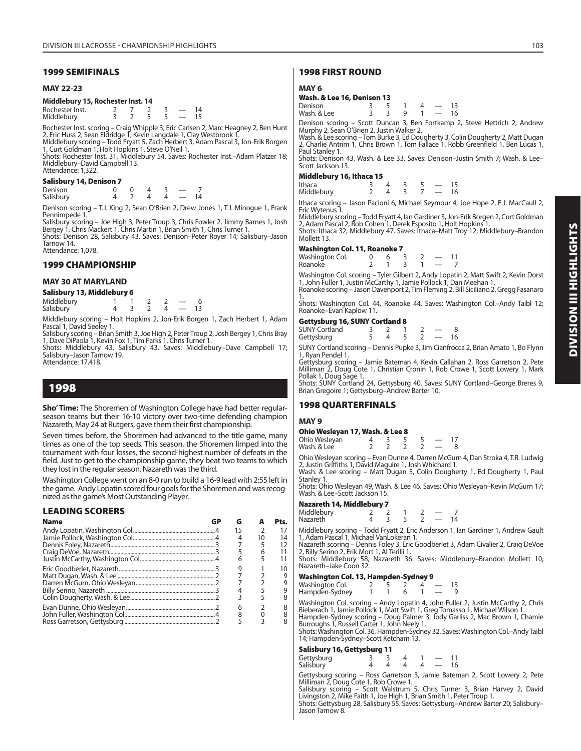### **MAY 22-23**

### **Middlebury 15, Rochester Inst. 14**

| Rochester Inst. |  |  |  |
|-----------------|--|--|--|
| Middlebury      |  |  |  |

Rochester Inst. scoring – Craig Whipple 3, Eric Carlsen 2, Marc Heagney 2, Ben Hunt 2, Eric Huss 2, Sean Eldridge 1, Kevin Langdale 1, Clay Westbrook 1. Middlebury scoring – Todd Fryatt 5, Zach Herbert 3, Adam Pascal 3, Jon-Erik Borgen

1, Curt Goldman 1, Holt Hopkins 1, Steve O'Neil 1. Shots: Rochester Inst. 31, Middlebury 54. Saves: Rochester Inst.–Adam Platzer 18; Middlebury–David Campbell 13.

Attendance: 1,322.

### **Salisbury 14, Denison 7**

| Denison   |  |  |            |
|-----------|--|--|------------|
| Salisbury |  |  | $1\Lambda$ |

Denison scoring – T.J. King 2, Sean O'Brien 2, Drew Jones 1, T.J. Minogue 1, Frank Pennimpede 1.

Salisbury scoring – Joe High 3, Peter Troup 3, Chris Fowler 2, Jimmy Barnes 1, Josh Bergey 1, Chris Mackert 1, Chris Martin 1, Brian Smith 1, Chris Turner 1.

Shots: Denison 28, Salisbury 43. Saves: Denison–Peter Royer 14; Salisbury–Jason Tarnow 14. Attendance: 1,078.

### **1999 CHAMPIONSHIP**

### **MAY 30 AT MARYLAND**

| Salisbury 13, Middlebury 6 |  |  |  |  |                          |  |  |
|----------------------------|--|--|--|--|--------------------------|--|--|
| Middlebury                 |  |  |  |  |                          |  |  |
| Salisbury                  |  |  |  |  | $\overline{\phantom{a}}$ |  |  |

Middlebury scoring – Holt Hopkins 2, Jon-Erik Borgen 1, Zach Herbert 1, Adam Pascal 1, David Seeley 1.

Salisbury scoring – Brian Smith 3, Joe High 2, Peter Troup 2, Josh Bergey 1, Chris Bray 1, Dave DiPaola 1, Kevin Fox 1, Tim Parks 1, Chris Turner 1.

Shots: Middlebury 43, Salisbury 43. Saves: Middlebury–Dave Campbell 17; Salisbury–Jason Tarnow 19. Attendance: 17,418.

### **1998**

**Sho' Time:** The Shoremen of Washington College have had better regularseason teams but their 16-10 victory over two-time defending champion Nazareth, May 24 at Rutgers, gave them their first championship.

Seven times before, the Shoremen had advanced to the title game, many times as one of the top seeds. This season, the Shoremen limped into the tournament with four losses, the second-highest number of defeats in the field. Just to get to the championship game, they beat two teams to which they lost in the regular season. Nazareth was the third.

Washington College went on an 8-0 run to build a 16-9 lead with 2:55 left in the game. Andy Lopatin scored four goals for the Shoremen and was recognized as the game's Most Outstanding Player.

### **LEADING SCORERS**

| <b>Name</b> | G  |               | Pts. |
|-------------|----|---------------|------|
|             | 15 | $\mathcal{P}$ | 17   |
|             |    | 10            | 14   |
|             |    |               | 12   |
|             |    |               |      |
|             | 6  |               |      |
|             | q  |               | 10   |
|             |    |               | 9    |
|             |    |               |      |
|             |    |               |      |
|             |    |               |      |
|             | 6  |               |      |
|             |    |               |      |
|             |    |               |      |

### **1998 FIRST ROUND**

### **MAY 6**

## **Wash. & Lee 16, Denison 13**

| Denison     |  |  |  |
|-------------|--|--|--|
| Wash, & Lee |  |  |  |

Denison scoring – Scott Duncan 3, Ben Fortkamp 2, Steve Hettrich 2, Andrew Murphy 2, Sean O'Brien 2, Justin Walker 2.

Wash. & Lee scoring – Tom Burke 3, Ed Dougherty 3, Colin Dougherty 2, Matt Dugan 2, Charlie Antrim 1, Chris Brown 1, Tom Fallace 1, Robb Greenfield 1, Ben Lucas 1, Paul Stanley 1.

Shots: Denison 43, Wash. & Lee 33. Saves: Denison–Justin Smith 7; Wash. & Lee– Scott Jackson 13.

### **Middlebury 16, Ithaca 15**

| Ithaca     |  |  | 15 |
|------------|--|--|----|
| Middlebury |  |  | 16 |

Ithaca scoring – Jason Pacioni 6, Michael Seymour 4, Joe Hope 2, E.J. MacCaull 2, Eric Wytenus 1.

Middlebury scoring – Todd Fryatt 4, Ian Gardiner 3, Jon-Erik Borgen 2, Curt Goldman 2, Adam Pascal 2, Rob Cohen 1, Derek Esposito 1, Holt Hopkins 1. Shots: Ithaca 32, Middlebury 47. Saves: Ithaca–Matt Troy 12; Middlebury–Brandon Mollett 13.

### **Washington Col. 11, Roanoke 7**

| <b>Washington Col. 11, Noanoke</b> 7 |  |  |                          |    |  |
|--------------------------------------|--|--|--------------------------|----|--|
| Washington Col.                      |  |  | $\overline{\phantom{a}}$ | 11 |  |
| Roanoke                              |  |  |                          |    |  |
|                                      |  |  |                          |    |  |

Washington Col. scoring – Tyler Gilbert 2, Andy Lopatin 2, Matt Swift 2, Kevin Dorst 1, John Fuller 1, Justin McCarthy 1, Jamie Pollock 1, Dan Meehan 1. Roanoke scoring – Jason Davenport 2, Tim Fleming 2, Bill Siciliano 2, Gregg Fasanaro

1. Shots: Washington Col. 44, Roanoke 44. Saves: Washington Col.–Andy Taibl 12; Roanoke–Evan Kaplow 11.

### **Gettysburg 16, SUNY Cortland 8**

| <b>SUNY Cortland</b> |  |  |    |
|----------------------|--|--|----|
| Gettysburg           |  |  | 16 |

SUNY Cortland scoring – Dennis Pupke 3, Jim Cianfrocca 2, Brian Amato 1, Bo Flynn 1, Ryan Pendel 1.

Gettysburg scoring – Jamie Bateman 4, Kevin Callahan 2, Ross Garretson 2, Pete Milliman 2, Doug Cote 1, Christian Cronin 1, Rob Crowe 1, Scott Lowery 1, Mark Pollak 1, Doug Sage 1. Shots: SUNY Cortland 24, Gettysburg 40. Saves: SUNY Cortland–George Breres 9,

Brian Gregoire 1; Gettysburg–Andrew Barter 10.

### **1998 QUARTERFINALS**

### **MAY 9**

| Ohio Wesleyan 17, Wash. & Lee 8 |  |  |    |
|---------------------------------|--|--|----|
| Ohio Wesleyan                   |  |  | 17 |

 $Wash. & \text{Lee}$  2 2 2 2  $-$  8 Ohio Wesleyan scoring – Evan Dunne 4, Darren McGurn 4, Dan Stroka 4, T.R. Ludwig 2, Justin Griffiths 1, David Maguire 1, Josh Whichard 1.

Wash. & Lee scoring – Matt Dugan 5, Colin Dougherty 1, Ed Dougherty 1, Paul Stanley 1. Shots: Ohio Wesleyan 49, Wash. & Lee 46. Saves: Ohio Wesleyan–Kevin McGurn 17;

Wash. & Lee–Scott Jackson 15.

### **Nazareth 14, Middlebury 7**

| Middlebury |  |  |  |  |
|------------|--|--|--|--|
| Nazareth   |  |  |  |  |
|            |  |  |  |  |

Middlebury scoring – Todd Fryatt 2, Eric Anderson 1, Ian Gardiner 1, Andrew Gault 1, Adam Pascal 1, Michael VanLokeran 1.

Nazareth scoring – Dennis Foley 3, Eric Goodberlet 3, Adam Civalier 2, Craig DeVoe<br>2, Billy Serino 2, Erik Mort 1, Al Terilli 1.<br>Shots: Middlebury 58, Nazareth 36. Saves: Middlebury–Brandon Mollett 10;

Nazareth–Jake Coon 32.

### **Washington Col. 13, Hampden-Sydney 9**

| Washington Col. |  |  |  |
|-----------------|--|--|--|
| Hampden-Sydney  |  |  |  |

Washington Col. scoring – Andy Lopatin 4, John Fuller 2, Justin McCarthy 2, Chris Bieberach 1, Jamie Pollock 1, Matt Swift 1, Greg Tomasso 1, Michael Wilson 1.

Hampden-Sydney scoring – Doug Palmer 3, Jody Garliss 2, Mac Brown 1, Chamie Burroughs 1, Russell Carter 1, John Neely 1.

Shots: Washington Col. 36, Hampden-Sydney 32. Saves: Washington Col.–Andy Taibl 14; Hampden-Sydney–Scott Ketcham 13.

### **Salisbury 16, Gettysburg 11**

| Gettysburg<br>Salisbury |  |  |  |    |
|-------------------------|--|--|--|----|
|                         |  |  |  | 16 |

Gettysburg scoring – Ross Garretson 3, Jamie Bateman 2, Scott Lowery 2, Pete Milliman 2, Doug Cote 1, Rob Crowe 1.

Salisbury scoring – Scott Walstrum 5, Chris Turner 3, Brian Harvey 2, David<br>Livingston 2, Mike Faith 1, Joe High 1, Brian Smith 1, Peter Troup 1.<br>Shots: Gettysburg 28, Salisbury 55. Saves: Gettysburg–Andrew Bar

Jason Tarnow 8.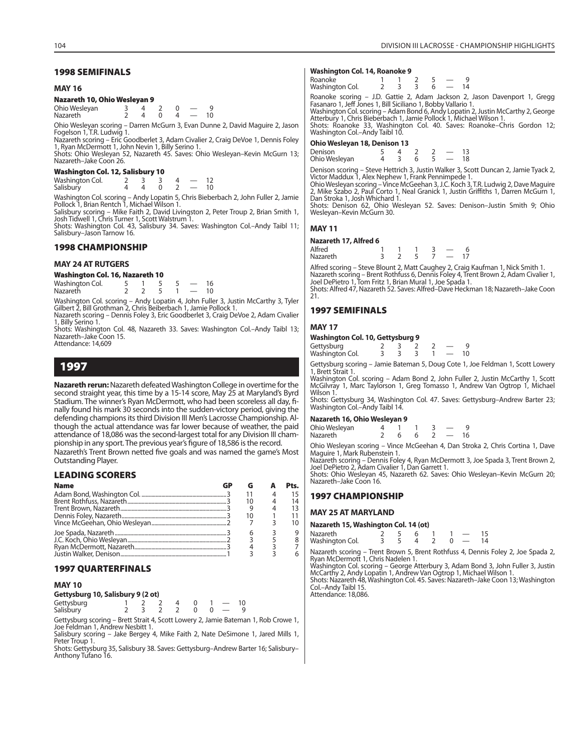#### **MAY 16**

### **Nazareth 10, Ohio Wesleyan 9**

| Ohio Wesleyan   |  |  |  |
|-----------------|--|--|--|
| <b>Nazareth</b> |  |  |  |

Ohio Wesleyan scoring – Darren McGurn 3, Evan Dunne 2, David Maguire 2, Jason Fogelson 1, T.R. Ludwig 1.

Nazareth scoring – Eric Goodberlet 3, Adam Civalier 2, Craig DeVoe 1, Dennis Foley 1, Ryan McDermott 1, John Nevin 1, Billy Serino 1.

Shots: Ohio Wesleyan 52, Nazareth 45. Saves: Ohio Wesleyan–Kevin McGurn 13; Nazareth–Jake Coon 26.

### **Washington Col. 12, Salisbury 10**

Washington Col. 2 3 3 4 - 12<br>Salisbury 4 4 0 2 - 10 Salisbury

Washington Col. scoring – Andy Lopatin 5, Chris Bieberbach 2, John Fuller 2, Jamie Pollock 1, Brian Rentch 1, Michael Wilson 1.

Salisbury scoring – Mike Faith 2, David Livingston 2, Peter Troup 2, Brian Smith 1, Josh Tidwell 1, Chris Turner 1, Scott Walstrum 1. Shots: Washington Col. 43, Salisbury 34. Saves: Washington Col.–Andy Taibl 11;

Salisbury–Jason Tarnow 16.

### **1998 CHAMPIONSHIP**

### **MAY 24 AT RUTGERS**

### **Washington Col. 16, Nazareth 10**

| Washington Col. |  |  |    |
|-----------------|--|--|----|
| <b>Nazareth</b> |  |  | 10 |

Washington Col. scoring – Andy Lopatin 4, John Fuller 3, Justin McCarthy 3, Tyler Gilbert 2, Bill Grothman 2, Chris Beiberbach 1, Jamie Pollock 1. Nazareth scoring – Dennis Foley 3, Eric Goodberlet 3, Craig DeVoe 2, Adam Civalier

1, Billy Serino 1. Shots: Washington Col. 48, Nazareth 33. Saves: Washington Col.–Andy Taibl 13;

Nazareth–Jake Coon 15. Attendance: 14,609

### **1997**

**Nazareth rerun:** Nazareth defeated Washington College in overtime for the second straight year, this time by a 15-14 score, May 25 at Maryland's Byrd Stadium. The winner's Ryan McDermott, who had been scoreless all day, finally found his mark 30 seconds into the sudden-victory period, giving the defending champions its third Division III Men's Lacrosse Championship. Although the actual attendance was far lower because of weather, the paid attendance of 18,086 was the second-largest total for any Division III championship in any sport. The previous year's figure of 18,586 is the record.

Nazareth's Trent Brown netted five goals and was named the game's Most Outstanding Player.

### **LEADING SCORERS**

| <b>Name</b> |  |    |
|-------------|--|----|
|             |  |    |
|             |  | 14 |
|             |  |    |
|             |  |    |
|             |  |    |
|             |  |    |
|             |  |    |
|             |  |    |
|             |  |    |

### **1997 QUARTERFINALS**

### **MAY 10**

**Gettysburg 10, Salisbury 9 (2 ot)**

| Gettysburg<br>Salisbury |  | '3 7 7 0 0 <del>.</del> |  |  |
|-------------------------|--|-------------------------|--|--|

Gettysburg scoring – Brett Strait 4, Scott Lowery 2, Jamie Bateman 1, Rob Crowe 1, Joe Feldman 1, Andrew Nesbitt 1. Salisbury scoring – Jake Bergey 4, Mike Faith 2, Nate DeSimone 1, Jared Mills 1,

Peter Troup 1.

Shots: Gettysburg 35, Salisbury 38. Saves: Gettysburg–Andrew Barter 16; Salisbury– Anthony Tufano 16.

### **Washington Col. 14, Roanoke 9**

| Roanoke         |  |  |  |  |
|-----------------|--|--|--|--|
| Washington Col. |  |  |  |  |
|                 |  |  |  |  |

Roanoke scoring – J.D. Gattie 2, Adam Jackson 2, Jason Davenport 1, Gregg Fasanaro 1, Jeff Jones 1, Bill Siciliano 1, Bobby Vallario 1.

Washington Col. scoring – Adam Bond 6, Andy Lopatin 2, Justin McCarthy 2, George Atterbury 1, Chris Bieberbach 1, Jamie Pollock 1, Michael Wilson 1. Shots: Roanoke 33, Washington Col. 40. Saves: Roanoke–Chris Gordon 12; Washington Col.–Andy Taibl 10.

### **Ohio Wesleyan 18, Denison 13**

Denison 5 4 2 2 - 13<br>
Ohio Weslevan 4 3 6 5 - 18 Ohio Wesleyan

Denison scoring – Steve Hettrich 3, Justin Walker 3, Scott Duncan 2, Jamie Tyack 2,<br>Victor Maddux 1, Alex Nephew 1, Frank Pennimpede 1.<br>Ohio Wesleyan scoring – Vince McGeehan 3, J.C. Koch 3, T.R. Ludwig 2, Dave Maguire

2, Mike Szabo 2, Paul Corto 1, Neal Granick 1, Justin Griffiths 1, Darren McGurn 1, Dan Stroka 1, Josh Whichard 1.

Shots: Denison 62, Ohio Wesleyan 52. Saves: Denison–Justin Smith 9; Ohio Wesleyan–Kevin McGurn 30.

### **MAY 11**

### **Nazareth 17, Alfred 6**

| Alfred   |  |  |  |
|----------|--|--|--|
| Nazareth |  |  |  |

Alfred scoring – Steve Blount 2, Matt Caughey 2, Craig Kaufman 1, Nick Smith 1. Nazareth scoring – Brent Rothfuss 6, Dennis Foley 4, Trent Brown 2, Adam Civalier 1, Joel DePietro 1, Tom Fritz 1, Brian Mural 1, Joe Spada 1.

Shots: Alfred 47, Nazareth 52. Saves: Alfred–Dave Heckman 18; Nazareth–Jake Coon 21.

### **1997 SEMIFINALS**

### **MAY 17**

### **Washington Col. 10, Gettysburg 9**

| Gettysburg<br>Washington Col. |  |  |  |
|-------------------------------|--|--|--|

Gettysburg scoring – Jamie Bateman 5, Doug Cote 1, Joe Feldman 1, Scott Lowery 1, Brett Strait 1.

Washington Col. scoring – Adam Bond 2, John Fuller 2, Justin McCarthy 1, Scott McGilvray 1, Marc Taylorson 1, Greg Tomasso 1, Andrew Van Ogtrop 1, Michael Wilson 1.

Shots: Gettysburg 34, Washington Col. 47. Saves: Gettysburg–Andrew Barter 23; Washington Col.–Andy Taibl 14.

### **Nazareth 16, Ohio Wesleyan 9**

| Ohio Wesleyan |  |  |  |
|---------------|--|--|--|
|               |  |  |  |
| Nazareth      |  |  |  |
|               |  |  |  |

Ohio Wesleyan scoring – Vince McGeehan 4, Dan Stroka 2, Chris Cortina 1, Dave Maguire 1, Mark Rubenstein 1.

Nazareth scoring – Dennis Foley 4, Ryan McDermott 3, Joe Spada 3, Trent Brown 2, Joel DePietro 2, Adam Civalier 1, Dan Garrett 1.

Shots: Ohio Wesleyan 45, Nazareth 62. Saves: Ohio Wesleyan–Kevin McGurn 20; Nazareth–Jake Coon 16.

### **1997 CHAMPIONSHIP**

### **MAY 25 AT MARYLAND**

### **Nazareth 15, Washington Col. 14 (ot)**

| Nazareth        |  |  |  |  |
|-----------------|--|--|--|--|
| Washington Col. |  |  |  |  |

Nazareth scoring – Trent Brown 5, Brent Rothfuss 4, Dennis Foley 2, Joe Spada 2, Ryan McDermott 1, Chris Nadelen 1.

Washington Col. scoring – George Atterbury 3, Adam Bond 3, John Fuller 3, Justin McCarthy 2, Andy Lopatin 1, Andrew Van Ogtrop 1, Michael Wilson 1. Shots: Nazareth 48, Washington Col. 45. Saves: Nazareth–Jake Coon 13; Washington Col.–Andy Taibl 15. Attendance: 18,086.

104 DIVISION III LACROSSE - CHAMPIONSHIP HIGHLIGHTS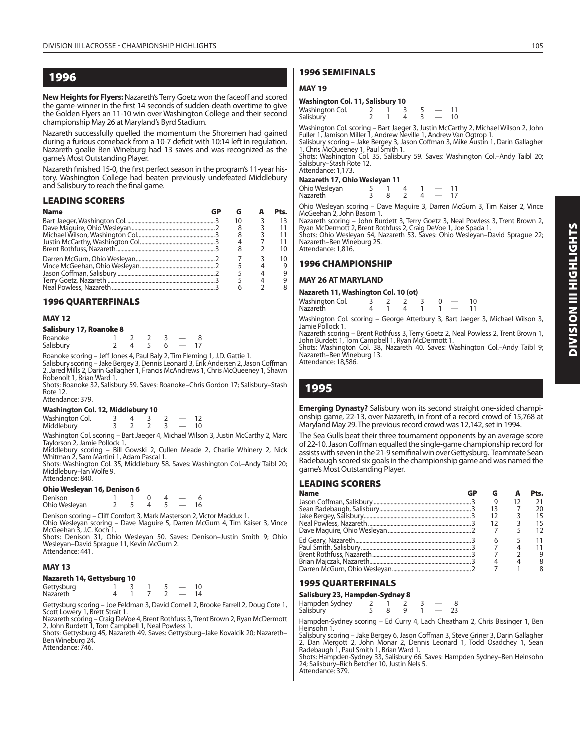### **1996**

**New Heights for Flyers:** Nazareth's Terry Goetz won the faceoff and scored the game-winner in the first 14 seconds of sudden-death overtime to give the Golden Flyers an 11-10 win over Washington College and their second championship May 26 at Maryland's Byrd Stadium.

Nazareth successfully quelled the momentum the Shoremen had gained during a furious comeback from a 10-7 deficit with 10:14 left in regulation. Nazareth goalie Ben Wineburg had 13 saves and was recognized as the game's Most Outstanding Player.

Nazareth finished 15-0, the first perfect season in the program's 11-year history. Washington College had beaten previously undefeated Middlebury and Salisbury to reach the final game.

### **LEADING SCORERS**

| <b>Name</b> |  | Pts. |
|-------------|--|------|
|             |  |      |
|             |  |      |
|             |  |      |
|             |  |      |
|             |  |      |
|             |  | 10   |
|             |  |      |
|             |  |      |
|             |  |      |
|             |  |      |

### **1996 QUARTERFINALS**

### **MAY 12**

### **Salisbury 17, Roanoke 8**

| Roanoke   |  |  |  |
|-----------|--|--|--|
| Salisbury |  |  |  |

Roanoke scoring – Jeff Jones 4, Paul Baly 2, Tim Fleming 1, J.D. Gattie 1.<br>Salisbury scoring – Jake Bergey 3, Dennis Leonard 3, Erik Andersen 2, Jason Coffman<br>2, Jared Mills 2, Darin Gallagher 1, Francis McAndrews 1, Chris Robenolt 1, Brian Ward 1.

Shots: Roanoke 32, Salisbury 59. Saves: Roanoke–Chris Gordon 17; Salisbury–Stash Rote 12. Attendance: 379.

### **Washington Col. 12, Middlebury 10**

| <b>Trashington Con 12, magicouly TV</b> |  |  |                          |    |  |
|-----------------------------------------|--|--|--------------------------|----|--|
|                                         |  |  | $\overline{\phantom{a}}$ |    |  |
| Washington Col.<br>Middlebury           |  |  | $\ddot{\phantom{0}}$     | 10 |  |

Washington Col. scoring – Bart Jaeger 4, Michael Wilson 3, Justin McCarthy 2, Marc Taylorson 2, Jamie Pollock 1.

Middlebury scoring – Bill Gowski 2, Cullen Meade 2, Charlie Whinery 2, Nick Whitman 2, Sam Martini 1, Adam Pascal 1.

Shots: Washington Col. 35, Middlebury 58. Saves: Washington Col.–Andy Taibl 20; Middlebury–Ian Wolfe 9. Attendance: 840.

### **Ohio Wesleyan 16, Denison 6**

| Denison       |  |  |  |  |
|---------------|--|--|--|--|
| Ohio Wesleyan |  |  |  |  |

Denison scoring – Cliff Comfort 3, Mark Masterson 2, Victor Maddux 1. Ohio Wesleyan scoring – Dave Maguire 5, Darren McGurn 4, Tim Kaiser 3, Vince McGeehan 3, J.C. Koch 1. Shots: Denison 31, Ohio Wesleyan 50. Saves: Denison–Justin Smith 9; Ohio

Wesleyan–David Sprague 11, Kevin McGurn 2. Attendance: 441.

### **MAY 13**

### **Nazareth 14, Gettysburg 10**

| Gettysburg<br>Nazareth |  |  |  |
|------------------------|--|--|--|
|                        |  |  |  |

Gettysburg scoring – Joe Feldman 3, David Cornell 2, Brooke Farrell 2, Doug Cote 1, Scott Lowery 1, Brett Strait 1.

Nazareth scoring – Craig DeVoe 4, Brent Rothfuss 3, Trent Brown 2, Ryan McDermott 2, John Burdett 1, Tom Campbell 1, Neal Powless 1.

Shots: Gettysburg 45, Nazareth 49. Saves: Gettysburg–Jake Kovalcik 20; Nazareth– Ben Wineburg 24.

Attendance: 746.

### **1996 SEMIFINALS**

### **MAY 19**

### **Washington Col. 11, Salisbury 10**

| Washington Col. |  |  |    |
|-----------------|--|--|----|
| Salisbury       |  |  | 10 |

Washington Col. scoring – Bart Jaeger 3, Justin McCarthy 2, Michael Wilson 2, John Fuller 1, Jamison Miller 1, Andrew Neville 1, Andrew Van Ogtrop 1.

Salisbury scoring – Jake Bergey 3, Jason Coffman 3, Mike Austin 1, Darin Gallagher 1, Chris McQueeney 1, Paul Smith 1. Shots: Washington Col. 35, Salisbury 59. Saves: Washington Col.–Andy Taibl 20;

Salisbury–Stash Rote 12. Attendance: 1,173.

### **Nazareth 17, Ohio Wesleyan 11**

| 1928 - 1977 - 1988 - 1998 - 1999 - 1999 - 1999 - 1999 - 1999 - 1999 - 1999 - 1999 - 1999 - 1999 - 199 |  |  |               |    |
|-------------------------------------------------------------------------------------------------------|--|--|---------------|----|
| Ohio Wesleyan                                                                                         |  |  |               | 11 |
| <b>Nazareth</b>                                                                                       |  |  | $\sim$ $\sim$ | 17 |

Ohio Wesleyan scoring – Dave Maguire 3, Darren McGurn 3, Tim Kaiser 2, Vince McGeehan 2, John Basom 1.

Nazareth scoring – John Burdett 3, Terry Goetz 3, Neal Powless 3, Trent Brown 2, Ryan McDermott 2, Brent Rothfuss 2, Craig DeVoe 1, Joe Spada 1. Shots: Ohio Wesleyan 54, Nazareth 53. Saves: Ohio Wesleyan–David Sprague 22; Nazareth–Ben Wineburg 25.

**1996 CHAMPIONSHIP**

### **MAY 26 AT MARYLAND**

Attendance: 1,816.

| Nazareth 11, Washington Col. 10 (ot) |  |  |  |  |  |       |    |
|--------------------------------------|--|--|--|--|--|-------|----|
| Washington Col.                      |  |  |  |  |  |       | 10 |
| Nazareth                             |  |  |  |  |  | $1 -$ | 11 |

Washington Col. scoring – George Atterbury 3, Bart Jaeger 3, Michael Wilson 3, Jamie Pollock 1.

Nazareth scoring – Brent Rothfuss 3, Terry Goetz 2, Neal Powless 2, Trent Brown 1,<br>John Burdett 1, Tom Campbell 1, Ryan McDermott 1.<br>Shots: Washington Col. 38, Nazareth 40. Saves: Washington Col.–Andy Taibl 9; Nazareth–Ben Wineburg 13. Attendance: 18,586.

### **1995**

**Emerging Dynasty?** Salisbury won its second straight one-sided championship game, 22-13, over Nazareth, in front of a record crowd of 15,768 at Maryland May 29. The previous record crowd was 12,142, set in 1994.

The Sea Gulls beat their three tournament opponents by an average score of 22-10. Jason Coffman equalled the single-game championship record for assists with seven in the 21-9 semifinal win over Gettysburg. Teammate Sean Radebaugh scored six goals in the championship game and was named the game's Most Outstanding Player.

### **LEADING SCORERS**

| <b>Name</b> |   | Pts. |
|-------------|---|------|
|             |   | 21   |
|             |   | 20   |
|             |   | 15   |
|             |   | 15   |
|             |   | 12   |
|             | h | 11   |
|             |   | 11   |
|             |   | q    |
|             |   |      |
|             |   |      |

### **1995 QUARTERFINALS**

**Salisbury 23, Hampden-Sydney 8**<br>Hampden Sydney 2 1 2

Hampden Sydney 2 1 2 3 - 8<br>Salisbury 5 8 9 1 - 23 Salisburv

Hampden-Sydney scoring – Ed Curry 4, Lach Cheatham 2, Chris Bissinger 1, Ben Heinsohn 1.

Salisbury scoring – Jake Bergey 6, Jason Coffman 3, Steve Griner 3, Darin Gallagher 2, Dan Mergott 2, John Monar 2, Dennis Leonard 1, Todd Osadchey 1, Sean Radebaugh 1, Paul Smith 1, Brian Ward 1.

Shots: Hampden-Sydney 33, Salisbury 66. Saves: Hampden Sydney–Ben Heinsohn 24; Salisbury–Rich Betcher 10, Justin Nels 5.

Attendance: 379.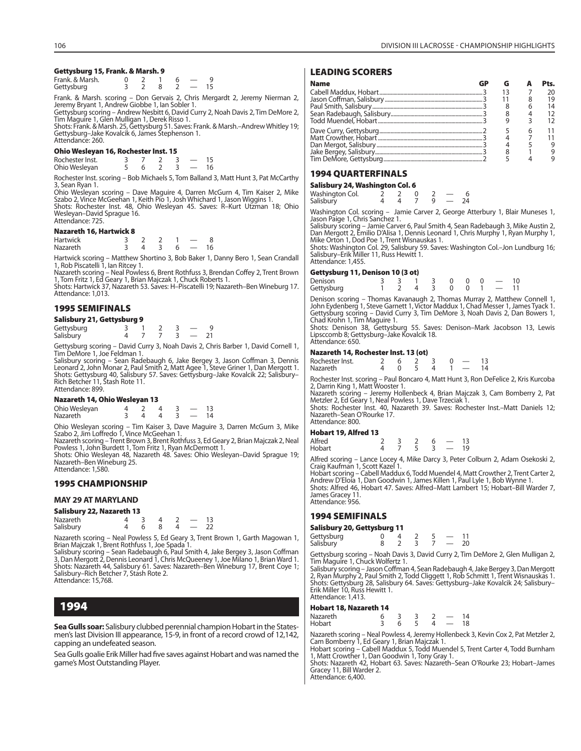# **Gettysburg 15, Frank. & Marsh. 9**

| Frank. & Marsh. |  |  |  |
|-----------------|--|--|--|
| Gettysburg      |  |  |  |

Frank. & Marsh. scoring – Don Gervais 2, Chris Mergardt 2, Jeremy Nierman 2, Jeremy Bryant 1, Andrew Giobbe 1, Ian Sobler 1.

Gettysburg scoring – Andrew Nesbitt 6, David Curry 2, Noah Davis 2, Tim DeMore 2,

Tim Maguire 1, Glen Mulligan 1, Derek Risso 1. Shots: Frank. & Marsh. 25, Gettysburg 51. Saves: Frank. & Marsh.–Andrew Whitley 19; Gettysburg–Jake Kovalcik 6, James Stephenson 1. Attendance: 260.

# **Ohio Wesleyan 16, Rochester Inst. 15**

| Rochester Inst. |  |  |    |
|-----------------|--|--|----|
| Ohio Wesleyan   |  |  | 16 |

Rochester Inst. scoring – Bob Michaels 5, Tom Balland 3, Matt Hunt 3, Pat McCarthy 3, Sean Ryan 1.

Ohio Wesleyan scoring – Dave Maguire 4, Darren McGurn 4, Tim Kaiser 2, Mike Szabo 2, Vince McGeehan 1, Keith Pio 1, Josh Whichard 1, Jason Wiggins 1. Shots: Rochester Inst. 48, Ohio Wesleyan 45. Saves: R–Kurt Utzman 18; Ohio Wesleyan–David Sprague 16.

# **Nazareth 16, Hartwick 8**

Attendance: 725.

| Hartwick        |  |  |  |
|-----------------|--|--|--|
| <b>Nazareth</b> |  |  |  |

Hartwick scoring – Matthew Shortino 3, Bob Baker 1, Danny Bero 1, Sean Crandall 1, Rob Piscatelli 1, Ian Ritcey 1.

Nazareth scoring – Neal Powless 6, Brent Rothfuss 3, Brendan Coffey 2, Trent Brown 1, Tom Fritz 1, Ed Geary 1, Brian Majczak 1, Chuck Roberts 1.

Shots: Hartwick 37, Nazareth 53. Saves: H–Piscatelli 19; Nazareth–Ben Wineburg 17. Attendance: 1,013.

# **1995 SEMIFINALS**

#### **Salisbury 21, Gettysburg 9**

| Gettysburg |  |  |  |  |
|------------|--|--|--|--|
| Salisbury  |  |  |  |  |

Gettysburg scoring – David Curry 3, Noah Davis 2, Chris Barber 1, David Cornell 1, Tim DeMore 1, Joe Feldman 1.

Salisbury scoring – Sean Radebaugh 6, Jake Bergey 3, Jason Coffman 3, Dennis Leonard 2, John Monar 2, Paul Smith 2, Matt Agee 1, Steve Griner 1, Dan Mergott 1. Shots: Gettysburg 40, Salisbury 57. Saves: Gettysburg–Jake Kovalcik 22; Salisbury– Rich Betcher 11, Stash Rote 11. Attendance: 899.

#### **Nazareth 14, Ohio Wesleyan 13**

| Ohio Wesleyan |  |  |  |
|---------------|--|--|--|
| Nazareth      |  |  |  |

Ohio Wesleyan scoring – Tim Kaiser 3, Dave Maguire 3, Darren McGurn 3, Mike Szabo 2, Jim Loffredo 1, Vince McGeehan 1.

Nazareth scoring – Trent Brown 3, Brent Rothfuss 3, Ed Geary 2, Brian Majczak 2, Neal Powless 1, John Burdett 1, Tom Fritz 1, Ryan McDermott 1.

Shots: Ohio Wesleyan 48, Nazareth 48. Saves: Ohio Wesleyan–David Sprague 19; Nazareth–Ben Wineburg 25. Attendance: 1,580.

# **1995 CHAMPIONSHIP**

# **MAY 29 AT MARYLAND**

| Salisbury 22, Nazareth 13 |  |  |  |  |  |    |  |  |
|---------------------------|--|--|--|--|--|----|--|--|
| Nazareth                  |  |  |  |  |  | 13 |  |  |
| Salisbury                 |  |  |  |  |  | 22 |  |  |

Nazareth scoring – Neal Powless 5, Ed Geary 3, Trent Brown 1, Garth Magowan 1, Brian Majczak 1, Brent Rothfuss 1, Joe Spada 1.

Salisbury scoring – Sean Radebaugh 6, Paul Smith 4, Jake Bergey 3, Jason Coffman<br>3, Dan Mergott 2, Dennis Leonard 1, Chris McQueeney 1, Joe Milano 1, Brian Ward 1.<br>Shots: Nazareth 44, Salisbury 61. Saves: Nazareth–Ben Wine Attendance: 15,768.

# **1994**

**Sea Gulls soar:** Salisbury clubbed perennial champion Hobart in the Statesmen's last Division III appearance, 15-9, in front of a record crowd of 12,142, capping an undefeated season.

Sea Gulls goalie Erik Miller had five saves against Hobart and was named the game's Most Outstanding Player.

# **LEADING SCORERS**

| <b>Name</b> |  |   | Pts. |
|-------------|--|---|------|
|             |  |   | ንበ   |
|             |  |   | 19   |
|             |  |   | 14   |
|             |  |   |      |
|             |  |   |      |
|             |  | h |      |
|             |  |   |      |
|             |  |   |      |
|             |  |   |      |
|             |  |   |      |

# **1994 QUARTERFINALS**

| Salisbury 24, Washington Col. 6 |  |  |        |   |  |    |  |  |  |
|---------------------------------|--|--|--------|---|--|----|--|--|--|
| Washington Col.                 |  |  | $\cup$ |   |  |    |  |  |  |
| Salisbury                       |  |  |        | a |  | 24 |  |  |  |

Washington Col. scoring – Jamie Carver 2, George Atterbury 1, Blair Muneses 1,<br>Jason Paige 1, Chris Sanchez 1.<br>Salisbury scoring – Jamie Carver 6, Paul Smith 4, Sean Radebaugh 3, Mike Austin 2,<br>Dan Mergott 2, Emilio D'Ali

Mike Orton 1, Dod Poe 1, Trent Wisnauskas 1. Shots: Washington Col. 29, Salisbury 59. Saves: Washington Col.–Jon Lundburg 16; Salisbury–Erik Miller 11, Russ Hewitt 1. Attendance: 1,455.

#### **Gettysburg 11, Denison 10 (3 ot)**

| Denison    |  |  |  | $3 \t3 \t1 \t3 \t0 \t0 \t0 \t- 10$   |  |
|------------|--|--|--|--------------------------------------|--|
| Gettysburg |  |  |  | $1 \t2 \t4 \t3 \t0 \t0 \t1 \t- \t11$ |  |

Denison scoring – Thomas Kavanaugh 2, Thomas Murray 2, Matthew Connell 1,<br>John Eydenberg 1, Steve Garnett 1, Victor Maddux 1, Chad Messer 1, James Tyack 1.<br>Gettysburg scoring – David Curry 3, Tim DeMore 3, Noah Davis 2, Da

Shots: Denison 38, Gettysburg 55. Saves: Denison–Mark Jacobson 13, Lewis Lipsccomb 8; Gettysburg–Jake Kovalcik 18. Attendance: 650.

#### **Nazareth 14, Rochester Inst. 13 (ot)**

| Rochester Inst. |  |  |  |    |
|-----------------|--|--|--|----|
| <b>Nazareth</b> |  |  |  | 14 |

Rochester Inst. scoring – Paul Boncaro 4, Matt Hunt 3, Ron DeFelice 2, Kris Kurcoba 2, Darrin King 1, Matt Wooster 1. Nazareth scoring – Jeremy Hollenbeck 4, Brian Majczak 3, Cam Bomberry 2, Pat Metzler 2, Ed Geary 1, Neal Powless 1, Dave Trzeciak 1.

Shots: Rochester Inst. 40, Nazareth 39. Saves: Rochester Inst.–Matt Daniels 12; Nazareth–Sean O'Rourke 17. Attendance: 800.

# **Hobart 19, Alfred 13**

| <br>Alfred |  |      | -6 |    |
|------------|--|------|----|----|
| Hobart     |  | - 53 |    | 19 |

Alfred scoring – Lance Locey 4, Mike Darcy 3, Peter Colburn 2, Adam Osekoski 2, Craig Kaufman 1, Scott Kazel 1.

Hobart scoring – Cabell Maddux 6, Todd Muendel 4, Matt Crowther 2, Trent Carter 2, Andrew D'Eloia 1, Dan Goodwin 1, James Killen 1, Paul Lyle 1, Bob Wynne 1. Shots: Alfred 46, Hobart 47. Saves: Alfred–Matt Lambert 15; Hobart–Bill Warder 7, James Gracey 11. Attendance: 956.

# **1994 SEMIFINALS**

#### **Salisbury 20, Gettysburg 11**

| Gettysburg<br>Salisbury |  |  | $\overline{\phantom{a}}$<br>$\overline{\phantom{a}}$ | 20 |
|-------------------------|--|--|------------------------------------------------------|----|
|                         |  |  |                                                      |    |

Gettysburg scoring – Noah Davis 3, David Curry 2, Tim DeMore 2, Glen Mulligan 2,<br>Tim Maguire 1, Chuck Wolfertz 1.<br>Salisbury scoring – Jason Coffman 4, Sean Radebaugh 4, Jake Bergey 3, Dan Mergott<br>2, Ryan Murphy 2, Paul Smi

Shots: Gettysburg 28, Salisbury 64. Saves: Gettysburg–Jake Kovalcik 24; Salisbury– Erik Miller 10, Russ Hewitt 1. Attendance: 1,413.

#### **Hobart 18, Nazareth 14**

| Nazareth |  |  |     |
|----------|--|--|-----|
| Hobart   |  |  | 1 Ջ |

Nazareth scoring – Neal Powless 4, Jeremy Hollenbeck 3, Kevin Cox 2, Pat Metzler 2,<br>Cam Bomberry 1, Ed Geary 1, Brian Majczak 1.<br>Hobart scoring – Cabell Maddux 5, Todd Muendel 5, Trent Carter 4, Todd Burnham

1, Matt Crowther 1, Dan Goodwin 1, Tony Gray 1.

Shots: Nazareth 42, Hobart 63. Saves: Nazareth–Sean O'Rourke 23; Hobart–James Gracey 11, Bill Warder 2.

Attendance: 6,400.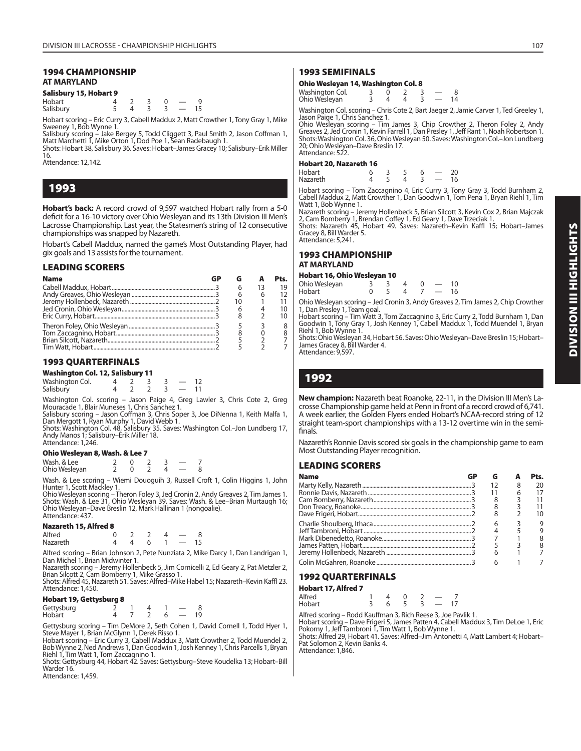# **1994 CHAMPIONSHIP AT MARYLAND**

# **Salisbury 15, Hobart 9**

| Hobart    |  |  |  |
|-----------|--|--|--|
| Salisbury |  |  |  |

Hobart scoring – Eric Curry 3, Cabell Maddux 2, Matt Crowther 1, Tony Gray 1, Mike Sweeney 1, Bob Wynne 1.

Salisbury scoring – Jake Bergey 5, Todd Cliggett 3, Paul Smith 2, Jason Coffman 1,<br>Matt Marchetti 1, Mike Orton 1, Dod Poe 1, Sean Radebaugh 1.<br>Shots: Hobart 38, Salisbury 36. Saves: Hobart–James Gracey 10; Salisbury–Erik

16.

Attendance: 12,142.

# **1993**

**Hobart's back:** A record crowd of 9,597 watched Hobart rally from a 5-0 deficit for a 16-10 victory over Ohio Wesleyan and its 13th Division III Men's Lacrosse Championship. Last year, the Statesmen's string of 12 consecutive championships was snapped by Nazareth.

Hobart's Cabell Maddux, named the game's Most Outstanding Player, had gix goals and 13 assists for the tournament.

# **LEADING SCORERS**

| <b>Name</b> | GP |   |    | Pts. |
|-------------|----|---|----|------|
|             |    | 6 | 13 | 19   |
|             |    | 6 |    | 12   |
|             |    |   |    | 11   |
|             |    |   |    | 10   |
|             |    |   |    | 10   |
|             |    |   |    |      |
|             |    |   |    | 8    |
|             |    |   |    |      |
|             |    |   |    |      |

# **1993 QUARTERFINALS**

| <b>Washington Col. 12, Salisbury 11</b> |  |  |                          |  |
|-----------------------------------------|--|--|--------------------------|--|
| Washington Col.                         |  |  |                          |  |
| Salisbury                               |  |  | $\overline{\phantom{a}}$ |  |

Washington Col. scoring – Jason Paige 4, Greg Lawler 3, Chris Cote 2, Greg

Mouracade 1, Blair Muneses 1, Chris Sanchez 1.<br>Salisbury scoring – Jason Coffman 3, Chris Soper 3, Joe DiNenna 1, Keith Malfa 1,<br>Dan Mergott 1, Ryan Murphy 1, David Webb 1.<br>Shots: Washington Col. 48, Salisbury 35. Saves: W

Andy Manos 1; Salisbury–Erik Miller 18. Attendance: 1,246.

# **Ohio Wesleyan 8, Wash. & Lee 7**

| Wash, & Lee   |  |  |  |
|---------------|--|--|--|
| Ohio Wesleyan |  |  |  |

Wash. & Lee scoring – Wiemi Douoguih 3, Russell Croft 1, Colin Higgins 1, John

Hunter 1, Scott Mackley 1.<br>Ohio Wesleyan scoring – Theron Foley 3, Jed Cronin 2, Andy Greaves 2, Tim James 1.<br>Shots: Wash. & Lee 31, Ohio Wesleyan 39. Saves: Wash. & Lee–Brian Murtaugh 16;<br>Ohio Wesleyan–Dave Breslin 12, Ma Attendance: 437.

# **Nazareth 15, Alfred 8**

| Alfred   |  |     |  |  |
|----------|--|-----|--|--|
| Nazareth |  | - 6 |  |  |

Alfred scoring – Brian Johnson 2, Pete Nunziata 2, Mike Darcy 1, Dan Landrigan 1, Dan Michel 1, Brian Midwinter 1.

Nazareth scoring – Jeremy Hollenbeck 5, Jim Cornicelli 2, Ed Geary 2, Pat Metzler 2, Brian Silcott 2, Cam Bomberry 1, Mike Grasso 1. Shots: Alfred 45, Nazareth 51. Saves: Alfred–Mike Habel 15; Nazareth–Kevin Kaffl 23.

Attendance: 1,450.

# **Hobart 19, Gettysburg 8**

| Gettysburg<br>Hobart |  |  |  |
|----------------------|--|--|--|
|                      |  |  |  |

Gettysburg scoring – Tim DeMore 2, Seth Cohen 1, David Cornell 1, Todd Hyer 1, Steve Mayer 1, Brian McGlynn 1, Derek Risso 1.

Hobart scoring – Eric Curry 3, Cabell Maddux 3, Matt Crowther 2, Todd Muendel 2, Bob Wynne 2, Ned Andrews 1, Dan Goodwin 1, Josh Kenney 1, Chris Parcells 1, Bryan Riehl 1, Tim Watt 1, Tom Zaccagnino 1.

Shots: Gettysburg 44, Hobart 42. Saves: Gettysburg–Steve Koudelka 13; Hobart–Bill Warder 16.

Attendance: 1,459.

# **1993 SEMIFINALS**

# **Ohio Wesleyan 14, Washington Col. 8**

| ----- ---------                  |  |  |    |
|----------------------------------|--|--|----|
|                                  |  |  |    |
| Washington Col.<br>Ohio Wesleyan |  |  | 14 |

Washington Col. scoring – Chris Cote 2, Bart Jaeger 2, Jamie Carver 1, Ted Greeley 1, Jason Paige 1, Chris Sanchez 1.

Ohio Wesleyan scoring – Tim James 3, Chip Crowther 2, Theron Foley 2, Andy Greaves 2, Jed Cronin 1, Kevin Farrell 1, Dan Presley 1, Jeff Rant 1, Noah Robertson 1. Shots: Washington Col. 36, Ohio Wesleyan 50. Saves: Washington Col.–Jon Lundberg 20; Ohio Wesleyan–Dave Breslin 17. Attendance: 522.

#### **Hobart 20, Nazareth 16**

| Hobart<br>Nazareth |  |  | 20<br>16 |
|--------------------|--|--|----------|
|                    |  |  |          |

Hobart scoring – Tom Zaccagnino 4, Eric Curry 3, Tony Gray 3, Todd Burnham 2, Cabell Maddux 2, Matt Crowther 1, Dan Goodwin 1, Tom Pena 1, Bryan Riehl 1, Tim

Watt 1, Bob Wynne 1.

Nazareth scoríng – Jeremy Hollenbeck 5, Brian Silcott 3, Kevin Cox 2, Brian Majczak<br>2, Cam Bomberry 1, Brendan Coffey 1, Ed Geary 1, Dave Trzeciak 1.<br>Shots: Nazareth 45, Hobart 49. Saves: Nazareth–Kevin Kaffl 15; Gracey 8, Bill Warder 5. Attendance: 5,241.

# **1993 CHAMPIONSHIP AT MARYLAND**

# **Hobart 16, Ohio Wesleyan 10**

| Ohio Wesleyan |  |  |               | 10 |
|---------------|--|--|---------------|----|
| Hobart        |  |  | $\sim$ $\sim$ | 16 |

Ohio Wesleyan scoring – Jed Cronin 3, Andy Greaves 2, Tim James 2, Chip Crowther 1, Dan Presley 1, Team goal.

Hobart scoring – Tim Watt 3, Tom Zaccagnino 3, Eric Curry 2, Todd Burnham 1, Dan Goodwin 1, Tony Gray 1, Josh Kenney 1, Cabell Maddux 1, Todd Muendel 1, Bryan Riehl 1, Bob Wynne 1.

Shots: Ohio Wesleyan 34, Hobart 56. Saves: Ohio Wesleyan–Dave Breslin 15; Hobart– James Gracey 8, Bill Warder 4. Attendance: 9,597.

# **1992**

**New champion:** Nazareth beat Roanoke, 22-11, in the Division III Men's Lacrosse Championship game held at Penn in front of a record crowd of 6,741. A week earlier, the Golden Flyers ended Hobart's NCAA-record string of 12 straight team-sport championships with a 13-12 overtime win in the semifinals

Nazareth's Ronnie Davis scored six goals in the championship game to earn Most Outstanding Player recognition.

# **LEADING SCORERS**

| <b>Name</b> | G | Pts. |
|-------------|---|------|
|             |   | 20   |
|             |   |      |
|             |   |      |
|             |   |      |
|             | 8 | 10   |
|             | 6 | 9    |
|             |   | 9    |
|             |   |      |
|             |   |      |
|             |   |      |
|             |   |      |

# **1992 QUARTERFINALS**

**Hobart 17, Alfred 7**

| Alfred |   |        |  |  |
|--------|---|--------|--|--|
| Hobart | 6 | $\sim$ |  |  |
|        |   |        |  |  |

| Alfred scoring - Rodd Kauffman 3, Rich Reese 3, Joe Paylik |  |  |  |
|------------------------------------------------------------|--|--|--|
|                                                            |  |  |  |

Alfred scoring – Rodd Kauffman 3, Rich Reese 3, Joe Pavlik 1.<br>Hobart scoring – Dave Frigeri 5, James Patten 4, Cabell Maddux 3, Tim DeLoe 1, Eric<br>Pokorny 1, Jeff Tambroni 1, Tim Watt 1, Bob Wynne 1.<br>Shots: Alfred 29, Hobar

Pat Solomon 2, Kevin Banks 4. Attendance: 1,846.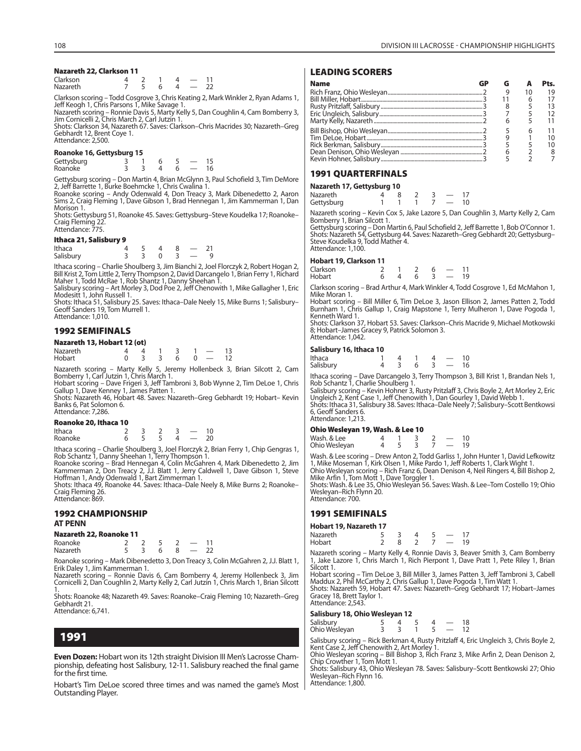# **Nazareth 22, Clarkson 11**

| Clarkson        |  |            |  |
|-----------------|--|------------|--|
| <b>Nazareth</b> |  | $\epsilon$ |  |

Clarkson scoring – Todd Cosgrove 3, Chris Keating 2, Mark Winkler 2, Ryan Adams 1, Jeff Keogh 1, Chris Parsons 1, Mike Savage 1.

Nazareth scoring – Ronnie Davis 5, Marty Kelly 5, Dan Coughlin 4, Cam Bomberry 3, Jim Cornicelli 2, Chris March 2, Carl Jutzin 1.

Shots: Clarkson 34, Nazareth 67. Saves: Clarkson–Chris Macrides 30; Nazareth–Greg Gebhardt 12, Brent Coye 1. Attendance: 2,500.

#### **Roanoke 16, Gettysburg 15**

| Gettysburg<br>Roanoke |  |  |  |
|-----------------------|--|--|--|
|                       |  |  |  |

Gettysburg scoring – Don Martin 4, Brian McGlynn 3, Paul Schofield 3, Tim DeMore 2, Jeff Barrette 1, Burke Boehmcke 1, Chris Cwalina 1. Roanoke scoring – Andy Odenwald 4, Don Treacy 3, Mark Dibenedetto 2, Aaron

Sims 2, Craig Fleming 1, Dave Gibson 1, Brad Hennegan 1, Jim Kammerman 1, Dan Morison 1.

Shots: Gettysburg 51, Roanoke 45. Saves: Gettysburg–Steve Koudelka 17; Roanoke– Craig Fleming 22. Attendance: 775.

#### **Ithaca 21, Salisbury 9**

| --------- |  |  |  |
|-----------|--|--|--|
| Ithaca    |  |  |  |
| Salisbury |  |  |  |

Ithaca scoring – Charlie Shoulberg 3, Jim Bianchi 2, Joel Florczyk 2, Robert Hogan 2, Bill Krist 2, Tom Little 2, Terry Thompson 2, David Darcangelo 1, Brian Ferry 1, Richard<br>Maher 1, Todd McRae 1, Rob Shantz 1, Danny Sheehan 1.<br>Salisbury scoring – Art Morley 3, Dod Poe 2, Jeff Chenowith 1, Mike Gallagher 1

Modesitt 1, John Russell 1.

Shots: Ithaca 51, Salisbury 25. Saves: Ithaca–Dale Neely 15, Mike Burns 1; Salisbury– Geoff Sanders 19, Tom Murrell 1. Attendance: 1,010.

# **1992 SEMIFINALS**

| Nazareth 13, Hobart 12 (ot) |  |       |                |          |  |
|-----------------------------|--|-------|----------------|----------|--|
| Nazareth                    |  |       | 4 4 1 3 1 - 13 |          |  |
| Hobart                      |  | -3-3- | 6              | $0 - 12$ |  |

Nazareth scoring – Marty Kelly 5, Jeremy Hollenbeck 3, Brian Silcott 2, Cam Bomberry 1, Carl Jutzin 1, Chris March 1. Hobart scoring – Dave Frigeri 3, Jeff Tambroni 3, Bob Wynne 2, Tim DeLoe 1, Chris

Gallup 1, Dave Kenney 1, James Patten 1. Shots: Nazareth 46, Hobart 48. Saves: Nazareth–Greg Gebhardt 19; Hobart– Kevin

Banks 6, Pat Solomon 6. Attendance: 7,286.

# **Roanoke 20, Ithaca 10**

| -------- |  |              |     |
|----------|--|--------------|-----|
| Ithaca   |  |              |     |
| Roanoke  |  | $\mathbf{A}$ | 20. |

Ithaca scoring – Charlie Shoulberg 3, Joel Florczyk 2, Brian Ferry 1, Chip Gengras 1,<br>Rob Schantz 1, Danny Sheehan 1, Terry Thompson 1.<br>Roanoke scoring – Brad Hennegan 4, Colin McGahren 4, Mark Dibenedetto 2, Jim<br>Kammerman

Hoffman 1, Andy Odenwald 1, Bart Zimmerman 1.

Shots: Ithaca 49, Roanoke 44. Saves: Ithaca–Dale Neely 8, Mike Burns 2; Roanoke– Craig Fleming 26. Attendance: 869.

# **1992 CHAMPIONSHIP AT PENN**

#### **Nazareth 22, Roanoke 11**

| Nazaretn 22, Koanoke I I |  |  |  |
|--------------------------|--|--|--|
| Roanoke                  |  |  |  |
| <b>Nazareth</b>          |  |  |  |

Roanoke scoring – Mark Dibenedetto 3, Don Treacy 3, Colin McGahren 2, J.J. Blatt 1, Erik Daley 1, Jim Kammerman 1.

Nazareth scoring – Ronnie Davis 6, Cam Bomberry 4, Jeremy Hollenbeck 3, Jim Cornicelli 2, Dan Coughlin 2, Marty Kelly 2, Carl Jutzin 1, Chris March 1, Brian Silcott

1. Shots: Roanoke 48; Nazareth 49. Saves: Roanoke–Craig Fleming 10; Nazareth–Greg Gebhardt 21. Attendance: 6,741.

# **1991**

**Even Dozen:** Hobart won its 12th straight Division III Men's Lacrosse Championship, defeating host Salisbury, 12-11. Salisbury reached the final game for the first time.

Hobart's Tim DeLoe scored three times and was named the game's Most Outstanding Player.

# **LEADING SCORERS**

| <b>Name</b> |  |   | Pts. |
|-------------|--|---|------|
|             |  |   | 19   |
|             |  |   |      |
|             |  |   |      |
|             |  |   |      |
|             |  |   |      |
|             |  | h |      |
|             |  |   |      |
|             |  |   |      |
|             |  |   |      |
|             |  |   |      |

# **1991 QUARTERFINALS**

| Nazareth 17, Gettysburg 10 |  |  |               |    |
|----------------------------|--|--|---------------|----|
| Nazareth                   |  |  |               | 17 |
| Gettysburg                 |  |  | $\sim$ $\sim$ | 10 |

Nazareth scoring – Kevin Cox 5, Jake Lazore 5, Dan Coughlin 3, Marty Kelly 2, Cam Bomberry 1, Brian Silcott 1.

Gettysburg scoring – Don Martin 6, Paul Schofield 2, Jeff Barrette 1, Bob O'Connor 1. Shots: Nazareth 54, Gettysburg 44. Saves: Nazareth–Greg Gebhardt 20; Gettysburg– Steve Koudelka 9, Todd Mather 4. Attendance: 1,100

#### **Hobart 19, Clarkson 11**

|  |   | 11 |
|--|---|----|
|  |   | 19 |
|  | 6 |    |

Clarkson scoring – Brad Arthur 4, Mark Winkler 4, Todd Cosgrove 1, Ed McMahon 1, Mike Moran 1.

Hobart scoring – Bill Miller 6, Tim DeLoe 3, Jason Ellison 2, James Patten 2, Todd Burnham 1, Chris Gallup 1, Craig Mapstone 1, Terry Mulheron 1, Dave Pogoda 1, Kenneth Ward 1.

Shots: Clarkson 37, Hobart 53. Saves: Clarkson–Chris Macride 9, Michael Motkowski 8; Hobart–James Gracey 9, Patrick Solomon 3. Attendance: 1,042.

# **Salisbury 16, Ithaca 10**

| Ithaca    |  |    |               | 10 |
|-----------|--|----|---------------|----|
| Salisbury |  | 63 | $\sim$ $\sim$ | 16 |

Ithaca scoring – Dave Darcangelo 3, Terry Thompson 3, Bill Krist 1, Brandan Nels 1, Rob Schantz 1, Charlie Shoulberg 1.

Salisbury scoring – Kevin Hohner 3, Rusty Pritzlaff 3, Chris Boyle 2, Art Morley 2, Eric Ungleich 2, Kent Case 1, Jeff Chenowith 1, Dan Gourley 1, David Webb 1. Shots: Ithaca 31, Salisbury 38. Saves: Ithaca–Dale Neely 7; Salisbury–Scott Bentkowsi 6, Geoff Sanders 6. Attendance: 1,213.

#### **Ohio Wesleyan 19, Wash. & Lee 10**

| Wash. & Lee   |  |  | 10 |
|---------------|--|--|----|
| Ohio Wesleyan |  |  | 19 |

Wash. & Lee scoring – Drew Anton 2, Todd Garliss 1, John Hunter 1, David Lefkowitz 1, Mike Moseman 1, Kirk Olsen 1, Mike Pardo 1, Jeff Roberts 1, Clark Wight 1. Ohio Wesleyan scoring – Rich Franz 6, Dean Denison 4, Neil Ringers 4, Bill Bishop 2, Mike Arfin 1, Tom Mott 1, Dave Torggler 1.

Shots: Wash. & Lee 35, Ohio Wesleyan 56. Saves: Wash. & Lee–Tom Costello 19; Ohio Wesleyan–Rich Flynn 20. Attendance: 700.

# **1991 SEMIFINALS**

**Hobart 19, Nazareth 17**

|  |  | 19 |
|--|--|----|
|  |  |    |

Nazareth scoring – Marty Kelly 4, Ronnie Davis 3, Beaver Smith 3, Cam Bomberry 1, Jake Lazore 1, Chris March 1, Rich Pierpont 1, Dave Pratt 1, Pete Riley 1, Brian Silcott 1.

Hobart scoring – Tim DeLoe 3, Bill Miller 3, James Patten 3, Jeff Tambroni 3, Cabell<br>Maddux 2, Phil McCarthy 2, Chris Gallup 1, Dave Pogoda 1, Tim Watt 1.<br>Shots: Nazareth 59, Hobart 47. Saves: Nazareth–Greg Gebhardt 17; Ho Gracey 18, Brett Taylor 1. Attendance: 2,543.

# **Salisbury 18, Ohio Wesleyan 12**

| Salisbury<br>Ohio Wesleyan |  |  |  |
|----------------------------|--|--|--|
|                            |  |  |  |

Salisbury scoring – Rick Berkman 4, Rusty Pritzlaff 4, Eric Ungleich 3, Chris Boyle 2,

Kent Case 2, Jeff Chenowith 2, Art Morley 1.<br>Ohio Wesleyan scoring – Bill Bishop 3, Rich Franz 3, Mike Arfin 2, Dean Denison 2,<br>Chip Crowther 1, Tom Mott 1.<br>Shots: Salisbury 43, Ohio Wesleyan 78. Saves: Salisbury–Scott Ben

Wesleyan–Rich Flynn 16. Attendance: 1,800.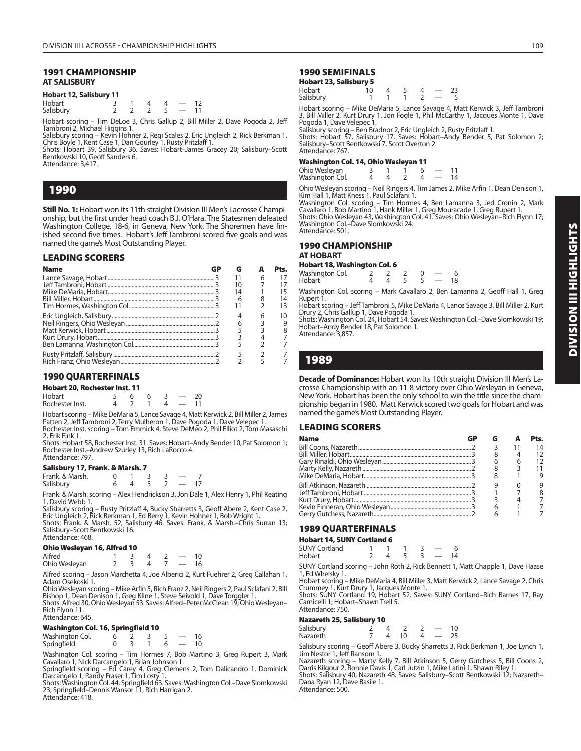# **1991 CHAMPIONSHIP AT SALISBURY**

# **Hobart 12, Salisbury 11**

| Hobart    |  |  | 12 |
|-----------|--|--|----|
| Salisbury |  |  |    |

Hobart scoring – Tim DeLoe 3, Chris Gallup 2, Bill Miller 2, Dave Pogoda 2, Jeff Tambroni 2, Michael Higgins 1.

Salisbury scoring – Kevin Hohner 2, Regi Scales 2, Eric Ungleich 2, Rick Berkman 1, Chris Boyle 1, Kent Case 1, Dan Gourley 1, Rusty Pritzlaff 1.

Shots: Hobart 39, Salisbury 36. Saves: Hobart–James Gracey 20; Salisbury–Scott Bentkowski 10, Geoff Sanders 6.

Attendance: 3,417.

# **1990**

**Still No. 1:** Hobart won its 11th straight Division III Men's Lacrosse Championship, but the first under head coach B.J. O'Hara. The Statesmen defeated Washington College, 18-6, in Geneva, New York. The Shoremen have finished second five times. Hobart's Jeff Tambroni scored five goals and was named the game's Most Outstanding Player.

# **LEADING SCORERS**

| <b>Name</b> |    |   | Pts. |
|-------------|----|---|------|
|             |    | 6 | 17   |
|             | 10 |   | 17   |
|             | 14 |   | 15   |
|             | 6  |   | 14   |
|             |    |   | 13   |
|             | 4  | 6 | 10   |
|             | 6  |   | 9    |
|             |    |   |      |
|             |    |   |      |
|             |    |   |      |
|             |    |   |      |
|             |    |   |      |

# **1990 QUARTERFINALS**

| Hobart 20, Rochester Inst. 11 |  |    |     |              |                                     |    |  |  |
|-------------------------------|--|----|-----|--------------|-------------------------------------|----|--|--|
| Hobart                        |  | -6 | - 6 |              |                                     | 20 |  |  |
| Rochester Inst.               |  |    |     | $\mathbf{A}$ | and the contract of the contract of | 11 |  |  |

Hobart scoring – Mike DeMaria 5, Lance Savage 4, Matt Kerwick 2, Bill Miller 2, James<br>Patten 2, Jeff Tambroni 2, Terry Mulheron 1, Dave Pogoda 1, Dave Velepec 1.<br>Rochester Inst. scoring – Tom Emmick 4, Steve DeMeo 2, Phil 2, Erik Fink 1.

Shots: Hobart 58, Rochester Inst. 31. Saves: Hobart–Andy Bender 10, Pat Solomon 1; Rochester Inst.–Andrew Szurley 13, Rich LaRocco 4. Attendance: 797.

# **Salisbury 17, Frank. & Marsh. 7**<br>Frank. & Marsh. **0** 1

Frank. & Marsh. 0 1 3 3 — 7 Salisbury 6 4 5 2 — 17

Frank. & Marsh. scoring – Alex Hendrickson 3, Jon Dale 1, Alex Henry 1, Phil Keating 1, David Webb 1.

Salisbury scoring – Rusty Pritzlaff 4, Bucky Sharretts 3, Geoff Abere 2, Kent Case 2,<br>Eric Ungleich 2, Rick Berkman 1, Ed Berry 1, Kevin Hohner 1, Bob Wright 1.<br>Shots: Frank. & Marsh. 52, Salisbury 46. Saves: Frank. & Mars Salisbury–Scott Bentkowski 16.

#### Attendance: 468. **Ohio Wesleyan 16, Alfred 10**

| VIIIV WESTERNIT TV, ATTIEN TV |  |  |  |  |  |    |  |  |
|-------------------------------|--|--|--|--|--|----|--|--|
| Alfred                        |  |  |  |  |  | 10 |  |  |
| Ohio Wesleyan                 |  |  |  |  |  | 16 |  |  |

Alfred scoring – Jason Marchetta 4, Joe Alberici 2, Kurt Fuehrer 2, Greg Callahan 1, Adam Osekoski 1.

Ohio Wesleyan scoring – Mike Arfin 5, Rich Franz 2, Neil Ringers 2, Paul Sclafani 2, Bill Bishop 1, Dean Denison 1, Greg Kline 1, Steve Seivold 1, Dave Torggler 1. Shots: Alfred 30, Ohio Wesleyan 53. Saves: Alfred–Peter McClean 19; Ohio Wesleyan–

Rich Flynn 11. Attendance: 645.

# **Washington Col. 16, Springfield 10**

| Washington Col. |  |  |  |
|-----------------|--|--|--|
| Springfield     |  |  |  |

Washington Col. scoring – Tim Hormes 7, Bob Martino 3, Greg Rupert 3, Mark<br>Cavallaro 1, Nick Darcangelo 1, Brian Johnson 1.<br>Springfield scoring – Ed Carey 4, Greg Clemens 2, Tom Dalicandro 1, Dominick<br>Darcangelo 1, Randy F

Shots: Washington Col. 44, Springfield 63. Saves: Washington Col.–Dave Slomkowski 23; Springfield–Dennis Wansor 11, Rich Harrigan 2. Attendance: 418.

# **1990 SEMIFINALS**

# **Hobart 23, Salisbury 5**

| ---------           |  |  |  |          |
|---------------------|--|--|--|----------|
| Hobart<br>Salisbury |  |  |  | 23<br>-5 |
|                     |  |  |  |          |

Hobart scoring – Mike DeMaria 5, Lance Savage 4, Matt Kerwick 3, Jeff Tambroni 3, Bill Miller 2, Kurt Drury 1, Jon Fogle 1, Phil McCarthy 1, Jacques Monte 1, Dave Pogoda 1, Dave Velepec 1.

Salisbury scoring – Ben Bradnor 2, Eric Ungleich 2, Rusty Pritzlaff 1. Shots: Hobart 57, Salisbury 17. Saves: Hobart–Andy Bender 5, Pat Solomon 2; Salisbury–Scott Bentkowski 7, Scott Overton 2. Attendance: 767.

# **Washington Col. 14, Ohio Wesleyan 11**

| Ohio Wesleyan   |  |  |  |
|-----------------|--|--|--|
| Washington Col. |  |  |  |

Ohio Wesleyan scoring – Neil Ringers 4, Tim James 2, Mike Arfin 1, Dean Denison 1, Kim Hall 1, Matt Kness 1, Paul Sclafani 1.

Washington Col. scoring – Tim Hormes 4, Ben Lamanna 3, Jed Cronin 2, Mark<br>Cavallaro 1, Bob Martino 1, Hank Miller 1, Greg Mouracade 1, Greg Rupert 1.<br>Shots: Ohio Wesleyan 43, Washington Col. 41. Saves: Ohio Wesleyan–Rich F Washington Col.–Dave Slomkowski 24. Attendance: 501.

# **1990 CHAMPIONSHIP AT HOBART**

**Hobart 18, Washington Col. 6**

| Washington Col. |  |  |  |  |
|-----------------|--|--|--|--|
| Hobart          |  |  |  |  |

Washington Col. scoring – Mark Cavallaro 2, Ben Lamanna 2, Geoff Hall 1, Greg Rupert 1.

Hobart scoring – Jeff Tambroni 5, Mike DeMaria 4, Lance Savage 3, Bill Miller 2, Kurt Drury 2, Chris Gallup 1, Dave Pogoda 1. Shots: Washington Col. 24, Hobart 54. Saves: Washington Col.–Dave Slomkowski 19;

Hobart–Andy Bender 18, Pat Solomon 1. Attendance: 3,857.

# **1989**

**Decade of Dominance:** Hobart won its 10th straight Division III Men's Lacrosse Championship with an 11-8 victory over Ohio Wesleyan in Geneva, New York. Hobart has been the only school to win the title since the championship began in 1980. Matt Kerwick scored two goals for Hobart and was named the game's Most Outstanding Player.

# **LEADING SCORERS**

| <b>Name</b> |  | Pts. |
|-------------|--|------|
|             |  | 14   |
|             |  | 12   |
|             |  | 12   |
|             |  | 11   |
|             |  |      |
|             |  |      |
|             |  |      |
|             |  |      |
|             |  |      |
|             |  |      |

# **1989 QUARTERFINALS**

# **Hobart 14, SUNY Cortland 6**

| <b>SUNY Cortland</b> |  |  |  |
|----------------------|--|--|--|
| Hobart               |  |  |  |

SUNY Cortland scoring – John Roth 2, Rick Bennett 1, Matt Chapple 1, Dave Haase 1, Ed Whelsky 1.

Hobart scoring – Mike DeMaria 4, Bill Miller 3, Matt Kerwick 2, Lance Savage 2, Chris Crummey 1, Kurt Drury 1, Jacques Monte 1. Shots: SUNY Cortland 19, Hobart 52. Saves: SUNY Cortland–Rich Barnes 17, Ray

Carnicelli 1; Hobart–Shawn Trell 5. Attendance: 750.

# **Nazareth 25, Salisbury 10**

| Salisbury<br>Nazareth |  | 10 |  | 10 |
|-----------------------|--|----|--|----|
|                       |  |    |  |    |

Salisbury scoring – Geoff Abere 3, Bucky Sharretts 3, Rick Berkman 1, Joe Lynch 1, Jim Nestor 1, Jeff Ransom 1.

Nazareth scoring – Marty Kelly 7, Bill Atkinson 5, Gerry Gutchess 5, Bill Coons 2, Darris Kilgour 2, Ronnie Davis 1, Carl Jutzin 1, Mike Latini 1, Shawn Riley 1. Shots: Salisbury 40, Nazareth 48. Saves: Salisbury–Scott Bentkowski 12; Nazareth– Dana Ryan 12, Dave Basile 1.

Attendance: 500.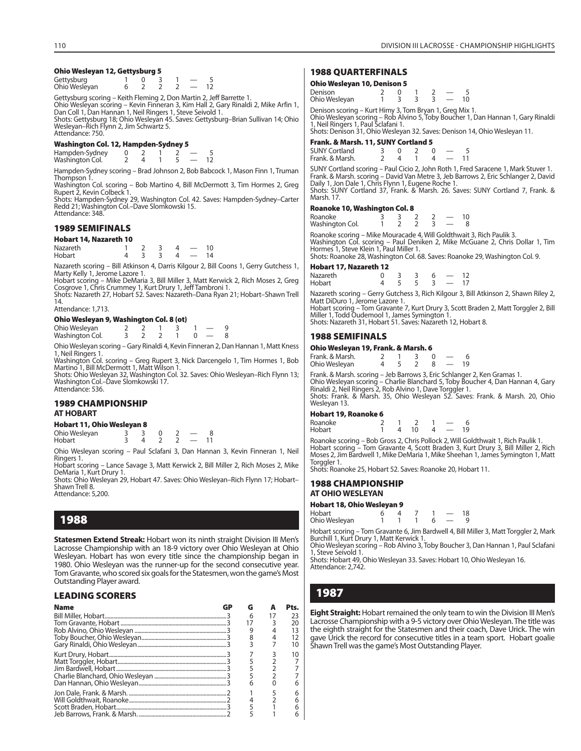#### **Ohio Wesleyan 12, Gettysburg 5**

| Gettysburg<br>Ohio Wesleyan                                          |  | $2 \t2 \t2 -$ |  |  |  |
|----------------------------------------------------------------------|--|---------------|--|--|--|
| Gettysburg scoring - Keith Fleming 2, Don Martin 2, Jeff Barrette 1. |  |               |  |  |  |

Gettysburg scoring – Keith Fleming 2, Don Martin 2, Jeff Barrette 1. Ohio Wesleyan scoring – Kevin Finneran 3, Kim Hall 2, Gary Rinaldi 2, Mike Arfin 1, Dan Coll 1, Dan Hannan 1, Neil Ringers 1, Steve Seivold 1. Shots: Gettysburg 18; Ohio Wesleyan 45. Saves: Gettysburg–Brian Sullivan 14; Ohio Wesleyan–Rich Flynn 2, Jim Schwartz 5. Attendance: 750.

#### **Washington Col. 12, Hampden-Sydney 5**

Hampden-Sydney 0 2 1 2 - 5<br>Washington Col. 2 4 1 5 - 12 Washington Col.

Hampden-Sydney scoring – Brad Johnson 2, Bob Babcock 1, Mason Finn 1, Truman Thompson 1.

Washington Col. scoring – Bob Martino 4, Bill McDermott 3, Tim Hormes 2, Greg Rupert 2, Kevin Colbeck 1.

Shots: Hampden-Sydney 29, Washington Col. 42. Saves: Hampden-Sydney–Carter Redd 21; Washington Col.–Dave Slomkowski 15. Attendance: 348.

#### **1989 SEMIFINALS**

#### **Hobart 14, Nazareth 10**

| <b>Nazareth</b> |  |  |  |
|-----------------|--|--|--|
| Hobart          |  |  |  |

Nazareth scoring – Bill Atkinson 4, Darris Kilgour 2, Bill Coons 1, Gerry Gutchess 1, Marty Kelly 1, Jerome Lazore 1.

Hobart scoring – Mike DeMaria 3, Bill Miller 3, Matt Kerwick 2, Rich Moses 2, Greg Cosgrove 1, Chris Crummey 1, Kurt Drury 1, Jeff Tambroni 1. Shots: Nazareth 27, Hobart 52. Saves: Nazareth–Dana Ryan 21; Hobart–Shawn Trell

14. Attendance: 1,713.

#### **Ohio Wesleyan 9, Washington Col. 8 (ot)**

| Ohio Wesleyan<br>Washington Col. |  |  |  |  |
|----------------------------------|--|--|--|--|

Ohio Wesleyan scoring – Gary Rinaldi 4, Kevin Finneran 2, Dan Hannan 1, Matt Kness 1, Neil Ringers 1.

Washington Col. scoring – Greg Rupert 3, Nick Darcengelo 1, Tim Hormes 1, Bob Martino 1, Bill McDermott 1, Matt Wilson 1.

Shots: Ohio Wesleyan 32, Washington Col. 32. Saves: Ohio Wesleyan–Rich Flynn 13; Washington Col.–Dave Slomkowski 17. Attendance: 536.

# **1989 CHAMPIONSHIP AT HOBART**

#### **Hobart 11, Ohio Wesleyan 8**

Ohio Wesleyan 3 3 0 2 - 8<br>
Hobart 3 4 2 2 - 11 **Hobart** 

Ohio Wesleyan scoring – Paul Sclafani 3, Dan Hannan 3, Kevin Finneran 1, Neil Ringers 1. Hobart scoring – Lance Savage 3, Matt Kerwick 2, Bill Miller 2, Rich Moses 2, Mike

DeMaria 1, Kurt Drury 1. Shots: Ohio Wesleyan 29, Hobart 47. Saves: Ohio Wesleyan-Rich Flynn 17; Hobart-

Shawn Trell 8. Attendance: 5,200.

# **1988**

**Statesmen Extend Streak:** Hobart won its ninth straight Division III Men's Lacrosse Championship with an 18-9 victory over Ohio Wesleyan at Ohio Wesleyan. Hobart has won every title since the championship began in 1980. Ohio Wesleyan was the runner-up for the second consecutive year. Tom Gravante, who scored six goals for the Statesmen, won the game's Most Outstanding Player award.

# **LEADING SCORERS**

| <b>Name</b> | GP | G  | Pts. |
|-------------|----|----|------|
|             |    |    |      |
|             |    | 6  | 23   |
|             |    | 17 | 20   |
|             |    | 9  | 13   |
|             |    | 8  | 12   |
|             |    |    | 10   |
|             |    |    | 10   |
|             |    |    |      |
|             |    |    |      |
|             |    |    |      |
|             |    | 6  |      |
|             |    |    |      |
|             |    |    |      |
|             |    |    |      |
|             |    |    |      |

# **1988 QUARTERFINALS**

#### **Ohio Wesleyan 10, Denison 5**

| Denison<br>Ohio Wesleyan |  |  |  | 10 |
|--------------------------|--|--|--|----|
|                          |  |  |  |    |

Denison scoring – Kurt Himy 3, Tom Bryan 1, Greg Mix 1. Ohio Wesleyan scoring – Rob Alvino 5, Toby Boucher 1, Dan Hannan 1, Gary Rinaldi 1, Neil Ringers 1, Paul Sclafani 1.

Shots: Denison 31, Ohio Wesleyan 32. Saves: Denison 14, Ohio Wesleyan 11.

# **Frank. & Marsh. 11, SUNY Cortland 5**

| <b>SUNY Cortland</b> |  |  |  |
|----------------------|--|--|--|
| Frank. & Marsh.      |  |  |  |

SUNY Cortland scoring – Paul Cicio 2, John Roth 1, Fred Saracene 1, Mark Stuver 1. Frank. & Marsh. scoring – David Van Metre 3, Jeb Barrows 2, Eric Schlanger 2, David Daily 1, Jon Dale 1, Chris Flynn 1, Eugene Roche 1. Shots: SUNY Cortland 37, Frank. & Marsh. 26. Saves: SUNY Cortland 7, Frank. & Marsh. 17.

#### **Roanoke 10, Washington Col. 8**

| Roanoke         |  |  |  |
|-----------------|--|--|--|
| Washington Col. |  |  |  |

Roanoke scoring – Mike Mouracade 4, Will Goldthwait 3, Rich Paulik 3. Washington Col. scoring – Paul Deniken 2, Mike McGuane 2, Chris Dollar 1, Tim<br>Hormes 1, Steve Klein 1, Paul Miller 1.<br>Shots: Roanoke 28, Washington Col. 68. Saves: Roanoke 29, Washington Col. 9.

# **Hobart 17, Nazareth 12**

| Nazareth |  |  |  |
|----------|--|--|--|
| Hobart   |  |  |  |

Nazareth scoring – Gerry Gutchess 3, Rich Kilgour 3, Bill Atkinson 2, Shawn Riley 2, Matt DiDuro 1, Jerome Lazore 1.

Hobart scoring – Tom Gravante 7, Kurt Drury 3, Scott Braden 2, Matt Torggler 2, Bill Miller 1, Todd Oudemool 1, James Symington 1.

Shots: Nazareth 31, Hobart 51. Saves: Nazareth 12, Hobart 8.

# **1988 SEMIFINALS**

#### **Ohio Wesleyan 19, Frank. & Marsh. 6**

| Frank. & Marsh. |  |  |     |  |
|-----------------|--|--|-----|--|
| Ohio Wesleyan   |  |  | 10. |  |

Frank. & Marsh. scoring – Jeb Barrows 3, Eric Schlanger 2, Ken Gramas 1. Ohio Wesleyan scoring – Charlie Blanchard 5, Toby Boucher 4, Dan Hannan 4, Gary<br>Rinaldi 2, Neil Ringers 2, Rob Alvino 1, Dave Torggler 1.<br>Shots: Frank. & Marsh. 35, Ohio Wesleyan 52. Saves: Frank. & Marsh. 20, Ohio Wesleyan 13.

#### **Hobart 19, Roanoke 6**

| Roanoke |          |      |  |     |
|---------|----------|------|--|-----|
| Hobart  | $\Delta$ | - 10 |  | 10. |

Roanoke scoring – Bob Gross 2, Chris Pollock 2, Will Goldthwait 1, Rich Paulik 1. Hobart scoring – Tom Gravante 4, Scott Braden 3, Kurt Drury 3, Bill Miller 2, Rich Moses 2, Jim Bardwell 1, Mike DeMaria 1, Mike Sheehan 1, James Symington 1, Matt Torggler 1.

Shots: Roanoke 25, Hobart 52. Saves: Roanoke 20, Hobart 11.

# **1988 CHAMPIONSHIP AT OHIO WESLEYAN**

#### **Hobart 18, Ohio Wesleyan 9**

| Hobart        |  |  |  |  |
|---------------|--|--|--|--|
| Ohio Wesleyan |  |  |  |  |

Hobart scoring – Tom Gravante 6, Jim Bardwell 4, Bill Miller 3, Matt Torggler 2, Mark Burchill 1, Kurt Drury 1, Matt Kerwick 1.

Ohio Wesleyan scoring – Rob Alvino 3, Toby Boucher 3, Dan Hannan 1, Paul Sclafani 1, Steve Seivold 1.

Shots: Hobart 49, Ohio Wesleyan 33. Saves: Hobart 10, Ohio Wesleyan 16. Attendance: 2,742.

# **1987**

**Eight Straight:** Hobart remained the only team to win the Division III Men's Lacrosse Championship with a 9-5 victory over Ohio Wesleyan. The title was the eighth straight for the Statesmen and their coach, Dave Urick. The win gave Urick the record for consecutive titles in a team sport. Hobart goalie Shawn Trell was the game's Most Outstanding Player.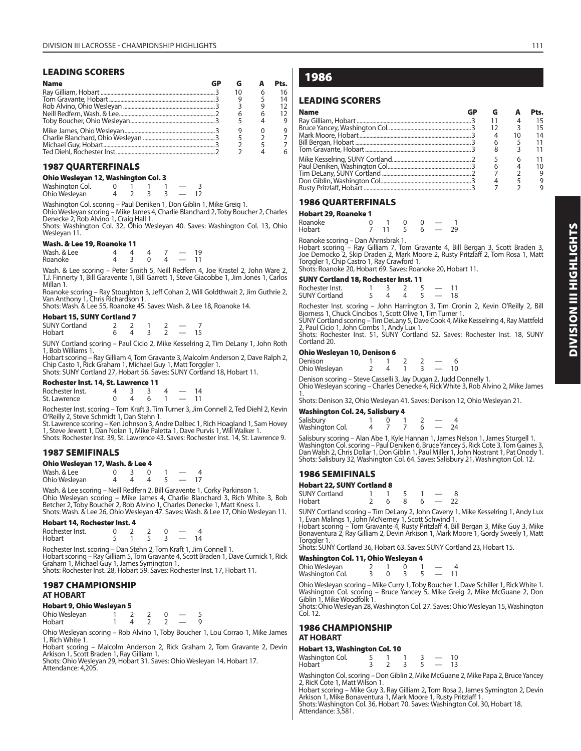# **LEADING SCORERS**

| <b>Name</b> | GP |    |   | Pts. |
|-------------|----|----|---|------|
|             |    | 10 | 6 | 16   |
|             |    |    |   | 14   |
|             |    |    |   |      |
|             |    |    | 6 |      |
|             |    |    |   |      |
|             |    |    |   |      |
|             |    |    |   |      |
|             |    |    |   |      |
|             |    |    |   |      |

# **1987 QUARTERFINALS**

# **Ohio Wesleyan 12, Washington Col. 3**

| Washington Col. |  |  |  |
|-----------------|--|--|--|
| Ohio Wesleyan   |  |  |  |

Washington Col. scoring – Paul Deniken 1, Don Giblin 1, Mike Greig 1.<br>Ohio Wesleyan scoring – Mike James 4, Charlie Blanchard 2, Toby Boucher 2, Charles<br>Denecke 2, Rob Alvino 1, Craig Hall 1.<br>Shots: Washington Col. 32, Ohi

Wesleyan 11.

# **Wash. & Lee 19, Roanoke 11**

| Wash. & Lee |             |  | 19 |
|-------------|-------------|--|----|
| Roanoke     | $\cdot$ 3 0 |  |    |

Wash. & Lee scoring – Peter Smith 5, Neill Redfern 4, Joe Krastel 2, John Ware 2, T.J. Finnerty 1, Bill Garavente 1, Bill Garrett 1, Steve Giacobbe 1, Jim Jones 1, Carlos Millan 1.

Roanoke scoring – Ray Stoughton 3, Jeff Cohan 2, Will Goldthwait 2, Jim Guthrie 2, Van Anthony 1, Chris Richardson 1.

Shots: Wash. & Lee 55, Roanoke 45. Saves: Wash. & Lee 18, Roanoke 14.

# **Hobart 15, SUNY Cortland 7**

| <b>SUNY Cortland</b> |  |  |  |
|----------------------|--|--|--|
| Hobart               |  |  |  |

SUNY Cortland scoring – Paul Cicio 2, Mike Kesselring 2, Tim DeLany 1, John Roth 1, Bob Williams 1.

Hobart scoring – Ray Gilliam 4, Tom Gravante 3, Malcolm Anderson 2, Dave Ralph 2, Chip Casto 1, Rick Graham 1, Michael Guy 1, Matt Torggler 1. Shots: SUNY Cortland 27, Hobart 56. Saves: SUNY Cortland 18, Hobart 11.

#### **Rochester Inst. 14, St. Lawrence 11**

| Rochester Inst. |  |  |  |
|-----------------|--|--|--|
| St. Lawrence    |  |  |  |

Rochester Inst. scoring – Tom Kraft 3, Tim Turner 3, Jim Connell 2, Ted Diehl 2, Kevin

O'Reilly 2, Steve Schmidt 1, Dan Stehn 1. St. Lawrence scoring – Ken Johnson 3, Andre Dalbec 1, Rich Hoagland 1, Sam Hovey 1, Steve Jewett 1, Dan Nolan 1, Mike Paletta 1, Dave Purvis 1, Will Walker 1. Shots: Rochester Inst. 39, St. Lawrence 43. Saves: Rochester Inst. 14, St. Lawrence 9.

# **1987 SEMIFINALS**

| Ohio Wesleyan 17, Wash. & Lee 4 |  |  |  |  |
|---------------------------------|--|--|--|--|
|---------------------------------|--|--|--|--|

| Wash, & Lee   |  |  |  |
|---------------|--|--|--|
| Ohio Wesleyan |  |  |  |

Wash. & Lee scoring – Neill Redfern 2, Bill Garavente 1, Corky Parkinson 1. Ohio Wesleyan scoring – Mike James 4, Charlie Blanchard 3, Rich White 3, Bob Betcher 2, Toby Boucher 2, Rob Alvino 1, Charles Denecke 1, Matt Kness 1. Shots: Wash. & Lee 26, Ohio Wesleyan 47. Saves: Wash. & Lee 17, Ohio Wesleyan 11.

# **Hobart 14, Rochester Inst. 4**

| Rochester Inst. |  |  |  |
|-----------------|--|--|--|
| Hobart          |  |  |  |

Rochester Inst. scoring – Dan Stehn 2, Tom Kraft 1, Jim Connell 1. Hobart scoring – Ray Gilliam 5, Tom Gravante 4, Scott Braden 1, Dave Curnick 1, Rick Graham 1, Michael Guy 1, James Symington 1. Shots: Rochester Inst. 28, Hobart 59. Saves: Rochester Inst. 17, Hobart 11.

# **1987 CHAMPIONSHIP**

# **AT HOBART**

# **Hobart 9, Ohio Wesleyan 5**

| Ohio Wesleyan |  |  |  |
|---------------|--|--|--|
| Hobart        |  |  |  |

Ohio Wesleyan scoring – Rob Alvino 1, Toby Boucher 1, Lou Corrao 1, Mike James 1, Rich White 1.

Hobart scoring – Malcolm Anderson 2, Rick Graham 2, Tom Gravante 2, Devin Arkison 1, Scott Braden 1, Ray Gilliam 1. Shots: Ohio Wesleyan 29, Hobart 31. Saves: Ohio Wesleyan 14, Hobart 17.

Attendance: 4,205.

# **1986**

# **LEADING SCORERS**

| <b>Name</b> |   |    | Pts. |
|-------------|---|----|------|
|             |   |    | 15   |
|             |   |    | 15   |
|             |   | 10 | 14   |
|             | 6 |    | 11   |
|             |   |    |      |
|             |   |    | 11   |
|             |   |    | 10   |
|             |   |    | 9    |
|             |   |    |      |
|             |   |    |      |

# **1986 QUARTERFINALS**

#### **Hobart 29, Roanoke 1**

|                          | ----------------------- |                          |               |     |                |     |       |  |
|--------------------------|-------------------------|--------------------------|---------------|-----|----------------|-----|-------|--|
|                          | Roanoke                 |                          |               |     | $\Omega$       |     |       |  |
| Hobart                   |                         |                          |               | -11 | $\overline{5}$ | _ რ | $-29$ |  |
| $\overline{\phantom{0}}$ |                         | $\overline{\phantom{0}}$ | $\sim$ $\sim$ |     |                |     |       |  |

Roanoke scoring – Dan Ahrnsbrak 1.

Hobart scoring – Ray Gilliam 7, Tom Gravante 4, Bill Bergan 3, Scott Braden 3, Joe Democko 2, Skip Draden 2, Mark Moore 2, Rusty Pritzlaff 2, Tom Rosa 1, Matt Torggler 1, Chip Castro 1, Ray Crawford 1. Shots: Roanoke 20, Hobart 69. Saves: Roanoke 20, Hobart 11.

# **SUNY Cortland 18, Rochester Inst. 11**

| <b>SUNT COLUTION 19' ROCUGSTEL INST. I I</b> |   |   |               |     |
|----------------------------------------------|---|---|---------------|-----|
| Rochester Inst.                              |   |   | $\sim$        | -11 |
| <b>SUNY Cortland</b>                         | 4 | 4 | $\sim$ $\sim$ | 18  |

Rochester Inst. scoring – John Harrington 3, Tim Cronin 2, Kevin O'Reilly 2, Bill Bjorness 1, Chuck Cincibos 1, Scott Olive 1, Tim Turner 1. SUNY Cortland scoring – Tim DeLany 5, Dave Cook 4, Mike Kesselring 4, Ray Mattfeld

2, Paul Cicio 1, John Combs 1, Andy Lux 1. Shots: Rochester Inst. 51, SUNY Cortland 52. Saves: Rochester Inst. 18, SUNY Cortland 20.

#### **Ohio Wesleyan 10, Denison 6**

| Denison<br>Ohio Wesleyan |  |  |  |  | $\sim$ |  |  |
|--------------------------|--|--|--|--|--------|--|--|
|--------------------------|--|--|--|--|--------|--|--|

Denison scoring – Steve Casselli 3, Jay Dugan 2, Judd Donnelly 1. Ohio Wesleyan scoring – Charles Denecke 4, Rick White 3, Rob Alvino 2, Mike James

1. Shots: Denison 32, Ohio Wesleyan 41. Saves: Denison 12, Ohio Wesleyan 21.

## **Washington Col. 24, Salisbury 4**

| Salisbury<br>Washington Col. |  |  |  |
|------------------------------|--|--|--|

Salisbury scoring – Alan Abe 1, Kyle Hannan 1, James Nelson 1, James Sturgell 1.<br>Washington Col. scoring – Paul Deniken 6, Bruce Yancey 5, Rick Cote 3, Tom Gaines 3,<br>Dan Walsh 2, Chris Dollar 1, Don Giblin 1, Paul Miller 1 Shots: Salisbury 32, Washington Col. 64. Saves: Salisbury 21, Washington Col. 12.

# **1986 SEMIFINALS**

| <b>Hobart 22, SUNY Cortland 8</b> |   |   |      |
|-----------------------------------|---|---|------|
| SUNY Cortland                     |   |   |      |
| Hobart                            | 6 | h | - 22 |

SUNY Cortland scoring – Tim DeLany 2, John Caveny 1, Mike Kesselring 1, Andy Lux 1, Evan Malings 1, John McNerney 1, Scott Schwind 1.<br>Hobart scoring – Tom Gravante 4, Rusty Pritzlaff 4, Bill Bergan 3, Mike Guy 3, Mike<br>Bonaventura 2, Ray Gilliam 2, Devin Arkison 1, Mark Moore 1, Gordy Sweely 1, Matt

Torggler 1.

Shots: SUNY Cortland 36, Hobart 63. Saves: SUNY Cortland 23, Hobart 15.

#### **Washington Col. 11, Ohio Wesleyan 4**

| Ohio Wesleyan<br>Washington Col. |  |  |  |
|----------------------------------|--|--|--|

Ohio Wesleyan scoring – Mike Curry 1, Toby Boucher 1, Dave Schiller 1, Rick White 1. Washington Col. scoring - Bruce Yancey 5, Mike Greig 2, Mike McGuane 2, Don Giblin 1<sup>Mike</sup> Woodfolk 1.

Shots: Ohio Wesleyan 28, Washington Col. 27. Saves: Ohio Wesleyan 15, Washington  $Coll. 12.$ 

# **1986 CHAMPIONSHIP AT HOBART**

# **Hobart 13, Washington Col. 10**

| $100001$ G $137$ massing ton Congress |  |  |    |
|---------------------------------------|--|--|----|
| Washington Col.                       |  |  | 10 |
| Hobart                                |  |  | 13 |

Washington Col. scoring – Don Giblin 2, Mike McGuane 2, Mike Papa 2, Bruce Yancey 2, RicK Cote 1, Matt Wilson 1.

Hobart scoring – Mike Guy 3, Ray Gilliam 2, Tom Rosa 2, James Symington 2, Devin Arkison 1, Mike Bonaventura 1, Mark Moore 1, Rusty Pritzlaff 1. Shots: Washington Col. 36, Hobart 70. Saves: Washington Col. 30, Hobart 18. Attendance: 3,581.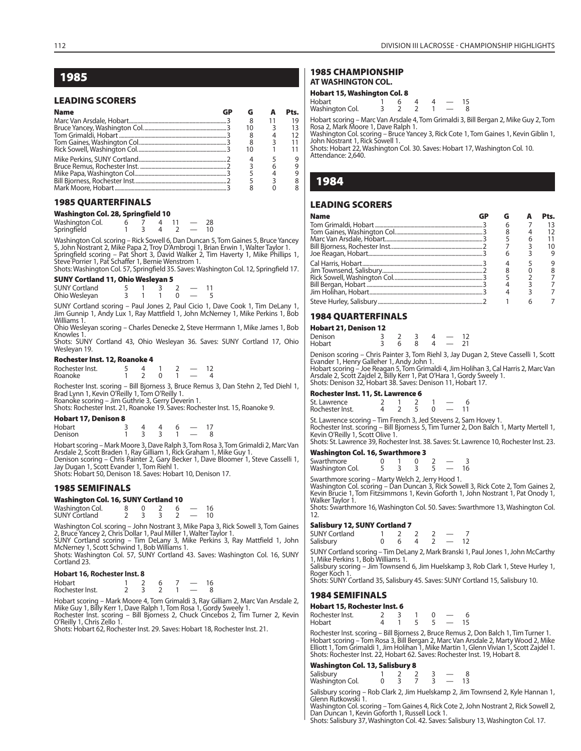# **1985**

# **LEADING SCORERS**

| <b>Name</b> |  |  |
|-------------|--|--|
|             |  |  |
|             |  |  |
|             |  |  |
|             |  |  |
|             |  |  |
|             |  |  |
|             |  |  |
|             |  |  |
|             |  |  |
|             |  |  |

# **1985 QUARTERFINALS**

# **Washington Col. 28, Springfield 10**

| Washington Col. |  |  | 28 |
|-----------------|--|--|----|
| Springfield     |  |  | 10 |

Washington Col. scoring – Rick Sowell 6, Dan Duncan 5, Tom Gaines 5, Bruce Yancey 5, John Nostrant 2, Mike Papa 2, Troy D'Ambrogi 1, Brian Erwin 1, Walter Taylor 1. Springfield scoring – Pat Short 3, David Walker 2, Tim Haverty 1, Mike Phillips 1, Steve Porrier 1, Pat Schaffer 1, Bernie Wenstrom 1.

Shots: Washington Col. 57, Springfield 35. Saves: Washington Col. 12, Springfield 17. **SUNY Cortland 11, Ohio Wesleyan 5**

| $1.7$ and $1.7$ and $1.7$ and $1.7$ and $1.7$ and $1.7$ and $1.7$ and $1.7$ and $1.7$ and $1.7$ and $1.7$ and $1.7$ and $1.7$ and $1.7$ and $1.7$ and $1.7$ and $1.7$ and $1.7$ and $1.7$ and $1.7$ and $1.7$ and $1.7$ and |  |  |  |
|-----------------------------------------------------------------------------------------------------------------------------------------------------------------------------------------------------------------------------|--|--|--|
| <b>SUNY Cortland</b>                                                                                                                                                                                                        |  |  |  |
| Ohio Weslevan                                                                                                                                                                                                               |  |  |  |

SUNY Cortland scoring – Paul Jones 2, Paul Cicio 1, Dave Cook 1, Tim DeLany 1, Jim Gunnip 1, Andy Lux 1, Ray Mattfield 1, John McNerney 1, Mike Perkins 1, Bob Williams 1.

Ohio Wesleyan scoring – Charles Denecke 2, Steve Herrmann 1, Mike James 1, Bob Knowles 1.

Shots: SUNY Cortland 43, Ohio Wesleyan 36. Saves: SUNY Cortland 17, Ohio Wesleyan 19.

# **Rochester Inst. 12, Roanoke 4**

Rochester Inst. 5 4 1 2 — 12 Roanoke 1 2 0 1 — 4

Rochester Inst. scoring – Bill Bjorness 3, Bruce Remus 3, Dan Stehn 2, Ted Diehl 1, Brad Lynn 1, Kevin O'Reilly 1, Tom O'Reilly 1. Roanoke scoring – Jim Guthrie 3, Gerry Deverin 1.

Shots: Rochester Inst. 21, Roanoke 19. Saves: Rochester Inst. 15, Roanoke 9.

# **Hobart 17, Denison 8**

| Hobart  |  |  |  |
|---------|--|--|--|
| Denison |  |  |  |

Hobart scoring – Mark Moore 3, Dave Ralph 3, Tom Rosa 3, Tom Grimaldi 2, Marc Van Arsdale 2, Scott Braden 1, Ray Gilliam 1, Rick Graham 1, Mike Guy 1. Denison scoring – Chris Painter 2, Gary Becker 1, Dave Bloomer 1, Steve Casselli 1, Jay Dugan 1, Scott Evander 1, Tom Riehl 1. Shots: Hobart 50, Denison 18. Saves: Hobart 10, Denison 17.

#### **1985 SEMIFINALS**

| <b>Washington Col. 16, SUNY Cortland 10</b> |  |  |                          |    |
|---------------------------------------------|--|--|--------------------------|----|
| Washington Col.<br>SUNY Cortland            |  |  |                          | 16 |
|                                             |  |  | $\overline{\phantom{0}}$ | 10 |

Washington Col. scoring – John Nostrant 3, Mike Papa 3, Rick Sowell 3, Tom Gaines 2, Bruce Yancey 2, Chris Dollar 1, Paul Miller 1, Walter Taylor 1. SUNY Cortland scoring – Tim DeLany 3, Mike Perkins 3, Ray Mattfield 1, John

McNerney 1, Scott Schwind 1, Bob Williams 1.

Shots: Washington Col. 57, SUNY Cortland 43. Saves: Washington Col. 16, SUNY Cortland 23.

#### **Hobart 16, Rochester Inst. 8**

| Hobart          |  |  |  |
|-----------------|--|--|--|
| Rochester Inst. |  |  |  |

Hobart scoring – Mark Moore 4, Tom Grimaldi 3, Ray Gilliam 2, Marc Van Arsdale 2, Mike Guy 1, Billy Kerr 1, Dave Ralph 1, Tom Rosa 1, Gordy Sweely 1. Rochester Inst. scoring - Bill Bjorness 2, Chuck Cincebos 2, Tim Turner 2, Kevin

O'Reilly 1, Chris Zello 1. Shots: Hobart 62, Rochester Inst. 29. Saves: Hobart 18, Rochester Inst. 21.

#### **1985 CHAMPIONSHIP AT WASHINGTON COL.**

# **Hobart 15, Washington Col. 8**

| Hobart          |  |  |  |
|-----------------|--|--|--|
| Washington Col. |  |  |  |

Hobart scoring – Marc Van Arsdale 4, Tom Grimaldi 3, Bill Bergan 2, Mike Guy 2, Tom Rosa 2, Mark Moore 1, Dave Ralph 1.

Washington Col. scoring – Bruce Yancey 3, Rick Cote 1, Tom Gaines 1, Kevin Giblin 1, John Nostrant 1, Rick Sowell 1. Shots: Hobart 22, Washington Col. 30. Saves: Hobart 17, Washington Col. 10.

Attendance: 2,640.

# **1984**

# **LEADING SCORERS**

| <b>Name</b> |  | Pts. |
|-------------|--|------|
|             |  |      |
|             |  |      |
|             |  |      |
|             |  |      |
|             |  |      |
|             |  |      |
|             |  |      |
|             |  |      |
|             |  |      |
|             |  |      |
|             |  |      |

# **1984 QUARTERFINALS**

#### **Hobart 21, Denison 12**

| Denison |  | 4 |  |
|---------|--|---|--|
| Hobart  |  | 4 |  |

Denison scoring – Chris Painter 3, Tom Riehl 3, Jay Dugan 2, Steve Casselli 1, Scott<br>Evander 1, Henry Galleher 1, Andy John 1.<br>Hobart scoring – Joe Reagan 5, Tom Grimaldi 4, Jim Holihan 3, Cal Harris 2, Marc Van<br>Arsdale 2,

Shots: Denison 32, Hobart 38. Saves: Denison 11, Hobart 17.

#### **Rochester Inst. 11, St. Lawrence 6**

| St. Lawrence    |  |  |  |
|-----------------|--|--|--|
| Rochester Inst. |  |  |  |

St. Lawrence scoring – Tim French 3, Jed Stevens 2, Sam Hovey 1. Rochester Inst. scoring – Bill Bjorness 5, Tim Turner 2, Don Balch 1, Marty Mertell 1, Kevin O'Reilly 1, Scott Olive 1.

Shots: St. Lawrence 39, Rochester Inst. 38. Saves: St. Lawrence 10, Rochester Inst. 23.

# **Washington Col. 16, Swarthmore 3**<br>Swarthmore 0 1 0

Swarthmore 0 1 0 2 — 3<br>Washington Col. 5 3 3 5 — 16 Washington Col.

Washington Col. scoring – Dan Duncan 3, Rick Sowell 3, Rick Cote 2, Tom Gaines 2, Kevin Brucie 1, Tom Fitzsimmons 1, Kevin Goforth 1, John Nostrant 1, Pat Onody 1,

Shots: Swarthmore 16, Washington Col. 50. Saves: Swarthmore 13, Washington Col.

| <b>SUNY Cortland</b> |  |  |  |
|----------------------|--|--|--|
| Salisbury            |  |  |  |

SUNY Cortland scoring – Tim DeLany 2, Mark Branski 1, Paul Jones 1, John McCarthy 1, Mike Perkins 1, Bob Williams 1.

Salisbury scoring – Jim Townsend 6, Jim Huelskamp 3, Rob Clark 1, Steve Hurley 1, Roger Koch 1.

Shots: SUNY Cortland 35, Salisbury 45. Saves: SUNY Cortland 15, Salisbury 10.

# **1984 SEMIFINALS**

| Hobart 15, Rochester Inst. 6 |  |  |  |  |     |     |  |
|------------------------------|--|--|--|--|-----|-----|--|
| Rochester Inst.              |  |  |  |  |     |     |  |
| Hobart                       |  |  |  |  | 5 — | -15 |  |

Rochester Inst. scoring – Bill Bjorness 2, Bruce Remus 2, Don Balch 1, Tim Turner 1. Hobart scoring – Tom Rosa 3, Bill Bergan 2, Marc Van Arsdale 2, Marty Wood 2, Mike Elliott 1, Tom Grimaldi 1, Jim Holihan 1, Mike Martin 1, Glenn Vivian 1, Scott Zajdel 1. Shots: Rochester Inst. 22, Hobart 62. Saves: Rochester Inst. 19, Hobart 8.

#### **Washington Col. 13, Salisbury 8**

| Salisbury       |  |  |  |
|-----------------|--|--|--|
| Washington Col. |  |  |  |

Salisbury scoring – Rob Clark 2, Jim Huelskamp 2, Jim Townsend 2, Kyle Hannan 1, Glenn Rutkowski 1.

Washington Col. scoring – Tom Gaines 4, Rick Cote 2, John Nostrant 2, Rick Sowell 2, Dan Duncan 1, Kevin Goforth 1, Russell Lock 1.

Shots: Salisbury 37, Washington Col. 42. Saves: Salisbury 13, Washington Col. 17.

Swarthmore scoring – Marty Welch 2, Jerry Hood 1. Walker Taylor 1.

> 12. **Salisbury 12, SUNY Cortland 7**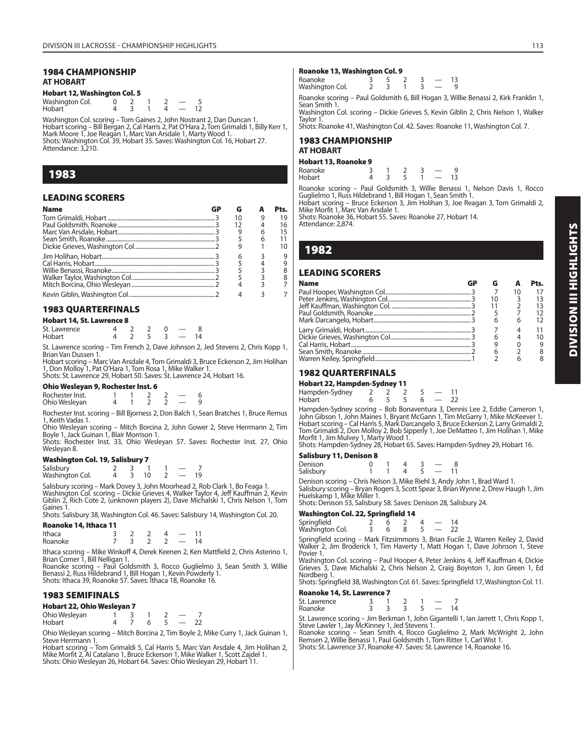# **1984 CHAMPIONSHIP AT HOBART**

# **Hobart 12, Washington Col. 5**

| Washington Col. |  |  |  |
|-----------------|--|--|--|
| Hobart          |  |  |  |

Washington Col. scoring – Tom Gaines 2, John Nostrant 2, Dan Duncan 1. Hobart scoring – Bill Bergan 2, Cal Harris 2, Pat O'Hara 2, Tom Grimaldi 1, Billy Kerr 1, Mark Moore 1, Joe Reagan 1, Marc Van Arsdale 1, Marty Wood 1. Shots: Washington Col. 39, Hobart 35. Saves: Washington Col. 16, Hobart 27. Attendance: 3,210.

# **1983**

# **LEADING SCORERS**

| <b>Name</b> |    |   | Pts. |
|-------------|----|---|------|
|             | 10 |   | 19   |
|             |    |   | 16   |
|             |    | 6 | 15   |
|             |    |   |      |
|             |    |   | 10   |
|             |    |   | 9    |
|             |    |   | q    |
|             |    |   |      |
|             |    |   |      |
|             |    |   |      |
|             |    |   |      |

# **1983 QUARTERFINALS**

# **Hobart 14, St. Lawrence 8**

| St. Lawrence |  |  |  |
|--------------|--|--|--|
| Hobart       |  |  |  |

St. Lawrence scoring – Tim French 2, Dave Johnson 2, Jed Stevens 2, Chris Kopp 1, Brian Van Dussen 1.

Hobart scoring – Marc Van Arsdale 4, Tom Grimaldi 3, Bruce Eckerson 2, Jim Holihan 1, Don Molloy 1, Pat O'Hara 1, Tom Rosa 1, Mike Walker 1. Shots: St. Lawrence 29, Hobart 50. Saves: St. Lawrence 24, Hobart 16.

# **Ohio Wesleyan 9, Rochester Inst. 6**

| Rochester Inst. |  |  |  |
|-----------------|--|--|--|
| Ohio Wesleyan   |  |  |  |

Rochester Inst. scoring – Bill Bjorness 2, Don Balch 1, Sean Bratches 1, Bruce Remus 1, Keith Vadas 1.

Ohio Wesleyan scoring – Mitch Borcina 2, John Gower 2, Steve Herrmann 2, Tim Boyle 1, Jack Guinan 1, Blair Morrison 1.

Shots: Rochester Inst. 33, Ohio Wesleyan 57. Saves: Rochester Inst. 27, Ohio Wesleyan 8.

# **Washington Col. 19, Salisbury 7**

| Salisbury       |  |  |    |
|-----------------|--|--|----|
| Washington Col. |  |  | 19 |

Salisbury scoring – Mark Dovey 3, John Moorhead 2, Rob Clark 1, Bo Feaga 1. Washington Col. scoring – Dickie Grieves 4, Walker Taylor 4, Jeff Kauffman 2, Kevin Giblin 2, Rich Cote 2, (unknown players 2), Dave Michalski 1, Chris Nelson 1, Tom Gaines 1. Shots: Salisbury 38, Washington Col. 46. Saves: Salisbury 14, Washington Col. 20.

**Roanoke 14, Ithaca 11**

| Ithaca<br>Roanoke |  |  |  |
|-------------------|--|--|--|
|                   |  |  |  |

Ithaca scoring – Mike Winkoff 4, Derek Keenen 2, Ken Mattfield 2, Chris Asterino 1, Brian Comer 1, Bill Nelligan 1.

Roanoke scoring – Paul Goldsmith 3, Rocco Guglielmo 3, Sean Smith 3, Willie Benassi 2, Russ Hildebrand 1, Bill Hogan 1, Kevin Powderly 1. Shots: Ithaca 39, Roanoke 57. Saves: Ithaca 18, Roanoke 16.

# **1983 SEMIFINALS**

| Hobart 22, Ohio Wesleyan 7 |  |  |  |
|----------------------------|--|--|--|
| Ohio Wesleyan              |  |  |  |
| the late and               |  |  |  |

Hobart 4 7 6 5 — 22 Ohio Wesleyan scoring – Mitch Borcina 2, Tim Boyle 2, Mike Curry 1, Jack Guinan 1,

Steve Herrmann 1. Hobart scoring – Tom Grimaldi 5, Cal Harris 5, Marc Van Arsdale 4, Jim Holihan 2, Mike Morfit 2, Al Catalano 1, Bruce Eckerson 1, Mike Walker 1, Scott Zajdel 1.

Shots: Ohio Wesleyan 26, Hobart 64. Saves: Ohio Wesleyan 29, Hobart 11.

# **Roanoke 13, Washington Col. 9**

| Roanoke         |  |  |  |
|-----------------|--|--|--|
| Washington Col. |  |  |  |

Roanoke scoring – Paul Goldsmith 6, Bill Hogan 3, Willie Benassi 2, Kirk Franklin 1, Sean Smith 1.

Washington Col. scoring – Dickie Grieves 5, Kevin Giblin 2, Chris Nelson 1, Walker Taylor 1.

Shots: Roanoke 41, Washington Col. 42. Saves: Roanoke 11, Washington Col. 7.

# **1983 CHAMPIONSHIP AT HOBART**

#### **Hobart 13, Roanoke 9**

| Roanoke<br>Hobart |  |  |  |
|-------------------|--|--|--|
|                   |  |  |  |

Roanoke scoring – Paul Goldsmith 3, Willie Benassi 1, Nelson Davis 1, Rocco Guglielmo 1, Russ Hildebrand 1, Bill Hogan 1, Sean Smith 1.

Hobart scoring – Bruce Eckerson 3, Jim Holihan 3, Joe Reagan 3, Tom Grimaldi 2, Mike Morfit 1, Marc Van Arsdale 1.

Shots: Roanoke 36, Hobart 55. Saves: Roanoke 27, Hobart 14. Attendance: 2,874.

# **1982**

# **LEADING SCORERS**

| <b>Name</b> |    |    | Pts. |
|-------------|----|----|------|
|             |    | 10 | 17   |
|             | 10 | 3  | 13   |
|             |    |    | 13   |
|             |    |    | 12   |
|             | 6  | 6  | 12   |
|             |    |    | 11   |
|             | 6  |    | 10   |
|             |    |    | 9    |
|             | 6  |    |      |
|             |    |    |      |

# **1982 QUARTERFINALS**

# **Hobart 22, Hampden-Sydney 11**

| Hampden-Sydney |  |  |  |
|----------------|--|--|--|
| Hobart         |  |  |  |

Hampden-Sydney scoring – Bob Bonaventura 3, Dennis Lee 2, Eddie Cameron 1,<br>John Gibson 1, John Maines 1, Bryant McGann 1, Tim McGarry 1, Mike McKeever 1.<br>Hobart scoring – Cal Harris 5, Mark Darcangelo 3, Bruce Eckerson 2, Morfit 1, Jim Mulvey 1, Marty Wood 1.

Shots: Hampden-Sydney 28, Hobart 65. Saves: Hampden-Sydney 29, Hobart 16.

# **Salisbury 11, Denison 8**

| Denison   |  |  |      |                             |  |
|-----------|--|--|------|-----------------------------|--|
| Salisbury |  |  |      |                             |  |
|           |  |  | $-1$ | $\sim$ $\sim$ $\sim$ $\sim$ |  |

Denison scoring – Chris Nelson 3, Mike Riehl 3, Andy John 1, Brad Ward 1. Salisbury scoring – Bryan Rogers 3, Scott Spear 3, Brian Wynne 2, Drew Haugh 1, Jim Huelskamp 1, Mike Miller 1.

Shots: Denison 53, Salisbury 58. Saves: Denison 28, Salisbury 24.

# **Washington Col. 22, Springfield 14**

| Springfield<br>Washington Col.                          |  |  | $5 - 72$ |  |
|---------------------------------------------------------|--|--|----------|--|
| Springfield scoring - Mark Fitzsimmons 3 Brian Fucile 2 |  |  |          |  |

Warren Keiley 2, David Walker 2, Jim Broderick 1, Tim Haverty 1, Matt Hogan 1, Dave Johnson 1, Steve Povier 1.

Washington Col. scoring – Paul Hooper 4, Peter Jenkins 4, Jeff Kauffman 4, Dickie Grieves 3, Dave Michalski 2, Chris Nelson 2, Craig Boynton 1, Jon Green 1, Ed Nordberg 1.

Shots: Springfield 38, Washington Col. 61. Saves: Springfield 17, Washington Col. 11.

| Roanoke 14, St. Lawrence 7 |  |  |  |  |            |    |  |  |
|----------------------------|--|--|--|--|------------|----|--|--|
| St. Lawrence               |  |  |  |  |            |    |  |  |
| Roanoke                    |  |  |  |  | $\sim$ $-$ | 14 |  |  |

St. Lawrence scoring – Jim Berkman 1, John Gigantelli 1, Ian Jarrett 1, Chris Kopp 1, Steve Lawler 1, Jay McKinney 1, Jed Stevens 1.

Roanoke scoring – Sean Smith 4, Rocco Guglielmo 2, Mark McWright 2, John Remsen 2, Willie Benassi 1, Paul Goldsmith 1, Tom Ritter 1, Carl Wist 1. Shots: St. Lawrence 37, Roanoke 47. Saves: St. Lawrence 14, Roanoke 16.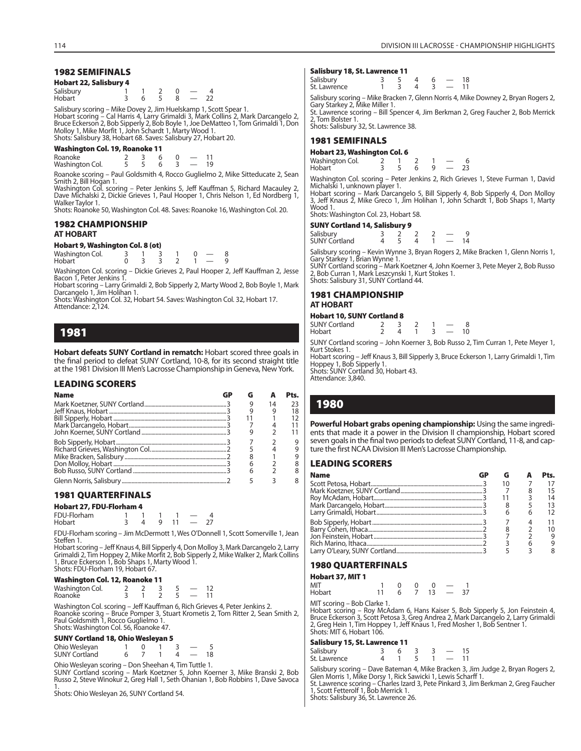# **1982 SEMIFINALS**

| <b>Hobart 22, Salisbury 4</b> |  |  |  |
|-------------------------------|--|--|--|
| Salisbury                     |  |  |  |

| <b>Janspary</b><br>Hobart |                |                | v<br>$3\quad 6\quad 5\quad 8\quad -\quad 22$ |        |  |
|---------------------------|----------------|----------------|----------------------------------------------|--------|--|
| $  -$                     | <b>A A A A</b> | $\sim$ $\cdot$ | . .                                          | $\sim$ |  |

Salisbury scoring – Mike Dovey 2, Jim Huelskamp 1, Scott Spear 1.<br>Hobart scoring – Cal Harris 4, Larry Grimaldi 3, Mark Collins 2, Mark Darcangelo 2,<br>Bruce Eckerson 2, Bob Sipperly 2, Bob Boyle 1, Joe DeMatteo 1, Tom Grima Shots: Salisbury 38, Hobart 68. Saves: Salisbury 27, Hobart 20.

#### **Washington Col. 19, Roanoke 11**

| Roanoke         |  |  |  |
|-----------------|--|--|--|
| Washington Col. |  |  |  |

Roanoke scoring – Paul Goldsmith 4, Rocco Guglielmo 2, Mike Sitteducate 2, Sean Smith 2, Bill Hogan 1.

Washington Col. scoring – Peter Jenkins 5, Jeff Kauffman 5, Richard Macauley 2, Dave Michalski 2, Dickie Grieves 1, Paul Hooper 1, Chris Nelson 1, Ed Nordberg 1, Walker Taylor 1.

Shots: Roanoke 50, Washington Col. 48. Saves: Roanoke 16, Washington Col. 20.

# **1982 CHAMPIONSHIP**

## **AT HOBART**

# **Hobart 9, Washington Col. 8 (ot)**

| Washington Col. |  |  |  |  |
|-----------------|--|--|--|--|
| Hobart          |  |  |  |  |

Washington Col. scoring – Dickie Grieves 2, Paul Hooper 2, Jeff Kauffman 2, Jesse Bacon 1, Peter Jenkins 1.

Hobart scoring – Larry Grimaldi 2, Bob Sipperly 2, Marty Wood 2, Bob Boyle 1, Mark Darcangelo 1, Jim Holihan 1.

Shots: Washington Col. 32, Hobart 54. Saves: Washington Col. 32, Hobart 17. Attendance: 2,124.

# **1981**

**Hobart defeats SUNY Cortland in rematch:** Hobart scored three goals in the final period to defeat SUNY Cortland, 10-8, for its second straight title at the 1981 Division III Men's Lacrosse Championship in Geneva, New York.

# **LEADING SCORERS**

| <b>Name</b> |  |    | Pts. |
|-------------|--|----|------|
|             |  | 14 | 23   |
|             |  |    | 18   |
|             |  |    | 12   |
|             |  |    | 11   |
|             |  |    | 11   |
|             |  |    |      |
|             |  |    | 9    |
|             |  |    |      |
|             |  |    |      |
|             |  |    |      |
|             |  |    |      |

# **1981 QUARTERFINALS**

# **Hobart 27, FDU-Florham 4**

| FDU-Florham |  |  |  |
|-------------|--|--|--|
| Hobart      |  |  |  |

FDU-Florham scoring – Jim McDermott 1, Wes O'Donnell 1, Scott Somerville 1, Jean Steffen 1.

Hobart scoring – Jeff Knaus 4, Bill Sipperly 4, Don Molloy 3, Mark Darcangelo 2, Larry Grimaldi 2, Tim Hoppey 2, Mike Morfit 2, Bob Sipperly 2, Mike Walker 2, Mark Collins 1, Bruce Eckerson 1, Bob Shaps 1, Marty Wood 1. Shots: FDU-Florham 19, Hobart 67.

#### **Washington Col. 12, Roanoke 11**

| Washington Col. |  |  |  |
|-----------------|--|--|--|
| Roanoke         |  |  |  |

Washington Col. scoring – Jeff Kauffman 6, Rich Grieves 4, Peter Jenkins 2. Roanoke scoring – Bruce Pomper 3, Stuart Krometis 2, Tom Ritter 2, Sean Smith 2, Paul Goldsmith 1, Rocco Guglielmo 1. Shots: Washington Col. 56, Roanoke 47.

# **SUNY Cortland 18, Ohio Wesleyan 5**

| <u>----- -------- --, ---- -----, ---</u> |  |  |    |
|-------------------------------------------|--|--|----|
| Ohio Wesleyan<br>SUNY Cortland            |  |  |    |
|                                           |  |  | 18 |

Ohio Wesleyan scoring – Don Sheehan 4, Tim Tuttle 1.

SUNY Cortland scoring – Mark Koetzner 5, John Koerner 3, Mike Branski 2, Bob Russo 2, Steve Winokur 2, Greg Hall 1, Seth Ohanian 1, Bob Robbins 1, Dave Savoca 1. Shots: Ohio Wesleyan 26, SUNY Cortland 54.

#### **Salisbury 18, St. Lawrence 11**

| _____        |  |  |    |
|--------------|--|--|----|
| Salisbury    |  |  | 18 |
| St. Lawrence |  |  |    |
|              |  |  |    |

Salisbury scoring – Mike Bracken 7, Glenn Norris 4, Mike Downey 2, Bryan Rogers 2, Gary Starkey 2, Mike Miller 1.

St. Lawrence scoring – Bill Spencer 4, Jim Berkman 2, Greg Faucher 2, Bob Merrick 2, Tom Bolster 1. Shots: Salisbury 32, St. Lawrence 38.

# **1981 SEMIFINALS**

**Hobart 23, Washington Col. 6** Washington Col. 2 1 2 1 - 6<br>Hobart 3 5 6 9 - 23 Hobart

Washington Col. scoring – Peter Jenkins 2, Rich Grieves 1, Steve Furman 1, David Michalski 1, unknown player 1. Hobart scoring – Mark Darcangelo 5, Bill Sipperly 4, Bob Sipperly 4, Don Molloy 3, Jeff Knaus 2, Mike Greco 1, Jim Holihan 1, John Schardt 1, Bob Shaps 1, Marty

Wood 1.

Shots: Washington Col. 23, Hobart 58.

#### **SUNY Cortland 14, Salisbury 9**

| Salisbury     |  |  |  |
|---------------|--|--|--|
| SUNY Cortland |  |  |  |

Salisbury scoring – Kevin Wynne 3, Bryan Rogers 2, Mike Bracken 1, Glenn Norris 1, Gary Starkey 1, Brian Wynne 1.

SUNY Cortland scoring – Mark Koetzner 4, John Koerner 3, Pete Meyer 2, Bob Russo 2, Bob Curran 1, Mark Leszcynski 1, Kurt Stokes 1. Shots: Salisbury 31, SUNY Cortland 44.

# **1981 CHAMPIONSHIP AT HOBART**

# **Hobart 10, SUNY Cortland 8**

 $SUNY$  Cortland  $\begin{array}{cccc} 2 & 3 & 2 & 1 & -8 \\ 1 & 2 & 4 & 1 & 3 & -10 \\ 3 & 4 & 1 & 3 & -10 \\ 4 & 1 & 2 & 1 & 3 \end{array}$ 

Hobart 2 4 1 3 — 10

SUNY Cortland scoring – John Koerner 3, Bob Russo 2, Tim Curran 1, Pete Meyer 1, Kurt Stokes 1. Hobart scoring – Jeff Knaus 3, Bill Sipperly 3, Bruce Eckerson 1, Larry Grimaldi 1, Tim

Hoppey 1, Bob Sipperly 1. Shots: SUNY Cortland 30, Hobart 43.

Attendance: 3,840.

# **1980**

**Powerful Hobart grabs opening championship:** Using the same ingredients that made it a power in the Division II championship, Hobart scored seven goals in the final two periods to defeat SUNY Cortland, 11-8, and capture the first NCAA Division III Men's Lacrosse Championship.

| <b>Name</b> |  | Pts. |
|-------------|--|------|
|             |  |      |
|             |  |      |
|             |  |      |
|             |  |      |
|             |  |      |
|             |  |      |
|             |  |      |
|             |  |      |
|             |  |      |
|             |  |      |

# **1980 QUARTERFINALS**

# **Hobart 37, MIT 1**

MIT 1 0 0 0  $-$  1 Hobart 11 6 7 13 — 37

MIT scoring – Bob Clarke 1.

Hobart scoring – Roy McAdam 6, Hans Kaiser 5, Bob Sipperly 5, Jon Feinstein 4, Bruce Eckerson 3, Scott Petosa 3, Greg Andrea 2, Mark Darcangelo 2, Larry Grimaldi 2, Greg Hein 1, Tim Hoppey 1, Jeff Knaus 1, Fred Mosher 1, Bob Sentner 1. Shots: MIT 6, Hobart 106.

#### **Salisbury 15, St. Lawrence 11**

| Salisbury<br>St. Lawrence |  |  |  |  |  |  |  |
|---------------------------|--|--|--|--|--|--|--|
|---------------------------|--|--|--|--|--|--|--|

Salisbury scoring – Dave Bateman 4, Mike Bracken 3, Jim Judge 2, Bryan Rogers 2,

Glen Morris 1, Mike Dorsy 1, Rick Sawicki 1, Lewis Scharff 1. St. Lawrence scoring – Charles Izard 3, Pete Pinkard 3, Jim Berkman 2, Greg Faucher 1, Scott Fetterolf 1, Bob Merrick 1. Shots: Salisbury 36, St. Lawrence 26.

| <b>LEADING SCORERS</b>                                                                                                                                                                                                                                                                           |    |
|--------------------------------------------------------------------------------------------------------------------------------------------------------------------------------------------------------------------------------------------------------------------------------------------------|----|
| <b>Name</b>                                                                                                                                                                                                                                                                                      | GD |
|                                                                                                                                                                                                                                                                                                  |    |
|                                                                                                                                                                                                                                                                                                  |    |
|                                                                                                                                                                                                                                                                                                  |    |
| $\mathbf{A}$ and $\mathbf{A}$ are $\mathbf{A}$ and $\mathbf{A}$ are $\mathbf{A}$ and $\mathbf{A}$ are $\mathbf{A}$ and $\mathbf{A}$ are $\mathbf{A}$ and $\mathbf{A}$ are $\mathbf{A}$ and $\mathbf{A}$ are $\mathbf{A}$ and $\mathbf{A}$ are $\mathbf{A}$ and $\mathbf{A}$ are $\mathbf{A}$ and |    |

| n Tara Éstadosofo Titologoa |  |
|-----------------------------|--|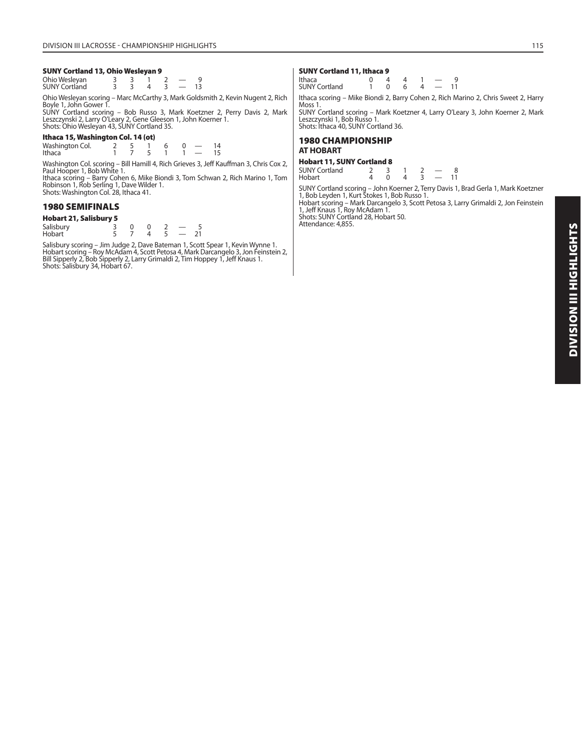# **SUNY Cortland 13, Ohio Wesleyan 9**

| Ohio Wesleyan<br>SUNY Cortland |  |  |  |
|--------------------------------|--|--|--|
|                                |  |  |  |

Ohio Wesleyan scoring – Marc McCarthy 3, Mark Goldsmith 2, Kevin Nugent 2, Rich Boyle 1, John Gower 1.

SUNY Cortland scoring – Bob Russo 3, Mark Koetzner 2, Perry Davis 2, Mark Leszczynski 2, Larry O'Leary 2, Gene Gleeson 1, John Koerner 1. Shots: Ohio Wesleyan 43, SUNY Cortland 35.

# **Ithaca 15, Washington Col. 14 (ot)**

| Washington Col. |  |  |  |  |
|-----------------|--|--|--|--|
| Ithaca          |  |  |  |  |

Washington Col. scoring – Bill Hamill 4, Rich Grieves 3, Jeff Kauffman 3, Chris Cox 2,<br>Paul Hooper 1, Bob White 1.<br>Ithaca scoring – Barry Cohen 6, Mike Biondi 3, Tom Schwan 2, Rich Marino 1, Tom<br>Robinson 1, Rob Serling 1,

# **1980 SEMIFINALS**

**Hobart 21, Salisbury 5** Salisbury 3 0 0 2 - 5<br>
Hobart 5 7 4 5 - 21 Hobart

Salisbury scoring – Jim Judge 2, Dave Bateman 1, Scott Spear 1, Kevin Wynne 1. Hobart scoring – Roy McAdam 4, Scott Petosa 4, Mark Darcangelo 3, Jon Feinstein 2,<br>Bill Sipperly 2, Bob Sipperly 2, Larry Grimaldi 2, Tim Hoppey 1, Jeff Knaus 1.<br>Shots: Salisbury 34, Hobart 67.

#### **SUNY Cortland 11, Ithaca 9**

| Ithaca<br><b>SUNY Cortland</b> | $\sim$ 0 | 6 | $4 - 11$ |  |
|--------------------------------|----------|---|----------|--|
|                                |          |   |          |  |

Ithaca scoring – Mike Biondi 2, Barry Cohen 2, Rich Marino 2, Chris Sweet 2, Harry Moss 1.

SUNY Cortland scoring – Mark Koetzner 4, Larry O'Leary 3, John Koerner 2, Mark Leszczynski 1, Bob Russo 1. Shots: Ithaca 40, SUNY Cortland 36.

# **1980 CHAMPIONSHIP AT HOBART**

#### **Hobart 11, SUNY Cortland 8**

| <b>SUNY Cortland</b> |  |  |  |
|----------------------|--|--|--|
| Hobart               |  |  |  |

SUNY Cortland scoring – John Koerner 2, Terry Davis 1, Brad Gerla 1, Mark Koetzner<br>1, Bob Leyden 1, Kurt Stokes 1, Bob Russo 1.<br>Hobart scoring – Mark Darcangelo 3, Scott Petosa 3, Larry Grimaldi 2, Jon Feinstein

1, Jeff Knaus 1, Roy McAdam 1.

Shots: SUNY Cortland 28, Hobart 50. Attendance: 4,855.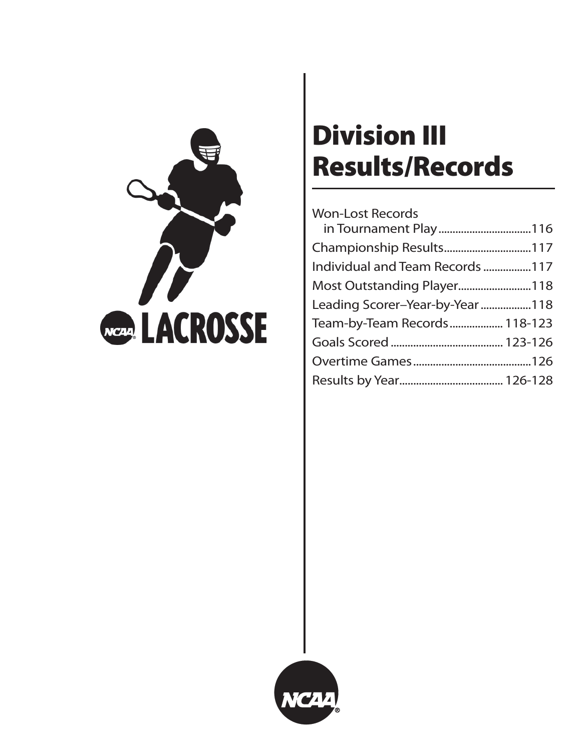

# **Division III Results/Records**

# Won-Lost Records

| in Tournament Play116           |  |
|---------------------------------|--|
| Championship Results117         |  |
| Individual and Team Records 117 |  |
| Most Outstanding Player118      |  |
| Leading Scorer-Year-by-Year118  |  |
| Team-by-Team Records 118-123    |  |
|                                 |  |
|                                 |  |
|                                 |  |

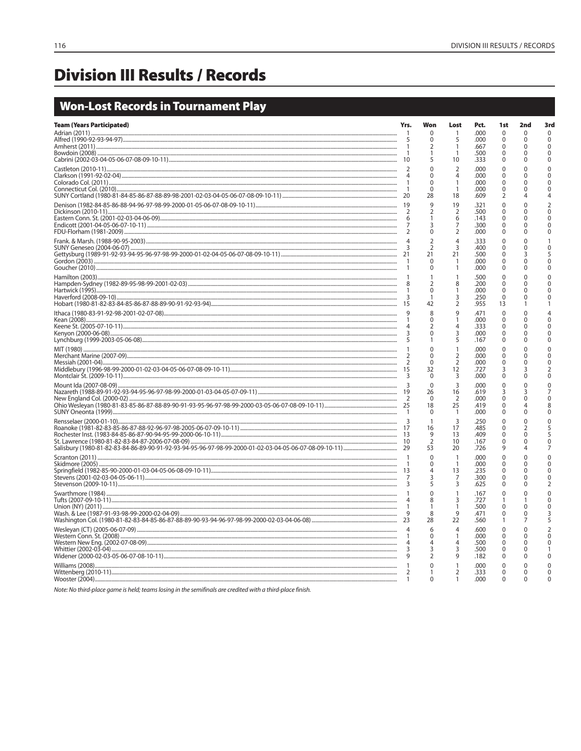# **Division III Results / Records**

# **Won-Lost Records in Tournament Play**

| <b>Team (Years Participated)</b>                                                                                                                                                                                                                                                                                                                                                                                                                                                                                 | Yrs.         | Won                            | Lost                             | Pct.         | 1st                  | 2nd           | 3rd                      |
|------------------------------------------------------------------------------------------------------------------------------------------------------------------------------------------------------------------------------------------------------------------------------------------------------------------------------------------------------------------------------------------------------------------------------------------------------------------------------------------------------------------|--------------|--------------------------------|----------------------------------|--------------|----------------------|---------------|--------------------------|
|                                                                                                                                                                                                                                                                                                                                                                                                                                                                                                                  |              | $\Omega$<br>$\Omega$           | 1<br>5                           | .000<br>.000 | $\Omega$<br>$\Omega$ | $\Omega$<br>0 | $\Omega$<br>$\Omega$     |
|                                                                                                                                                                                                                                                                                                                                                                                                                                                                                                                  |              | 2                              | $\mathbf{1}$<br>$\overline{1}$   | .667<br>.500 | 0<br>0               | 0<br>U        | 0<br>$\mathbf 0$         |
|                                                                                                                                                                                                                                                                                                                                                                                                                                                                                                                  |              | 5                              | 10                               | .333         | $\Omega$             | 0             | $\Omega$                 |
|                                                                                                                                                                                                                                                                                                                                                                                                                                                                                                                  |              | $\mathbf{0}$<br>n              | $\overline{2}$<br>$\overline{4}$ | .000<br>.000 | 0<br>$\Omega$        | 0<br>U        | $\Omega$<br>$\Omega$     |
|                                                                                                                                                                                                                                                                                                                                                                                                                                                                                                                  |              | $\Omega$<br>$\Omega$           | $\overline{1}$<br>$\mathbf{1}$   | .000<br>.000 | $\Omega$<br>$\Omega$ | U<br>U        | $\Omega$<br>$\Omega$     |
|                                                                                                                                                                                                                                                                                                                                                                                                                                                                                                                  |              | 28                             | 18                               | .609         | $\overline{2}$       | 4             | 4                        |
|                                                                                                                                                                                                                                                                                                                                                                                                                                                                                                                  |              | $\mathsf{Q}$<br>$\overline{2}$ | 19<br>$\tilde{2}$                | .321<br>.500 | $\Omega$<br>0        | $\Omega$<br>0 | $\mathcal{P}$<br>0       |
|                                                                                                                                                                                                                                                                                                                                                                                                                                                                                                                  |              |                                | 6                                | .143         | 0                    | 0             | $\Omega$                 |
|                                                                                                                                                                                                                                                                                                                                                                                                                                                                                                                  |              | 3<br>$\mathbf{0}$              | $\overline{7}$<br>$\overline{2}$ | .300<br>.000 | 0<br>0               | 0<br>0        | $\Omega$<br>$\Omega$     |
|                                                                                                                                                                                                                                                                                                                                                                                                                                                                                                                  |              | $\overline{2}$                 | $\overline{4}$                   | .333         | $\Omega$             | 0             |                          |
| $\text{SUNY} \text{ Geneseo (2004-06-07)}\footnotesize\begin{minipage}{0.9\textwidth} \begin{minipage}{0.9\textwidth} \begin{minipage}{0.9\textwidth} \begin{minipage}{0.9\textwidth} \begin{minipage}{0.9\textwidth} \begin{minipage}{0.9\textwidth} \begin{minipage}{0.9\textwidth} \begin{minipage}{0.9\textwidth} \begin{minipage}{0.9\textwidth} \begin{minipage}{0.9\textwidth} \begin{minipage}{0.9\textwidth} \begin{minipage}{0.9\textwidth} \begin{minipage}{0.9\textwidth} \begin{minipage}{0.9\text$ |              | $\overline{2}$<br>21           | 3<br>21                          | .400<br>.500 | $\Omega$<br>$\Omega$ | 3             | 5                        |
|                                                                                                                                                                                                                                                                                                                                                                                                                                                                                                                  |              | $\Omega$                       | $\overline{1}$                   | .000         | 0                    | 0             | $\Omega$<br>$\Omega$     |
|                                                                                                                                                                                                                                                                                                                                                                                                                                                                                                                  |              | 0                              | $\overline{1}$<br>$\mathbf{1}$   | .000<br>.500 | 0<br>$\Omega$        | 0<br>$\Omega$ | $\Omega$                 |
|                                                                                                                                                                                                                                                                                                                                                                                                                                                                                                                  |              | $\overline{2}$                 | 8                                | .200         | 0                    | 0             | $\Omega$                 |
|                                                                                                                                                                                                                                                                                                                                                                                                                                                                                                                  |              | $\Omega$<br>$\mathbf{1}$       | $\mathbf{1}$<br>3                | .000<br>.250 | 0<br>$\mathbf 0$     | 0<br>O        |                          |
|                                                                                                                                                                                                                                                                                                                                                                                                                                                                                                                  |              | 42                             | $\overline{2}$                   | .955         | 13                   |               |                          |
|                                                                                                                                                                                                                                                                                                                                                                                                                                                                                                                  |              | 8<br>0                         | 9<br>$\overline{1}$              | .471<br>.000 | 0<br>$\Omega$        | 0<br>0        | $\Omega$                 |
|                                                                                                                                                                                                                                                                                                                                                                                                                                                                                                                  |              | $\mathcal{P}$<br>$\Omega$      | $\overline{4}$                   | .333         | $\Omega$             | O<br>U        | U                        |
|                                                                                                                                                                                                                                                                                                                                                                                                                                                                                                                  |              |                                | 3<br>5                           | .000<br>.167 | 0<br>$\Omega$        | 0             | U                        |
|                                                                                                                                                                                                                                                                                                                                                                                                                                                                                                                  |              | $\Omega$                       | $\overline{1}$                   | .000         | $\Omega$             | $\Omega$      | $\Omega$                 |
|                                                                                                                                                                                                                                                                                                                                                                                                                                                                                                                  |              | $\Omega$<br>$\Omega$           | $\frac{2}{2}$                    | .000<br>.000 | 0<br>0               | 0<br>0        | 0<br>0                   |
|                                                                                                                                                                                                                                                                                                                                                                                                                                                                                                                  |              | 32<br>$\Omega$                 | 12<br>$\overline{3}$             | .727<br>.000 | 3<br>$\Omega$        | 3<br>0        | 2<br>$\Omega$            |
|                                                                                                                                                                                                                                                                                                                                                                                                                                                                                                                  |              | $\Omega$                       | $\overline{3}$                   | .000         | 0                    | 0             | $\Omega$                 |
|                                                                                                                                                                                                                                                                                                                                                                                                                                                                                                                  |              | 26<br>$\Omega$                 | 16                               | .619<br>.000 | 3<br>$\Omega$        | 3<br>O        | $\Omega$                 |
| - New Links - 25 - 26 - 27 - 28 - 28 - 29 - 2000 - 2000 - 2000 - 2000 - 2000 - 2000 - 2000 - 2000 - 2000 - 2000 - 2000 - 2000 - 2000 - 2000 - 2000 - 2000 - 2000 - 2000 - 2000 - 2000 - 2000 - 2000 - 2000 - 2000 - 2000 - 200                                                                                                                                                                                                                                                                                   |              | 18                             | $\frac{2}{25}$                   | .419         | $\Omega$             |               | 8                        |
|                                                                                                                                                                                                                                                                                                                                                                                                                                                                                                                  |              | $\Omega$<br>$\mathbf{1}$       | $\mathbf{1}$<br>3                | .000<br>.250 | 0<br>$\Omega$        | 0<br>$\Omega$ | $\Omega$<br>$\Omega$     |
|                                                                                                                                                                                                                                                                                                                                                                                                                                                                                                                  |              | 16                             | 17                               | .485         | $\Omega$             | 2             | 5                        |
|                                                                                                                                                                                                                                                                                                                                                                                                                                                                                                                  |              | 9<br>$\overline{2}$            | 13<br>10                         | .409<br>.167 | 0<br>0               | 0<br>O        | $\Omega$                 |
|                                                                                                                                                                                                                                                                                                                                                                                                                                                                                                                  |              | 53                             | 20                               | .726         | 9                    |               |                          |
| Skidmore (2005)                                                                                                                                                                                                                                                                                                                                                                                                                                                                                                  |              | $\mathbf{0}$<br>$\mathbf 0$    | $\overline{1}$<br>$\overline{1}$ | .000<br>.000 | 0<br>0               | 0<br>0        | $\Omega$<br>$\Omega$     |
|                                                                                                                                                                                                                                                                                                                                                                                                                                                                                                                  |              | 4                              | 13                               | .235         | $\Omega$             | 0             | U                        |
|                                                                                                                                                                                                                                                                                                                                                                                                                                                                                                                  |              | 3<br>5                         | $\overline{7}$<br>$\overline{3}$ | .300<br>.625 | $\Omega$<br>$\Omega$ | 0<br>0        | U<br>2                   |
|                                                                                                                                                                                                                                                                                                                                                                                                                                                                                                                  |              | $\Omega$                       | $\overline{1}$                   | .167         | $\Omega$             | O             | $\Omega$                 |
|                                                                                                                                                                                                                                                                                                                                                                                                                                                                                                                  |              | 8<br>1                         | 3<br>1                           | .727<br>.500 | 1<br>0               | 0             | 0<br>0                   |
|                                                                                                                                                                                                                                                                                                                                                                                                                                                                                                                  |              | 8<br>28                        | 9<br>22                          | .471<br>.560 | $\Omega$<br>1        | 0<br>7        | 3<br>5                   |
|                                                                                                                                                                                                                                                                                                                                                                                                                                                                                                                  |              | 6                              | $\overline{A}$                   | .600         | 0                    | 0             | $\overline{\phantom{a}}$ |
|                                                                                                                                                                                                                                                                                                                                                                                                                                                                                                                  |              | $\mathbf 0$<br>4               | $\overline{4}$                   | .000<br>.500 | 0<br>$\Omega$        | 0<br>O        | $\Omega$                 |
|                                                                                                                                                                                                                                                                                                                                                                                                                                                                                                                  |              | 3                              | 3                                | .500         | $\Omega$             | U             |                          |
|                                                                                                                                                                                                                                                                                                                                                                                                                                                                                                                  |              | $\overline{2}$<br>$\Omega$     | 9<br>$\mathbf{1}$                | .182         | O                    | 0             | $\Omega$                 |
| Williams (2008)                                                                                                                                                                                                                                                                                                                                                                                                                                                                                                  | 2            |                                | $\overline{2}$                   | .000<br>.333 | $\Omega$<br>$\Omega$ | U<br>0        | 0                        |
|                                                                                                                                                                                                                                                                                                                                                                                                                                                                                                                  | $\mathbf{1}$ | $\Omega$                       | $\mathbf{1}$                     | .000         | $\Omega$             | 0             | $\Omega$                 |

Note: No third-place game is held; teams losing in the semifinals are credited with a third-place finish.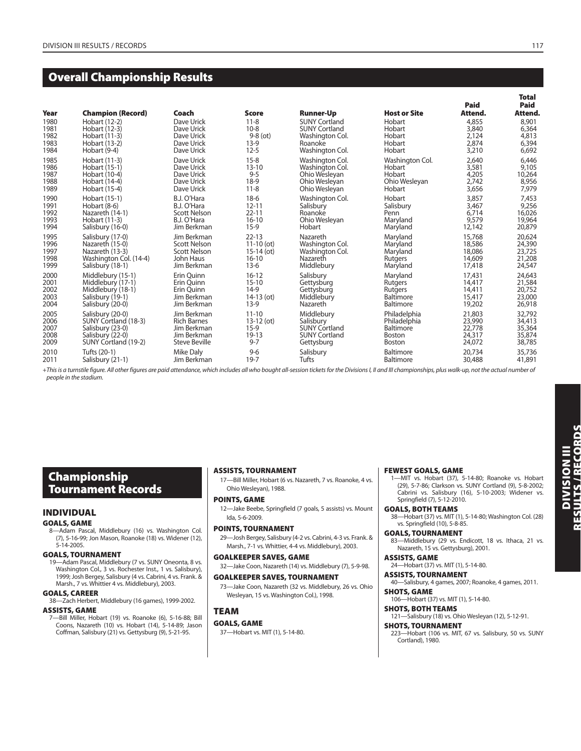# **Overall Championship Results**

| Year<br>1980<br>1981<br>1982<br>1983<br>1984 | <b>Champion (Record)</b><br>Hobart (12-2)<br>Hobart (12-3)<br>Hobart (11-3)<br>Hobart (13-2)<br>Hobart (9-4) | Coach<br>Dave Urick<br>Dave Urick<br>Dave Urick<br>Dave Urick<br>Dave Urick | <b>Score</b><br>$11 - 8$<br>$10 - 8$<br>$9-8$ (ot)<br>$13-9$<br>$12 - 5$ | <b>Runner-Up</b><br><b>SUNY Cortland</b><br><b>SUNY Cortland</b><br>Washington Col.<br>Roanoke<br>Washington Col. | <b>Host or Site</b><br>Hobart<br>Hobart<br>Hobart<br>Hobart<br>Hobart | Paid<br>Attend.<br>4,855<br>3,840<br>2,124<br>2.874<br>3,210 | ı v uı<br>Paid<br>Attend.<br>8,901<br>6,364<br>4,813<br>6,394<br>6,692 |
|----------------------------------------------|--------------------------------------------------------------------------------------------------------------|-----------------------------------------------------------------------------|--------------------------------------------------------------------------|-------------------------------------------------------------------------------------------------------------------|-----------------------------------------------------------------------|--------------------------------------------------------------|------------------------------------------------------------------------|
| 1985                                         | Hobart (11-3)                                                                                                | Dave Urick                                                                  | $15 - 8$                                                                 | Washington Col.                                                                                                   | Washington Col.                                                       | 2,640                                                        | 6,446                                                                  |
| 1986                                         | Hobart (15-1)                                                                                                | Dave Urick                                                                  | $13 - 10$                                                                | Washington Col.                                                                                                   | Hobart                                                                | 3,581                                                        | 9,105                                                                  |
| 1987                                         | Hobart (10-4)                                                                                                | Dave Urick                                                                  | $9 - 5$                                                                  | Ohio Wesleyan                                                                                                     | Hobart                                                                | 4,205                                                        | 10,264                                                                 |
| 1988                                         | Hobart (14-4)                                                                                                | Dave Urick                                                                  | $18-9$                                                                   | Ohio Wesleyan                                                                                                     | Ohio Wesleyan                                                         | 2,742                                                        | 8,956                                                                  |
| 1989                                         | Hobart (15-4)                                                                                                | Dave Urick                                                                  | $11 - 8$                                                                 | Ohio Wesleyan                                                                                                     | Hobart                                                                | 3,656                                                        | 7,979                                                                  |
| 1990                                         | Hobart (15-1)                                                                                                | B.J. O'Hara                                                                 | $18-6$                                                                   | Washington Col.                                                                                                   | Hobart                                                                | 3,857                                                        | 7,453                                                                  |
| 1991                                         | Hobart (8-6)                                                                                                 | B.J. O'Hara                                                                 | $12 - 11$                                                                | Salisbury                                                                                                         | Salisbury                                                             | 3,467                                                        | 9,256                                                                  |
| 1992                                         | Nazareth (14-1)                                                                                              | Scott Nelson                                                                | $22 - 11$                                                                | Roanoke                                                                                                           | Penn                                                                  | 6.714                                                        | 16,026                                                                 |
| 1993                                         | Hobart (11-3)                                                                                                | B.J. O'Hara                                                                 | $16 - 10$                                                                | Ohio Wesleyan                                                                                                     | Maryland                                                              | 9,579                                                        | 19,964                                                                 |
| 1994                                         | Salisbury (16-0)                                                                                             | Jim Berkman                                                                 | $15-9$                                                                   | Hobart                                                                                                            | Maryland                                                              | 12,142                                                       | 20,879                                                                 |
| 1995                                         | Salisbury (17-0)                                                                                             | Jim Berkman                                                                 | $22 - 13$                                                                | Nazareth                                                                                                          | Maryland                                                              | 15,768                                                       | 20,624                                                                 |
| 1996                                         | Nazareth (15-0)                                                                                              | <b>Scott Nelson</b>                                                         | $11-10$ (ot)                                                             | Washington Col.                                                                                                   | Maryland                                                              | 18,586                                                       | 24,390                                                                 |
| 1997                                         | Nazareth (13-3)                                                                                              | <b>Scott Nelson</b>                                                         | $15-14$ (ot)                                                             | Washington Col.                                                                                                   | Maryland                                                              | 18,086                                                       | 23,725                                                                 |
| 1998                                         | Washington Col. (14-4)                                                                                       | John Haus                                                                   | $16 - 10$                                                                | Nazareth                                                                                                          | Rutgers                                                               | 14,609                                                       | 21,208                                                                 |
| 1999                                         | Salisbury (18-1)                                                                                             | Jim Berkman                                                                 | $13-6$                                                                   | Middlebury                                                                                                        | Maryland                                                              | 17,418                                                       | 24,547                                                                 |
| 2000                                         | Middlebury (15-1)                                                                                            | Erin Ouinn                                                                  | $16 - 12$                                                                | Salisbury                                                                                                         | Maryland                                                              | 17,431                                                       | 24,643                                                                 |
| 2001                                         | Middlebury (17-1)                                                                                            | Erin Ouinn                                                                  | $15 - 10$                                                                | Gettysburg                                                                                                        | Rutgers                                                               | 14,417                                                       | 21,584                                                                 |
| 2002                                         | Middlebury (18-1)                                                                                            | Erin Quinn                                                                  | $14-9$                                                                   | Gettysburg                                                                                                        | Rutgers                                                               | 14,411                                                       | 20,752                                                                 |
| 2003                                         | Salisbury (19-1)                                                                                             | Jim Berkman                                                                 | $14-13$ (ot)                                                             | Middlebury                                                                                                        | <b>Baltimore</b>                                                      | 15.417                                                       | 23,000                                                                 |
| 2004                                         | Salisbury (20-0)                                                                                             | Jim Berkman                                                                 | $13-9$                                                                   | Nazareth                                                                                                          | <b>Baltimore</b>                                                      | 19,202                                                       | 26,918                                                                 |
| 2005                                         | Salisbury (20-0)                                                                                             | Jim Berkman                                                                 | $11 - 10$                                                                | Middlebury                                                                                                        | Philadelphia                                                          | 21,803                                                       | 32,792                                                                 |
| 2006                                         | SUNY Cortland (18-3)                                                                                         | <b>Rich Barnes</b>                                                          | $13-12$ (ot)                                                             | Salisbury                                                                                                         | Philadelphia                                                          | 23,990                                                       | 34,413                                                                 |
| 2007                                         | Salisbury (23-0)                                                                                             | Jim Berkman                                                                 | $15-9$                                                                   | <b>SUNY Cortland</b>                                                                                              | <b>Baltimore</b>                                                      | 22,778                                                       | 35,364                                                                 |
| 2008                                         | Salisbury (22-0)                                                                                             | Jim Berkman                                                                 | $19 - 13$                                                                | <b>SUNY Cortland</b>                                                                                              | <b>Boston</b>                                                         | 24,317                                                       | 35,874                                                                 |
| 2009                                         | SUNY Cortland (19-2)                                                                                         | <b>Steve Beville</b>                                                        | $9 - 7$                                                                  | Gettysburg                                                                                                        | <b>Boston</b>                                                         | 24,072                                                       | 38,785                                                                 |
| 2010                                         | Tufts (20-1)                                                                                                 | <b>Mike Dalv</b>                                                            | $9 - 6$                                                                  | Salisbury                                                                                                         | Baltimore                                                             | 20.734                                                       | 35,736                                                                 |
| 2011                                         | Salisbury (21-1)                                                                                             | Jim Berkman                                                                 | $19 - 7$                                                                 | Tufts                                                                                                             | <b>Baltimore</b>                                                      | 30,488                                                       | 41,891                                                                 |

+This is a turnstile figure. All other figures are paid attendance, which includes all who bought all-session tickets for the Divisions I, II and III championships, plus walk-up, not the actual number of people in the stadium.

# **Championship Tournament Records**

# **INDIVIDUAL**

# **GOALS, GAME**

8—Adam Pascal, Middlebury (16) vs. Washington Col. (7), 5-16-99; Jon Mason, Roanoke (18) vs. Widener (12), 5-14-2005.

#### **GOALS, TOURNAMENT**

19—Adam Pascal, Middlebury (7 vs. SUNY Oneonta, 8 vs. Washington Col., 3 vs. Rochester Inst., 1 vs. Salisbury), 1999; Josh Bergey, Salisbury (4 vs. Cabrini, 4 vs. Frank. & Marsh., 7 vs. Whittier 4 vs. Middlebury), 2003.

**GOALS, CAREER**

38—Zach Herbert, Middlebury (16 games), 1999-2002.

# **ASSISTS, GAME**

7—Bill Miller, Hobart (19) vs. Roanoke (6), 5-16-88; Bill Coons, Nazareth (10) vs. Hobart (14), 5-14-89; Jason Coffman, Salisbury (21) vs. Gettysburg (9), 5-21-95.

#### **ASSISTS, TOURNAMENT**

17—Bill Miller, Hobart (6 vs. Nazareth, 7 vs. Roanoke, 4 vs. Ohio Wesleyan), 1988.

#### **POINTS, GAME**

12—Jake Beebe, Springfield (7 goals, 5 assists) vs. Mount Ida, 5-6-2009.

## **POINTS, TOURNAMENT**

29—Josh Bergey, Salisbury (4-2 vs. Cabrini, 4-3 vs. Frank. & Marsh., 7-1 vs. Whittier, 4-4 vs. Middlebury), 2003.

# **GOALKEEPER SAVES, GAME**

32—Jake Coon, Nazareth (14) vs. Middlebury (7), 5-9-98.

# **GOALKEEPER SAVES, TOURNAMENT**

73—Jake Coon, Nazareth (32 vs. Middlebury, 26 vs. Ohio Wesleyan, 15 vs. Washington Col.), 1998.

# **TEAM**

**GOALS, GAME** 37—Hobart vs. MIT (1), 5-14-80.

# **FEWEST GOALS, GAME**

1—MIT vs. Hobart (37), 5-14-80; Roanoke vs. Hobart (29), 5-7-86; Clarkson vs. SUNY Cortland (9), 5-8-2002; Cabrini vs. Salisbury (16), 5-10-2003; Widener vs. Springfield (7), 5-12-2010.

#### **GOALS, BOTH TEAMS**

38—Hobart (37) vs. MIT (1), 5-14-80; Washington Col. (28) vs. Springfield (10), 5-8-85.

# **GOALS, TOURNAMENT**

83—Middlebury (29 vs. Endicott, 18 vs. Ithaca, 21 vs. Nazareth, 15 vs. Gettysburg), 2001.

#### **ASSISTS, GAME** 24—Hobart (37) vs. MIT (1), 5-14-80.

**ASSISTS, TOURNAMENT**

40—Salisbury, 4 games, 2007; Roanoke, 4 games, 2011. **SHOTS, GAME**

#### 106—Hobart (37) vs. MIT (1), 5-14-80.

**SHOTS, BOTH TEAMS**

# 121—Salisbury (18) vs. Ohio Wesleyan (12), 5-12-91. **SHOTS, TOURNAMENT**

223—Hobart (106 vs. MIT, 67 vs. Salisbury, 50 vs. SUNY Cortland), 1980.

 **Total**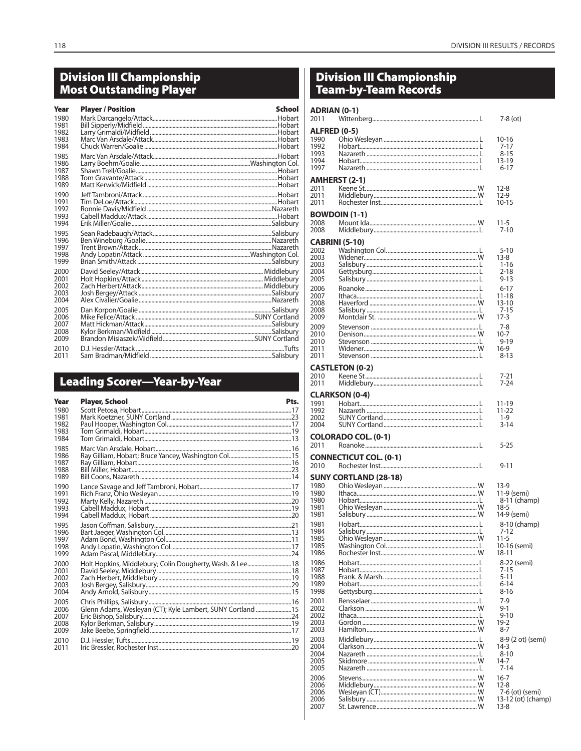# **Division III Championship<br>Most Outstanding Player**

| Year<br>1980<br>1981<br>1982<br>1983<br>1984 | <b>Player / Position</b> | School |
|----------------------------------------------|--------------------------|--------|
| 1985<br>1986<br>1987<br>1988<br>1989         |                          |        |
| 1990<br>1991<br>1992<br>1993<br>1994         |                          |        |
| 1995<br>1996<br>1997<br>1998<br>1999         |                          |        |
| 2000<br>2001<br>2002<br>2003<br>2004         |                          |        |
| 2005<br>2006<br>2007<br>2008<br>2009         |                          |        |
| 2010<br>2011                                 |                          |        |

# **Leading Scorer-Year-by-Year**

| Year         | <b>Player, School</b>                                       | Pts. |
|--------------|-------------------------------------------------------------|------|
| 1980         |                                                             |      |
| 1981<br>1982 |                                                             |      |
| 1983         |                                                             |      |
| 1984         |                                                             |      |
| 1985         |                                                             |      |
| 1986<br>1987 |                                                             |      |
| 1988         |                                                             |      |
| 1989         |                                                             |      |
| 1990         |                                                             |      |
| 1991         |                                                             |      |
| 1992<br>1993 |                                                             |      |
| 1994         |                                                             |      |
| 1995         |                                                             |      |
| 1996         |                                                             |      |
| 1997<br>1998 |                                                             |      |
| 1999         |                                                             |      |
| 2000         | Holt Hopkins, Middlebury; Colin Dougherty, Wash. & Lee 18   |      |
| 2001         |                                                             |      |
| 2002         |                                                             |      |
| 2003<br>2004 |                                                             |      |
| 2005         |                                                             |      |
| 2006         | Glenn Adams, Wesleyan (CT); Kyle Lambert, SUNY Cortland  15 |      |
| 2007         |                                                             |      |
| 2008<br>2009 |                                                             |      |
|              |                                                             |      |
| 2010<br>2011 |                                                             |      |
|              |                                                             |      |

# Division III Championship<br>Team-by-Team Records

| <b>ADRIAN (0-1)</b><br>2011                                                                                                                                   |                                                             | $7-8$ (ot)                                                                                                                                                                            |
|---------------------------------------------------------------------------------------------------------------------------------------------------------------|-------------------------------------------------------------|---------------------------------------------------------------------------------------------------------------------------------------------------------------------------------------|
| <b>ALFRED (0-5)</b><br>1990<br>1992<br>1993<br>1994<br>1997                                                                                                   |                                                             | $10 - 16$<br>$7 - 17$<br>$8 - 15$<br>13-19<br>$6 - 17$                                                                                                                                |
| 2011<br>2011<br>2011                                                                                                                                          | AMHERST (2-1)                                               | 12-8<br>$12-9$<br>$10 - 15$                                                                                                                                                           |
| 2008<br>2008                                                                                                                                                  | <b>BOWDOIN (1-1)</b>                                        | 11-5<br>$7 - 10$                                                                                                                                                                      |
| <b>CABRINI (5-10)</b><br>2002<br>2003<br>2003<br>2004<br>2005<br>2006<br>2007<br>2008<br>2008<br>2009<br>2009<br>2010<br>2010<br>2011<br>2011<br>2010<br>2011 | <b>CASTLETON (0-2)</b>                                      | $5 - 10$<br>$13 - 8$<br>$1 - 16$<br>$2 - 18$<br>$9 - 13$<br>$6 - 17$<br>11-18<br>$13 - 10$<br>$7 - 15$<br>$17-3$<br>7-8<br>10-7<br>$9 - 19$<br>$16-9$<br>$8 - 13$<br>$7 - 21$<br>7-24 |
| 1991<br>1992<br>2002<br>2004                                                                                                                                  | <b>CLARKSON (0-4)</b>                                       | 11-19<br>11-22<br>1-9<br>$3 - 14$                                                                                                                                                     |
| 2011                                                                                                                                                          | <b>COLORADO COL. (0-1)</b><br><b>CONNECTICUT COL. (0-1)</b> | $5 - 25$                                                                                                                                                                              |
| 2010<br>1980<br>1980<br>1980<br>1981<br>1981<br>1981<br>1984<br>1985<br>1985<br>1986                                                                          | <b>SUNY CORTLAND (28-18)</b>                                | $9 - 11$<br>$13-9$<br>11-9 (semi)<br>8-11 (champ)<br>$18-5$<br>14-9 (semi)<br>8-10 (champ)<br>7-12<br>$11 - 5$<br>10-16 (semi)<br>18-11                                               |
| 1986<br>1987<br>1988<br>1989<br>1998<br>2001<br>2002<br>2002<br>2003<br>2003                                                                                  |                                                             | 8-22 (semi)<br>7-15<br>$5 - 11$<br>$6 - 14$<br>8-16<br>$7-9$<br>$9-1$<br>$9 - 10$<br>$19-2$<br>$8 - 7$                                                                                |
| 2003<br>2004<br>2004<br>2005<br>2005                                                                                                                          |                                                             | 8-9 (2 ot) (semi)<br>$14-3$<br>8-10<br>$14 - 7$<br>$7 - 14$                                                                                                                           |
| 2006<br>2006<br>2006<br>2006<br>2007                                                                                                                          | St. Lawrence                                                | $16 - 7$<br>$12 - 8$<br>7-6 (ot) (semi)<br>13-12 (ot) (champ)<br>13-8                                                                                                                 |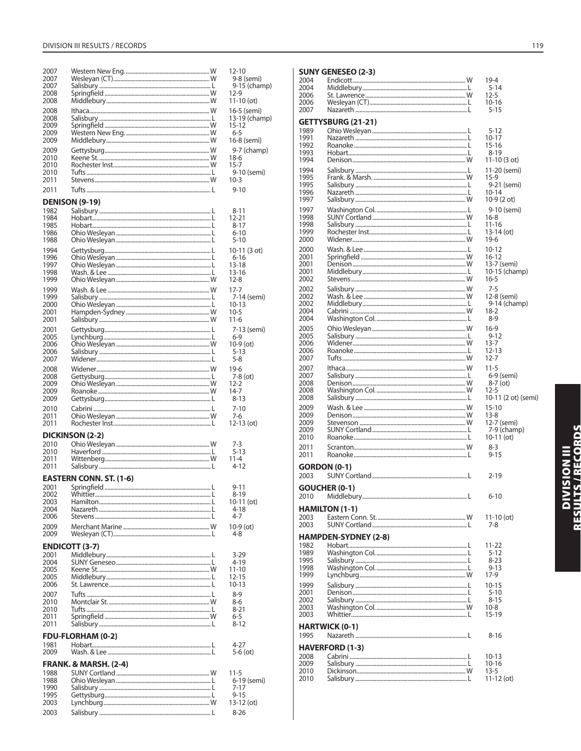| 2007         |                                  | $12 - 10$                |
|--------------|----------------------------------|--------------------------|
| 2007         |                                  | 9-8 (semi)               |
| 2007         |                                  | 9-15 (champ)             |
| 2008         |                                  | $12-9$                   |
| 2008         |                                  | $11 - 10$ (ot)           |
| 2008         |                                  | 16-5 (semi)              |
| 2008         |                                  | 13-19 (champ)            |
| 2009         |                                  | 15-12                    |
| 2009         |                                  | 6-5                      |
| 2009         |                                  | 16-8 (semi)              |
| 2009         |                                  | 9-7 (champ)              |
| 2010         |                                  | $18-6$                   |
| 2010         |                                  | $15 - 7$                 |
| 2010         |                                  | 9-10 (semi)              |
| 2011         |                                  | $10 - 3$                 |
| 2011         |                                  | $9 - 10$                 |
|              | <b>DENISON (9-19)</b>            |                          |
| 1982         |                                  | 8-11                     |
| 1984         |                                  | $12 - 21$                |
| 1985         |                                  | $8 - 17$                 |
| 1986         |                                  | $6 - 10$                 |
| 1988         |                                  | $5 - 10$                 |
| 1994         |                                  | 10-11 (3 ot)             |
| 1996         |                                  | 6-16                     |
| 1997         |                                  | $13 - 18$                |
| 1998         |                                  | 13-16                    |
| 1999         |                                  | $12 - 8$                 |
| 1999         |                                  | $17 - 7$                 |
| 1999         |                                  | 7-14 (semi)              |
| 2000<br>2001 |                                  | 10-13<br>$10 - 5$        |
| 2001         |                                  | $11 - 6$                 |
| 2001         |                                  |                          |
| 2005         |                                  | 7-13 (semi)<br>$6 - 9$   |
| 2006         |                                  | $10-9$ (ot)              |
| 2006         |                                  | $5 - 13$                 |
| 2007         |                                  | $5 - 8$                  |
| 2008         |                                  | $19-6$                   |
| 2008         |                                  | 7-8 (ot)                 |
| 2009         |                                  | $12 - 2$                 |
| 2009         |                                  | $14-7$                   |
| 2009         |                                  | $8 - 13$                 |
| 2010         |                                  | $7 - 10$                 |
| 2011         |                                  | 7-6                      |
| 2011         |                                  | $12-13$ (ot)             |
|              | DICKINSON (2-2)                  |                          |
| 2010         |                                  | 7-3                      |
| 2010         |                                  | $5 - 13$                 |
| 2011         |                                  | 11-4                     |
| 2011         |                                  | 4-12                     |
|              | <b>EASTERN CONN. ST. (1-6)</b>   |                          |
| 2001         |                                  | $9 - 11$                 |
| 2002         |                                  | ४- १५                    |
| 2003         |                                  | 10-11 (ot)               |
| 2004         |                                  | $4 - 18$                 |
| 2006         |                                  | 4-7                      |
| 2009         |                                  | $10-9$ (ot)              |
| 2009         |                                  | 4-8                      |
|              | <b>ENDICOTT (3-7)</b>            |                          |
| 2001         |                                  | $3 - 29$                 |
| 2004         |                                  | $4 - 19$                 |
| 2005         |                                  | $11 - 10$                |
| 2005         |                                  | $12 - 15$                |
| 2006         |                                  | $10 - 13$                |
| 2007         |                                  | $8-9$                    |
| 2010         |                                  |                          |
| 2010<br>2011 |                                  | 8-6                      |
|              |                                  | $8 - 21$                 |
|              |                                  | 6-5<br>$8 - 12$          |
| 2011         |                                  |                          |
|              | <b>FDU-FLORHAM (0-2)</b>         |                          |
| 1981         |                                  | 4-27                     |
| 2009         |                                  | $5-6$ (ot)               |
|              | <b>FRANK. &amp; MARSH. (2-4)</b> |                          |
| 1988         |                                  | $11 - 5$                 |
| 1988         |                                  | 6-19 (semi)              |
| 1990         |                                  | $7 - 17$                 |
| 1995         |                                  | $9 - 15$                 |
| 2003<br>2003 |                                  | $13-12$ (ot)<br>$8 - 26$ |

#### 2004 Endicott.... W  $19 - 4$ Middlebury.  $5-14$ 2004  $\mathbf{L}$ 2006 St. Lawrence. .W  $12 - 5$ 2006 Wesleyan (CT)..... L  $10 - 16$ 2007 Nazareth ..  $5 - 15$ .L GETTYSBURG (21-21) 1989 Ohio Wesleyan...  $5 - 12$  $\mathbf{I}$ 1991 Nazareth ...  $10-17$ .L 1992 Roanoke.. L.  $15 - 16$ 1993 Hobart......  $8 - 19$ L 1994 Denison... .W 11-10 (3 ot) 1994 Salisbury. .L 11-20 (semi) Frank. & Marsh..... 1995 **W**  $15-9$ 1995 Salisbury .................. 9-21 (semi) .L 1996 Nazareth  $10 - 14$  $\mathbf{I}$ 1997 Salisbury. . W  $10-9(2 ot)$ 1997 Washington Col......... .L 9-10 (semi) 1998 SUNY Cortland....... W  $16 - 8$ 1998 Salisbury. L.  $11 - 16$ Rochester Inst.... 1999  $\mathbf{I}$  $13-14$  (ot) 2000 Widener...  $W$  $19-6$ 2000 Wash. & Lee ........  $10-12$  $\mathbf{I}$ 2001 Springfield ... W  $16 - 12$ 13-7 (semi) 2001 Denison.  $W$ Middlebury..... 10-15 (champ) 2001  $\mathbf{I}$ 2002 Stevens.. W  $16 - 5$ Salisbury.... 2002  $W$  $7 - 5$ wash. & Lee...  $12-8$  (semi) 2002 W Middlebury...  $9-14$  (champ) 2002 J. 2004 Cabrini W  $18-2$ 2004 Washington Col......... L.  $8 - 9$ Ohio Wesleyan .......... 2005  $W$  $16-9$ 2005 Salisbury...  $9 - 12$ .L 2006 Widener... w  $13 - 7$ 2006 Roanoke... .L  $12 - 13$ 2007 **Tufts..........** .W  $12 - 7$ 2007 Ithaca.........  $W$  $11-5$ 2007 L. 6-9 (semi) 2008 Denison... W  $8-7$  (ot) 2008 .. W  $12 - 5$ 2008 Salisbury ........ 10-11 (2 ot) (semi) ... L 2009  $W$  $15-10$ 2009 Denison W  $13 - 8$ 2009 Stevenson. W 12-7 (semi) 2009 SUNY Cortland........ .L  $7-9$  (champ) 2010 Roanoke....  $\mathbf{I}$  $10-11$  (ot) 2011 Scranton........ W  $8 - 3$  $9 - 15$ 2011 Roanoke.. J. **GORDON (0-1)** 2003 L.  $2 - 19$ **GOUCHER (0-1)** 2010 Middlebury... J.  $6 - 10$ **HAMILTON (1-1)** Eastern Conn. St.... W 2003  $11 - 10$  (ot) 2003 SUNY Cortland.... L.  $7 - 8$ **HAMPDEN-SYDNEY (2-8)** 1982 Hobart...... J.  $11 - 22$ 1989 Washington Col........ .L  $5 - 12$ 1995 Salisbury... .L  $8 - 23$ Washington Col...... 1998 J.  $9 - 13$ 1999 Lynchburg... .W  $17-9$ Salisbury ... 1999 L.  $10 - 15$ 2001 Denison.. J.  $5 - 10$ 2002 Salisbury...  $\mathbf{I}$  $8 - 15$ Washington Col... 2003 W  $10 - 8$ 2003 Whittier... .L  $15 - 19$ **HARTWICK (0-1)** 1995 Nazareth .. .L  $8 - 16$ **HAVERFORD (1-3)** 2008 Cabrini ......  $10 - 13$ .L  $10-16$ 2009 Salisbury... Τ. 2010 Dickinson. .W  $13 - 5$ 2010 Salisbury... 11-12 (ot) .L

**SUNY GENESEO (2-3)** 

DIVISION III<br>Results / Records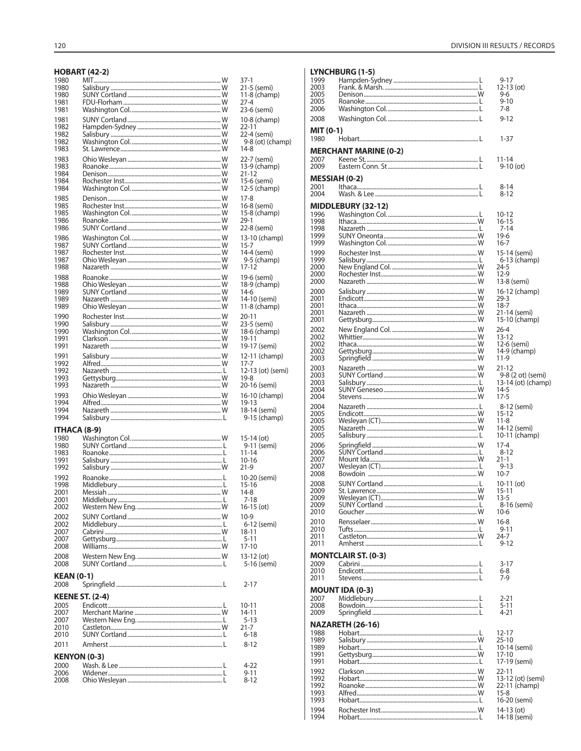# **HOBART (42-2)**

|                     |                        | 37-1                         |
|---------------------|------------------------|------------------------------|
| 1980                |                        | 21-5 (semi)                  |
| 1980                |                        | $11-8$ (champ)               |
| 1981                |                        | $27 - 4$                     |
| 1981                |                        | 23-6 (semi)                  |
| 1981                |                        | 10-8 (champ)                 |
| 1982                |                        | $22 - 11$                    |
| 1982                |                        | 22-4 (semi)                  |
| 1982                |                        | 9-8 (ot) (champ)             |
| 1983                |                        | 14-8                         |
| 1983                |                        | 22-7 (semi)                  |
| 1983                |                        | 13-9 (champ)                 |
| 1984                |                        | $21 - 12$                    |
| 1984                |                        | 15-6 (semi)                  |
| 1984                |                        | 12-5 (champ)                 |
| 1985                |                        | $17-8$                       |
| 1985                |                        | 16-8 (semi)                  |
| 1985                |                        | 15-8 (champ)                 |
| 1986                |                        | $29-1$                       |
| 1986                |                        | 22-8 (semi)                  |
| 1986                |                        | 13-10 (champ)                |
| 1987                |                        | $15 - 7$                     |
| 1987                |                        | 14-4 (semi)                  |
| 1987<br>1988        |                        | 9-5 (champ)<br>17-12         |
|                     |                        |                              |
| 1988                |                        | 19-6 (semi)                  |
| 1988<br>1989        |                        | 18-9 (champ)                 |
| 1989                |                        | 14-6                         |
| 1989                |                        | 14-10 (semi)<br>11-8 (champ) |
|                     |                        |                              |
| 1990                |                        | $20 - 11$                    |
| 1990<br>1990        |                        | 23-5 (semi)                  |
| 1991                |                        | 18-6 (champ)<br>19-11        |
| 1991                |                        | 19-17 (semi)                 |
|                     |                        |                              |
| 1991<br>1992        |                        | 12-11 (champ)<br>17-7        |
| 1992                |                        | 12-13 (ot) (semi)            |
| 1993                |                        | $19-8$                       |
| 1993                |                        | 20-16 (semi)                 |
| 1993                |                        |                              |
| 1994                |                        | 16-10 (champ)<br>19-13       |
| 1994                |                        | 18-14 (semi)                 |
| 1994                |                        | 9-15 (champ)                 |
|                     |                        |                              |
| ITHACA (8-9)        |                        |                              |
|                     |                        |                              |
| 1980                |                        | 15-14 (ot)                   |
| 1980                |                        | 9-11 (semi)                  |
| 1983                |                        | $11 - 14$                    |
| 1991                |                        | $10 - 16$                    |
| 1992                |                        | $21-9$                       |
| 1992                |                        | 10-20 (semi)                 |
| 1998                |                        | 15-16                        |
| 2001                |                        | $14-8$                       |
| 2001                |                        | $7 - 18$                     |
| 2002                |                        | $16-15$ (ot)                 |
| 2002                |                        | $10-9$                       |
| 2002                |                        | 6-12 (semi)                  |
| 2007                |                        | 18-11                        |
| 2007                |                        | $5 - 11$                     |
| 2008                |                        | $17 - 10$                    |
| 2008                |                        | 13-12 (ot)                   |
| 2008                |                        | 5-16 (semi)                  |
| <b>KEAN (0-1)</b>   |                        |                              |
| 2008                |                        | $2 - 17$                     |
|                     |                        |                              |
|                     | <b>KEENE ST. (2-4)</b> |                              |
| 2005                |                        | $10 - 11$                    |
| 2007<br>2007        |                        | 14-11                        |
| 2010                |                        | $5 - 13$<br>21-7             |
| 2010                |                        | $6 - 18$                     |
|                     |                        |                              |
| 2011                |                        | $8 - 12$                     |
| <b>KENYON (0-3)</b> |                        |                              |
| 2000                |                        | 4-22                         |
| 2006                |                        | 9-11                         |
| 2008                |                        | 8-12                         |

| YNCHBURG (1-5)       |  |  |
|----------------------|--|--|
| $\sim$ $\sim$ $\sim$ |  |  |

T.

| 1999                 | ,,,,,,,,,                    | $9 - 17$                       |
|----------------------|------------------------------|--------------------------------|
| 2003                 |                              | $12-13$ (ot)                   |
| 2005<br>2005         |                              | 9-6<br>$9 - 10$                |
| 2006                 |                              | 7-8                            |
| 2008                 |                              | $9 - 12$                       |
| MIT (0-1)<br>1980    |                              | $1 - 37$                       |
|                      | <b>MERCHANT MARINE (0-2)</b> |                                |
| 2007                 |                              | 11-14                          |
| 2009                 |                              | $9-10$ (ot)                    |
| <b>MESSIAH (0-2)</b> |                              |                                |
| 2001<br>2004         |                              | $8 - 14$<br>$8 - 12$           |
|                      |                              |                                |
| 1996                 | MIDDLEBURY (32-12)           | $10 - 12$                      |
| 1998                 |                              | $16 - 15$                      |
| 1998                 |                              | $7 - 14$                       |
| 1999<br>1999         |                              | $19-6$<br>$16 - 7$             |
| 1999                 |                              | 15-14 (semi)                   |
| 1999                 |                              | 6-13 (champ)                   |
| 2000                 |                              | $24 - 5$                       |
| 2000<br>2000         |                              | $12-9$<br>13-8 (semi)          |
| 2000                 |                              | 16-12 (champ)                  |
| 2001                 |                              | $29 - 3$                       |
| 2001<br>2001         |                              | $18 - 7$                       |
| 2001                 |                              | 21-14 (semi)<br>15-10 (champ)  |
| 2002                 |                              | $26 - 4$                       |
| 2002                 |                              | $13 - 12$                      |
| 2002<br>2002         |                              | 12-6 (semi)<br>14-9 (champ)    |
| 2003                 |                              | $11-9$                         |
| 2003                 |                              | $21 - 12$                      |
| 2003                 |                              | 9-8 (2 ot) (semi)              |
| 2003<br>2004         |                              | 13-14 (ot) (champ)<br>$14-5$   |
| 2004                 |                              | $17-5$                         |
| 2004                 |                              | 8-12 (semi)                    |
| 2005<br>2005         |                              | $15 - 12$<br>$11 - 8$          |
| 2005                 |                              | 14-12 (semi)                   |
| 2005                 |                              | 10-11 (champ)                  |
| 2006                 |                              | $17 - 4$                       |
| 2006<br>2007         |                              | $8 - 12$<br>$21 - 1$           |
| 2007                 |                              | $9 - 13$                       |
| 2008                 |                              | $10 - 7$                       |
| 2008                 |                              |                                |
|                      |                              | $10-11$ (ot)                   |
| 2009<br>2009         |                              | $15 - 11$<br>$13 - 5$          |
| 2009                 |                              | 8-16 (semi)                    |
| 2010                 |                              | 10-6                           |
| 2010<br>2010         |                              | $16 - 8$<br>$9 - 11$           |
| 2011                 |                              | $24 - 7$                       |
| 2011                 |                              | $9 - 12$                       |
|                      | <b>MONTCLAIR ST. (0-3)</b>   |                                |
| 2009                 |                              | $3 - 17$                       |
| 2010<br>2011         |                              | 6-8<br>$7-9$                   |
|                      |                              |                                |
| 2007                 | <b>MOUNT IDA (0-3)</b>       | $2 - 21$                       |
| 2008                 |                              | $5 - 11$                       |
| 2009                 |                              | $4 - 21$                       |
|                      | NAZARETH (26-16)             |                                |
| 1988<br>1989         |                              | 12-17<br>25-10                 |
| 1989                 |                              | 10-14 (semi)                   |
| 1991<br>1991         |                              | 17-10                          |
| 1992                 |                              | 17-19 (semi)                   |
| 1992                 |                              | $22 - 11$<br>13-12 (ot) (semi) |
| 1992                 |                              | 22-11 (champ)                  |
| 1993<br>1993         |                              | $15-8$<br>16-20 (semi)         |
| 1994                 |                              | 14-13 (ot)                     |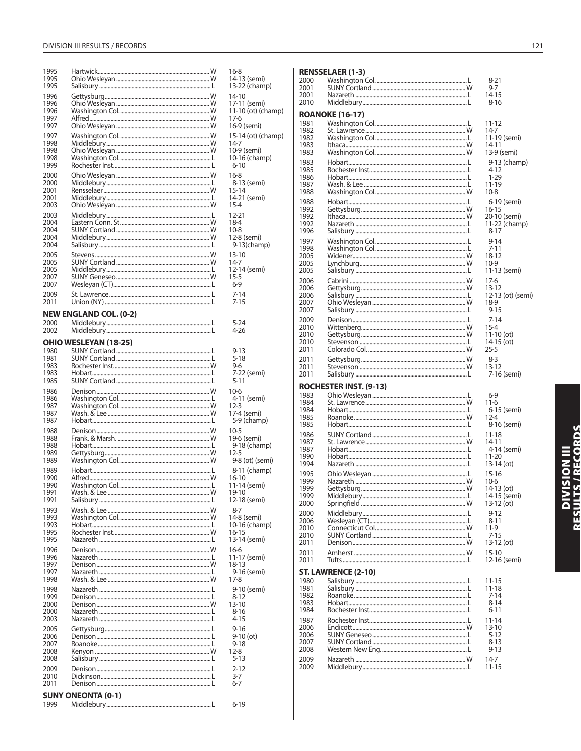| 1995<br>1995<br>1995 |                               | $16-8$<br>14-13 (semi)<br>13-22 (champ)     |
|----------------------|-------------------------------|---------------------------------------------|
| 1996<br>1996<br>1996 |                               | 14-10<br>17-11 (semi)<br>11-10 (ot) (champ) |
| 1997<br>1997         |                               | 17-6<br>16-9 (semi)                         |
| 1997                 |                               | 15-14 (ot) (champ)                          |
| 1998<br>1998         |                               | 14-7<br>10-9 (semi)                         |
| 1998                 |                               | 10-16 (champ)                               |
| 1999<br>2000         |                               | 6-10<br>$16-8$                              |
| 2000                 |                               | 8-13 (semi)                                 |
| 2001<br>2001         |                               | 15-14<br>14-21 (semi)                       |
| 2003                 |                               | 15-4                                        |
| 2003<br>2004         |                               | 12-21<br>18-4                               |
| 2004<br>2004         |                               | $10-8$                                      |
| 2004                 |                               | 12-8 (semi)<br>$9-13$ (champ)               |
| 2005<br>2005         |                               | 13-10<br>14-7                               |
| 2005                 |                               | 12-14 (semi)                                |
| 2007<br>2007         |                               | 15-5<br>$6-9$                               |
| 2009                 |                               | $7 - 14$                                    |
| 2011                 |                               | $7 - 15$                                    |
| 2000                 | <b>NEW ENGLAND COL. (0-2)</b> | $5 - 24$                                    |
| 2002                 |                               | 4-26                                        |
|                      | <b>OHIO WESLEYAN (18-25)</b>  |                                             |
| 1980<br>1981         |                               | $9 - 13$<br>$5 - 18$                        |
| 1983<br>1983         |                               | 9-6<br>7-22 (semi)                          |
| 1985                 |                               | $5 - 11$                                    |
| 1986<br>1986         |                               | $10-6$<br>4-11 (semi)                       |
| 1987                 |                               | 12-3                                        |
| 1987<br>1987         |                               | 17-4 (semi)<br>5-9 (champ)                  |
| 1988                 |                               | 10-5                                        |
| 1988<br>1988         |                               | 19-6 (semi)<br>9-18 (champ)                 |
| 1989<br>1989         |                               | $12 - 5$<br>9-8 (ot) (semi)                 |
| 1989                 |                               | 8-11 (champ)                                |
| 1990<br>1990         |                               | 16-10                                       |
| 1991                 | Wash. & Lee                   | 11-14 (semi)<br>19-10                       |
| 1991                 |                               | 12-18 (semi)                                |
| 1993<br>1993         |                               | 8-7<br>14-8 (semi)                          |
| 1993<br>1995         |                               | 10-16 (champ)<br>16-15                      |
| 1995                 |                               | 13-14 (semi)                                |
| 1996<br>1996         |                               | 16-6<br>11-17 (semi)                        |
| 1997                 |                               | 18-13                                       |
| 1997<br>1998         |                               | 9-16 (semi)<br>17-8                         |
| 1998<br>1999         |                               | 9-10 (semi)                                 |
| 2000                 |                               | $8 - 12$<br>$13 - 10$                       |
| 2000<br>2003         |                               | $8 - 16$<br>$4 - 15$                        |
| 2005                 |                               | $9 - 16$                                    |
| 2006<br>2007         |                               | $9-10$ (ot)<br>$9 - 18$                     |
| 2008                 |                               | 12-8                                        |
| 2008<br>2009         |                               | $5 - 13$<br>$2 - 12$                        |
| 2010                 |                               | $3-7$                                       |
| 2011                 | <b>SUNY ONEONTA (0-1)</b>     | $6 - 7$                                     |
| 1999                 |                               | $6 - 19$                                    |

|              | <b>RENSSELAER (1-3)</b>       |
|--------------|-------------------------------|
| 2000         |                               |
| 2001<br>2001 |                               |
| 2010         |                               |
|              |                               |
| 1981         | <b>ROANOKE (16-17)</b>        |
| 1982         |                               |
| 1982         |                               |
| 1983<br>1983 |                               |
| 1983         |                               |
| 1985         |                               |
| 1986         |                               |
| 1987<br>1988 |                               |
| 1988         |                               |
| 1992         |                               |
| 1992         |                               |
| 1992<br>1996 |                               |
| 1997         |                               |
| 1998         |                               |
| 2005         |                               |
| 2005<br>2005 |                               |
| 2006         |                               |
| 2006         |                               |
| 2006         |                               |
| 2007<br>2007 |                               |
| 2009         |                               |
| 2010         |                               |
| 2010         |                               |
| 2010<br>2011 |                               |
| 2011         |                               |
| 2011         |                               |
| 2011         |                               |
|              | <b>ROCHESTER INST. (9-13)</b> |
| 1983         |                               |
| 1984<br>1984 |                               |
| 1985         |                               |
| 1985         |                               |
| 1986         |                               |
| 1987<br>1987 |                               |
| 1990         |                               |
| 1994         |                               |
| 1995         |                               |
| 1999<br>1999 |                               |
| 1999         |                               |
| 2000         |                               |
| 2000         |                               |
| 2006<br>2010 |                               |
| 2010         |                               |
| 2011         |                               |
| 2011<br>2011 |                               |
|              |                               |
|              |                               |
|              | ST. LAWRENCE (2-10)           |
| 1980         |                               |
| 1981<br>1982 |                               |
| 1983         |                               |
| 1984         |                               |
| 1987         |                               |
| 2006<br>2006 |                               |
| 2007         |                               |
| 2008         |                               |
| 2009<br>2009 |                               |

8-21<br>9-7<br>14-15  $8 - 16$  $11 - 12$  $14-7$ <br>11-19 (semi)  $14 - 11$ 13-9 (semi) 9-13 (champ)  $4 - 12$  $1 - 29$  $11 - 19$  $10 - 8$ 6-19 (semi) 16-15<br>20-10 (semi)<br>11-22 (champ)  $8 - 17$  $9-14$ <br>7-11  $18-12$ <br>10-9  $11-13$  (semi)  $17-6$  $13-12$ 12-13 (ot) (semi)  $18-9$  $9 - 15$  $7 - 14$  $15-4$ <br>11-10 (ot) 14-15(ot)  $25 - 5$  $8 - 3$  $13-12$ 7-16 (semi)  $6 - 9$  $11-6$ 6-15 (semi)<br>12-4 8-16 (semi)  $11 - 18$ 14-11<br>4-14 (semi)  $11-20$  $13-14$  (ot)  $15-16$  $10-6$  $14-13$  (ot)  $14-15$  (semi)  $13-12$  (ot)  $9 - 12$  $8-11$ <br>11-9  $7 - 15$ 13-12 (ot)  $15 - 10$ 12-16 (semi)  $11 - 15$  $11-18$  $7-14$ <br>8-14

 $6 - 11$ 

 $8 - 13$  $9 - 13$ 

 $14-7$ 

 $11 - 15$ 

# DIVISION III<br>Results / Records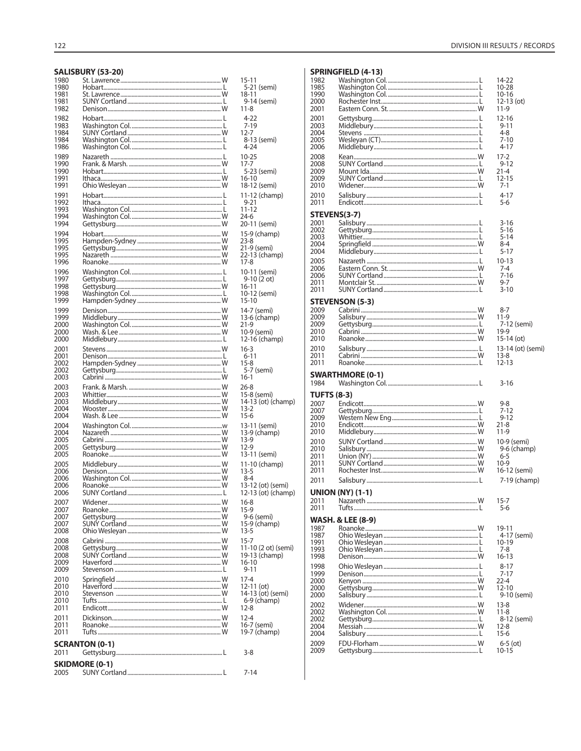# SALISBURY (53-20)

| 1980<br>1980<br>1981<br>1981 |                                                | $15 - 11$<br>5-21 (semi)<br>18-11           |
|------------------------------|------------------------------------------------|---------------------------------------------|
| 1982<br>1982<br>1983         |                                                | 9-14 (semi)<br>$11 - 8$<br>4-22<br>$7 - 19$ |
| 1984                         |                                                | 12-7                                        |
| 1984                         |                                                | 8-13 (semi)                                 |
| 1986                         |                                                | 4-24                                        |
| 1989                         |                                                | $10 - 25$                                   |
| 1990                         |                                                | $17 - 7$                                    |
| 1990                         |                                                | 5-23 (semi)                                 |
| 1991                         |                                                | 16-10                                       |
| 1991                         |                                                | 18-12 (semi)                                |
| 1991                         |                                                | 11-12 (champ)                               |
| 1992                         |                                                | $9 - 21$                                    |
| 1993<br>1994<br>1994         |                                                | 11-12<br>24-6<br>20-11 (semi)               |
| 1994                         |                                                | 15-9 (champ)                                |
| 1995                         |                                                | 23-8                                        |
| 1995                         |                                                | 21-9 (semi)                                 |
| 1995                         |                                                | 22-13 (champ)                               |
| 1996                         |                                                | $17 - 8$                                    |
| 1996                         |                                                | 10-11 (semi)                                |
| 1997                         |                                                | $9-10(2 ot)$                                |
| 1998                         |                                                | $16 - 11$                                   |
| 1998                         |                                                | 10-12 (semi)                                |
| 1999                         |                                                | $15 - 10$                                   |
| 1999                         |                                                | 14-7 (semi)                                 |
| 1999                         |                                                | 13-6 (champ)                                |
| 2000                         |                                                | $21-9$                                      |
| 2000                         |                                                | 10-9 (semi)                                 |
| 2000                         |                                                | 12-16 (champ)                               |
| 2001                         |                                                | $16-3$                                      |
| 2001                         |                                                | $6 - 11$                                    |
| 2002                         |                                                | $15-8$                                      |
| 2002                         |                                                | 5-7 (semi)                                  |
| 2003                         |                                                | 16-1                                        |
| 2003                         |                                                | $26 - 8$                                    |
| 2003                         |                                                | 15-8 (semi)                                 |
| 2003                         |                                                | 14-13 (ot) (champ)                          |
| 2004                         |                                                | $13 - 2$                                    |
| 2004                         |                                                | $15-6$                                      |
| 2004                         |                                                | 13-11 (semi)                                |
| 2004                         |                                                | 13-9 (champ)                                |
| 2005                         |                                                | $13-9$                                      |
| 2005                         |                                                | $12-9$                                      |
| 2005                         |                                                | 13-11 (semi)                                |
| 2005                         |                                                | 11-10 (champ)                               |
| 2006                         |                                                | $13 - 5$                                    |
| 2006                         |                                                | $8 - 4$                                     |
| 2006                         |                                                | 13-12 (ot) (semi)                           |
| 2006                         |                                                | 12-13 (ot) (champ)                          |
| 2007                         |                                                | 16-8                                        |
| 2007                         |                                                | $15-9$                                      |
| 2007                         |                                                | 9-6 (semi)                                  |
| 2007                         |                                                | 15-9 (champ)                                |
| 2008                         |                                                | $13 - 5$                                    |
| 2008                         |                                                | $15 - 7$                                    |
| 2008                         |                                                | 11-10 (2 ot) (semi)                         |
| 2008                         |                                                | 19-13 (champ)                               |
| 2009                         |                                                | $16 - 10$                                   |
| 2009                         |                                                | $9 - 11$                                    |
| 2010                         |                                                | $17 - 4$                                    |
| 2010                         |                                                | $12-11$ (ot)                                |
| 2010                         |                                                | 14-13 (ot) (semi)                           |
| 2010                         |                                                | $6-9$ (champ)                               |
| 2011                         |                                                | $12 - 8$                                    |
| 2011                         |                                                | $12 - 4$                                    |
| 2011                         |                                                | 16-7 (semi)                                 |
| 2011                         |                                                | 19-7 (champ)                                |
| 2011                         | <b>SCRANTON (0-1)</b><br><b>SKIDMORE (0-1)</b> | $3 - 8$                                     |
| 2005                         |                                                | $7 - 14$                                    |

# **SPRINGFIELD (4-13)**

| 1982<br>1985<br>1990<br>2000<br>2001 |                              | 14-22<br>10-28<br>$10 - 16$<br>$12-13$ (ot)<br>11-9  |
|--------------------------------------|------------------------------|------------------------------------------------------|
| 2001<br>2003<br>2004<br>2005<br>2006 |                              | 12-16<br>$9 - 11$<br>$4 - 8$<br>7-10<br>4-17         |
| 2008<br>2008<br>2009<br>2009<br>2010 |                              | $17 - 2$<br>$9 - 12$<br>$21 - 4$<br>$12 - 15$<br>7-1 |
| 2010<br>2011                         |                              | $4 - 17$<br>5-6                                      |
| STEVENS(3-7)                         |                              |                                                      |
| 2001                                 |                              | 3-16                                                 |
| 2002                                 |                              | $5 - 16$                                             |
| 2003<br>2004                         |                              | $5 - 14$<br>8-4                                      |
| 2004                                 |                              | $5 - 17$                                             |
| 2005                                 |                              | $10 - 13$                                            |
| 2006                                 |                              | 7-4                                                  |
| 2006                                 |                              | $7 - 16$                                             |
| 2011<br>2011                         |                              | 9-7<br>$3 - 10$                                      |
|                                      |                              |                                                      |
|                                      | <b>STEVENSON (5-3)</b>       |                                                      |
| 2009<br>2009                         |                              | 8-7<br>$11-9$                                        |
| 2009                                 |                              | 7-12 (semi)                                          |
| 2010                                 |                              | 19-9                                                 |
| 2010                                 |                              | $15-14$ (ot)                                         |
| 2010                                 |                              | 13-14 (ot) (semi)                                    |
| 2011<br>2011                         |                              | 13-8<br>12-13                                        |
|                                      |                              |                                                      |
|                                      |                              |                                                      |
|                                      | <b>SWARTHMORE (0-1)</b>      |                                                      |
| 1984                                 |                              | $3 - 16$                                             |
| <b>TUFTS (8-3)</b>                   |                              |                                                      |
| 2007                                 |                              | 9-8                                                  |
| 2007<br>2009                         |                              | $7 - 12$<br>$9 - 12$                                 |
| 2010                                 |                              | $21 - 8$                                             |
| 2010                                 |                              | 11-9                                                 |
| 2010                                 |                              | 10-9 (semi)                                          |
| 2010<br>2011                         |                              | 9-6 (champ)<br>6-5                                   |
| 2011                                 |                              | $10-9$                                               |
| 2011                                 |                              | 16-12 (semi)                                         |
| 2011                                 |                              | 7-19 (champ)                                         |
|                                      |                              |                                                      |
| 2011                                 | <b>UNION (NY) (1-1)</b><br>W | $15 - 7$                                             |
| 2011                                 |                              | $5 - 6$                                              |
|                                      |                              |                                                      |
| 1987                                 | WASH. & LEE (8-9)            | 19-11                                                |
| 1987                                 |                              | 4-17 (semi)                                          |
| 1991                                 |                              | 10-19                                                |
| 1993                                 |                              | 7-8                                                  |
| 1998                                 |                              | $16 - 13$                                            |
| 1998<br>1999                         |                              | $8 - 17$<br>$7 - 17$                                 |
| 2000                                 |                              | $22 - 4$                                             |
| 2000                                 |                              | $12 - 10$                                            |
| 2000                                 |                              | 9-10 (semi)                                          |
| 2002                                 |                              | $13 - 8$<br>$11 - 8$                                 |
| 2002<br>2002                         |                              | 8-12 (semi)                                          |
| 2004                                 |                              | 12-8                                                 |
| 2004                                 |                              | $15-6$                                               |
| 2009<br>2009                         |                              | $6 - 5$ (ot)<br>$10 - 15$                            |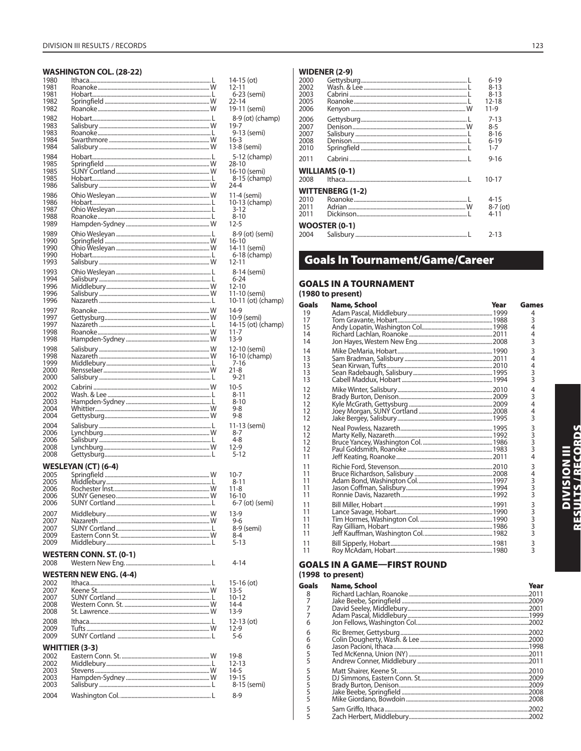# **WASHINGTON COL. (28-22)**

| 1980         |                                | 14-15 (ot)     |
|--------------|--------------------------------|----------------|
| 1981         |                                | 12-11          |
| 1981         |                                | 6-23 (semi)    |
| 1982         |                                | 22-14          |
| 1982         |                                | 19-11 (semi)   |
|              |                                |                |
| 1982         |                                | 8-9 (ot) (cha  |
| 1983         |                                | 19-7           |
| 1983         |                                | 9-13 (semi)    |
| 1984         |                                | $16-3$         |
| 1984         |                                | 13-8 (semi)    |
|              |                                |                |
| 1984         |                                | 5-12 (cham     |
| 1985         |                                | 28-10          |
| 1985         |                                | 16-10 (semi)   |
| 1985         |                                | 8-15 (cham     |
| 1986         |                                | 24-4           |
|              |                                |                |
| 1986         |                                | 11-4 (semi)    |
| 1986         |                                | 10-13 (cham    |
| 1987         |                                | 3-12           |
| 1988         |                                | $8 - 10$       |
| 1989         |                                | 12-5           |
|              |                                |                |
| 1989         |                                | 8-9 (ot) (ser  |
| 1990         |                                | 16-10          |
| 1990         |                                | 14-11 (semi)   |
| 1990         |                                | 6-18 (cham     |
| 1993         |                                | 12-11          |
|              |                                |                |
| 1993         |                                | 8-14 (semi)    |
| 1994         |                                | $6 - 24$       |
| 1996         |                                | 12-10          |
| 1996         |                                | 11-10 (semi)   |
| 1996         |                                | 10-11 (ot) (ch |
|              |                                |                |
| 1997         |                                | 14-9           |
| 1997         |                                | 10-9 (semi)    |
| 1997         |                                | 14-15 (ot) (ch |
| 1998         |                                | $11 - 7$       |
| 1998         |                                | $13-9$         |
|              |                                |                |
| 1998         |                                | 12-10 (semi)   |
| 1998         |                                | 16-10 (cham    |
| 1999         |                                | 7-16           |
| 2000         |                                | $21 - 8$       |
| 2000         |                                | $9 - 21$       |
|              |                                |                |
|              |                                |                |
| 2002         |                                | 10-5           |
| 2002         |                                | 8-11           |
|              |                                |                |
| 2003         |                                | 8-10           |
| 2004         |                                | 9-8            |
| 2004         |                                | 9-8            |
| 2004         |                                | 11-13 (semi)   |
| 2006         |                                | 8-7            |
|              |                                |                |
| 2006         |                                | 4-8            |
| 2008         |                                | 12-9           |
| 2008         |                                | 5-12           |
|              |                                |                |
|              | <b>WESLEYAN (CT) (6-4)</b>     |                |
| 2005         |                                | 10-7           |
| 2005         |                                | $8 - 11$       |
| 2006         |                                | $11 - 8$       |
| 2006         |                                | $16 - 10$      |
| 2006         |                                | 6-7 (ot) (ser  |
|              |                                |                |
| 2007         |                                | 13-9           |
| 2007         |                                | 9-6            |
| 2007         |                                | 8-9 (semi)     |
| 2009         |                                | 8-4            |
| 2009         |                                | $5 - 13$       |
|              |                                |                |
|              | <b>WESTERN CONN. ST. (0-1)</b> |                |
| 2008         |                                | 4-14           |
|              |                                |                |
|              | <b>WESTERN NEW ENG. (4-4)</b>  |                |
|              |                                |                |
| 2002<br>2007 |                                | $15-16$ (ot)   |
|              |                                | $13 - 5$       |
| 2007         |                                | $10 - 12$      |
| 2008         |                                | $14 - 4$       |
| 2008         |                                | $13-9$         |
|              |                                |                |
| 2008         |                                | 12-13 (ot)     |
| 2009         |                                | $12-9$         |
| 2009         |                                | $5 - 6$        |
|              |                                |                |
|              | <b>WHITTIER (3-3)</b>          |                |
| 2002         |                                | 19-8           |
| 2002         |                                | 12-13          |
| 2003         |                                | 14-5           |
| 2003         |                                | 19-15          |
| 2003         |                                | 8-15 (semi)    |
| 2004         |                                | $8 - 9$        |

| O<br>GC<br>(19<br>Go<br>19<br>17<br>15<br>14<br>14<br>14<br>13<br>13<br>13<br>13<br>12<br>12<br>12<br>12<br>12 | 6-18 (champ)<br>$2 - 11$<br>8-14 (semi)<br>$6 - 24$<br>$2 - 10$<br>1-10 (semi)<br>0-11 (ot) (champ)<br>4-9<br>0-9 (semi)<br>4-15 (ot) (champ)<br>1-7<br>$3-9$<br>2-10 (semi)<br>6-10 (champ)<br>12<br>12<br>12<br>12<br>11<br>11 | 11<br>11<br>11<br>11<br>11<br>11<br>1<br>1<br>11<br>11<br>11<br>11                                                                                                                                                       | GC | (19<br>Go<br>8<br>7<br>7<br>7<br>$\epsilon$<br>$\epsilon$<br>б                                 |
|----------------------------------------------------------------------------------------------------------------|----------------------------------------------------------------------------------------------------------------------------------------------------------------------------------------------------------------------------------|--------------------------------------------------------------------------------------------------------------------------------------------------------------------------------------------------------------------------|----|------------------------------------------------------------------------------------------------|
|                                                                                                                |                                                                                                                                                                                                                                  |                                                                                                                                                                                                                          |    |                                                                                                |
|                                                                                                                |                                                                                                                                                                                                                                  | 7-16<br>1-8<br>$9 - 21$<br>$0 - 5$<br>8-11<br>8-10<br>$9 - 8$<br>9-8<br>1-13 (semi)<br>8-7<br>$4 - 8$<br>2-9<br>5-12<br>$0 - 7$<br>8-11<br>1-8<br>6-10<br>6-7 (ot) (semi)<br>$3-9$<br>$9-6$<br>8-9 (semi)<br>8-4<br>5-13 |    | 4-14<br>5-16 (ot)<br>3-5<br>$0 - 12$<br>$4 - 4$<br>$3-9$<br>2-13 (ot)<br>2-9<br>2-9<br>$5 - 6$ |
|                                                                                                                |                                                                                                                                                                                                                                  |                                                                                                                                                                                                                          |    |                                                                                                |

 $\overline{\phantom{a}}$ j

# $|$  WIDENER (2-9)

| 2000<br>2002<br>2003<br>2005<br>2006 |                       | $6 - 19$<br>$8 - 13$<br>$8 - 13$<br>$12 - 18$<br>11-9 |
|--------------------------------------|-----------------------|-------------------------------------------------------|
| 2006<br>2007<br>2007<br>2008<br>2010 |                       | $7 - 13$<br>$8-5$<br>$8 - 16$<br>$6 - 19$<br>$1 - 7$  |
| 2011                                 |                       | $9 - 16$                                              |
| 2008                                 | <b>WILLIAMS (0-1)</b> | $10 - 17$                                             |
|                                      | WITTENBERG (1-2)      |                                                       |
| 2010<br>2011<br>2011                 |                       | $4 - 15$<br>$8-7$ (ot)<br>$4 - 11$                    |
|                                      | <b>WOOSTER (0-1)</b>  |                                                       |
| 2004                                 |                       | $2 - 13$                                              |

# **Goals In Tournament/Game/Career**

# **GOALS IN A TOURNAMENT**

|                            | (1980 to present) |      |                         |
|----------------------------|-------------------|------|-------------------------|
| Goals                      | Name, School      | Year | Games                   |
| 19                         |                   |      | 4                       |
| 17                         |                   |      | 3                       |
| 15                         |                   |      | 4                       |
| 14                         |                   |      | 4                       |
| 14                         |                   |      | 3                       |
| 14                         |                   |      | 3                       |
| 13                         |                   |      | 4                       |
| 13                         |                   |      | 4                       |
| 13                         |                   |      | 3                       |
| 13                         |                   |      | 3                       |
| 12                         |                   |      | 4                       |
| 12                         |                   |      | 3                       |
| 12                         |                   |      | 4                       |
| 12                         |                   |      | 4                       |
| 12                         |                   |      | 3                       |
| 12                         |                   |      | 3                       |
| 12                         |                   |      | $\overline{3}$          |
| 12                         |                   |      | $\overline{3}$          |
| 12                         |                   |      | 3                       |
| 11                         |                   |      | 4                       |
| 11                         |                   |      | 3                       |
| 11                         |                   |      | 4                       |
| 11                         |                   |      | 3                       |
| 11                         |                   |      | 3                       |
| 11                         |                   |      | 3                       |
| 11<br>11<br>11<br>11<br>11 |                   |      | <b>3333</b><br>3        |
| 11                         |                   |      | 3                       |
| 11                         |                   |      | $\overline{\mathbf{3}}$ |

# **GOALS IN A GAME-FIRST ROUND** (1998 to present)

| oals | Name, School | Year |
|------|--------------|------|
| 8    |              |      |
| 7    |              |      |
| 7    |              |      |
| 7    |              |      |
| 6    |              |      |
| 6    |              |      |
| 6    |              |      |
| 6    |              |      |
| 5    |              |      |
| 5    |              |      |
| 5    |              |      |
| 5    |              |      |
| 5    |              |      |
| 5    |              |      |
| 5    |              |      |
| 5    |              |      |
| 5    |              |      |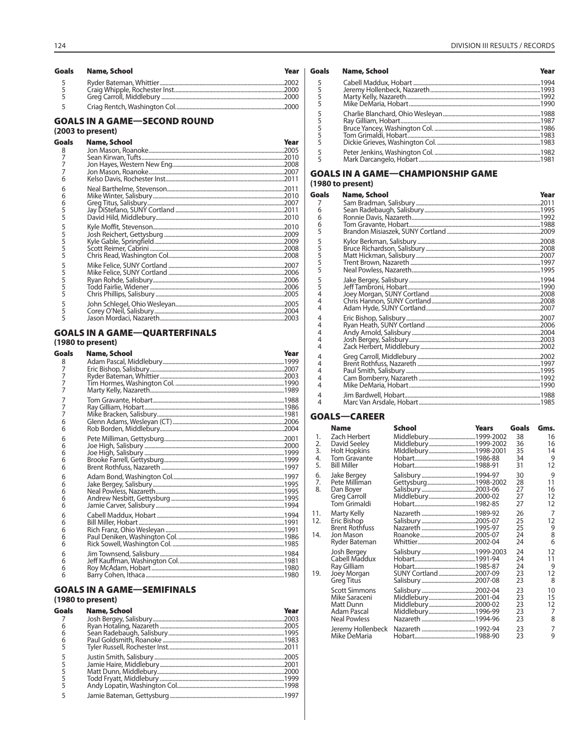| Goals         | Name, School | Year |
|---------------|--------------|------|
| $\frac{5}{5}$ |              |      |
| 5             |              |      |

# **GOALS IN A GAME-SECOND ROUND**

# (2003 to present)

| Goals | Name, School | Year |
|-------|--------------|------|
| 8     |              |      |
|       |              |      |
|       |              |      |
|       |              |      |
| 6     |              |      |
| 6     |              |      |
| 6     |              |      |
| 6     |              |      |
| 5     |              |      |
| 5     |              |      |
| 5     |              |      |
| 5     |              |      |
| 5     |              |      |
| 5     |              |      |
| 5     |              |      |
| 5     |              |      |
| 5     |              |      |
| 5     |              |      |
| 5     |              |      |
| 5     |              |      |
| 5     |              |      |
|       |              |      |
|       |              |      |

# **GOALS IN A GAME-QUARTERFINALS**

# (1980 to present)

| <b>Goals</b> | <b>Name, School</b> | Year |
|--------------|---------------------|------|
| 8            |                     |      |
| 7            |                     |      |
| 7            |                     |      |
| 7            |                     |      |
| 7            |                     |      |
| 7            |                     |      |
| 7            |                     |      |
| 7            |                     |      |
| 6            |                     |      |
| 6            |                     |      |
| 6            |                     |      |
| 6            |                     |      |
| 6            |                     |      |
| 6            |                     |      |
| 6            |                     |      |
| 6            |                     |      |
| 6            |                     |      |
| 6            |                     |      |
| 6            |                     |      |
| 6            |                     |      |
| 6            |                     |      |
| 6            |                     |      |
| 6            |                     |      |
| 6            |                     |      |
| 6            |                     |      |
| 6            |                     |      |
| 6            |                     |      |
| 6            |                     |      |
| 6            |                     |      |

# **GOALS IN A GAME-SEMIFINALS**

# (1980 to present)

| <b>Name, School</b> | Year |
|---------------------|------|
|                     |      |
|                     |      |
|                     |      |
|                     |      |
|                     |      |
|                     |      |
|                     |      |
|                     |      |
|                     |      |
|                     |      |
|                     |      |
|                     |      |

| Goals              | Name, School | Year |
|--------------------|--------------|------|
| 5<br>$\frac{5}{5}$ |              |      |
| 5<br>5<br>5<br>5   |              |      |
| 5<br>5             |              |      |

# **GOALS IN A GAME-CHAMPIONSHIP GAME** (1980 to present)

| Goals | Name, School | Year |
|-------|--------------|------|
| 7     |              |      |
| 6     |              |      |
| 6     |              |      |
| 6     |              |      |
| 5     |              |      |
| 5     |              |      |
| 555   |              |      |
|       |              |      |
|       |              |      |
| 5     |              |      |
| 5     |              |      |
| 5     |              |      |
| 4     |              |      |
| 4     |              |      |
| 4     |              |      |
| 4     |              |      |
| 4     |              |      |
| 4     |              |      |
| 4     |              |      |
| 4     |              |      |
| 4     |              |      |
| 4     |              |      |
| 4     |              |      |
| 4     |              |      |
| 4     |              |      |
| 4     |              |      |
| 4     |              |      |

# **GOALS-CAREER**

|                            | <b>Name</b>                                                                               | <b>School</b>                                                     | Years | Goals                      | Gms.                      |
|----------------------------|-------------------------------------------------------------------------------------------|-------------------------------------------------------------------|-------|----------------------------|---------------------------|
| 1.<br>2.<br>3.<br>4.<br>5. | Zach Herbert<br>David Seeley<br>Holt Hopkins<br><b>Tom Gravante</b><br><b>Bill Miller</b> | Middlebury1999-2002<br>Middlebury1999-2002<br>MIddlebury1998-2001 |       | 38<br>36<br>35<br>34<br>31 | 16<br>16<br>14<br>9<br>12 |
| 6.<br>7.<br>8.             | Jake Bergey<br>Pete Milliman<br>Dan Boyer<br><b>Greg Carroll</b><br>Tom Grimaldi          | Gettysburg1998-2002<br>Middlebury2000-02                          |       | 30<br>28<br>27<br>27<br>27 | 9<br>11<br>16<br>12<br>12 |
| 11.<br>12.<br>14.          | Marty Kelly<br>Eric Bishop<br><b>Brent Rothfuss</b><br>Jon Mason<br>Ryder Bateman         |                                                                   |       | 26<br>25<br>25<br>24<br>24 | 7<br>12<br>9<br>8<br>6    |
| 19.                        | Josh Bergey<br>Cabell Maddux<br>Ray Gilliam<br>Joey Morgan<br><b>Greg Titus</b>           | SUNY Cortland2007-09                                              |       | 24<br>24<br>24<br>23<br>23 | 12<br>11<br>9<br>12<br>8  |
|                            | <b>Scott Simmons</b><br>Mike Saraceni<br>Matt Dunn<br>Adam Pascal<br><b>Neal Powless</b>  | Middlebury2001-04                                                 |       | 23<br>23<br>23<br>23<br>23 | 10<br>15<br>12<br>7<br>8  |
|                            | Jeremy Hollenbeck<br>Mike DeMaria                                                         |                                                                   |       | 23<br>23                   | 7<br>9                    |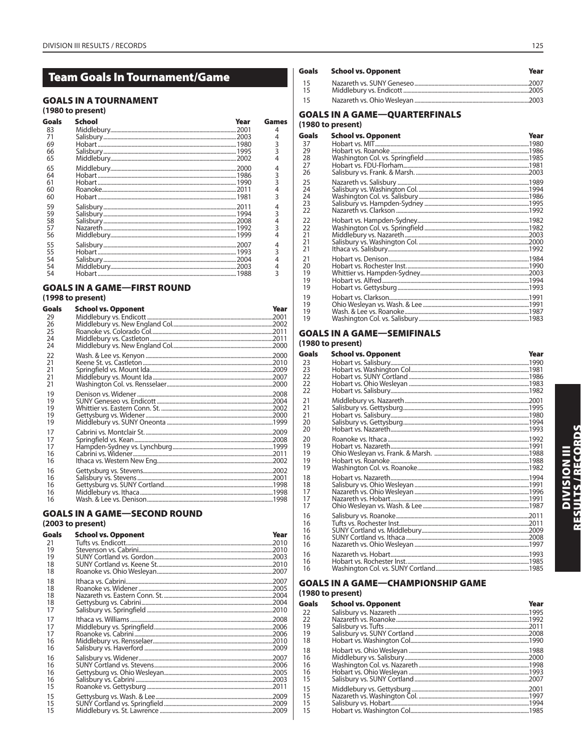# **Team Goals In Tournament/Game**

# **GOALS IN A TOURNAMENT**

# (1980 to present)

| Goals | School | Year | Games |
|-------|--------|------|-------|
| 83    |        |      |       |
| 71    |        |      |       |
| 69    |        |      | 3     |
| 66    |        |      |       |
| 65    |        |      |       |
| 65    |        |      |       |
| 64    |        |      |       |
|       |        |      |       |
| 60    |        |      | 4     |
| 60    |        |      |       |
| 59    |        |      |       |
| 59    |        |      | 3     |
| 58    |        |      |       |
|       |        |      |       |
| 56    |        |      |       |
| 55    |        |      |       |
| 55    |        |      | 3     |
| 54    |        |      |       |
|       |        |      |       |
|       |        |      | 3     |

# **GOALS IN A GAME-FIRST ROUND**

# (1998 to present)

| Goals | <b>School vs. Opponent</b> | Year |
|-------|----------------------------|------|
| 29    |                            |      |
| 26    |                            |      |
| 25    |                            |      |
| 24    |                            |      |
| 24    |                            |      |
| 22    |                            |      |
| 21    |                            |      |
| 21    |                            |      |
| 21    |                            |      |
| 21    |                            |      |
| 19    |                            |      |
| 19    |                            |      |
| 19    |                            |      |
| 19    |                            |      |
| 19    |                            |      |
| 17    |                            |      |
| 17    |                            |      |
| 17    |                            |      |
| 16    |                            |      |
| 16    |                            |      |
| 16    |                            |      |
| 16    |                            |      |
| 16    |                            |      |
| 16    |                            |      |
| 16    |                            |      |
|       |                            |      |

# **GOALS IN A GAME-SECOND ROUND** (2003 to present)

#### **Goals School vs. Opponent** Year  $21$ Tufts vs. Endicott... .2010 19 Stevenson vs. Cabrini.. .2010 19 SUNY Cortland vs. Gordon.. 2003 SUNY Cortland vs. Keene St ....... 2010 18 18 Roanoke vs. Ohio Wesleyan........ 2007 18 ..2007 Ithaca vs. Cabrini.. Roanoke vs. Widener...  $.2005$ 18 18 Nazareth vs. Eastern Conn. St. ................ .2004 18 Gettysburg vs. Cabrini. 2004 17 Salisbury vs. Springfield. .2010 Ithaca vs. Williams.  $17$ .2008 2006 17  $.2006$  $17$ Middlebury vs. Rensselaer.......  $.2010$ 16  $16$ Salisbury vs. Haverford .... .2009 .2007  $16$ Salisbury vs. Widener.... 16 SUNY Cortland vs. Stevens..... .2006 2005 16 2003 16 Roanoké vs. Gettysburg .. 2011 15 Gettysburg vs. Wash. & Lee...............<br>SUNY Cortland vs. Springfield........ 15 .2009  $15$  $.2009$  $15$ Middlebury vs. St. Lawrence ....... .2009

| <b>Goals</b> | <b>School vs. Opponent</b> | Year |
|--------------|----------------------------|------|
| - 15         |                            |      |
| -15          |                            |      |
| - 15         |                            |      |

# **GOALS IN A GAME-QUARTERFINALS**

# (1980 to present)

| Goals | <b>School vs. Opponent</b> | Year |
|-------|----------------------------|------|
| 37    |                            |      |
| 29    |                            |      |
| 28    |                            |      |
| 27    |                            |      |
| 26    |                            |      |
| 25    |                            |      |
| 24    |                            |      |
| 24    |                            |      |
| 23    |                            |      |
| 22    |                            |      |
| 22    |                            |      |
| 22    |                            |      |
| 21    |                            |      |
| 21    |                            |      |
| 21    |                            |      |
| 21    |                            |      |
| 20    |                            |      |
| 19    |                            |      |
| 19    |                            |      |
| 19    |                            |      |
| 19    |                            |      |
| 19    |                            |      |
| 19    |                            |      |
| 19    |                            |      |

# **GOALS IN A GAME-SEMIFINALS**

# (1980 to present)

| <b>Goals</b> | <b>School vs. Opponent</b> | Year |
|--------------|----------------------------|------|
| 23           |                            |      |
| 23           |                            |      |
| 22           |                            |      |
| 22           |                            |      |
| 22           |                            |      |
| 21           |                            |      |
| 21           |                            |      |
| 21           |                            |      |
| 20           |                            |      |
| 20           |                            |      |
| 20           |                            |      |
| 19           |                            |      |
| 19           |                            |      |
| 19           |                            |      |
| 19           |                            |      |
| 18           |                            |      |
| 18           |                            |      |
| 17           |                            |      |
| 17           |                            |      |
| 17           |                            |      |
| 16           |                            |      |
| 16           |                            |      |
| 16           |                            |      |
| 16           |                            |      |
| 16           |                            |      |
| 16           |                            |      |
| 16           |                            |      |
| 16           |                            |      |

# **GOALS IN A GAME-CHAMPIONSHIP GAME**

# (1980 to present)

| Goals | <b>School vs. Opponent</b> | Year |
|-------|----------------------------|------|
| 22    |                            |      |
| 22    |                            |      |
| 19    |                            |      |
| 19    |                            |      |
| 18    |                            |      |
| 18    |                            |      |
| 16    |                            |      |
| 16    |                            |      |
| 16    |                            |      |
| 15    |                            |      |
| 15    |                            |      |
| 15    |                            |      |
| 15    |                            |      |
| 15    |                            |      |
|       |                            |      |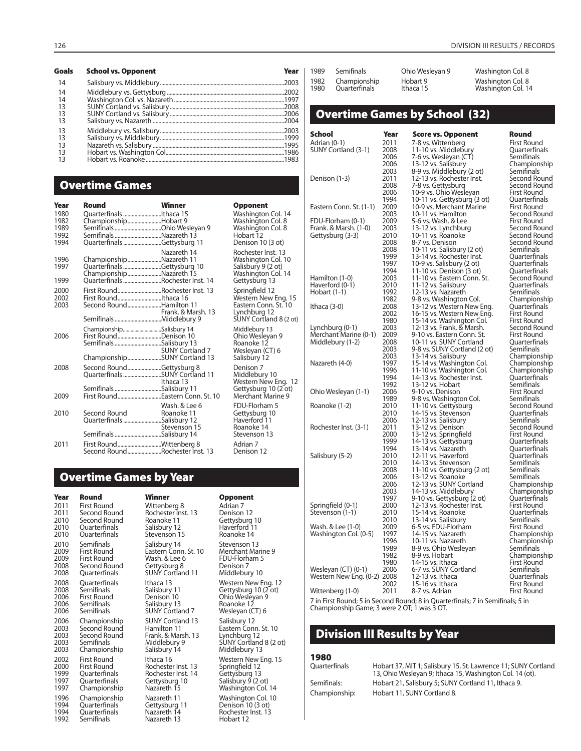| <b>Goals</b> | <b>School vs. Opponent</b> | Year |
|--------------|----------------------------|------|
| 14           |                            |      |
| 14           |                            |      |
| 14           |                            |      |
| 13           |                            |      |
| 13           |                            |      |
| 13           |                            |      |
| 13           |                            |      |
| 13           |                            |      |
| 13           |                            |      |
| 13           |                            |      |
| 13           |                            |      |

# **Overtime Games**

| Year                                 | Round                                                                            | Winner                                                                         | <b>Opponent</b>                                                                                         |
|--------------------------------------|----------------------------------------------------------------------------------|--------------------------------------------------------------------------------|---------------------------------------------------------------------------------------------------------|
| 1980<br>1982<br>1989<br>1992<br>1994 | Quarterfinals Ithaca 15<br>ChampionshipHobart 9<br>Semifinals Nazareth 13        | SemifinalsOhio Wesleyan 9<br>Quarterfinals Gettysburg 11                       | Washington Col. 14<br>Washington Col. 8<br>Washington Col. 8<br>Hobart 12<br>Denison 10 (3 ot)          |
| 1996<br>1997<br>1999                 | ChampionshipNazareth 11<br>ChampionshipNazareth 15                               | Nazareth 14<br>Quarterfinals Gettysburg 10<br>Quarterfinals Rochester Inst. 14 | Rochester Inst. 13<br>Washington Col. 10<br>Salisbury 9 (2 ot)<br>Washington Col. 14<br>Gettysburg 13   |
| 2000<br>2002<br>2003                 | Second RoundHamilton 11                                                          | First RoundRochester Inst. 13<br>Frank. & Marsh. 13                            | Springfield 12<br>Western New Eng. 15<br>Eastern Conn. St. 10<br>Lynchburg 12<br>SUNY Cortland 8 (2 ot) |
| 2006                                 | ChampionshipSalisbury 14<br>First RoundDenison 10<br>Semifinals Salisbury 13     | SUNY Cortland 7<br>ChampionshipSUNY Cortland 13                                | Middlebury 13<br>Ohio Wesleyan 9<br>Roanoke 12<br>Wesleyan (CT) 6<br>Salisbury 12                       |
| 2008<br>2009                         | Second RoundGettysburg 8<br>Semifinals Salisbury 11                              | Quarterfinals SUNY Cortland 11<br>Ithaca 13<br>First RoundEastern Conn. St. 10 | Denison 7<br>Middlebury 10<br>Western New Eng. 12<br>Gettysburg 10 (2 ot)<br>Merchant Marine 9          |
| 2010                                 | Second Round Roanoke 11<br>Quarterfinals Salisbury 12<br>Semifinals Salisbury 14 | Wash, & Lee 6<br>Stevenson 15                                                  | FDU-Florham 5<br>Gettysburg 10<br>Haverford 11<br>Roanoke 14<br>Stevenson 13                            |
| 2011                                 | First RoundWittenberg 8                                                          |                                                                                | Adrian 7<br>Denison 12                                                                                  |

# **Overtime Games by Year**

**Year Round Winner Copponent Villam Copponent**<br>
2011 First Round Wittenberg 8 Adrian 7 2011 First Round Wittenberg 8 Adrian 7 2011 Second Round<br>2010 Second Round 2010 Second Round Roanoke 11 Gettysburg 10 2010 Quarterfinals Salisbury 12 Haverford 1<br>2010 Quarterfinals Stevenson 15 Roanoke 14 **Ouarterfinals** 2010 Semifinals Salisbury 14 Stevenson 13<br>2009 First Round Fastern Conn. St. 10 Merchant Mar 2009 First Round Eastern Conn. St. 10 Merchant Marine 9 2009 First Round Mash. & Lee 6 FDU-Florham 5<br>2009 First Round Wash. & Lee 6 FDU-Florham 5<br>2008 Second Round Gettysburg 8 Denison 7 2008 Second Round<br>2008 Quarterfinals 2008 Quarterfinals Ithaca 13 11 Western New Eng. 12<br>2008 Semifinals Salisbury 11 Gettysburg 10 (2 ot) 2008 Semifinals Salisbury 11 Gettysburg 10 (2 ot)<br>2006 First Round Denison 10 Ohio Weslevan 9 2006 First Round Denison 10 Ohio Wesleyan 9 2006 Semifinals Salisbury 13 Roanoke 12 2006 Championship<br>2003 Second Round 2006 Championship SUNY Cortland 13 Salisbury 12<br>2003 Second Round Hamilton 11 Eastern Conn. St. 10<br>2003 Second Round Frank. & Marsh. 13 Lynchburg 12 2003 Second Round Frank. & Marsh. 13 Lynchburg 12 2003 Semifinals Middlebury 9 SUNY Cortland 8 (2 ot) 2003 Semifinals Middlebury 9 SUNY Cortland<br>2003 Championship Salisbury 14 Middlebury 13 2002 First Round Ithaca 16 Western New Eng. 15<br>2000 First Round Rochester Inst. 13 Springfield 12 2000 First Round Rochester Inst. 13 Springfield 12 1999 Quarterfinals Rochester Inst. 14 Gettysburg 13 1997 Quarterfinals Gettysburg 10 Salisbury 9 (2 ot)<br>1997 Championship Nazareth 15 Washington Col. 1996 Championship Nazareth 11 Washington Col. 10 1994 Quarterfinals Gettysburg 11 Denison 10 (3 ot)<br>1994 Quarterfinals Nazareth 14 Rochester Inst. 13 1994 Quarterfinals 1922 Nazareth 14 Rochester Inst. 13<br>1992 Semifinals 1922 Nazareth 13 Hobart 12

| Winner                                                                                       |
|----------------------------------------------------------------------------------------------|
| Wittenberg 8<br>Rochester Inst. 13<br>Roanoke 11<br>Salisbury 12<br>Stevenson 15             |
| Salisbury 14<br>Eastern Conn. St. 10<br>Wash. & Lee 6<br>Gettysburg 8<br>SUNY Cortland 11    |
| Ithaca 13<br>Salisbury 11<br>Denison 10<br>Salisbury 13<br><b>SUNY Cortland 7</b>            |
| <b>SUNY Cortland 13</b><br>Hamilton 11<br>Frank. & Marsh. 13<br>Middlebury 9<br>Salisbury 14 |
| Ithaca 16<br>Rochester Inst. 13<br>Rochester Inst. 14<br>Gettysburg 10<br>Nazáreth 15        |
| Nazareth 11<br>Gettysburg 11<br>Nazareth 14<br>Nazareth 13                                   |

Middlebury 10 Wesleyan (CT) 6 Washington Col. 14

| 1982<br>1980 | Championship<br>Quarterfinals                      |              | Hobart 9<br>Ithaca 15                                   |                                                          | Washington Col. 8<br>Washington Col. 14 |
|--------------|----------------------------------------------------|--------------|---------------------------------------------------------|----------------------------------------------------------|-----------------------------------------|
|              | <b>Overtime Games by School (32)</b>               |              |                                                         |                                                          |                                         |
| School       |                                                    | Year         | <b>Score vs. Opponent</b>                               |                                                          | Round                                   |
|              | Adrian (0-1)<br>SUNY Cortland (3-1)                | 2011<br>2008 | 7-8 vs. Wittenberg<br>11-10 vs. Middlebury              |                                                          | <b>First Round</b><br>Quarterfinals     |
|              |                                                    | 2006         | 7-6 vs. Wesleyan (CT)                                   |                                                          | Semifinals                              |
|              |                                                    | 2006<br>2003 | 13-12 vs. Salisbury<br>8-9 vs. Middlebury (2 ot)        |                                                          | Championship<br>Semifinals              |
|              | Denison (1-3)                                      | 2011         | 12-13 vs. Rochester Inst.                               |                                                          | Second Round                            |
|              |                                                    | 2008<br>2006 | 7-8 vs. Gettysburg<br>10-9 vs. Ohio Wesleyan            |                                                          | Second Round<br>First Round             |
|              |                                                    | 1994         |                                                         | 10-11 vs. Gettysburg (3 ot)                              | Quarterfinals                           |
|              | Eastern Conn. St. (1-1)                            | 2009<br>2003 | 10-9 vs. Merchant Marine<br>10-11 vs. Hamilton          |                                                          | First Round<br>Second Round             |
|              | FDU-Florham (0-1)                                  | 2009         | 5-6 vs. Wash. & Lee                                     |                                                          | First Round                             |
|              | Frank. & Marsh. (1-0)<br>Gettysburg (3-3)          | 2003<br>2010 | 13-12 vs. Lynchburg<br>10-11 vs. Roanoke                |                                                          | Second Round<br>Second Round            |
|              |                                                    | 2008         | 8-7 vs. Denison                                         |                                                          | Second Round                            |
|              |                                                    | 2008<br>1999 | 10-11 vs. Salisbury (2 ot)<br>13-14 vs. Rochester Inst. |                                                          | Semifinals<br>Quarterfinals             |
|              |                                                    | 1997<br>1994 | 10-9 vs. Salisbury (2 ot)                               |                                                          | Quarterfinals                           |
|              | Hamilton (1-0)                                     | 2003         | 11-10 vs. Denison (3 ot)<br>11-10 vs. Eastern Conn. St. |                                                          | Quarterfinals<br>Second Round           |
|              | Haverford (0-1)<br>Hobart (1-1)                    | 2010<br>1992 | 11-12 vs. Salisbury<br>12-13 vs. Nazareth               |                                                          | Quarterfinals<br>Semifinals             |
|              |                                                    | 1982         | 9-8 vs. Washington Col.                                 |                                                          | Championship                            |
| Ithaca (3-0) |                                                    | 2008<br>2002 |                                                         | 13-12 vs. Western New Eng.<br>16-15 vs. Western New Eng. | Quarterfinals<br>First Round            |
|              |                                                    | 1980         | 15-14 vs. Washington Col.                               |                                                          | First Round                             |
|              | Lynchburg (0-1)<br>Merchant Marine (0-1)           | 2003<br>2009 | 12-13 vs. Frank. & Marsh.<br>9-10 vs. Eastern Conn. St. |                                                          | Second Round<br>First Round             |
|              | Middlebury (1-2)                                   | 2008         | 10-11 vs. SUNY Cortland                                 |                                                          | Quarterfinals                           |
|              |                                                    | 2003<br>2003 | 13-14 vs. Salisbury                                     | 9-8 vs. SUNY Cortland (2 ot)                             | Semifinals<br>Championship              |
|              | Nazareth (4-0)                                     | 1997         | 15-14 vs. Washington Col.                               |                                                          | Championship                            |
|              |                                                    | 1996<br>1994 | 11-10 vs. Washington Col.<br>14-13 vs. Rochester Inst.  |                                                          | Championship<br>Quarterfinals           |
|              | Ohio Wesleyan (1-1)                                | 1992<br>2006 | 13-12 vs. Hobart<br>9-10 vs. Denison                    |                                                          | Semifinals<br>First Round               |
|              |                                                    | 1989         | 9-8 vs. Washington Col.                                 |                                                          | Semifinals                              |
|              | Roanoke (1-2)                                      | 2010<br>2010 | 11-10 vs. Gettysburg<br>14-15 vs. Stevenson             |                                                          | Second Round<br>Quarterfinals           |
|              |                                                    | 2006         | 12-13 vs. Salisbury                                     |                                                          | Semifinals                              |
|              | Rochester Inst. (3-1)                              | 2011<br>2000 | 13-12 vs. Denison<br>13-12 vs. Springfield              |                                                          | Second Round<br>First Round             |
|              |                                                    | 1999         | 14-13 vs. Gettysburg                                    |                                                          | Quarterfinals                           |
|              | Salisbury (5-2)                                    | 1994<br>2010 | 13-14 vs. Nazareth<br>12-11 vs. Haverford               |                                                          | Quarterfinals<br>Quarterfinals          |
|              |                                                    | 2010         | 14-13 vs. Stevenson                                     |                                                          | Semifinals                              |
|              |                                                    | 2008<br>2006 | 11-10 vs. Gettysburg (2 ot)<br>13-12 vs. Roanoke        |                                                          | Semifinals<br>Semifinals                |
|              |                                                    | 2006         | 12-13 vs. SUNY Cortland                                 |                                                          | Championship                            |
|              |                                                    | 2003<br>1997 | 14-13 vs. Middlebury<br>9-10 vs. Gettysburg (2 ot)      |                                                          | Championship<br>Quarterfinals           |
|              | Springfield (0-1)                                  | 2000         | 12-13 vs. Rochester Inst.<br>15-14 vs. Roanoke          |                                                          | First Round<br>Quarterfinals            |
|              | Stevenson (1-1)                                    | 2010<br>2010 | 13-14 vs. Salisbury                                     |                                                          | Semifinals                              |
|              | Wash. & Lee (1-0)<br>Washington Col. (0-5)         | 2009<br>1997 | 6-5 vs. FDU-Florham<br>14-15 vs. Nazareth               |                                                          | First Round<br>Championship             |
|              |                                                    | 1996         | 10-11 vs. Nazareth                                      |                                                          | Championship                            |
|              |                                                    | 1989<br>1982 | 8-9 vs. Ohio Wesleyan<br>8-9 vs. Hobart                 |                                                          | Semifinals<br>Championship              |
|              |                                                    | 1980         | 14-15 vs. Ithaca                                        |                                                          | First Round                             |
|              | Wesleyan (CT) (0-1)<br>Western New Eng. (0-2) 2008 | 2006         | 6-7 vs. SUNY Cortland<br>12-13 vs. Ithaca               |                                                          | Semifinals<br>Ouarterfinals             |
|              |                                                    | 2002         | 15-16 vs. Ithaca                                        |                                                          | First Round                             |
|              | Wittenberg (1-0)                                   | 2011         | 8-7 vs. Adrian                                          |                                                          | First Round                             |

1989 Semifinals Ohio Wesleyan 9 Washington Col. 8

7 in First Round; 5 in Second Round; 8 in Quarterfinals; 7 in Semifinals; 5 in Championship Game; 3 were 2 OT; 1 was 3 OT.

# **Division III Results by Year**

# **1980**

| Ouarterfinals |
|---------------|
| Semifinals:   |
| Championship: |

Hobart 37, MIT 1; Salisbury 15, St. Lawrence 11; SUNY Cortland 13, Ohio Wesleyan 9; Ithaca 15, Washington Col. 14 (ot). Hobart 21, Salisbury 5; SUNY Cortland 11, Ithaca 9. Hobart 11, SUNY Cortland 8.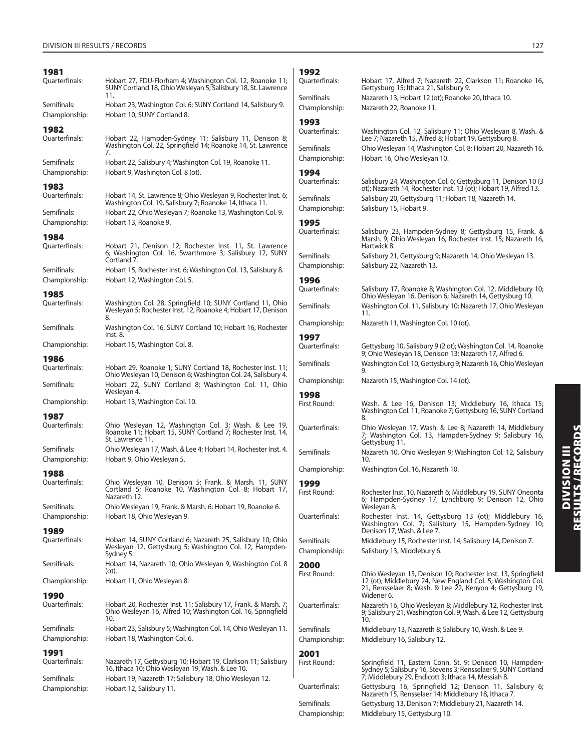| 1981                          |                                                                                                                                                                              | 11       |
|-------------------------------|------------------------------------------------------------------------------------------------------------------------------------------------------------------------------|----------|
| Quarterfinals:                | Hobart 27, FDU-Florham 4; Washington Col. 12, Roanoke 11;<br>SUNY Cortland 18, Ohio Wesleyan 5; Salisbury 18, St. Lawrence<br>11.                                            | Qι       |
| Semifinals:<br>Championship:  | Hobart 23, Washington Col. 6; SUNY Cortland 14, Salisbury 9.<br>Hobart 10, SUNY Cortland 8.                                                                                  | Se<br>Cł |
| 1982                          |                                                                                                                                                                              | 11       |
| Quarterfinals:                | Hobart 22, Hampden-Sydney 11; Salisbury 11, Denison 8;<br>Washington Col. 22, Springfield 14; Roanoke 14, St. Lawrence<br>7.                                                 | Qι<br>Se |
| Semifinals:                   | Hobart 22, Salisbury 4; Washington Col. 19, Roanoke 11.                                                                                                                      | Cł       |
| Championship:                 | Hobart 9, Washington Col. 8 (ot).                                                                                                                                            | 11       |
| 1983<br>Quarterfinals:        | Hobart 14, St. Lawrence 8; Ohio Wesleyan 9, Rochester Inst. 6;<br>Washington Col. 19, Salisbury 7; Roanoke 14, Ithaca 11.                                                    | Qι<br>Se |
| Semifinals:<br>Championship:  | Hobart 22, Ohio Wesleyan 7; Roanoke 13, Washington Col. 9.<br>Hobart 13, Roanoke 9.                                                                                          | Cł<br>11 |
| 1984                          |                                                                                                                                                                              | Qι       |
| Quarterfinals:                | Hobart 21, Denison 12; Rochester Inst. 11, St. Lawrence<br>6; Washington Col. 16, Swarthmore 3; Salisbury 12, SUNY<br>Cortland 7.                                            | Se       |
| Semifinals:                   | Hobart 15, Rochester Inst. 6; Washington Col. 13, Salisbury 8.                                                                                                               | Cł       |
| Championship:                 | Hobart 12, Washington Col. 5.                                                                                                                                                | 11<br>Qι |
| 1985                          |                                                                                                                                                                              |          |
| Quarterfinals:                | Washington Col. 28, Springfield 10; SUNY Cortland 11, Ohio<br>Wesleyan 5; Rochester Inst. 12, Roanoke 4; Hobart 17, Denison<br>8.                                            | Se<br>Cł |
| Semifinals:                   | Washington Col. 16, SUNY Cortland 10; Hobart 16, Rochester<br>lnst. 8.                                                                                                       |          |
| Championship:                 | Hobart 15, Washington Col. 8.                                                                                                                                                | 11<br>Qι |
| 1986                          |                                                                                                                                                                              |          |
| Quarterfinals:                | Hobart 29, Roanoke 1; SUNY Cortland 18, Rochester Inst. 11;<br>Ohio Wesleyan 10, Denison 6; Washington Col. 24, Salisbury 4.                                                 | Se<br>Cł |
| Semifinals:                   | Hobart 22, SUNY Cortland 8; Washington Col. 11, Ohio<br>Wesleyan 4.                                                                                                          | 11       |
| Championship:                 | Hobart 13, Washington Col. 10.                                                                                                                                               | Fir      |
| 1987                          |                                                                                                                                                                              |          |
| Quarterfinals:                | Ohio Wesleyan 12, Washington Col. 3; Wash. & Lee 19,<br>Roanoke 11; Hobart 15, SUNY Cortland 7; Rochester Inst. 14,<br>St. Lawrence 11.                                      | Qι       |
| Semifinals:                   | Ohio Wesleyan 17, Wash. & Lee 4; Hobart 14, Rochester Inst. 4.                                                                                                               | Se       |
| Championship:                 | Hobart 9, Ohio Wesleyan 5.                                                                                                                                                   | Cł       |
| 1988<br>Quarterfinals:        | Ohio Wesleyan 10, Denison 5; Frank. & Marsh. 11, SUNY                                                                                                                        | 11       |
|                               | Cortland 5; Roanoke 10, Washington Col. 8; Hobart 17,<br>Nazareth 12.                                                                                                        | Fir      |
| Semifinals:                   | Ohio Wesleyan 19, Frank. & Marsh. 6; Hobart 19, Roanoke 6.                                                                                                                   |          |
| Championship:                 | Hobart 18, Ohio Wesleyan 9.                                                                                                                                                  | Qι       |
| 1989<br>Quarterfinals:        | Hobart 14, SUNY Cortland 6; Nazareth 25, Salisbury 10; Ohio<br>Wesleyan 12, Gettysburg 5; Washington Col. 12, Hampden-<br>Sydney 5.                                          | Se<br>Cł |
| Semifinals:                   | Hobart 14, Nazareth 10; Ohio Wesleyan 9, Washington Col. 8<br>(ot).                                                                                                          | 2        |
| Championship:                 | Hobart 11, Ohio Wesleyan 8.                                                                                                                                                  | Fir      |
| 1990                          |                                                                                                                                                                              |          |
| Quarterfinals:                | Hobart 20, Rochester Inst. 11; Salisbury 17, Frank. & Marsh. 7;<br>Ohio Wesleyan 16, Alfred 10; Washington Col. 16, Springfield<br>10.                                       | Qι       |
| Semifinals:                   | Hobart 23, Salisbury 5; Washington Col. 14, Ohio Wesleyan 11.                                                                                                                | Se       |
| Championship:                 | Hobart 18, Washington Col. 6.                                                                                                                                                | Cł       |
| 1991                          |                                                                                                                                                                              | 2        |
| Quarterfinals:<br>Semifinals: | Nazareth 17, Gettysburg 10; Hobart 19, Clarkson 11; Salisbury<br>16, Ithaca 10; Ohio Wesleyan 19, Wash. & Lee 10.<br>Hobart 19, Nazareth 17; Salisbury 18, Ohio Wesleyan 12. | Fir      |
| Championship:                 | Hobart 12, Salisbury 11.                                                                                                                                                     | Qι       |
|                               |                                                                                                                                                                              |          |

| 1992<br>Ouarterfinals:       | Hobart 17, Alfred 7; Nazareth 22, Clarkson 11; Roanoke 16,                                                                                                                                 |
|------------------------------|--------------------------------------------------------------------------------------------------------------------------------------------------------------------------------------------|
|                              | Gettysburg 15; Ithaca 21, Salisbury 9.                                                                                                                                                     |
| Semifinals:<br>Championship: | Nazareth 13, Hobart 12 (ot); Roanoke 20, Ithaca 10.<br>Nazareth 22, Roanoke 11.                                                                                                            |
| 1993                         |                                                                                                                                                                                            |
| Quarterfinals:               | Washington Col. 12, Salisbury 11; Ohio Wesleyan 8, Wash. &<br>Lee 7; Nazareth 15, Alfred 8; Hobart 19, Gettysburg 8.                                                                       |
| Semifinals:                  | Ohio Wesleyan 14, Washington Col. 8; Hobart 20, Nazareth 16.                                                                                                                               |
| Championship:                | Hobart 16, Ohio Wesleyan 10.                                                                                                                                                               |
| 1994<br>Quarterfinals:       | Salisbury 24, Washington Col. 6; Gettysburg 11, Denison 10 (3                                                                                                                              |
| Semifinals:                  | ot); Nazareth 14, Rochester Inst. 13 (ot); Hobart 19, Alfred 13.<br>Salisbury 20, Gettysburg 11; Hobart 18, Nazareth 14.                                                                   |
| Championship:                | Salisbury 15, Hobart 9.                                                                                                                                                                    |
| 1995                         |                                                                                                                                                                                            |
| Quarterfinals:               | Salisbury 23, Hampden-Sydney 8; Gettysburg 15, Frank. &<br>Marsh. 9; Ohio Wesleyan 16, Rochester Inst. 15; Nazareth 16,<br>Hartwick 8.                                                     |
| Semifinals:                  | Salisbury 21, Gettysburg 9; Nazareth 14, Ohio Wesleyan 13.                                                                                                                                 |
| Championship:                | Salisbury 22, Nazareth 13.                                                                                                                                                                 |
| 1996<br>Quarterfinals:       | Salisbury 17, Roanoke 8; Washington Col. 12, Middlebury 10;                                                                                                                                |
|                              | Ohio Wesleyan 16, Denison 6; Nazareth 14, Gettysburg 10.                                                                                                                                   |
| Semifinals:                  | Washington Col. 11, Salisbury 10; Nazareth 17, Ohio Wesleyan<br>11.                                                                                                                        |
| Championship:                | Nazareth 11, Washington Col. 10 (ot).                                                                                                                                                      |
| 1997                         |                                                                                                                                                                                            |
| Quarterfinals:               | Gettysburg 10, Salisbury 9 (2 ot); Washington Col. 14, Roanoke<br>9; Ohio Wesleyan 18, Denison 13; Nazareth 17, Alfred 6.                                                                  |
| Semifinals:                  | Washington Col. 10, Gettysburg 9; Nazareth 16, Ohio Wesleyan<br>9.                                                                                                                         |
| Championship:                | Nazareth 15, Washington Col. 14 (ot).                                                                                                                                                      |
|                              |                                                                                                                                                                                            |
| 1998                         |                                                                                                                                                                                            |
| First Round:                 | Wash. & Lee 16, Denison 13; Middlebury 16, Ithaca 15;<br>Washington Col. 11, Roanoke 7; Gettysburg 16, SUNY Cortland<br>8.                                                                 |
| Quarterfinals:               | Ohio Wesleyan 17, Wash. & Lee 8; Nazareth 14, Middlebury<br>7; Washington Col. 13, Hampden-Sydney 9; Salisbury 16,                                                                         |
| Semifinals:                  | Gettysburg 11.<br>Nazareth 10, Ohio Wesleyan 9; Washington Col. 12, Salisbury                                                                                                              |
| Championship:                | 10.<br>Washington Col. 16, Nazareth 10.                                                                                                                                                    |
| 1999                         |                                                                                                                                                                                            |
| First Round:                 | Rochester Inst. 10, Nazareth 6; Middlebury 19, SUNY Oneonta<br>6; Hampden-Sydney 17, Lynchburg 9; Denison 12, Ohio                                                                         |
| Quarterfinals:               | Wesleyan 8.<br>Rochester Inst. 14, Gettysburg 13 (ot); Middlebury 16,<br>Washington Col. 7; Salisbury 15, Hampden-Sydney 10;                                                               |
| Semifinals:                  | Denison 17, Wash. & Lee 7.                                                                                                                                                                 |
| Championship:                | Middlebury 15, Rochester Inst. 14; Salisbury 14, Denison 7.<br>Salisbury 13, Middlebury 6.                                                                                                 |
|                              |                                                                                                                                                                                            |
| 2000<br>First Round:         | Ohio Wesleyan 13, Denison 10; Rochester Inst. 13, Springfield<br>12 (ot); Middlebury 24, New England Col. 5; Washington Col.<br>21, Rensselaer 8; Wash. & Lee 22, Kenyon 4; Gettysburg 19, |
| Ouarterfinals:               | Widener 6.<br>Nazareth 16, Ohio Wesleyan 8; Middlebury 12, Rochester Inst.<br>9; Salisbury 21, Washington Col. 9; Wash. & Lee 12, Gettysburg<br>10.                                        |
| Semifinals:                  | Middlebury 13, Nazareth 8; Salisbury 10, Wash. & Lee 9.                                                                                                                                    |
| Championship:                | Middlebury 16, Salisbury 12.                                                                                                                                                               |
| 2001                         |                                                                                                                                                                                            |
| First Round:                 | Springfield 11, Eastern Conn. St. 9; Denison 10, Hampden-<br>Sydney 5; Salisbury 16, Stevens 3; Rensselaer 9, SUNY Cortland<br>7; Middlebury 29, Endicott 3; Ithaca 14, Messiah 8.         |
| Quarterfinals:               | Gettysburg 16, Springfield 12; Denison 11, Salisbury 6;<br>Nazareth 15, Rensselaer 14; Middlebury 18, Ithaca 7.                                                                            |
| Semifinals:                  | Gettysburg 13, Denison 7; Middlebury 21, Nazareth 14.                                                                                                                                      |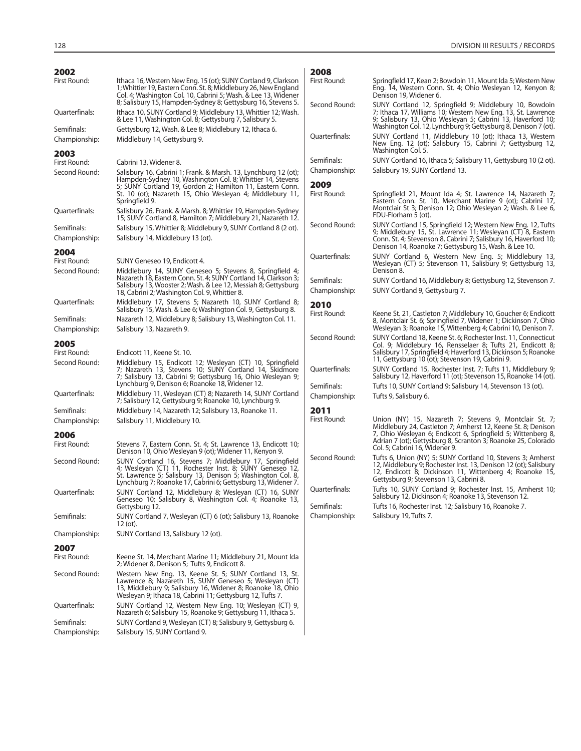| 2002                          |                                                                                                                                                                                                                                                                     | 2008                 |                                                                                                                                                                                         |
|-------------------------------|---------------------------------------------------------------------------------------------------------------------------------------------------------------------------------------------------------------------------------------------------------------------|----------------------|-----------------------------------------------------------------------------------------------------------------------------------------------------------------------------------------|
| First Round:                  | Ithaca 16, Western New Eng. 15 (ot); SUNY Cortland 9, Clarkson<br>1; Whittier 19, Eastern Conn. St. 8; Middlebury 26, New England<br>Col. 4; Washington Col. 10, Cabrini 5; Wash. & Lee 13, Widener<br>8; Salisbury 15, Hampden-Sydney 8; Gettysburg 16, Stevens 5. | First Round:         | Springfield 17, Kean 2; Bowdoin 11, Mount Ida 5; Western New<br>Eng. 14, Western Conn. St. 4; Ohio Wesleyan 12, Kenyon 8;<br>Denison 19, Widener 6.                                     |
| Quarterfinals:                | Ithaca 10, SUNY Cortland 9; Middlebury 13, Whittier 12; Wash.<br>& Lee 11, Washington Col. 8; Gettysburg 7, Salisbury 5.                                                                                                                                            | Second Round:        | SUNY Cortland 12, Springfield 9; Middlebury 10, Bowdoin<br>7; Ithaca 17, Williams 10; Western New Eng. 13, St. Lawrence<br>9; Salisbury 13, Ohio Wesleyan 5; Cabrini 13, Haverford 10;  |
| Semifinals:<br>Championship:  | Gettysburg 12, Wash. & Lee 8; Middlebury 12, Ithaca 6.<br>Middlebury 14, Gettysburg 9.                                                                                                                                                                              | Quarterfinals:       | Washington Col. 12, Lynchburg 9; Gettysburg 8, Denison 7 (ot).<br>SUNY Cortland 11, Middlebury 10 (ot); Ithaca 13, Western<br>New Eng. 12 (ot); Salisbury 15, Cabrini 7; Gettysburg 12, |
| 2003                          |                                                                                                                                                                                                                                                                     | Semifinals:          | Washington Col. 5.<br>SUNY Cortland 16, Ithaca 5; Salisbury 11, Gettysburg 10 (2 ot).                                                                                                   |
| First Round:<br>Second Round: | Cabrini 13, Widener 8.<br>Salisbury 16, Cabrini 1; Frank. & Marsh. 13, Lynchburg 12 (ot);                                                                                                                                                                           | Championship:        | Salisbury 19, SUNY Cortland 13.                                                                                                                                                         |
|                               | Hampden-Sydney 10, Washington Col. 8; Whittier 14, Stevens<br>5; SUNY Cortland 19, Gordon 2; Hamilton 11, Eastern Conn.<br>St. 10 (ot); Nazareth 15, Ohio Wesleyan 4; Middlebury 11,<br>Springfield 9.                                                              | 2009<br>First Round: | Springfield 21, Mount Ida 4; St. Lawrence 14, Nazareth 7;<br>Eastern Conn. St. 10, Merchant Marine 9 (ot); Cabrini 17,                                                                  |
| Quarterfinals:                | Salisbury 26, Frank. & Marsh. 8; Whittier 19, Hampden-Sydney<br>15; SUNY Cortland 8, Hamilton 7; Middlebury 21, Nazareth 12.                                                                                                                                        |                      | Montclair St 3; Denison 12; Ohio Wesleyan 2; Wash. & Lee 6,<br>FDU-Florham 5 (ot).                                                                                                      |
| Semifinals:                   | Salisbury 15, Whittier 8; Middlebury 9, SUNY Cortland 8 (2 ot).                                                                                                                                                                                                     | Second Round:        | SUNY Cortland 15, Springfield 12; Western New Eng. 12, Tufts<br>9; Middlebury 15, St. Lawrence 11; Wesleyan (CT) 8, Eastern                                                             |
| Championship:<br>2004         | Salisbury 14, Middlebury 13 (ot).                                                                                                                                                                                                                                   |                      | Conn. St. 4; Stevenson 8, Cabrini 7; Salisbury 16, Haverford 10;<br>Denison 14, Roanoke 7; Gettysburg 15, Wash. & Lee 10.                                                               |
| First Round:<br>Second Round: | SUNY Geneseo 19, Endicott 4.<br>Middlebury 14, SUNY Geneseo 5; Stevens 8, Springfield 4;                                                                                                                                                                            | Ouarterfinals:       | SUNY Cortland 6, Western New Eng. 5; Middlebury 13,<br>Wesleyan (CT) 5; Stevenson 11, Salisbury 9; Gettysburg 13,<br>Denison 8.                                                         |
|                               | Nazareth 18, Eastern Conn. St. 4; SUNY Cortland 14, Clarkson 3;                                                                                                                                                                                                     | Semifinals:          | SUNY Cortland 16, Middlebury 8; Gettysburg 12, Stevenson 7.                                                                                                                             |
|                               | Salisbury 13, Wooster 2; Wash. & Lee 12, Messiah 8; Gettysburg<br>18, Cabrini 2; Washington Col. 9, Whittier 8.                                                                                                                                                     | Championship:        | SUNY Cortland 9, Gettysburg 7.                                                                                                                                                          |
| Quarterfinals:                | Middlebury 17, Stevens 5; Nazareth 10, SUNY Cortland 8;<br>Salisbury 15, Wash. & Lee 6; Washington Col. 9, Gettysburg 8.                                                                                                                                            | 2010<br>First Round: |                                                                                                                                                                                         |
| Semifinals:                   | Nazareth 12, Middlebury 8; Salisbury 13, Washington Col. 11.                                                                                                                                                                                                        |                      | Keene St. 21, Castleton 7; Middlebury 10, Goucher 6; Endicott<br>8, Montclair St. 6; Springfield 7, Widener 1; Dickinson 7, Ohio                                                        |
| Championship:                 | Salisbury 13, Nazareth 9.                                                                                                                                                                                                                                           |                      | Wesleyan 3; Roanoke 15, Wittenberg 4; Cabrini 10, Denison 7.                                                                                                                            |
| 2005                          |                                                                                                                                                                                                                                                                     | Second Round:        | SUNY Cortland 18, Keene St. 6; Rochester Inst. 11, Connecticut<br>Col. 9; Middlebury 16, Rensselaer 8; Tufts 21, Endicott 8;                                                            |
| First Round:<br>Second Round: | Endicott 11, Keene St. 10.<br>Middlebury 15, Endicott 12; Wesleyan (CT) 10, Springfield                                                                                                                                                                             |                      | Salisbury 17, Springfield 4; Haverford 13, Dickinson 5; Roanoke<br>11, Gettysburg 10 (ot); Stevenson 19, Cabrini 9.                                                                     |
|                               | 7; Nazareth 13, Stevens 10; SUNY Cortland 14, Skidmore<br>7; Salisbury 13, Cabrini 9; Gettysburg 16, Ohio Wesleyan 9;                                                                                                                                               | Quarterfinals:       | SUNY Cortland 15, Rochester Inst. 7; Tufts 11, Middlebury 9;<br>Salisbury 12, Haverford 11 (ot); Stevenson 15, Roanoke 14 (ot).                                                         |
|                               | Lynchburg 9, Denison 6; Roanoke 18, Widener 12.                                                                                                                                                                                                                     | Semifinals:          | Tufts 10, SUNY Cortland 9; Salisbury 14, Stevenson 13 (ot).                                                                                                                             |
| Quarterfinals:                | Middlebury 11, Wesleyan (CT) 8; Nazareth 14, SUNY Cortland<br>7; Salisbury 12, Gettysburg 9; Roanoke 10, Lynchburg 9.                                                                                                                                               | Championship:        | Tufts 9, Salisbury 6.                                                                                                                                                                   |
| Semifinals:                   | Middlebury 14, Nazareth 12; Salisbury 13, Roanoke 11.                                                                                                                                                                                                               | 2011                 |                                                                                                                                                                                         |
| Championship:                 | Salisbury 11, Middlebury 10.                                                                                                                                                                                                                                        | First Round:         | Union (NY) 15, Nazareth 7; Stevens 9, Montclair St. 7;<br>Middlebury 24, Castleton 7; Amherst 12, Keene St. 8; Denison                                                                  |
| 2006<br>First Round:          | Stevens 7, Eastern Conn. St. 4; St. Lawrence 13, Endicott 10;<br>Denison 10, Ohio Wesleyan 9 (ot); Widener 11, Kenyon 9.                                                                                                                                            |                      | 7, Ohio Wesleyan 6; Endicott 6, Springfield 5; Wittenberg 8,<br>Adrian 7 (ot); Gettysburg 8, Scranton 3, Roanoke 25, Colorado<br>Col. 5: Cabrini 16. Widener 9.                         |
| Second Round:                 | SUNY Cortland 16, Stevens 7; Middlebury 17, Springfield                                                                                                                                                                                                             | Second Round:        | Tufts 6, Union (NY) 5; SUNY Cortland 10, Stevens 3; Amherst                                                                                                                             |
|                               | 4; Wesleyan (CT) 11, Rochester Inst. 8; SUNY Geneseo 12,<br>St. Lawrence 5; Salisbury 13, Denison 5; Washington Col. 8,<br>Lynchburg 7; Roanoke 17, Cabrini 6; Gettysburg 13, Widener 7.                                                                            |                      | 12, Middlebury 9; Rochester Inst. 13, Denison 12 (ot); Salisbury<br>12, Endicott 8; Dickinson 11, Wittenberg 4; Roanoke 15,<br>Gettysburg 9; Stevenson 13, Cabrini 8.                   |
| Quarterfinals:                | SUNY Cortland 12, Middlebury 8; Wesleyan (CT) 16, SUNY                                                                                                                                                                                                              | Quarterfinals:       | Tufts 10, SUNY Cortland 9; Rochester Inst. 15, Amherst 10;<br>Salisbury 12, Dickinson 4; Roanoke 13, Stevenson 12.                                                                      |
|                               | Geneseo 10; Salisbury 8, Washington Col. 4; Roanoke 13,<br>Gettysburg 12.                                                                                                                                                                                           | Semifinals:          | Tufts 16, Rochester Inst. 12; Salisbury 16, Roanoke 7.                                                                                                                                  |
| Semifinals:                   | SUNY Cortland 7, Wesleyan (CT) 6 (ot); Salisbury 13, Roanoke<br>$12$ (ot).                                                                                                                                                                                          | Championship:        | Salisbury 19, Tufts 7.                                                                                                                                                                  |
| Championship:                 | SUNY Cortland 13, Salisbury 12 (ot).                                                                                                                                                                                                                                |                      |                                                                                                                                                                                         |
| 2007                          |                                                                                                                                                                                                                                                                     |                      |                                                                                                                                                                                         |
| First Round:                  | Keene St. 14, Merchant Marine 11; Middlebury 21, Mount Ida<br>2; Widener 8, Denison 5; Tufts 9, Endicott 8.                                                                                                                                                         |                      |                                                                                                                                                                                         |
| Second Round:                 | Western New Eng. 13, Keene St. 5; SUNY Cortland 13, St.<br>Lawrence 8; Nazareth 15, SUNY Geneseo 5; Wesleyan (CT)<br>13, Middlebury 9; Salisbury 16, Widener 8; Roanoke 18, Ohio<br>Wesleyan 9; Ithaca 18, Cabrini 11; Gettysburg 12, Tufts 7.                      |                      |                                                                                                                                                                                         |
| Quarterfinals:                | SUNY Cortland 12, Western New Eng. 10; Wesleyan (CT) 9,<br>Nazareth 6; Salisbury 15, Roanoke 9; Gettysburg 11, Ithaca 5.                                                                                                                                            |                      |                                                                                                                                                                                         |
| Semifinals:                   | SUNY Cortland 9, Wesleyan (CT) 8; Salisbury 9, Gettysburg 6.                                                                                                                                                                                                        |                      |                                                                                                                                                                                         |
| Championship:                 | Salisbury 15, SUNY Cortland 9.                                                                                                                                                                                                                                      |                      |                                                                                                                                                                                         |

Championship: Salisbury 15, SUNY Cortland 9.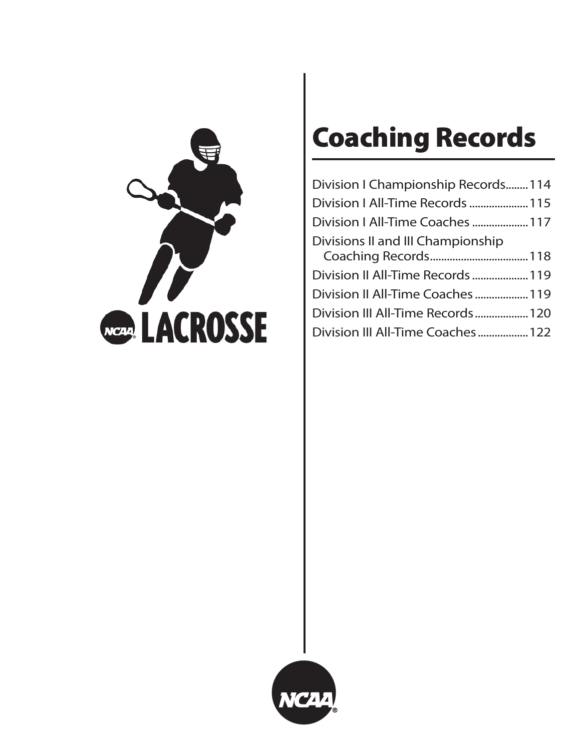

# **Coaching Records**

| Division I Championship Records114 |  |
|------------------------------------|--|
| Division I All-Time Records  115   |  |
| Division I All-Time Coaches  117   |  |
| Divisions II and III Championship  |  |
| Division II All-Time Records  119  |  |
| Division II All-Time Coaches  119  |  |
| Division III All-Time Records 120  |  |
| Division III All-Time Coaches 122  |  |

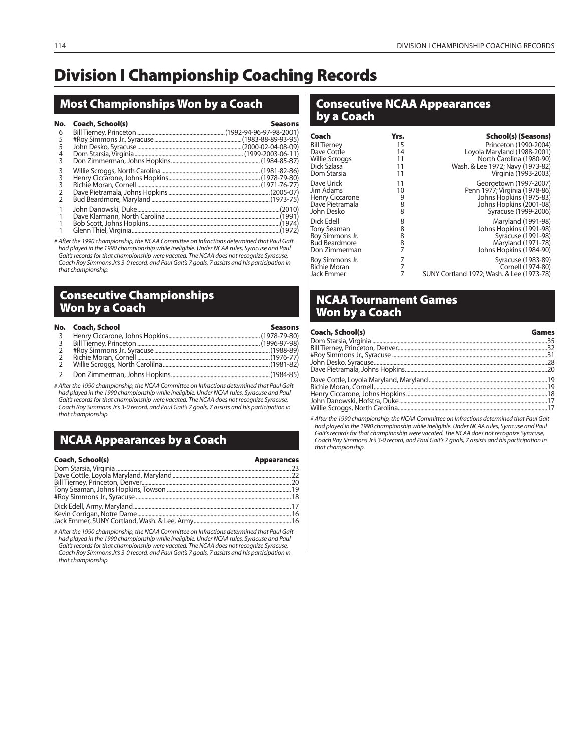# **Division I Championship Coaching Records**

# **Most Championships Won by a Coach**

| No. | Coach, School(s) | <b>Seasons</b> |
|-----|------------------|----------------|
| 6   |                  |                |
| 5   |                  |                |
| 5   |                  |                |
|     |                  |                |
|     |                  |                |
|     |                  |                |
|     |                  |                |
|     |                  |                |
|     |                  |                |
|     |                  |                |
|     |                  |                |
|     |                  |                |
|     |                  |                |
|     |                  |                |

# After the 1990 championship, the NCAA Committee on Infractions determined that Paul Gait had played in the 1990 championship while ineligible. Under NCAA rules, Syracuse and Paul Gait's records for that championship were vacated. The NCAA does not recognize Syracuse, Coach Roy Simmons Jr.'s 3-0 record, and Paul Gait's 7 goals, 7 assists and his participation in that championship.

# **Consecutive Championships Won by a Coach**

|                | No. Coach, School | <b>Seasons</b> |
|----------------|-------------------|----------------|
| $\overline{3}$ |                   |                |
| $\overline{3}$ |                   |                |
|                |                   |                |
|                |                   |                |
|                |                   |                |
|                |                   |                |

# After the 1990 championship, the NCAA Committee on Infractions determined that Paul Gait had played in the 1990 championship while ineligible. Under NCAA rules, Syracuse and Paul Gait's records for that championship were vacated. The NCAA does not recognize Syracuse, Coach Roy Simmons Jr.'s 3-0 record, and Paul Gait's 7 goals, 7 assists and his participation in that championship.

# **NCAA Appearances by a Coach**

| Coach, School(s) | <b>Appearances</b> |
|------------------|--------------------|
|                  |                    |
|                  |                    |
|                  |                    |
|                  |                    |
|                  |                    |
|                  |                    |
|                  |                    |
|                  |                    |

# After the 1990 championship, the NCAA Committee on Infractions determined that Paul Gait had played in the 1990 championship while ineligible. Under NCAA rules, Syracuse and Paul Gait's records for that championship were vacated. The NCAA does not recognize Syracuse, Coach Roy Simmons Jr.'s 3-0 record, and Paul Gait's 7 goals, 7 assists and his participation in that championship.

# **Consecutive NCAA Appearances by a Coach**

| Coach                 | Yrs. | School(s) (Seasons)                       |
|-----------------------|------|-------------------------------------------|
| <b>Bill Tierney</b>   | 15   | Princeton (1990-2004)                     |
| Dave Cottle           | 14   | Loyola Maryland (1988-2001)               |
| <b>Willie Scroggs</b> | 11   | North Carolina (1980-90)                  |
| Dick Szlasa           | 11   | Wash. & Lee 1972; Navy (1973-82)          |
| Dom Starsia           | 11   | Virginia (1993-2003)                      |
| Dave Urick            | 11   | Georgetown (1997-2007)                    |
| Jim Adams             | 10   | Penn 1977; Virginia (1978-86)             |
| Henry Ciccarone       | 9    | Johns Hopkins (1975-83)                   |
| Dave Pietramala       | 8    | Johns Hopkins (2001-08)                   |
| John Desko            | 8    | Syracuse (1999-2006)                      |
| Dick Edell            | 8    | Maryland (1991-98)                        |
| <b>Tony Seaman</b>    | 8    | Johns Hopkins (1991-98)                   |
| Roy Simmons Jr.       | 8    | Syracuse (1991-98)                        |
| <b>Bud Beardmore</b>  | 8    | Maryland (1971-78)                        |
| Don Zimmerman         | 7    | Johns Hopkins (1984-90)                   |
| Roy Simmons Jr.       | 7    | Syracuse (1983-89)                        |
| <b>Richie Moran</b>   | 7    | Cornell (1974-80)                         |
| Jack Emmer            | 7    | SUNY Cortland 1972; Wash. & Lee (1973-78) |

# **NCAA Tournament Games Won by a Coach**

| Coach, School(s) | Games |
|------------------|-------|
|                  |       |
|                  |       |
|                  |       |
|                  |       |
|                  |       |
|                  |       |
|                  |       |
|                  |       |
|                  |       |
|                  |       |

# After the 1990 championship, the NCAA Committee on Infractions determined that Paul Gait had played in the 1990 championship while ineligible. Under NCAA rules, Syracuse and Paul Gait's records for that championship were vacated. The NCAA does not recognize Syracuse, Coach Roy Simmons Jr.'s 3-0 record, and Paul Gait's 7 goals, 7 assists and his participation in that championship.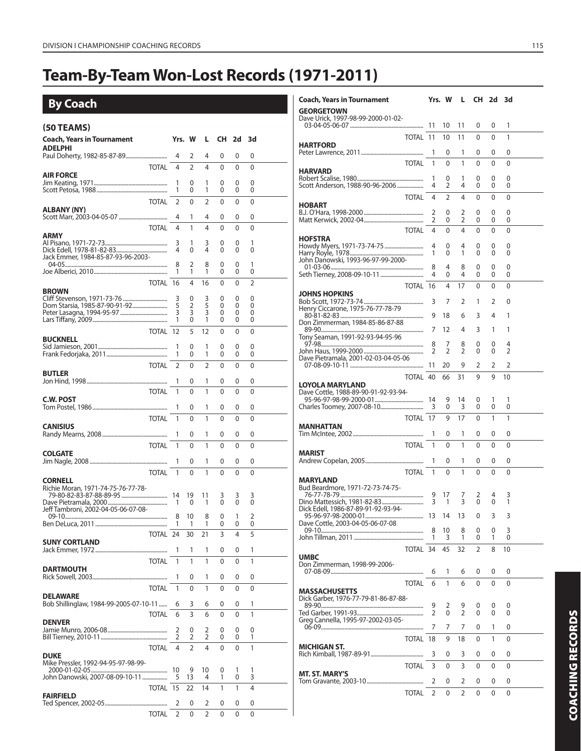# **Team-By-Team Won-Lost Records (1971-2011)**

**By Coach**

| (50 TEAMS)                             |                |                |                |          |          |        |  |
|----------------------------------------|----------------|----------------|----------------|----------|----------|--------|--|
| <b>Coach, Years in Tournament</b>      |                | Yrs. W         | L              | CH.      | 2d       | 3d     |  |
| ADELPHI                                |                |                |                |          |          |        |  |
|                                        | 4              | 2              | 4              | 0        | 0        | 0      |  |
| <b>TOTAL</b><br><b>AIR FORCE</b>       | 4              | $\mathfrak{D}$ | 4              | 0        | 0        | 0      |  |
|                                        | 1<br>1         | 0<br>0         | 1<br>1         | 0        | 0<br>0   | 0      |  |
| <b>TOTAL</b>                           |                |                |                | 0        |          | 0      |  |
| ALBANY (NY)                            | $\overline{2}$ | 0              | $\overline{2}$ | 0        | 0        | 0      |  |
|                                        | 4              | 1              | 4              | 0        | 0        | 0      |  |
| <b>TOTAL</b><br><b>ARMY</b>            | $\overline{4}$ | 1              | 4              | 0        | 0        | 0      |  |
|                                        | 3              | 1              | 3              | 0        | 0        | 1      |  |
| Jack Emmer, 1984-85-87-93-96-2003-     | 4              | 0              | 4              | 0        | 0        | 0      |  |
|                                        | 8              | 2              | 8              | 0        | 0        | 1      |  |
|                                        | 1              | 1              | 1              | 0        | 0        | 0      |  |
| <b>BROWN</b>                           | TOTAL 16       | 4              | 16             | 0        | 0        | 2      |  |
|                                        | 3              | 0              | 3              | 0        | 0        | 0      |  |
|                                        | 5<br>3         | 2<br>3         | 5<br>3         | 0<br>0   | 0<br>0   | 0<br>0 |  |
|                                        | 1              | 0              | 1              | 0        | 0        | 0      |  |
|                                        | TOTAL 12       | 5              | 12             | 0        | 0        | 0      |  |
| <b>BUCKNELL</b>                        | 1              | 0              | 1              | 0        | 0        | 0      |  |
|                                        | 1              | 0              | 1              | 0        | 0        | 0      |  |
| <b>TOTAL</b>                           | 2              | 0              | $\overline{2}$ | 0        | 0        | 0      |  |
| <b>BUTLER</b>                          | 1              | 0              | 1              | 0        | 0        | 0      |  |
| <b>TOTAL</b>                           | 1              | 0              | 1              | 0        | 0        | 0      |  |
| C.W. POST                              |                |                |                |          |          |        |  |
|                                        | 1              | 0              | 1              | 0        | 0        | 0      |  |
| <b>TOTAL</b><br><b>CANISIUS</b>        | 1              | 0              | 1              | 0        | 0        | 0      |  |
|                                        | 1              | 0              | 1              | 0        | 0        | 0      |  |
| <b>TOTAL</b>                           | 1              | 0              | 1              | 0        | 0        | 0      |  |
| <b>COLGATE</b>                         | 1              | 0              | 1              | 0        | 0        | 0      |  |
| <b>TOTAL</b>                           | 1              | $\Omega$       | 1              | $\Omega$ | $\Omega$ | 0      |  |
| <b>CORNELL</b>                         |                |                |                |          |          |        |  |
| Richie Moran, 1971-74-75-76-77-78-     | 14             | 19             | 11             | 3        | 3        | 3      |  |
|                                        | 1              | $\Omega$       | 1              | 0        | 0        | 0      |  |
| Jeff Tambroni, 2002-04-05-06-07-08-    | 8              | 10             | 8              | 0        | 1        | 2      |  |
|                                        | 1              | 1              | 1              | 0        | 0        | 0      |  |
|                                        | TOTAL 24       | 30             | 21             | 3        | 4        | 5      |  |
| <b>SUNY CORTLAND</b>                   | 1              | 1              | 1              | 0        | 0        | 1      |  |
| <b>TOTAL</b>                           | 1              | 1              | 1              | 0        | 0        | 1      |  |
| <b>DARTMOUTH</b>                       | 1              | 0              | 1              | 0        | 0        | 0      |  |
|                                        | 1              | 0              | 1              | 0        | 0        | 0      |  |
| <b>TOTAL</b><br><b>DELAWARE</b>        |                |                |                |          |          |        |  |
| Bob Shillinglaw, 1984-99-2005-07-10-11 | 6              | 3              | 6              | 0        | 0        | 1      |  |
| <b>TOTAL</b>                           | 6              | 3              | 6              | 0        | $\Omega$ | 1      |  |
| <b>DENVER</b>                          | 2              | 0              | 2              | 0        | 0        | 0      |  |
|                                        | 2              | 2              | 2              | 0        | 0        | 1      |  |
| <b>TOTAL</b><br><b>DUKE</b>            | 4              | $\overline{2}$ | 4              | 0        | 0        | 1      |  |
| Mike Pressler, 1992-94-95-97-98-99-    |                |                |                |          |          |        |  |
| John Danowski, 2007-08-09-10-11        | 10<br>5        | 9<br>13        | 10<br>4        | 0<br>1   | 1<br>0   | 1<br>3 |  |
| <b>TOTAL</b>                           | 15             | 22             | 14             | 1        | 1        | 4      |  |
| <b>FAIRFIELD</b>                       |                |                |                |          |          |        |  |
| <b>TOTAL</b>                           | 2<br>2         | 0<br>0         | 2<br>2         | 0<br>0   | 0<br>0   | 0<br>0 |  |
|                                        |                |                |                |          |          |        |  |

| <b>Coach, Years in Tournament</b><br><b>GEORGETOWN</b>         |                     | Yrs. W         | L                            | CH .         | 2d 3d  |              |  |
|----------------------------------------------------------------|---------------------|----------------|------------------------------|--------------|--------|--------------|--|
| Dave Urick, 1997-98-99-2000-01-02-                             | 11                  | 10             | 11                           | 0            | 0      | 1            |  |
| TOTAL 11                                                       |                     | 10             | 11                           | 0            | 0      | 1            |  |
| <b>HARTFORD</b>                                                | 1                   | 0              | 1                            | 0            | 0      | 0            |  |
| <b>TOTAL</b>                                                   | 1                   | 0              | 1                            | 0            | 0      | $\mathbf{0}$ |  |
| <b>HARVARD</b>                                                 | 1                   | 0              | 1                            | 0            | 0      | 0            |  |
| Scott Anderson, 1988-90-96-2006                                | 4                   | $\overline{2}$ | 4                            | 0            | 0      | 0            |  |
| <b>TOTAL</b><br><b>HOBART</b>                                  | 4                   | $\overline{2}$ | 4                            | 0            | 0      | 0            |  |
|                                                                | 2<br>2              | 0<br>0         | 2<br>2                       | 0<br>0       | 0<br>0 | 0<br>0       |  |
| TOTAI                                                          | 4                   | 0              | 4                            | 0            | 0      | 0            |  |
| <b>HOFSTRA</b>                                                 | 4                   | 0              | 4                            | 0            | 0      | 0            |  |
| John Danowski, 1993-96-97-99-2000-                             | 1                   | 0              | 1                            | 0            | 0      | 0            |  |
|                                                                | 8<br>4              | 4<br>0         | 8<br>4                       | 0<br>0       | 0<br>0 | 0<br>0       |  |
| TOTAL 16                                                       |                     | 4              | 17                           | 0            | 0      | 0            |  |
| <b>JOHNS HOPKINS</b>                                           | 3                   | 7              | 2                            | 1            | 2      | 0            |  |
| Henry Ciccarone, 1975-76-77-78-79                              | 9                   | 18             | 6                            | 3            | 4      | 1            |  |
| Don Zimmerman, 1984-85-86-87-88                                | 7                   | 12             | 4                            | 3            | 1      | 1            |  |
| Tony Seaman, 1991-92-93-94-95-96                               | 8                   | 7              | 8                            | 0            | 0      | 4            |  |
|                                                                | 2                   | $\overline{2}$ | 2                            | 0            | 0      | 2            |  |
| Dave Pietramala, 2001-02-03-04-05-06                           | 11                  | 20             | 9                            | 2            | 2      | 2            |  |
| TOTAL 40                                                       |                     | 66             | 31                           | 9            | 9      | 10           |  |
| <b>LOYOLA MARYLAND</b><br>Dave Cottle, 1988-89-90-91-92-93-94- |                     |                |                              |              |        |              |  |
|                                                                | 14<br>3             | 9<br>0         | 14<br>3                      | 0<br>0       | 1<br>0 | 1<br>0       |  |
| TOTAL 17                                                       |                     | 9              | 17                           | 0            | 1      | 1            |  |
| MANHATTAN                                                      | 1                   | 0              | 1                            | 0            | 0      | 0            |  |
| <b>TOTAL</b>                                                   | 1                   | 0              | 1                            | $\mathbf{0}$ | 0      | 0            |  |
| <b>MARIST</b>                                                  | 1                   | 0              | 1                            | 0            | 0      | 0            |  |
| <b>TOTAL</b><br><b>MARYLAND</b>                                | 1                   | 0              | 1                            | 0            | 0      | 0            |  |
| Bud Beardmore, 1971-72-73-74-75-                               |                     |                |                              |              |        |              |  |
|                                                                | 9<br>3              | 17<br>1        | 7<br>$\overline{\mathsf{B}}$ | 2<br>0       | 4<br>0 | 3<br>1       |  |
| Dick Edell, 1986-87-89-91-92-93-94-                            | 13                  | 14             | 13                           | 0            | 3      | 3            |  |
| Dave Cottle, 2003-04-05-06-07-08                               | 8                   | 10             | 8                            | 0            | 0      | 3            |  |
| TOTAL 34                                                       | 1                   | 3              | 1                            | 0            | 1      | 0            |  |
| <b>UMBC</b>                                                    |                     | 45             | 32                           | 2            | 8      | 10           |  |
| Don Zimmerman, 1998-99-2006-                                   | 6                   | 1              | 6                            | 0            | 0      | 0            |  |
| TOTAL                                                          | 6                   | 1              | 6                            | 0            | 0      | 0            |  |
| <b>MASSACHUSETTS</b><br>Dick Garber, 1976-77-79-81-86-87-88-   |                     |                |                              |              |        |              |  |
|                                                                | 9<br>$\mathfrak{D}$ | 2<br>0         | 9<br>$\overline{2}$          | 0<br>0       | 0<br>0 | 0<br>0       |  |
| Greg Cannella, 1995-97-2002-03-05-                             | 7                   | 7              | 7                            | 0            | 1      | 0            |  |
| TOTAL 18                                                       |                     | 9              | 18                           | 0            | 1      | 0            |  |
| <b>MICHIGAN ST.</b>                                            | 3                   | 0              | 3                            | 0            | 0      | 0            |  |
| <b>TOTAL</b>                                                   | 3                   | 0              | 3                            | 0            | 0      | 0            |  |
| <b>MT. ST. MARY'S</b>                                          | 2                   | 0              | 2                            | 0            | 0      | 0            |  |
| <b>TOTAL</b>                                                   | 2                   | 0              | 2                            | 0            | 0      | 0            |  |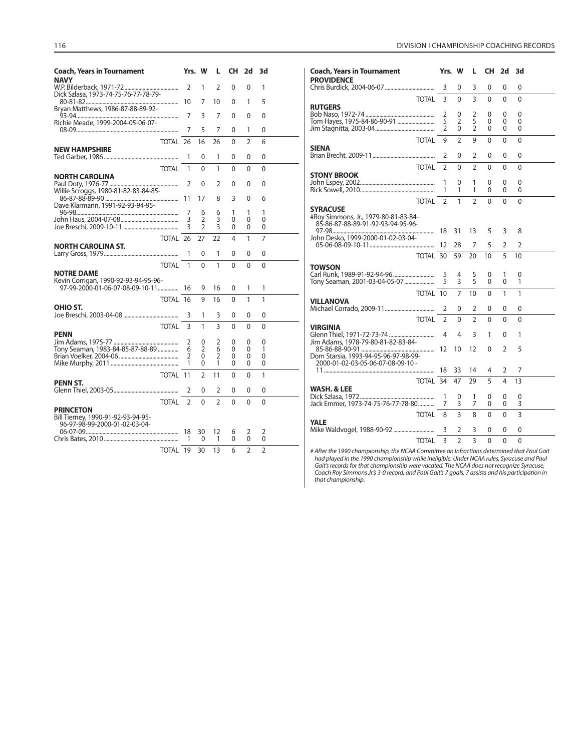| <b>Coach, Years in Tournament</b><br><b>NAVY</b> |                    | Yrs. W         |                | L CH 2d 3d   |                |                | <b>Coach, Years in Tournament</b><br>Yrs. W<br><b>CH 2d 3d</b><br>-L.<br><b>PROVIDENCE</b>          |                |
|--------------------------------------------------|--------------------|----------------|----------------|--------------|----------------|----------------|-----------------------------------------------------------------------------------------------------|----------------|
| Dick Szlasa, 1973-74-75-76-77-78-79-             |                    | $\mathbf{1}$   | $\overline{2}$ | $\Omega$     | $\Omega$       |                | $\Omega$<br>3<br>3<br>0<br>$\Omega$                                                                 | $\Omega$       |
| Bryan Matthews, 1986-87-88-89-92-                |                    |                | 7 10           | $\Omega$     |                | 5              | $\overline{3}$<br>TOTAL 3<br>$\Omega$<br>$\overline{0}$<br>$\mathbf{0}$<br><b>RUTGERS</b>           | $\mathbf{0}$   |
|                                                  |                    |                | 7              | $\Omega$     | $\Omega$       | $\Omega$       | 0<br>2<br>0<br>$\Omega$                                                                             | $\Omega$       |
| Richie Meade, 1999-2004-05-06-07-                |                    |                |                |              |                |                | 5<br>$\overline{2}$<br>$\Omega$<br>$\Omega$                                                         | $\overline{0}$ |
|                                                  |                    | 5              | $\overline{7}$ | $\mathbf{0}$ | 1              | $\Omega$       | $\overline{2}$<br>$\mathbf{0}$<br>$\mathbf{0}$<br>$\Omega$                                          | $\mathbf{0}$   |
|                                                  | <b>TOTAL 26 16</b> |                | 26             | $\Omega$     | $\mathcal{L}$  | 6              | $\overline{2}$<br>9<br>$\Omega$<br>TOTAL 9<br>$\Omega$                                              | $\mathbf{0}$   |
| <b>NEW HAMPSHIRE</b>                             |                    |                |                |              |                |                | <b>SIENA</b>                                                                                        |                |
|                                                  |                    | $\mathbf{0}$   | 1              | 0            | $\Omega$       | $\mathbf{0}$   | 0<br>$\Omega$<br>0<br>2                                                                             | $\mathbf{0}$   |
|                                                  | TOTAL 1            | $\Omega$       |                | $\Omega$     | $\Omega$       | $\Omega$       | $\overline{2}$<br>TOTAL <sub>2</sub><br>$\Omega$<br>$\Omega$<br>$\Omega$                            | $\Omega$       |
|                                                  |                    |                |                |              |                |                | <b>STONY BROOK</b>                                                                                  |                |
| <b>NORTH CAROLINA</b>                            |                    | $\Omega$       | $\mathcal{P}$  | $\Omega$     | $\Omega$       | $\Omega$       | $\Omega$<br>0<br>1<br>$\Omega$                                                                      | $\mathbf{0}$   |
| Willie Scroggs, 1980-81-82-83-84-85-             |                    |                |                |              |                |                | $\mathbf{1}$<br>$\mathbf{1}$<br>$\Omega$<br>$\Omega$                                                | $\Omega$       |
|                                                  |                    |                | 8              | 3            | $\mathbf{0}$   | 6              |                                                                                                     |                |
| Dave Klarmann, 1991-92-93-94-95-                 |                    |                |                |              |                |                | TOTAL <sub>2</sub><br>$\overline{1}$<br>$\overline{2}$<br>$\Omega$<br>$\Omega$                      | $\Omega$       |
|                                                  |                    | -6             | 6              | 1            | 1              | 1              | <b>SYRACUSE</b>                                                                                     |                |
|                                                  |                    | $\overline{2}$ | 3              | $\Omega$     | $\Omega$       | $\Omega$       | #Roy Simmons, Jr., 1979-80-81-83-84-                                                                |                |
|                                                  |                    | $\overline{2}$ | 3              | $\mathbf{0}$ | $\Omega$       | $\Omega$       | 85-86-87-88-89-91-92-93-94-95-96-                                                                   |                |
|                                                  |                    |                |                |              |                |                | 5<br>3                                                                                              | 8              |
|                                                  | <b>TOTAL 26 27</b> |                | 22             | 4            | $\mathbf{1}$   | $\overline{7}$ | John Desko, 1999-2000-01-02-03-04-<br>5<br>$\overline{2}$<br>7                                      | $\overline{2}$ |
| <b>NORTH CAROLINA ST.</b>                        |                    |                |                |              |                |                |                                                                                                     |                |
|                                                  |                    | $\mathbf 0$    | $\mathbf{1}$   | $\mathbf{0}$ | $\Omega$       | $\Omega$       | 5<br>20<br>10<br><b>TOTAL 30 59</b>                                                                 | 10             |
|                                                  | TOTAL 1            | $\Omega$       | $\mathbf{1}$   | $\Omega$     | $\Omega$       | $\Omega$       | <b>TOWSON</b>                                                                                       |                |
| <b>NOTRE DAME</b>                                |                    |                |                |              |                |                | 4<br>0                                                                                              | $\Omega$       |
| Kevin Corrigan, 1990-92-93-94-95-96-             |                    |                |                |              |                |                | $\frac{5}{5}$<br>$\overline{3}$<br>$\Omega$<br>$\mathbf{0}$                                         | $\overline{1}$ |
| 97-99-2000-01-06-07-08-09-10-11 16 9 16          |                    |                |                | $\mathbf 0$  | $\mathbf{1}$   | $\mathbf{1}$   |                                                                                                     |                |
|                                                  | TOTAL 16           | 9              | 16             | $\Omega$     | $\mathbf{1}$   | $\mathbf{1}$   | $\Omega$<br>$\mathbf{1}$<br>TOTAL 10<br>$\overline{7}$<br>10                                        | $\mathbf{1}$   |
|                                                  |                    |                |                |              |                |                | <b>VILLANOVA</b>                                                                                    |                |
| OHIO ST.                                         |                    |                | 3              | 0            | 0              | $\Omega$       | $\mathbf 0$<br>$\Omega$<br>2                                                                        | $\Omega$       |
|                                                  |                    |                |                |              |                |                | $\mathfrak{D}$<br>TOTAL <sub>2</sub><br>$\Omega$                                                    | $\Omega$       |
|                                                  | TOTAL 3            | $\mathbf{1}$   | $\overline{3}$ | $\mathbf{0}$ | $\Omega$       | $\mathbf{0}$   | <b>VIRGINIA</b>                                                                                     |                |
| <b>PENN</b>                                      |                    |                |                |              |                |                | 3                                                                                                   |                |
|                                                  |                    | $\Omega$       |                | $\Omega$     | $\Omega$       | $\Omega$       | Jim Adams, 1978-79-80-81-82-83-84-                                                                  |                |
| Tony Seaman, 1983-84-85-87-88-89  6              |                    | $\overline{2}$ |                | $\Omega$     | $\Omega$       | $\mathbf{1}$   | $\Omega$<br>$\mathcal{P}$                                                                           | 5              |
|                                                  |                    | $\mathbf{0}$   | $\overline{2}$ | $\mathbf{0}$ | $\Omega$       | $\Omega$       | Dom Starsia, 1993-94-95-96-97-98-99-                                                                |                |
|                                                  |                    | $\mathbf{0}$   | $\mathbf{1}$   | $\Omega$     | $\Omega$       | $\mathbf{0}$   | 2000-01-02-03-05-06-07-08-09-10 -                                                                   |                |
|                                                  | TOTAL 11           | $\overline{2}$ | 11             | $\Omega$     | $\Omega$       | $\mathbf{1}$   | 14<br>4<br>2                                                                                        | 7              |
| <b>PENN ST.</b>                                  |                    |                |                |              |                |                | 5<br><b>TOTAL 34 47</b><br>29<br>4                                                                  | 13             |
|                                                  | 2                  | $\mathbf 0$    | 2              | 0            | 0              | $\mathbf 0$    | <b>WASH, &amp; LEE</b>                                                                              |                |
|                                                  |                    |                |                |              |                |                | 0<br>1<br>0<br>0                                                                                    | $\mathbf{0}$   |
| <b>TOTAL</b>                                     | $\overline{2}$     | $\Omega$       | $\mathcal{L}$  | $\Omega$     | $\Omega$       | $\Omega$       | 3<br>$\overline{7}$<br>$\Omega$<br>$\Omega$                                                         | 3              |
| <b>PRINCETON</b>                                 |                    |                |                |              |                |                | 3<br>8<br>TOTAL 8<br>$\Omega$<br>$\Omega$                                                           | $\overline{3}$ |
| Bill Tierney, 1990-91-92-93-94-95-               |                    |                |                |              |                |                | <b>YALE</b>                                                                                         |                |
| 96-97-98-99-2000-01-02-03-04-                    |                    |                |                |              |                |                | $\Omega$<br>$\Omega$                                                                                | $\Omega$       |
|                                                  |                    |                |                | 6            | 2              | 2              | 3<br>2                                                                                              |                |
|                                                  |                    |                | $\overline{1}$ | $\Omega$     | $\Omega$       | $\Omega$       | $\overline{3}$<br>$\overline{\mathbf{3}}$<br>$\overline{2}$<br>$\Omega$<br>$\Omega$<br><b>TOTAL</b> | $\Omega$       |
|                                                  | <b>TOTAL 19 30</b> |                | 13             | 6            | $\overline{2}$ | $\overline{2}$ | # After the 1990 championship, the NCAA Committee on Infractions determined tha                     |                |

| <b>Coach, Years in Tournament</b><br><b>PROVIDENCE</b>                                       |                          | Yrs. W                        | L                        |               | CH 2d              | 3d                      |  |
|----------------------------------------------------------------------------------------------|--------------------------|-------------------------------|--------------------------|---------------|--------------------|-------------------------|--|
|                                                                                              | 3                        | 0                             | 3                        | 0             | 0                  | $\Omega$                |  |
| <b>TOTAL</b>                                                                                 | 3                        | $\Omega$                      | 3                        | 0             | 0                  | $\mathbf{0}$            |  |
| <b>RUTGERS</b><br>Tom Hayes, 1975-84-86-90-91                                                | 2<br>5<br>$\mathfrak{D}$ | 0<br>2<br>0                   | 2<br>5<br>$\mathfrak{D}$ | 0<br>0<br>0   | 0<br>0<br>$\Omega$ | 0<br>0<br>$\Omega$      |  |
| TOTAI                                                                                        | 9                        | $\overline{2}$                | 9                        | 0             | 0                  | 0                       |  |
| <b>SIENA</b>                                                                                 | 2                        | 0                             | 2                        | 0             | 0                  | 0                       |  |
| <b>TOTAL</b>                                                                                 | $\mathfrak{D}$           | 0                             | $\overline{2}$           | 0             | 0                  | 0                       |  |
| <b>STONY BROOK</b>                                                                           | 1<br>1                   | 0<br>1                        | 1<br>1                   | 0<br>0        | 0<br>0             | 0<br>0                  |  |
| <b>TOTAL</b>                                                                                 | $\mathfrak{D}$           | 1                             | $\mathfrak{p}$           | 0             | $\Omega$           | $\Omega$                |  |
| <b>SYRACUSE</b><br>#Roy Simmons, Jr., 1979-80-81-83-84-<br>85-86-87-88-89-91-92-93-94-95-96- |                          |                               |                          |               |                    |                         |  |
| John Desko, 1999-2000-01-02-03-04-                                                           | 18                       | 31<br>28                      | 13<br>7                  | 5<br>5        | 3<br>2             | 8<br>$\overline{2}$     |  |
| TOTAL 30                                                                                     |                          | 59                            | 20                       | 10            | 5                  | 10                      |  |
| <b>TOWSON</b><br>Tony Seaman, 2001-03-04-05-07                                               | 5<br>5                   | 4<br>3                        | 5<br>5                   | 0<br>0        | 1<br>0             | 0<br>1                  |  |
| TOTAL 10                                                                                     |                          | 7                             | 10                       | 0             | 1                  | 1                       |  |
| <b>VILLANOVA</b>                                                                             | 2                        | 0                             | 2                        | 0             | 0                  | 0                       |  |
| <b>TOTAL</b>                                                                                 | $\overline{2}$           | 0                             | $\overline{2}$           | 0             | $\mathbf{0}$       | 0                       |  |
| <b>VIRGINIA</b><br>Jim Adams, 1978-79-80-81-82-83-84-                                        | 4                        | 4                             | 3                        | 1             | 0                  | 1                       |  |
| Dom Starsia, 1993-94-95-96-97-98-99-<br>2000-01-02-03-05-06-07-08-09-10 -                    |                          | 10                            | 12                       | 0             | $\overline{2}$     | 5                       |  |
|                                                                                              |                          | 33                            | 14                       | 4             | 2                  | 7                       |  |
| TOTAL 34                                                                                     |                          | 47                            | 29                       | 5             | 4                  | 13                      |  |
| <b>WASH, &amp; LEE</b><br>Jack Emmer, 1973-74-75-76-77-78-80                                 | 1<br>7                   | 0<br>3                        | 1<br>7                   | 0<br>0        | 0<br>0             | 0<br>3                  |  |
| TOTAL                                                                                        | 8                        | 3                             | 8                        | 0             | $\Omega$           | $\overline{\mathbf{3}}$ |  |
| <b>YALE</b><br>TOTAL                                                                         | 3<br>3                   | 2<br>$\overline{\phantom{a}}$ | 3<br>3                   | 0<br>$\Omega$ | 0<br>$\Omega$      | 0<br>$\Omega$           |  |

# After the 1990 championship, the NCAA Committee on Infractions determined that Paul Gait<br>had played in the 1990 championship while ineligible. Under NCAA rules, Syracuse and Paul<br>Gait's records for that championship were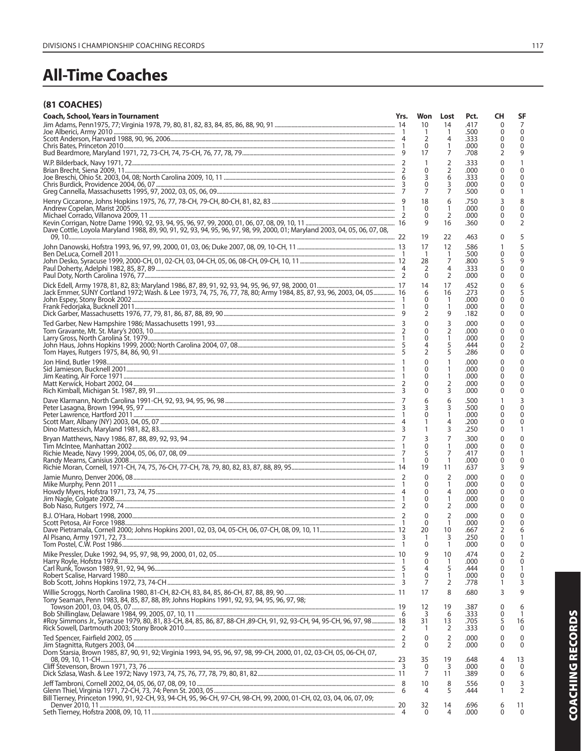# **All-Time Coaches**

# (81 COACHES)

| <b>Coach, School, Years in Tournament</b>                                                                                   | Yrs. | Won            | Lost                | Pct.         | CН           | SF               |
|-----------------------------------------------------------------------------------------------------------------------------|------|----------------|---------------------|--------------|--------------|------------------|
|                                                                                                                             |      | 10             | 14                  | .417         | 0            | 7                |
|                                                                                                                             |      | -1             | 1                   | .500         | 0            | $\mathbf 0$      |
|                                                                                                                             |      | 2              | 4                   | .333         | 0            | $\mathbf 0$      |
|                                                                                                                             |      | 0<br>17        | 1<br>7              | .000<br>.708 | 0            | $\Omega$<br>9    |
|                                                                                                                             |      |                |                     |              | 2            |                  |
|                                                                                                                             |      | $\mathbf{1}$   | $\overline{2}$      | .333         | 0            | 1                |
|                                                                                                                             |      | 0<br>3         | $\overline{2}$<br>6 | .000<br>.333 | 0<br>0       | $\Omega$<br>0    |
|                                                                                                                             |      | $\mathbf 0$    | 3                   | .000         | 0            | 0                |
|                                                                                                                             |      | $\overline{7}$ | 7                   | .500         | 0            | 1                |
|                                                                                                                             |      | 18             | 6                   | .750         | 3            | 8                |
|                                                                                                                             |      | $\Omega$       | 1                   | .000         | 0            | $\Omega$         |
|                                                                                                                             |      | $\Omega$       | 2                   | .000         | 0            | 0                |
|                                                                                                                             |      | 9              | 16                  | .360         | 0            | $\overline{2}$   |
| Dave Cottle, Loyola Maryland 1988, 89, 90, 91, 92, 93, 94, 95, 96, 97, 98, 99, 2000, 01; Maryland 2003, 04, 05, 06, 07, 08, |      |                |                     |              |              |                  |
|                                                                                                                             |      | 19             | 22                  | .463         | 0            | 5                |
|                                                                                                                             |      | 17             | 12                  | .586         | 1            | 5                |
|                                                                                                                             |      | $\overline{1}$ | 1                   | .500         | 0            | $\Omega$         |
|                                                                                                                             |      | 28             | 7                   | .800         | 5            | 9                |
|                                                                                                                             |      | 2<br>$\Omega$  | 4<br>$\overline{2}$ | .333<br>.000 | 0<br>0       | 0<br>0           |
|                                                                                                                             |      |                |                     |              |              |                  |
|                                                                                                                             |      | 14             | 17                  | .452         | 0            | 6                |
| Jack Emmer, SUNY Cortland 1972; Wash. & Lee 1973, 74, 75, 76, 77, 78, 80; Army 1984, 85, 87, 93, 96, 2003, 04, 05 16        |      | 6<br>0         | 16<br>-1            | .273<br>.000 | 0<br>0       | 5<br>$\mathbf 0$ |
|                                                                                                                             |      | 0              | 1                   | .000         | 0            | $\mathbf 0$      |
|                                                                                                                             |      | 2              | 9                   | .182         | 0            | $\Omega$         |
|                                                                                                                             |      | $\mathbf{0}$   | 3                   | .000         | 0            | 0                |
|                                                                                                                             |      | $\mathbf{0}$   | 2                   | .000         | 0            | 0                |
|                                                                                                                             |      | $\mathbf{0}$   | 1                   | .000         | 0            | $\pmb{0}$        |
|                                                                                                                             |      | 4              | 5                   | .444         | 0            | $\overline{2}$   |
|                                                                                                                             |      | $\overline{2}$ | 5                   | .286         | 0            | $\Omega$         |
|                                                                                                                             |      | $\mathbf{0}$   | 1                   | .000         | 0            | 0                |
|                                                                                                                             |      | 0              | 1                   | .000         | 0            | $\Omega$         |
|                                                                                                                             |      | 0              | 1                   | .000         | 0            | 0                |
|                                                                                                                             |      | 0              | 2                   | .000         | 0            | 0                |
|                                                                                                                             |      | 0              | 3                   | .000         | 0            | $\mathbf{0}$     |
|                                                                                                                             |      | 6              | 6                   | .500         |              | 3                |
|                                                                                                                             |      | 3              | 3                   | .500         | 0            | $\Omega$         |
|                                                                                                                             |      | $\mathbf{0}$   | 1                   | .000         | 0            | $\mathbf{0}$     |
|                                                                                                                             |      | 1              | 4                   | .200         | 0            | 0                |
|                                                                                                                             |      | 1              | 3                   | .250         | 0            | 1                |
|                                                                                                                             |      | 3              | 7                   | .300         | 0            | $\mathbf{0}$     |
|                                                                                                                             |      | $\mathbf{0}$   | 1                   | .000         | 0            | 0                |
|                                                                                                                             |      | 5<br>$\Omega$  | 7<br>1              | .417<br>.000 | 0<br>0       | 1<br>0           |
|                                                                                                                             |      | 19             | 11                  | .637         | 3            | 9                |
|                                                                                                                             |      | $\Omega$       |                     |              |              | 0                |
|                                                                                                                             |      | 0              | 2<br>1              | .000<br>.000 | 0<br>0       | $\Omega$         |
|                                                                                                                             |      | 0              | 4                   | .000         | 0            | 0                |
|                                                                                                                             |      | 0              | 1                   | .000         | 0            | 0                |
|                                                                                                                             |      | 0              | 2                   | .000         | 0            | $\Omega$         |
|                                                                                                                             |      | $\mathbf{0}$   | $\overline{2}$      | .000         | 0            | 0                |
|                                                                                                                             |      | $\Omega$       | 1                   | .000         | 0            | $\mathbf{0}$     |
|                                                                                                                             |      | 20             | 10                  | .667         | 2            | 6                |
|                                                                                                                             |      | 1              | 3                   | .250         | 0            | 1                |
|                                                                                                                             |      | $\mathbf{0}$   | 1                   | .000         | 0            | $\Omega$         |
|                                                                                                                             |      | 9              | 10                  | .474         | 0            | 2                |
|                                                                                                                             |      | 0              | 1                   | .000         | 0            | $\mathbf 0$      |
|                                                                                                                             |      | 4              | 5                   | .444         | 0            | $\mathbf{1}$     |
|                                                                                                                             |      | 0<br>7         | 1<br>2              | .000         | 0<br>1       | 0<br>3           |
|                                                                                                                             |      |                |                     | .778         |              |                  |
| Tony Seaman, Penn 1983, 84, 85, 87, 88, 89; Johns Hopkins 1991, 92, 93, 94, 95, 96, 97, 98;                                 |      | 17             | 8                   | .680         | 3            | 9                |
|                                                                                                                             |      | 12             | 19                  | .387         | $\mathbf{0}$ | 6                |
| #Roy Simmons Jr., Syracuse 1979, 80, 81, 83-CH, 84, 85, 86, 87, 88-CH, 89-CH, 91, 92, 93-CH, 94, 95-CH, 96, 97, 98  18      |      | 3              | 6                   | .333         | 0            | 1                |
|                                                                                                                             |      | 31             | 13                  | .705         | 5<br>0       | 16               |
|                                                                                                                             |      | -1             | 2                   | .333         |              | $\mathbf{0}$     |
|                                                                                                                             |      | $\mathbf 0$    | $\overline{2}$      | .000         | 0            | 0                |
|                                                                                                                             |      | $\Omega$       | $\overline{2}$      | .000         | 0            | $\Omega$         |
| Dom Starsia, Brown 1985, 87, 90, 91, 92; Virginia 1993, 94, 95, 96, 97, 98, 99-CH, 2000, 01, 02, 03-CH, 05, 06-CH, 07,      |      | 35             | 19                  | .648         | 4            | 13               |
|                                                                                                                             |      | 0              | 3                   | .000         | 0            | $\mathbf{0}$     |
|                                                                                                                             |      | 7              | 11                  | .389         | 0            | 6                |
|                                                                                                                             |      | 10             | 8                   | .556         | 0            | 3                |
|                                                                                                                             |      | 4              | 5                   | .444         | 1            | $\overline{2}$   |
| Bill Tierney, Princeton 1990, 91, 92-CH, 93, 94-CH, 95, 96-CH, 97-CH, 98-CH, 99, 2000, 01-CH, 02, 03, 04, 06, 07, 09;       |      |                |                     |              |              |                  |
|                                                                                                                             |      | 32             | 14                  | .696         | 6            | 11               |
|                                                                                                                             | 4    | $\Omega$       | 4                   | .000         | 0            | $\mathbf{0}$     |
|                                                                                                                             |      |                |                     |              |              |                  |

**COACHING RECORDS**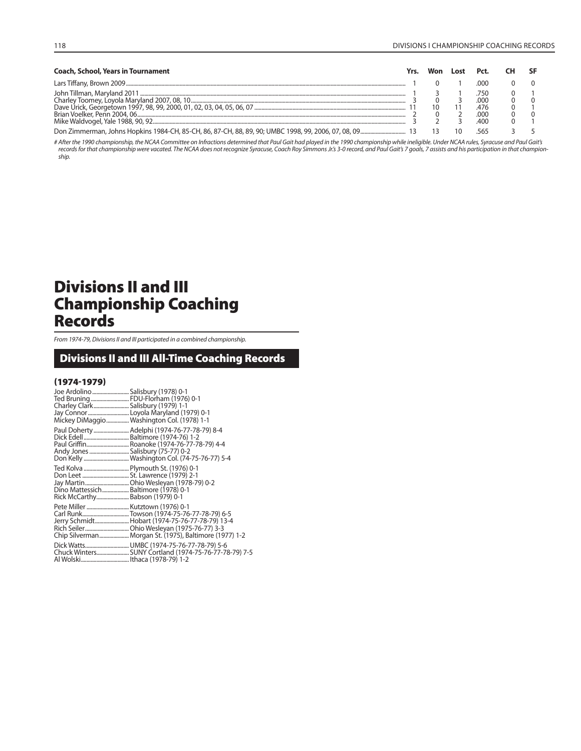| <b>Coach, School, Years in Tournament</b> |  | Lost |            |  |
|-------------------------------------------|--|------|------------|--|
|                                           |  |      | റററ        |  |
|                                           |  |      | 750        |  |
|                                           |  |      | 000<br>476 |  |
|                                           |  |      | 00C        |  |
|                                           |  |      | .400       |  |
|                                           |  |      |            |  |

# After the 1990 championship, the NCAA Committee on Infractions determined that Paul Gait had played in the 1990 championship while ineligible. Under NCAA rules, Syracuse and Paul Gait's records for that championship were vacated. The NCAA does not recognize Syracuse, Coach Roy Simmons Jr.'s 3-0 record, and Paul Gait's 7 goals, 7 assists and his participation in that champion-ship.

# **Divisions II and III Championship Coaching Records**

From 1974-79, Divisions II and III participated in a combined championship.

# **Divisions II and III All-Time Coaching Records**

# **(1974-1979)**

| Joe Ardolino Salisbury (1978) 0-1<br>Charley Clark Salisbury (1979) 1-1 | Ted Bruning  FDU-Florham (1976) 0-1                                                                                                                    |
|-------------------------------------------------------------------------|--------------------------------------------------------------------------------------------------------------------------------------------------------|
| Andy Jones  Salisbury (75-77) 0-2                                       | Paul Doherty  Adelphi (1974-76-77-78-79) 8-4<br>Paul Griffin Roanoke (1974-76-77-78-79) 4-4<br>Don Kelly  Washington Col. (74-75-76-77) 5-4            |
| Dino Mattessich Baltimore (1978) 0-1<br>Rick McCarthy Babson (1979) 0-1 | Ted Kolva  Plymouth St. (1976) 0-1                                                                                                                     |
| Pete Miller  Kutztown (1976) 0-1                                        | Carl RunkTowson (1974-75-76-77-78-79) 6-5<br>Jerry Schmidt Hobart (1974-75-76-77-78-79) 13-4<br>Chip Silverman Morgan St. (1975), Baltimore (1977) 1-2 |
|                                                                         |                                                                                                                                                        |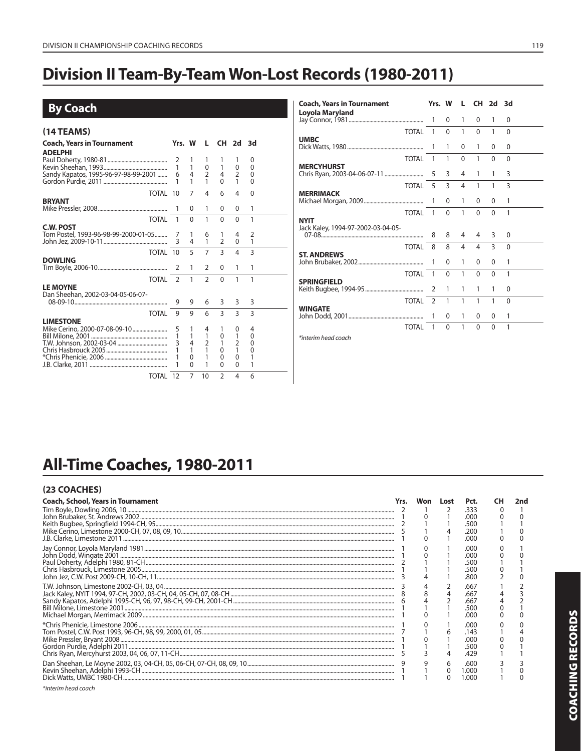# **Division II Team-By-Team Won-Lost Records (1980-2011)**

| <b>By Coach</b>                                          |                                        |                                                          |                                                    |                                                            |                                                               |                                                             |
|----------------------------------------------------------|----------------------------------------|----------------------------------------------------------|----------------------------------------------------|------------------------------------------------------------|---------------------------------------------------------------|-------------------------------------------------------------|
| (14 TEAMS)                                               |                                        |                                                          |                                                    |                                                            |                                                               |                                                             |
| Coach, Years in Tournament<br><b>ADELPHI</b>             | Yrs. W                                 |                                                          |                                                    | L CH 2d 3d                                                 |                                                               |                                                             |
| Sandy Kapatos, 1995-96-97-98-99-2001                     | 2<br>$\mathbf{1}$<br>6<br>$\mathbf{1}$ | $\mathbf{1}$<br>$\overline{4}$<br>1                      | 1<br>$\mathbf 0$<br>$\overline{2}$<br>1            | $\mathbf{1}$<br>4<br>$\Omega$                              | $\mathbf 0$<br>$\overline{2}$<br>1                            | 0<br>$\mathbf{0}$<br>$\mathbf{0}$<br>$\Omega$               |
| TOTAL 10                                                 |                                        | 7                                                        | 4                                                  | 6                                                          | 4                                                             | $\mathbf{0}$                                                |
| <b>BRYANT</b>                                            |                                        | $\Omega$                                                 | 1                                                  | $\Omega$                                                   | $\Omega$                                                      | 1                                                           |
| <b>TOTAL</b>                                             | $\mathbf{1}$                           | $\Omega$                                                 | 1                                                  | $\Omega$                                                   | $\Omega$                                                      | 1                                                           |
| <b>C.W. POST</b><br>Tom Postel, 1993-96-98-99-2000-01-05 | 3                                      | 1<br>4                                                   | 6<br>$\mathbf{1}$                                  | 1<br>$\overline{2}$                                        | 4<br>$\mathbf{0}$                                             | $\overline{2}$<br>$\mathbf{1}$                              |
| TOTAL 10                                                 |                                        | 5                                                        | $\overline{7}$                                     | $\overline{3}$                                             | $\overline{4}$                                                | $\overline{3}$                                              |
| <b>DOWLING</b>                                           | 2                                      | 1                                                        | 2                                                  | $\Omega$                                                   | 1                                                             | 1                                                           |
| <b>TOTAL</b>                                             | $\mathcal{L}$                          | 1                                                        | $\mathcal{P}$                                      | $\Omega$                                                   | 1                                                             | 1                                                           |
| <b>LE MOYNE</b><br>Dan Sheehan, 2002-03-04-05-06-07-     | 9                                      | 9                                                        | 6                                                  | 3                                                          | 3                                                             | 3                                                           |
| <b>TOTAL</b>                                             | 9                                      | 9                                                        | 6                                                  | $\overline{3}$                                             | $\overline{3}$                                                | $\overline{3}$                                              |
| <b>LIMESTONE</b><br>Mike Cerino, 2000-07-08-09-10        | 5<br>1<br>$\mathbf{3}$                 | 1<br>$\overline{4}$<br>1<br>$\mathbf{0}$<br>$\mathbf{0}$ | 4<br>$\mathbf{1}$<br>$\overline{2}$<br>1<br>1<br>1 | 1<br>0<br>$\mathbf{1}$<br>$\Omega$<br>$\Omega$<br>$\Omega$ | 0<br>1<br>$\overline{2}$<br>1<br>$\mathbf{0}$<br>$\mathbf{0}$ | 4<br>$\mathbf{0}$<br>$\mathbf{0}$<br>$\mathbf{0}$<br>1<br>1 |
| TOTAL 12                                                 |                                        | 7                                                        | 10                                                 | $\mathfrak{D}$                                             | 4                                                             | 6                                                           |
|                                                          |                                        |                                                          |                                                    |                                                            |                                                               |                                                             |

| <b>Coach, Years in Tournament</b> | Yrs. W        |              | L            | CH 2d    |                | 3d           |  |
|-----------------------------------|---------------|--------------|--------------|----------|----------------|--------------|--|
| Loyola Maryland                   |               | 0            | 1            | 0        | 1              | $\Omega$     |  |
| <b>TOTAL</b>                      | $\mathbf{1}$  | $\mathbf{0}$ | 1            | 0        | 1              | $\mathbf{0}$ |  |
| <b>UMBC</b>                       | 1             | 1            | 0            | 1        | $\Omega$       | 0            |  |
| <b>TOTAL</b>                      | $\mathbf{1}$  | 1            | $\mathbf{0}$ | 1        | $\Omega$       | $\mathbf{0}$ |  |
| <b>MERCYHURST</b>                 | 5             | 3            | 4            | 1        | 1              | 3            |  |
| <b>TOTAL</b>                      | 5             | 3            | 4            | 1        | 1              | 3            |  |
| <b>MERRIMACK</b>                  |               | 0            | 1            | $\Omega$ | $\Omega$       | 1            |  |
| <b>TOTAL</b>                      | $\mathbf{1}$  | $\Omega$     | 1            | $\Omega$ | $\Omega$       | 1            |  |
| <b>NYIT</b>                       |               |              |              |          |                |              |  |
|                                   | 8             | 8            | 4            | 4        | 3              | 0            |  |
| <b>TOTAL</b>                      | 8             | 8            | 4            | 4        | $\overline{3}$ | $\mathbf{0}$ |  |
| <b>ST. ANDREWS</b>                | 1             | 0            | 1            | $\Omega$ | $\Omega$       | 1            |  |
| <b>TOTAL</b>                      | $\mathbf{1}$  | $\Omega$     | 1            | $\Omega$ | $\Omega$       | 1            |  |
| <b>SPRINGFIELD</b>                | 2             | 1            | 1            | 1        | 1              | 0            |  |
| <b>TOTAL</b>                      | $\mathcal{L}$ | 1            | 1            | 1        | 1              | $\Omega$     |  |
| <b>WINGATE</b>                    |               | $\Omega$     | 1            | 0        | $\Omega$       | 1            |  |
| TOTAL                             | 1             | $\Omega$     | 1            | $\Omega$ | $\Omega$       | 1            |  |
| *interim head coach               |               |              |              |          |                |              |  |

# All-Time Coaches, 1980-2011

# (23 COACHES)

| <b>Coach, School, Years in Tournament</b> | Won | Lost | Pct.  | CН | 2nd |
|-------------------------------------------|-----|------|-------|----|-----|
|                                           |     |      | 333   |    |     |
|                                           |     |      | റററ   |    |     |
|                                           |     |      | 500   |    |     |
|                                           |     |      | 200   |    |     |
|                                           |     |      | റററ   |    |     |
|                                           |     |      | റററ   |    |     |
|                                           |     |      | റററ   |    |     |
|                                           |     |      | 500   |    |     |
|                                           |     |      | .500  |    |     |
|                                           |     |      | .800  |    |     |
|                                           |     |      | .667  |    |     |
|                                           |     |      | .667  |    |     |
|                                           |     |      | .667  |    |     |
|                                           |     |      | .500  |    |     |
|                                           |     |      | റററ   |    |     |
|                                           |     |      | .റററ  |    |     |
|                                           |     |      | :143  |    |     |
|                                           |     |      | റററ   |    |     |
|                                           |     |      |       |    |     |
|                                           |     |      | .429  |    |     |
|                                           |     |      | .600  |    |     |
|                                           |     |      | L.OOO |    |     |
|                                           |     |      | .000  |    |     |
|                                           |     |      |       |    |     |

\*interim head coach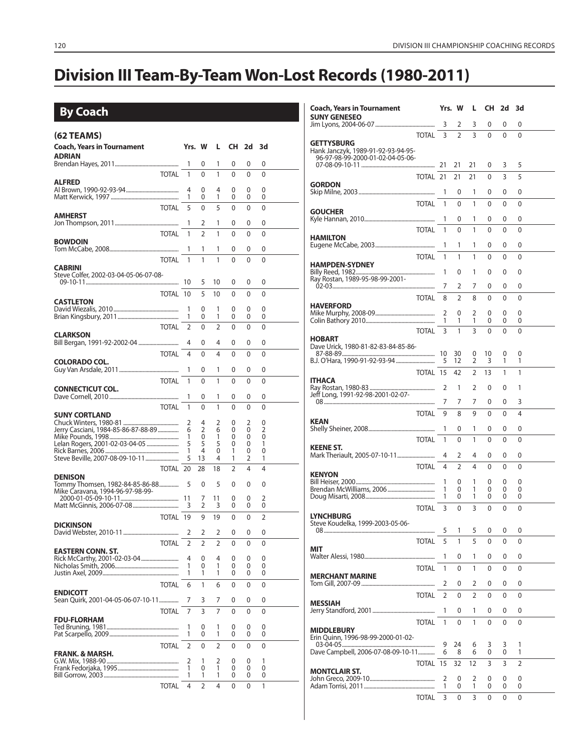# **Division III Team-By-Team Won-Lost Records (1980-2011)**

# **By Coach**

| <b>Coach, Years in Tournament</b><br>Yrs. W<br>L CH 2d 3d<br><b>ADRIAN</b><br>1<br>0<br>0<br>1<br>0<br>0<br><b>TOTAL</b><br>1<br>1<br>0<br>$\mathbf{0}$<br>0<br>0<br>ALFRED<br>4<br>0<br>4<br>0<br>0<br>0<br>1<br>1<br>0<br>0<br>0<br>0<br><b>TOTAL</b><br>5<br>$\mathbf{0}$<br>5<br>0<br>0<br>0<br><b>AMHERST</b><br>1<br>1<br>2<br>0<br>0<br>0<br><b>TOTAL</b><br>1<br>$\overline{2}$<br>1<br>0<br>0<br>0<br><b>BOWDOIN</b><br>1<br>0<br>0<br>0<br>1<br>1<br><b>TOTAL</b><br>1<br>1<br>1<br>$\mathbf{0}$<br>0<br>$\mathbf{0}$<br><b>CABRINI</b><br>Steve Colfer, 2002-03-04-05-06-07-08-<br>10<br>5<br>10<br>0<br>0<br>0<br>TOTAL 10<br>5<br>10<br>0<br>$\mathbf{0}$<br>0<br><b>CASTLETON</b><br>1<br>0<br>0<br>0<br>1<br>0<br>1<br>1<br>0<br>0<br>0<br>0<br><b>TOTAL</b><br>2<br>0<br>$\overline{2}$<br>$\mathbf{0}$<br>0<br>0<br><b>CLARKSON</b><br>4<br>4<br>0<br>0<br>0<br>0<br><b>TOTAL</b><br>4<br>4<br>0<br>0<br>0<br>0<br><b>COLORADO COL.</b><br>1<br>1<br>0<br>0<br>0<br>0<br>1<br>0<br><b>TOTAL</b><br>1<br>0<br>0<br>0<br><b>CONNECTICUT COL.</b><br>1<br>0<br>1<br>0<br>0<br>0<br><b>TOTAL</b><br>0<br>1<br>1<br>0<br>$\Omega$<br>0<br><b>SUNY CORTLAND</b><br>2<br>2<br>2<br>0<br>4<br>0<br>Jerry Casciani, 1984-85-86-87-88-89<br>$\overline{2}$<br>6<br>6<br>0<br>0<br>2<br>1<br>0<br>1<br>0<br>0<br>0<br>Lelan Rogers, 2001-02-03-04-05<br>5<br>5<br>5<br>0<br>0<br>1<br>1<br>4<br>0<br>1<br>0<br>0<br>5<br>13<br>4<br>2<br>1<br>1<br>TOTAL 20<br>$\overline{2}$<br>4<br>4<br>28<br>18<br><b>DENISON</b><br>5<br>5<br>Tommy Thomsen, 1982-84-85-86-88<br>0<br>0<br>0<br>0<br>Mike Caravana, 1994-96-97-98-99-<br>2<br>7<br>11<br>0<br>0<br>3<br>3<br>2<br>0<br>0<br>0<br>$\overline{2}$<br>TOTAL 19<br>9<br>19<br>0<br>$\mathbf{0}$<br><b>DICKINSON</b><br>2<br>2<br>2<br>0<br>0<br>0<br>$\overline{2}$<br>$\overline{2}$<br><b>TOTAL</b><br>2<br>$\mathbf{0}$<br>0<br>$\mathbf{0}$<br><b>EASTERN CONN. ST.</b><br>Rick McCarthy, 2001-02-03-04<br>4<br>0<br>4<br>0<br>0<br>0<br>1<br>1<br>0<br>0<br>0<br>0<br>1<br>1<br>1<br>0<br>0<br>0<br><b>TOTAL</b><br>1<br>6<br>6<br>0<br>0<br>0<br><b>ENDICOTT</b><br>Sean Quirk, 2001-04-05-06-07-10-11<br>7<br>3<br>7<br>0<br>0<br>0<br>3<br><b>TOTAL</b><br>7<br>7<br>0<br>0<br>0<br><b>FDU-FLORHAM</b><br>1<br>0<br>1<br>0<br>0<br>0<br>1<br>1<br>0<br>0<br>0<br>0<br><b>TOTAL</b><br>2<br>2<br>0<br>0<br>0<br>0<br><b>FRANK. &amp; MARSH.</b><br>2<br>2<br>0<br>0<br>1<br>1<br>1<br>1<br>0<br>0<br>0<br>0<br>1<br>1<br>1<br>0<br>0<br>0<br><b>TOTAL</b><br>2<br>4<br>1<br>4<br>0<br>0 | $(62)$ TEAMS) |  |  |  |  |
|-------------------------------------------------------------------------------------------------------------------------------------------------------------------------------------------------------------------------------------------------------------------------------------------------------------------------------------------------------------------------------------------------------------------------------------------------------------------------------------------------------------------------------------------------------------------------------------------------------------------------------------------------------------------------------------------------------------------------------------------------------------------------------------------------------------------------------------------------------------------------------------------------------------------------------------------------------------------------------------------------------------------------------------------------------------------------------------------------------------------------------------------------------------------------------------------------------------------------------------------------------------------------------------------------------------------------------------------------------------------------------------------------------------------------------------------------------------------------------------------------------------------------------------------------------------------------------------------------------------------------------------------------------------------------------------------------------------------------------------------------------------------------------------------------------------------------------------------------------------------------------------------------------------------------------------------------------------------------------------------------------------------------------------------------------------------------------------------------------------------------------------------------------------------------------------------------------------------------------------------------------------------------------------------------------------------------------------------------------------------------------------------------------------------------------------------------------------------------------------------------------------------------------------------------------|---------------|--|--|--|--|
|                                                                                                                                                                                                                                                                                                                                                                                                                                                                                                                                                                                                                                                                                                                                                                                                                                                                                                                                                                                                                                                                                                                                                                                                                                                                                                                                                                                                                                                                                                                                                                                                                                                                                                                                                                                                                                                                                                                                                                                                                                                                                                                                                                                                                                                                                                                                                                                                                                                                                                                                                       |               |  |  |  |  |
|                                                                                                                                                                                                                                                                                                                                                                                                                                                                                                                                                                                                                                                                                                                                                                                                                                                                                                                                                                                                                                                                                                                                                                                                                                                                                                                                                                                                                                                                                                                                                                                                                                                                                                                                                                                                                                                                                                                                                                                                                                                                                                                                                                                                                                                                                                                                                                                                                                                                                                                                                       |               |  |  |  |  |
|                                                                                                                                                                                                                                                                                                                                                                                                                                                                                                                                                                                                                                                                                                                                                                                                                                                                                                                                                                                                                                                                                                                                                                                                                                                                                                                                                                                                                                                                                                                                                                                                                                                                                                                                                                                                                                                                                                                                                                                                                                                                                                                                                                                                                                                                                                                                                                                                                                                                                                                                                       |               |  |  |  |  |
|                                                                                                                                                                                                                                                                                                                                                                                                                                                                                                                                                                                                                                                                                                                                                                                                                                                                                                                                                                                                                                                                                                                                                                                                                                                                                                                                                                                                                                                                                                                                                                                                                                                                                                                                                                                                                                                                                                                                                                                                                                                                                                                                                                                                                                                                                                                                                                                                                                                                                                                                                       |               |  |  |  |  |
|                                                                                                                                                                                                                                                                                                                                                                                                                                                                                                                                                                                                                                                                                                                                                                                                                                                                                                                                                                                                                                                                                                                                                                                                                                                                                                                                                                                                                                                                                                                                                                                                                                                                                                                                                                                                                                                                                                                                                                                                                                                                                                                                                                                                                                                                                                                                                                                                                                                                                                                                                       |               |  |  |  |  |
|                                                                                                                                                                                                                                                                                                                                                                                                                                                                                                                                                                                                                                                                                                                                                                                                                                                                                                                                                                                                                                                                                                                                                                                                                                                                                                                                                                                                                                                                                                                                                                                                                                                                                                                                                                                                                                                                                                                                                                                                                                                                                                                                                                                                                                                                                                                                                                                                                                                                                                                                                       |               |  |  |  |  |
|                                                                                                                                                                                                                                                                                                                                                                                                                                                                                                                                                                                                                                                                                                                                                                                                                                                                                                                                                                                                                                                                                                                                                                                                                                                                                                                                                                                                                                                                                                                                                                                                                                                                                                                                                                                                                                                                                                                                                                                                                                                                                                                                                                                                                                                                                                                                                                                                                                                                                                                                                       |               |  |  |  |  |
|                                                                                                                                                                                                                                                                                                                                                                                                                                                                                                                                                                                                                                                                                                                                                                                                                                                                                                                                                                                                                                                                                                                                                                                                                                                                                                                                                                                                                                                                                                                                                                                                                                                                                                                                                                                                                                                                                                                                                                                                                                                                                                                                                                                                                                                                                                                                                                                                                                                                                                                                                       |               |  |  |  |  |
|                                                                                                                                                                                                                                                                                                                                                                                                                                                                                                                                                                                                                                                                                                                                                                                                                                                                                                                                                                                                                                                                                                                                                                                                                                                                                                                                                                                                                                                                                                                                                                                                                                                                                                                                                                                                                                                                                                                                                                                                                                                                                                                                                                                                                                                                                                                                                                                                                                                                                                                                                       |               |  |  |  |  |
|                                                                                                                                                                                                                                                                                                                                                                                                                                                                                                                                                                                                                                                                                                                                                                                                                                                                                                                                                                                                                                                                                                                                                                                                                                                                                                                                                                                                                                                                                                                                                                                                                                                                                                                                                                                                                                                                                                                                                                                                                                                                                                                                                                                                                                                                                                                                                                                                                                                                                                                                                       |               |  |  |  |  |
|                                                                                                                                                                                                                                                                                                                                                                                                                                                                                                                                                                                                                                                                                                                                                                                                                                                                                                                                                                                                                                                                                                                                                                                                                                                                                                                                                                                                                                                                                                                                                                                                                                                                                                                                                                                                                                                                                                                                                                                                                                                                                                                                                                                                                                                                                                                                                                                                                                                                                                                                                       |               |  |  |  |  |
|                                                                                                                                                                                                                                                                                                                                                                                                                                                                                                                                                                                                                                                                                                                                                                                                                                                                                                                                                                                                                                                                                                                                                                                                                                                                                                                                                                                                                                                                                                                                                                                                                                                                                                                                                                                                                                                                                                                                                                                                                                                                                                                                                                                                                                                                                                                                                                                                                                                                                                                                                       |               |  |  |  |  |
|                                                                                                                                                                                                                                                                                                                                                                                                                                                                                                                                                                                                                                                                                                                                                                                                                                                                                                                                                                                                                                                                                                                                                                                                                                                                                                                                                                                                                                                                                                                                                                                                                                                                                                                                                                                                                                                                                                                                                                                                                                                                                                                                                                                                                                                                                                                                                                                                                                                                                                                                                       |               |  |  |  |  |
|                                                                                                                                                                                                                                                                                                                                                                                                                                                                                                                                                                                                                                                                                                                                                                                                                                                                                                                                                                                                                                                                                                                                                                                                                                                                                                                                                                                                                                                                                                                                                                                                                                                                                                                                                                                                                                                                                                                                                                                                                                                                                                                                                                                                                                                                                                                                                                                                                                                                                                                                                       |               |  |  |  |  |
|                                                                                                                                                                                                                                                                                                                                                                                                                                                                                                                                                                                                                                                                                                                                                                                                                                                                                                                                                                                                                                                                                                                                                                                                                                                                                                                                                                                                                                                                                                                                                                                                                                                                                                                                                                                                                                                                                                                                                                                                                                                                                                                                                                                                                                                                                                                                                                                                                                                                                                                                                       |               |  |  |  |  |
|                                                                                                                                                                                                                                                                                                                                                                                                                                                                                                                                                                                                                                                                                                                                                                                                                                                                                                                                                                                                                                                                                                                                                                                                                                                                                                                                                                                                                                                                                                                                                                                                                                                                                                                                                                                                                                                                                                                                                                                                                                                                                                                                                                                                                                                                                                                                                                                                                                                                                                                                                       |               |  |  |  |  |
|                                                                                                                                                                                                                                                                                                                                                                                                                                                                                                                                                                                                                                                                                                                                                                                                                                                                                                                                                                                                                                                                                                                                                                                                                                                                                                                                                                                                                                                                                                                                                                                                                                                                                                                                                                                                                                                                                                                                                                                                                                                                                                                                                                                                                                                                                                                                                                                                                                                                                                                                                       |               |  |  |  |  |
|                                                                                                                                                                                                                                                                                                                                                                                                                                                                                                                                                                                                                                                                                                                                                                                                                                                                                                                                                                                                                                                                                                                                                                                                                                                                                                                                                                                                                                                                                                                                                                                                                                                                                                                                                                                                                                                                                                                                                                                                                                                                                                                                                                                                                                                                                                                                                                                                                                                                                                                                                       |               |  |  |  |  |
|                                                                                                                                                                                                                                                                                                                                                                                                                                                                                                                                                                                                                                                                                                                                                                                                                                                                                                                                                                                                                                                                                                                                                                                                                                                                                                                                                                                                                                                                                                                                                                                                                                                                                                                                                                                                                                                                                                                                                                                                                                                                                                                                                                                                                                                                                                                                                                                                                                                                                                                                                       |               |  |  |  |  |
|                                                                                                                                                                                                                                                                                                                                                                                                                                                                                                                                                                                                                                                                                                                                                                                                                                                                                                                                                                                                                                                                                                                                                                                                                                                                                                                                                                                                                                                                                                                                                                                                                                                                                                                                                                                                                                                                                                                                                                                                                                                                                                                                                                                                                                                                                                                                                                                                                                                                                                                                                       |               |  |  |  |  |
|                                                                                                                                                                                                                                                                                                                                                                                                                                                                                                                                                                                                                                                                                                                                                                                                                                                                                                                                                                                                                                                                                                                                                                                                                                                                                                                                                                                                                                                                                                                                                                                                                                                                                                                                                                                                                                                                                                                                                                                                                                                                                                                                                                                                                                                                                                                                                                                                                                                                                                                                                       |               |  |  |  |  |
|                                                                                                                                                                                                                                                                                                                                                                                                                                                                                                                                                                                                                                                                                                                                                                                                                                                                                                                                                                                                                                                                                                                                                                                                                                                                                                                                                                                                                                                                                                                                                                                                                                                                                                                                                                                                                                                                                                                                                                                                                                                                                                                                                                                                                                                                                                                                                                                                                                                                                                                                                       |               |  |  |  |  |
|                                                                                                                                                                                                                                                                                                                                                                                                                                                                                                                                                                                                                                                                                                                                                                                                                                                                                                                                                                                                                                                                                                                                                                                                                                                                                                                                                                                                                                                                                                                                                                                                                                                                                                                                                                                                                                                                                                                                                                                                                                                                                                                                                                                                                                                                                                                                                                                                                                                                                                                                                       |               |  |  |  |  |
|                                                                                                                                                                                                                                                                                                                                                                                                                                                                                                                                                                                                                                                                                                                                                                                                                                                                                                                                                                                                                                                                                                                                                                                                                                                                                                                                                                                                                                                                                                                                                                                                                                                                                                                                                                                                                                                                                                                                                                                                                                                                                                                                                                                                                                                                                                                                                                                                                                                                                                                                                       |               |  |  |  |  |
|                                                                                                                                                                                                                                                                                                                                                                                                                                                                                                                                                                                                                                                                                                                                                                                                                                                                                                                                                                                                                                                                                                                                                                                                                                                                                                                                                                                                                                                                                                                                                                                                                                                                                                                                                                                                                                                                                                                                                                                                                                                                                                                                                                                                                                                                                                                                                                                                                                                                                                                                                       |               |  |  |  |  |
|                                                                                                                                                                                                                                                                                                                                                                                                                                                                                                                                                                                                                                                                                                                                                                                                                                                                                                                                                                                                                                                                                                                                                                                                                                                                                                                                                                                                                                                                                                                                                                                                                                                                                                                                                                                                                                                                                                                                                                                                                                                                                                                                                                                                                                                                                                                                                                                                                                                                                                                                                       |               |  |  |  |  |
|                                                                                                                                                                                                                                                                                                                                                                                                                                                                                                                                                                                                                                                                                                                                                                                                                                                                                                                                                                                                                                                                                                                                                                                                                                                                                                                                                                                                                                                                                                                                                                                                                                                                                                                                                                                                                                                                                                                                                                                                                                                                                                                                                                                                                                                                                                                                                                                                                                                                                                                                                       |               |  |  |  |  |
|                                                                                                                                                                                                                                                                                                                                                                                                                                                                                                                                                                                                                                                                                                                                                                                                                                                                                                                                                                                                                                                                                                                                                                                                                                                                                                                                                                                                                                                                                                                                                                                                                                                                                                                                                                                                                                                                                                                                                                                                                                                                                                                                                                                                                                                                                                                                                                                                                                                                                                                                                       |               |  |  |  |  |
|                                                                                                                                                                                                                                                                                                                                                                                                                                                                                                                                                                                                                                                                                                                                                                                                                                                                                                                                                                                                                                                                                                                                                                                                                                                                                                                                                                                                                                                                                                                                                                                                                                                                                                                                                                                                                                                                                                                                                                                                                                                                                                                                                                                                                                                                                                                                                                                                                                                                                                                                                       |               |  |  |  |  |
|                                                                                                                                                                                                                                                                                                                                                                                                                                                                                                                                                                                                                                                                                                                                                                                                                                                                                                                                                                                                                                                                                                                                                                                                                                                                                                                                                                                                                                                                                                                                                                                                                                                                                                                                                                                                                                                                                                                                                                                                                                                                                                                                                                                                                                                                                                                                                                                                                                                                                                                                                       |               |  |  |  |  |
|                                                                                                                                                                                                                                                                                                                                                                                                                                                                                                                                                                                                                                                                                                                                                                                                                                                                                                                                                                                                                                                                                                                                                                                                                                                                                                                                                                                                                                                                                                                                                                                                                                                                                                                                                                                                                                                                                                                                                                                                                                                                                                                                                                                                                                                                                                                                                                                                                                                                                                                                                       |               |  |  |  |  |
|                                                                                                                                                                                                                                                                                                                                                                                                                                                                                                                                                                                                                                                                                                                                                                                                                                                                                                                                                                                                                                                                                                                                                                                                                                                                                                                                                                                                                                                                                                                                                                                                                                                                                                                                                                                                                                                                                                                                                                                                                                                                                                                                                                                                                                                                                                                                                                                                                                                                                                                                                       |               |  |  |  |  |
|                                                                                                                                                                                                                                                                                                                                                                                                                                                                                                                                                                                                                                                                                                                                                                                                                                                                                                                                                                                                                                                                                                                                                                                                                                                                                                                                                                                                                                                                                                                                                                                                                                                                                                                                                                                                                                                                                                                                                                                                                                                                                                                                                                                                                                                                                                                                                                                                                                                                                                                                                       |               |  |  |  |  |
|                                                                                                                                                                                                                                                                                                                                                                                                                                                                                                                                                                                                                                                                                                                                                                                                                                                                                                                                                                                                                                                                                                                                                                                                                                                                                                                                                                                                                                                                                                                                                                                                                                                                                                                                                                                                                                                                                                                                                                                                                                                                                                                                                                                                                                                                                                                                                                                                                                                                                                                                                       |               |  |  |  |  |
|                                                                                                                                                                                                                                                                                                                                                                                                                                                                                                                                                                                                                                                                                                                                                                                                                                                                                                                                                                                                                                                                                                                                                                                                                                                                                                                                                                                                                                                                                                                                                                                                                                                                                                                                                                                                                                                                                                                                                                                                                                                                                                                                                                                                                                                                                                                                                                                                                                                                                                                                                       |               |  |  |  |  |
|                                                                                                                                                                                                                                                                                                                                                                                                                                                                                                                                                                                                                                                                                                                                                                                                                                                                                                                                                                                                                                                                                                                                                                                                                                                                                                                                                                                                                                                                                                                                                                                                                                                                                                                                                                                                                                                                                                                                                                                                                                                                                                                                                                                                                                                                                                                                                                                                                                                                                                                                                       |               |  |  |  |  |
|                                                                                                                                                                                                                                                                                                                                                                                                                                                                                                                                                                                                                                                                                                                                                                                                                                                                                                                                                                                                                                                                                                                                                                                                                                                                                                                                                                                                                                                                                                                                                                                                                                                                                                                                                                                                                                                                                                                                                                                                                                                                                                                                                                                                                                                                                                                                                                                                                                                                                                                                                       |               |  |  |  |  |
|                                                                                                                                                                                                                                                                                                                                                                                                                                                                                                                                                                                                                                                                                                                                                                                                                                                                                                                                                                                                                                                                                                                                                                                                                                                                                                                                                                                                                                                                                                                                                                                                                                                                                                                                                                                                                                                                                                                                                                                                                                                                                                                                                                                                                                                                                                                                                                                                                                                                                                                                                       |               |  |  |  |  |
|                                                                                                                                                                                                                                                                                                                                                                                                                                                                                                                                                                                                                                                                                                                                                                                                                                                                                                                                                                                                                                                                                                                                                                                                                                                                                                                                                                                                                                                                                                                                                                                                                                                                                                                                                                                                                                                                                                                                                                                                                                                                                                                                                                                                                                                                                                                                                                                                                                                                                                                                                       |               |  |  |  |  |
|                                                                                                                                                                                                                                                                                                                                                                                                                                                                                                                                                                                                                                                                                                                                                                                                                                                                                                                                                                                                                                                                                                                                                                                                                                                                                                                                                                                                                                                                                                                                                                                                                                                                                                                                                                                                                                                                                                                                                                                                                                                                                                                                                                                                                                                                                                                                                                                                                                                                                                                                                       |               |  |  |  |  |
|                                                                                                                                                                                                                                                                                                                                                                                                                                                                                                                                                                                                                                                                                                                                                                                                                                                                                                                                                                                                                                                                                                                                                                                                                                                                                                                                                                                                                                                                                                                                                                                                                                                                                                                                                                                                                                                                                                                                                                                                                                                                                                                                                                                                                                                                                                                                                                                                                                                                                                                                                       |               |  |  |  |  |
|                                                                                                                                                                                                                                                                                                                                                                                                                                                                                                                                                                                                                                                                                                                                                                                                                                                                                                                                                                                                                                                                                                                                                                                                                                                                                                                                                                                                                                                                                                                                                                                                                                                                                                                                                                                                                                                                                                                                                                                                                                                                                                                                                                                                                                                                                                                                                                                                                                                                                                                                                       |               |  |  |  |  |
|                                                                                                                                                                                                                                                                                                                                                                                                                                                                                                                                                                                                                                                                                                                                                                                                                                                                                                                                                                                                                                                                                                                                                                                                                                                                                                                                                                                                                                                                                                                                                                                                                                                                                                                                                                                                                                                                                                                                                                                                                                                                                                                                                                                                                                                                                                                                                                                                                                                                                                                                                       |               |  |  |  |  |
|                                                                                                                                                                                                                                                                                                                                                                                                                                                                                                                                                                                                                                                                                                                                                                                                                                                                                                                                                                                                                                                                                                                                                                                                                                                                                                                                                                                                                                                                                                                                                                                                                                                                                                                                                                                                                                                                                                                                                                                                                                                                                                                                                                                                                                                                                                                                                                                                                                                                                                                                                       |               |  |  |  |  |
|                                                                                                                                                                                                                                                                                                                                                                                                                                                                                                                                                                                                                                                                                                                                                                                                                                                                                                                                                                                                                                                                                                                                                                                                                                                                                                                                                                                                                                                                                                                                                                                                                                                                                                                                                                                                                                                                                                                                                                                                                                                                                                                                                                                                                                                                                                                                                                                                                                                                                                                                                       |               |  |  |  |  |
|                                                                                                                                                                                                                                                                                                                                                                                                                                                                                                                                                                                                                                                                                                                                                                                                                                                                                                                                                                                                                                                                                                                                                                                                                                                                                                                                                                                                                                                                                                                                                                                                                                                                                                                                                                                                                                                                                                                                                                                                                                                                                                                                                                                                                                                                                                                                                                                                                                                                                                                                                       |               |  |  |  |  |

| <b>Coach, Years in Tournament</b>                                                           |              |                | Yrs. W         | L              | <b>CH</b> | 2d     | 3d     |  |
|---------------------------------------------------------------------------------------------|--------------|----------------|----------------|----------------|-----------|--------|--------|--|
| <b>SUNY GENESEO</b>                                                                         |              | 3              | 2              | 3              | 0         | 0      | 0      |  |
|                                                                                             | <b>TOTAL</b> | 3              | $\overline{2}$ | 3              | 0         | 0      | 0      |  |
| <b>GETTYSBURG</b><br>Hank Janczyk, 1989-91-92-93-94-95-<br>96-97-98-99-2000-01-02-04-05-06- |              |                |                |                |           |        |        |  |
|                                                                                             |              | 21             | 21             | 21             | 0         | 3      | 5      |  |
| <b>GORDON</b>                                                                               | TOTAL 21     |                | 21             | 21             | 0         | 3      | 5      |  |
|                                                                                             |              | 1              | 0              | 1              | 0         | 0      | 0      |  |
| <b>GOUCHER</b>                                                                              | <b>TOTAL</b> | 1              | 0<br>0         | 1<br>1         | 0<br>0    | 0<br>0 | 0<br>0 |  |
|                                                                                             | <b>TOTAL</b> | 1<br>1         | $\mathbf{0}$   | 1              | 0         | 0      | 0      |  |
| HAMILTON                                                                                    |              |                |                |                |           |        |        |  |
|                                                                                             |              | 1              | 1              | 1              | 0         | 0      | 0      |  |
| <b>HAMPDEN-SYDNEY</b>                                                                       | <b>TOTAL</b> | 1              | 1              | 1              | 0         | 0      | 0      |  |
|                                                                                             |              | 1              | 0              | 1              | 0         | 0      | 0      |  |
|                                                                                             |              | 7              | 2              | 7              | 0         | 0      | 0      |  |
| <b>HAVERFORD</b>                                                                            | <b>TOTAL</b> | 8              | $\overline{2}$ | 8              | 0         | 0      | 0      |  |
|                                                                                             |              | 2<br>1         | 0<br>1         | 2<br>1         | 0<br>0    | 0<br>0 | 0<br>0 |  |
|                                                                                             | <b>TOTAL</b> | 3              | 1              | 3              | 0         | 0      | 0      |  |
| HOBART<br>Dave Urick, 1980-81-82-83-84-85-86-                                               |              | 10             | 30             | 0              | 10        | 0      | 0      |  |
|                                                                                             |              | 5              | 12             | 2              | 3         | 1      | 1      |  |
|                                                                                             | TOTAL 15     |                | 42             | 2              | 13        | 1      | 1      |  |
| <b>ITHACA</b><br>Jeff Long, 1991-92-98-2001-02-07-                                          |              | 2              | 1              | 2              | 0         | 0      | 1      |  |
|                                                                                             |              | 7              | 7              | 7              | 0         | 0      | 3      |  |
| KEAN                                                                                        | <b>TOTAL</b> | 9              | 8              | 9              | 0         | 0      | 4      |  |
|                                                                                             |              | 1              | 0              | 1              | 0         | 0      | 0      |  |
| <b>KEENE ST.</b>                                                                            | <b>TOTAL</b> | 1              | 0              | 1              | 0         | 0      | 0      |  |
|                                                                                             |              | 4              | 2              | 4              | 0         | 0      | 0      |  |
| <b>KENYON</b>                                                                               | <b>TOTAL</b> | 4              | $\overline{2}$ | 4              | 0         | 0      | 0      |  |
|                                                                                             |              | 1<br>1         | 0<br>0         | 1<br>1         | 0<br>0    | 0<br>0 | 0<br>0 |  |
|                                                                                             |              | 1              | 0              | 1              | 0         | 0      | 0      |  |
| <b>LYNCHBURG</b>                                                                            | <b>TOTAL</b> | 3              | 0              | 3              | 0         | 0      | 0      |  |
| Steve Koudelka, 1999-2003-05-06-                                                            |              | 5              | 1              | 5              | 0         | 0      | 0      |  |
| MIT                                                                                         | <b>TOTAL</b> | 5              | 1              | 5              | 0         | 0      | 0      |  |
|                                                                                             |              | 1              | 0              | 1              | 0         | 0      | 0      |  |
|                                                                                             | <b>TOTAL</b> | 1              | $\mathbf{0}$   | 1              | 0         | 0      | 0      |  |
| <b>MERCHANT MARINE</b>                                                                      |              | 2              | 0              | 2              | 0         | 0      | 0      |  |
|                                                                                             | <b>TOTAL</b> | $\overline{2}$ | $\mathbf{0}$   | $\overline{2}$ | 0         | 0      | 0      |  |
| <b>MESSIAH</b>                                                                              |              | 1              | 0              | 1              | 0         | 0      | 0      |  |
|                                                                                             | <b>TOTAL</b> | 1              | 0              | 1              | 0         | 0      | 0      |  |
| <b>MIDDLEBURY</b><br>Erin Quinn, 1996-98-99-2000-01-02-                                     |              |                |                |                |           |        |        |  |
| Dave Campbell, 2006-07-08-09-10-11                                                          |              | 9<br>6         | 24<br>8        | 6<br>6         | 3<br>0    | 3<br>0 | 1<br>1 |  |
|                                                                                             | <b>TOTAL</b> | 15             | 32             | 12             | 3         | 3      | 2      |  |
| <b>MONTCLAIR ST.</b>                                                                        |              | 2              | 0              | 2              | 0         | 0      | 0      |  |
|                                                                                             | <b>TOTAL</b> | 1<br>3         | 0<br>0         | 1<br>3         | 0<br>0    | 0<br>0 | 0<br>0 |  |
|                                                                                             |              |                |                |                |           |        |        |  |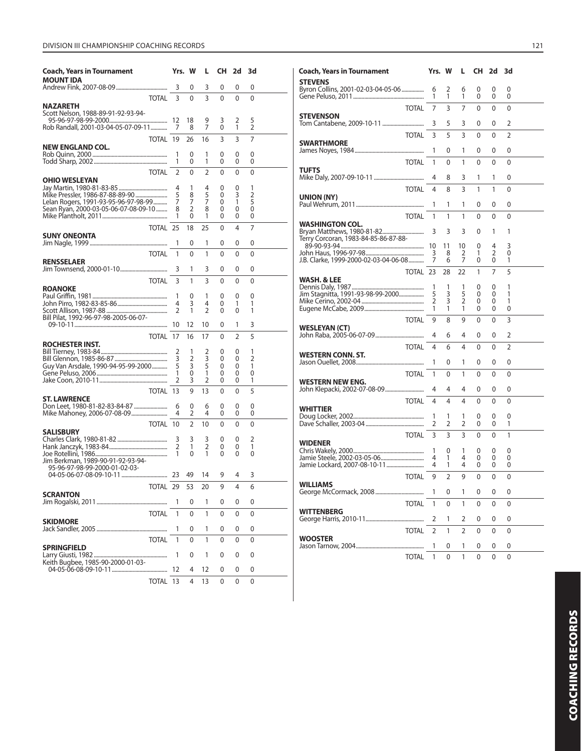# DIVISION III CHAMPIONSHIP COACHING RECORDS 121

| <b>Coach, Years in Tournament</b>                                       | Yrs.                | W              | L                   | CH           | 2d           | 3d             |  |
|-------------------------------------------------------------------------|---------------------|----------------|---------------------|--------------|--------------|----------------|--|
| <b>MOUNT IDA</b>                                                        | 3                   | 0              | 3                   | 0            | 0            | 0              |  |
| <b>TOTAL</b>                                                            | 3                   | 0              | 3                   | $\mathbf{0}$ | 0            | 0              |  |
| NAZARETH<br>Scott Nelson, 1988-89-91-92-93-94-                          |                     |                |                     |              |              |                |  |
|                                                                         |                     | 18             | 9                   | 3            | 2            | 5              |  |
| Rob Randall, 2001-03-04-05-07-09-11                                     | 7                   | 8              | 7                   | 0            | 1            | $\overline{2}$ |  |
| TOTAL 19<br><b>NEW ENGLAND COL.</b>                                     |                     | 26             | 16                  | 3            | 3            | 7              |  |
|                                                                         | 1                   | 0              | 1                   | 0            | 0            | 0              |  |
|                                                                         | 1                   | 0              | 1                   | 0            | 0            | 0              |  |
| <b>TOTAL</b><br><b>OHIO WESLEYAN</b>                                    | $\overline{2}$      | 0              | 2                   | 0            | 0            | $\mathbf{0}$   |  |
|                                                                         | 4                   | 1              | 4                   | 0            | 0            | 1              |  |
| Mike Pressler, 1986-87-88-89-90<br>Lelan Rogers, 1991-93-95-96-97-98-99 | 5<br>7              | 8<br>7         | 5<br>7              | 0<br>0       | 3<br>1       | 2<br>5         |  |
| Sean Ryan, 2000-03-05-06-07-08-09-10                                    | 8                   | 2              | 8                   | 0            | 0            | 0              |  |
|                                                                         | 1                   | 0              | 1                   | 0            | 0            | 0              |  |
| TOTAL 25<br><b>SUNY ONEONTA</b>                                         |                     | 18             | 25                  | 0            | 4            | 7              |  |
|                                                                         | 1                   | 0              | 1                   | 0            | 0            | 0              |  |
| <b>TOTAL</b>                                                            | 1                   | 0              | 1                   | 0            | 0            | 0              |  |
| <b>RENSSELAER</b>                                                       | 3                   | 1              | 3                   | 0            | 0            | 0              |  |
| <b>TOTAL</b>                                                            | 3                   | 1              | 3                   | 0            | 0            | 0              |  |
| <b>ROANOKE</b>                                                          | 1                   | 0              | 1                   | 0            | 0            | 0              |  |
|                                                                         | 4                   | 3              | 4                   | 0            | 1            | 1              |  |
|                                                                         | 2                   | 1              | 2                   | 0            | 0            | 1              |  |
| Bill Pilat, 1992-96-97-98-2005-06-07-                                   |                     | 12             | 10                  | 0            | 1            | 3              |  |
| TOTAL 17                                                                |                     | 16             | 17                  | 0            | 2            | 5              |  |
| ROCHESTER INST.                                                         | 2                   | 1              | 2                   | 0            | 0            | 1              |  |
|                                                                         | 3                   | 2              | 3                   | 0            | 0            | 2              |  |
| Guy Van Arsdale, 1990-94-95-99-2000                                     | 5                   | 3              | 5                   | 0            | 0            | 1              |  |
|                                                                         | 1<br>$\overline{2}$ | 0<br>3         | 1<br>2              | 0<br>0       | 0<br>0       | 0<br>1         |  |
| TOTAL 13                                                                |                     | 9              | 13                  | 0            | 0            | 5              |  |
| <b>ST. LAWRENCE</b>                                                     |                     |                |                     |              |              |                |  |
|                                                                         | 6<br>4              | 0<br>2         | 6<br>4              | 0<br>0       | 0<br>0       | 0<br>0         |  |
| TOTAL 10                                                                |                     | $\overline{2}$ | 10                  | 0            | 0            | $\mathbf{0}$   |  |
| <b>SALISBURY</b>                                                        |                     |                |                     |              |              |                |  |
|                                                                         | 3<br>$\overline{2}$ | 3<br>1         | 3<br>$\overline{2}$ | 0<br>0       | 0<br>0       | 2<br>1         |  |
|                                                                         | 1                   | 0              | 1                   | 0            | 0            | 0              |  |
| Jim Berkman, 1989-90-91-92-93-94-<br>95-96-97-98-99-2000-01-02-03-      |                     |                |                     |              |              |                |  |
|                                                                         |                     | 49             | 14                  | 9            | 4            | 3              |  |
|                                                                         | TOTAL 29            | 53             | 20                  | 9            | 4            | 6              |  |
| <b>SCRANTON</b>                                                         | 1                   | 0              | 1                   | 0            | 0            | 0              |  |
| <b>TOTAL</b>                                                            | 1                   | $\mathbf{0}$   | 1                   | 0            | 0            | 0              |  |
| <b>SKIDMORE</b>                                                         |                     |                |                     |              |              |                |  |
|                                                                         | 1                   | 0              | 1                   | 0            | 0            | 0              |  |
| <b>TOTAL</b><br><b>SPRINGFIELD</b>                                      | 1                   | 0              | 1                   | $\mathbf{0}$ | $\mathbf{0}$ | 0              |  |
| Keith Bugbee, 1985-90-2000-01-03-                                       | 1                   | 0              | 1                   | 0            | 0            | 0              |  |
|                                                                         | 12                  | 4              | 12                  | 0            | 0            | 0              |  |
| TOTAL                                                                   | 13                  | 4              | 13                  | 0            | 0            | 0              |  |

| Coach, Years in Tournament                              | Yrs. W         |                | L              |        | CH 2d  | -3d    |  |
|---------------------------------------------------------|----------------|----------------|----------------|--------|--------|--------|--|
| <b>STEVENS</b><br>Byron Collins, 2001-02-03-04-05-06    | 6<br>1         | 2<br>1         | 6<br>1         | 0<br>0 | 0<br>0 | 0<br>0 |  |
| <b>TOTAL</b>                                            | 7              | 3              | 7              | 0      | 0      | 0      |  |
| <b>STEVENSON</b>                                        | 3              | 5              | 3              | 0      | 0      | 2      |  |
|                                                         |                |                |                |        |        |        |  |
| <b>TOTAL</b><br><b>SWARTHMORE</b>                       | 3              | 5              | 3              | 0      | 0      | 2      |  |
|                                                         | 1              | 0              | 1              | 0      | 0      | 0      |  |
| <b>TOTAL</b>                                            | 1              | 0              | 1              | 0      | 0      | 0      |  |
| <b>TUFTS</b>                                            | 4              | 8              | 3              | 1      | 1      | 0      |  |
|                                                         |                |                |                |        |        |        |  |
| <b>TOTAL</b><br>UNION (NY)                              | 4              | 8              | 3              | 1      | 1      | 0      |  |
|                                                         | 1              | 1              | 1              | 0      | 0      | 0      |  |
| <b>TOTAL</b>                                            | 1              | 1              | 1              | 0      | 0      | 0      |  |
| WASHINGTON COL.<br>Bryan Matthews, 1980-81-82           | 3              | 3              | 3              | 0      | 1      | 1      |  |
| Terry Corcoran, 1983-84-85-86-87-88-                    |                |                |                |        |        |        |  |
|                                                         | 10<br>3        | 11<br>8        | 10<br>2        | 0<br>1 | 4<br>2 | 3<br>0 |  |
| J.B. Clarke, 1999-2000-02-03-04-06-08                   | 7              | 6              | 7              | 0      | 0      | 1      |  |
| TOTAL 23                                                |                | 28             | 22             | 1      | 7      | 5      |  |
| WASH. & LEE                                             |                |                |                |        |        |        |  |
| Jim Stagnitta, 1991-93-98-99-2000                       | 1<br>5         | 1<br>3         | 1<br>5         | 0<br>0 | 0<br>0 | 1<br>1 |  |
|                                                         | $\overline{2}$ | 3              | 2              | 0      | 0      | 1      |  |
|                                                         | 1              | 1              | 1              | 0      | 0      | 0      |  |
| <b>TOTAL</b>                                            | 9              | 8              | 9              | 0      | 0      | 3      |  |
| <b>WESLEYAN (CT)</b>                                    | 4              | 6              | 4              | 0      | 0      | 2      |  |
| <b>TOTAL</b>                                            | 4              | 6              | 4              | 0      | 0      | 2      |  |
| <b>WESTERN CONN. ST.</b>                                |                |                |                |        |        |        |  |
|                                                         | 1              | 0              | 1              | 0      | 0      | 0      |  |
| <b>TOTAL</b>                                            | 1              | 0              | 1              | 0      | 0      | 0      |  |
| <b>WESTERN NEW ENG.</b><br>John Klepacki, 2002-07-08-09 | 4              | 4              | 4              | 0      | 0      | 0      |  |
| <b>TOTAL</b>                                            | 4              | 4              | 4              | 0      | 0      | 0      |  |
| WHITTIER                                                |                |                |                |        |        |        |  |
|                                                         | 1              | 1              | 1              | 0      | 0      | 0      |  |
|                                                         | 2              | 2              | 2              | 0      | 0      | 1      |  |
| <b>TOTAL</b><br><b>WIDENER</b>                          | 3              | 3              | 3              | 0      | 0      | 1      |  |
|                                                         | 1              | 0              | 1              | 0      | 0      | 0      |  |
| Jamie Steele, 2002-03-05-06                             | 4<br>4         | 1<br>1         | 4              | 0<br>0 | 0      | 0<br>0 |  |
|                                                         |                |                | 4              |        | 0      |        |  |
| <b>TOTAL</b><br><b>WILLIAMS</b>                         | 9              | $\overline{2}$ | 9              | 0      | 0      | 0      |  |
|                                                         | 1              | 0              | 1              | 0      | 0      | 0      |  |
| <b>TOTAL</b>                                            | 1              | 0              | 1              | 0      | 0      | 0      |  |
| <b>WITTENBERG</b>                                       |                |                |                |        |        |        |  |
|                                                         | 2              | 1              | 2              | 0      | 0      | 0      |  |
| <b>TOTAL</b><br><b>WOOSTER</b>                          | $\overline{2}$ | 1              | $\overline{2}$ | 0      | 0      | 0      |  |
|                                                         | 1              | 0              | 1              | 0      | 0      | 0      |  |
| <b>TOTAL</b>                                            | 1              | 0              | 1              | 0      | 0      | 0      |  |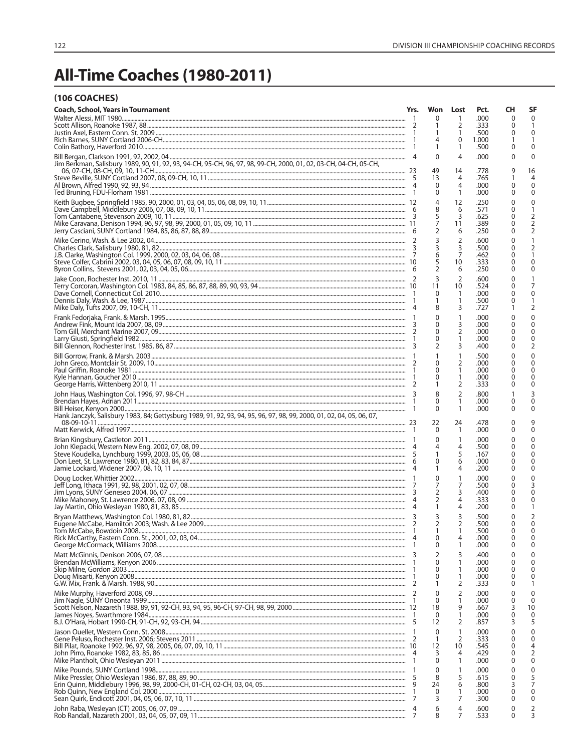# All-Time Coaches (1980-2011)

|  |  | <b>(106 COACHES)</b> |
|--|--|----------------------|
|--|--|----------------------|

| <b>Coach, School, Years in Tournament</b>                                                                            | Yrs. | Won<br>0          | Lost<br>1            | Pct.<br>.000  | CН<br>0                 | SF<br>0       |
|----------------------------------------------------------------------------------------------------------------------|------|-------------------|----------------------|---------------|-------------------------|---------------|
|                                                                                                                      |      | 1                 | 2                    | .333          |                         | -1            |
|                                                                                                                      |      | 1                 | 1                    | .500          |                         | 0             |
|                                                                                                                      |      | 4<br>1            | 0<br>1               | 1.000<br>.500 | 0                       | 0             |
|                                                                                                                      |      | $\Omega$          | 4                    | .000          | 0                       | 0             |
| Jim Berkman, Salisbury 1989, 90, 91, 92, 93, 94-CH, 95-CH, 96, 97, 98, 99-CH, 2000, 01, 02, 03-CH, 04-CH, 05-CH,     |      | 49                | 14                   | .778          |                         | 16            |
|                                                                                                                      |      | 13                | 4                    | .765          |                         | 4             |
|                                                                                                                      |      | 0                 | 4<br>1               | .000          | 0                       | 0             |
|                                                                                                                      |      | 0                 | 12                   | .000<br>.250  | 0                       | 0<br>0        |
|                                                                                                                      |      |                   | 6                    | .571          |                         | 1             |
|                                                                                                                      |      | 5                 | 3<br>11              | .625<br>.389  | 0                       | 2<br>2        |
|                                                                                                                      |      |                   | 6                    | .250          | 0                       | 2             |
|                                                                                                                      |      |                   | $\overline{2}$       | .600          | 0                       | 1             |
|                                                                                                                      |      |                   | 3<br>$\overline{7}$  | .500<br>.462  | 0<br>0                  | 2<br>1        |
|                                                                                                                      |      |                   | 10                   | .333          | O                       | $\Omega$      |
|                                                                                                                      |      |                   | 6                    | .250          | 0                       | 0             |
|                                                                                                                      |      | 3<br>11           | $\overline{2}$<br>10 | .600<br>.524  | 0                       | 7             |
|                                                                                                                      |      | 0                 | -1                   | .000          | 0                       | 0             |
|                                                                                                                      |      | 1                 | 1<br>3               | .500<br>.727  | 0                       | 1<br>2        |
|                                                                                                                      |      | $\Omega$          | 1                    | .000          | 0                       | $\mathbf 0$   |
|                                                                                                                      |      | 0                 | 3                    | .000          |                         | 0             |
|                                                                                                                      |      | 0<br>0            | $\overline{2}$<br>1  | .000<br>.000  | 0<br>0                  | 0<br>0        |
|                                                                                                                      |      | 2                 | 3                    | .400          | 0                       | 2             |
|                                                                                                                      |      |                   | 1                    | .500          |                         | 0             |
|                                                                                                                      |      | 0<br>0            | 2<br>1               | .000<br>.000  | 0<br>0                  | 0<br>0        |
|                                                                                                                      |      | 0                 | 1                    | .000          | 0                       | 0             |
|                                                                                                                      |      |                   | 2                    | .333          | 0                       | $\Omega$      |
|                                                                                                                      |      | 8<br>$\Omega$     | $\overline{2}$<br>1  | .800<br>.000  | 0                       | 3<br>0        |
|                                                                                                                      |      | 0                 | 1                    | .000          | 0                       | $\Omega$      |
| Hank Janczyk, Salisbury 1983, 84; Gettysburg 1989, 91, 92, 93, 94, 95, 96, 97, 98, 99, 2000, 01, 02, 04, 05, 06, 07, |      | 22                | 24                   | .478          | 0                       | 9             |
|                                                                                                                      |      | 0                 | $\mathbf{1}$         | .000          | 0                       | 0             |
|                                                                                                                      |      | 0                 | 1                    | .000          | 0                       | 0             |
|                                                                                                                      |      |                   | 4<br>5               | .500<br>.167  | 0<br>0                  | 0<br>$\Omega$ |
|                                                                                                                      |      | $\Omega$          | 6                    | .000          |                         | 0             |
|                                                                                                                      |      |                   | 4                    | .200          | 0                       | 0             |
|                                                                                                                      |      | $\Omega$<br>7     | 1<br>7               | .000<br>.500  | 0                       | 0<br>3        |
|                                                                                                                      |      |                   | 3                    | .400          | 0                       | 0             |
|                                                                                                                      |      | 1                 | $\overline{4}$<br>4  | .333<br>.200  | 0<br>0                  | 0<br>-1       |
|                                                                                                                      |      | 3                 | 3                    | .500          | $\Omega$                | 2             |
|                                                                                                                      |      |                   | 2                    | .500          | $\Omega$                | $\Omega$      |
|                                                                                                                      |      | 1<br>$\Omega$     | -1<br>4              | .500<br>.000  | $\mathbf 0$<br>$\Omega$ | $\Omega$<br>0 |
|                                                                                                                      |      | 0                 | 1                    | .000          | 0                       | 0             |
|                                                                                                                      |      | 2<br>0            | 3<br>1               | .400<br>.000  |                         | $\Omega$<br>0 |
|                                                                                                                      |      | 0                 | 1                    | .000          | 0                       | 0             |
|                                                                                                                      |      | 0                 | 1<br>2               | .000          | 0                       | 0<br>-1       |
|                                                                                                                      |      | 1<br>$\mathbf{0}$ | 2                    | .333<br>.000  | 0<br>0                  | $\Omega$      |
|                                                                                                                      |      | 0                 | $\mathbf{1}$         | .000          | 0                       | $\Omega$      |
|                                                                                                                      |      | 18<br>0           | 9<br>1               | .667<br>.000  | 0                       | 10<br>0       |
|                                                                                                                      |      | 12                | 2                    | .857          | 3                       | 5             |
|                                                                                                                      |      | $\mathbf 0$       | 1                    | .000          |                         | $\Omega$      |
|                                                                                                                      |      | 1<br>12           | 2<br>10              | .333<br>.545  | 0<br>0                  | 0<br>4        |
|                                                                                                                      |      | 3                 | 4                    | .429          | 0                       | 2             |
|                                                                                                                      |      | $\Omega$          | 1                    | .000          | 0                       | 0             |
|                                                                                                                      |      | 0<br>8            | 1<br>5               | .000<br>.615  | O<br>0                  | 0<br>5        |
|                                                                                                                      |      | 24                | 6                    | .800          |                         | 7             |
|                                                                                                                      |      | $\Omega$<br>3     | 1<br>7               | .000<br>.300  | $\Omega$<br>0           | 0<br>0        |
|                                                                                                                      | 4    | 6                 | 4                    | .600          | 0                       | 2             |
|                                                                                                                      | 7    | 8                 | 7                    | .533          | $\Omega$                | 3             |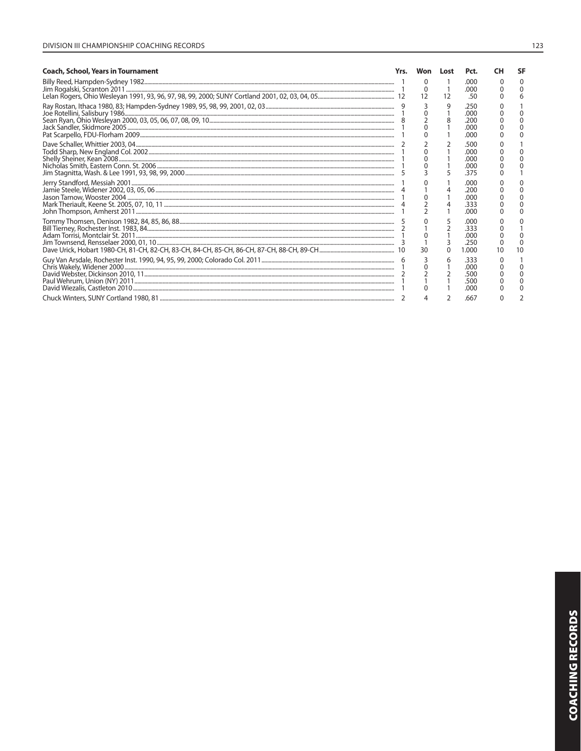| <b>Coach, School, Years in Tournament</b>                                                                                                                                                                                  | Won                              | Lost | Pct.                                  | sь |                           |   |                                        |   |                                     |   |  |  |                                      |  |
|----------------------------------------------------------------------------------------------------------------------------------------------------------------------------------------------------------------------------|----------------------------------|------|---------------------------------------|----|---------------------------|---|----------------------------------------|---|-------------------------------------|---|--|--|--------------------------------------|--|
|                                                                                                                                                                                                                            | 12                               | 12   | .000<br>.000<br>.50                   |    |                           |   |                                        |   |                                     |   |  |  |                                      |  |
|                                                                                                                                                                                                                            |                                  | 9    | .250<br>.000<br>.200<br>.000<br>.000  |    |                           |   |                                        |   |                                     |   |  |  |                                      |  |
| $\n\n\n Dave Schaller, Whittier 2003, 04\n2\n\n\n Todd Sharp, New England Col. 2002\n1\n\n\nShelly Sheiner, Kean 2008\n1\n\n\nNicholas Smith, Eastern Conn. St. 2006\n1\n\n\nJim Stagnitta, Washington: St. 2006\n2\n\n\n$ | Dave Schaller, Whittier 2003, 04 | 2    | Todd Sharp, New England Col. 2002     | 1  | Shelly Sheiner, Kean 2008 | 1 | Nicholas Smith, Eastern Conn. St. 2006 | 1 | Jim Stagnitta, Washington: St. 2006 | 2 |  |  | .500<br>.000<br>.000<br>.000<br>.375 |  |
| Dave Schaller, Whittier 2003, 04                                                                                                                                                                                           | 2                                |      |                                       |    |                           |   |                                        |   |                                     |   |  |  |                                      |  |
| Todd Sharp, New England Col. 2002                                                                                                                                                                                          | 1                                |      |                                       |    |                           |   |                                        |   |                                     |   |  |  |                                      |  |
| Shelly Sheiner, Kean 2008                                                                                                                                                                                                  | 1                                |      |                                       |    |                           |   |                                        |   |                                     |   |  |  |                                      |  |
| Nicholas Smith, Eastern Conn. St. 2006                                                                                                                                                                                     | 1                                |      |                                       |    |                           |   |                                        |   |                                     |   |  |  |                                      |  |
| Jim Stagnitta, Washington: St. 2006                                                                                                                                                                                        | 2                                |      |                                       |    |                           |   |                                        |   |                                     |   |  |  |                                      |  |
|                                                                                                                                                                                                                            |                                  |      | .റററ<br>.200<br>.000<br>.333<br>.000  |    |                           |   |                                        |   |                                     |   |  |  |                                      |  |
|                                                                                                                                                                                                                            | 30                               |      | .000<br>.333<br>.000<br>.250<br>1.000 |    |                           |   |                                        |   |                                     |   |  |  |                                      |  |
|                                                                                                                                                                                                                            |                                  |      | .333<br>.000<br>.500<br>.500<br>.000  |    |                           |   |                                        |   |                                     |   |  |  |                                      |  |
|                                                                                                                                                                                                                            |                                  |      | .667                                  |    |                           |   |                                        |   |                                     |   |  |  |                                      |  |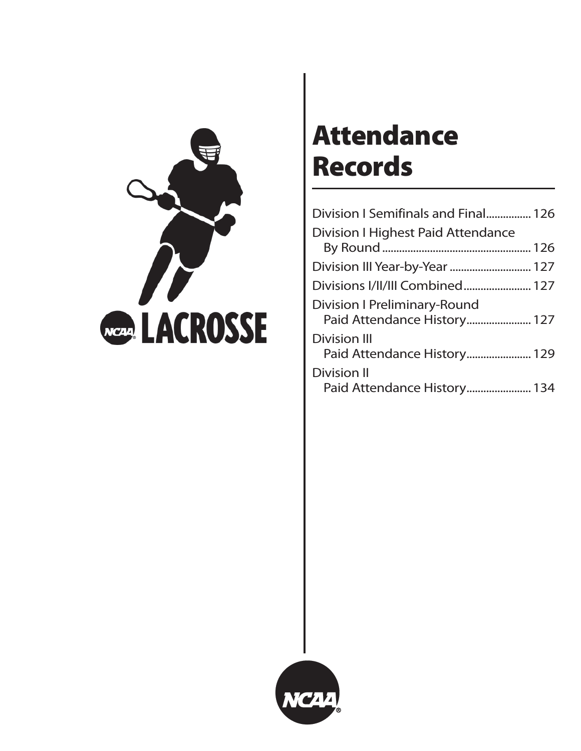

# **Attendance Records**

| Division I Semifinals and Final 126                                |  |
|--------------------------------------------------------------------|--|
| <b>Division I Highest Paid Attendance</b>                          |  |
|                                                                    |  |
| Division III Year-by-Year  127                                     |  |
| Divisions I/II/III Combined 127                                    |  |
| <b>Division I Preliminary-Round</b><br>Paid Attendance History 127 |  |
| <b>Division III</b><br>Paid Attendance History 129                 |  |
| <b>Division II</b><br>Paid Attendance History 134                  |  |

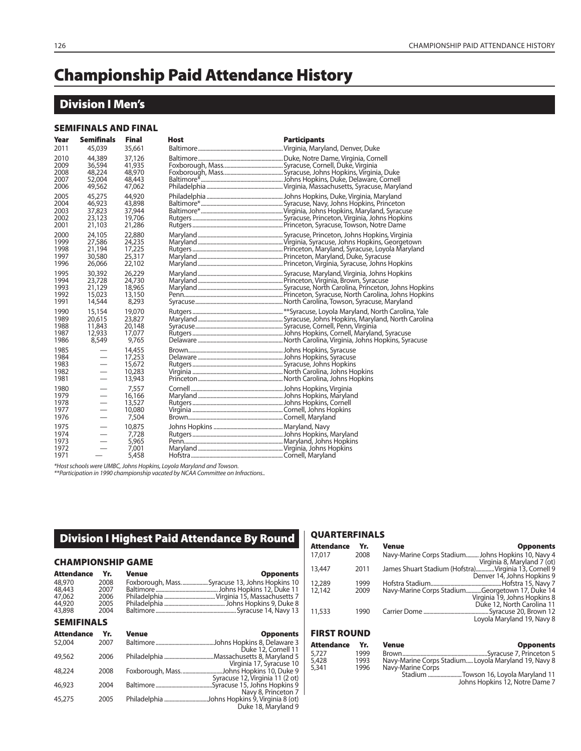## **Championship Paid Attendance History**

## **Division I Men's**

#### **SEMIFINALS AND FINAL**

| Year                                 | <b>Semifinals</b>                                            | Final                                          | <b>Host</b> | <b>Participants</b> |
|--------------------------------------|--------------------------------------------------------------|------------------------------------------------|-------------|---------------------|
| 2011                                 | 45,039                                                       | 35,661                                         |             |                     |
| 2010<br>2009<br>2008<br>2007<br>2006 | 44,389<br>36,594<br>48,224<br>52,004<br>49,562               | 37,126<br>41,935<br>48,970<br>48,443<br>47,062 |             |                     |
| 2005<br>2004<br>2003<br>2002<br>2001 | 45,275<br>46,923<br>37,823<br>23,123<br>21,103               | 44,920<br>43,898<br>37,944<br>19,706<br>21,286 |             |                     |
| 2000<br>1999<br>1998<br>1997<br>1996 | 24,105<br>27,586<br>21,194<br>30,580<br>26,066               | 22,880<br>24,235<br>17,225<br>25,317<br>22,102 |             |                     |
| 1995<br>1994<br>1993<br>1992<br>1991 | 30,392<br>23,728<br>21,129<br>15,023<br>14,544               | 26,229<br>24,730<br>18,965<br>13,150<br>8,293  |             |                     |
| 1990<br>1989<br>1988<br>1987<br>1986 | 15,154<br>20,615<br>11,843<br>12,933<br>8,549                | 19,070<br>23,827<br>20,148<br>17,077<br>9.765  |             |                     |
| 1985<br>1984<br>1983<br>1982<br>1981 | $\overbrace{\phantom{12322111}}$<br>$\overline{\phantom{0}}$ | 14,455<br>17,253<br>15,672<br>10,283<br>13,943 |             |                     |
| 1980<br>1979<br>1978<br>1977<br>1976 | $\overbrace{\phantom{12322111}}$<br>$\overline{\phantom{0}}$ | 7,557<br>16,166<br>13,527<br>10,080<br>7,504   |             |                     |
| 1975<br>1974<br>1973<br>1972<br>1971 | $\overbrace{\phantom{13333}}$                                | 10,875<br>7.728<br>5,965<br>7,001<br>5,458     |             |                     |

\*Host schools were UMBC, Johns Hopkins, Loyola Maryland and Towson.

\*\*Participation in 1990 championship vacated by NCAA Committee on Infractions..

### **Division I Highest Paid Attendance By Round**

#### **CHAMPIONSHIP GAME**

| Attendance Yr.    |      | Venue | <b>Opponents</b>                              |
|-------------------|------|-------|-----------------------------------------------|
| 48,970            | 2008 |       | Foxborough, MassSyracuse 13, Johns Hopkins 10 |
| 48,443            | 2007 |       |                                               |
| 47.062            | 2006 |       |                                               |
| 44,920            | 2005 |       |                                               |
| 43,898            | 2004 |       |                                               |
| <b>SEMIFINALS</b> |      |       |                                               |

| <b>Attendance</b> | Yr.  | <b>Venue</b> | <b>Opponents</b>                                                     |
|-------------------|------|--------------|----------------------------------------------------------------------|
| 52,004            | 2007 |              | .Johns Hopkins 8, Delaware 3<br>Duke 12, Cornell 11                  |
| 49,562            | 2006 |              |                                                                      |
| 48,224            | 2008 |              | Virginia 17, Syracuse 10<br>Foxborough, MassJohns Hopkins 10, Duke 9 |
|                   |      |              | Syracuse 12, Virginia 11 (2 ot)                                      |
| 46,923            | 2004 |              | Syracuse 15, Johns Hopkins 9<br>Navy 8, Princeton 7                  |
| 45,275            | 2005 |              | Philadelphia Johns Hopkins 9, Virginia 8 (ot)<br>Duke 18, Maryland 9 |

#### **QUARTERFINALS**

5,727<br>5,428<br>5,341

| Attendance         | Yr.  | Venue<br><b>Opponents</b>                                                           |
|--------------------|------|-------------------------------------------------------------------------------------|
| 17,017             | 2008 | Navy-Marine Corps Stadium Johns Hopkins 10, Navy 4                                  |
| 13,447             | 2011 | Virginia 8, Maryland 7 (ot)<br>James Shuart Stadium (Hofstra)Virginia 13, Cornell 9 |
| 12,289             | 1999 | Denver 14, Johns Hopkins 9                                                          |
| 12,142             | 2009 | Navy-Marine Corps StadiumGeorgetown 17, Duke 14<br>Virginia 19, Johns Hopkins 8     |
| 11,533             | 1990 | Duke 12, North Carolina 11                                                          |
|                    |      | Lovola Maryland 19, Navy 8                                                          |
| <b>FIRST ROUND</b> |      |                                                                                     |

| Attendance | Yr.  | <b>Venue</b><br><b>Opponents</b>                     |
|------------|------|------------------------------------------------------|
| 5.727      | 1999 |                                                      |
| 5,428      | 1993 | Navy-Marine Corps Stadium Loyola Maryland 19, Navy 8 |
| 5,341      | 1996 | Navy-Marine Corps                                    |
|            |      | Stadium Towson 16, Loyola Maryland 11                |
|            |      | Johns Hopkins 12, Notre Dame 7                       |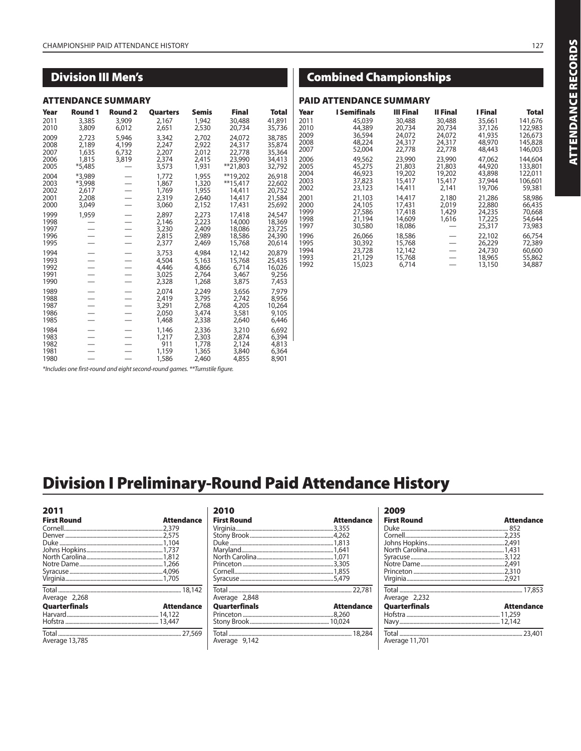## **Division III Men's**

#### **ATTENDANCE SUMMARY**

| Year                                 | <b>Round 1</b>                              | <b>Round 2</b>                   | Quarters                                  | <b>Semis</b>                              | <b>Final</b>                                         | Total                                          |
|--------------------------------------|---------------------------------------------|----------------------------------|-------------------------------------------|-------------------------------------------|------------------------------------------------------|------------------------------------------------|
| 2011<br>2010                         | 3,385<br>3,809                              | 3,909<br>6,012                   | 2,167<br>2,651                            | 1,942<br>2,530                            | 30,488<br>20,734                                     | 41,891<br>35,736                               |
| 2009<br>2008<br>2007<br>2006<br>2005 | 2,723<br>2,189<br>1,635<br>1,815<br>*5,485  | 5,946<br>4,199<br>6.732<br>3,819 | 3,342<br>2,247<br>2,207<br>2,374<br>3,573 | 2,702<br>2,922<br>2,012<br>2,415<br>1,931 | 24,072<br>24,317<br>22,778<br>23,990<br>$*$ 21,803   | 38,785<br>35,874<br>35,364<br>34,413<br>32,792 |
| 2004<br>2003<br>2002<br>2001<br>2000 | *3,989<br>*3,998<br>2,617<br>2,208<br>3,049 |                                  | 1,772<br>1,867<br>1,769<br>2,319<br>3,060 | 1,955<br>1,320<br>1,955<br>2,640<br>2,152 | **19,202<br>$**15,417$<br>14,411<br>14,417<br>17,431 | 26,918<br>22,602<br>20,752<br>21,584<br>25,692 |
| 1999<br>1998<br>1997<br>1996<br>1995 | 1,959                                       |                                  | 2,897<br>2,146<br>3,230<br>2,815<br>2,377 | 2,273<br>2,223<br>2,409<br>2,989<br>2,469 | 17,418<br>14,000<br>18,086<br>18,586<br>15,768       | 24,547<br>18,369<br>23,725<br>24,390<br>20,614 |
| 1994<br>1993<br>1992<br>1991<br>1990 |                                             |                                  | 3,753<br>4,504<br>4,446<br>3,025<br>2,328 | 4,984<br>5,163<br>4,866<br>2,764<br>1,268 | 12,142<br>15,768<br>6,714<br>3,467<br>3,875          | 20,879<br>25,435<br>16,026<br>9,256<br>7,453   |
| 1989<br>1988<br>1987<br>1986<br>1985 |                                             |                                  | 2,074<br>2,419<br>3,291<br>2,050<br>1,468 | 2,249<br>3,795<br>2,768<br>3,474<br>2,338 | 3,656<br>2,742<br>4,205<br>3,581<br>2,640            | 7,979<br>8,956<br>10,264<br>9,105<br>6,446     |
| 1984<br>1983<br>1982<br>1981<br>1980 |                                             |                                  | 1,146<br>1,217<br>911<br>1,159<br>1,586   | 2,336<br>2,303<br>1,778<br>1,365<br>2,460 | 3,210<br>2,874<br>2,124<br>3,840<br>4,855            | 6,692<br>6,394<br>4,813<br>6,364<br>8,901      |

\*Includes one first-round and eight second-round games. \*\*Turnstile figure.

## **Combined Championships**

#### **PAID ATTENDANCE SUMMARY**

| Year                                 | I Semifinals                                   | III Final                                      | II Final                         | I Final                                        | Total                                          |
|--------------------------------------|------------------------------------------------|------------------------------------------------|----------------------------------|------------------------------------------------|------------------------------------------------|
| 2011                                 | 45,039                                         | 30,488                                         | 30,488                           | 35,661                                         | 141.676                                        |
| 2010                                 | 44,389                                         | 20.734                                         | 20.734                           | 37,126                                         | 122,983                                        |
| 2009                                 | 36,594                                         | 24,072                                         | 24,072                           | 41,935                                         | 126.673                                        |
| 2008                                 | 48,224                                         | 24,317                                         | 24,317                           | 48,970                                         | 145,828                                        |
| 2007                                 | 52,004                                         | 22,778                                         | 22,778                           | 48,443                                         | 146,003                                        |
| 2006                                 | 49,562                                         | 23,990                                         | 23,990                           | 47,062                                         | 144,604                                        |
| 2005                                 | 45,275                                         | 21,803                                         | 21,803                           | 44,920                                         | 133,801                                        |
| 2004                                 | 46,923                                         | 19,202                                         | 19,202                           | 43,898                                         | 122,011                                        |
| 2003                                 | 37,823                                         | 15,417                                         | 15,417                           | 37,944                                         | 106,601                                        |
| 2002                                 | 23,123                                         | 14.411                                         | 2,141                            | 19,706                                         | 59,381                                         |
| 2001<br>2000<br>1999<br>1998<br>1997 | 21,103<br>24,105<br>27,586<br>21,194<br>30,580 | 14,417<br>17.431<br>17,418<br>14,609<br>18,086 | 2,180<br>2,019<br>1,429<br>1,616 | 21,286<br>22,880<br>24,235<br>17,225<br>25,317 | 58,986<br>66,435<br>70,668<br>54,644<br>73,983 |
| 1996                                 | 26.066                                         | 18,586                                         |                                  | 22,102                                         | 66,754                                         |
| 1995                                 | 30,392                                         | 15,768                                         |                                  | 26,229                                         | 72,389                                         |
| 1994                                 | 23,728                                         | 12,142                                         |                                  | 24,730                                         | 60,600                                         |
| 1993                                 | 21,129                                         | 15,768                                         |                                  | 18,965                                         | 55,862                                         |
| 1992                                 | 15,023                                         | 6,714                                          |                                  | 13,150                                         | 34,887                                         |
|                                      |                                                |                                                |                                  |                                                |                                                |

**Division I Preliminary-Round Paid Attendance History**

| 2011                 |                   |
|----------------------|-------------------|
| <b>First Round</b>   | <b>Attendance</b> |
|                      |                   |
|                      |                   |
|                      |                   |
| Average 2,268        |                   |
| <b>Quarterfinals</b> | <b>Attendance</b> |
|                      |                   |
| Average 13,785       |                   |

| 2010<br><b>First Round</b>            | Attendance        |
|---------------------------------------|-------------------|
| Average 2,848<br><b>Quarterfinals</b> | <b>Attendance</b> |
|                                       |                   |
| Average 9,142                         |                   |

| 2009                 |                   |
|----------------------|-------------------|
| <b>First Round</b>   | <b>Attendance</b> |
|                      |                   |
|                      |                   |
|                      |                   |
|                      |                   |
|                      |                   |
|                      |                   |
|                      |                   |
|                      |                   |
|                      |                   |
| Average 2,232        |                   |
| <b>Quarterfinals</b> | Attendance        |
|                      |                   |
|                      |                   |
| Average 11,701       |                   |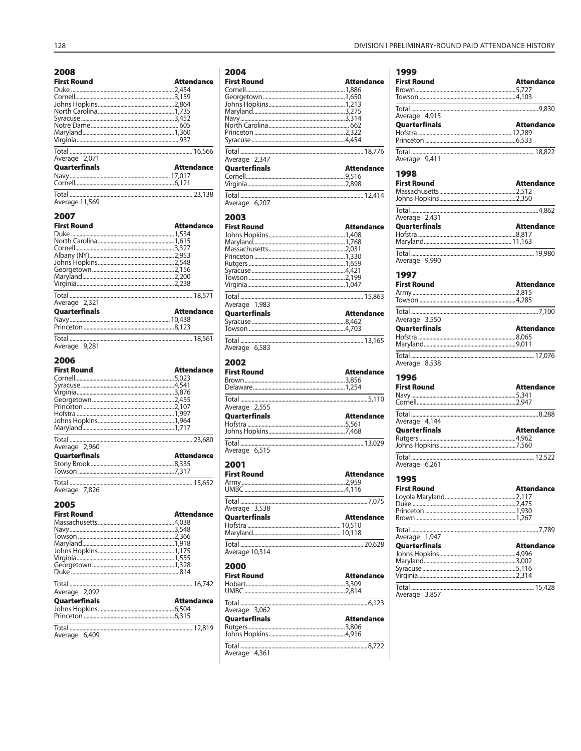| Average 11,569<br>2007<br><b>First Round</b><br><b>Attendance</b><br>Average 2,321<br><b>Attendance</b><br>Quarterfinals<br>Average 9,281<br>2006<br><b>First Round</b><br><b>Attendance</b><br>Average 2,960<br><b>Attendance</b><br>Quarterfinals<br>Average 7,826<br>2005<br><b>First Round</b><br><b>Attendance</b><br>Average 2,092<br><b>Attendance</b><br>Quarterfinals<br>Total | 2008<br><b>First Round</b><br>Average 2,071<br>Quarterfinals | Attendance<br>Attendance |
|-----------------------------------------------------------------------------------------------------------------------------------------------------------------------------------------------------------------------------------------------------------------------------------------------------------------------------------------------------------------------------------------|--------------------------------------------------------------|--------------------------|
|                                                                                                                                                                                                                                                                                                                                                                                         |                                                              |                          |
|                                                                                                                                                                                                                                                                                                                                                                                         |                                                              |                          |
|                                                                                                                                                                                                                                                                                                                                                                                         |                                                              |                          |
|                                                                                                                                                                                                                                                                                                                                                                                         |                                                              |                          |
|                                                                                                                                                                                                                                                                                                                                                                                         |                                                              |                          |
|                                                                                                                                                                                                                                                                                                                                                                                         |                                                              |                          |
|                                                                                                                                                                                                                                                                                                                                                                                         |                                                              |                          |
|                                                                                                                                                                                                                                                                                                                                                                                         |                                                              |                          |
|                                                                                                                                                                                                                                                                                                                                                                                         |                                                              |                          |
|                                                                                                                                                                                                                                                                                                                                                                                         |                                                              |                          |
|                                                                                                                                                                                                                                                                                                                                                                                         |                                                              |                          |
|                                                                                                                                                                                                                                                                                                                                                                                         |                                                              |                          |
| Average 6,409                                                                                                                                                                                                                                                                                                                                                                           |                                                              |                          |

| <b>First Round</b>                                                                                                                                                                                            | <b>Attendance</b> |
|---------------------------------------------------------------------------------------------------------------------------------------------------------------------------------------------------------------|-------------------|
|                                                                                                                                                                                                               |                   |
|                                                                                                                                                                                                               |                   |
|                                                                                                                                                                                                               |                   |
|                                                                                                                                                                                                               |                   |
|                                                                                                                                                                                                               |                   |
|                                                                                                                                                                                                               |                   |
|                                                                                                                                                                                                               |                   |
|                                                                                                                                                                                                               |                   |
|                                                                                                                                                                                                               |                   |
|                                                                                                                                                                                                               |                   |
| Average 2,347                                                                                                                                                                                                 |                   |
|                                                                                                                                                                                                               |                   |
| <b>Quarterfinals</b>                                                                                                                                                                                          | <b>Attendance</b> |
|                                                                                                                                                                                                               |                   |
|                                                                                                                                                                                                               |                   |
|                                                                                                                                                                                                               |                   |
| Average 6,207                                                                                                                                                                                                 |                   |
| 2003                                                                                                                                                                                                          |                   |
| <b>First Round</b>                                                                                                                                                                                            | <b>Attendance</b> |
|                                                                                                                                                                                                               |                   |
|                                                                                                                                                                                                               |                   |
|                                                                                                                                                                                                               |                   |
|                                                                                                                                                                                                               |                   |
|                                                                                                                                                                                                               |                   |
|                                                                                                                                                                                                               |                   |
|                                                                                                                                                                                                               |                   |
|                                                                                                                                                                                                               |                   |
|                                                                                                                                                                                                               |                   |
|                                                                                                                                                                                                               |                   |
|                                                                                                                                                                                                               |                   |
| Average 1,983                                                                                                                                                                                                 |                   |
| Quarterfinals                                                                                                                                                                                                 | <b>Attendance</b> |
|                                                                                                                                                                                                               |                   |
|                                                                                                                                                                                                               |                   |
|                                                                                                                                                                                                               |                   |
|                                                                                                                                                                                                               |                   |
| Average 6,583                                                                                                                                                                                                 |                   |
|                                                                                                                                                                                                               |                   |
|                                                                                                                                                                                                               |                   |
|                                                                                                                                                                                                               |                   |
|                                                                                                                                                                                                               | <b>Attendance</b> |
|                                                                                                                                                                                                               |                   |
|                                                                                                                                                                                                               |                   |
|                                                                                                                                                                                                               |                   |
|                                                                                                                                                                                                               |                   |
|                                                                                                                                                                                                               |                   |
|                                                                                                                                                                                                               | <b>Attendance</b> |
|                                                                                                                                                                                                               |                   |
|                                                                                                                                                                                                               |                   |
|                                                                                                                                                                                                               |                   |
|                                                                                                                                                                                                               |                   |
|                                                                                                                                                                                                               |                   |
|                                                                                                                                                                                                               |                   |
|                                                                                                                                                                                                               |                   |
|                                                                                                                                                                                                               | <b>Attendance</b> |
|                                                                                                                                                                                                               |                   |
|                                                                                                                                                                                                               |                   |
|                                                                                                                                                                                                               |                   |
|                                                                                                                                                                                                               |                   |
|                                                                                                                                                                                                               |                   |
|                                                                                                                                                                                                               | <b>Attendance</b> |
|                                                                                                                                                                                                               |                   |
|                                                                                                                                                                                                               |                   |
|                                                                                                                                                                                                               |                   |
|                                                                                                                                                                                                               |                   |
|                                                                                                                                                                                                               |                   |
|                                                                                                                                                                                                               |                   |
|                                                                                                                                                                                                               |                   |
|                                                                                                                                                                                                               |                   |
|                                                                                                                                                                                                               | <b>Attendance</b> |
|                                                                                                                                                                                                               |                   |
|                                                                                                                                                                                                               |                   |
| 2002<br><b>First Round</b><br>Average 2,555<br><b>Quarterfinals</b><br>Average 6,515<br>2001<br><b>First Round</b><br>Total<br>Average 3,538<br>Quarterfinals<br>Average 10,314<br>2000<br><b>First Round</b> |                   |
|                                                                                                                                                                                                               |                   |
|                                                                                                                                                                                                               |                   |
| Average 3,062<br>Quarterfinals                                                                                                                                                                                | <b>Attendance</b> |
|                                                                                                                                                                                                               |                   |
|                                                                                                                                                                                                               |                   |
|                                                                                                                                                                                                               |                   |

| 1999                   |                   |
|------------------------|-------------------|
| <b>First Round</b>     | <b>Attendance</b> |
|                        |                   |
|                        |                   |
| Average 4,915          |                   |
| <b>Quarterfinals</b>   | <b>Attendance</b> |
|                        |                   |
|                        |                   |
| Average 9,411          |                   |
|                        |                   |
| 1998                   | <b>Attendance</b> |
| <b>First Round</b>     |                   |
|                        |                   |
|                        |                   |
| Average 2,431          |                   |
| Quarterfinals          | <b>Attendance</b> |
|                        |                   |
|                        |                   |
| Average 9,990          |                   |
| 1997                   |                   |
| <b>First Round</b>     | <b>Attendance</b> |
|                        |                   |
|                        |                   |
| Average 3,550          |                   |
| Quarterfinals          | <b>Attendance</b> |
|                        |                   |
|                        |                   |
| Total<br>Average 8,538 |                   |
|                        |                   |
| 1996                   |                   |
| <b>First Round</b>     | <b>Attendance</b> |
|                        |                   |
|                        |                   |
| Average 4,144          |                   |
| Quarterfinals          | <b>Attendance</b> |
|                        |                   |
|                        |                   |
| Average 6,261          |                   |
| 1995                   |                   |
| <b>First Round</b>     | <b>Attendance</b> |
|                        |                   |
|                        |                   |
|                        |                   |
|                        |                   |
| 1,947<br>Average       |                   |
| Quarterfinals          | Attendance        |
|                        |                   |
|                        |                   |
|                        |                   |
| Average 3,857          |                   |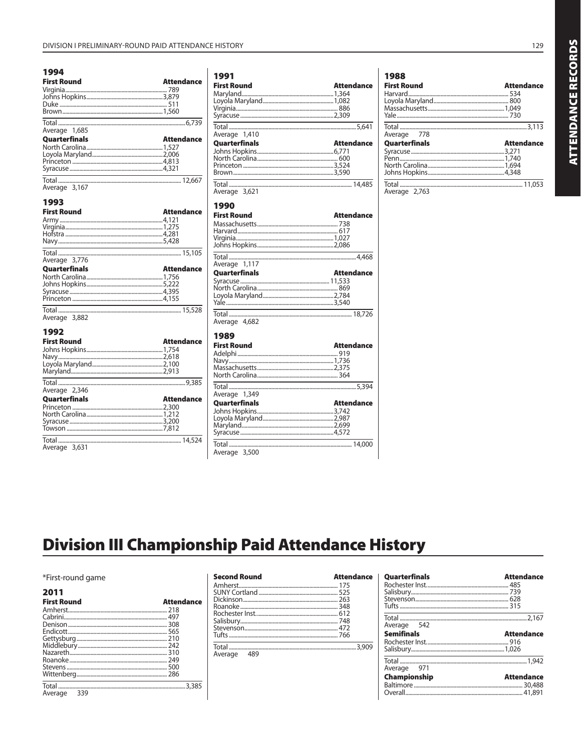| 1994<br><b>First Round</b> | <b>Attendance</b> |
|----------------------------|-------------------|
| Average 1,685              |                   |
| <b>Quarterfinals</b>       | <b>Attendance</b> |
| Average 3,167              |                   |
| 1993<br><b>First Round</b> | <b>Attendance</b> |
| Average 3,776              |                   |
| <b>Quarterfinals</b>       | <b>Attendance</b> |
| Total<br>Average 3,882     |                   |
| 1992<br><b>First Round</b> | <b>Attendance</b> |

| Average 2,346        |                   |
|----------------------|-------------------|
| <b>Quarterfinals</b> | <b>Attendance</b> |
|                      |                   |
|                      |                   |
|                      |                   |
|                      |                   |
|                      |                   |
| Average 3,631        |                   |

| <b>First Round</b>                               |                   |
|--------------------------------------------------|-------------------|
|                                                  | <b>Attendance</b> |
|                                                  |                   |
|                                                  |                   |
|                                                  |                   |
|                                                  |                   |
| Total<br>1,410<br>Average                        |                   |
| Quarterfinals                                    | <b>Attendance</b> |
|                                                  |                   |
|                                                  |                   |
|                                                  |                   |
|                                                  |                   |
| Total<br>Average 3,621                           |                   |
| 1990                                             |                   |
| <b>First Round</b>                               | <b>Attendance</b> |
|                                                  |                   |
|                                                  |                   |
|                                                  |                   |
|                                                  |                   |
| Total                                            |                   |
| Average 1,117                                    |                   |
| Quarterfinals                                    | <b>Attendance</b> |
|                                                  |                   |
|                                                  |                   |
|                                                  |                   |
|                                                  |                   |
|                                                  |                   |
|                                                  |                   |
|                                                  |                   |
|                                                  | <b>Attendance</b> |
|                                                  |                   |
|                                                  |                   |
|                                                  |                   |
|                                                  |                   |
|                                                  |                   |
|                                                  |                   |
|                                                  | <b>Attendance</b> |
|                                                  |                   |
|                                                  |                   |
|                                                  |                   |
|                                                  |                   |
| Total<br>Average 1,349<br>Quarterfinals<br>Total |                   |
| Average 4,682<br>1989<br><b>First Round</b>      |                   |

| 1988<br><b>First Round</b>          | <b>Attendance</b> |
|-------------------------------------|-------------------|
| Average 778<br><b>Quarterfinals</b> | <b>Attendance</b> |
| Average 2,763                       |                   |

# **Division III Championship Paid Attendance History**

\*First-round game

| 2011               |                   |
|--------------------|-------------------|
| <b>First Round</b> | <b>Attendance</b> |
|                    |                   |
|                    |                   |
|                    |                   |
|                    |                   |
|                    |                   |
|                    |                   |
|                    |                   |
|                    |                   |
|                    |                   |
|                    |                   |
|                    |                   |
| Average 339        |                   |

| <b>Second Round</b> | <b>Attendance</b> |
|---------------------|-------------------|
|                     |                   |
|                     |                   |
|                     |                   |
|                     |                   |
|                     |                   |
|                     |                   |
|                     |                   |
|                     |                   |
|                     |                   |
| 489<br>Average      |                   |

| <b>Quarterfinals</b> | <b>Attendance</b> |
|----------------------|-------------------|
|                      |                   |
|                      |                   |
|                      |                   |
|                      |                   |
|                      |                   |
| Average 542          |                   |
| <b>Semifinals</b>    | <b>Attendance</b> |
|                      |                   |
|                      |                   |
|                      |                   |
| Average 971          |                   |
| Championship         | <b>Attendance</b> |
|                      |                   |
|                      |                   |
|                      |                   |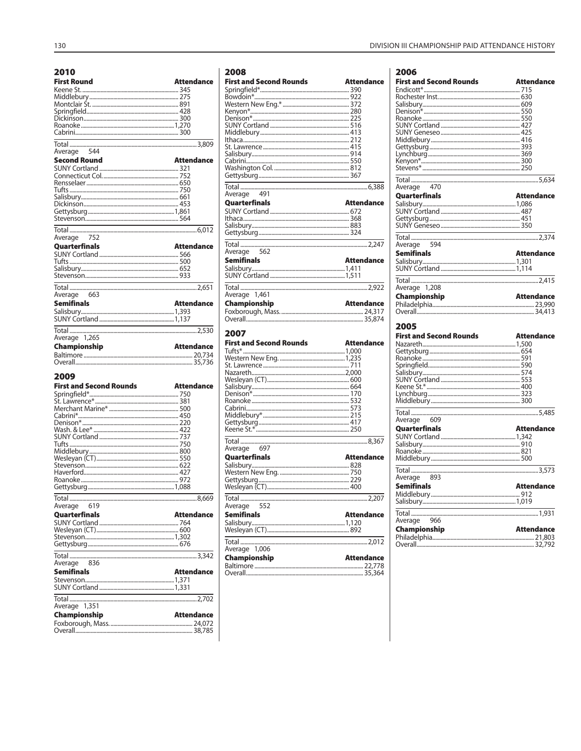| <b>First Round</b>   | <b>Attendance</b> |
|----------------------|-------------------|
|                      |                   |
|                      |                   |
|                      |                   |
|                      |                   |
|                      |                   |
|                      |                   |
|                      |                   |
|                      |                   |
| 544<br>Average       |                   |
| <b>Second Round</b>  | <b>Attendance</b> |
|                      |                   |
|                      |                   |
|                      |                   |
|                      |                   |
|                      |                   |
|                      |                   |
|                      |                   |
|                      |                   |
| Average 752          |                   |
| <b>Ouarterfinals</b> | <b>Attendance</b> |
|                      |                   |
|                      |                   |
|                      |                   |
|                      |                   |
|                      |                   |
|                      |                   |
| 663<br>Average       |                   |
| <b>Semifinals</b>    | <b>Attendance</b> |
|                      |                   |
|                      |                   |
|                      |                   |
|                      |                   |
| Average 1,265        | <b>Attendance</b> |
| <b>Championship</b>  |                   |
|                      |                   |
| 2009                 |                   |

| <b>First and Second Rounds</b>       | <b>Attendance</b> |
|--------------------------------------|-------------------|
|                                      |                   |
|                                      |                   |
|                                      |                   |
|                                      |                   |
|                                      |                   |
|                                      |                   |
|                                      |                   |
|                                      |                   |
|                                      |                   |
|                                      |                   |
|                                      |                   |
|                                      |                   |
|                                      |                   |
|                                      |                   |
| Average 619                          |                   |
|                                      |                   |
| <b>Quarterfinals</b>                 | <b>Attendance</b> |
|                                      |                   |
|                                      |                   |
|                                      |                   |
|                                      |                   |
|                                      |                   |
| Average 836                          |                   |
| <b>Semifinals</b>                    | <b>Attendance</b> |
|                                      |                   |
|                                      |                   |
|                                      |                   |
|                                      |                   |
| Average 1,351<br><b>Championship</b> | <b>Attendance</b> |
|                                      |                   |

| 2008                           |                   |
|--------------------------------|-------------------|
| <b>First and Second Rounds</b> | <b>Attendance</b> |
|                                |                   |
|                                |                   |
|                                |                   |
|                                |                   |
|                                |                   |
|                                |                   |
|                                |                   |
|                                |                   |
|                                |                   |
|                                |                   |
|                                |                   |
|                                |                   |
| Average 491                    |                   |
| <b>Quarterfinals</b>           | <b>Attendance</b> |
|                                |                   |
|                                |                   |
|                                |                   |
|                                |                   |
|                                |                   |
| Average 562                    |                   |
| <b>Semifinals</b>              | <b>Attendance</b> |
|                                |                   |
|                                |                   |
|                                |                   |
| Average 1,461                  |                   |
| Championship                   | <b>Attendance</b> |
|                                |                   |
|                                |                   |
| 2007                           |                   |
| <b>First and Second Rounds</b> | <b>Attendance</b> |
|                                |                   |
|                                |                   |
|                                |                   |
|                                |                   |
|                                |                   |
| Salishim 664                   |                   |

| 2007                           |                   |               |
|--------------------------------|-------------------|---------------|
| <b>First and Second Rounds</b> | <b>Attendance</b> | Ν             |
|                                |                   |               |
|                                |                   |               |
|                                |                   | $5 - 10$      |
|                                |                   |               |
|                                |                   |               |
|                                |                   |               |
|                                |                   |               |
|                                |                   |               |
|                                |                   | ī             |
|                                |                   |               |
|                                |                   | l             |
|                                |                   |               |
|                                |                   |               |
| Average 697                    |                   | c<br>F<br>F   |
| <b>Quarterfinals</b>           | <b>Attendance</b> | N             |
|                                |                   |               |
|                                |                   | ī             |
|                                |                   | l             |
|                                |                   |               |
|                                |                   | ľ             |
|                                |                   |               |
| Average 552                    |                   | $\frac{3}{1}$ |
| <b>Semifinals</b>              | <b>Attendance</b> |               |
|                                |                   | l             |
|                                |                   | Ć             |
|                                |                   |               |
|                                |                   | F             |
|                                |                   | $\epsilon$    |
| Average 1,006                  |                   |               |
| Championship                   | <b>Attendance</b> |               |
|                                |                   |               |
|                                |                   |               |

DIVISION III CHAMPIONSHIP PAID ATTENDANCE HISTORY

| 2006                                |                   |
|-------------------------------------|-------------------|
| <b>First and Second Rounds</b>      | Attendance        |
| Endicott*………………………………………………………… 715 |                   |
|                                     |                   |
|                                     |                   |
|                                     |                   |
|                                     |                   |
|                                     |                   |
|                                     |                   |
|                                     |                   |
|                                     |                   |
|                                     |                   |
|                                     |                   |
| Average 470                         |                   |
| Quarterfinals                       | <b>Attendance</b> |
|                                     |                   |
|                                     |                   |
|                                     |                   |
|                                     |                   |
|                                     |                   |
| Average 594                         |                   |
| Semifinals                          | <b>Attendance</b> |
|                                     |                   |
|                                     |                   |
| <b>Total</b><br>Average 1,208       |                   |
| Championship                        | <b>Attendance</b> |
|                                     |                   |
|                                     |                   |
|                                     |                   |
| 2005                                |                   |
| <b>First and Second Rounds</b>      | Attendance        |
|                                     |                   |
|                                     |                   |
|                                     |                   |
|                                     |                   |
|                                     |                   |
|                                     |                   |
|                                     |                   |
|                                     |                   |
|                                     |                   |
|                                     |                   |
| Average 609                         |                   |
| Quarterfinals                       | <b>Attendance</b> |
|                                     |                   |
|                                     |                   |
|                                     |                   |
|                                     |                   |
| Total                               |                   |
| Average 893                         |                   |
| Semifinals                          | <b>Attendance</b> |
|                                     |                   |
|                                     |                   |
|                                     |                   |
| Average 966                         | <b>Attendance</b> |
| Championship                        |                   |
|                                     |                   |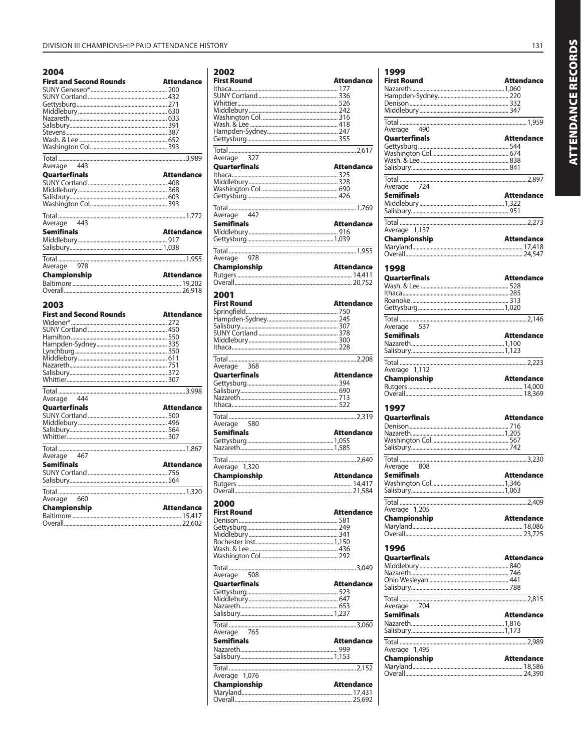#### 2004

| <b>First and Second Rounds</b> | <b>Attendance</b> |
|--------------------------------|-------------------|
|                                |                   |
|                                |                   |
|                                |                   |
|                                |                   |
|                                |                   |
|                                |                   |
|                                |                   |
|                                |                   |
|                                |                   |
|                                |                   |
|                                |                   |
|                                |                   |
|                                |                   |
|                                |                   |
|                                |                   |
| Average 443                    |                   |
| Quarterfinals                  | <b>Attendance</b> |
|                                |                   |
|                                |                   |
|                                |                   |
|                                |                   |
|                                |                   |
|                                |                   |
|                                |                   |
| Total                          |                   |
| Average 443                    |                   |
|                                |                   |
| <b>Semifinals</b>              | <b>Attendance</b> |
|                                |                   |
|                                |                   |
|                                |                   |
|                                |                   |
|                                |                   |
| Average 978                    |                   |
|                                |                   |
| Championship                   | Attendance        |
|                                |                   |
|                                |                   |
|                                |                   |
|                                |                   |
|                                |                   |
|                                |                   |
| 2003                           |                   |
|                                |                   |
| <b>First and Second Rounds</b> | <b>Attendance</b> |
|                                |                   |
|                                |                   |
|                                |                   |
|                                |                   |
|                                |                   |
|                                |                   |
|                                |                   |
|                                |                   |
|                                |                   |
|                                |                   |
|                                |                   |
|                                |                   |
|                                |                   |
|                                |                   |
|                                |                   |
| Average 444                    |                   |
| Quarterfinals                  | <b>Attendance</b> |
|                                |                   |
|                                |                   |
|                                |                   |
|                                |                   |
|                                |                   |
|                                |                   |
|                                |                   |
|                                |                   |
|                                |                   |
|                                |                   |
| <b>Semifinals</b>              | <b>Attendance</b> |
|                                |                   |
|                                |                   |
|                                |                   |
|                                |                   |
|                                |                   |
| Average 660                    |                   |
|                                |                   |
| <b>Championship</b>            | <b>Attendance</b> |
|                                |                   |

| 2002                 | <b>Attendance</b> |
|----------------------|-------------------|
| <b>First Round</b>   |                   |
|                      |                   |
|                      |                   |
|                      |                   |
|                      |                   |
|                      |                   |
|                      |                   |
|                      |                   |
|                      |                   |
| 327<br>Average       |                   |
| Quarterfinals        | <b>Attendance</b> |
|                      |                   |
|                      |                   |
|                      |                   |
|                      |                   |
|                      |                   |
| 442<br>Average       |                   |
| Semifinals           | <b>Attendance</b> |
|                      |                   |
|                      |                   |
|                      |                   |
| 978<br>Average       |                   |
| Championship         | <b>Attendance</b> |
|                      |                   |
|                      |                   |
|                      |                   |
| 2001                 |                   |
| <b>First Round</b>   | Attendance        |
|                      |                   |
|                      |                   |
|                      |                   |
|                      |                   |
|                      |                   |
|                      |                   |
| Average<br>368       |                   |
| Quarterfinals        | <b>Attendance</b> |
|                      |                   |
|                      |                   |
|                      |                   |
|                      |                   |
|                      |                   |
| Total<br>Average 580 |                   |
| <b>Semifinals</b>    | <b>Attendance</b> |
|                      |                   |
|                      |                   |
|                      |                   |
| Average 1,320        |                   |
| <b>Championship</b>  | <b>Attendance</b> |
|                      |                   |
|                      |                   |
|                      |                   |
|                      |                   |
| 2000                 |                   |
| <b>First Round</b>   | <b>Attendance</b> |
|                      |                   |
|                      |                   |
|                      |                   |
|                      |                   |
|                      |                   |
|                      |                   |
| 508<br>Average       |                   |
| Quarterfinals        | <b>Attendance</b> |
|                      |                   |
|                      |                   |
|                      |                   |
|                      |                   |
| Total                |                   |
| 765<br>Average       |                   |
| <b>Semifinals</b>    | <b>Attendance</b> |
|                      |                   |
|                      |                   |
|                      |                   |
| Average 1,076        |                   |
| Championship         | <b>Attendance</b> |
|                      |                   |

| 1999<br>First Round   | <b>Attendance</b> |
|-----------------------|-------------------|
|                       |                   |
|                       |                   |
|                       |                   |
|                       |                   |
| Average 490           |                   |
| Quarterfinals         | <b>Attendance</b> |
|                       |                   |
|                       |                   |
|                       |                   |
| 724<br>Average        |                   |
| Semifinals            | <b>Attendance</b> |
|                       |                   |
|                       |                   |
|                       |                   |
| Average 1,137         |                   |
| Championship          | Attendance        |
|                       |                   |
|                       |                   |
| 1998                  |                   |
| <b>Quarterfinals</b>  | <b>Attendance</b> |
|                       |                   |
|                       |                   |
|                       |                   |
| 537<br>Average        |                   |
| <b>Semifinals</b>     | <b>Attendance</b> |
|                       |                   |
|                       |                   |
|                       |                   |
| Average 1,112         |                   |
|                       |                   |
| Championship          | Attendance        |
|                       |                   |
|                       |                   |
| 1997<br>Quarterfinals | <b>Attendance</b> |
|                       |                   |
|                       |                   |
|                       |                   |
|                       |                   |
| Average 808           |                   |
| <b>Semifinals</b>     | <b>Attendance</b> |
|                       |                   |
|                       |                   |
| Average               |                   |
| 1,205<br>Championship | <b>Attendance</b> |
|                       |                   |
|                       |                   |
| 1996                  |                   |
| Quarterfinals         | <b>Attendance</b> |
|                       |                   |
|                       |                   |
|                       |                   |
|                       |                   |
| 704<br>Average        |                   |
| <b>Semifinals</b>     | <b>Attendance</b> |
|                       |                   |
|                       |                   |
| Average 1,495         |                   |
| Championship          | <b>Attendance</b> |
|                       |                   |

131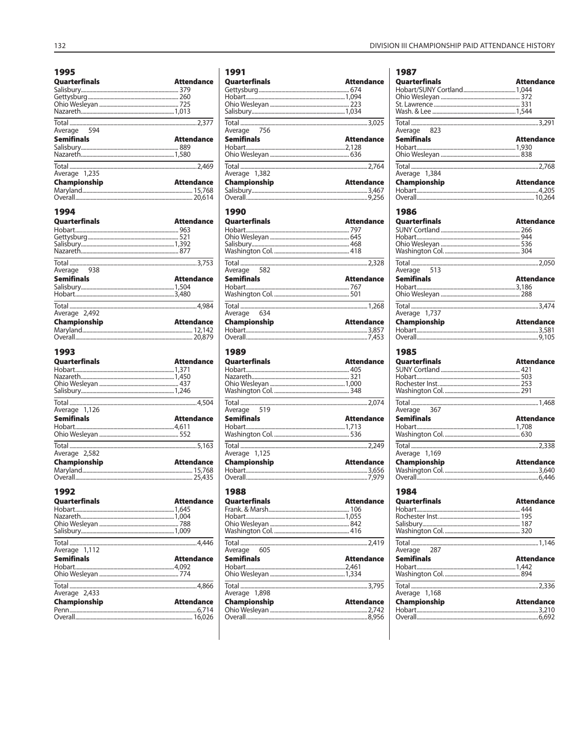| 1995                   |                   |
|------------------------|-------------------|
| <b>Quarterfinals</b>   | <b>Attendance</b> |
|                        |                   |
|                        |                   |
|                        |                   |
|                        |                   |
|                        |                   |
| Average 594            |                   |
| <b>Semifinals</b>      | <b>Attendance</b> |
|                        |                   |
|                        |                   |
|                        |                   |
| Average 1,235          |                   |
| Championship           | <b>Attendance</b> |
|                        |                   |
|                        |                   |
| 1994                   |                   |
| Quarterfinals          | <b>Attendance</b> |
|                        |                   |
|                        |                   |
|                        |                   |
|                        |                   |
|                        |                   |
| Average 938            |                   |
| Semifinals             | <b>Attendance</b> |
|                        |                   |
|                        |                   |
|                        |                   |
| Average 2,492          |                   |
| Championship           | <b>Attendance</b> |
|                        |                   |
|                        |                   |
|                        |                   |
|                        |                   |
| 1993                   |                   |
| Quarterfinals          | <b>Attendance</b> |
|                        |                   |
|                        |                   |
|                        |                   |
|                        |                   |
| Total<br>Average 1,126 |                   |
| <b>Semifinals</b>      | <b>Attendance</b> |
|                        |                   |
|                        |                   |
|                        |                   |
|                        |                   |
| Average 2,582          | <b>Attendance</b> |
| Championship           |                   |
|                        |                   |
|                        |                   |
| 1992                   |                   |
| Quarterfinals          | <b>Attendance</b> |
|                        |                   |
|                        |                   |
|                        |                   |
|                        |                   |
| 1,112<br>Average       |                   |
| <b>Semifinals</b>      | <b>Attendance</b> |
|                        |                   |
|                        |                   |
|                        |                   |
| Average 2,433          |                   |
| Championship           | Attendance        |
|                        |                   |
|                        |                   |

| 1991                  |                   |
|-----------------------|-------------------|
| Quarterfinals         | <b>Attendance</b> |
|                       |                   |
|                       |                   |
|                       |                   |
|                       |                   |
| Average 756           |                   |
| <b>Semifinals</b>     | <b>Attendance</b> |
|                       |                   |
|                       |                   |
| Average 1,382         |                   |
| Championship          | <b>Attendance</b> |
|                       |                   |
|                       |                   |
|                       |                   |
| 1990                  |                   |
| Quarterfinals         | <b>Attendance</b> |
|                       |                   |
|                       |                   |
|                       |                   |
|                       |                   |
| Average 582           |                   |
| <b>Semifinals</b>     | <b>Attendance</b> |
|                       |                   |
|                       |                   |
| Average 634           |                   |
| Championship          | <b>Attendance</b> |
|                       |                   |
|                       |                   |
|                       |                   |
| 1989<br>Quarterfinals | <b>Attendance</b> |
|                       |                   |
| Total<br>Average 519  |                   |
| <b>Semifinals</b>     | <b>Attendance</b> |
|                       |                   |
|                       |                   |
|                       |                   |
| Average 1,125         |                   |
| Championship          | Attendance        |
|                       |                   |
|                       |                   |
| 1988                  |                   |
| Quarterfinals         | <b>Attendance</b> |
|                       |                   |
|                       |                   |
|                       |                   |
|                       |                   |
| 605<br>Average        |                   |
| <b>Semifinals</b>     | <b>Attendance</b> |
|                       |                   |
|                       |                   |
|                       |                   |
| Average 1,898         |                   |
| Championship          | Attendance        |

| 1987                                                                            |                   |
|---------------------------------------------------------------------------------|-------------------|
| <b>Quarterfinals</b>                                                            | <b>Attendance</b> |
|                                                                                 |                   |
|                                                                                 |                   |
|                                                                                 |                   |
|                                                                                 |                   |
|                                                                                 |                   |
| Average 823                                                                     |                   |
| <b>Semifinals</b>                                                               | <b>Attendance</b> |
|                                                                                 |                   |
|                                                                                 |                   |
|                                                                                 |                   |
| Average 1,384                                                                   |                   |
| Championship                                                                    | <b>Attendance</b> |
|                                                                                 |                   |
|                                                                                 |                   |
|                                                                                 |                   |
| 1986                                                                            |                   |
| Quarterfinals                                                                   | <b>Attendance</b> |
|                                                                                 |                   |
|                                                                                 |                   |
|                                                                                 |                   |
|                                                                                 |                   |
|                                                                                 |                   |
| Average 513                                                                     |                   |
| <b>Semifinals</b>                                                               | <b>Attendance</b> |
|                                                                                 |                   |
|                                                                                 |                   |
| the contract of the contract of the contract of the contract of the contract of |                   |
| Average 1,737                                                                   |                   |
| Championship                                                                    | <b>Attendance</b> |
|                                                                                 |                   |
|                                                                                 |                   |
|                                                                                 |                   |
| 1985<br>Quarterfinals                                                           | <b>Attendance</b> |
|                                                                                 |                   |
| Total                                                                           |                   |
| Average 367                                                                     |                   |
| <b>Semifinals</b>                                                               | <b>Attendance</b> |
|                                                                                 |                   |
|                                                                                 |                   |
| Average 1,169                                                                   |                   |
| <b>Championship</b>                                                             | Attendance        |
|                                                                                 |                   |
|                                                                                 |                   |
|                                                                                 |                   |
| 1984                                                                            |                   |
| Quarterfinals                                                                   | <b>Attendance</b> |
|                                                                                 |                   |
|                                                                                 |                   |
|                                                                                 |                   |
|                                                                                 |                   |
| 287                                                                             |                   |
| Average                                                                         |                   |
| <b>Semifinals</b>                                                               | <b>Attendance</b> |
|                                                                                 |                   |
|                                                                                 |                   |
| Total                                                                           |                   |
| Average 1,168                                                                   |                   |
| Championship                                                                    | <b>Attendance</b> |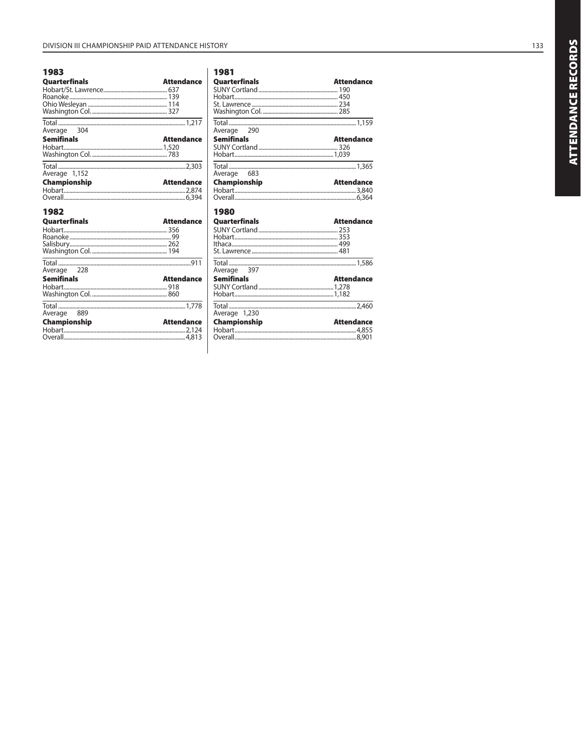### 1983

| <b>Quarterfinals</b> | <b>Attendance</b> |
|----------------------|-------------------|
| Average 304          |                   |
| <b>Semifinals</b>    | <b>Attendance</b> |
| Average 1,152        |                   |
| Championship<br>1982 | <b>Attendance</b> |
| <b>Quarterfinals</b> | <b>Attendance</b> |
| Average 228          |                   |
| <b>Semifinals</b>    | <b>Attendance</b> |
| Average 889          |                   |
| Championship         | <b>Attendance</b> |

| 1981<br><b>Quarterfinals</b>                                                                                          | <b>Attendance</b> |
|-----------------------------------------------------------------------------------------------------------------------|-------------------|
|                                                                                                                       |                   |
| <u> 1989 - Johann Barn, mars et al. 1989 - Anna ann an t-Anna ann an t-Anna ann an t-Anna ann an t-Anna ann an t-</u> |                   |
| Average 290                                                                                                           |                   |
| <b>Semifinals</b><br><u> 1980 - Johann Barn, mars an t-Amerikaansk kommunister (</u>                                  | <b>Attendance</b> |
| Average 683                                                                                                           |                   |
| <b>Championship</b>                                                                                                   | <b>Attendance</b> |
|                                                                                                                       |                   |
| 1980                                                                                                                  |                   |
| <b>Quarterfinals</b>                                                                                                  | <b>Attendance</b> |
| Average 397                                                                                                           |                   |
| <b>Semifinals</b>                                                                                                     | <b>Attendance</b> |
| Average 1,230                                                                                                         |                   |
| Championship                                                                                                          | <b>Attendance</b> |